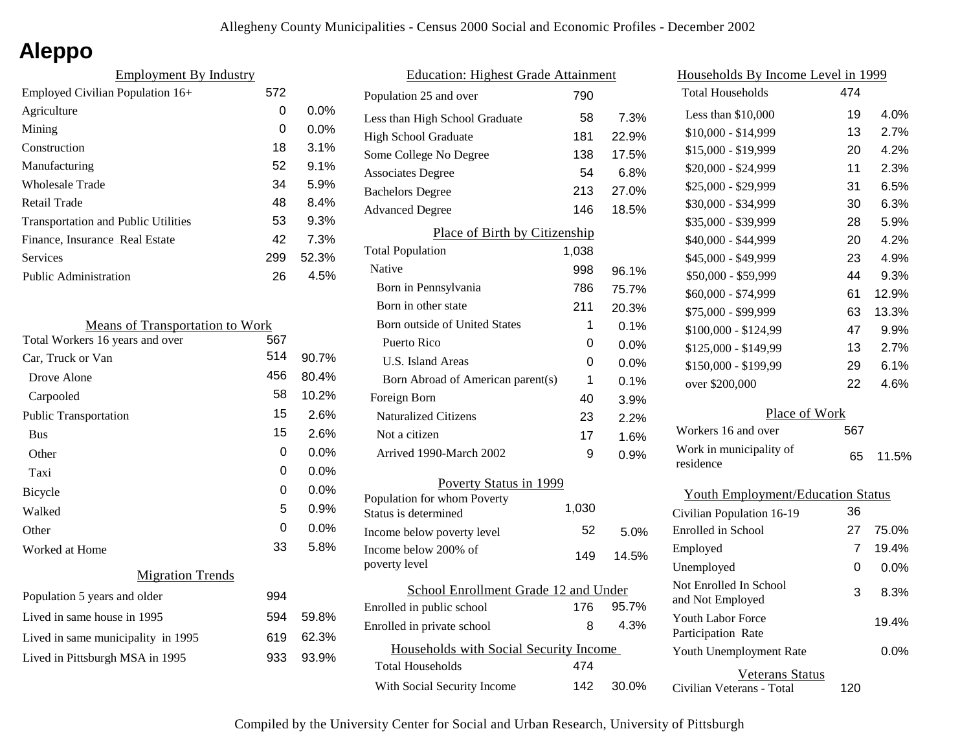# **Aleppo**

| <b>Employment By Industry</b>              |     |         |
|--------------------------------------------|-----|---------|
| Employed Civilian Population 16+           | 572 |         |
| Agriculture                                | 0   | $0.0\%$ |
| Mining                                     | 0   | $0.0\%$ |
| Construction                               | 18  | 3.1%    |
| Manufacturing                              | 52  | 9.1%    |
| <b>Wholesale Trade</b>                     | 34  | 5.9%    |
| Retail Trade                               | 48  | 8.4%    |
| <b>Transportation and Public Utilities</b> | 53  | 9.3%    |
| Finance, Insurance Real Estate             | 42  | 7.3%    |
| Services                                   | 299 | 52.3%   |
| Public Administration                      | 26  | 4.5%    |
|                                            |     |         |

| <b>Means of Transportation to Work</b> |     |         |
|----------------------------------------|-----|---------|
| Total Workers 16 years and over        | 567 |         |
| Car, Truck or Van                      | 514 | 90.7%   |
| Drove Alone                            | 456 | 80.4%   |
| Carpooled                              | 58  | 10.2%   |
| Public Transportation                  | 15  | $2.6\%$ |
| <b>Bus</b>                             | 15  | 2.6%    |
| Other                                  | 0   | $0.0\%$ |
| Taxi                                   | 0   | $0.0\%$ |
| Bicycle                                | 0   | 0.0%    |
| Walked                                 | 5   | 0.9%    |
| Other                                  | 0   | 0.0%    |
| Worked at Home                         | 33  | 5.8%    |
| <b>Migration Trends</b>                |     |         |
| Population 5 years and older           | 994 |         |
| Lived in same house in 1995            | 594 | 59.8%   |
| Lived in same municipality in 1995     | 619 | 62.3%   |
| Lived in Pittsburgh MSA in 1995        | 933 | 93.9%   |
|                                        |     |         |

| <b>Education: Highest Grade Attainment</b> |       |       |
|--------------------------------------------|-------|-------|
| Population 25 and over                     | 790   |       |
| Less than High School Graduate             | 58    | 7.3%  |
| <b>High School Graduate</b>                | 181   | 22.9% |
| Some College No Degree                     | 138   | 17.5% |
| <b>Associates Degree</b>                   | 54    | 6.8%  |
| <b>Bachelors Degree</b>                    | 213   | 27.0% |
| <b>Advanced Degree</b>                     | 146   | 18.5% |
| Place of Birth by Citizenship              |       |       |
| <b>Total Population</b>                    | 1,038 |       |
| Native                                     | 998   | 96.1% |
| Born in Pennsylvania                       | 786   | 75.7% |
| Born in other state                        | 211   | 20.3% |
| Born outside of United States              | 1     | 0.1%  |
| Puerto Rico                                | 0     | 0.0%  |
| U.S. Island Areas                          | 0     | 0.0%  |
| Born Abroad of American parent(s)          | 1     | 0.1%  |
| Foreign Born                               | 40    | 3.9%  |
| <b>Naturalized Citizens</b>                | 23    | 2.2%  |
| Not a citizen                              | 17    | 1.6%  |
| Arrived 1990-March 2002                    | 9     | 0.9%  |
| Poverty Status in 1999                     |       |       |
| Population for whom Poverty                |       |       |
| Status is determined                       | 1,030 |       |
| Income below poverty level                 | 52    | 5.0%  |
| Income below 200% of<br>poverty level      | 149   | 14.5% |
|                                            |       |       |
| School Enrollment Grade 12 and Under       |       |       |
| Enrolled in public school                  | 176   | 95.7% |
| Enrolled in private school                 | 8     | 4.3%  |
| Households with Social Security Income     |       |       |
| <b>Total Households</b>                    | 474   |       |
| With Social Security Income                | 142   | 30.0% |
|                                            |       |       |

| <u>Households By Income Level in 1999</u>      |     |       |
|------------------------------------------------|-----|-------|
| <b>Total Households</b>                        | 474 |       |
| Less than \$10,000                             | 19  | 4.0%  |
| \$10,000 - \$14,999                            | 13  | 2.7%  |
| \$15,000 - \$19,999                            | 20  | 4.2%  |
| \$20,000 - \$24,999                            | 11  | 2.3%  |
| \$25,000 - \$29,999                            | 31  | 6.5%  |
| \$30,000 - \$34,999                            | 30  | 6.3%  |
| \$35,000 - \$39,999                            | 28  | 5.9%  |
| \$40,000 - \$44,999                            | 20  | 4.2%  |
| \$45,000 - \$49,999                            | 23  | 4.9%  |
| \$50,000 - \$59,999                            | 44  | 9.3%  |
| \$60,000 - \$74,999                            | 61  | 12.9% |
| \$75,000 - \$99,999                            | 63  | 13.3% |
| \$100,000 - \$124,99                           | 47  | 9.9%  |
| \$125,000 - \$149,99                           | 13  | 2.7%  |
| \$150,000 - \$199,99                           | 29  | 6.1%  |
| over \$200,000                                 | 22  | 4.6%  |
| Place of Work                                  |     |       |
| Workers 16 and over                            | 567 |       |
| Work in municipality of<br>residence           | 65  | 11.5% |
| <b>Youth Employment/Education Status</b>       |     |       |
| Civilian Population 16-19                      | 36  |       |
| Enrolled in School                             | 27  | 75.0% |
| Employed                                       | 7   | 19.4% |
| Unemployed                                     | 0   | 0.0%  |
| Not Enrolled In School<br>and Not Employed     | 3   | 8.3%  |
| <b>Youth Labor Force</b><br>Participation Rate |     | 19.4% |
| Youth Unemployment Rate                        |     | 0.0%  |
| Veterans Status                                |     |       |

Civilian Veterans - Total

120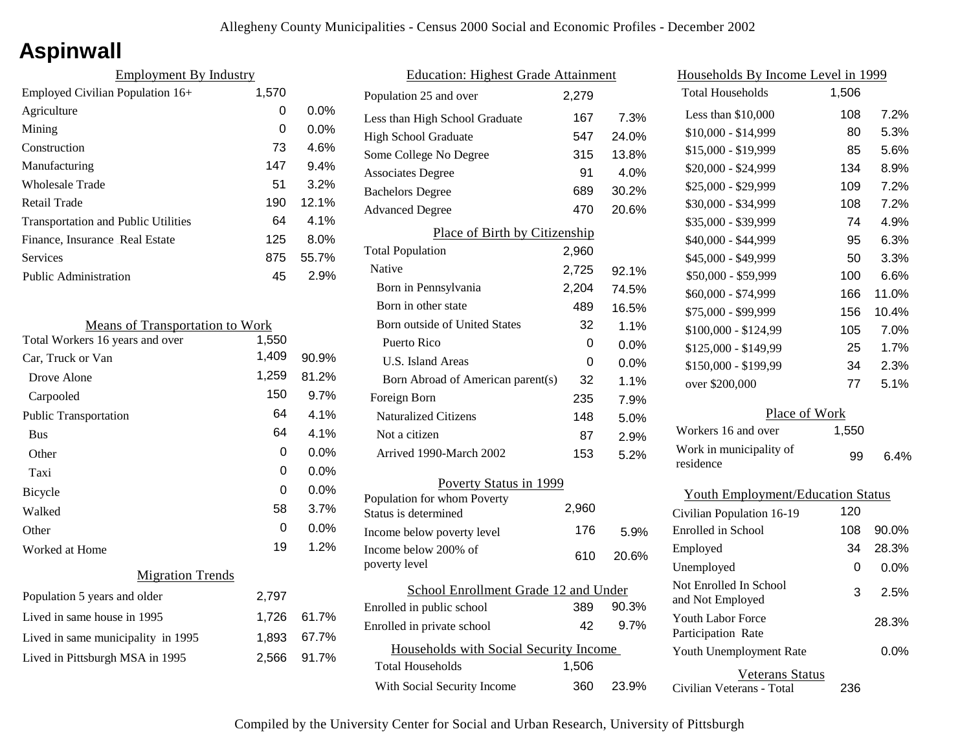# **Aspinwall**

| <b>Employment By Industry</b>              |       |         |
|--------------------------------------------|-------|---------|
| Employed Civilian Population 16+           | 1,570 |         |
| Agriculture                                | 0     | $0.0\%$ |
| Mining                                     | 0     | $0.0\%$ |
| Construction                               | 73    | 4.6%    |
| Manufacturing                              | 147   | 9.4%    |
| Wholesale Trade                            | 51    | 3.2%    |
| Retail Trade                               | 190   | 12.1%   |
| <b>Transportation and Public Utilities</b> | 64    | $4.1\%$ |
| Finance, Insurance Real Estate             | 125   | 8.0%    |
| Services                                   | 875   | 55.7%   |
| Public Administration                      | 45    | 2.9%    |

| <b>Means of Transportation to Work</b> |       |       |
|----------------------------------------|-------|-------|
| Total Workers 16 years and over        | 1,550 |       |
| Car, Truck or Van                      | 1,409 | 90.9% |
| Drove Alone                            | 1,259 | 81.2% |
| Carpooled                              | 150   | 9.7%  |
| <b>Public Transportation</b>           | 64    | 4.1%  |
| <b>Bus</b>                             | 64    | 4.1%  |
| Other                                  | 0     | 0.0%  |
| Taxi                                   | 0     | 0.0%  |
| Bicycle                                | 0     | 0.0%  |
| Walked                                 | 58    | 3.7%  |
| Other                                  | 0     | 0.0%  |
| Worked at Home                         | 19    | 1.2%  |
| <b>Migration Trends</b>                |       |       |
| Population 5 years and older           | 2,797 |       |
| Lived in same house in 1995            | 1,726 | 61.7% |
| Lived in same municipality in 1995     | 1,893 | 67.7% |
| Lived in Pittsburgh MSA in 1995        | 2,566 | 91.7% |
|                                        |       |       |

| <b>Education: Highest Grade Attainment</b>                 |       |       |
|------------------------------------------------------------|-------|-------|
| Population 25 and over                                     | 2,279 |       |
| Less than High School Graduate                             | 167   | 7.3%  |
| <b>High School Graduate</b>                                | 547   | 24.0% |
| Some College No Degree                                     | 315   | 13.8% |
| <b>Associates Degree</b>                                   | 91    | 4.0%  |
| <b>Bachelors Degree</b>                                    | 689   | 30.2% |
| <b>Advanced Degree</b>                                     | 470   | 20.6% |
| Place of Birth by Citizenship                              |       |       |
| <b>Total Population</b>                                    | 2,960 |       |
| Native                                                     | 2,725 | 92.1% |
| Born in Pennsylvania                                       | 2,204 | 74.5% |
| Born in other state                                        | 489   | 16.5% |
| <b>Born outside of United States</b>                       | 32    | 1.1%  |
| Puerto Rico                                                | 0     | 0.0%  |
| <b>U.S. Island Areas</b>                                   | 0     | 0.0%  |
| Born Abroad of American parent(s)                          | 32    | 1.1%  |
| Foreign Born                                               | 235   | 7.9%  |
| <b>Naturalized Citizens</b>                                | 148   | 5.0%  |
| Not a citizen                                              | 87    | 2.9%  |
| Arrived 1990-March 2002                                    | 153   | 5.2%  |
| <b>Poverty Status in 1999</b>                              |       |       |
| Population for whom Poverty                                | 2,960 |       |
| Status is determined                                       | 176   |       |
| Income below poverty level<br>Income below 200% of         |       | 5.9%  |
| poverty level                                              | 610   | 20.6% |
| School Enrollment Grade 12 and Under                       |       |       |
| Enrolled in public school                                  | 389   | 90.3% |
| Enrolled in private school                                 | 42    | 9.7%  |
|                                                            |       |       |
| Households with Social Security Income<br>Total Households | 1,506 |       |
|                                                            |       |       |
| With Social Security Income                                | 360   | 23.9% |

| <u>Households By Income Level in 1999</u>  |       |         |
|--------------------------------------------|-------|---------|
| <b>Total Households</b>                    | 1,506 |         |
| Less than \$10,000                         | 108   | 7.2%    |
| \$10,000 - \$14,999                        | 80    | 5.3%    |
| \$15,000 - \$19,999                        | 85    | 5.6%    |
| \$20,000 - \$24,999                        | 134   | 8.9%    |
| \$25,000 - \$29,999                        | 109   | 7.2%    |
| \$30,000 - \$34,999                        | 108   | 7.2%    |
| \$35,000 - \$39,999                        | 74    | 4.9%    |
| \$40,000 - \$44,999                        | 95    | 6.3%    |
| \$45,000 - \$49,999                        | 50    | 3.3%    |
| \$50,000 - \$59,999                        | 100   | 6.6%    |
| \$60,000 - \$74,999                        | 166   | 11.0%   |
| \$75,000 - \$99,999                        | 156   | 10.4%   |
| \$100,000 - \$124,99                       | 105   | 7.0%    |
| \$125,000 - \$149,99                       | 25    | 1.7%    |
| \$150,000 - \$199,99                       | 34    | 2.3%    |
| over \$200,000                             | 77    | 5.1%    |
| Place of Work                              |       |         |
| Workers 16 and over                        | 1,550 |         |
| Work in municipality of<br>residence       | 99    | 6.4%    |
| <b>Youth Employment/Education Status</b>   |       |         |
| Civilian Population 16-19                  | 120   |         |
| Enrolled in School                         | 108   | 90.0%   |
| Employed                                   | 34    | 28.3%   |
| Unemployed                                 | 0     | 0.0%    |
| Not Enrolled In School<br>and Not Employed | 3     | 2.5%    |
| Youth Labor Force<br>Participation Rate    |       | 28.3%   |
| Youth Unemployment Rate                    |       | $0.0\%$ |

Veterans Status

236

Civilian Veterans - Total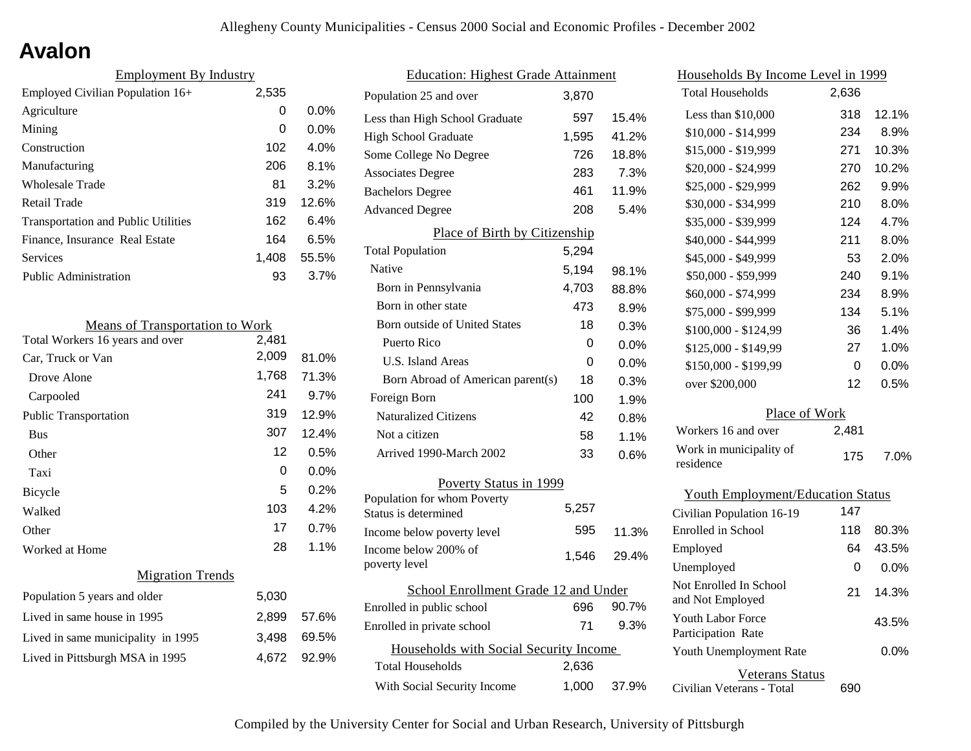# **Avalon**

| <b>Employment By Industry</b>              |       |         |
|--------------------------------------------|-------|---------|
| Employed Civilian Population 16+           | 2,535 |         |
| Agriculture                                | 0     | $0.0\%$ |
| Mining                                     | 0     | $0.0\%$ |
| Construction                               | 102   | 4.0%    |
| Manufacturing                              | 206   | 8.1%    |
| Wholesale Trade                            | 81    | 3.2%    |
| Retail Trade                               | 319   | 12.6%   |
| <b>Transportation and Public Utilities</b> | 162   | 6.4%    |
| Finance, Insurance Real Estate             | 164   | 6.5%    |
| Services                                   | 1.408 | 55.5%   |
| <b>Public Administration</b>               | 93    | 3.7%    |

| <b>Means of Transportation to Work</b> |       |       |
|----------------------------------------|-------|-------|
| Total Workers 16 years and over        | 2,481 |       |
| Car, Truck or Van                      | 2,009 | 81.0% |
| Drove Alone                            | 1,768 | 71.3% |
| Carpooled                              | 241   | 9.7%  |
| <b>Public Transportation</b>           | 319   | 12.9% |
| <b>Bus</b>                             | 307   | 12.4% |
| Other                                  | 12    | 0.5%  |
| Taxi                                   | 0     | 0.0%  |
| Bicycle                                | 5     | 0.2%  |
| Walked                                 | 103   | 4.2%  |
| Other                                  | 17    | 0.7%  |
| Worked at Home                         | 28    | 1.1%  |
| <b>Migration Trends</b>                |       |       |
| Population 5 years and older           | 5,030 |       |
| Lived in same house in 1995            | 2,899 | 57.6% |
| Lived in same municipality in 1995     | 3,498 | 69.5% |
| Lived in Pittsburgh MSA in 1995        | 4,672 | 92.9% |
|                                        |       |       |

| <b>Education: Highest Grade Attainment</b>          |       |       |
|-----------------------------------------------------|-------|-------|
| Population 25 and over                              | 3.870 |       |
| Less than High School Graduate                      | 597   | 15.4% |
| <b>High School Graduate</b>                         | 1,595 | 41.2% |
| Some College No Degree                              | 726   | 18.8% |
| <b>Associates Degree</b>                            | 283   | 7.3%  |
| <b>Bachelors Degree</b>                             | 461   | 11.9% |
| <b>Advanced Degree</b>                              | 208   | 5.4%  |
| Place of Birth by Citizenship                       |       |       |
| <b>Total Population</b>                             | 5,294 |       |
| Native                                              | 5,194 | 98.1% |
| Born in Pennsylvania                                | 4,703 | 88.8% |
| Born in other state                                 | 473   | 8.9%  |
| <b>Born outside of United States</b>                | 18    | 0.3%  |
| Puerto Rico                                         | 0     | 0.0%  |
| U.S. Island Areas                                   | 0     | 0.0%  |
| Born Abroad of American parent(s)                   | 18    | 0.3%  |
| Foreign Born                                        | 100   | 1.9%  |
| <b>Naturalized Citizens</b>                         | 42    | 0.8%  |
| Not a citizen                                       | 58    | 1.1%  |
| Arrived 1990-March 2002                             | 33    | 0.6%  |
| Poverty Status in 1999                              |       |       |
| Population for whom Poverty<br>Status is determined | 5.257 |       |
| Income below poverty level                          | 595   | 11.3% |
| Income below 200% of<br>poverty level               | 1,546 | 29.4% |
| School Enrollment Grade 12 and Under                |       |       |
| Enrolled in public school                           | 696   | 90.7% |
| Enrolled in private school                          | 71    | 9.3%  |
| Households with Social Security Income              |       |       |
| Total Households                                    | 2,636 |       |
| With Social Security Income                         | 1,000 | 37.9% |

| <u>Households By Income Level in 1999</u>  |       |         |
|--------------------------------------------|-------|---------|
| <b>Total Households</b>                    | 2,636 |         |
| Less than \$10,000                         | 318   | 12.1%   |
| \$10,000 - \$14,999                        | 234   | 8.9%    |
| \$15,000 - \$19,999                        | 271   | 10.3%   |
| \$20,000 - \$24,999                        | 270   | 10.2%   |
| \$25,000 - \$29,999                        | 262   | 9.9%    |
| \$30,000 - \$34,999                        | 210   | 8.0%    |
| \$35,000 - \$39,999                        | 124   | 4.7%    |
| \$40,000 - \$44,999                        | 211   | 8.0%    |
| \$45,000 - \$49,999                        | 53    | 2.0%    |
| \$50,000 - \$59,999                        | 240   | 9.1%    |
| \$60,000 - \$74,999                        | 234   | 8.9%    |
| \$75,000 - \$99,999                        | 134   | 5.1%    |
| \$100,000 - \$124,99                       | 36    | 1.4%    |
| \$125,000 - \$149,99                       | 27    | $1.0\%$ |
| \$150,000 - \$199,99                       | 0     | 0.0%    |
| over \$200,000                             | 12    | 0.5%    |
| Place of Work                              |       |         |
| Workers 16 and over                        | 2,481 |         |
| Work in municipality of<br>residence       | 175   | 7.0%    |
| <b>Youth Employment/Education Status</b>   |       |         |
| Civilian Population 16-19                  | 147   |         |
| <b>Enrolled</b> in School                  | 118   | 80.3%   |
| Employed                                   | 64    | 43.5%   |
| Unemployed                                 | 0     | 0.0%    |
| Not Enrolled In School<br>and Not Employed | 21    | 14.3%   |
| Youth Labor Force<br>Participation Rate    |       | 43.5%   |
| Youth Unemployment Rate                    |       | 0.0%    |

Civilian Veterans - Total Veterans Status 690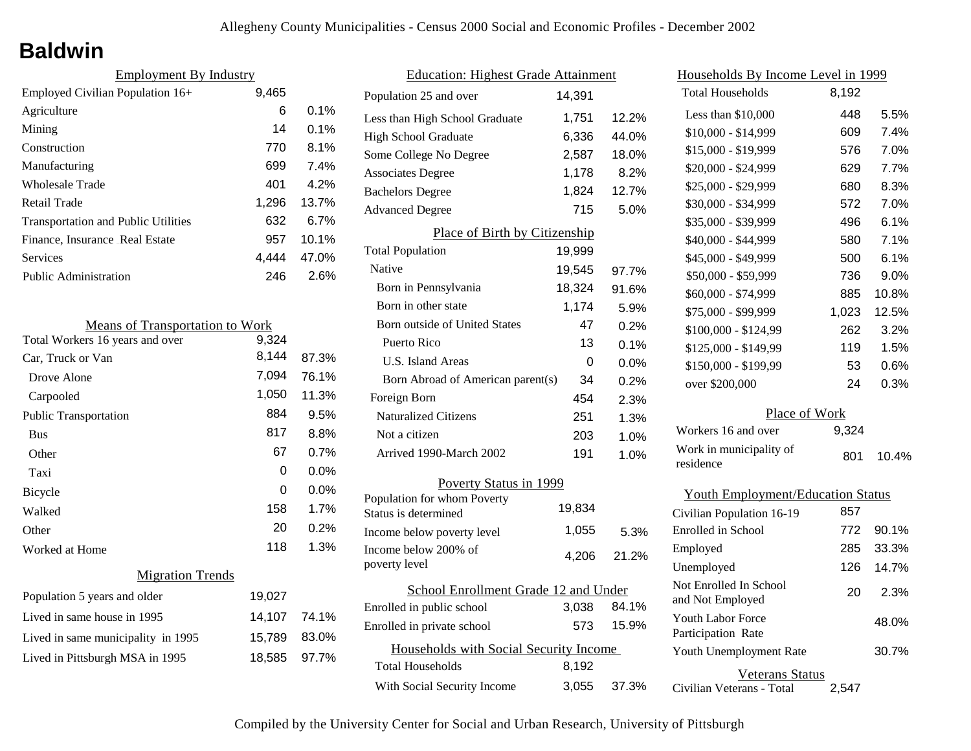## **Baldwin**

| <b>Employment By Industry</b>              |       |          |
|--------------------------------------------|-------|----------|
| Employed Civilian Population 16+           | 9,465 |          |
| Agriculture                                | 6     | $0.1\%$  |
| Mining                                     | 14    | $0.1\%$  |
| Construction                               | 770   | 8.1%     |
| Manufacturing                              | 699   | 7.4%     |
| Wholesale Trade                            | 401   | 4.2%     |
| Retail Trade                               | 1,296 | 13.7%    |
| <b>Transportation and Public Utilities</b> | 632   | 6.7%     |
| Finance, Insurance Real Estate             | 957   | $10.1\%$ |
| Services                                   | 4.444 | 47.0%    |
| Public Administration                      | 246   | 2.6%     |

| <b>Means of Transportation to Work</b> |                                  |
|----------------------------------------|----------------------------------|
| 9,324                                  |                                  |
| 8,144                                  | 87.3%                            |
| 7,094                                  | 76.1%                            |
| 1,050                                  | 11.3%                            |
| 884                                    | 9.5%                             |
| 817                                    | 8.8%                             |
| 67                                     | 0.7%                             |
| 0                                      | $0.0\%$                          |
| 0                                      | $0.0\%$                          |
| 158                                    | 1.7%                             |
| 20                                     | 0.2%                             |
| 118                                    | 1.3%                             |
|                                        |                                  |
| 19,027                                 |                                  |
|                                        |                                  |
|                                        | 83.0%                            |
|                                        | 97.7%                            |
|                                        | 14,107 74.1%<br>15,789<br>18,585 |

| <b>Education: Highest Grade Attainment</b>          |        |       |
|-----------------------------------------------------|--------|-------|
| Population 25 and over                              | 14,391 |       |
| Less than High School Graduate                      | 1,751  | 12.2% |
| <b>High School Graduate</b>                         | 6,336  | 44.0% |
| Some College No Degree                              | 2,587  | 18.0% |
| <b>Associates Degree</b>                            | 1,178  | 8.2%  |
| <b>Bachelors Degree</b>                             | 1,824  | 12.7% |
| <b>Advanced Degree</b>                              | 715    | 5.0%  |
| Place of Birth by Citizenship                       |        |       |
| <b>Total Population</b>                             | 19,999 |       |
| Native                                              | 19,545 | 97.7% |
| Born in Pennsylvania                                | 18,324 | 91.6% |
| Born in other state                                 | 1,174  | 5.9%  |
| Born outside of United States                       | 47     | 0.2%  |
| Puerto Rico                                         | 13     | 0.1%  |
| <b>U.S. Island Areas</b>                            | 0      | 0.0%  |
| Born Abroad of American parent(s)                   | 34     | 0.2%  |
| Foreign Born                                        | 454    | 2.3%  |
| <b>Naturalized Citizens</b>                         | 251    | 1.3%  |
| Not a citizen                                       | 203    | 1.0%  |
| Arrived 1990-March 2002                             | 191    | 1.0%  |
| Poverty Status in 1999                              |        |       |
| Population for whom Poverty<br>Status is determined | 19,834 |       |
| Income below poverty level                          | 1,055  | 5.3%  |
| Income below 200% of<br>poverty level               | 4,206  | 21.2% |
| School Enrollment Grade 12 and Under                |        |       |
| Enrolled in public school                           | 3,038  | 84.1% |
| Enrolled in private school                          | 573    | 15.9% |
| Households with Social Security Income              |        |       |
| <b>Total Households</b>                             | 8,192  |       |
| With Social Security Income                         | 3,055  | 37.3% |

| Households By Income Level in 1999             |       |       |  |
|------------------------------------------------|-------|-------|--|
| <b>Total Households</b>                        | 8,192 |       |  |
| Less than $$10,000$                            | 448   | 5.5%  |  |
| \$10,000 - \$14,999                            | 609   | 7.4%  |  |
| \$15,000 - \$19,999                            | 576   | 7.0%  |  |
| \$20,000 - \$24,999                            | 629   | 7.7%  |  |
| \$25,000 - \$29,999                            | 680   | 8.3%  |  |
| \$30,000 - \$34,999                            | 572   | 7.0%  |  |
| \$35,000 - \$39,999                            | 496   | 6.1%  |  |
| \$40,000 - \$44,999                            | 580   | 7.1%  |  |
| \$45,000 - \$49,999                            | 500   | 6.1%  |  |
| \$50,000 - \$59,999                            | 736   | 9.0%  |  |
| \$60,000 - \$74,999                            | 885   | 10.8% |  |
| \$75,000 - \$99,999                            | 1,023 | 12.5% |  |
| \$100,000 - \$124,99                           | 262   | 3.2%  |  |
| \$125,000 - \$149,99                           | 119   | 1.5%  |  |
| \$150,000 - \$199,99                           | 53    | 0.6%  |  |
| over \$200,000                                 | 24    | 0.3%  |  |
| Place of Work                                  |       |       |  |
| Workers 16 and over                            | 9,324 |       |  |
| Work in municipality of<br>residence           | 801   | 10.4% |  |
| <b>Youth Employment/Education Status</b>       |       |       |  |
| Civilian Population 16-19                      | 857   |       |  |
| <b>Enrolled</b> in School                      | 772   | 90.1% |  |
| Employed                                       | 285   | 33.3% |  |
| Unemployed                                     | 126   | 14.7% |  |
| Not Enrolled In School<br>and Not Employed     | 20    | 2.3%  |  |
| <b>Youth Labor Force</b><br>Participation Rate |       | 48.0% |  |

Veterans Status 2,547 30.7%

Civilian Veterans - Total

Youth Unemployment Rate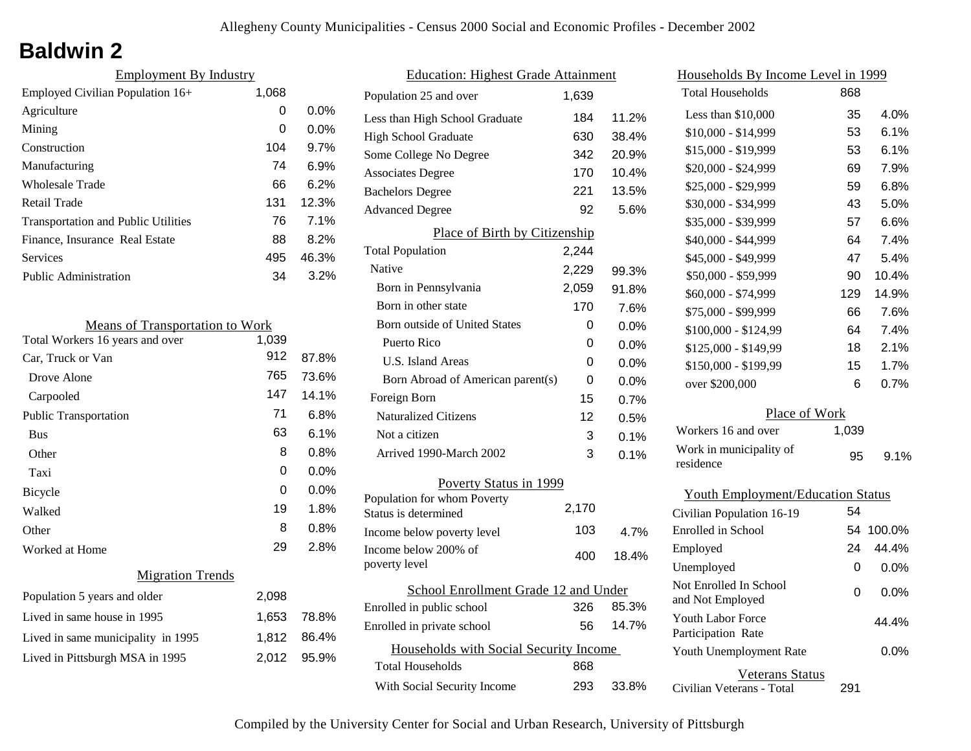# **Baldwin 2**

| <b>Employment By Industry</b>              |       |         |
|--------------------------------------------|-------|---------|
| Employed Civilian Population 16+           | 1,068 |         |
| Agriculture                                | 0     | $0.0\%$ |
| Mining                                     | 0     | 0.0%    |
| Construction                               | 104   | 9.7%    |
| Manufacturing                              | 74    | 6.9%    |
| Wholesale Trade                            | 66    | 6.2%    |
| Retail Trade                               | 131   | 12.3%   |
| <b>Transportation and Public Utilities</b> | 76    | 7.1%    |
| Finance, Insurance Real Estate             | 88    | 8.2%    |
| Services                                   | 495   | 46.3%   |
| Public Administration                      | 34    | $3.2\%$ |
|                                            |       |         |

| <b>Means of Transportation to Work</b> |       |         |  |
|----------------------------------------|-------|---------|--|
| Total Workers 16 years and over        | 1,039 |         |  |
| Car, Truck or Van                      | 912   | 87.8%   |  |
| Drove Alone                            | 765   | 73.6%   |  |
| Carpooled                              | 147   | 14.1%   |  |
| <b>Public Transportation</b>           | 71    | 6.8%    |  |
| <b>Bus</b>                             | 63    | 6.1%    |  |
| Other                                  | 8     | 0.8%    |  |
| Taxi                                   | 0     | $0.0\%$ |  |
| Bicycle                                | 0     | $0.0\%$ |  |
| Walked                                 | 19    | 1.8%    |  |
| Other                                  | 8     | 0.8%    |  |
| Worked at Home                         | 29    | 2.8%    |  |
| <b>Migration Trends</b>                |       |         |  |
| Population 5 years and older           | 2,098 |         |  |
| Lived in same house in 1995            | 1,653 | 78.8%   |  |
| Lived in same municipality in 1995     | 1,812 | 86.4%   |  |
| Lived in Pittsburgh MSA in 1995        | 2,012 | 95.9%   |  |
|                                        |       |         |  |

| <b>Education: Highest Grade Attainment</b>          |       |         |  |
|-----------------------------------------------------|-------|---------|--|
| Population 25 and over                              | 1.639 |         |  |
| Less than High School Graduate                      | 184   | 11.2%   |  |
| <b>High School Graduate</b>                         | 630   | 38.4%   |  |
| Some College No Degree                              | 342   | 20.9%   |  |
| <b>Associates Degree</b>                            | 170   | 10.4%   |  |
| <b>Bachelors Degree</b>                             | 221   | 13.5%   |  |
| <b>Advanced Degree</b>                              | 92    | 5.6%    |  |
| Place of Birth by Citizenship                       |       |         |  |
| <b>Total Population</b>                             | 2,244 |         |  |
| Native                                              | 2,229 | 99.3%   |  |
| Born in Pennsylvania                                | 2,059 | 91.8%   |  |
| Born in other state                                 | 170   | 7.6%    |  |
| <b>Born outside of United States</b>                | 0     | $0.0\%$ |  |
| Puerto Rico                                         | 0     | 0.0%    |  |
| U.S. Island Areas                                   | 0     | $0.0\%$ |  |
| Born Abroad of American parent(s)                   | 0     | 0.0%    |  |
| Foreign Born                                        | 15    | 0.7%    |  |
| <b>Naturalized Citizens</b>                         | 12    | 0.5%    |  |
| Not a citizen                                       | 3     | 0.1%    |  |
| Arrived 1990-March 2002                             | 3     | 0.1%    |  |
| Poverty Status in 1999                              |       |         |  |
| Population for whom Poverty<br>Status is determined | 2,170 |         |  |
| Income below poverty level                          | 103   | 4.7%    |  |
| Income below 200% of<br>poverty level               | 400   | 18.4%   |  |
| School Enrollment Grade 12 and Under                |       |         |  |
| Enrolled in public school                           | 326   | 85.3%   |  |
| Enrolled in private school                          | 56    | 14.7%   |  |
| Households with Social Security Income              |       |         |  |
| <b>Total Households</b>                             | 868   |         |  |
| With Social Security Income                         | 293   | 33.8%   |  |
|                                                     |       |         |  |

| Households By Income Level in 1999         |       |         |  |
|--------------------------------------------|-------|---------|--|
| <b>Total Households</b>                    | 868   |         |  |
| Less than $$10,000$                        | 35    | 4.0%    |  |
| \$10,000 - \$14,999                        | 53    | 6.1%    |  |
| \$15,000 - \$19,999                        | 53    | 6.1%    |  |
| \$20,000 - \$24,999                        | 69    | 7.9%    |  |
| \$25,000 - \$29,999                        | 59    | 6.8%    |  |
| \$30,000 - \$34,999                        | 43    | 5.0%    |  |
| \$35,000 - \$39,999                        | 57    | 6.6%    |  |
| \$40,000 - \$44,999                        | 64    | 7.4%    |  |
| \$45,000 - \$49,999                        | 47    | 5.4%    |  |
| \$50,000 - \$59,999                        | 90    | 10.4%   |  |
| \$60,000 - \$74,999                        | 129   | 14.9%   |  |
| \$75,000 - \$99,999                        | 66    | 7.6%    |  |
| \$100,000 - \$124,99                       | 64    | 7.4%    |  |
| \$125,000 - \$149,99                       | 18    | 2.1%    |  |
| \$150,000 - \$199,99                       | 15    | 1.7%    |  |
| over \$200,000                             | 6     | 0.7%    |  |
| Place of Work                              |       |         |  |
| Workers 16 and over                        | 1,039 |         |  |
| Work in municipality of<br>residence       | 95    | 9.1%    |  |
| <b>Youth Employment/Education Status</b>   |       |         |  |
| Civilian Population 16-19                  | 54    |         |  |
| <b>Enrolled</b> in School                  | 54    | 100.0%  |  |
| Employed                                   | 24    | 44.4%   |  |
| Unemployed                                 | 0     | $0.0\%$ |  |
| Not Enrolled In School<br>and Not Employed | 0     | 0.0%    |  |
| Youth Labor Force<br>Participation Rate    |       | 44.4%   |  |
| Youth Unemployment Rate                    |       | 0.0%    |  |

Civilian Veterans - Total Veterans Status 291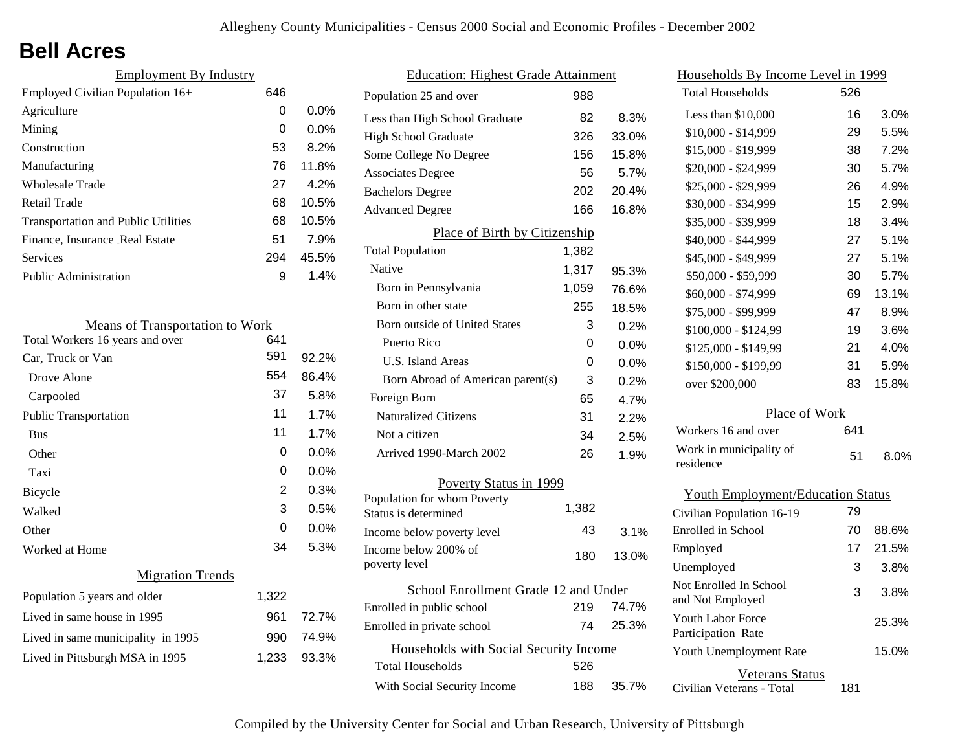## **Bell Acres**

| <b>Employment By Industry</b>              |     |         |
|--------------------------------------------|-----|---------|
| Employed Civilian Population 16+           | 646 |         |
| Agriculture                                | 0   | $0.0\%$ |
| Mining                                     | 0   | $0.0\%$ |
| Construction                               | 53  | 8.2%    |
| Manufacturing                              | 76  | 11.8%   |
| <b>Wholesale Trade</b>                     | 27  | 4.2%    |
| Retail Trade                               | 68  | 10.5%   |
| <b>Transportation and Public Utilities</b> | 68  | 10.5%   |
| Finance, Insurance Real Estate             | 51  | 7.9%    |
| Services                                   | 294 | 45.5%   |
| Public Administration                      | 9   | 1.4%    |

| <b>Means of Transportation to Work</b> |       |         |
|----------------------------------------|-------|---------|
| Total Workers 16 years and over        | 641   |         |
| Car, Truck or Van                      | 591   | 92.2%   |
| Drove Alone                            | 554   | 86.4%   |
| Carpooled                              | 37    | 5.8%    |
| <b>Public Transportation</b>           | 11    | 1.7%    |
| <b>Bus</b>                             | 11    | 1.7%    |
| Other                                  | 0     | 0.0%    |
| Taxi                                   | 0     | $0.0\%$ |
| Bicycle                                | 2     | 0.3%    |
| Walked                                 | 3     | 0.5%    |
| Other                                  | 0     | 0.0%    |
| Worked at Home                         | 34    | 5.3%    |
| <b>Migration Trends</b>                |       |         |
| Population 5 years and older           | 1,322 |         |
| Lived in same house in 1995            | 961   | 72.7%   |
| Lived in same municipality in 1995     | 990   | 74.9%   |
| Lived in Pittsburgh MSA in 1995        | 1,233 | 93.3%   |
|                                        |       |         |

| <b>Education: Highest Grade Attainment</b>          |       |       |
|-----------------------------------------------------|-------|-------|
| Population 25 and over                              | 988   |       |
| Less than High School Graduate                      | 82    | 8.3%  |
| <b>High School Graduate</b>                         | 326   | 33.0% |
| Some College No Degree                              | 156   | 15.8% |
| <b>Associates Degree</b>                            | 56    | 5.7%  |
| <b>Bachelors Degree</b>                             | 202   | 20.4% |
| <b>Advanced Degree</b>                              | 166   | 16.8% |
| Place of Birth by Citizenship                       |       |       |
| <b>Total Population</b>                             | 1,382 |       |
| Native                                              | 1,317 | 95.3% |
| Born in Pennsylvania                                | 1,059 | 76.6% |
| Born in other state                                 | 255   | 18.5% |
| <b>Born outside of United States</b>                | 3     | 0.2%  |
| Puerto Rico                                         | 0     | 0.0%  |
| <b>U.S. Island Areas</b>                            | 0     | 0.0%  |
| Born Abroad of American parent(s)                   | 3     | 0.2%  |
| Foreign Born                                        | 65    | 4.7%  |
| <b>Naturalized Citizens</b>                         | 31    | 2.2%  |
| Not a citizen                                       | 34    | 2.5%  |
| Arrived 1990-March 2002                             | 26    | 1.9%  |
| Poverty Status in 1999                              |       |       |
| Population for whom Poverty<br>Status is determined | 1,382 |       |
| Income below poverty level                          | 43    | 3.1%  |
| Income below 200% of<br>poverty level               | 180   | 13.0% |
| School Enrollment Grade 12 and Under                |       |       |
| Enrolled in public school                           | 219   | 74.7% |
| Enrolled in private school                          | 74    | 25.3% |
| Households with Social Security Income              |       |       |
| <b>Total Households</b>                             | 526   |       |
| With Social Security Income                         | 188   | 35.7% |
|                                                     |       |       |

| <u>Households By Income Level in 1999</u>  |     |         |
|--------------------------------------------|-----|---------|
| <b>Total Households</b>                    | 526 |         |
| Less than $$10,000$                        | 16  | 3.0%    |
| \$10,000 - \$14,999                        | 29  | 5.5%    |
| \$15,000 - \$19,999                        | 38  | 7.2%    |
| \$20,000 - \$24,999                        | 30  | 5.7%    |
| \$25,000 - \$29,999                        | 26  | 4.9%    |
| \$30,000 - \$34,999                        | 15  | 2.9%    |
| \$35,000 - \$39,999                        | 18  | 3.4%    |
| \$40,000 - \$44,999                        | 27  | 5.1%    |
| \$45,000 - \$49,999                        | 27  | 5.1%    |
| \$50,000 - \$59,999                        | 30  | 5.7%    |
| \$60,000 - \$74,999                        | 69  | 13.1%   |
| \$75,000 - \$99,999                        | 47  | 8.9%    |
| \$100,000 - \$124,99                       | 19  | 3.6%    |
| \$125,000 - \$149,99                       | 21  | 4.0%    |
| \$150,000 - \$199,99                       | 31  | 5.9%    |
| over \$200,000                             | 83  | 15.8%   |
| Place of Work                              |     |         |
| Workers 16 and over                        | 641 |         |
| Work in municipality of<br>residence       | 51  | $8.0\%$ |
| <b>Youth Employment/Education Status</b>   |     |         |
| Civilian Population 16-19                  | 79  |         |
| Enrolled in School                         | 70  | 88.6%   |
| Employed                                   | 17  | 21.5%   |
| Unemployed                                 | 3   | 3.8%    |
| Not Enrolled In School<br>and Not Employed | 3   | 3.8%    |
| Youth Labor Force<br>Participation Rate    |     | 25.3%   |
| Youth Unemployment Rate                    |     | 15.0%   |

Civilian Veterans - Total

Veterans Status

181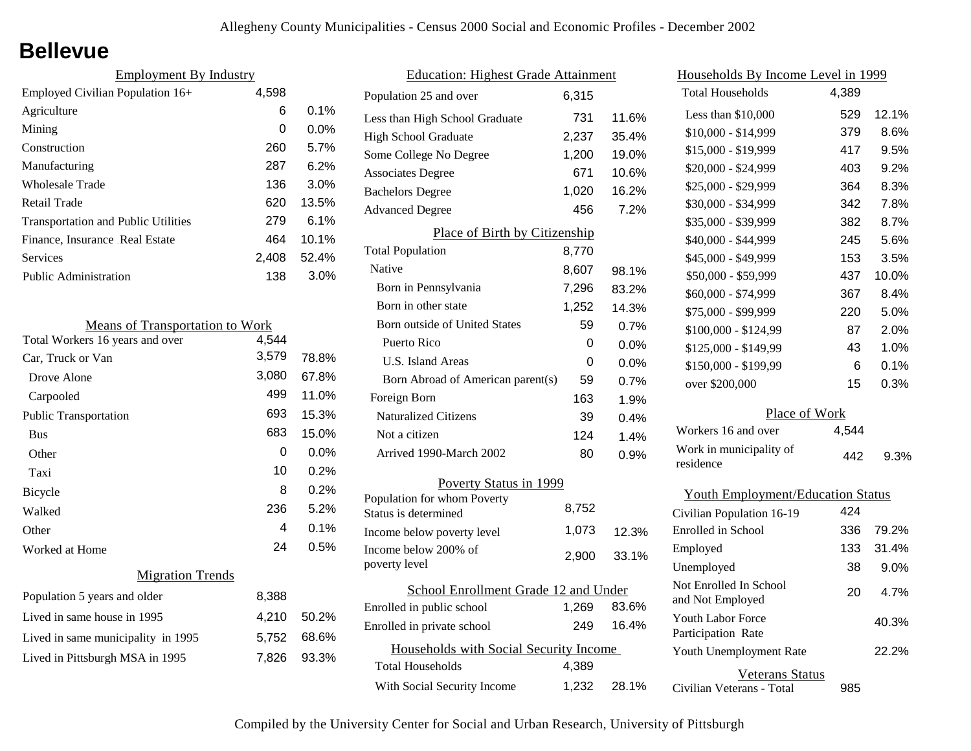### **Bellevue**

| <b>Employment By Industry</b>              |       |          |  |  |  |
|--------------------------------------------|-------|----------|--|--|--|
| 4,598<br>Employed Civilian Population 16+  |       |          |  |  |  |
| Agriculture                                | 6     | $0.1\%$  |  |  |  |
| Mining                                     | 0     | $0.0\%$  |  |  |  |
| Construction                               | 260   | 5.7%     |  |  |  |
| Manufacturing                              | 287   | 6.2%     |  |  |  |
| <b>Wholesale Trade</b>                     | 136   | $3.0\%$  |  |  |  |
| Retail Trade                               | 620   | 13.5%    |  |  |  |
| <b>Transportation and Public Utilities</b> | 279   | 6.1%     |  |  |  |
| Finance, Insurance Real Estate             | 464   | $10.1\%$ |  |  |  |
| Services                                   | 2.408 | 52.4%    |  |  |  |
| Public Administration                      | 138   | $3.0\%$  |  |  |  |

| <b>Means of Transportation to Work</b> |       |       |  |
|----------------------------------------|-------|-------|--|
| Total Workers 16 years and over        | 4,544 |       |  |
| Car, Truck or Van                      | 3,579 | 78.8% |  |
| Drove Alone                            | 3,080 | 67.8% |  |
| Carpooled                              | 499   | 11.0% |  |
| Public Transportation                  | 693   | 15.3% |  |
| <b>Bus</b>                             | 683   | 15.0% |  |
| Other                                  | 0     | 0.0%  |  |
| Taxi                                   | 10    | 0.2%  |  |
| <b>Bicycle</b>                         | 8     | 0.2%  |  |
| Walked                                 | 236   | 5.2%  |  |
| Other                                  | 4     | 0.1%  |  |
| Worked at Home                         | 24    | 0.5%  |  |
| <b>Migration Trends</b>                |       |       |  |
| Population 5 years and older           | 8,388 |       |  |
| Lived in same house in 1995            | 4,210 | 50.2% |  |
| Lived in same municipality in 1995     | 5,752 | 68.6% |  |
| Lived in Pittsburgh MSA in 1995        | 7,826 | 93.3% |  |
|                                        |       |       |  |

| <b>Education: Highest Grade Attainment</b>          |       |         |  |  |
|-----------------------------------------------------|-------|---------|--|--|
| Population 25 and over                              | 6.315 |         |  |  |
| Less than High School Graduate                      | 731   | 11.6%   |  |  |
| <b>High School Graduate</b>                         | 2,237 | 35.4%   |  |  |
| Some College No Degree                              | 1,200 | 19.0%   |  |  |
| <b>Associates Degree</b>                            | 671   | 10.6%   |  |  |
| <b>Bachelors Degree</b>                             | 1,020 | 16.2%   |  |  |
| <b>Advanced Degree</b>                              | 456   | 7.2%    |  |  |
| Place of Birth by Citizenship                       |       |         |  |  |
| <b>Total Population</b>                             | 8,770 |         |  |  |
| Native                                              | 8,607 | 98.1%   |  |  |
| Born in Pennsylvania                                | 7,296 | 83.2%   |  |  |
| Born in other state                                 | 1,252 | 14.3%   |  |  |
| <b>Born outside of United States</b>                | 59    | 0.7%    |  |  |
| Puerto Rico                                         | 0     | $0.0\%$ |  |  |
| U.S. Island Areas                                   | 0     | $0.0\%$ |  |  |
| Born Abroad of American parent(s)                   | 59    | 0.7%    |  |  |
| Foreign Born                                        | 163   | 1.9%    |  |  |
| <b>Naturalized Citizens</b>                         | 39    | 0.4%    |  |  |
| Not a citizen                                       | 124   | 1.4%    |  |  |
| Arrived 1990-March 2002                             | 80    | $0.9\%$ |  |  |
| Poverty Status in 1999                              |       |         |  |  |
| Population for whom Poverty<br>Status is determined | 8,752 |         |  |  |
| Income below poverty level                          | 1,073 | 12.3%   |  |  |
| Income below 200% of<br>poverty level               | 2,900 | 33.1%   |  |  |
| School Enrollment Grade 12 and Under                |       |         |  |  |
| Enrolled in public school                           | 1,269 | 83.6%   |  |  |
| Enrolled in private school                          | 249   | 16.4%   |  |  |
| Households with Social Security Income              |       |         |  |  |
| <b>Total Households</b>                             | 4,389 |         |  |  |
| With Social Security Income                         | 1,232 | 28.1%   |  |  |

| Households By Income Level in 1999             |       |         |  |  |
|------------------------------------------------|-------|---------|--|--|
| <b>Total Households</b>                        | 4,389 |         |  |  |
| Less than \$10,000                             | 529   | 12.1%   |  |  |
| \$10,000 - \$14,999                            | 379   | 8.6%    |  |  |
| \$15,000 - \$19,999                            | 417   | 9.5%    |  |  |
| \$20,000 - \$24,999                            | 403   | 9.2%    |  |  |
| \$25,000 - \$29,999                            | 364   | 8.3%    |  |  |
| \$30,000 - \$34,999                            | 342   | 7.8%    |  |  |
| \$35,000 - \$39,999                            | 382   | 8.7%    |  |  |
| \$40,000 - \$44,999                            | 245   | 5.6%    |  |  |
| \$45,000 - \$49,999                            | 153   | 3.5%    |  |  |
| \$50,000 - \$59,999                            | 437   | 10.0%   |  |  |
| \$60,000 - \$74,999                            | 367   | 8.4%    |  |  |
| \$75,000 - \$99,999                            | 220   | 5.0%    |  |  |
| \$100,000 - \$124,99                           | 87    | 2.0%    |  |  |
| \$125,000 - \$149,99                           | 43    | 1.0%    |  |  |
| \$150,000 - \$199,99                           | 6     | 0.1%    |  |  |
| over \$200,000                                 | 15    | 0.3%    |  |  |
| Place of Work                                  |       |         |  |  |
| Workers 16 and over                            | 4,544 |         |  |  |
| Work in municipality of<br>residence           | 442   | $9.3\%$ |  |  |
| <b>Youth Employment/Education Status</b>       |       |         |  |  |
| Civilian Population 16-19                      | 424   |         |  |  |
| Enrolled in School                             | 336   | 79.2%   |  |  |
| Employed                                       | 133   | 31.4%   |  |  |
| Unemployed                                     | 38    | $9.0\%$ |  |  |
| Not Enrolled In School<br>and Not Employed     | 20    | 4.7%    |  |  |
| <b>Youth Labor Force</b><br>Participation Rate |       | 40.3%   |  |  |
| Youth Unemployment Rate                        |       | 22.2%   |  |  |

Civilian Veterans - Total Veterans Status 985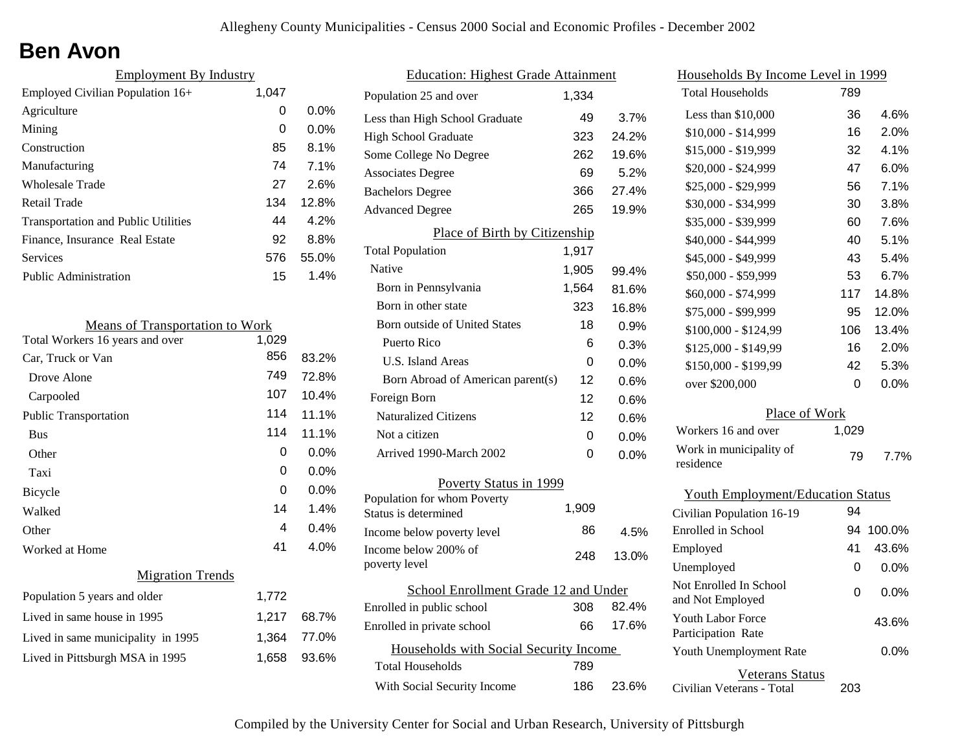## **Ben Avon**

| <b>Employment By Industry</b>              |       |         |  |
|--------------------------------------------|-------|---------|--|
| Employed Civilian Population 16+           | 1,047 |         |  |
| Agriculture                                | 0     | $0.0\%$ |  |
| Mining                                     | 0     | $0.0\%$ |  |
| Construction                               | 85    | 8.1%    |  |
| Manufacturing                              | 74    | 7.1%    |  |
| Wholesale Trade                            | 27    | 2.6%    |  |
| Retail Trade                               | 134   | 12.8%   |  |
| <b>Transportation and Public Utilities</b> | 44    | 4.2%    |  |
| Finance, Insurance Real Estate             | 92    | 8.8%    |  |
| Services                                   | 576   | 55.0%   |  |
| <b>Public Administration</b>               | 15    | 1.4%    |  |

| <b>Means of Transportation to Work</b> |       |         |  |
|----------------------------------------|-------|---------|--|
| Total Workers 16 years and over        | 1,029 |         |  |
| Car, Truck or Van                      | 856   | 83.2%   |  |
| Drove Alone                            | 749   | 72.8%   |  |
| Carpooled                              | 107   | 10.4%   |  |
| <b>Public Transportation</b>           | 114   | 11.1%   |  |
| <b>Bus</b>                             | 114   | 11.1%   |  |
| Other                                  | 0     | 0.0%    |  |
| Taxi                                   | 0     | 0.0%    |  |
| Bicycle                                | 0     | $0.0\%$ |  |
| Walked                                 | 14    | 1.4%    |  |
| Other                                  | 4     | 0.4%    |  |
| Worked at Home                         | 41    | 4.0%    |  |
| <b>Migration Trends</b>                |       |         |  |
| Population 5 years and older           | 1,772 |         |  |
| Lived in same house in 1995            | 1,217 | 68.7%   |  |
| Lived in same municipality in 1995     | 1,364 | 77.0%   |  |
| Lived in Pittsburgh MSA in 1995        | 1,658 | 93.6%   |  |
|                                        |       |         |  |

| <b>Education: Highest Grade Attainment</b>          |       |         |  |  |
|-----------------------------------------------------|-------|---------|--|--|
| Population 25 and over                              | 1.334 |         |  |  |
| Less than High School Graduate                      | 49    | $3.7\%$ |  |  |
| <b>High School Graduate</b>                         | 323   | 24.2%   |  |  |
| Some College No Degree                              | 262   | 19.6%   |  |  |
| <b>Associates Degree</b>                            | 69    | 5.2%    |  |  |
| <b>Bachelors Degree</b>                             | 366   | 27.4%   |  |  |
| <b>Advanced Degree</b>                              | 265   | 19.9%   |  |  |
| Place of Birth by Citizenship                       |       |         |  |  |
| <b>Total Population</b>                             | 1,917 |         |  |  |
| Native                                              | 1,905 | 99.4%   |  |  |
| Born in Pennsylvania                                | 1,564 | 81.6%   |  |  |
| Born in other state                                 | 323   | 16.8%   |  |  |
| <b>Born outside of United States</b>                | 18    | 0.9%    |  |  |
| Puerto Rico                                         | 6     | 0.3%    |  |  |
| <b>U.S. Island Areas</b>                            | 0     | 0.0%    |  |  |
| Born Abroad of American parent(s)                   | 12    | 0.6%    |  |  |
| Foreign Born                                        | 12    | 0.6%    |  |  |
| <b>Naturalized Citizens</b>                         | 12    | 0.6%    |  |  |
| Not a citizen                                       | 0     | 0.0%    |  |  |
| Arrived 1990-March 2002                             | 0     | $0.0\%$ |  |  |
| Poverty Status in 1999                              |       |         |  |  |
| Population for whom Poverty<br>Status is determined | 1,909 |         |  |  |
| Income below poverty level                          | 86    | 4.5%    |  |  |
| Income below 200% of<br>poverty level               | 248   | 13.0%   |  |  |
| School Enrollment Grade 12 and Under                |       |         |  |  |
| Enrolled in public school                           | 308   | 82.4%   |  |  |
| Enrolled in private school                          | 66    | 17.6%   |  |  |
| Households with Social Security Income              |       |         |  |  |
| Total Households                                    | 789   |         |  |  |
| With Social Security Income                         | 186   | 23.6%   |  |  |

| <u>Households By Income Level in 1999</u>      |       |         |  |  |
|------------------------------------------------|-------|---------|--|--|
| <b>Total Households</b>                        | 789   |         |  |  |
| Less than $$10,000$                            | 36    | 4.6%    |  |  |
| $$10,000 - $14,999$                            | 16    | 2.0%    |  |  |
| \$15,000 - \$19,999                            | 32    | 4.1%    |  |  |
| \$20,000 - \$24,999                            | 47    | 6.0%    |  |  |
| \$25,000 - \$29,999                            | 56    | 7.1%    |  |  |
| \$30,000 - \$34,999                            | 30    | 3.8%    |  |  |
| \$35,000 - \$39,999                            | 60    | 7.6%    |  |  |
| \$40,000 - \$44,999                            | 40    | 5.1%    |  |  |
| \$45,000 - \$49,999                            | 43    | 5.4%    |  |  |
| \$50,000 - \$59,999                            | 53    | 6.7%    |  |  |
| \$60,000 - \$74,999                            | 117   | 14.8%   |  |  |
| \$75,000 - \$99,999                            | 95    | 12.0%   |  |  |
| \$100,000 - \$124,99                           | 106   | 13.4%   |  |  |
| \$125,000 - \$149,99                           | 16    | 2.0%    |  |  |
| \$150,000 - \$199,99                           | 42    | 5.3%    |  |  |
| over \$200,000                                 | 0     | 0.0%    |  |  |
| Place of Work                                  |       |         |  |  |
| Workers 16 and over                            | 1,029 |         |  |  |
| Work in municipality of<br>residence           | 79    | 7.7%    |  |  |
| <b>Youth Employment/Education Status</b>       |       |         |  |  |
| Civilian Population 16-19                      | 94    |         |  |  |
| Enrolled in School                             | 94    | 100.0%  |  |  |
| Employed                                       | 41    | 43.6%   |  |  |
| Unemployed                                     | 0     | $0.0\%$ |  |  |
| Not Enrolled In School<br>and Not Employed     | 0     | 0.0%    |  |  |
| <b>Youth Labor Force</b><br>Participation Rate |       | 43.6%   |  |  |
| Youth Unemployment Rate                        |       | $0.0\%$ |  |  |
| <b>Veterans Status</b>                         |       |         |  |  |

Civilian Veterans - Total

203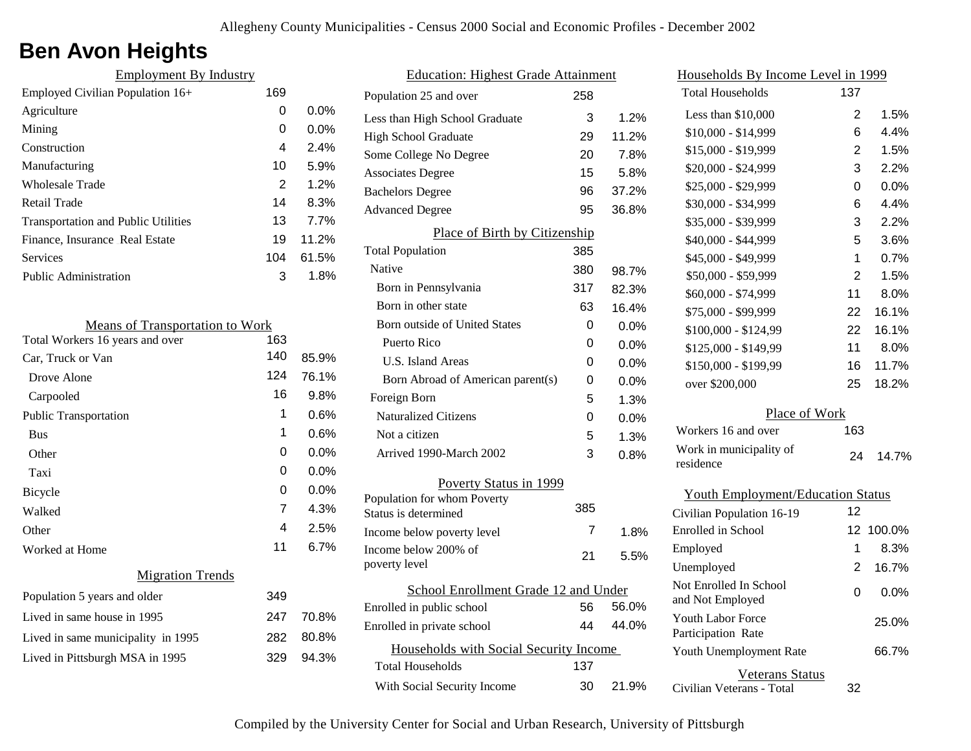## **Ben Avon Heights**

| <b>Employment By Industry</b>                                             |                |       | <b>Education: Highest Grade Attainment</b>                       |                |
|---------------------------------------------------------------------------|----------------|-------|------------------------------------------------------------------|----------------|
| Employed Civilian Population 16+                                          | 169            |       | Population 25 and over                                           | 258            |
| Agriculture                                                               | 0              | 0.0%  | Less than High School Graduate                                   | 3              |
| Mining                                                                    | $\mathbf 0$    | 0.0%  | <b>High School Graduate</b>                                      | 29             |
| Construction                                                              | 4              | 2.4%  | Some College No Degree                                           | 20             |
| Manufacturing                                                             | 10             | 5.9%  | <b>Associates Degree</b>                                         | 15             |
| <b>Wholesale Trade</b>                                                    | $\overline{2}$ | 1.2%  | <b>Bachelors Degree</b>                                          | 96             |
| Retail Trade                                                              | 14             | 8.3%  | <b>Advanced Degree</b>                                           | 95             |
| <b>Transportation and Public Utilities</b>                                | 13             | 7.7%  |                                                                  |                |
| Finance, Insurance Real Estate                                            | 19             | 11.2% | Place of Birth by Citizenship                                    |                |
| Services                                                                  | 104            | 61.5% | <b>Total Population</b><br>Native                                | 385            |
| Public Administration                                                     | 3              | 1.8%  |                                                                  | 380            |
|                                                                           |                |       | Born in Pennsylvania                                             | 317            |
|                                                                           |                |       | Born in other state                                              | 63             |
| <b>Means of Transportation to Work</b><br>Total Workers 16 years and over | 163            |       | Born outside of United States                                    | 0              |
| Car, Truck or Van                                                         | 140            | 85.9% | Puerto Rico                                                      | $\pmb{0}$      |
| Drove Alone                                                               | 124            | 76.1% | U.S. Island Areas                                                | $\mathbf 0$    |
| Carpooled                                                                 | 16             | 9.8%  | Born Abroad of American parent(s)                                | $\mathbf 0$    |
| <b>Public Transportation</b>                                              | 1              | 0.6%  | Foreign Born<br>Naturalized Citizens                             | 5              |
| <b>Bus</b>                                                                | 1              | 0.6%  | Not a citizen                                                    | $\pmb{0}$      |
|                                                                           | 0              | 0.0%  |                                                                  | 5              |
| Other                                                                     |                | 0.0%  | Arrived 1990-March 2002                                          | 3              |
| Taxi                                                                      | 0              |       | Poverty Status in 1999                                           |                |
| Bicycle                                                                   | 0              | 0.0%  | Population for whom Poverty                                      | 385            |
| Walked                                                                    | 7              | 4.3%  | Status is determined                                             |                |
| Other                                                                     | 4              | 2.5%  | Income below poverty level                                       | $\overline{7}$ |
| Worked at Home                                                            | 11             | 6.7%  | Income below 200% of<br>poverty level                            | 21             |
| <b>Migration Trends</b>                                                   |                |       | School Enrollment Grade 12 and U                                 |                |
| Population 5 years and older                                              | 349            |       | Enrolled in public school                                        | 56             |
| Lived in same house in 1995                                               | 247            | 70.8% | Enrolled in private school                                       | 44             |
| Lived in same municipality in 1995                                        | 282            | 80.8% |                                                                  |                |
| Lived in Pittsburgh MSA in 1995                                           | 329            | 94.3% | Households with Social Security Inco.<br><b>Total Households</b> | 137            |

| nment          |                  | Households By Income Level in 1999                  |                |        |
|----------------|------------------|-----------------------------------------------------|----------------|--------|
| 58             |                  | <b>Total Households</b>                             | 137            |        |
| 3              | 1.2%             | Less than \$10,000                                  | $\overline{2}$ | 1.5%   |
| 29             | 11.2%            | $$10,000 - $14,999$                                 | 6              | 4.4%   |
| 20             | 7.8%             | \$15,000 - \$19,999                                 | 2              | 1.5%   |
| 15             | 5.8%             | \$20,000 - \$24,999                                 | 3              | 2.2%   |
| 96             | 37.2%            | \$25,000 - \$29,999                                 | 0              | 0.0%   |
| 95             | 36.8%            | \$30,000 - \$34,999                                 | 6              | 4.4%   |
|                |                  | \$35,000 - \$39,999                                 | 3              | 2.2%   |
| <u>iip</u>     |                  | \$40,000 - \$44,999                                 | 5              | 3.6%   |
| 85             |                  | \$45,000 - \$49,999                                 | 1              | 0.7%   |
| 80             | 98.7%            | \$50,000 - \$59,999                                 | $\overline{2}$ | 1.5%   |
| 17             | 82.3%            | \$60,000 - \$74,999                                 | 11             | 8.0%   |
| 63             | 16.4%            | \$75,000 - \$99,999                                 | 22             | 16.1%  |
| 0              | 0.0%             | \$100,000 - \$124,99                                | 22             | 16.1%  |
| $\overline{0}$ | 0.0%             | \$125,000 - \$149,99                                | 11             | 8.0%   |
| 0              | 0.0%             | \$150,000 - \$199,99                                | 16             | 11.7%  |
| $\mathbf 0$    | 0.0%             | over \$200,000                                      | 25             | 18.2%  |
| 5              | 1.3%             |                                                     |                |        |
| 0              | 0.0%             | Place of Work                                       |                |        |
| 5              | 1.3%             | Workers 16 and over                                 | 163            |        |
| 3              | 0.8%             | Work in municipality of<br>residence                | 24             | 14.7%  |
|                |                  | <b>Youth Employment/Education Status</b>            |                |        |
| 85             |                  | Civilian Population 16-19                           | 12             |        |
| 7              | 1.8%             | Enrolled in School                                  | 12             | 100.0% |
|                | 5.5%             | Employed                                            | 1              | 8.3%   |
| 21             |                  | Unemployed                                          | 2              | 16.7%  |
| 56             | d Under<br>56.0% | Not Enrolled In School<br>and Not Employed          | 0              | 0.0%   |
| 44             | 44.0%            | Youth Labor Force<br>Participation Rate             |                | 25.0%  |
| ncome          |                  | Youth Unemployment Rate                             |                | 66.7%  |
| 37<br>30       | 21.9%            | <b>Veterans Status</b><br>Civilian Veterans - Total | 32             |        |
|                |                  |                                                     |                |        |

Compiled by the University Center for Social and Urban Research, University of Pittsburgh

With Social Security Income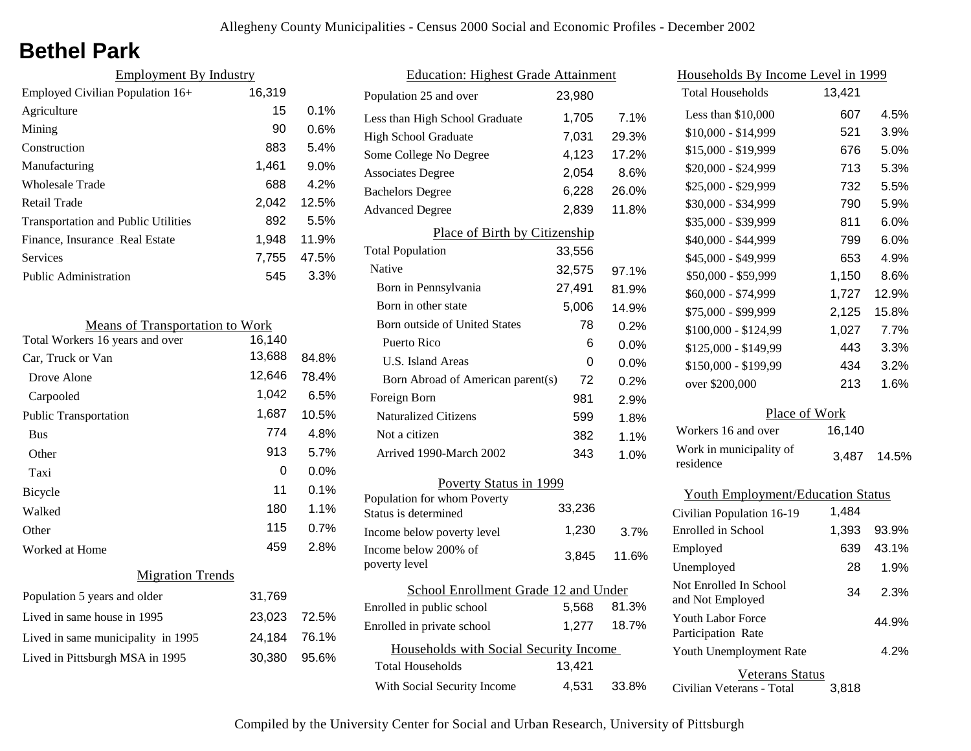## **Bethel Park**

| <b>Employment By Industry</b>              |         |  |  |  |  |
|--------------------------------------------|---------|--|--|--|--|
| 16,319<br>Employed Civilian Population 16+ |         |  |  |  |  |
| 15                                         | $0.1\%$ |  |  |  |  |
| 90                                         | 0.6%    |  |  |  |  |
| 883                                        | 5.4%    |  |  |  |  |
| 1,461                                      | 9.0%    |  |  |  |  |
| 688                                        | 4.2%    |  |  |  |  |
| 2.042                                      | 12.5%   |  |  |  |  |
| 892                                        | 5.5%    |  |  |  |  |
| 1,948                                      | 11.9%   |  |  |  |  |
| 7,755                                      | 47.5%   |  |  |  |  |
| 545                                        | 3.3%    |  |  |  |  |
|                                            |         |  |  |  |  |

| <b>Means of Transportation to Work</b> |        |       |  |
|----------------------------------------|--------|-------|--|
| Total Workers 16 years and over        | 16,140 |       |  |
| Car, Truck or Van                      | 13,688 | 84.8% |  |
| Drove Alone                            | 12,646 | 78.4% |  |
| Carpooled                              | 1,042  | 6.5%  |  |
| <b>Public Transportation</b>           | 1,687  | 10.5% |  |
| <b>Bus</b>                             | 774    | 4.8%  |  |
| Other                                  | 913    | 5.7%  |  |
| Taxi                                   | 0      | 0.0%  |  |
| Bicycle                                | 11     | 0.1%  |  |
| Walked                                 | 180    | 1.1%  |  |
| Other                                  | 115    | 0.7%  |  |
| Worked at Home                         | 459    | 2.8%  |  |
| <b>Migration Trends</b>                |        |       |  |
| Population 5 years and older           | 31,769 |       |  |
| Lived in same house in 1995            | 23,023 | 72.5% |  |
| Lived in same municipality in 1995     | 24,184 | 76.1% |  |
| Lived in Pittsburgh MSA in 1995        | 30,380 | 95.6% |  |
|                                        |        |       |  |

| <b>Education: Highest Grade Attainment</b> |        |         |
|--------------------------------------------|--------|---------|
| Population 25 and over                     | 23,980 |         |
| Less than High School Graduate             | 1,705  | 7.1%    |
| <b>High School Graduate</b>                | 7,031  | 29.3%   |
| Some College No Degree                     | 4,123  | 17.2%   |
| <b>Associates Degree</b>                   | 2,054  | 8.6%    |
| <b>Bachelors Degree</b>                    | 6,228  | 26.0%   |
| <b>Advanced Degree</b>                     | 2,839  | 11.8%   |
| Place of Birth by Citizenship              |        |         |
| <b>Total Population</b>                    | 33,556 |         |
| Native                                     | 32,575 | 97.1%   |
| Born in Pennsylvania                       | 27,491 | 81.9%   |
| Born in other state                        | 5,006  | 14.9%   |
| Born outside of United States              | 78     | 0.2%    |
| Puerto Rico                                | 6      | 0.0%    |
| U.S. Island Areas                          | 0      | $0.0\%$ |
| Born Abroad of American parent(s)          | 72     | 0.2%    |
| Foreign Born                               | 981    | 2.9%    |
| <b>Naturalized Citizens</b>                | 599    | 1.8%    |
| Not a citizen                              | 382    | 1.1%    |
| Arrived 1990-March 2002                    | 343    | 1.0%    |
| Poverty Status in 1999                     |        |         |
| Population for whom Poverty                | 33,236 |         |
| Status is determined                       | 1,230  |         |
| Income below poverty level                 |        | 3.7%    |
| Income below 200% of<br>poverty level      | 3,845  | 11.6%   |
| School Enrollment Grade 12 and Under       |        |         |
| Enrolled in public school                  | 5,568  | 81.3%   |
| Enrolled in private school                 | 1,277  | 18.7%   |
| Households with Social Security Income     |        |         |
| <b>Total Households</b>                    | 13,421 |         |
| With Social Security Income                | 4,531  | 33.8%   |

| Households By Income Level in 1999         |        |       |
|--------------------------------------------|--------|-------|
| <b>Total Households</b>                    | 13,421 |       |
| Less than \$10,000                         | 607    | 4.5%  |
| \$10,000 - \$14,999                        | 521    | 3.9%  |
| \$15,000 - \$19,999                        | 676    | 5.0%  |
| \$20,000 - \$24,999                        | 713    | 5.3%  |
| \$25,000 - \$29,999                        | 732    | 5.5%  |
| \$30,000 - \$34,999                        | 790    | 5.9%  |
| \$35,000 - \$39,999                        | 811    | 6.0%  |
| \$40,000 - \$44,999                        | 799    | 6.0%  |
| \$45,000 - \$49,999                        | 653    | 4.9%  |
| \$50,000 - \$59,999                        | 1,150  | 8.6%  |
| \$60,000 - \$74,999                        | 1,727  | 12.9% |
| \$75,000 - \$99,999                        | 2,125  | 15.8% |
| \$100,000 - \$124,99                       | 1,027  | 7.7%  |
| \$125,000 - \$149,99                       | 443    | 3.3%  |
| \$150,000 - \$199,99                       | 434    | 3.2%  |
| over \$200,000                             | 213    | 1.6%  |
| Place of Work                              |        |       |
| Workers 16 and over                        | 16,140 |       |
| Work in municipality of<br>residence       | 3,487  | 14.5% |
| <b>Youth Employment/Education Status</b>   |        |       |
| Civilian Population 16-19                  | 1,484  |       |
| Enrolled in School                         | 1,393  | 93.9% |
| Employed                                   | 639    | 43.1% |
| Unemployed                                 | 28     | 1.9%  |
| Not Enrolled In School<br>and Not Employed | 34     | 2.3%  |
| Youth Labor Force<br>Participation Rate    |        | 44.9% |
| Youth Unemployment Rate                    |        | 4.2%  |

Veterans Status 3,818

Civilian Veterans - Total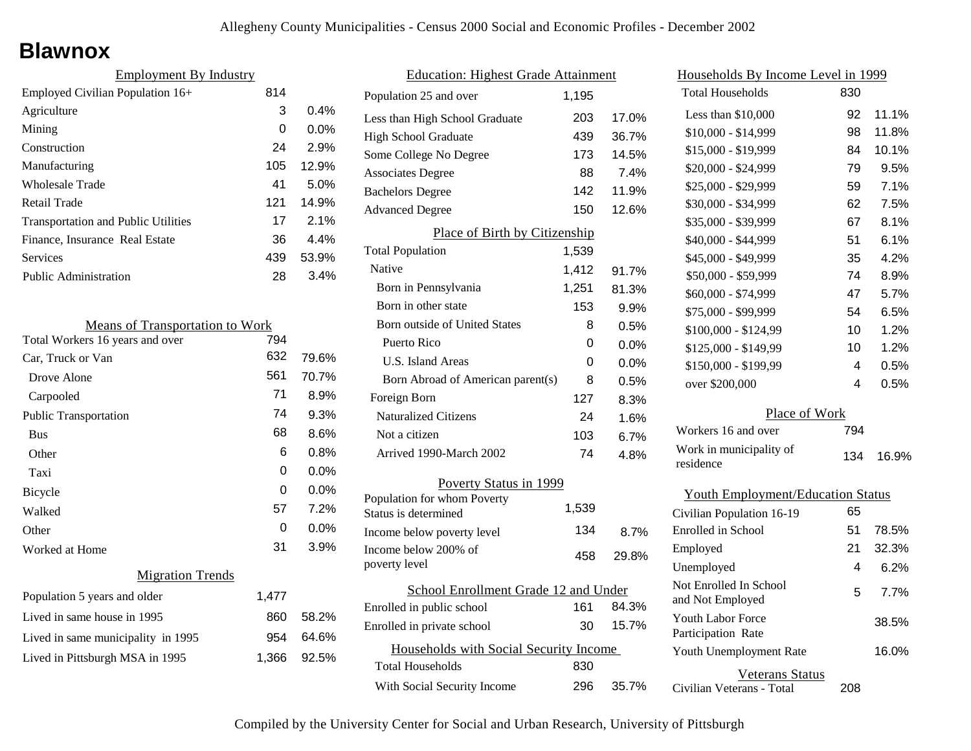### **Blawnox**

| <b>Employment By Industry</b>              |     |         |
|--------------------------------------------|-----|---------|
| Employed Civilian Population 16+           | 814 |         |
| Agriculture                                | 3   | $0.4\%$ |
| Mining                                     | 0   | $0.0\%$ |
| Construction                               | 24  | 2.9%    |
| Manufacturing                              | 105 | 12.9%   |
| Wholesale Trade                            | 41  | 5.0%    |
| Retail Trade                               | 121 | 14.9%   |
| <b>Transportation and Public Utilities</b> | 17  | 2.1%    |
| Finance, Insurance Real Estate             | 36  | $4.4\%$ |
| Services                                   | 439 | 53.9%   |
| Public Administration                      | 28  | 3.4%    |

| <b>Means of Transportation to Work</b> |       |         |
|----------------------------------------|-------|---------|
| Total Workers 16 years and over        | 794   |         |
| Car, Truck or Van                      | 632   | 79.6%   |
| Drove Alone                            | 561   | 70.7%   |
| Carpooled                              | 71    | 8.9%    |
| <b>Public Transportation</b>           | 74    | 9.3%    |
| <b>Bus</b>                             | 68    | 8.6%    |
| Other                                  | 6     | 0.8%    |
| Taxi                                   | 0     | $0.0\%$ |
| Bicycle                                | 0     | $0.0\%$ |
| Walked                                 | 57    | 7.2%    |
| Other                                  | 0     | 0.0%    |
| Worked at Home                         | 31    | 3.9%    |
| <b>Migration Trends</b>                |       |         |
| Population 5 years and older           | 1,477 |         |
| Lived in same house in 1995            | 860   | 58.2%   |
| Lived in same municipality in 1995     | 954   | 64.6%   |
| Lived in Pittsburgh MSA in 1995        | 1,366 | 92.5%   |
|                                        |       |         |

| <b>Education: Highest Grade Attainment</b>          |       |       |
|-----------------------------------------------------|-------|-------|
| Population 25 and over                              | 1,195 |       |
| Less than High School Graduate                      | 203   | 17.0% |
| <b>High School Graduate</b>                         | 439   | 36.7% |
| Some College No Degree                              | 173   | 14.5% |
| <b>Associates Degree</b>                            | 88    | 7.4%  |
| <b>Bachelors Degree</b>                             | 142   | 11.9% |
| <b>Advanced Degree</b>                              | 150   | 12.6% |
| Place of Birth by Citizenship                       |       |       |
| <b>Total Population</b>                             | 1,539 |       |
| Native                                              | 1,412 | 91.7% |
| Born in Pennsylvania                                | 1,251 | 81.3% |
| Born in other state                                 | 153   | 9.9%  |
| Born outside of United States                       | 8     | 0.5%  |
| Puerto Rico                                         | 0     | 0.0%  |
| U.S. Island Areas                                   | 0     | 0.0%  |
| Born Abroad of American parent(s)                   | 8     | 0.5%  |
| Foreign Born                                        | 127   | 8.3%  |
| <b>Naturalized Citizens</b>                         | 24    | 1.6%  |
| Not a citizen                                       | 103   | 6.7%  |
| Arrived 1990-March 2002                             | 74    | 4.8%  |
| Poverty Status in 1999                              |       |       |
| Population for whom Poverty<br>Status is determined | 1,539 |       |
| Income below poverty level                          | 134   | 8.7%  |
| Income below 200% of<br>poverty level               | 458   | 29.8% |
| School Enrollment Grade 12 and Under                |       |       |
| Enrolled in public school                           | 161   | 84.3% |
| Enrolled in private school                          | 30    | 15.7% |
| Households with Social Security Income              |       |       |
| <b>Total Households</b>                             | 830   |       |
| With Social Security Income                         | 296   | 35.7% |
|                                                     |       |       |

| <u>Households By Income Level in 1999</u>  |     |       |  |
|--------------------------------------------|-----|-------|--|
| <b>Total Households</b>                    | 830 |       |  |
| Less than \$10,000                         | 92  | 11.1% |  |
| \$10,000 - \$14,999                        | 98  | 11.8% |  |
| \$15,000 - \$19,999                        | 84  | 10.1% |  |
| \$20,000 - \$24,999                        | 79  | 9.5%  |  |
| \$25,000 - \$29,999                        | 59  | 7.1%  |  |
| \$30,000 - \$34,999                        | 62  | 7.5%  |  |
| \$35,000 - \$39,999                        | 67  | 8.1%  |  |
| \$40,000 - \$44,999                        | 51  | 6.1%  |  |
| \$45,000 - \$49,999                        | 35  | 4.2%  |  |
| \$50,000 - \$59,999                        | 74  | 8.9%  |  |
| \$60,000 - \$74,999                        | 47  | 5.7%  |  |
| \$75,000 - \$99,999                        | 54  | 6.5%  |  |
| \$100,000 - \$124,99                       | 10  | 1.2%  |  |
| \$125,000 - \$149,99                       | 10  | 1.2%  |  |
| \$150,000 - \$199,99                       | 4   | 0.5%  |  |
| over \$200,000                             | 4   | 0.5%  |  |
| Place of Work                              |     |       |  |
| Workers 16 and over                        | 794 |       |  |
| Work in municipality of<br>residence       | 134 | 16.9% |  |
| <b>Youth Employment/Education Status</b>   |     |       |  |
| Civilian Population 16-19                  | 65  |       |  |
| Enrolled in School                         | 51  | 78.5% |  |
| Employed                                   | 21  | 32.3% |  |
| Unemployed                                 | 4   | 6.2%  |  |
| Not Enrolled In School<br>and Not Employed | 5   | 7.7%  |  |
| Youth Labor Force<br>Participation Rate    |     | 38.5% |  |
| Youth Unemployment Rate                    |     | 16.0% |  |

Civilian Veterans - Total

Veterans Status

208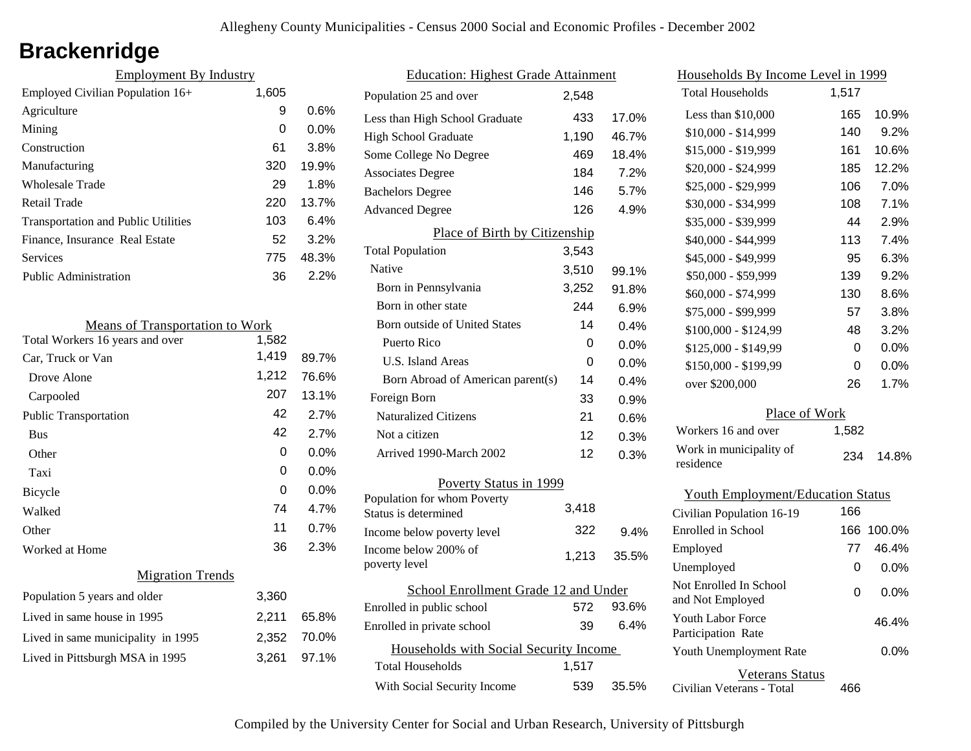# **Brackenridge**

| <b>Employment By Industry</b>              |       |         |
|--------------------------------------------|-------|---------|
| Employed Civilian Population 16+           | 1,605 |         |
| Agriculture                                | 9     | 0.6%    |
| Mining                                     | 0     | $0.0\%$ |
| Construction                               | 61    | 3.8%    |
| Manufacturing                              | 320   | 19.9%   |
| Wholesale Trade                            | 29    | 1.8%    |
| Retail Trade                               | 220   | 13.7%   |
| <b>Transportation and Public Utilities</b> | 103   | 6.4%    |
| Finance, Insurance Real Estate             | 52    | 3.2%    |
| Services                                   | 775   | 48.3%   |
| Public Administration                      | 36    | 2.2%    |

| <b>Means of Transportation to Work</b> |       |         |
|----------------------------------------|-------|---------|
| Total Workers 16 years and over        | 1,582 |         |
| Car, Truck or Van                      | 1,419 | 89.7%   |
| Drove Alone                            | 1,212 | 76.6%   |
| Carpooled                              | 207   | 13.1%   |
| <b>Public Transportation</b>           | 42    | 2.7%    |
| <b>Bus</b>                             | 42    | 2.7%    |
| Other                                  | 0     | $0.0\%$ |
| Taxi                                   | 0     | $0.0\%$ |
| <b>Bicycle</b>                         | 0     | $0.0\%$ |
| Walked                                 | 74    | 4.7%    |
| Other                                  | 11    | 0.7%    |
| Worked at Home                         | 36    | 2.3%    |
| <b>Migration Trends</b>                |       |         |
| Population 5 years and older           | 3,360 |         |
| Lived in same house in 1995            | 2,211 | 65.8%   |
| Lived in same municipality in 1995     | 2,352 | 70.0%   |
| Lived in Pittsburgh MSA in 1995        | 3,261 | 97.1%   |
|                                        |       |         |

| <b>Education: Highest Grade Attainment</b> |       |       |
|--------------------------------------------|-------|-------|
| Population 25 and over                     | 2.548 |       |
| Less than High School Graduate             | 433   | 17.0% |
| <b>High School Graduate</b>                | 1,190 | 46.7% |
| Some College No Degree                     | 469   | 18.4% |
| <b>Associates Degree</b>                   | 184   | 7.2%  |
| <b>Bachelors Degree</b>                    | 146   | 5.7%  |
| <b>Advanced Degree</b>                     | 126   | 4.9%  |
| Place of Birth by Citizenship              |       |       |
| <b>Total Population</b>                    | 3,543 |       |
| Native                                     | 3,510 | 99.1% |
| Born in Pennsylvania                       | 3,252 | 91.8% |
| Born in other state                        | 244   | 6.9%  |
| <b>Born outside of United States</b>       | 14    | 0.4%  |
| <b>Puerto Rico</b>                         | 0     | 0.0%  |
| U.S. Island Areas                          | 0     | 0.0%  |
| Born Abroad of American parent(s)          | 14    | 0.4%  |
| Foreign Born                               | 33    | 0.9%  |
| <b>Naturalized Citizens</b>                | 21    | 0.6%  |
| Not a citizen                              | 12    | 0.3%  |
| Arrived 1990-March 2002                    | 12    | 0.3%  |
| Poverty Status in 1999                     |       |       |
| Population for whom Poverty                | 3.418 |       |
| Status is determined                       |       |       |
| Income below poverty level                 | 322   | 9.4%  |
| Income below 200% of<br>poverty level      | 1,213 | 35.5% |
| School Enrollment Grade 12 and Under       |       |       |
| Enrolled in public school                  | 572   | 93.6% |
| Enrolled in private school                 | 39    | 6.4%  |
| Households with Social Security Income     |       |       |
| <b>Total Households</b>                    | 1,517 |       |
| With Social Security Income                | 539   | 35.5% |

| <u>Households By Income Level in 1999</u>  |       |         |
|--------------------------------------------|-------|---------|
| <b>Total Households</b>                    | 1,517 |         |
| Less than \$10,000                         | 165   | 10.9%   |
| \$10,000 - \$14,999                        | 140   | 9.2%    |
| \$15,000 - \$19,999                        | 161   | 10.6%   |
| \$20,000 - \$24,999                        | 185   | 12.2%   |
| \$25,000 - \$29,999                        | 106   | 7.0%    |
| \$30,000 - \$34,999                        | 108   | 7.1%    |
| \$35,000 - \$39,999                        | 44    | 2.9%    |
| \$40,000 - \$44,999                        | 113   | 7.4%    |
| \$45,000 - \$49,999                        | 95    | 6.3%    |
| \$50,000 - \$59,999                        | 139   | 9.2%    |
| \$60,000 - \$74,999                        | 130   | 8.6%    |
| \$75,000 - \$99,999                        | 57    | 3.8%    |
| \$100,000 - \$124,99                       | 48    | 3.2%    |
| \$125,000 - \$149,99                       | 0     | $0.0\%$ |
| \$150,000 - \$199,99                       | 0     | $0.0\%$ |
| over \$200,000                             | 26    | 1.7%    |
| Place of Work                              |       |         |
| Workers 16 and over                        | 1,582 |         |
| Work in municipality of<br>residence       | 234   | 14.8%   |
| <b>Youth Employment/Education Status</b>   |       |         |
| Civilian Population 16-19                  | 166   |         |
| <b>Enrolled</b> in School                  | 166   | 100.0%  |
| Employed                                   | 77    | 46.4%   |
| Unemployed                                 | 0     | $0.0\%$ |
| Not Enrolled In School<br>and Not Employed | 0     | 0.0%    |
| Youth Labor Force<br>Participation Rate    |       | 46.4%   |
| Youth Unemployment Rate                    |       | 0.0%    |

Civilian Veterans - Total Veterans Status 466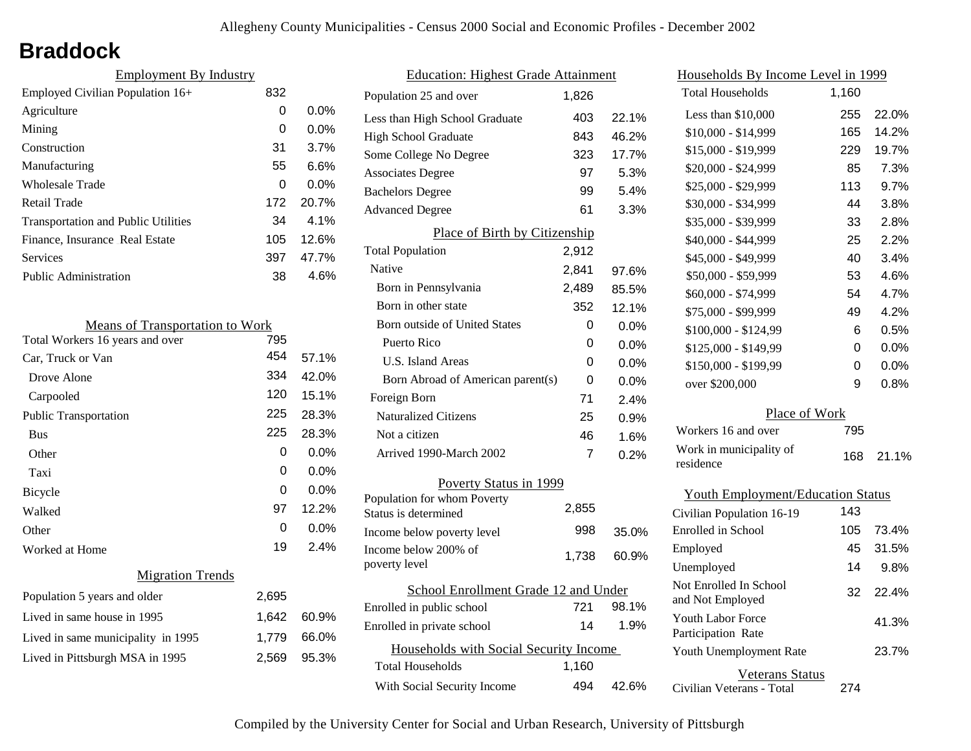## **Braddock**

| <b>Employment By Industry</b>              |     |         |
|--------------------------------------------|-----|---------|
| Employed Civilian Population 16+           | 832 |         |
| Agriculture                                | 0   | $0.0\%$ |
| Mining                                     | 0   | $0.0\%$ |
| Construction                               | 31  | 3.7%    |
| Manufacturing                              | 55  | 6.6%    |
| Wholesale Trade                            | 0   | $0.0\%$ |
| Retail Trade                               | 172 | 20.7%   |
| <b>Transportation and Public Utilities</b> | 34  | $4.1\%$ |
| Finance, Insurance Real Estate             | 105 | 12.6%   |
| Services                                   | 397 | 47.7%   |
| Public Administration                      | 38  | 4.6%    |

| <b>Means of Transportation to Work</b> |          |         |
|----------------------------------------|----------|---------|
| Total Workers 16 years and over        | 795      |         |
| Car, Truck or Van                      | 454      | 57.1%   |
| Drove Alone                            | 334      | 42.0%   |
| Carpooled                              | 120      | 15.1%   |
| Public Transportation                  | 225      | 28.3%   |
| <b>Bus</b>                             | 225      | 28.3%   |
| Other                                  | 0        | $0.0\%$ |
| Taxi                                   | 0        | 0.0%    |
| Bicycle                                | $\Omega$ | 0.0%    |
| Walked                                 | 97       | 12.2%   |
| Other                                  | 0        | $0.0\%$ |
| Worked at Home                         | 19       | 2.4%    |
| <b>Migration Trends</b>                |          |         |
| Population 5 years and older           | 2,695    |         |
| Lived in same house in 1995            | 1,642    | 60.9%   |
| Lived in same municipality in 1995     | 1,779    | 66.0%   |
| Lived in Pittsburgh MSA in 1995        | 2,569    | 95.3%   |
|                                        |          |         |

| <b>Education: Highest Grade Attainment</b>          |       |         |  |
|-----------------------------------------------------|-------|---------|--|
| Population 25 and over                              | 1.826 |         |  |
| Less than High School Graduate                      | 403   | 22.1%   |  |
| <b>High School Graduate</b>                         | 843   | 46.2%   |  |
| Some College No Degree                              | 323   | 17.7%   |  |
| <b>Associates Degree</b>                            | 97    | 5.3%    |  |
| <b>Bachelors Degree</b>                             | 99    | 5.4%    |  |
| <b>Advanced Degree</b>                              | 61    | 3.3%    |  |
| Place of Birth by Citizenship                       |       |         |  |
| <b>Total Population</b>                             | 2,912 |         |  |
| Native                                              | 2,841 | 97.6%   |  |
| Born in Pennsylvania                                | 2,489 | 85.5%   |  |
| Born in other state                                 | 352   | 12.1%   |  |
| Born outside of United States                       | 0     | 0.0%    |  |
| Puerto Rico                                         | 0     | $0.0\%$ |  |
| U.S. Island Areas                                   | 0     | $0.0\%$ |  |
| Born Abroad of American parent(s)                   | 0     | $0.0\%$ |  |
| Foreign Born                                        | 71    | 2.4%    |  |
| <b>Naturalized Citizens</b>                         | 25    | 0.9%    |  |
| Not a citizen                                       | 46    | 1.6%    |  |
| Arrived 1990-March 2002                             | 7     | 0.2%    |  |
| Poverty Status in 1999                              |       |         |  |
| Population for whom Poverty<br>Status is determined | 2,855 |         |  |
| Income below poverty level                          | 998   | 35.0%   |  |
| Income below 200% of<br>poverty level               | 1,738 | 60.9%   |  |
| School Enrollment Grade 12 and Under                |       |         |  |
| Enrolled in public school                           | 721   | 98.1%   |  |
| Enrolled in private school                          | 14    | 1.9%    |  |
| Households with Social Security Income              |       |         |  |
| <b>Total Households</b>                             | 1,160 |         |  |
| With Social Security Income                         | 494   | 42.6%   |  |

| Households By Income Level in 1999         |       |         |  |  |
|--------------------------------------------|-------|---------|--|--|
| <b>Total Households</b>                    | 1,160 |         |  |  |
| Less than $$10,000$                        | 255   | 22.0%   |  |  |
| $$10,000 - $14,999$                        | 165   | 14.2%   |  |  |
| \$15,000 - \$19,999                        | 229   | 19.7%   |  |  |
| \$20,000 - \$24,999                        | 85    | 7.3%    |  |  |
| \$25,000 - \$29,999                        | 113   | 9.7%    |  |  |
| \$30,000 - \$34,999                        | 44    | 3.8%    |  |  |
| \$35,000 - \$39,999                        | 33    | 2.8%    |  |  |
| \$40,000 - \$44,999                        | 25    | 2.2%    |  |  |
| \$45,000 - \$49,999                        | 40    | 3.4%    |  |  |
| \$50,000 - \$59,999                        | 53    | 4.6%    |  |  |
| \$60,000 - \$74,999                        | 54    | 4.7%    |  |  |
| \$75,000 - \$99,999                        | 49    | 4.2%    |  |  |
| \$100,000 - \$124,99                       | 6     | 0.5%    |  |  |
| \$125,000 - \$149,99                       | 0     | $0.0\%$ |  |  |
| \$150,000 - \$199,99                       | 0     | 0.0%    |  |  |
| over \$200,000                             | 9     | 0.8%    |  |  |
| Place of Work                              |       |         |  |  |
| Workers 16 and over                        | 795   |         |  |  |
| Work in municipality of<br>residence       | 168   | 21.1%   |  |  |
| <b>Youth Employment/Education Status</b>   |       |         |  |  |
| Civilian Population 16-19                  | 143   |         |  |  |
| Enrolled in School                         | 105   | 73.4%   |  |  |
| Employed                                   | 45    | 31.5%   |  |  |
| Unemployed                                 | 14    | 9.8%    |  |  |
| Not Enrolled In School<br>and Not Employed | 32    | 22.4%   |  |  |

Civilian Veterans - Total

Youth Unemployment Rate

Youth Labor Force Participation Rate

Veterans Status

274

23.7%

41.3%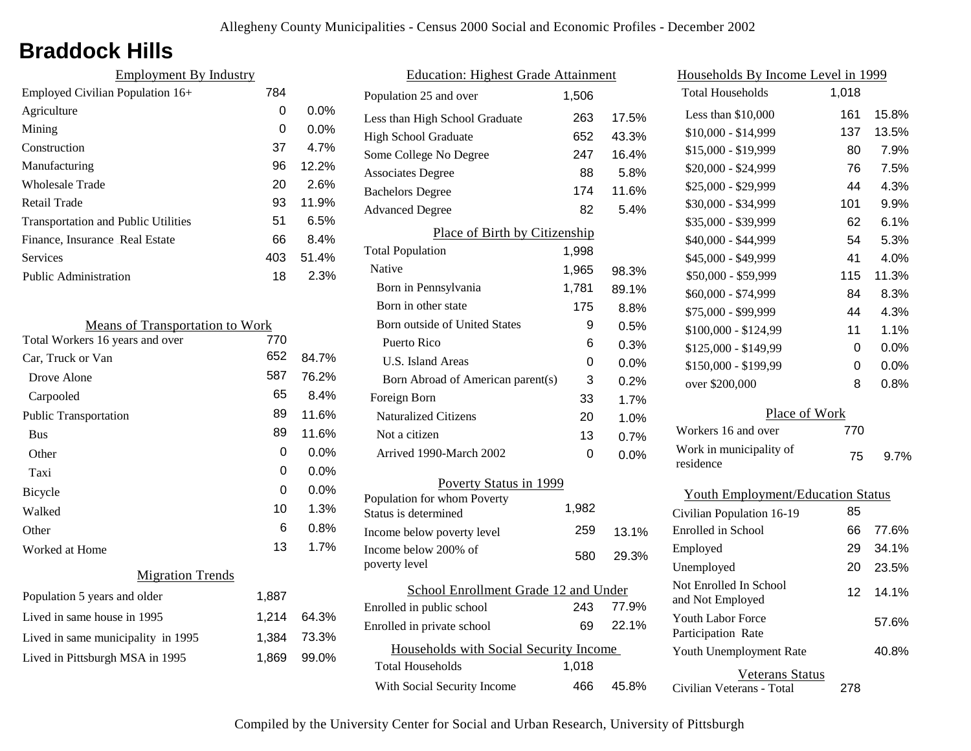# **Braddock Hills**

| <b>Employment By Industry</b>              |     |         |
|--------------------------------------------|-----|---------|
| Employed Civilian Population 16+           | 784 |         |
| Agriculture                                | 0   | $0.0\%$ |
| Mining                                     | 0   | $0.0\%$ |
| Construction                               | 37  | 4.7%    |
| Manufacturing                              | 96  | 12.2%   |
| Wholesale Trade                            | 20  | 2.6%    |
| Retail Trade                               | 93  | 11.9%   |
| <b>Transportation and Public Utilities</b> | 51  | 6.5%    |
| Finance, Insurance Real Estate             | 66  | 8.4%    |
| Services                                   | 403 | 51.4%   |
| Public Administration                      | 18  | 2.3%    |

| <b>Means of Transportation to Work</b> |       |         |
|----------------------------------------|-------|---------|
| Total Workers 16 years and over        | 770   |         |
| Car, Truck or Van                      | 652   | 84.7%   |
| Drove Alone                            | 587   | 76.2%   |
| Carpooled                              | 65    | 8.4%    |
| <b>Public Transportation</b>           | 89    | 11.6%   |
| <b>Bus</b>                             | 89    | 11.6%   |
| Other                                  | 0     | 0.0%    |
| Taxi                                   | 0     | 0.0%    |
| Bicycle                                | 0     | $0.0\%$ |
| Walked                                 | 10    | 1.3%    |
| Other                                  | 6     | 0.8%    |
| Worked at Home                         | 13    | 1.7%    |
| <b>Migration Trends</b>                |       |         |
| Population 5 years and older           | 1,887 |         |
| Lived in same house in 1995            | 1,214 | 64.3%   |
| Lived in same municipality in 1995     | 1,384 | 73.3%   |
| Lived in Pittsburgh MSA in 1995        | 1,869 | 99.0%   |
|                                        |       |         |

| <b>Education: Highest Grade Attainment</b> |       |       |
|--------------------------------------------|-------|-------|
| Population 25 and over                     | 1,506 |       |
| Less than High School Graduate             | 263   | 17.5% |
| <b>High School Graduate</b>                | 652   | 43.3% |
| Some College No Degree                     | 247   | 16.4% |
| <b>Associates Degree</b>                   | 88    | 5.8%  |
| <b>Bachelors Degree</b>                    | 174   | 11.6% |
| <b>Advanced Degree</b>                     | 82    | 5.4%  |
| Place of Birth by Citizenship              |       |       |
| <b>Total Population</b>                    | 1,998 |       |
| Native                                     | 1,965 | 98.3% |
| Born in Pennsylvania                       | 1,781 | 89.1% |
| Born in other state                        | 175   | 8.8%  |
| Born outside of United States              | 9     | 0.5%  |
| Puerto Rico                                | 6     | 0.3%  |
| U.S. Island Areas                          | 0     | 0.0%  |
| Born Abroad of American parent(s)          | 3     | 0.2%  |
| Foreign Born                               | 33    | 1.7%  |
| <b>Naturalized Citizens</b>                | 20    | 1.0%  |
| Not a citizen                              | 13    | 0.7%  |
| Arrived 1990-March 2002                    | 0     | 0.0%  |
| Poverty Status in 1999                     |       |       |
| Population for whom Poverty                | 1,982 |       |
| Status is determined                       |       |       |
| Income below poverty level                 | 259   | 13.1% |
| Income below 200% of<br>poverty level      | 580   | 29.3% |
| School Enrollment Grade 12 and Under       |       |       |
| Enrolled in public school                  | 243   | 77.9% |
| Enrolled in private school                 | 69    | 22.1% |
| Households with Social Security Income     |       |       |
| <b>Total Households</b>                    | 1,018 |       |
| With Social Security Income                | 466   | 45.8% |
|                                            |       |       |

| <u>Households By Income Level in 1999</u>  |       |       |
|--------------------------------------------|-------|-------|
| <b>Total Households</b>                    | 1,018 |       |
| Less than \$10,000                         | 161   | 15.8% |
| \$10,000 - \$14,999                        | 137   | 13.5% |
| \$15,000 - \$19,999                        | 80    | 7.9%  |
| \$20,000 - \$24,999                        | 76    | 7.5%  |
| \$25,000 - \$29,999                        | 44    | 4.3%  |
| \$30,000 - \$34,999                        | 101   | 9.9%  |
| \$35,000 - \$39,999                        | 62    | 6.1%  |
| \$40,000 - \$44,999                        | 54    | 5.3%  |
| \$45,000 - \$49,999                        | 41    | 4.0%  |
| \$50,000 - \$59,999                        | 115   | 11.3% |
| \$60,000 - \$74,999                        | 84    | 8.3%  |
| \$75,000 - \$99,999                        | 44    | 4.3%  |
| \$100,000 - \$124,99                       | 11    | 1.1%  |
| \$125,000 - \$149,99                       | 0     | 0.0%  |
| \$150,000 - \$199,99                       | 0     | 0.0%  |
| over \$200,000                             | 8     | 0.8%  |
| Place of Work                              |       |       |
| Workers 16 and over                        | 770   |       |
| Work in municipality of<br>residence       | 75    | 9.7%  |
| <b>Youth Employment/Education Status</b>   |       |       |
| Civilian Population 16-19                  | 85    |       |
| Enrolled in School                         | 66    | 77.6% |
| Employed                                   | 29    | 34.1% |
| Unemployed                                 | 20    | 23.5% |
| Not Enrolled In School<br>and Not Employed | 12    | 14.1% |
| Youth Labor Force<br>Participation Rate    |       | 57.6% |
| Youth Unemployment Rate                    |       | 40.8% |

Civilian Veterans - Total

Veterans Status

278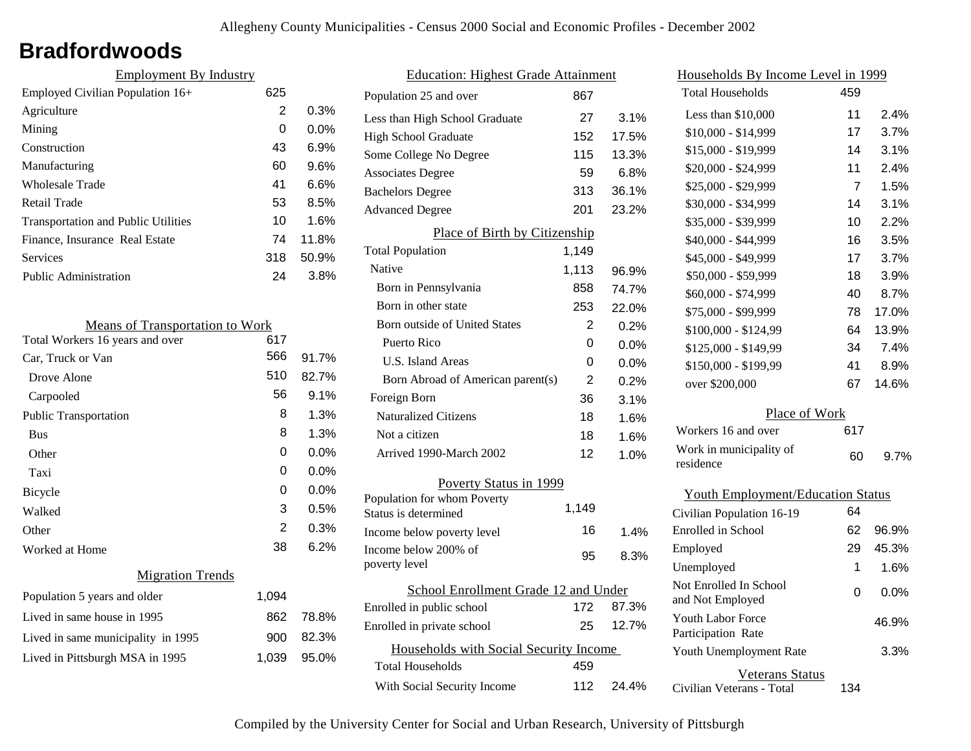## **Bradfordwoods**

| 625 |         |
|-----|---------|
| 2   | 0.3%    |
| 0   | $0.0\%$ |
| 43  | 6.9%    |
| 60  | $9.6\%$ |
| 41  | 6.6%    |
| 53  | 8.5%    |
| 10  | 1.6%    |
| 74  | 11.8%   |
| 318 | 50.9%   |
| 24  | 3.8%    |
|     |         |

| <b>Means of Transportation to Work</b> |       |         |
|----------------------------------------|-------|---------|
| Total Workers 16 years and over        | 617   |         |
| Car, Truck or Van                      | 566   | 91.7%   |
| Drove Alone                            | 510   | 82.7%   |
| Carpooled                              | 56    | 9.1%    |
| Public Transportation                  | 8     | 1.3%    |
| <b>Bus</b>                             | 8     | 1.3%    |
| Other                                  | 0     | $0.0\%$ |
| Taxi                                   | 0     | $0.0\%$ |
| <b>Bicycle</b>                         | 0     | $0.0\%$ |
| Walked                                 | 3     | 0.5%    |
| Other                                  | 2     | 0.3%    |
| Worked at Home                         | 38    | 6.2%    |
| <b>Migration Trends</b>                |       |         |
| Population 5 years and older           | 1,094 |         |
| Lived in same house in 1995            | 862   | 78.8%   |
| Lived in same municipality in 1995     | 900   | 82.3%   |
| Lived in Pittsburgh MSA in 1995        | 1,039 | 95.0%   |
|                                        |       |         |

| <b>Education: Highest Grade Attainment</b> |                                                     |       |       |
|--------------------------------------------|-----------------------------------------------------|-------|-------|
|                                            | Population 25 and over                              | 867   |       |
|                                            | Less than High School Graduate                      | 27    | 3.1%  |
|                                            | <b>High School Graduate</b>                         | 152   | 17.5% |
|                                            | Some College No Degree                              | 115   | 13.3% |
|                                            | <b>Associates Degree</b>                            | 59    | 6.8%  |
|                                            | <b>Bachelors Degree</b>                             | 313   | 36.1% |
|                                            | <b>Advanced Degree</b>                              | 201   | 23.2% |
|                                            | Place of Birth by Citizenship                       |       |       |
|                                            | <b>Total Population</b>                             | 1,149 |       |
|                                            | Native                                              | 1,113 | 96.9% |
|                                            | Born in Pennsylvania                                | 858   | 74.7% |
|                                            | Born in other state                                 | 253   | 22.0% |
|                                            | <b>Born outside of United States</b>                | 2     | 0.2%  |
|                                            | Puerto Rico                                         | 0     | 0.0%  |
|                                            | U.S. Island Areas                                   | 0     | 0.0%  |
|                                            | Born Abroad of American parent(s)                   | 2     | 0.2%  |
|                                            | Foreign Born                                        | 36    | 3.1%  |
|                                            | <b>Naturalized Citizens</b>                         | 18    | 1.6%  |
|                                            | Not a citizen                                       | 18    | 1.6%  |
|                                            | Arrived 1990-March 2002                             | 12    | 1.0%  |
|                                            | Poverty Status in 1999                              |       |       |
|                                            | Population for whom Poverty<br>Status is determined | 1,149 |       |
|                                            | Income below poverty level                          | 16    | 1.4%  |
|                                            | Income below 200% of                                |       |       |
|                                            | poverty level                                       | 95    | 8.3%  |
| School Enrollment Grade 12 and Under       |                                                     |       |       |
|                                            | Enrolled in public school                           | 172   | 87.3% |
|                                            | Enrolled in private school                          | 25    | 12.7% |
| Households with Social Security Income     |                                                     |       |       |
|                                            | <b>Total Households</b>                             | 459   |       |
|                                            | With Social Security Income                         | 112   | 24.4% |
|                                            |                                                     |       |       |

| Households By Income Level in 1999             |     |         |  |
|------------------------------------------------|-----|---------|--|
| <b>Total Households</b>                        | 459 |         |  |
| Less than \$10,000                             | 11  | 2.4%    |  |
| \$10,000 - \$14,999                            | 17  | 3.7%    |  |
| \$15,000 - \$19,999                            | 14  | 3.1%    |  |
| \$20,000 - \$24,999                            | 11  | 2.4%    |  |
| \$25,000 - \$29,999                            | 7   | 1.5%    |  |
| \$30,000 - \$34,999                            | 14  | 3.1%    |  |
| \$35,000 - \$39,999                            | 10  | 2.2%    |  |
| \$40,000 - \$44,999                            | 16  | 3.5%    |  |
| \$45,000 - \$49,999                            | 17  | 3.7%    |  |
| \$50,000 - \$59,999                            | 18  | 3.9%    |  |
| \$60,000 - \$74,999                            | 40  | 8.7%    |  |
| \$75,000 - \$99,999                            | 78  | 17.0%   |  |
| \$100,000 - \$124,99                           | 64  | 13.9%   |  |
| \$125,000 - \$149,99                           | 34  | 7.4%    |  |
| \$150,000 - \$199,99                           | 41  | 8.9%    |  |
| over \$200,000                                 | 67  | 14.6%   |  |
| Place of Work                                  |     |         |  |
| Workers 16 and over                            | 617 |         |  |
| Work in municipality of<br>residence           | 60  | $9.7\%$ |  |
| <b>Youth Employment/Education Status</b>       |     |         |  |
| Civilian Population 16-19                      | 64  |         |  |
| Enrolled in School                             | 62  | 96.9%   |  |
| Employed                                       | 29  | 45.3%   |  |
| Unemployed                                     | 1   | 1.6%    |  |
| Not Enrolled In School<br>and Not Employed     | 0   | 0.0%    |  |
| <b>Youth Labor Force</b><br>Participation Rate |     | 46.9%   |  |
| Youth Unemployment Rate                        |     | 3.3%    |  |

Civilian Veterans - Total

Veterans Status

134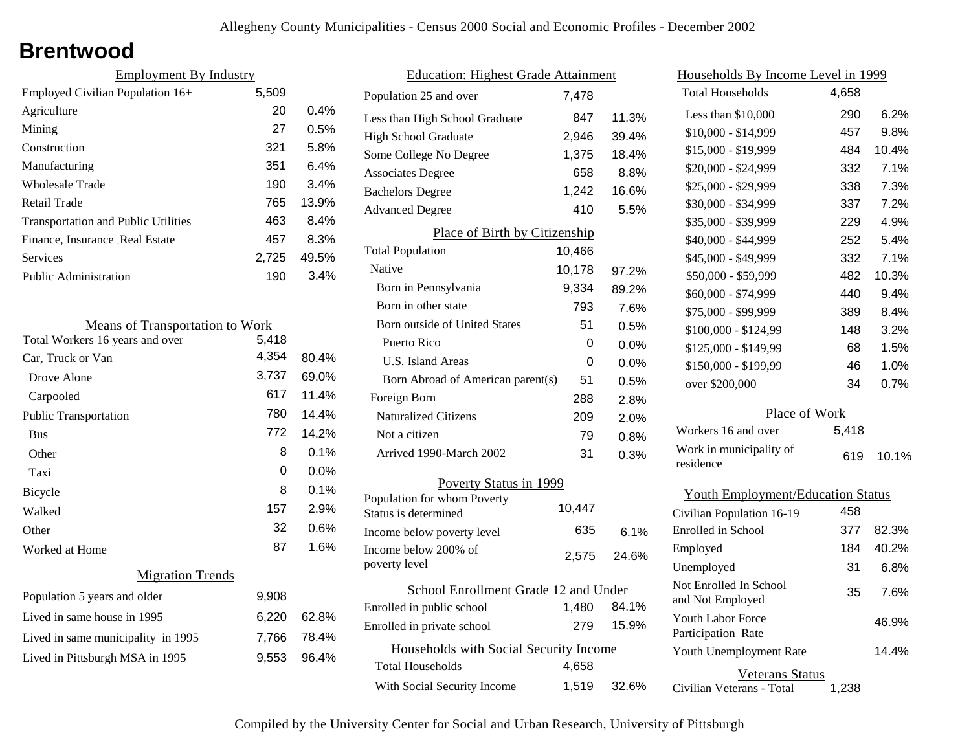## **Brentwood**

| <b>Employment By Industry</b> |         |  |
|-------------------------------|---------|--|
| 5,509                         |         |  |
| 20                            | $0.4\%$ |  |
| 27                            | 0.5%    |  |
| 321                           | 5.8%    |  |
| 351                           | 6.4%    |  |
| 190                           | 3.4%    |  |
| 765                           | 13.9%   |  |
| 463                           | 8.4%    |  |
| 457                           | 8.3%    |  |
| 2.725                         | 49.5%   |  |
| 190                           | 3.4%    |  |
|                               |         |  |

| <b>Means of Transportation to Work</b> |       |       |
|----------------------------------------|-------|-------|
| Total Workers 16 years and over        | 5,418 |       |
| Car, Truck or Van                      | 4,354 | 80.4% |
| Drove Alone                            | 3,737 | 69.0% |
| Carpooled                              | 617   | 11.4% |
| <b>Public Transportation</b>           | 780   | 14.4% |
| <b>Bus</b>                             | 772   | 14.2% |
| Other                                  | 8     | 0.1%  |
| Taxi                                   | 0     | 0.0%  |
| <b>Bicycle</b>                         | 8     | 0.1%  |
| Walked                                 | 157   | 2.9%  |
| Other                                  | 32    | 0.6%  |
| Worked at Home                         | 87    | 1.6%  |
| <b>Migration Trends</b>                |       |       |
| Population 5 years and older           | 9,908 |       |
| Lived in same house in 1995            | 6,220 | 62.8% |
| Lived in same municipality in 1995     | 7,766 | 78.4% |
| Lived in Pittsburgh MSA in 1995        | 9,553 | 96.4% |
|                                        |       |       |

| <b>Education: Highest Grade Attainment</b>          |        |         |
|-----------------------------------------------------|--------|---------|
| Population 25 and over                              | 7,478  |         |
| Less than High School Graduate                      | 847    | 11.3%   |
| <b>High School Graduate</b>                         | 2,946  | 39.4%   |
| Some College No Degree                              | 1,375  | 18.4%   |
| <b>Associates Degree</b>                            | 658    | 8.8%    |
| <b>Bachelors Degree</b>                             | 1,242  | 16.6%   |
| <b>Advanced Degree</b>                              | 410    | 5.5%    |
| Place of Birth by Citizenship                       |        |         |
| <b>Total Population</b>                             | 10,466 |         |
| Native                                              | 10,178 | 97.2%   |
| Born in Pennsylvania                                | 9,334  | 89.2%   |
| Born in other state                                 | 793    | 7.6%    |
| <b>Born outside of United States</b>                | 51     | 0.5%    |
| Puerto Rico                                         | 0      | 0.0%    |
| U.S. Island Areas                                   | U      | $0.0\%$ |
| Born Abroad of American parent(s)                   | 51     | 0.5%    |
| Foreign Born                                        | 288    | 2.8%    |
| <b>Naturalized Citizens</b>                         | 209    | 2.0%    |
| Not a citizen                                       | 79     | 0.8%    |
| Arrived 1990-March 2002                             | 31     | 0.3%    |
| Poverty Status in 1999                              |        |         |
| Population for whom Poverty<br>Status is determined | 10,447 |         |
| Income below poverty level                          | 635    | 6.1%    |
| Income below 200% of<br>poverty level               | 2,575  | 24.6%   |
| School Enrollment Grade 12 and Under                |        |         |
| Enrolled in public school                           | 1,480  | 84.1%   |
| Enrolled in private school                          | 279    | 15.9%   |
| Households with Social Security Income              |        |         |
| <b>Total Households</b>                             | 4,658  |         |
| With Social Security Income                         | 1,519  | 32.6%   |

| Households By Income Level in 1999         |       |       |
|--------------------------------------------|-------|-------|
| <b>Total Households</b>                    | 4,658 |       |
| Less than \$10,000                         | 290   | 6.2%  |
| $$10,000 - $14,999$                        | 457   | 9.8%  |
| \$15,000 - \$19,999                        | 484   | 10.4% |
| \$20,000 - \$24,999                        | 332   | 7.1%  |
| \$25,000 - \$29,999                        | 338   | 7.3%  |
| \$30,000 - \$34,999                        | 337   | 7.2%  |
| \$35,000 - \$39,999                        | 229   | 4.9%  |
| \$40,000 - \$44,999                        | 252   | 5.4%  |
| \$45,000 - \$49,999                        | 332   | 7.1%  |
| \$50,000 - \$59,999                        | 482   | 10.3% |
| \$60,000 - \$74,999                        | 440   | 9.4%  |
| \$75,000 - \$99,999                        | 389   | 8.4%  |
| \$100,000 - \$124,99                       | 148   | 3.2%  |
| \$125,000 - \$149,99                       | 68    | 1.5%  |
| \$150,000 - \$199,99                       | 46    | 1.0%  |
| over \$200,000                             | 34    | 0.7%  |
| Place of Work                              |       |       |
| Workers 16 and over                        | 5,418 |       |
| Work in municipality of<br>residence       | 619   | 10.1% |
| <b>Youth Employment/Education Status</b>   |       |       |
| Civilian Population 16-19                  | 458   |       |
| Enrolled in School                         | 377   | 82.3% |
| Employed                                   | 184   | 40.2% |
| Unemployed                                 | 31    | 6.8%  |
| Not Enrolled In School<br>and Not Employed | 35    | 7.6%  |
| Youth Labor Force<br>Participation Rate    |       | 46.9% |
| Youth Unemployment Rate                    |       | 14.4% |

| Veterans Status           |       |
|---------------------------|-------|
| Civilian Veterans - Total | 1,238 |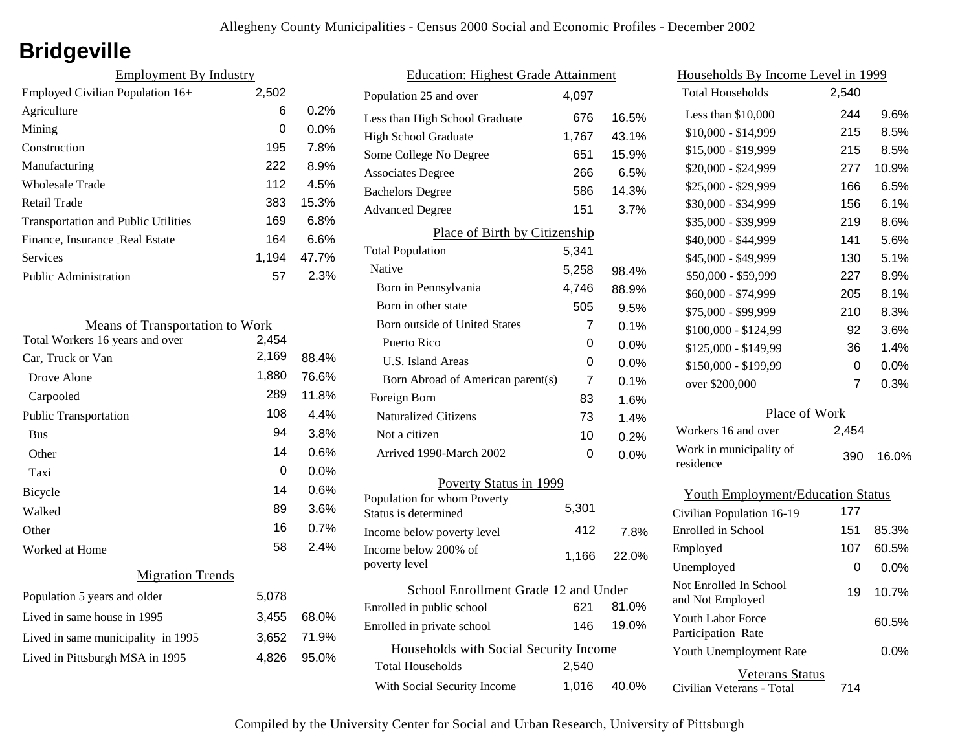# **Bridgeville**

| <b>Employment By Industry</b>              |       |         |
|--------------------------------------------|-------|---------|
| Employed Civilian Population 16+           | 2,502 |         |
| Agriculture                                | 6     | 0.2%    |
| Mining                                     | 0     | $0.0\%$ |
| Construction                               | 195   | 7.8%    |
| Manufacturing                              | 222   | 8.9%    |
| Wholesale Trade                            | 112   | 4.5%    |
| Retail Trade                               | 383   | 15.3%   |
| <b>Transportation and Public Utilities</b> | 169   | 6.8%    |
| Finance, Insurance Real Estate             | 164   | 6.6%    |
| Services                                   | 1.194 | 47.7%   |
| Public Administration                      | 57    | 2.3%    |

| <b>Means of Transportation to Work</b> |       |         |
|----------------------------------------|-------|---------|
| Total Workers 16 years and over        | 2,454 |         |
| Car, Truck or Van                      | 2,169 | 88.4%   |
| Drove Alone                            | 1,880 | 76.6%   |
| Carpooled                              | 289   | 11.8%   |
| <b>Public Transportation</b>           | 108   | 4.4%    |
| <b>Bus</b>                             | 94    | 3.8%    |
| Other                                  | 14    | $0.6\%$ |
| Taxi                                   | 0     | $0.0\%$ |
| <b>Bicycle</b>                         | 14    | 0.6%    |
| Walked                                 | 89    | 3.6%    |
| Other                                  | 16    | 0.7%    |
| Worked at Home                         | 58    | 2.4%    |
| <b>Migration Trends</b>                |       |         |
| Population 5 years and older           | 5,078 |         |
| Lived in same house in 1995            | 3,455 | 68.0%   |
| Lived in same municipality in 1995     | 3,652 | 71.9%   |
| Lived in Pittsburgh MSA in 1995        | 4,826 | 95.0%   |

| <b>Education: Highest Grade Attainment</b>          |       |       |
|-----------------------------------------------------|-------|-------|
| Population 25 and over                              | 4.097 |       |
| Less than High School Graduate                      | 676   | 16.5% |
| <b>High School Graduate</b>                         | 1,767 | 43.1% |
| Some College No Degree                              | 651   | 15.9% |
| <b>Associates Degree</b>                            | 266   | 6.5%  |
| <b>Bachelors Degree</b>                             | 586   | 14.3% |
| <b>Advanced Degree</b>                              | 151   | 3.7%  |
| Place of Birth by Citizenship                       |       |       |
| <b>Total Population</b>                             | 5,341 |       |
| Native                                              | 5,258 | 98.4% |
| Born in Pennsylvania                                | 4,746 | 88.9% |
| Born in other state                                 | 505   | 9.5%  |
| Born outside of United States                       | 7     | 0.1%  |
| Puerto Rico                                         | 0     | 0.0%  |
| U.S. Island Areas                                   | 0     | 0.0%  |
| Born Abroad of American parent(s)                   | 7     | 0.1%  |
| Foreign Born                                        | 83    | 1.6%  |
| <b>Naturalized Citizens</b>                         | 73    | 1.4%  |
| Not a citizen                                       | 10    | 0.2%  |
| Arrived 1990-March 2002                             | 0     | 0.0%  |
| Poverty Status in 1999                              |       |       |
| Population for whom Poverty<br>Status is determined | 5,301 |       |
| Income below poverty level                          | 412   | 7.8%  |
| Income below 200% of<br>poverty level               | 1,166 | 22.0% |
| School Enrollment Grade 12 and Under                |       |       |
| Enrolled in public school                           | 621   | 81.0% |
| Enrolled in private school                          | 146   | 19.0% |
| Households with Social Security Income              |       |       |
| Total Households                                    | 2,540 |       |
| With Social Security Income                         | 1,016 | 40.0% |

| <u>Households By Income Level in 1999</u>  |       |         |
|--------------------------------------------|-------|---------|
| <b>Total Households</b>                    | 2,540 |         |
| Less than $$10,000$                        | 244   | 9.6%    |
| \$10,000 - \$14,999                        | 215   | 8.5%    |
| \$15,000 - \$19,999                        | 215   | 8.5%    |
| \$20,000 - \$24,999                        | 277   | 10.9%   |
| \$25,000 - \$29,999                        | 166   | 6.5%    |
| \$30,000 - \$34,999                        | 156   | $6.1\%$ |
| \$35,000 - \$39,999                        | 219   | 8.6%    |
| \$40,000 - \$44,999                        | 141   | 5.6%    |
| \$45,000 - \$49,999                        | 130   | 5.1%    |
| \$50,000 - \$59,999                        | 227   | 8.9%    |
| \$60,000 - \$74,999                        | 205   | 8.1%    |
| \$75,000 - \$99,999                        | 210   | 8.3%    |
| \$100,000 - \$124,99                       | 92    | 3.6%    |
| \$125,000 - \$149,99                       | 36    | 1.4%    |
| \$150,000 - \$199,99                       | 0     | $0.0\%$ |
| over \$200,000                             | 7     | 0.3%    |
| Place of Work                              |       |         |
| Workers 16 and over                        | 2,454 |         |
| Work in municipality of<br>residence       | 390   | 16.0%   |
| <b>Youth Employment/Education Status</b>   |       |         |
| Civilian Population 16-19                  | 177   |         |
| Enrolled in School                         | 151   | 85.3%   |
| Employed                                   | 107   | 60.5%   |
| Unemployed                                 | 0     | 0.0%    |
| Not Enrolled In School<br>and Not Employed | 19    | 10.7%   |
| Youth Labor Force<br>Participation Rate    |       | 60.5%   |
| Youth Unemployment Rate                    |       | 0.0%    |

Civilian Veterans - Total Veterans Status 714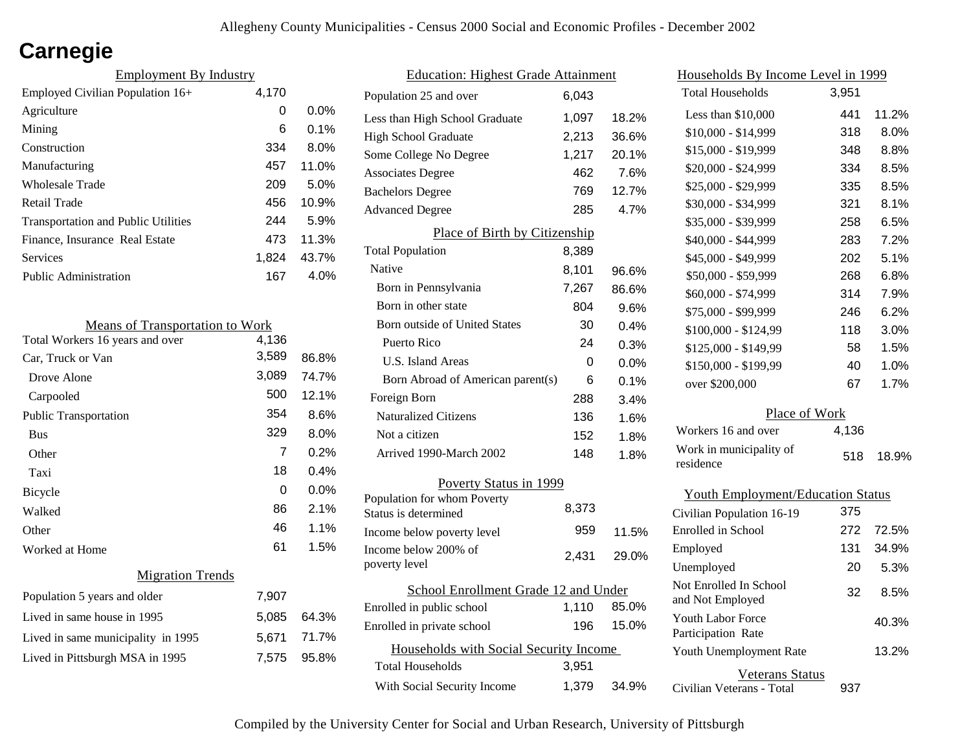# **Carnegie**

| <b>Employment By Industry</b>              |       |         |
|--------------------------------------------|-------|---------|
| Employed Civilian Population 16+           | 4,170 |         |
| Agriculture                                | 0     | $0.0\%$ |
| Mining                                     | 6     | $0.1\%$ |
| Construction                               | 334   | 8.0%    |
| Manufacturing                              | 457   | 11.0%   |
| Wholesale Trade                            | 209   | 5.0%    |
| Retail Trade                               | 456   | 10.9%   |
| <b>Transportation and Public Utilities</b> | 244   | 5.9%    |
| Finance, Insurance Real Estate             | 473   | 11.3%   |
| Services                                   | 1.824 | 43.7%   |
| Public Administration                      | 167   | 4.0%    |

| <b>Means of Transportation to Work</b> |       |       |
|----------------------------------------|-------|-------|
| Total Workers 16 years and over        | 4,136 |       |
| Car, Truck or Van                      | 3,589 | 86.8% |
| Drove Alone                            | 3,089 | 74.7% |
| Carpooled                              | 500   | 12.1% |
| <b>Public Transportation</b>           | 354   | 8.6%  |
| <b>Bus</b>                             | 329   | 8.0%  |
| Other                                  | 7     | 0.2%  |
| Taxi                                   | 18    | 0.4%  |
| <b>Bicycle</b>                         | 0     | 0.0%  |
| Walked                                 | 86    | 2.1%  |
| Other                                  | 46    | 1.1%  |
| Worked at Home                         | 61    | 1.5%  |
| <b>Migration Trends</b>                |       |       |
| Population 5 years and older           | 7,907 |       |
| Lived in same house in 1995            | 5,085 | 64.3% |
| Lived in same municipality in 1995     | 5,671 | 71.7% |
| Lived in Pittsburgh MSA in 1995        | 7,575 | 95.8% |
|                                        |       |       |

| <b>Education: Highest Grade Attainment</b> |       |       |
|--------------------------------------------|-------|-------|
| Population 25 and over                     | 6,043 |       |
| Less than High School Graduate             | 1,097 | 18.2% |
| <b>High School Graduate</b>                | 2,213 | 36.6% |
| Some College No Degree                     | 1,217 | 20.1% |
| <b>Associates Degree</b>                   | 462   | 7.6%  |
| <b>Bachelors Degree</b>                    | 769   | 12.7% |
| <b>Advanced Degree</b>                     | 285   | 4.7%  |
| Place of Birth by Citizenship              |       |       |
| <b>Total Population</b>                    | 8,389 |       |
| Native                                     | 8,101 | 96.6% |
| Born in Pennsylvania                       | 7,267 | 86.6% |
| Born in other state                        | 804   | 9.6%  |
| <b>Born outside of United States</b>       | 30    | 0.4%  |
| Puerto Rico                                | 24    | 0.3%  |
| <b>U.S. Island Areas</b>                   | 0     | 0.0%  |
| Born Abroad of American parent(s)          | 6     | 0.1%  |
| Foreign Born                               | 288   | 3.4%  |
| <b>Naturalized Citizens</b>                | 136   | 1.6%  |
| Not a citizen                              | 152   | 1.8%  |
| Arrived 1990-March 2002                    | 148   | 1.8%  |
| Poverty Status in 1999                     |       |       |
| Population for whom Poverty                | 8,373 |       |
| Status is determined                       | 959   |       |
| Income below poverty level                 |       | 11.5% |
| Income below 200% of<br>poverty level      | 2,431 | 29.0% |
| School Enrollment Grade 12 and Under       |       |       |
| Enrolled in public school                  | 1,110 | 85.0% |
| Enrolled in private school                 | 196   | 15.0% |
| Households with Social Security Income     |       |       |
| <b>Total Households</b>                    | 3,951 |       |
| With Social Security Income                | 1,379 | 34.9% |

| <u>Households By Income Level in 1999</u> |       |       |
|-------------------------------------------|-------|-------|
| <b>Total Households</b>                   | 3,951 |       |
| Less than $$10,000$                       | 441   | 11.2% |
| $$10,000 - $14,999$                       | 318   | 8.0%  |
| \$15,000 - \$19,999                       | 348   | 8.8%  |
| \$20,000 - \$24,999                       | 334   | 8.5%  |
| \$25,000 - \$29,999                       | 335   | 8.5%  |
| \$30,000 - \$34,999                       | 321   | 8.1%  |
| \$35,000 - \$39,999                       | 258   | 6.5%  |
| \$40,000 - \$44,999                       | 283   | 7.2%  |
| \$45,000 - \$49,999                       | 202   | 5.1%  |
| \$50,000 - \$59,999                       | 268   | 6.8%  |
| \$60,000 - \$74,999                       | 314   | 7.9%  |
| \$75,000 - \$99,999                       | 246   | 6.2%  |
| \$100,000 - \$124,99                      | 118   | 3.0%  |
| \$125,000 - \$149,99                      | 58    | 1.5%  |
| \$150,000 - \$199,99                      | 40    | 1.0%  |
| over \$200,000                            | 67    | 1.7%  |
| Place of Work                             |       |       |
| Workers 16 and over                       | 4,136 |       |
| Work in municipality of<br>residence      | 518   | 18.9% |
| <b>Youth Employment/Education Status</b>  |       |       |
| Civilian Population 16-19                 | 375   |       |
| Enrolled in School                        | 272   | 72.5% |
| Employed                                  | 131   | 34.9% |

| Employed                                     | 131 | 34.9% |
|----------------------------------------------|-----|-------|
| Unemployed                                   | 20  | 5.3%  |
| Not Enrolled In School<br>and Not Employed   | 32  | 8.5%  |
| Youth Labor Force<br>Participation Rate      |     | 40.3% |
| Youth Unemployment Rate                      |     | 13.2% |
| Veterans Status<br>Civilian Veterans - Total | 937 |       |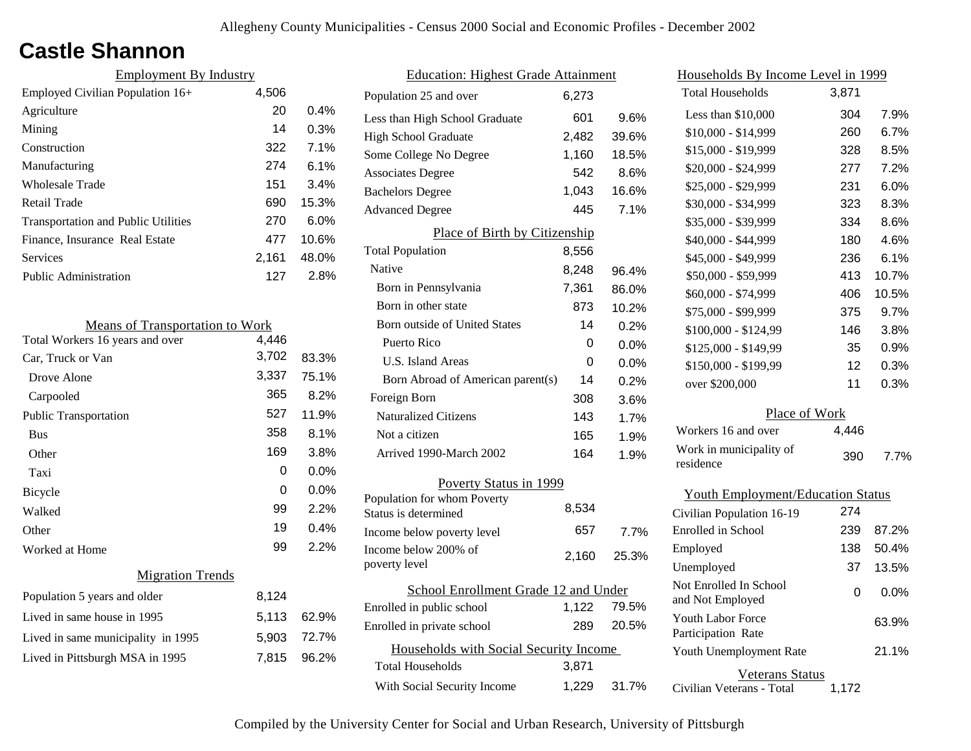## **Castle Shannon**

| <b>Employment By Industry</b>              |       |         |
|--------------------------------------------|-------|---------|
| Employed Civilian Population 16+           | 4,506 |         |
| Agriculture                                | 20    | $0.4\%$ |
| Mining                                     | 14    | 0.3%    |
| Construction                               | 322   | 7.1%    |
| Manufacturing                              | 274   | $6.1\%$ |
| Wholesale Trade                            | 151   | 3.4%    |
| Retail Trade                               | 690   | 15.3%   |
| <b>Transportation and Public Utilities</b> | 270   | $6.0\%$ |
| Finance, Insurance Real Estate             | 477   | 10.6%   |
| Services                                   | 2,161 | 48.0%   |
| Public Administration                      | 127   | 2.8%    |

| <b>Means of Transportation to Work</b> |       |         |
|----------------------------------------|-------|---------|
| Total Workers 16 years and over        | 4,446 |         |
| Car, Truck or Van                      | 3,702 | 83.3%   |
| Drove Alone                            | 3,337 | 75.1%   |
| Carpooled                              | 365   | 8.2%    |
| <b>Public Transportation</b>           | 527   | 11.9%   |
| <b>Bus</b>                             | 358   | 8.1%    |
| Other                                  | 169   | 3.8%    |
| Taxi                                   | 0     | $0.0\%$ |
| <b>Bicycle</b>                         | 0     | $0.0\%$ |
| Walked                                 | 99    | 2.2%    |
| Other                                  | 19    | 0.4%    |
| Worked at Home                         | 99    | 2.2%    |
| <b>Migration Trends</b>                |       |         |
| Population 5 years and older           | 8,124 |         |
| Lived in same house in 1995            | 5,113 | 62.9%   |
| Lived in same municipality in 1995     | 5,903 | 72.7%   |
| Lived in Pittsburgh MSA in 1995        | 7.815 | 96.2%   |
|                                        |       |         |

| <b>Education: Highest Grade Attainment</b>          |       |       |
|-----------------------------------------------------|-------|-------|
| Population 25 and over                              | 6,273 |       |
| Less than High School Graduate                      | 601   | 9.6%  |
| <b>High School Graduate</b>                         | 2,482 | 39.6% |
| Some College No Degree                              | 1,160 | 18.5% |
| <b>Associates Degree</b>                            | 542   | 8.6%  |
| <b>Bachelors Degree</b>                             | 1,043 | 16.6% |
| <b>Advanced Degree</b>                              | 445   | 7.1%  |
| Place of Birth by Citizenship                       |       |       |
| <b>Total Population</b>                             | 8,556 |       |
| <b>Native</b>                                       | 8,248 | 96.4% |
| Born in Pennsylvania                                | 7,361 | 86.0% |
| Born in other state                                 | 873   | 10.2% |
| <b>Born outside of United States</b>                | 14    | 0.2%  |
| Puerto Rico                                         | 0     | 0.0%  |
| U.S. Island Areas                                   | 0     | 0.0%  |
| Born Abroad of American parent(s)                   | 14    | 0.2%  |
| Foreign Born                                        | 308   | 3.6%  |
| <b>Naturalized Citizens</b>                         | 143   | 1.7%  |
| Not a citizen                                       | 165   | 1.9%  |
| Arrived 1990-March 2002                             | 164   | 1.9%  |
| Poverty Status in 1999                              |       |       |
| Population for whom Poverty<br>Status is determined | 8,534 |       |
| Income below poverty level                          | 657   | 7.7%  |
| Income below 200% of<br>poverty level               | 2,160 | 25.3% |
| School Enrollment Grade 12 and Under                |       |       |
| Enrolled in public school                           | 1,122 | 79.5% |
| Enrolled in private school                          | 289   | 20.5% |
| Households with Social Security Income              |       |       |
| <b>Total Households</b>                             | 3,871 |       |
| With Social Security Income                         | 1,229 | 31.7% |

| Households By Income Level in 1999             |       |       |
|------------------------------------------------|-------|-------|
| <b>Total Households</b>                        | 3,871 |       |
| Less than \$10,000                             | 304   | 7.9%  |
| $$10,000 - $14,999$                            | 260   | 6.7%  |
| \$15,000 - \$19,999                            | 328   | 8.5%  |
| \$20,000 - \$24,999                            | 277   | 7.2%  |
| \$25,000 - \$29,999                            | 231   | 6.0%  |
| \$30,000 - \$34,999                            | 323   | 8.3%  |
| \$35,000 - \$39,999                            | 334   | 8.6%  |
| \$40,000 - \$44,999                            | 180   | 4.6%  |
| \$45,000 - \$49,999                            | 236   | 6.1%  |
| \$50,000 - \$59,999                            | 413   | 10.7% |
| \$60,000 - \$74,999                            | 406   | 10.5% |
| \$75,000 - \$99,999                            | 375   | 9.7%  |
| \$100,000 - \$124,99                           | 146   | 3.8%  |
| \$125,000 - \$149,99                           | 35    | 0.9%  |
| \$150,000 - \$199,99                           | 12    | 0.3%  |
| over \$200,000                                 | 11    | 0.3%  |
| Place of Work                                  |       |       |
| Workers 16 and over                            | 4,446 |       |
| Work in municipality of<br>residence           | 390   | 7.7%  |
| <b>Youth Employment/Education Status</b>       |       |       |
| Civilian Population 16-19                      | 274   |       |
| Enrolled in School                             | 239   | 87.2% |
| Employed                                       | 138   | 50.4% |
| Unemployed                                     | 37    | 13.5% |
| Not Enrolled In School<br>and Not Employed     | 0     | 0.0%  |
| <b>Youth Labor Force</b><br>Participation Rate |       | 63.9% |
| Youth Unemployment Rate                        |       | 21.1% |

Veterans Status 1,172

Civilian Veterans - Total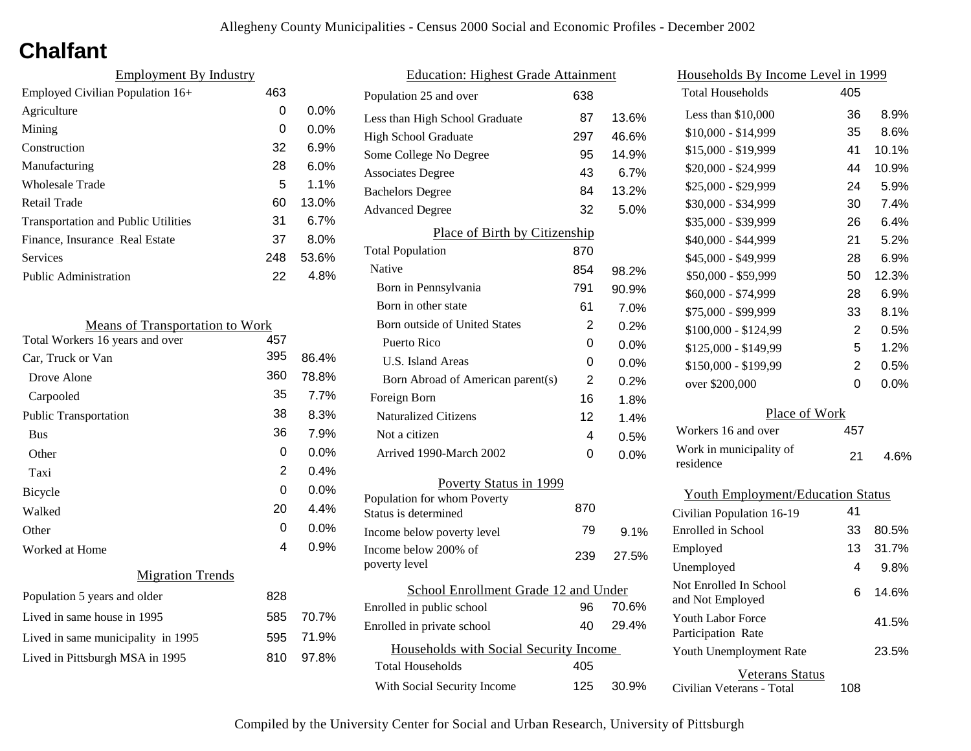# **Chalfant**

| <b>Employment By Industry</b>              |     |         |
|--------------------------------------------|-----|---------|
| Employed Civilian Population 16+           | 463 |         |
| Agriculture                                | 0   | 0.0%    |
| Mining                                     | 0   | $0.0\%$ |
| Construction                               | 32  | 6.9%    |
| Manufacturing                              | 28  | 6.0%    |
| Wholesale Trade                            | 5   | 1.1%    |
| Retail Trade                               | 60  | 13.0%   |
| <b>Transportation and Public Utilities</b> | 31  | 6.7%    |
| Finance, Insurance Real Estate             | 37  | 8.0%    |
| Services                                   | 248 | 53.6%   |
| <b>Public Administration</b>               | 22  | 4.8%    |
|                                            |     |         |

| <b>Means of Transportation to Work</b> |     |         |
|----------------------------------------|-----|---------|
| Total Workers 16 years and over        | 457 |         |
| Car, Truck or Van                      | 395 | 86.4%   |
| Drove Alone                            | 360 | 78.8%   |
| Carpooled                              | 35  | 7.7%    |
| <b>Public Transportation</b>           | 38  | 8.3%    |
| <b>Bus</b>                             | 36  | 7.9%    |
| Other                                  | 0   | 0.0%    |
| Taxi                                   | 2   | 0.4%    |
| <b>Bicycle</b>                         | 0   | $0.0\%$ |
| Walked                                 | 20  | 4.4%    |
| Other                                  | 0   | 0.0%    |
| Worked at Home                         | 4   | 0.9%    |
| <b>Migration Trends</b>                |     |         |
| Population 5 years and older           | 828 |         |
| Lived in same house in 1995            | 585 | 70.7%   |
| Lived in same municipality in 1995     | 595 | 71.9%   |
| Lived in Pittsburgh MSA in 1995        | 810 | 97.8%   |
|                                        |     |         |

| <b>Education: Highest Grade Attainment</b>         |                |         |
|----------------------------------------------------|----------------|---------|
| Population 25 and over                             | 638            |         |
| Less than High School Graduate                     | 87             | 13.6%   |
| <b>High School Graduate</b>                        | 297            | 46.6%   |
| Some College No Degree                             | 95             | 14.9%   |
| <b>Associates Degree</b>                           | 43             | 6.7%    |
| <b>Bachelors Degree</b>                            | 84             | 13.2%   |
| <b>Advanced Degree</b>                             | 32             | 5.0%    |
| Place of Birth by Citizenship                      |                |         |
| <b>Total Population</b>                            | 870            |         |
| Native                                             | 854            | 98.2%   |
| Born in Pennsylvania                               | 791            | 90.9%   |
| Born in other state                                | 61             | 7.0%    |
| Born outside of United States                      | 2              | 0.2%    |
| Puerto Rico                                        | 0              | $0.0\%$ |
| U.S. Island Areas                                  | 0              | 0.0%    |
| Born Abroad of American parent(s)                  | $\overline{2}$ | 0.2%    |
| Foreign Born                                       | 16             | 1.8%    |
| <b>Naturalized Citizens</b>                        | 12             | 1.4%    |
| Not a citizen                                      | 4              | $0.5\%$ |
| Arrived 1990-March 2002                            | 0              | 0.0%    |
| Poverty Status in 1999                             |                |         |
| Population for whom Poverty                        | 870            |         |
| Status is determined                               | 79             |         |
| Income below poverty level<br>Income below 200% of |                | 9.1%    |
| poverty level                                      | 239            | 27.5%   |
| School Enrollment Grade 12 and Under               |                |         |
| Enrolled in public school                          | 96             | 70.6%   |
| Enrolled in private school                         | 40             | 29.4%   |
| Households with Social Security Income             |                |         |
| <b>Total Households</b>                            | 405            |         |
| With Social Security Income                        | 125            | 30.9%   |

| Households By Income Level in 1999             |                |         |
|------------------------------------------------|----------------|---------|
| <b>Total Households</b>                        | 405            |         |
| Less than \$10,000                             | 36             | 8.9%    |
| $$10,000 - $14,999$                            | 35             | 8.6%    |
| \$15,000 - \$19,999                            | 41             | 10.1%   |
| \$20,000 - \$24,999                            | 44             | 10.9%   |
| \$25,000 - \$29,999                            | 24             | 5.9%    |
| \$30,000 - \$34,999                            | 30             | 7.4%    |
| \$35,000 - \$39,999                            | 26             | 6.4%    |
| \$40,000 - \$44,999                            | 21             | 5.2%    |
| \$45,000 - \$49,999                            | 28             | 6.9%    |
| \$50,000 - \$59,999                            | 50             | 12.3%   |
| \$60,000 - \$74,999                            | 28             | 6.9%    |
| \$75,000 - \$99,999                            | 33             | 8.1%    |
| $$100,000 - $124,99$                           | 2              | 0.5%    |
| \$125,000 - \$149,99                           | 5              | 1.2%    |
| \$150,000 - \$199,99                           | $\overline{2}$ | 0.5%    |
| over \$200,000                                 | 0              | 0.0%    |
| Place of Work                                  |                |         |
| Workers 16 and over                            | 457            |         |
| Work in municipality of<br>residence           | 21             | 4.6%    |
| <b>Youth Employment/Education Status</b>       |                |         |
| Civilian Population 16-19                      | 41             |         |
| Enrolled in School                             | 33             | 80.5%   |
| Employed                                       | 13             | 31.7%   |
| Unemployed                                     | 4              | $9.8\%$ |
| Not Enrolled In School<br>and Not Employed     | 6              | 14.6%   |
| <b>Youth Labor Force</b><br>Participation Rate |                | 41.5%   |
| Youth Unemployment Rate                        |                | 23.5%   |

Civilian Veterans - Total

Veterans Status

108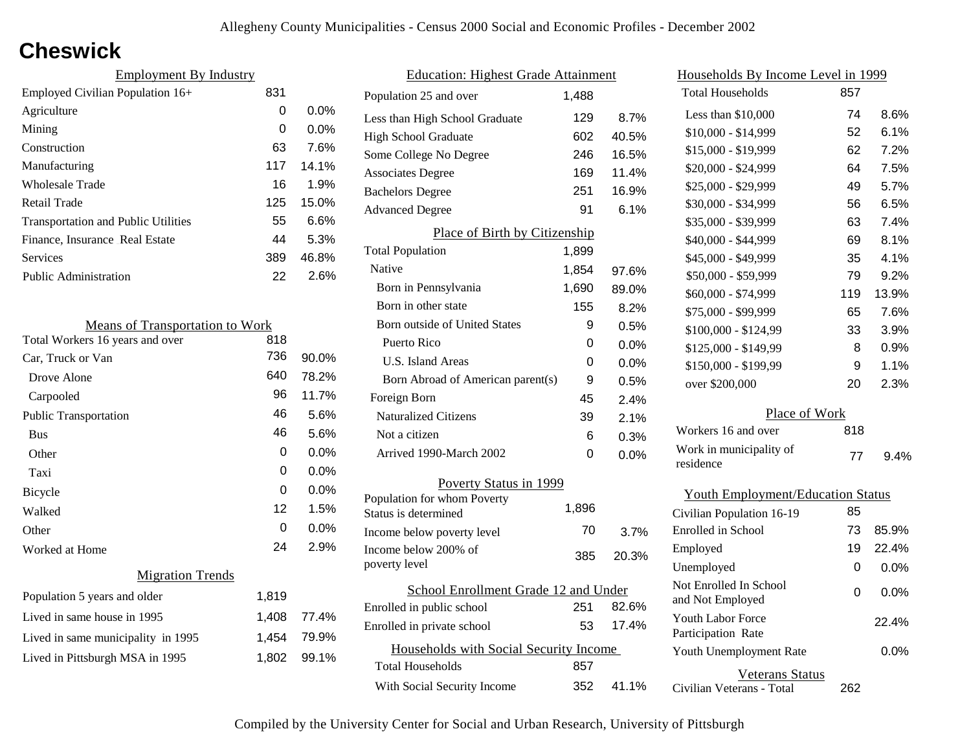## **Cheswick**

| <b>Employment By Industry</b>              |     |         |
|--------------------------------------------|-----|---------|
| Employed Civilian Population 16+           | 831 |         |
| Agriculture                                | 0   | $0.0\%$ |
| Mining                                     | 0   | $0.0\%$ |
| Construction                               | 63  | 7.6%    |
| Manufacturing                              | 117 | 14.1%   |
| Wholesale Trade                            | 16  | 1.9%    |
| Retail Trade                               | 125 | 15.0%   |
| <b>Transportation and Public Utilities</b> | 55  | 6.6%    |
| Finance, Insurance Real Estate             | 44  | 5.3%    |
| Services                                   | 389 | 46.8%   |
| <b>Public Administration</b>               | 22  | 2.6%    |

| <b>Means of Transportation to Work</b> |       |       |
|----------------------------------------|-------|-------|
| Total Workers 16 years and over        | 818   |       |
| Car, Truck or Van                      | 736   | 90.0% |
| Drove Alone                            | 640   | 78.2% |
| Carpooled                              | 96    | 11.7% |
| <b>Public Transportation</b>           | 46    | 5.6%  |
| <b>Bus</b>                             | 46    | 5.6%  |
| Other                                  | 0     | 0.0%  |
| Taxi                                   | 0     | 0.0%  |
| <b>Bicycle</b>                         | 0     | 0.0%  |
| Walked                                 | 12    | 1.5%  |
| Other                                  | 0     | 0.0%  |
| Worked at Home                         | 24    | 2.9%  |
| <b>Migration Trends</b>                |       |       |
| Population 5 years and older           | 1,819 |       |
| Lived in same house in 1995            | 1,408 | 77.4% |
| Lived in same municipality in 1995     | 1,454 | 79.9% |
| Lived in Pittsburgh MSA in 1995        | 1,802 | 99.1% |
|                                        |       |       |

| <b>Education: Highest Grade Attainment</b> |       |       |
|--------------------------------------------|-------|-------|
| Population 25 and over                     | 1.488 |       |
| Less than High School Graduate             | 129   | 8.7%  |
| <b>High School Graduate</b>                | 602   | 40.5% |
| Some College No Degree                     | 246   | 16.5% |
| <b>Associates Degree</b>                   | 169   | 11.4% |
| <b>Bachelors Degree</b>                    | 251   | 16.9% |
| <b>Advanced Degree</b>                     | 91    | 6.1%  |
| Place of Birth by Citizenship              |       |       |
| <b>Total Population</b>                    | 1,899 |       |
| Native                                     | 1,854 | 97.6% |
| Born in Pennsylvania                       | 1,690 | 89.0% |
| Born in other state                        | 155   | 8.2%  |
| Born outside of United States              | 9     | 0.5%  |
| Puerto Rico                                | 0     | 0.0%  |
| U.S. Island Areas                          | 0     | 0.0%  |
| Born Abroad of American parent(s)          | 9     | 0.5%  |
| Foreign Born                               | 45    | 2.4%  |
| <b>Naturalized Citizens</b>                | 39    | 2.1%  |
| Not a citizen                              | 6     | 0.3%  |
| Arrived 1990-March 2002                    | 0     | 0.0%  |
| Poverty Status in 1999                     |       |       |
| Population for whom Poverty                | 1,896 |       |
| Status is determined                       |       |       |
| Income below poverty level                 | 70    | 3.7%  |
| Income below 200% of<br>poverty level      | 385   | 20.3% |
|                                            |       |       |
| School Enrollment Grade 12 and Under       |       |       |
| Enrolled in public school                  | 251   | 82.6% |
| Enrolled in private school                 | 53    | 17.4% |
| Households with Social Security Income     |       |       |
| <b>Total Households</b>                    | 857   |       |
| With Social Security Income                | 352   | 41.1% |

| Households By Income Level in 1999         |     |         |
|--------------------------------------------|-----|---------|
| <b>Total Households</b>                    | 857 |         |
| Less than \$10,000                         | 74  | 8.6%    |
| \$10,000 - \$14,999                        | 52  | 6.1%    |
| \$15,000 - \$19,999                        | 62  | 7.2%    |
| \$20,000 - \$24,999                        | 64  | 7.5%    |
| \$25,000 - \$29,999                        | 49  | 5.7%    |
| \$30,000 - \$34,999                        | 56  | 6.5%    |
| \$35,000 - \$39,999                        | 63  | 7.4%    |
| \$40,000 - \$44,999                        | 69  | 8.1%    |
| \$45,000 - \$49,999                        | 35  | 4.1%    |
| \$50,000 - \$59,999                        | 79  | 9.2%    |
| \$60,000 - \$74,999                        | 119 | 13.9%   |
| \$75,000 - \$99,999                        | 65  | 7.6%    |
| \$100,000 - \$124,99                       | 33  | 3.9%    |
| \$125,000 - \$149,99                       | 8   | 0.9%    |
| \$150,000 - \$199,99                       | 9   | 1.1%    |
| over \$200,000                             | 20  | 2.3%    |
| Place of Work                              |     |         |
| Workers 16 and over                        | 818 |         |
| Work in municipality of<br>residence       | 77  | 9.4%    |
| <b>Youth Employment/Education Status</b>   |     |         |
| Civilian Population 16-19                  | 85  |         |
| Enrolled in School                         | 73  | 85.9%   |
| Employed                                   | 19  | 22.4%   |
| Unemployed                                 | 0   | 0.0%    |
| Not Enrolled In School<br>and Not Employed | 0   | $0.0\%$ |
| Youth Labor Force<br>Participation Rate    |     | 22.4%   |
| Youth Unemployment Rate                    |     | 0.0%    |

Civilian Veterans - Total

Veterans Status

262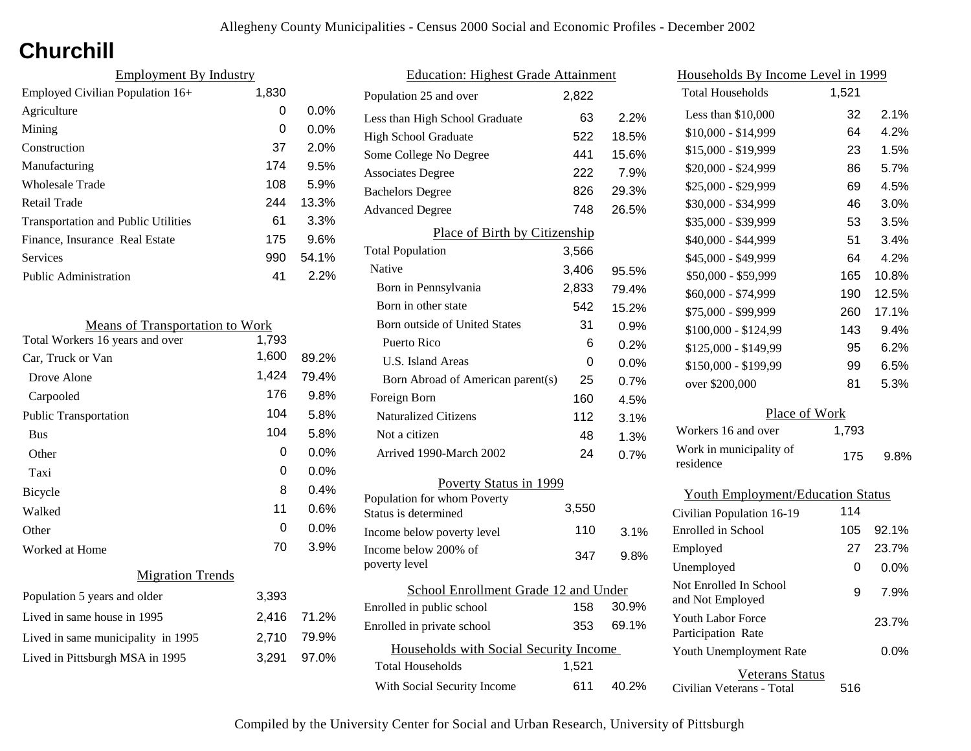# **Churchill**

| <b>Employment By Industry</b>              |       |         |
|--------------------------------------------|-------|---------|
| Employed Civilian Population 16+           | 1,830 |         |
| Agriculture                                | 0     | $0.0\%$ |
| Mining                                     | 0     | $0.0\%$ |
| Construction                               | 37    | 2.0%    |
| Manufacturing                              | 174   | 9.5%    |
| <b>Wholesale Trade</b>                     | 108   | 5.9%    |
| Retail Trade                               | 244   | 13.3%   |
| <b>Transportation and Public Utilities</b> | 61    | 3.3%    |
| Finance, Insurance Real Estate             | 175   | 9.6%    |
| Services                                   | 990   | 54.1%   |
| <b>Public Administration</b>               | 41    | $2.2\%$ |

| <b>Means of Transportation to Work</b> |       |       |
|----------------------------------------|-------|-------|
| Total Workers 16 years and over        | 1,793 |       |
| Car, Truck or Van                      | 1,600 | 89.2% |
| Drove Alone                            | 1,424 | 79.4% |
| Carpooled                              | 176   | 9.8%  |
| <b>Public Transportation</b>           | 104   | 5.8%  |
| <b>Bus</b>                             | 104   | 5.8%  |
| Other                                  | 0     | 0.0%  |
| Taxi                                   | 0     | 0.0%  |
| Bicycle                                | 8     | 0.4%  |
| Walked                                 | 11    | 0.6%  |
| Other                                  | 0     | 0.0%  |
| Worked at Home                         | 70    | 3.9%  |
| <b>Migration Trends</b>                |       |       |
| Population 5 years and older           | 3,393 |       |
| Lived in same house in 1995            | 2,416 | 71.2% |
| Lived in same municipality in 1995     | 2,710 | 79.9% |
| Lived in Pittsburgh MSA in 1995        | 3,291 | 97.0% |
|                                        |       |       |

| <b>Education: Highest Grade Attainment</b>          |       |         |  |  |
|-----------------------------------------------------|-------|---------|--|--|
| Population 25 and over                              | 2,822 |         |  |  |
| Less than High School Graduate                      | 63    | 2.2%    |  |  |
| <b>High School Graduate</b>                         | 522   | 18.5%   |  |  |
| Some College No Degree                              | 441   | 15.6%   |  |  |
| <b>Associates Degree</b>                            | 222   | 7.9%    |  |  |
| <b>Bachelors Degree</b>                             | 826   | 29.3%   |  |  |
| <b>Advanced Degree</b>                              | 748   | 26.5%   |  |  |
| Place of Birth by Citizenship                       |       |         |  |  |
| <b>Total Population</b>                             | 3,566 |         |  |  |
| Native                                              | 3,406 | 95.5%   |  |  |
| Born in Pennsylvania                                | 2,833 | 79.4%   |  |  |
| Born in other state                                 | 542   | 15.2%   |  |  |
| <b>Born outside of United States</b>                | 31    | 0.9%    |  |  |
| Puerto Rico                                         | 6     | 0.2%    |  |  |
| <b>U.S. Island Areas</b>                            | 0     | 0.0%    |  |  |
| Born Abroad of American parent(s)                   | 25    | 0.7%    |  |  |
| Foreign Born                                        | 160   | 4.5%    |  |  |
| <b>Naturalized Citizens</b>                         | 112   | $3.1\%$ |  |  |
| Not a citizen                                       | 48    | 1.3%    |  |  |
| Arrived 1990-March 2002                             | 24    | 0.7%    |  |  |
| Poverty Status in 1999                              |       |         |  |  |
| Population for whom Poverty<br>Status is determined | 3,550 |         |  |  |
| Income below poverty level                          | 110   | 3.1%    |  |  |
| Income below 200% of<br>poverty level               | 347   | 9.8%    |  |  |
| School Enrollment Grade 12 and Under                |       |         |  |  |
| Enrolled in public school                           | 158   | 30.9%   |  |  |
| Enrolled in private school                          | 353   | 69.1%   |  |  |
| Households with Social Security Income              |       |         |  |  |
| Total Households                                    | 1,521 |         |  |  |
| With Social Security Income                         | 611   | 40.2%   |  |  |

| <u>Households By Income Level in 1999</u>  |       |       |
|--------------------------------------------|-------|-------|
| <b>Total Households</b>                    | 1,521 |       |
| Less than \$10,000                         | 32    | 2.1%  |
| $$10,000 - $14,999$                        | 64    | 4.2%  |
| \$15,000 - \$19,999                        | 23    | 1.5%  |
| \$20,000 - \$24,999                        | 86    | 5.7%  |
| \$25,000 - \$29,999                        | 69    | 4.5%  |
| \$30,000 - \$34,999                        | 46    | 3.0%  |
| \$35,000 - \$39,999                        | 53    | 3.5%  |
| \$40,000 - \$44,999                        | 51    | 3.4%  |
| \$45,000 - \$49,999                        | 64    | 4.2%  |
| \$50,000 - \$59,999                        | 165   | 10.8% |
| \$60,000 - \$74,999                        | 190   | 12.5% |
| \$75,000 - \$99,999                        | 260   | 17.1% |
| \$100,000 - \$124,99                       | 143   | 9.4%  |
| \$125,000 - \$149,99                       | 95    | 6.2%  |
| \$150,000 - \$199,99                       | 99    | 6.5%  |
| over \$200,000                             | 81    | 5.3%  |
| Place of Work                              |       |       |
| Workers 16 and over                        | 1,793 |       |
| Work in municipality of<br>residence       | 175   | 9.8%  |
| <b>Youth Employment/Education Status</b>   |       |       |
| Civilian Population 16-19                  | 114   |       |
| Enrolled in School                         | 105   | 92.1% |
| Employed                                   | 27    | 23.7% |
| Unemployed                                 | 0     | 0.0%  |
| Not Enrolled In School<br>and Not Employed | 9     | 7.9%  |
| <b>Youth Labor Force</b>                   |       | 23.7% |

Civilian Veterans - Total

Youth Unemployment Rate

Participation Rate

Veterans Status

516

0.0%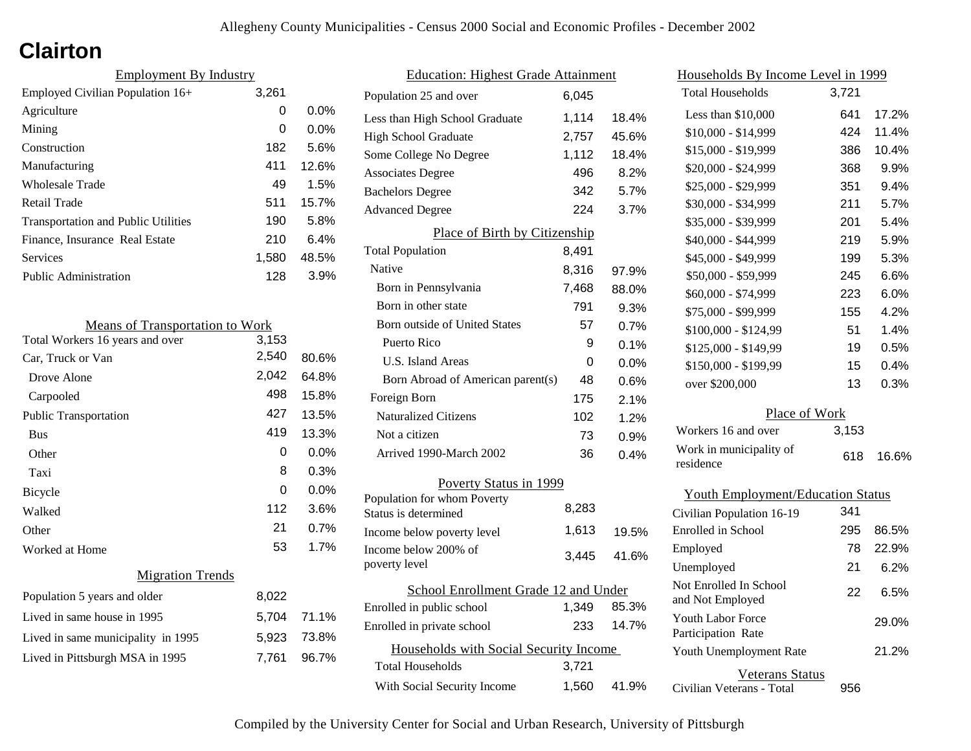# **Clairton**

| <b>Employment By Industry</b>              |       |         |
|--------------------------------------------|-------|---------|
| Employed Civilian Population 16+           | 3,261 |         |
| Agriculture                                | 0     | $0.0\%$ |
| Mining                                     | 0     | $0.0\%$ |
| Construction                               | 182   | 5.6%    |
| Manufacturing                              | 411   | 12.6%   |
| Wholesale Trade                            | 49    | 1.5%    |
| Retail Trade                               | 511   | 15.7%   |
| <b>Transportation and Public Utilities</b> | 190   | 5.8%    |
| Finance, Insurance Real Estate             | 210   | 6.4%    |
| Services                                   | 1,580 | 48.5%   |
| <b>Public Administration</b>               | 128   | 3.9%    |

| <b>Means of Transportation to Work</b> |       |       |
|----------------------------------------|-------|-------|
| Total Workers 16 years and over        | 3,153 |       |
| Car, Truck or Van                      | 2,540 | 80.6% |
| Drove Alone                            | 2,042 | 64.8% |
| Carpooled                              | 498   | 15.8% |
| <b>Public Transportation</b>           | 427   | 13.5% |
| <b>Bus</b>                             | 419   | 13.3% |
| Other                                  | 0     | 0.0%  |
| Taxi                                   | 8     | 0.3%  |
| Bicycle                                | 0     | 0.0%  |
| Walked                                 | 112   | 3.6%  |
| Other                                  | 21    | 0.7%  |
| Worked at Home                         | 53    | 1.7%  |
| <b>Migration Trends</b>                |       |       |
| Population 5 years and older           | 8,022 |       |
| Lived in same house in 1995            | 5,704 | 71.1% |
| Lived in same municipality in 1995     | 5,923 | 73.8% |
| Lived in Pittsburgh MSA in 1995        | 7,761 | 96.7% |
|                                        |       |       |

| <b>Education: Highest Grade Attainment</b>          |       |         |  |
|-----------------------------------------------------|-------|---------|--|
| Population 25 and over                              | 6,045 |         |  |
| Less than High School Graduate                      | 1,114 | 18.4%   |  |
| <b>High School Graduate</b>                         | 2,757 | 45.6%   |  |
| Some College No Degree                              | 1,112 | 18.4%   |  |
| <b>Associates Degree</b>                            | 496   | 8.2%    |  |
| <b>Bachelors Degree</b>                             | 342   | 5.7%    |  |
| <b>Advanced Degree</b>                              | 224   | 3.7%    |  |
| Place of Birth by Citizenship                       |       |         |  |
| <b>Total Population</b>                             | 8,491 |         |  |
| <b>Native</b>                                       | 8,316 | 97.9%   |  |
| Born in Pennsylvania                                | 7,468 | 88.0%   |  |
| Born in other state                                 | 791   | 9.3%    |  |
| Born outside of United States                       | 57    | 0.7%    |  |
| Puerto Rico                                         | 9     | 0.1%    |  |
| U.S. Island Areas                                   | 0     | $0.0\%$ |  |
| Born Abroad of American parent(s)                   | 48    | 0.6%    |  |
| Foreign Born                                        | 175   | 2.1%    |  |
| <b>Naturalized Citizens</b>                         | 102   | 1.2%    |  |
| Not a citizen                                       | 73    | 0.9%    |  |
| Arrived 1990-March 2002                             | 36    | 0.4%    |  |
| Poverty Status in 1999                              |       |         |  |
| Population for whom Poverty<br>Status is determined | 8,283 |         |  |
| Income below poverty level                          | 1,613 | 19.5%   |  |
| Income below 200% of<br>poverty level               | 3,445 | 41.6%   |  |
| School Enrollment Grade 12 and Under                |       |         |  |
| Enrolled in public school                           | 1,349 | 85.3%   |  |
| Enrolled in private school                          | 233   | 14.7%   |  |
| Households with Social Security Income              |       |         |  |
| Total Households                                    | 3,721 |         |  |
| With Social Security Income                         | 1,560 | 41.9%   |  |

| Households By Income Level in 1999       |       |       |  |  |
|------------------------------------------|-------|-------|--|--|
| <b>Total Households</b>                  | 3,721 |       |  |  |
| Less than \$10,000                       | 641   | 17.2% |  |  |
| $$10,000 - $14,999$                      | 424   | 11.4% |  |  |
| \$15,000 - \$19,999                      | 386   | 10.4% |  |  |
| \$20,000 - \$24,999                      | 368   | 9.9%  |  |  |
| \$25,000 - \$29,999                      | 351   | 9.4%  |  |  |
| \$30,000 - \$34,999                      | 211   | 5.7%  |  |  |
| \$35,000 - \$39,999                      | 201   | 5.4%  |  |  |
| \$40,000 - \$44,999                      | 219   | 5.9%  |  |  |
| \$45,000 - \$49,999                      | 199   | 5.3%  |  |  |
| \$50,000 - \$59,999                      | 245   | 6.6%  |  |  |
| \$60,000 - \$74,999                      | 223   | 6.0%  |  |  |
| \$75,000 - \$99,999                      | 155   | 4.2%  |  |  |
| \$100,000 - \$124,99                     | 51    | 1.4%  |  |  |
| \$125,000 - \$149,99                     | 19    | 0.5%  |  |  |
| \$150,000 - \$199,99                     | 15    | 0.4%  |  |  |
| over \$200,000                           | 13    | 0.3%  |  |  |
| Place of Work                            |       |       |  |  |
| Workers 16 and over                      | 3,153 |       |  |  |
| Work in municipality of<br>residence     | 618   | 16.6% |  |  |
| <b>Youth Employment/Education Status</b> |       |       |  |  |
| Civilian Population 16-19                | 341   |       |  |  |
| Enrolled in School                       | 295   | 86.5% |  |  |
| Employed                                 | 78    | 22.9% |  |  |
| Unemployed                               | 21    | 6.2%  |  |  |

Civilian Veterans - Total

Youth Unemployment Rate

Youth Labor Force Participation Rate

Not Enrolled In School

Veterans Status

Not Employed 22 6.5%

956

21.2%

29.0%

|  |  | Compiled by the University Center for Social and Urban Research, University of Pittsburgh |  |  |  |
|--|--|-------------------------------------------------------------------------------------------|--|--|--|
|  |  |                                                                                           |  |  |  |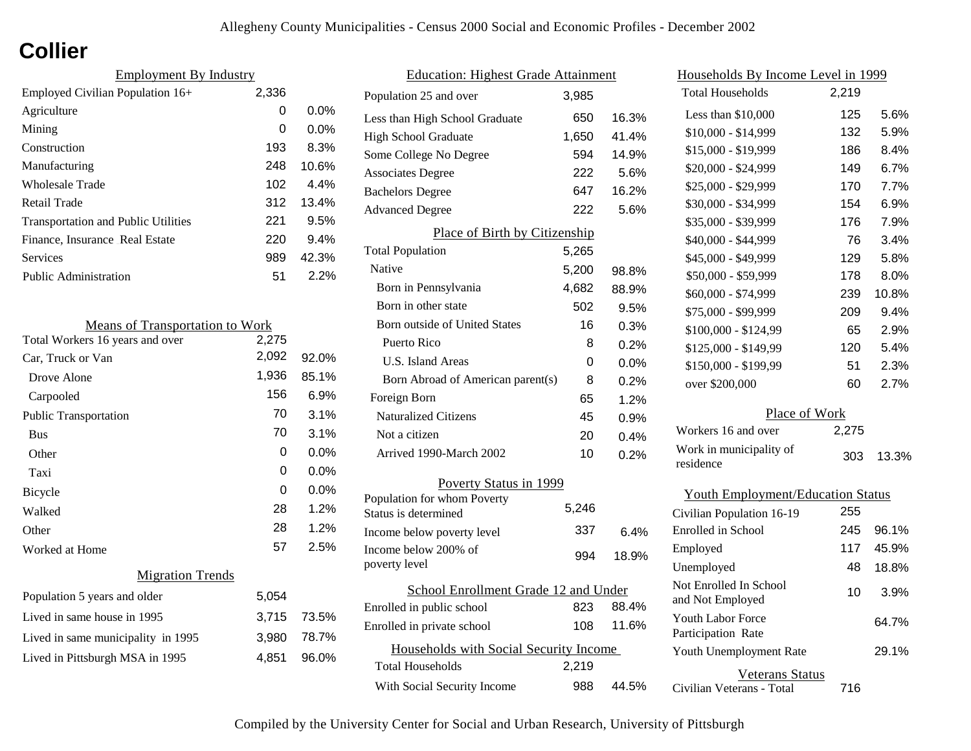# **Collier**

| <b>Employment By Industry</b>              |       |         |
|--------------------------------------------|-------|---------|
| Employed Civilian Population 16+           | 2,336 |         |
| Agriculture                                | 0     | 0.0%    |
| Mining                                     | 0     | $0.0\%$ |
| Construction                               | 193   | 8.3%    |
| Manufacturing                              | 248   | 10.6%   |
| Wholesale Trade                            | 102   | 4.4%    |
| Retail Trade                               | 312   | 13.4%   |
| <b>Transportation and Public Utilities</b> | 221   | 9.5%    |
| Finance, Insurance Real Estate             | 220   | 9.4%    |
| Services                                   | 989   | 42.3%   |
| <b>Public Administration</b>               | 51    | $2.2\%$ |

| <b>Means of Transportation to Work</b> |       |         |
|----------------------------------------|-------|---------|
| Total Workers 16 years and over        | 2,275 |         |
| Car, Truck or Van                      | 2,092 | 92.0%   |
| Drove Alone                            | 1,936 | 85.1%   |
| Carpooled                              | 156   | 6.9%    |
| <b>Public Transportation</b>           | 70    | 3.1%    |
| <b>Bus</b>                             | 70    | 3.1%    |
| Other                                  | 0     | $0.0\%$ |
| Taxi                                   | 0     | $0.0\%$ |
| Bicycle                                | 0     | $0.0\%$ |
| Walked                                 | 28    | 1.2%    |
| Other                                  | 28    | 1.2%    |
| Worked at Home                         | 57    | 2.5%    |
| <b>Migration Trends</b>                |       |         |
| Population 5 years and older           | 5,054 |         |
| Lived in same house in 1995            | 3,715 | 73.5%   |
| Lived in same municipality in 1995     | 3,980 | 78.7%   |
| Lived in Pittsburgh MSA in 1995        | 4,851 | 96.0%   |

| <b>Education: Highest Grade Attainment</b>          |       |       |  |  |
|-----------------------------------------------------|-------|-------|--|--|
| Population 25 and over                              | 3.985 |       |  |  |
| Less than High School Graduate                      | 650   | 16.3% |  |  |
| <b>High School Graduate</b>                         | 1,650 | 41.4% |  |  |
| Some College No Degree                              | 594   | 14.9% |  |  |
| <b>Associates Degree</b>                            | 222   | 5.6%  |  |  |
| <b>Bachelors Degree</b>                             | 647   | 16.2% |  |  |
| <b>Advanced Degree</b>                              | 222   | 5.6%  |  |  |
| Place of Birth by Citizenship                       |       |       |  |  |
| <b>Total Population</b>                             | 5,265 |       |  |  |
| <b>Native</b>                                       | 5,200 | 98.8% |  |  |
| Born in Pennsylvania                                | 4,682 | 88.9% |  |  |
| Born in other state                                 | 502   | 9.5%  |  |  |
| Born outside of United States                       | 16    | 0.3%  |  |  |
| Puerto Rico                                         | 8     | 0.2%  |  |  |
| U.S. Island Areas                                   | 0     | 0.0%  |  |  |
| Born Abroad of American parent(s)                   | 8     | 0.2%  |  |  |
| Foreign Born                                        | 65    | 1.2%  |  |  |
| <b>Naturalized Citizens</b>                         | 45    | 0.9%  |  |  |
| Not a citizen                                       | 20    | 0.4%  |  |  |
| Arrived 1990-March 2002                             | 10    | 0.2%  |  |  |
| Poverty Status in 1999                              |       |       |  |  |
| Population for whom Poverty<br>Status is determined | 5,246 |       |  |  |
| Income below poverty level                          | 337   | 6.4%  |  |  |
| Income below 200% of<br>poverty level               | 994   | 18.9% |  |  |
| School Enrollment Grade 12 and Under                |       |       |  |  |
| Enrolled in public school                           | 823   | 88.4% |  |  |
| Enrolled in private school                          | 108   | 11.6% |  |  |
| Households with Social Security Income              |       |       |  |  |
| Total Households                                    | 2,219 |       |  |  |
| With Social Security Income                         | 988   | 44.5% |  |  |

| <u>Households By Income Level in 1999</u>  |       |       |
|--------------------------------------------|-------|-------|
| <b>Total Households</b>                    | 2,219 |       |
| Less than \$10,000                         | 125   | 5.6%  |
| $$10,000 - $14,999$                        | 132   | 5.9%  |
| \$15,000 - \$19,999                        | 186   | 8.4%  |
| \$20,000 - \$24,999                        | 149   | 6.7%  |
| \$25,000 - \$29,999                        | 170   | 7.7%  |
| \$30,000 - \$34,999                        | 154   | 6.9%  |
| \$35,000 - \$39,999                        | 176   | 7.9%  |
| \$40,000 - \$44,999                        | 76    | 3.4%  |
| \$45,000 - \$49,999                        | 129   | 5.8%  |
| \$50,000 - \$59,999                        | 178   | 8.0%  |
| \$60,000 - \$74,999                        | 239   | 10.8% |
| \$75,000 - \$99,999                        | 209   | 9.4%  |
| \$100,000 - \$124,99                       | 65    | 2.9%  |
| \$125,000 - \$149,99                       | 120   | 5.4%  |
| \$150,000 - \$199,99                       | 51    | 2.3%  |
| over \$200,000                             | 60    | 2.7%  |
| Place of Work                              |       |       |
| Workers 16 and over                        | 2,275 |       |
| Work in municipality of<br>residence       | 303   | 13.3% |
| <b>Youth Employment/Education Status</b>   |       |       |
| Civilian Population 16-19                  | 255   |       |
| Enrolled in School                         | 245   | 96.1% |
| Employed                                   | 117   | 45.9% |
| Unemployed                                 | 48    | 18.8% |
| Not Enrolled In School<br>and Not Employed | 10    | 3.9%  |
| Youth Labor Force<br>Participation Rate    |       | 64.7% |
| Youth Unemployment Rate                    |       | 29.1% |
| Veterans Status                            |       |       |

Civilian Veterans - Total

716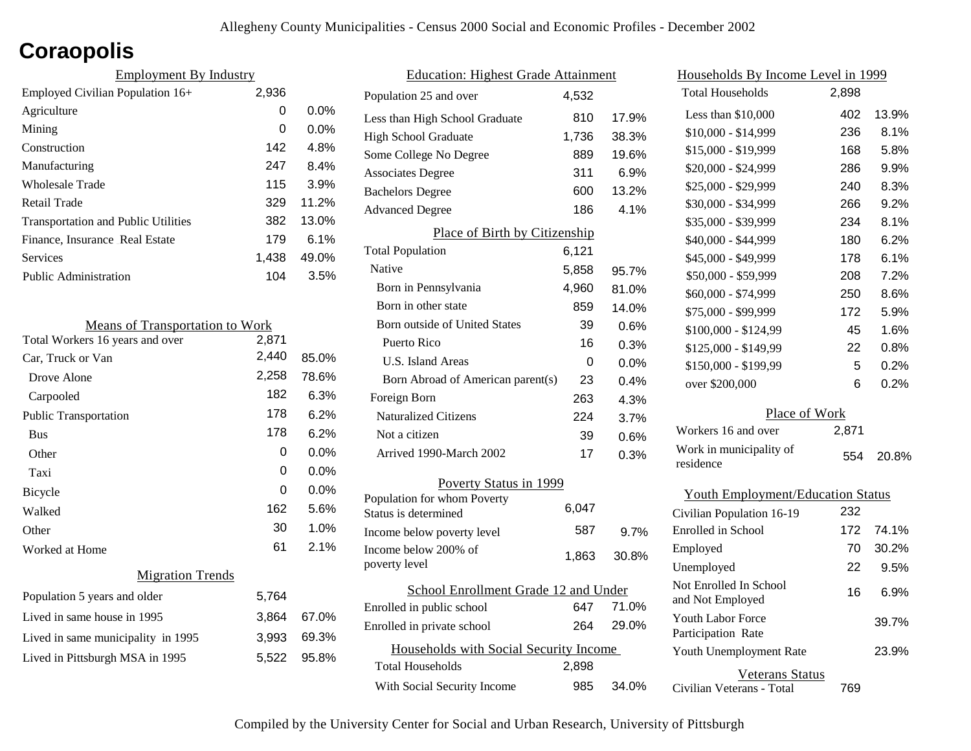## **Coraopolis**

| <b>Employment By Industry</b>              |       |         |
|--------------------------------------------|-------|---------|
| Employed Civilian Population 16+           | 2,936 |         |
| Agriculture                                | 0     | $0.0\%$ |
| Mining                                     | 0     | $0.0\%$ |
| Construction                               | 142   | 4.8%    |
| Manufacturing                              | 247   | 8.4%    |
| Wholesale Trade                            | 115   | 3.9%    |
| Retail Trade                               | 329   | 11.2%   |
| <b>Transportation and Public Utilities</b> | 382   | 13.0%   |
| Finance, Insurance Real Estate             | 179   | 6.1%    |
| Services                                   | 1,438 | 49.0%   |
| Public Administration                      | 104   | 3.5%    |

| <b>Means of Transportation to Work</b> |       |       |
|----------------------------------------|-------|-------|
| Total Workers 16 years and over        | 2,871 |       |
| Car, Truck or Van                      | 2,440 | 85.0% |
| Drove Alone                            | 2,258 | 78.6% |
| Carpooled                              | 182   | 6.3%  |
| <b>Public Transportation</b>           | 178   | 6.2%  |
| <b>Bus</b>                             | 178   | 6.2%  |
| Other                                  | 0     | 0.0%  |
| Taxi                                   | 0     | 0.0%  |
| Bicycle                                | 0     | 0.0%  |
| Walked                                 | 162   | 5.6%  |
| Other                                  | 30    | 1.0%  |
| Worked at Home                         | 61    | 2.1%  |
| <b>Migration Trends</b>                |       |       |
| Population 5 years and older           | 5,764 |       |
| Lived in same house in 1995            | 3,864 | 67.0% |
| Lived in same municipality in 1995     | 3,993 | 69.3% |
| Lived in Pittsburgh MSA in 1995        | 5,522 | 95.8% |
|                                        |       |       |

| <b>Education: Highest Grade Attainment</b> |       |       |
|--------------------------------------------|-------|-------|
| Population 25 and over                     | 4,532 |       |
| Less than High School Graduate             | 810   | 17.9% |
| <b>High School Graduate</b>                | 1,736 | 38.3% |
| Some College No Degree                     | 889   | 19.6% |
| <b>Associates Degree</b>                   | 311   | 6.9%  |
| <b>Bachelors Degree</b>                    | 600   | 13.2% |
| <b>Advanced Degree</b>                     | 186   | 4.1%  |
| Place of Birth by Citizenship              |       |       |
| <b>Total Population</b>                    | 6,121 |       |
| Native                                     | 5,858 | 95.7% |
| Born in Pennsylvania                       | 4,960 | 81.0% |
| Born in other state                        | 859   | 14.0% |
| <b>Born outside of United States</b>       | 39    | 0.6%  |
| Puerto Rico                                | 16    | 0.3%  |
| U.S. Island Areas                          | 0     | 0.0%  |
| Born Abroad of American parent(s)          | 23    | 0.4%  |
| Foreign Born                               | 263   | 4.3%  |
| <b>Naturalized Citizens</b>                | 224   | 3.7%  |
| Not a citizen                              | 39    | 0.6%  |
| Arrived 1990-March 2002                    | 17    | 0.3%  |
| Poverty Status in 1999                     |       |       |
| Population for whom Poverty                | 6,047 |       |
| Status is determined                       |       |       |
| Income below poverty level                 | 587   | 9.7%  |
| Income below 200% of<br>poverty level      | 1,863 | 30.8% |
|                                            |       |       |
| School Enrollment Grade 12 and Under       |       |       |
| Enrolled in public school                  | 647   | 71.0% |
| Enrolled in private school                 | 264   | 29.0% |
| Households with Social Security Income     |       |       |
| <b>Total Households</b>                    | 2,898 |       |
| With Social Security Income                | 985   | 34.0% |

| Households By Income Level in 1999             |       |         |
|------------------------------------------------|-------|---------|
| <b>Total Households</b>                        | 2,898 |         |
| Less than \$10,000                             | 402   | 13.9%   |
| \$10,000 - \$14,999                            | 236   | 8.1%    |
| \$15,000 - \$19,999                            | 168   | 5.8%    |
| \$20,000 - \$24,999                            | 286   | 9.9%    |
| \$25,000 - \$29,999                            | 240   | 8.3%    |
| \$30,000 - \$34,999                            | 266   | 9.2%    |
| \$35,000 - \$39,999                            | 234   | 8.1%    |
| \$40,000 - \$44,999                            | 180   | 6.2%    |
| \$45,000 - \$49,999                            | 178   | $6.1\%$ |
| \$50,000 - \$59,999                            | 208   | 7.2%    |
| \$60,000 - \$74,999                            | 250   | 8.6%    |
| \$75,000 - \$99,999                            | 172   | 5.9%    |
| \$100,000 - \$124,99                           | 45    | 1.6%    |
| \$125,000 - \$149,99                           | 22    | 0.8%    |
| \$150,000 - \$199,99                           | 5     | 0.2%    |
| over \$200,000                                 | 6     | 0.2%    |
| Place of Work                                  |       |         |
| Workers 16 and over                            | 2,871 |         |
| Work in municipality of<br>residence           | 554   | 20.8%   |
| <b>Youth Employment/Education Status</b>       |       |         |
| Civilian Population 16-19                      | 232   |         |
| Enrolled in School                             | 172   | 74.1%   |
| Employed                                       | 70    | 30.2%   |
| Unemployed                                     | 22    | 9.5%    |
| Not Enrolled In School<br>and Not Employed     | 16    | 6.9%    |
| <b>Youth Labor Force</b><br>Participation Rate |       | 39.7%   |
| Youth Unemployment Rate                        |       | 23.9%   |

Civilian Veterans - Total

Veterans Status

769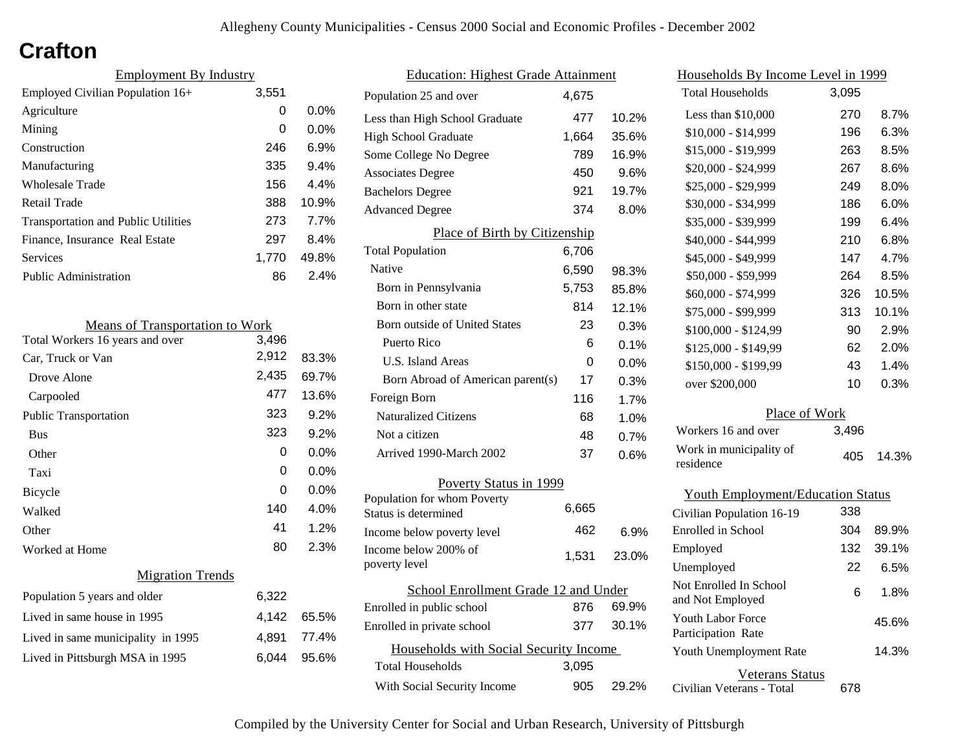## **Crafton**

| <b>Employment By Industry</b>              |       |         |
|--------------------------------------------|-------|---------|
| Employed Civilian Population 16+           | 3,551 |         |
| Agriculture                                | 0     | $0.0\%$ |
| Mining                                     | 0     | $0.0\%$ |
| Construction                               | 246   | 6.9%    |
| Manufacturing                              | 335   | 9.4%    |
| Wholesale Trade                            | 156   | 4.4%    |
| Retail Trade                               | 388   | 10.9%   |
| <b>Transportation and Public Utilities</b> | 273   | 7.7%    |
| Finance, Insurance Real Estate             | 297   | 8.4%    |
| Services                                   | 1.770 | 49.8%   |
| <b>Public Administration</b>               | 86    | $2.4\%$ |

| <b>Means of Transportation to Work</b> |       |       |
|----------------------------------------|-------|-------|
| Total Workers 16 years and over        | 3,496 |       |
| Car, Truck or Van                      | 2,912 | 83.3% |
| Drove Alone                            | 2,435 | 69.7% |
| Carpooled                              | 477   | 13.6% |
| <b>Public Transportation</b>           | 323   | 9.2%  |
| <b>Bus</b>                             | 323   | 9.2%  |
| Other                                  | 0     | 0.0%  |
| Taxi                                   | 0     | 0.0%  |
| Bicycle                                | 0     | 0.0%  |
| Walked                                 | 140   | 4.0%  |
| Other                                  | 41    | 1.2%  |
| Worked at Home                         | 80    | 2.3%  |
| <b>Migration Trends</b>                |       |       |
| Population 5 years and older           | 6,322 |       |
| Lived in same house in 1995            | 4,142 | 65.5% |
| Lived in same municipality in 1995     | 4,891 | 77.4% |
| Lived in Pittsburgh MSA in 1995        | 6,044 | 95.6% |
|                                        |       |       |

| <b>Education: Highest Grade Attainment</b>          |       |         |
|-----------------------------------------------------|-------|---------|
| Population 25 and over                              | 4,675 |         |
| Less than High School Graduate                      | 477   | 10.2%   |
| <b>High School Graduate</b>                         | 1,664 | 35.6%   |
| Some College No Degree                              | 789   | 16.9%   |
| <b>Associates Degree</b>                            | 450   | 9.6%    |
| <b>Bachelors Degree</b>                             | 921   | 19.7%   |
| <b>Advanced Degree</b>                              | 374   | 8.0%    |
| Place of Birth by Citizenship                       |       |         |
| <b>Total Population</b>                             | 6,706 |         |
| <b>Native</b>                                       | 6,590 | 98.3%   |
| Born in Pennsylvania                                | 5,753 | 85.8%   |
| Born in other state                                 | 814   | 12.1%   |
| <b>Born outside of United States</b>                | 23    | 0.3%    |
| Puerto Rico                                         | 6     | 0.1%    |
| U.S. Island Areas                                   | 0     | 0.0%    |
| Born Abroad of American parent(s)                   | 17    | 0.3%    |
| Foreign Born                                        | 116   | 1.7%    |
| <b>Naturalized Citizens</b>                         | 68    | 1.0%    |
| Not a citizen                                       | 48    | 0.7%    |
| Arrived 1990-March 2002                             | 37    | 0.6%    |
| Poverty Status in 1999                              |       |         |
| Population for whom Poverty<br>Status is determined | 6,665 |         |
| Income below poverty level                          | 462   | $6.9\%$ |
| Income below 200% of<br>poverty level               | 1,531 | 23.0%   |
| School Enrollment Grade 12 and Under                |       |         |
| Enrolled in public school                           | 876   | 69.9%   |
| Enrolled in private school                          | 377   | 30.1%   |
| Households with Social Security Income              |       |         |
| <b>Total Households</b>                             | 3,095 |         |
| With Social Security Income                         | 905   | 29.2%   |

| Households By Income Level in 1999         |       |       |
|--------------------------------------------|-------|-------|
| <b>Total Households</b>                    | 3,095 |       |
| Less than \$10,000                         | 270   | 8.7%  |
| $$10,000 - $14,999$                        | 196   | 6.3%  |
| \$15,000 - \$19,999                        | 263   | 8.5%  |
| \$20,000 - \$24,999                        | 267   | 8.6%  |
| \$25,000 - \$29,999                        | 249   | 8.0%  |
| \$30,000 - \$34,999                        | 186   | 6.0%  |
| \$35,000 - \$39,999                        | 199   | 6.4%  |
| \$40,000 - \$44,999                        | 210   | 6.8%  |
| \$45,000 - \$49,999                        | 147   | 4.7%  |
| \$50,000 - \$59,999                        | 264   | 8.5%  |
| \$60,000 - \$74,999                        | 326   | 10.5% |
| \$75,000 - \$99,999                        | 313   | 10.1% |
| \$100,000 - \$124,99                       | 90    | 2.9%  |
| \$125,000 - \$149,99                       | 62    | 2.0%  |
| \$150,000 - \$199,99                       | 43    | 1.4%  |
| over \$200,000                             | 10    | 0.3%  |
| Place of Work                              |       |       |
| Workers 16 and over                        | 3,496 |       |
| Work in municipality of<br>residence       | 405   | 14.3% |
| <b>Youth Employment/Education Status</b>   |       |       |
| Civilian Population 16-19                  | 338   |       |
| <b>Enrolled</b> in School                  | 304   | 89.9% |
| Employed                                   | 132   | 39.1% |
| Unemployed                                 | 22    | 6.5%  |
| Not Enrolled In School<br>and Not Employed | 6     | 1.8%  |

Civilian Veterans - Total

Youth Unemployment Rate

Youth Labor Force Participation Rate

Veterans Status

678

14.3%

45.6%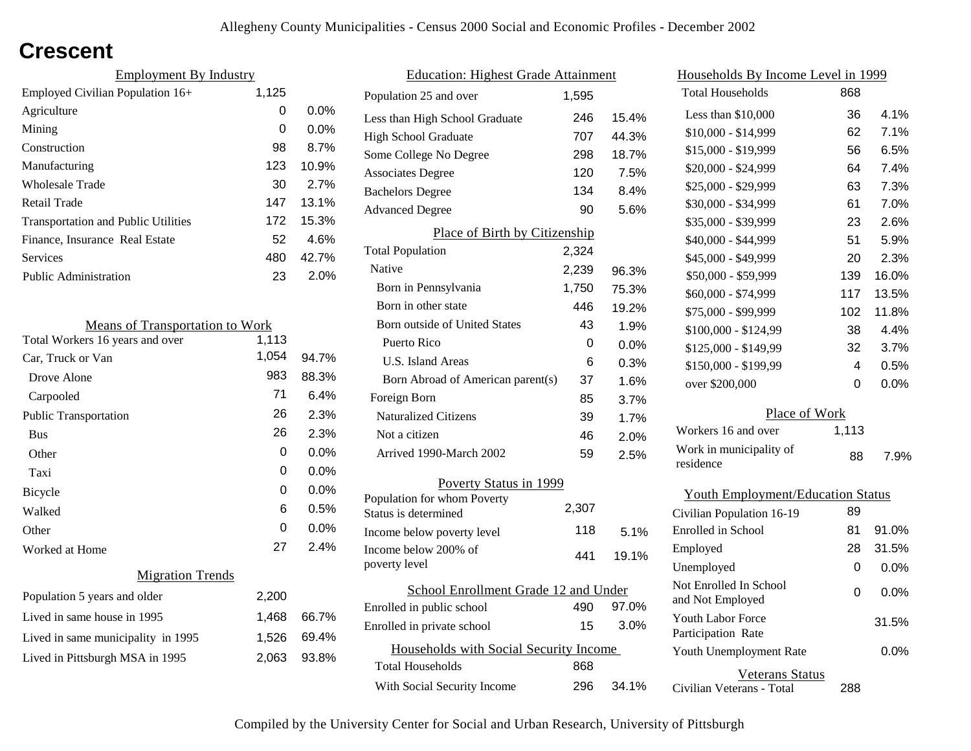## **Crescent**

| <b>Employment By Industry</b>              |       |         |
|--------------------------------------------|-------|---------|
| Employed Civilian Population 16+           | 1,125 |         |
| Agriculture                                | 0     | $0.0\%$ |
| Mining                                     | 0     | $0.0\%$ |
| Construction                               | 98    | 8.7%    |
| Manufacturing                              | 123   | 10.9%   |
| <b>Wholesale Trade</b>                     | 30    | 2.7%    |
| Retail Trade                               | 147   | 13.1%   |
| <b>Transportation and Public Utilities</b> | 172   | 15.3%   |
| Finance, Insurance Real Estate             | 52    | 4.6%    |
| Services                                   | 480   | 42.7%   |
| Public Administration                      | 23    | 2.0%    |

| <b>Means of Transportation to Work</b> |       |         |
|----------------------------------------|-------|---------|
| Total Workers 16 years and over        | 1,113 |         |
| Car, Truck or Van                      | 1,054 | 94.7%   |
| Drove Alone                            | 983   | 88.3%   |
| Carpooled                              | 71    | 6.4%    |
| Public Transportation                  | 26    | 2.3%    |
| <b>Bus</b>                             | 26    | 2.3%    |
| Other                                  | 0     | 0.0%    |
| Taxi                                   | 0     | 0.0%    |
| Bicycle                                | 0     | 0.0%    |
| Walked                                 | 6     | 0.5%    |
| Other                                  | 0     | $0.0\%$ |
| Worked at Home                         | 27    | 2.4%    |
| <b>Migration Trends</b>                |       |         |
| Population 5 years and older           | 2,200 |         |
| Lived in same house in 1995            | 1,468 | 66.7%   |
| Lived in same municipality in 1995     | 1,526 | 69.4%   |
| Lived in Pittsburgh MSA in 1995        | 2,063 | 93.8%   |
|                                        |       |         |

| <b>Education: Highest Grade Attainment</b>          |       |       |
|-----------------------------------------------------|-------|-------|
| Population 25 and over                              | 1.595 |       |
| Less than High School Graduate                      | 246   | 15.4% |
| <b>High School Graduate</b>                         | 707   | 44.3% |
| Some College No Degree                              | 298   | 18.7% |
| <b>Associates Degree</b>                            | 120   | 7.5%  |
| <b>Bachelors Degree</b>                             | 134   | 8.4%  |
| <b>Advanced Degree</b>                              | 90    | 5.6%  |
| Place of Birth by Citizenship                       |       |       |
| <b>Total Population</b>                             | 2,324 |       |
| Native                                              | 2,239 | 96.3% |
| Born in Pennsylvania                                | 1,750 | 75.3% |
| Born in other state                                 | 446   | 19.2% |
| <b>Born outside of United States</b>                | 43    | 1.9%  |
| Puerto Rico                                         | 0     | 0.0%  |
| U.S. Island Areas                                   | 6     | 0.3%  |
| Born Abroad of American parent(s)                   | 37    | 1.6%  |
| Foreign Born                                        | 85    | 3.7%  |
| <b>Naturalized Citizens</b>                         | 39    | 1.7%  |
| Not a citizen                                       | 46    | 2.0%  |
| Arrived 1990-March 2002                             | 59    | 2.5%  |
| Poverty Status in 1999                              |       |       |
| Population for whom Poverty<br>Status is determined | 2,307 |       |
| Income below poverty level                          | 118   | 5.1%  |
| Income below 200% of<br>poverty level               | 441   | 19.1% |
| School Enrollment Grade 12 and Under                |       |       |
| Enrolled in public school                           | 490   | 97.0% |
| Enrolled in private school                          | 15    | 3.0%  |
| Households with Social Security Income              |       |       |
| <b>Total Households</b>                             | 868   |       |
| With Social Security Income                         | 296   | 34.1% |

| <u>Households By Income Level in 1999</u>  |       |       |
|--------------------------------------------|-------|-------|
| <b>Total Households</b>                    | 868   |       |
| Less than $$10,000$                        | 36    | 4.1%  |
| \$10,000 - \$14,999                        | 62    | 7.1%  |
| \$15,000 - \$19,999                        | 56    | 6.5%  |
| \$20,000 - \$24,999                        | 64    | 7.4%  |
| \$25,000 - \$29,999                        | 63    | 7.3%  |
| \$30,000 - \$34,999                        | 61    | 7.0%  |
| \$35,000 - \$39,999                        | 23    | 2.6%  |
| \$40,000 - \$44,999                        | 51    | 5.9%  |
| \$45,000 - \$49,999                        | 20    | 2.3%  |
| \$50,000 - \$59,999                        | 139   | 16.0% |
| \$60,000 - \$74,999                        | 117   | 13.5% |
| \$75,000 - \$99,999                        | 102   | 11.8% |
| \$100,000 - \$124,99                       | 38    | 4.4%  |
| \$125,000 - \$149,99                       | 32    | 3.7%  |
| \$150,000 - \$199,99                       | 4     | 0.5%  |
| over \$200,000                             | 0     | 0.0%  |
| Place of Work                              |       |       |
| Workers 16 and over                        | 1,113 |       |
| Work in municipality of<br>residence       | 88    | 7.9%  |
| <b>Youth Employment/Education Status</b>   |       |       |
| Civilian Population 16-19                  | 89    |       |
| <b>Enrolled</b> in School                  | 81    | 91.0% |
| Employed                                   | 28    | 31.5% |
| Unemployed                                 | 0     | 0.0%  |
| Not Enrolled In School<br>and Not Employed | 0     | 0.0%  |
| Youth Labor Force<br>Participation Rate    |       | 31.5% |
| Youth Unemployment Rate                    |       | 0.0%  |

#### Veterans Status

288

Civilian Veterans - Total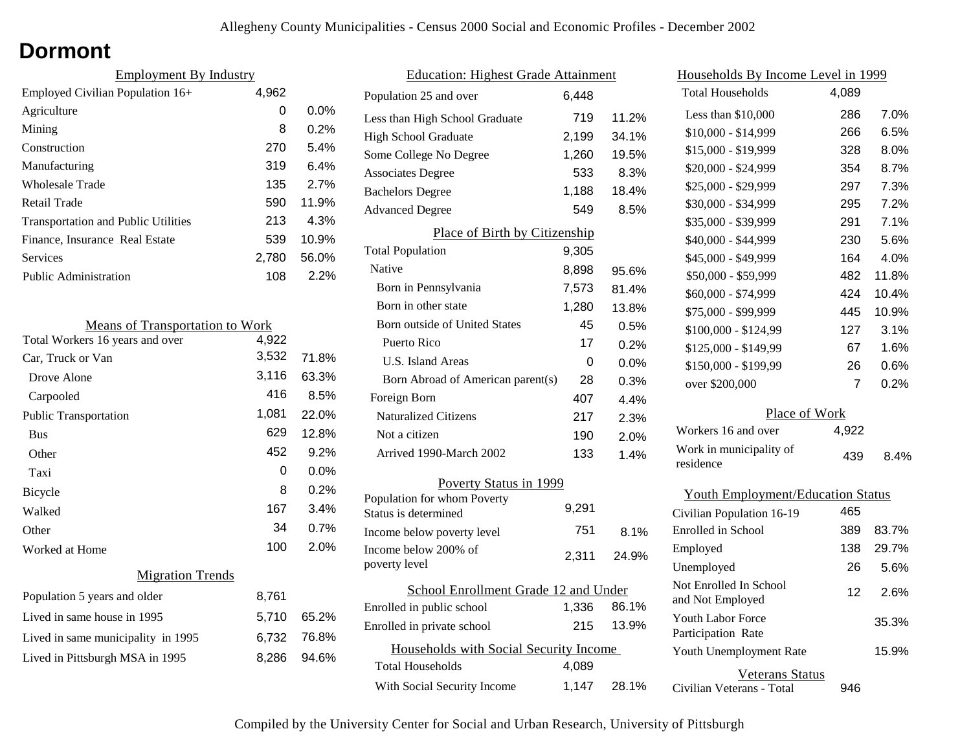## **Dormont**

| <b>Employment By Industry</b>              |       |         |
|--------------------------------------------|-------|---------|
| Employed Civilian Population 16+           | 4,962 |         |
| Agriculture                                | 0     | $0.0\%$ |
| Mining                                     | 8     | 0.2%    |
| Construction                               | 270   | 5.4%    |
| Manufacturing                              | 319   | 6.4%    |
| Wholesale Trade                            | 135   | 2.7%    |
| Retail Trade                               | 590   | 11.9%   |
| <b>Transportation and Public Utilities</b> | 213   | 4.3%    |
| Finance, Insurance Real Estate             | 539   | 10.9%   |
| Services                                   | 2,780 | 56.0%   |
| Public Administration                      | 108   | 2.2%    |

| <b>Means of Transportation to Work</b> |       |       |
|----------------------------------------|-------|-------|
| Total Workers 16 years and over        | 4,922 |       |
| Car, Truck or Van                      | 3,532 | 71.8% |
| Drove Alone                            | 3,116 | 63.3% |
| Carpooled                              | 416   | 8.5%  |
| <b>Public Transportation</b>           | 1,081 | 22.0% |
| <b>Bus</b>                             | 629   | 12.8% |
| Other                                  | 452   | 9.2%  |
| Taxi                                   | 0     | 0.0%  |
| Bicycle                                | 8     | 0.2%  |
| Walked                                 | 167   | 3.4%  |
| Other                                  | 34    | 0.7%  |
| Worked at Home                         | 100   | 2.0%  |
| <b>Migration Trends</b>                |       |       |
| Population 5 years and older           | 8,761 |       |
| Lived in same house in 1995            | 5,710 | 65.2% |
| Lived in same municipality in 1995     | 6,732 | 76.8% |
| Lived in Pittsburgh MSA in 1995        | 8,286 | 94.6% |
|                                        |       |       |

| <b>Education: Highest Grade Attainment</b>          |       |       |
|-----------------------------------------------------|-------|-------|
| Population 25 and over                              | 6,448 |       |
| Less than High School Graduate                      | 719   | 11.2% |
| <b>High School Graduate</b>                         | 2,199 | 34.1% |
| Some College No Degree                              | 1,260 | 19.5% |
| <b>Associates Degree</b>                            | 533   | 8.3%  |
| <b>Bachelors Degree</b>                             | 1,188 | 18.4% |
| <b>Advanced Degree</b>                              | 549   | 8.5%  |
| Place of Birth by Citizenship                       |       |       |
| <b>Total Population</b>                             | 9,305 |       |
| Native                                              | 8,898 | 95.6% |
| Born in Pennsylvania                                | 7,573 | 81.4% |
| Born in other state                                 | 1,280 | 13.8% |
| <b>Born outside of United States</b>                | 45    | 0.5%  |
| Puerto Rico                                         | 17    | 0.2%  |
| U.S. Island Areas                                   | 0     | 0.0%  |
| Born Abroad of American parent(s)                   | 28    | 0.3%  |
| Foreign Born                                        | 407   | 4.4%  |
| <b>Naturalized Citizens</b>                         | 217   | 2.3%  |
| Not a citizen                                       | 190   | 2.0%  |
| Arrived 1990-March 2002                             | 133   | 1.4%  |
| Poverty Status in 1999                              |       |       |
| Population for whom Poverty<br>Status is determined | 9,291 |       |
| Income below poverty level                          | 751   | 8.1%  |
| Income below 200% of<br>poverty level               | 2,311 | 24.9% |
| School Enrollment Grade 12 and Under                |       |       |
| Enrolled in public school                           | 1,336 | 86.1% |
| Enrolled in private school                          | 215   | 13.9% |
| Households with Social Security Income              |       |       |
| Total Households                                    | 4,089 |       |
| With Social Security Income                         | 1,147 | 28.1% |

| Households By Income Level in 1999             |                |       |
|------------------------------------------------|----------------|-------|
| <b>Total Households</b>                        | 4,089          |       |
| Less than \$10,000                             | 286            | 7.0%  |
| \$10,000 - \$14,999                            | 266            | 6.5%  |
| \$15,000 - \$19,999                            | 328            | 8.0%  |
| \$20,000 - \$24,999                            | 354            | 8.7%  |
| \$25,000 - \$29,999                            | 297            | 7.3%  |
| \$30,000 - \$34,999                            | 295            | 7.2%  |
| \$35,000 - \$39,999                            | 291            | 7.1%  |
| \$40,000 - \$44,999                            | 230            | 5.6%  |
| \$45,000 - \$49,999                            | 164            | 4.0%  |
| \$50,000 - \$59,999                            | 482            | 11.8% |
| \$60,000 - \$74,999                            | 424            | 10.4% |
| \$75,000 - \$99,999                            | 445            | 10.9% |
| \$100,000 - \$124,99                           | 127            | 3.1%  |
| \$125,000 - \$149,99                           | 67             | 1.6%  |
| \$150,000 - \$199,99                           | 26             | 0.6%  |
| over \$200,000                                 | $\overline{7}$ | 0.2%  |
| Place of Work                                  |                |       |
| Workers 16 and over                            | 4,922          |       |
| Work in municipality of<br>residence           | 439            | 8.4%  |
| <b>Youth Employment/Education Status</b>       |                |       |
| Civilian Population 16-19                      | 465            |       |
| <b>Enrolled</b> in School                      | 389            | 83.7% |
| Employed                                       | 138            | 29.7% |
| Unemployed                                     | 26             | 5.6%  |
| Not Enrolled In School<br>and Not Employed     | 12             | 2.6%  |
| <b>Youth Labor Force</b><br>Participation Rate |                | 35.3% |
| Youth Unemployment Rate                        |                | 15.9% |

Veterans Status

946

Civilian Veterans - Total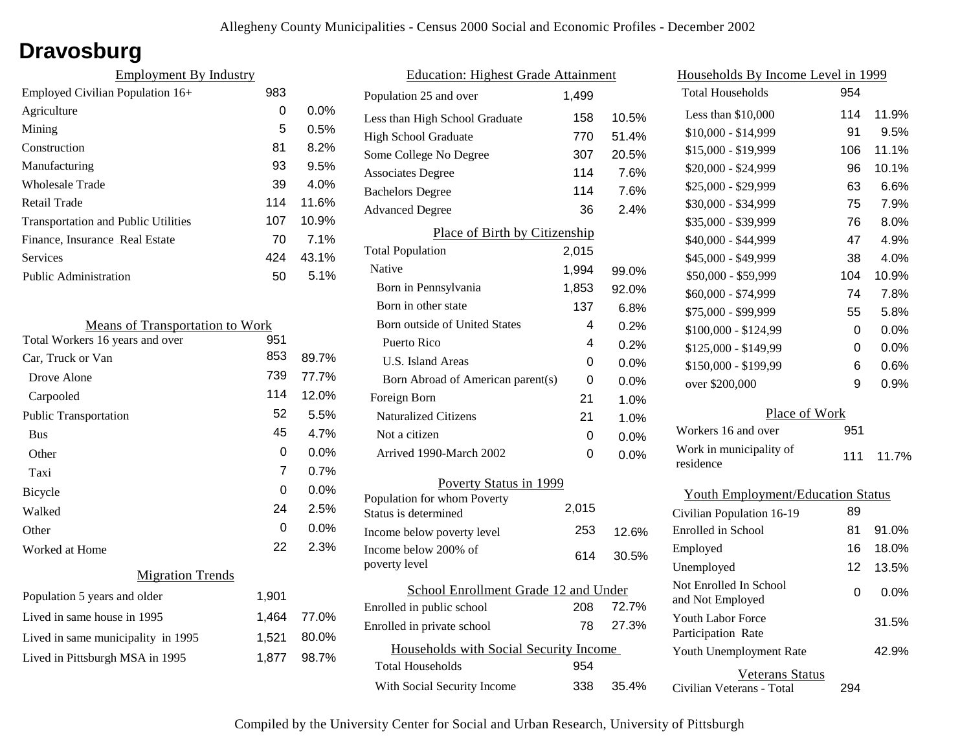## **Dravosburg**

| <b>Employment By Industry</b>              |     |         |
|--------------------------------------------|-----|---------|
| Employed Civilian Population 16+           | 983 |         |
| Agriculture                                | 0   | $0.0\%$ |
| Mining                                     | 5   | 0.5%    |
| Construction                               | 81  | 8.2%    |
| Manufacturing                              | 93  | 9.5%    |
| <b>Wholesale Trade</b>                     | 39  | 4.0%    |
| Retail Trade                               | 114 | 11.6%   |
| <b>Transportation and Public Utilities</b> | 107 | 10.9%   |
| Finance, Insurance Real Estate             | 70  | 7.1%    |
| Services                                   | 424 | 43.1%   |
| <b>Public Administration</b>               | 50  | 5.1%    |

| <b>Means of Transportation to Work</b> |          |         |
|----------------------------------------|----------|---------|
| Total Workers 16 years and over        | 951      |         |
| Car, Truck or Van                      | 853      | 89.7%   |
| Drove Alone                            | 739      | 77.7%   |
| Carpooled                              | 114      | 12.0%   |
| <b>Public Transportation</b>           | 52       | 5.5%    |
| <b>Bus</b>                             | 45       | 4.7%    |
| Other                                  | $\Omega$ | 0.0%    |
| Taxi                                   | 7        | 0.7%    |
| Bicycle                                | 0        | $0.0\%$ |
| Walked                                 | 24       | 2.5%    |
| Other                                  | 0        | 0.0%    |
| Worked at Home                         | 22       | 2.3%    |
| <b>Migration Trends</b>                |          |         |
| Population 5 years and older           | 1,901    |         |
| Lived in same house in 1995            | 1,464    | 77.0%   |
| Lived in same municipality in 1995     | 1,521    | 80.0%   |
| Lived in Pittsburgh MSA in 1995        | 1,877    | 98.7%   |

| <b>Education: Highest Grade Attainment</b>          |       |         |
|-----------------------------------------------------|-------|---------|
| Population 25 and over                              | 1,499 |         |
| Less than High School Graduate                      | 158   | 10.5%   |
| High School Graduate                                | 770   | 51.4%   |
| Some College No Degree                              | 307   | 20.5%   |
| <b>Associates Degree</b>                            | 114   | 7.6%    |
| <b>Bachelors Degree</b>                             | 114   | 7.6%    |
| <b>Advanced Degree</b>                              | 36    | 2.4%    |
| <b>Place of Birth by Citizenship</b>                |       |         |
| <b>Total Population</b>                             | 2,015 |         |
| Native                                              | 1,994 | 99.0%   |
| Born in Pennsylvania                                | 1,853 | 92.0%   |
| Born in other state                                 | 137   | $6.8\%$ |
| Born outside of United States                       | 4     | 0.2%    |
| Puerto Rico                                         | 4     | 0.2%    |
| U.S. Island Areas                                   | 0     | 0.0%    |
| Born Abroad of American parent(s)                   | 0     | 0.0%    |
| Foreign Born                                        | 21    | 1.0%    |
| <b>Naturalized Citizens</b>                         | 21    | 1.0%    |
| Not a citizen                                       | 0     | 0.0%    |
| Arrived 1990-March 2002                             | 0     | 0.0%    |
| Poverty Status in 1999                              |       |         |
| Population for whom Poverty<br>Status is determined | 2,015 |         |
| Income below poverty level                          | 253   | 12.6%   |
| Income below 200% of<br>poverty level               | 614   | 30.5%   |
| School Enrollment Grade 12 and Under                |       |         |
| Enrolled in public school                           | 208   | 72.7%   |
| Enrolled in private school                          | 78    | 27.3%   |
| Households with Social Security Income              |       |         |
| <b>Total Households</b>                             | 954   |         |
| With Social Security Income                         | 338   | 35.4%   |
|                                                     |       |         |

| <u>Households By Income Level in 1999</u>  |     |         |
|--------------------------------------------|-----|---------|
| <b>Total Households</b>                    | 954 |         |
| Less than \$10,000                         | 114 | 11.9%   |
| $$10,000 - $14,999$                        | 91  | 9.5%    |
| \$15,000 - \$19,999                        | 106 | 11.1%   |
| \$20,000 - \$24,999                        | 96  | 10.1%   |
| \$25,000 - \$29,999                        | 63  | 6.6%    |
| \$30,000 - \$34,999                        | 75  | 7.9%    |
| \$35,000 - \$39,999                        | 76  | 8.0%    |
| \$40,000 - \$44,999                        | 47  | 4.9%    |
| \$45,000 - \$49,999                        | 38  | 4.0%    |
| \$50,000 - \$59,999                        | 104 | 10.9%   |
| \$60,000 - \$74,999                        | 74  | 7.8%    |
| \$75,000 - \$99,999                        | 55  | 5.8%    |
| \$100,000 - \$124,99                       | 0   | 0.0%    |
| \$125,000 - \$149,99                       | 0   | 0.0%    |
| \$150,000 - \$199,99                       | 6   | 0.6%    |
| over \$200,000                             | 9   | 0.9%    |
| Place of Work                              |     |         |
| Workers 16 and over                        | 951 |         |
| Work in municipality of<br>residence       | 111 | 11.7%   |
| <b>Youth Employment/Education Status</b>   |     |         |
| Civilian Population 16-19                  | 89  |         |
| Enrolled in School                         | 81  | 91.0%   |
| Employed                                   | 16  | 18.0%   |
| Unemployed                                 | 12  | 13.5%   |
| Not Enrolled In School<br>and Not Employed | 0   | $0.0\%$ |

Civilian Veterans - Total

Youth Unemployment Rate

Youth Labor Force Participation Rate

Veterans Status

294

42.9%

31.5%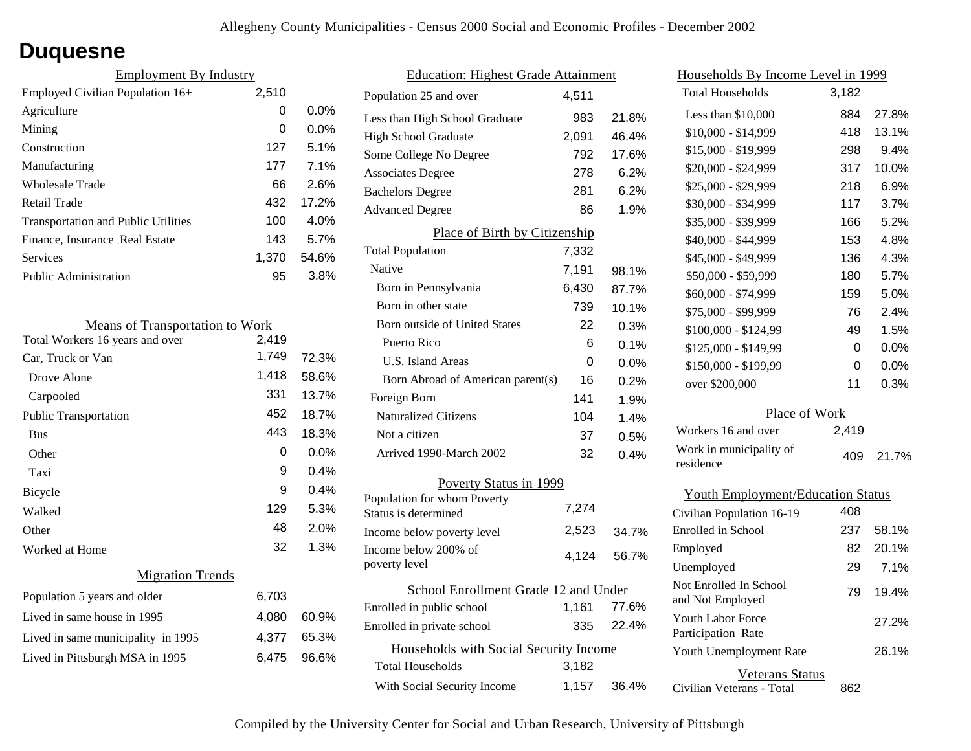### **Duquesne**

| <b>Employment By Industry</b>              |       |         |
|--------------------------------------------|-------|---------|
| Employed Civilian Population 16+           | 2,510 |         |
| Agriculture                                | 0     | $0.0\%$ |
| Mining                                     | 0     | $0.0\%$ |
| Construction                               | 127   | 5.1%    |
| Manufacturing                              | 177   | 7.1%    |
| Wholesale Trade                            | 66    | 2.6%    |
| Retail Trade                               | 432   | 17.2%   |
| <b>Transportation and Public Utilities</b> | 100   | 4.0%    |
| Finance, Insurance Real Estate             | 143   | 5.7%    |
| Services                                   | 1,370 | 54.6%   |
| Public Administration                      | 95    | 3.8%    |

| <b>Means of Transportation to Work</b> |       |
|----------------------------------------|-------|
| 2,419                                  |       |
| 1,749                                  | 72.3% |
| 1,418                                  | 58.6% |
| 331                                    | 13.7% |
| 452                                    | 18.7% |
| 443                                    | 18.3% |
| 0                                      | 0.0%  |
| 9                                      | 0.4%  |
| 9                                      | 0.4%  |
| 129                                    | 5.3%  |
| 48                                     | 2.0%  |
| 32                                     | 1.3%  |
|                                        |       |
| 6,703                                  |       |
| 4,080                                  | 60.9% |
| 4,377                                  | 65.3% |
| 6,475                                  | 96.6% |
|                                        |       |

| <b>Education: Highest Grade Attainment</b>          |       |       |
|-----------------------------------------------------|-------|-------|
| Population 25 and over                              | 4,511 |       |
| Less than High School Graduate                      | 983   | 21.8% |
| <b>High School Graduate</b>                         | 2,091 | 46.4% |
| Some College No Degree                              | 792   | 17.6% |
| <b>Associates Degree</b>                            | 278   | 6.2%  |
| <b>Bachelors Degree</b>                             | 281   | 6.2%  |
| <b>Advanced Degree</b>                              | 86    | 1.9%  |
| Place of Birth by Citizenship                       |       |       |
| <b>Total Population</b>                             | 7,332 |       |
| Native                                              | 7,191 | 98.1% |
| Born in Pennsylvania                                | 6,430 | 87.7% |
| Born in other state                                 | 739   | 10.1% |
| <b>Born outside of United States</b>                | 22    | 0.3%  |
| Puerto Rico                                         | 6     | 0.1%  |
| U.S. Island Areas                                   | 0     | 0.0%  |
| Born Abroad of American parent(s)                   | 16    | 0.2%  |
| Foreign Born                                        | 141   | 1.9%  |
| <b>Naturalized Citizens</b>                         | 104   | 1.4%  |
| Not a citizen                                       | 37    | 0.5%  |
| Arrived 1990-March 2002                             | 32    | 0.4%  |
| Poverty Status in 1999                              |       |       |
| Population for whom Poverty<br>Status is determined | 7,274 |       |
| Income below poverty level                          | 2,523 | 34.7% |
| Income below 200% of<br>poverty level               | 4,124 | 56.7% |
| School Enrollment Grade 12 and Under                |       |       |
| Enrolled in public school                           | 1,161 | 77.6% |
| Enrolled in private school                          | 335   | 22.4% |
| Households with Social Security Income              |       |       |
| <b>Total Households</b>                             | 3,182 |       |
| With Social Security Income                         | 1,157 | 36.4% |

| <u>Households By Income Level in 1999</u> |       |         |
|-------------------------------------------|-------|---------|
| <b>Total Households</b>                   | 3,182 |         |
| Less than \$10,000                        | 884   | 27.8%   |
| $$10,000 - $14,999$                       | 418   | 13.1%   |
| \$15,000 - \$19,999                       | 298   | 9.4%    |
| \$20,000 - \$24,999                       | 317   | 10.0%   |
| \$25,000 - \$29,999                       | 218   | 6.9%    |
| \$30,000 - \$34,999                       | 117   | 3.7%    |
| \$35,000 - \$39,999                       | 166   | 5.2%    |
| \$40,000 - \$44,999                       | 153   | 4.8%    |
| \$45,000 - \$49,999                       | 136   | 4.3%    |
| \$50,000 - \$59,999                       | 180   | 5.7%    |
| \$60,000 - \$74,999                       | 159   | 5.0%    |
| \$75,000 - \$99,999                       | 76    | 2.4%    |
| \$100,000 - \$124,99                      | 49    | 1.5%    |
| \$125,000 - \$149,99                      | 0     | 0.0%    |
| \$150,000 - \$199,99                      | 0     | $0.0\%$ |
| over \$200,000                            | 11    | 0.3%    |
| Place of Work                             |       |         |
| Workers 16 and over                       | 2,419 |         |
| Work in municipality of<br>residence      | 409   | 21.7%   |
| <b>Youth Employment/Education Status</b>  |       |         |
| Civilian Population 16-19                 | 408   |         |
| Enrolled in School                        | 237   | 58.1%   |
| Employed                                  | 82    | 20.1%   |
| Unemployed                                | 29    | 7.1%    |
|                                           |       |         |

Civilian Veterans - Total

Youth Unemployment Rate

Youth Labor Force Participation Rate

Not Enrolled In School

Veterans Status

Not Employed 79 19.4%

862

26.1%

27.2%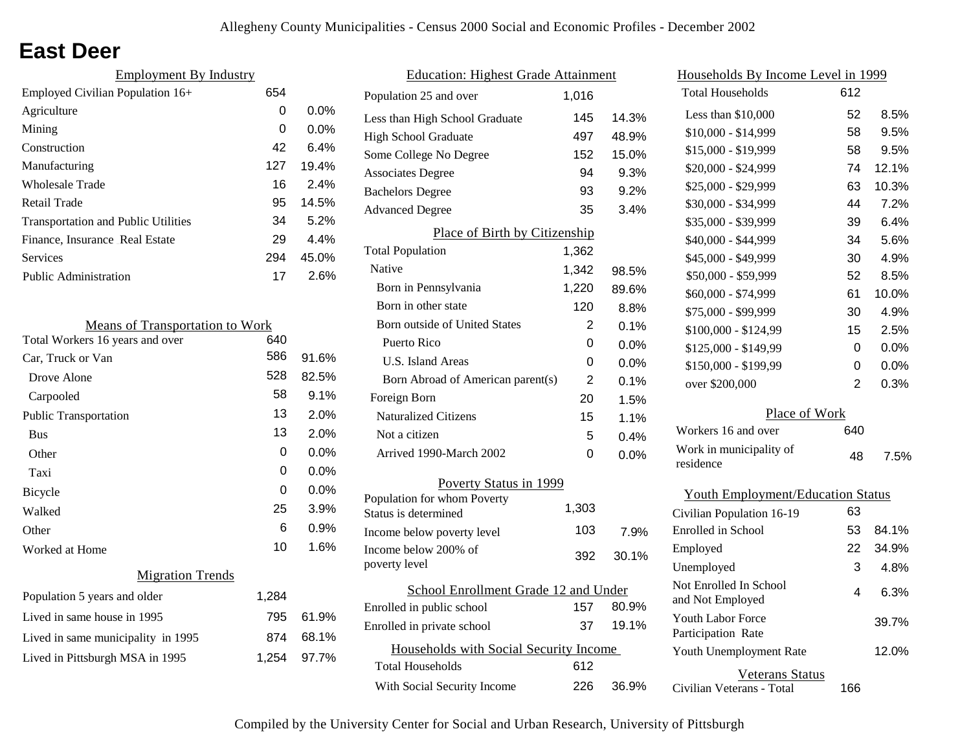## **East Deer**

| <b>Employment By Industry</b>              |     |         |
|--------------------------------------------|-----|---------|
| Employed Civilian Population 16+           | 654 |         |
| Agriculture                                | 0   | $0.0\%$ |
| Mining                                     | 0   | $0.0\%$ |
| Construction                               | 42  | 6.4%    |
| Manufacturing                              | 127 | 19.4%   |
| Wholesale Trade                            | 16  | 2.4%    |
| Retail Trade                               | 95  | 14.5%   |
| <b>Transportation and Public Utilities</b> | 34  | 5.2%    |
| Finance, Insurance Real Estate             | 29  | 4.4%    |
| Services                                   | 294 | 45.0%   |
| <b>Public Administration</b>               | 17  | 2.6%    |

| <b>Means of Transportation to Work</b> |       |         |
|----------------------------------------|-------|---------|
| Total Workers 16 years and over        | 640   |         |
| Car, Truck or Van                      | 586   | 91.6%   |
| Drove Alone                            | 528   | 82.5%   |
| Carpooled                              | 58    | 9.1%    |
| <b>Public Transportation</b>           | 13    | 2.0%    |
| <b>Bus</b>                             | 13    | 2.0%    |
| Other                                  | 0     | $0.0\%$ |
| Taxi                                   | 0     | 0.0%    |
| Bicycle                                | 0     | 0.0%    |
| Walked                                 | 25    | 3.9%    |
| Other                                  | 6     | 0.9%    |
| Worked at Home                         | 10    | 1.6%    |
| <b>Migration Trends</b>                |       |         |
| Population 5 years and older           | 1,284 |         |
| Lived in same house in 1995            | 795   | 61.9%   |
| Lived in same municipality in 1995     | 874   | 68.1%   |
| Lived in Pittsburgh MSA in 1995        | 1,254 | 97.7%   |
|                                        |       |         |

| <b>Education: Highest Grade Attainment</b>          |                               |         |
|-----------------------------------------------------|-------------------------------|---------|
| Population 25 and over                              | 1.016                         |         |
| Less than High School Graduate                      | 145                           | 14.3%   |
| <b>High School Graduate</b>                         | 497                           | 48.9%   |
| Some College No Degree                              | 152                           | 15.0%   |
| <b>Associates Degree</b>                            | 94                            | 9.3%    |
| <b>Bachelors Degree</b>                             | 93                            | 9.2%    |
| <b>Advanced Degree</b>                              | 35                            | 3.4%    |
|                                                     | Place of Birth by Citizenship |         |
| <b>Total Population</b>                             | 1,362                         |         |
| Native                                              | 1,342                         | 98.5%   |
| Born in Pennsylvania                                | 1,220                         | 89.6%   |
| Born in other state                                 | 120                           | 8.8%    |
| Born outside of United States                       | 2                             | 0.1%    |
| Puerto Rico                                         | 0                             | 0.0%    |
| U.S. Island Areas                                   | 0                             | 0.0%    |
| Born Abroad of American parent(s)                   | $\overline{2}$                | 0.1%    |
| Foreign Born                                        | 20                            | 1.5%    |
| <b>Naturalized Citizens</b>                         | 15                            | 1.1%    |
| Not a citizen                                       | 5                             | 0.4%    |
| Arrived 1990-March 2002                             | 0                             | $0.0\%$ |
| Poverty Status in 1999                              |                               |         |
| Population for whom Poverty<br>Status is determined | 1,303                         |         |
| Income below poverty level                          | 103                           | 7.9%    |
| Income below 200% of<br>poverty level               | 392                           | 30.1%   |
| School Enrollment Grade 12 and Under                |                               |         |
| Enrolled in public school                           | 157                           | 80.9%   |
| Enrolled in private school                          | 37                            | 19.1%   |
| Households with Social Security Income              |                               |         |
| <b>Total Households</b>                             | 612                           |         |
| With Social Security Income                         | 226                           | 36.9%   |
|                                                     |                               |         |

| <u>Households By Income Level in 1999</u>  |     |         |
|--------------------------------------------|-----|---------|
| <b>Total Households</b>                    | 612 |         |
| Less than \$10,000                         | 52  | 8.5%    |
| $$10,000 - $14,999$                        | 58  | 9.5%    |
| \$15,000 - \$19,999                        | 58  | 9.5%    |
| \$20,000 - \$24,999                        | 74  | 12.1%   |
| \$25,000 - \$29,999                        | 63  | 10.3%   |
| \$30,000 - \$34,999                        | 44  | 7.2%    |
| \$35,000 - \$39,999                        | 39  | 6.4%    |
| \$40,000 - \$44,999                        | 34  | 5.6%    |
| \$45,000 - \$49,999                        | 30  | 4.9%    |
| \$50,000 - \$59,999                        | 52  | 8.5%    |
| \$60,000 - \$74,999                        | 61  | 10.0%   |
| \$75,000 - \$99,999                        | 30  | 4.9%    |
| \$100,000 - \$124,99                       | 15  | 2.5%    |
| \$125,000 - \$149,99                       | 0   | 0.0%    |
| \$150,000 - \$199,99                       | 0   | $0.0\%$ |
| over \$200,000                             | 2   | 0.3%    |
| Place of Work                              |     |         |
| Workers 16 and over                        | 640 |         |
| Work in municipality of<br>residence       | 48  | 7.5%    |
| <b>Youth Employment/Education Status</b>   |     |         |
| Civilian Population 16-19                  | 63  |         |
| Enrolled in School                         | 53  | 84.1%   |
| Employed                                   | 22  | 34.9%   |
| Unemployed                                 | 3   | 4.8%    |
| Not Enrolled In School<br>and Not Employed | 4   | 6.3%    |

Civilian Veterans - Total

Youth Unemployment Rate

Youth Labor Force Participation Rate

Veterans Status

166

12.0%

39.7%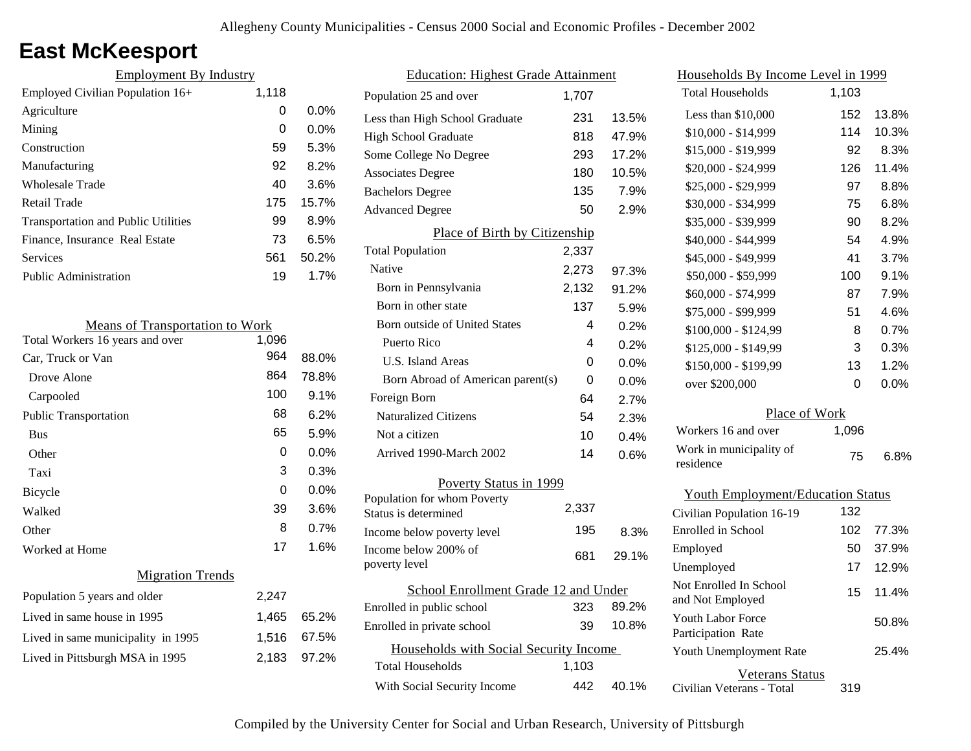# **East McKeesport**

| <b>Employment By Industry</b>              |       |         |
|--------------------------------------------|-------|---------|
| Employed Civilian Population 16+           | 1,118 |         |
| Agriculture                                | 0     | 0.0%    |
| Mining                                     | 0     | $0.0\%$ |
| Construction                               | 59    | 5.3%    |
| Manufacturing                              | 92    | 8.2%    |
| <b>Wholesale Trade</b>                     | 40    | 3.6%    |
| Retail Trade                               | 175   | 15.7%   |
| <b>Transportation and Public Utilities</b> | 99    | 8.9%    |
| Finance, Insurance Real Estate             | 73    | 6.5%    |
| Services                                   | 561   | 50.2%   |
| Public Administration                      | 19    | 1.7%    |

| <b>Means of Transportation to Work</b> |       |       |
|----------------------------------------|-------|-------|
| Total Workers 16 years and over        | 1,096 |       |
| Car, Truck or Van                      | 964   | 88.0% |
| Drove Alone                            | 864   | 78.8% |
| Carpooled                              | 100   | 9.1%  |
| <b>Public Transportation</b>           | 68    | 6.2%  |
| <b>Bus</b>                             | 65    | 5.9%  |
| Other                                  | 0     | 0.0%  |
| Taxi                                   | 3     | 0.3%  |
| Bicycle                                | 0     | 0.0%  |
| Walked                                 | 39    | 3.6%  |
| Other                                  | 8     | 0.7%  |
| Worked at Home                         | 17    | 1.6%  |
| <b>Migration Trends</b>                |       |       |
| Population 5 years and older           | 2,247 |       |
| Lived in same house in 1995            | 1,465 | 65.2% |
| Lived in same municipality in 1995     | 1,516 | 67.5% |
| Lived in Pittsburgh MSA in 1995        | 2,183 | 97.2% |
|                                        |       |       |

| <b>Education: Highest Grade Attainment</b> |          |       |
|--------------------------------------------|----------|-------|
| Population 25 and over                     | 1,707    |       |
| Less than High School Graduate             | 231      | 13.5% |
| <b>High School Graduate</b>                | 818      | 47.9% |
| Some College No Degree                     | 293      | 17.2% |
| <b>Associates Degree</b>                   | 180      | 10.5% |
| <b>Bachelors Degree</b>                    | 135      | 7.9%  |
| <b>Advanced Degree</b>                     | 50       | 2.9%  |
| Place of Birth by Citizenship              |          |       |
| <b>Total Population</b>                    | 2,337    |       |
| Native                                     | 2,273    | 97.3% |
| Born in Pennsylvania                       | 2,132    | 91.2% |
| Born in other state                        | 137      | 5.9%  |
| <b>Born outside of United States</b>       | 4        | 0.2%  |
| Puerto Rico                                | 4        | 0.2%  |
| <b>U.S. Island Areas</b>                   | $\Omega$ | 0.0%  |
| Born Abroad of American parent(s)          | 0        | 0.0%  |
| Foreign Born                               | 64       | 2.7%  |
| <b>Naturalized Citizens</b>                | 54       | 2.3%  |
| Not a citizen                              | 10       | 0.4%  |
| Arrived 1990-March 2002                    | 14       | 0.6%  |
| Poverty Status in 1999                     |          |       |
| Population for whom Poverty                | 2,337    |       |
| Status is determined                       |          |       |
| Income below poverty level                 | 195      | 8.3%  |
| Income below 200% of<br>poverty level      | 681      | 29.1% |
|                                            |          |       |
| School Enrollment Grade 12 and Under       | 323      | 89.2% |
| Enrolled in public school                  | 39       | 10.8% |
| Enrolled in private school                 |          |       |
| Households with Social Security Income     |          |       |
| <b>Total Households</b>                    | 1,103    |       |
| With Social Security Income                | 442      | 40.1% |

| <u>Households By Income Level in 1999</u>      |       |       |
|------------------------------------------------|-------|-------|
| <b>Total Households</b>                        | 1,103 |       |
| Less than \$10,000                             | 152   | 13.8% |
| $$10,000 - $14,999$                            | 114   | 10.3% |
| \$15,000 - \$19,999                            | 92    | 8.3%  |
| \$20,000 - \$24,999                            | 126   | 11.4% |
| \$25,000 - \$29,999                            | 97    | 8.8%  |
| \$30,000 - \$34,999                            | 75    | 6.8%  |
| \$35,000 - \$39,999                            | 90    | 8.2%  |
| \$40,000 - \$44,999                            | 54    | 4.9%  |
| \$45,000 - \$49,999                            | 41    | 3.7%  |
| \$50,000 - \$59,999                            | 100   | 9.1%  |
| \$60,000 - \$74,999                            | 87    | 7.9%  |
| \$75,000 - \$99,999                            | 51    | 4.6%  |
| \$100,000 - \$124,99                           | 8     | 0.7%  |
| \$125,000 - \$149,99                           | 3     | 0.3%  |
| \$150,000 - \$199,99                           | 13    | 1.2%  |
| over \$200,000                                 | 0     | 0.0%  |
| Place of Work                                  |       |       |
| Workers 16 and over                            | 1,096 |       |
| Work in municipality of<br>residence           | 75    | 6.8%  |
| <b>Youth Employment/Education Status</b>       |       |       |
| Civilian Population 16-19                      | 132   |       |
| Enrolled in School                             | 102   | 77.3% |
| Employed                                       | 50    | 37.9% |
| Unemployed                                     | 17    | 12.9% |
| Not Enrolled In School<br>and Not Employed     | 15    | 11.4% |
| <b>Youth Labor Force</b><br>Participation Rate |       | 50.8% |

Civilian Veterans - Total

Youth Unemployment Rate

Veterans Status

319

25.4%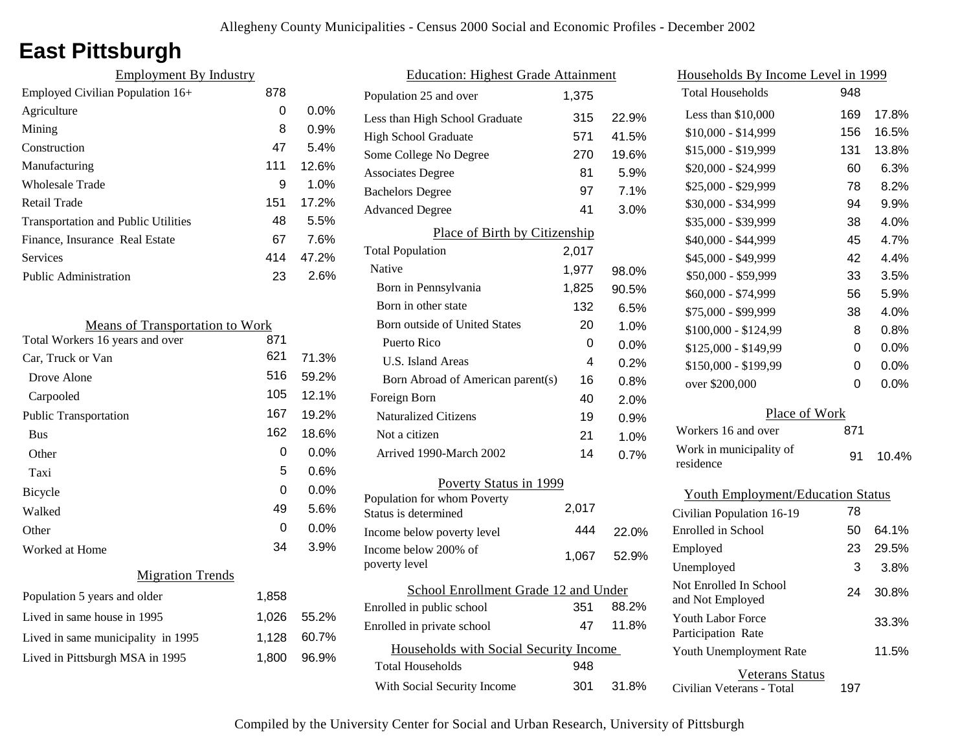# **East Pittsburgh**

| <b>Employment By Industry</b>              |     |         |
|--------------------------------------------|-----|---------|
| Employed Civilian Population 16+           | 878 |         |
| Agriculture                                | 0   | $0.0\%$ |
| Mining                                     | 8   | 0.9%    |
| Construction                               | 47  | 5.4%    |
| Manufacturing                              | 111 | 12.6%   |
| Wholesale Trade                            | 9   | 1.0%    |
| <b>Retail Trade</b>                        | 151 | 17.2%   |
| <b>Transportation and Public Utilities</b> | 48  | 5.5%    |
| Finance, Insurance Real Estate             | 67  | 7.6%    |
| <b>Services</b>                            | 414 | 47.2%   |
| Public Administration                      | 23  | 2.6%    |
|                                            |     |         |

| <b>Means of Transportation to Work</b> |       |         |
|----------------------------------------|-------|---------|
| Total Workers 16 years and over        | 871   |         |
| Car, Truck or Van                      | 621   | 71.3%   |
| Drove Alone                            | 516   | 59.2%   |
| Carpooled                              | 105   | 12.1%   |
| <b>Public Transportation</b>           | 167   | 19.2%   |
| <b>Bus</b>                             | 162   | 18.6%   |
| Other                                  | 0     | $0.0\%$ |
| Taxi                                   | 5     | 0.6%    |
| Bicycle                                | 0     | 0.0%    |
| Walked                                 | 49    | 5.6%    |
| Other                                  | 0     | $0.0\%$ |
| Worked at Home                         | 34    | 3.9%    |
| <b>Migration Trends</b>                |       |         |
| Population 5 years and older           | 1,858 |         |
| Lived in same house in 1995            | 1,026 | 55.2%   |
| Lived in same municipality in 1995     | 1,128 | 60.7%   |
| Lived in Pittsburgh MSA in 1995        | 1,800 | 96.9%   |
|                                        |       |         |

| <b>Education: Highest Grade Attainment</b> |       |         |
|--------------------------------------------|-------|---------|
| Population 25 and over                     | 1,375 |         |
| Less than High School Graduate             | 315   | 22.9%   |
| <b>High School Graduate</b>                | 571   | 41.5%   |
| Some College No Degree                     | 270   | 19.6%   |
| <b>Associates Degree</b>                   | 81    | 5.9%    |
| <b>Bachelors Degree</b>                    | 97    | 7.1%    |
| <b>Advanced Degree</b>                     | 41    | 3.0%    |
| Place of Birth by Citizenship              |       |         |
| <b>Total Population</b>                    | 2,017 |         |
| Native                                     | 1,977 | 98.0%   |
| Born in Pennsylvania                       | 1,825 | 90.5%   |
| Born in other state                        | 132   | 6.5%    |
| Born outside of United States              | 20    | 1.0%    |
| Puerto Rico                                | 0     | $0.0\%$ |
| <b>U.S. Island Areas</b>                   | 4     | 0.2%    |
| Born Abroad of American parent(s)          | 16    | 0.8%    |
| Foreign Born                               | 40    | 2.0%    |
| <b>Naturalized Citizens</b>                | 19    | 0.9%    |
| Not a citizen                              | 21    | 1.0%    |
| Arrived 1990-March 2002                    | 14    | 0.7%    |
| Poverty Status in 1999                     |       |         |
| Population for whom Poverty                | 2,017 |         |
| Status is determined                       |       |         |
| Income below poverty level                 | 444   | 22.0%   |
| Income below 200% of<br>poverty level      | 1,067 | 52.9%   |
| School Enrollment Grade 12 and Under       |       |         |
| Enrolled in public school                  | 351   | 88.2%   |
| Enrolled in private school                 | 47    | 11.8%   |
| Households with Social Security Income     |       |         |
| <b>Total Households</b>                    | 948   |         |
| With Social Security Income                | 301   | 31.8%   |

| Households By Income Level in 1999         |     |         |
|--------------------------------------------|-----|---------|
| <b>Total Households</b>                    | 948 |         |
| Less than \$10,000                         | 169 | 17.8%   |
| \$10,000 - \$14,999                        | 156 | 16.5%   |
| \$15,000 - \$19,999                        | 131 | 13.8%   |
| \$20,000 - \$24,999                        | 60  | 6.3%    |
| \$25,000 - \$29,999                        | 78  | 8.2%    |
| \$30,000 - \$34,999                        | 94  | 9.9%    |
| \$35,000 - \$39,999                        | 38  | 4.0%    |
| \$40,000 - \$44,999                        | 45  | 4.7%    |
| \$45,000 - \$49,999                        | 42  | 4.4%    |
| \$50,000 - \$59,999                        | 33  | 3.5%    |
| \$60,000 - \$74,999                        | 56  | 5.9%    |
| \$75,000 - \$99,999                        | 38  | 4.0%    |
| \$100,000 - \$124,99                       | 8   | 0.8%    |
| $$125,000 - $149,99$                       | 0   | $0.0\%$ |
| \$150,000 - \$199,99                       | 0   | 0.0%    |
| over \$200,000                             | 0   | 0.0%    |
| Place of Work                              |     |         |
| Workers 16 and over                        | 871 |         |
| Work in municipality of<br>residence       | 91  | 10.4%   |
|                                            |     |         |
| <b>Youth Employment/Education Status</b>   |     |         |
| Civilian Population 16-19                  | 78  |         |
| Enrolled in School                         | 50  | 64.1%   |
| Employed                                   | 23  | 29.5%   |
| Unemployed                                 | 3   | 3.8%    |
| Not Enrolled In School<br>and Not Employed | 24  | 30.8%   |
| <b>Youth Labor Force</b>                   |     | 33.3%   |

Civilian Veterans - Total

Youth Unemployment Rate

Participation Rate

Veterans Status

197

11.5%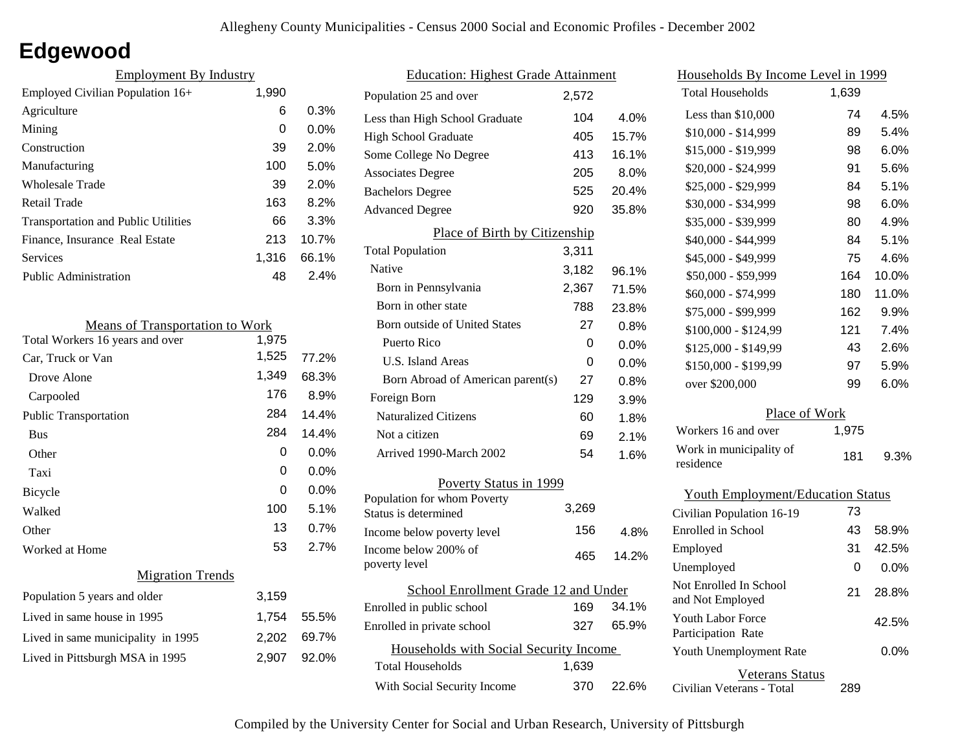# **Edgewood**

| <b>Employment By Industry</b>              |       |         |
|--------------------------------------------|-------|---------|
| Employed Civilian Population 16+           | 1,990 |         |
| Agriculture                                | 6     | 0.3%    |
| Mining                                     | 0     | $0.0\%$ |
| Construction                               | 39    | 2.0%    |
| Manufacturing                              | 100   | 5.0%    |
| Wholesale Trade                            | 39    | 2.0%    |
| Retail Trade                               | 163   | 8.2%    |
| <b>Transportation and Public Utilities</b> | 66    | 3.3%    |
| Finance, Insurance Real Estate             | 213   | 10.7%   |
| Services                                   | 1,316 | 66.1%   |
| Public Administration                      | 48    | 2.4%    |

| <b>Means of Transportation to Work</b> |       |         |
|----------------------------------------|-------|---------|
| Total Workers 16 years and over        | 1,975 |         |
| Car, Truck or Van                      | 1,525 | 77.2%   |
| Drove Alone                            | 1,349 | 68.3%   |
| Carpooled                              | 176   | 8.9%    |
| <b>Public Transportation</b>           | 284   | 14.4%   |
| <b>Bus</b>                             | 284   | 14.4%   |
| Other                                  | 0     | $0.0\%$ |
| Taxi                                   | 0     | 0.0%    |
| Bicycle                                | 0     | 0.0%    |
| Walked                                 | 100   | 5.1%    |
| Other                                  | 13    | 0.7%    |
| Worked at Home                         | 53    | 2.7%    |
| <b>Migration Trends</b>                |       |         |
| Population 5 years and older           | 3,159 |         |
| Lived in same house in 1995            | 1,754 | 55.5%   |
| Lived in same municipality in 1995     | 2,202 | 69.7%   |
| Lived in Pittsburgh MSA in 1995        | 2,907 | 92.0%   |
|                                        |       |         |

| <b>Education: Highest Grade Attainment</b>          |       |         |
|-----------------------------------------------------|-------|---------|
| Population 25 and over                              | 2,572 |         |
| Less than High School Graduate                      | 104   | 4.0%    |
| <b>High School Graduate</b>                         | 405   | 15.7%   |
| Some College No Degree                              | 413   | 16.1%   |
| <b>Associates Degree</b>                            | 205   | $8.0\%$ |
| <b>Bachelors Degree</b>                             | 525   | 20.4%   |
| <b>Advanced Degree</b>                              | 920   | 35.8%   |
| Place of Birth by Citizenship                       |       |         |
| <b>Total Population</b>                             | 3,311 |         |
| Native                                              | 3,182 | 96.1%   |
| Born in Pennsylvania                                | 2,367 | 71.5%   |
| Born in other state                                 | 788   | 23.8%   |
| <b>Born outside of United States</b>                | 27    | 0.8%    |
| Puerto Rico                                         | 0     | $0.0\%$ |
| U.S. Island Areas                                   | 0     | $0.0\%$ |
| Born Abroad of American parent(s)                   | 27    | 0.8%    |
| Foreign Born                                        | 129   | 3.9%    |
| <b>Naturalized Citizens</b>                         | 60    | 1.8%    |
| Not a citizen                                       | 69    | 2.1%    |
| Arrived 1990-March 2002                             | 54    | 1.6%    |
| Poverty Status in 1999                              |       |         |
| Population for whom Poverty<br>Status is determined | 3.269 |         |
| Income below poverty level                          | 156   | 4.8%    |
| Income below 200% of<br>poverty level               | 465   | 14.2%   |
| School Enrollment Grade 12 and Under                |       |         |
| Enrolled in public school                           | 169   | 34.1%   |
| Enrolled in private school                          | 327   | 65.9%   |
| Households with Social Security Income              |       |         |
| Total Households                                    | 1,639 |         |
| With Social Security Income                         | 370   | 22.6%   |

| Households By Income Level in 1999         |       |       |
|--------------------------------------------|-------|-------|
| Total Households                           | 1,639 |       |
| Less than \$10,000                         | 74    | 4.5%  |
| \$10,000 - \$14,999                        | 89    | 5.4%  |
| \$15,000 - \$19,999                        | 98    | 6.0%  |
| \$20,000 - \$24,999                        | 91    | 5.6%  |
| \$25,000 - \$29,999                        | 84    | 5.1%  |
| \$30,000 - \$34,999                        | 98    | 6.0%  |
| \$35,000 - \$39,999                        | 80    | 4.9%  |
| \$40,000 - \$44,999                        | 84    | 5.1%  |
| \$45,000 - \$49,999                        | 75    | 4.6%  |
| \$50,000 - \$59,999                        | 164   | 10.0% |
| \$60,000 - \$74,999                        | 180   | 11.0% |
| \$75,000 - \$99,999                        | 162   | 9.9%  |
| \$100,000 - \$124,99                       | 121   | 7.4%  |
| \$125,000 - \$149,99                       | 43    | 2.6%  |
| \$150,000 - \$199,99                       | 97    | 5.9%  |
| over \$200,000                             | 99    | 6.0%  |
| Place of Work                              |       |       |
| Workers 16 and over                        | 1,975 |       |
| Work in municipality of<br>residence       | 181   | 9.3%  |
| <b>Youth Employment/Education Status</b>   |       |       |
| Civilian Population 16-19                  | 73    |       |
| <b>Enrolled</b> in School                  | 43    | 58.9% |
| Employed                                   | 31    | 42.5% |
| Unemployed                                 | 0     | 0.0%  |
| Not Enrolled In School<br>and Not Employed | 21    | 28.8% |
| Youth Labor Force<br>Participation Rate    |       | 42.5% |
| Youth Unemployment Rate                    |       | 0.0%  |

Civilian Veterans - Total Veterans Status 289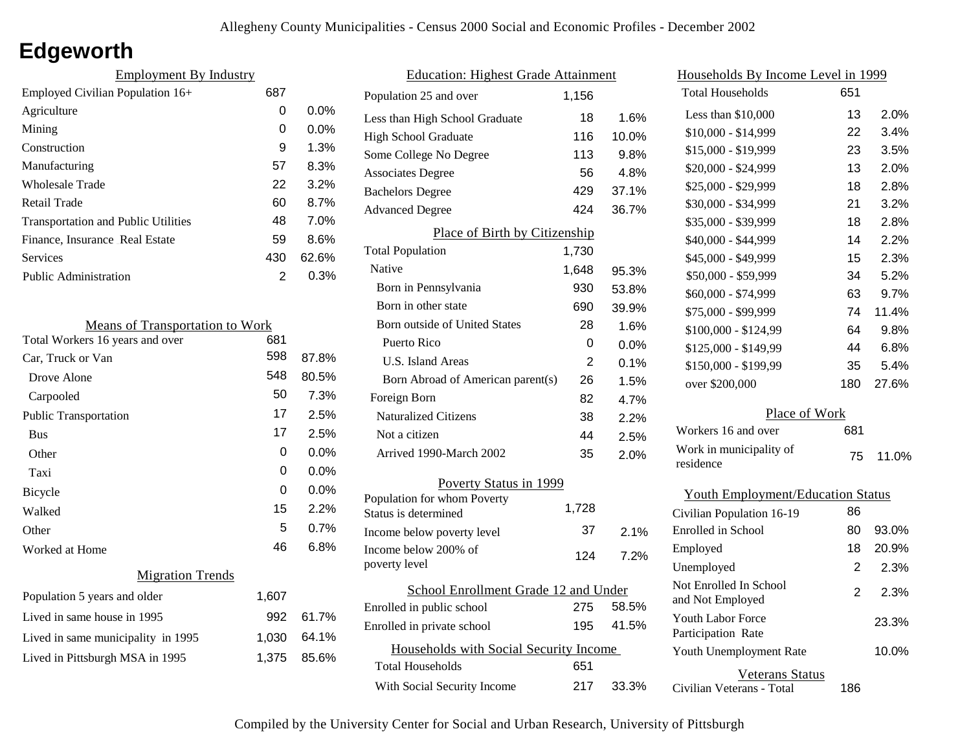# **Edgeworth**

| <b>Employment By Industry</b>              |     |         |
|--------------------------------------------|-----|---------|
| Employed Civilian Population 16+           | 687 |         |
| Agriculture                                | 0   | $0.0\%$ |
| Mining                                     | 0   | $0.0\%$ |
| Construction                               | 9   | 1.3%    |
| Manufacturing                              | 57  | 8.3%    |
| Wholesale Trade                            | 22  | 3.2%    |
| Retail Trade                               | 60  | 8.7%    |
| <b>Transportation and Public Utilities</b> | 48  | 7.0%    |
| Finance, Insurance Real Estate             | 59  | 8.6%    |
| Services                                   | 430 | 62.6%   |
| <b>Public Administration</b>               | 2   | 0.3%    |

| <b>Means of Transportation to Work</b> |       |         |
|----------------------------------------|-------|---------|
| Total Workers 16 years and over        | 681   |         |
| Car, Truck or Van                      | 598   | 87.8%   |
| Drove Alone                            | 548   | 80.5%   |
| Carpooled                              | 50    | 7.3%    |
| Public Transportation                  | 17    | 2.5%    |
| <b>Bus</b>                             | 17    | 2.5%    |
| Other                                  | 0     | 0.0%    |
| Taxi                                   | 0     | 0.0%    |
| Bicycle                                | 0     | $0.0\%$ |
| Walked                                 | 15    | 2.2%    |
| Other                                  | 5     | $0.7\%$ |
| Worked at Home                         | 46    | $6.8\%$ |
| <b>Migration Trends</b>                |       |         |
| Population 5 years and older           | 1,607 |         |
| Lived in same house in 1995            | 992   | 61.7%   |
| Lived in same municipality in 1995     | 1,030 | 64.1%   |
| Lived in Pittsburgh MSA in 1995        | 1,375 | 85.6%   |
|                                        |       |         |

| <b>Education: Highest Grade Attainment</b> |                                                                        |  |
|--------------------------------------------|------------------------------------------------------------------------|--|
| 1,156                                      |                                                                        |  |
| 18                                         | 1.6%                                                                   |  |
| 116                                        | 10.0%                                                                  |  |
| 113                                        | 9.8%                                                                   |  |
| 56                                         | 4.8%                                                                   |  |
| 429                                        | 37.1%                                                                  |  |
| 424                                        | 36.7%                                                                  |  |
|                                            |                                                                        |  |
| 1,730                                      |                                                                        |  |
| 1,648                                      | 95.3%                                                                  |  |
| 930                                        | 53.8%                                                                  |  |
| 690                                        | 39.9%                                                                  |  |
| 28                                         | 1.6%                                                                   |  |
| 0                                          | 0.0%                                                                   |  |
| 2                                          | 0.1%                                                                   |  |
| 26                                         | 1.5%                                                                   |  |
| 82                                         | 4.7%                                                                   |  |
| 38                                         | 2.2%                                                                   |  |
| 44                                         | 2.5%                                                                   |  |
| 35                                         | 2.0%                                                                   |  |
|                                            |                                                                        |  |
|                                            |                                                                        |  |
|                                            |                                                                        |  |
|                                            | 2.1%                                                                   |  |
| 124                                        | 7.2%                                                                   |  |
| School Enrollment Grade 12 and Under       |                                                                        |  |
| 275                                        | 58.5%                                                                  |  |
| 195                                        | 41.5%                                                                  |  |
| Households with Social Security Income     |                                                                        |  |
| 651                                        |                                                                        |  |
|                                            |                                                                        |  |
|                                            | Place of Birth by Citizenship<br>Poverty Status in 1999<br>1,728<br>37 |  |

| <u>Households By Income Level in 1999</u>      |                |       |
|------------------------------------------------|----------------|-------|
| <b>Total Households</b>                        | 651            |       |
| Less than \$10,000                             | 13             | 2.0%  |
| $$10,000 - $14,999$                            | 22             | 3.4%  |
| \$15,000 - \$19,999                            | 23             | 3.5%  |
| \$20,000 - \$24,999                            | 13             | 2.0%  |
| \$25,000 - \$29,999                            | 18             | 2.8%  |
| \$30,000 - \$34,999                            | 21             | 3.2%  |
| \$35,000 - \$39,999                            | 18             | 2.8%  |
| \$40,000 - \$44,999                            | 14             | 2.2%  |
| \$45,000 - \$49,999                            | 15             | 2.3%  |
| \$50,000 - \$59,999                            | 34             | 5.2%  |
| \$60,000 - \$74,999                            | 63             | 9.7%  |
| \$75,000 - \$99,999                            | 74             | 11.4% |
| \$100,000 - \$124,99                           | 64             | 9.8%  |
| \$125,000 - \$149,99                           | 44             | 6.8%  |
| \$150,000 - \$199,99                           | 35             | 5.4%  |
| over \$200,000                                 | 180            | 27.6% |
| Place of Work                                  |                |       |
| Workers 16 and over                            | 681            |       |
| Work in municipality of<br>residence           | 75             | 11.0% |
| <b>Youth Employment/Education Status</b>       |                |       |
| Civilian Population 16-19                      | 86             |       |
| Enrolled in School                             | 80             | 93.0% |
| Employed                                       | 18             | 20.9% |
| Unemployed                                     | 2              | 2.3%  |
| Not Enrolled In School<br>and Not Employed     | $\overline{2}$ | 2.3%  |
| <b>Youth Labor Force</b><br>Participation Rate |                | 23.3% |
| Youth Unemployment Rate                        |                | 10.0% |
| <b>Veterans Status</b>                         |                |       |

Civilian Veterans - Total

186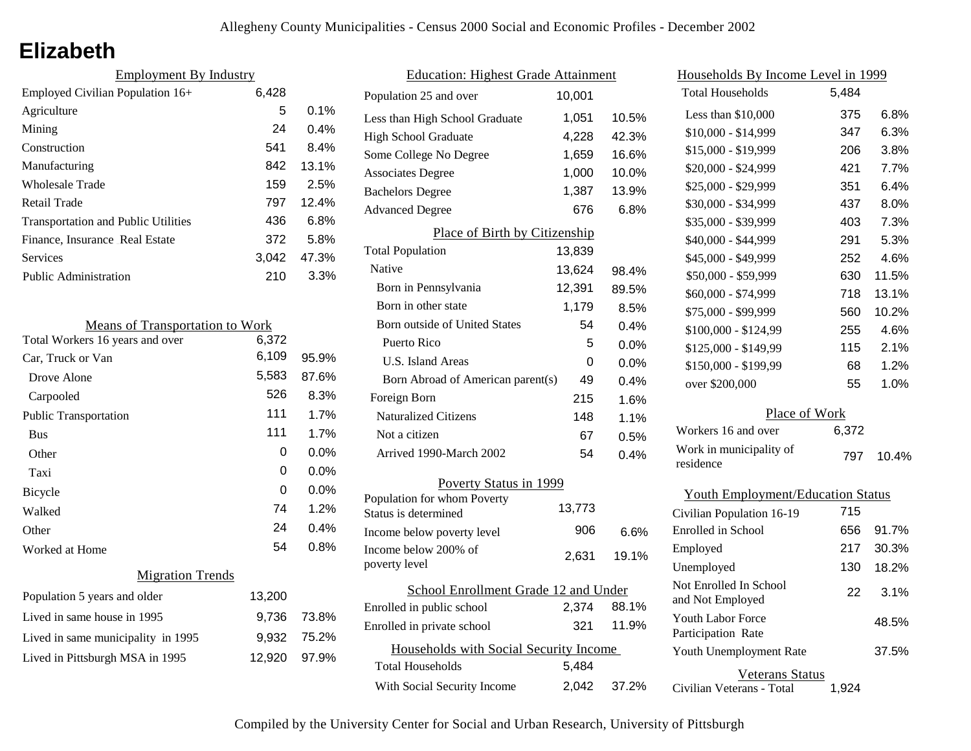## **Elizabeth**

| <b>Employment By Industry</b>              |       |         |
|--------------------------------------------|-------|---------|
| Employed Civilian Population 16+           | 6,428 |         |
| Agriculture                                | 5     | $0.1\%$ |
| Mining                                     | 24    | $0.4\%$ |
| Construction                               | 541   | 8.4%    |
| Manufacturing                              | 842   | 13.1%   |
| Wholesale Trade                            | 159   | 2.5%    |
| Retail Trade                               | 797   | 12.4%   |
| <b>Transportation and Public Utilities</b> | 436   | 6.8%    |
| Finance, Insurance Real Estate             | 372   | 5.8%    |
| Services                                   | 3.042 | 47.3%   |
| <b>Public Administration</b>               | 210   | 3.3%    |

| <b>Means of Transportation to Work</b> |        |         |
|----------------------------------------|--------|---------|
| Total Workers 16 years and over        | 6,372  |         |
| Car, Truck or Van                      | 6,109  | 95.9%   |
| Drove Alone                            | 5,583  | 87.6%   |
| Carpooled                              | 526    | 8.3%    |
| <b>Public Transportation</b>           | 111    | 1.7%    |
| <b>Bus</b>                             | 111    | 1.7%    |
| Other                                  | 0      | $0.0\%$ |
| Taxi                                   | 0      | 0.0%    |
| <b>Bicycle</b>                         | 0      | $0.0\%$ |
| Walked                                 | 74     | 1.2%    |
| Other                                  | 24     | 0.4%    |
| Worked at Home                         | 54     | $0.8\%$ |
| <b>Migration Trends</b>                |        |         |
| Population 5 years and older           | 13,200 |         |
| Lived in same house in 1995            | 9,736  | 73.8%   |
| Lived in same municipality in 1995     | 9,932  | 75.2%   |
| Lived in Pittsburgh MSA in 1995        | 12,920 | 97.9%   |

| <b>Education: Highest Grade Attainment</b>          |        |       |
|-----------------------------------------------------|--------|-------|
| Population 25 and over                              | 10,001 |       |
| Less than High School Graduate                      | 1,051  | 10.5% |
| <b>High School Graduate</b>                         | 4,228  | 42.3% |
| Some College No Degree                              | 1,659  | 16.6% |
| <b>Associates Degree</b>                            | 1,000  | 10.0% |
| <b>Bachelors Degree</b>                             | 1,387  | 13.9% |
| <b>Advanced Degree</b>                              | 676    | 6.8%  |
| Place of Birth by Citizenship                       |        |       |
| <b>Total Population</b>                             | 13,839 |       |
| Native                                              | 13,624 | 98.4% |
| Born in Pennsylvania                                | 12,391 | 89.5% |
| Born in other state                                 | 1,179  | 8.5%  |
| <b>Born outside of United States</b>                | 54     | 0.4%  |
| Puerto Rico                                         | 5      | 0.0%  |
| U.S. Island Areas                                   | 0      | 0.0%  |
| Born Abroad of American parent(s)                   | 49     | 0.4%  |
| Foreign Born                                        | 215    | 1.6%  |
| <b>Naturalized Citizens</b>                         | 148    | 1.1%  |
| Not a citizen                                       | 67     | 0.5%  |
| Arrived 1990-March 2002                             | 54     | 0.4%  |
| Poverty Status in 1999                              |        |       |
| Population for whom Poverty<br>Status is determined | 13,773 |       |
| Income below poverty level                          | 906    | 6.6%  |
| Income below 200% of<br>poverty level               | 2,631  | 19.1% |
| School Enrollment Grade 12 and Under                |        |       |
| Enrolled in public school                           | 2,374  | 88.1% |
| Enrolled in private school                          | 321    | 11.9% |
| Households with Social Security Income              |        |       |
| <b>Total Households</b>                             | 5,484  |       |
| With Social Security Income                         | 2,042  | 37.2% |

| Households By Income Level in 1999       |       |         |  |
|------------------------------------------|-------|---------|--|
| <b>Total Households</b>                  | 5,484 |         |  |
| Less than \$10,000                       | 375   | $6.8\%$ |  |
| $$10,000 - $14,999$                      | 347   | 6.3%    |  |
| \$15,000 - \$19,999                      | 206   | 3.8%    |  |
| \$20,000 - \$24,999                      | 421   | 7.7%    |  |
| \$25,000 - \$29,999                      | 351   | 6.4%    |  |
| \$30,000 - \$34,999                      | 437   | 8.0%    |  |
| \$35,000 - \$39,999                      | 403   | 7.3%    |  |
| \$40,000 - \$44,999                      | 291   | 5.3%    |  |
| \$45,000 - \$49,999                      | 252   | 4.6%    |  |
| \$50,000 - \$59,999                      | 630   | 11.5%   |  |
| \$60,000 - \$74,999                      | 718   | 13.1%   |  |
| \$75,000 - \$99,999                      | 560   | 10.2%   |  |
| \$100,000 - \$124,99                     | 255   | 4.6%    |  |
| \$125,000 - \$149,99                     | 115   | 2.1%    |  |
| \$150,000 - \$199,99                     | 68    | 1.2%    |  |
| over \$200,000                           | 55    | 1.0%    |  |
| Place of Work                            |       |         |  |
| Workers 16 and over                      | 6,372 |         |  |
| Work in municipality of<br>residence     | 797   | 10.4%   |  |
| <b>Youth Employment/Education Status</b> |       |         |  |
| Civilian Population 16-19                | 715   |         |  |
| Enrolled in School                       | 656   | 91.7%   |  |
| Employed                                 | 217   | 30.3%   |  |

130 18.2%

37.5%

48.5%

| Veterans Status           |       |
|---------------------------|-------|
| Civilian Veterans - Total | 1.924 |

Not Employed 22 3.1%

Youth Unemployment Rate

Youth Labor Force Participation Rate

Not Enrolled In School

Unemployed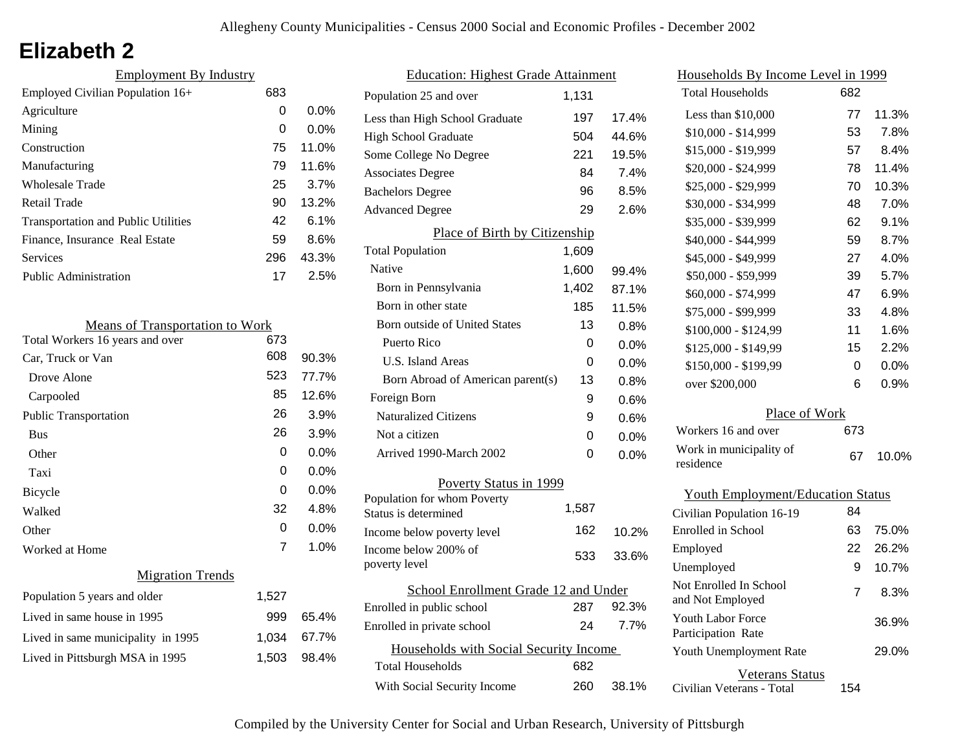# **Elizabeth 2**

| <b>Employment By Industry</b>              |     |         |
|--------------------------------------------|-----|---------|
| Employed Civilian Population 16+           | 683 |         |
| Agriculture                                | 0   | $0.0\%$ |
| Mining                                     | 0   | $0.0\%$ |
| Construction                               | 75  | 11.0%   |
| Manufacturing                              | 79  | 11.6%   |
| Wholesale Trade                            | 25  | 3.7%    |
| Retail Trade                               | 90  | 13.2%   |
| <b>Transportation and Public Utilities</b> | 42  | 6.1%    |
| Finance, Insurance Real Estate             | 59  | 8.6%    |
| Services                                   | 296 | 43.3%   |
| <b>Public Administration</b>               | 17  | 2.5%    |

| <b>Means of Transportation to Work</b> |       |         |
|----------------------------------------|-------|---------|
| Total Workers 16 years and over        | 673   |         |
| Car, Truck or Van                      | 608   | 90.3%   |
| Drove Alone                            | 523   | 77.7%   |
| Carpooled                              | 85    | 12.6%   |
| <b>Public Transportation</b>           | 26    | 3.9%    |
| <b>Bus</b>                             | 26    | 3.9%    |
| Other                                  | 0     | $0.0\%$ |
| Taxi                                   | 0     | $0.0\%$ |
| <b>Bicycle</b>                         | 0     | $0.0\%$ |
| Walked                                 | 32    | 4.8%    |
| Other                                  | 0     | $0.0\%$ |
| Worked at Home                         | 7     | 1.0%    |
| <b>Migration Trends</b>                |       |         |
| Population 5 years and older           | 1,527 |         |
| Lived in same house in 1995            | 999   | 65.4%   |
| Lived in same municipality in 1995     | 1,034 | 67.7%   |
| Lived in Pittsburgh MSA in 1995        | 1,503 | 98.4%   |

| <b>Education: Highest Grade Attainment</b>          |       |         |
|-----------------------------------------------------|-------|---------|
| Population 25 and over                              | 1,131 |         |
| Less than High School Graduate                      | 197   | 17.4%   |
| High School Graduate                                | 504   | 44.6%   |
| Some College No Degree                              | 221   | 19.5%   |
| <b>Associates Degree</b>                            | 84    | 7.4%    |
| <b>Bachelors Degree</b>                             | 96    | 8.5%    |
| <b>Advanced Degree</b>                              | 29    | 2.6%    |
| Place of Birth by Citizenship                       |       |         |
| <b>Total Population</b>                             | 1,609 |         |
| Native                                              | 1,600 | 99.4%   |
| Born in Pennsylvania                                | 1,402 | 87.1%   |
| Born in other state                                 | 185   | 11.5%   |
| <b>Born outside of United States</b>                | 13    | 0.8%    |
| Puerto Rico                                         | 0     | 0.0%    |
| <b>U.S. Island Areas</b>                            | 0     | 0.0%    |
| Born Abroad of American parent(s)                   | 13    | 0.8%    |
| Foreign Born                                        | 9     | 0.6%    |
| <b>Naturalized Citizens</b>                         | 9     | 0.6%    |
| Not a citizen                                       | 0     | $0.0\%$ |
| Arrived 1990-March 2002                             | 0     | 0.0%    |
| Poverty Status in 1999                              |       |         |
| Population for whom Poverty<br>Status is determined | 1,587 |         |
| Income below poverty level                          | 162   | 10.2%   |
| Income below 200% of                                | 533   | 33.6%   |
| poverty level                                       |       |         |
| School Enrollment Grade 12 and Under                |       |         |
| Enrolled in public school                           | 287   | 92.3%   |
| Enrolled in private school                          | 24    | 7.7%    |
| Households with Social Security Income              |       |         |
| <b>Total Households</b>                             | 682   |         |
| With Social Security Income                         | 260   | 38.1%   |

| Households By Income Level in 1999             |     |       |
|------------------------------------------------|-----|-------|
| <b>Total Households</b>                        | 682 |       |
| Less than \$10,000                             | 77  | 11.3% |
| \$10,000 - \$14,999                            | 53  | 7.8%  |
| \$15,000 - \$19,999                            | 57  | 8.4%  |
| \$20,000 - \$24,999                            | 78  | 11.4% |
| \$25,000 - \$29,999                            | 70  | 10.3% |
| \$30,000 - \$34,999                            | 48  | 7.0%  |
| \$35,000 - \$39,999                            | 62  | 9.1%  |
| \$40,000 - \$44,999                            | 59  | 8.7%  |
| \$45,000 - \$49,999                            | 27  | 4.0%  |
| \$50,000 - \$59,999                            | 39  | 5.7%  |
| \$60,000 - \$74,999                            | 47  | 6.9%  |
| \$75,000 - \$99,999                            | 33  | 4.8%  |
| \$100,000 - \$124,99                           | 11  | 1.6%  |
| \$125,000 - \$149,99                           | 15  | 2.2%  |
| \$150,000 - \$199,99                           | 0   | 0.0%  |
| over \$200,000                                 | 6   | 0.9%  |
| Place of Work                                  |     |       |
| Workers 16 and over                            | 673 |       |
| Work in municipality of<br>residence           | 67  | 10.0% |
| <b>Youth Employment/Education Status</b>       |     |       |
| Civilian Population 16-19                      | 84  |       |
| <b>Enrolled</b> in School                      | 63  | 75.0% |
| Employed                                       | 22  | 26.2% |
| Unemployed                                     | 9   | 10.7% |
| Not Enrolled In School<br>and Not Employed     | 7   | 8.3%  |
| <b>Youth Labor Force</b><br>Participation Rate |     | 36.9% |

Civilian Veterans - Total

Youth Unemployment Rate

Veterans Status

154

29.0%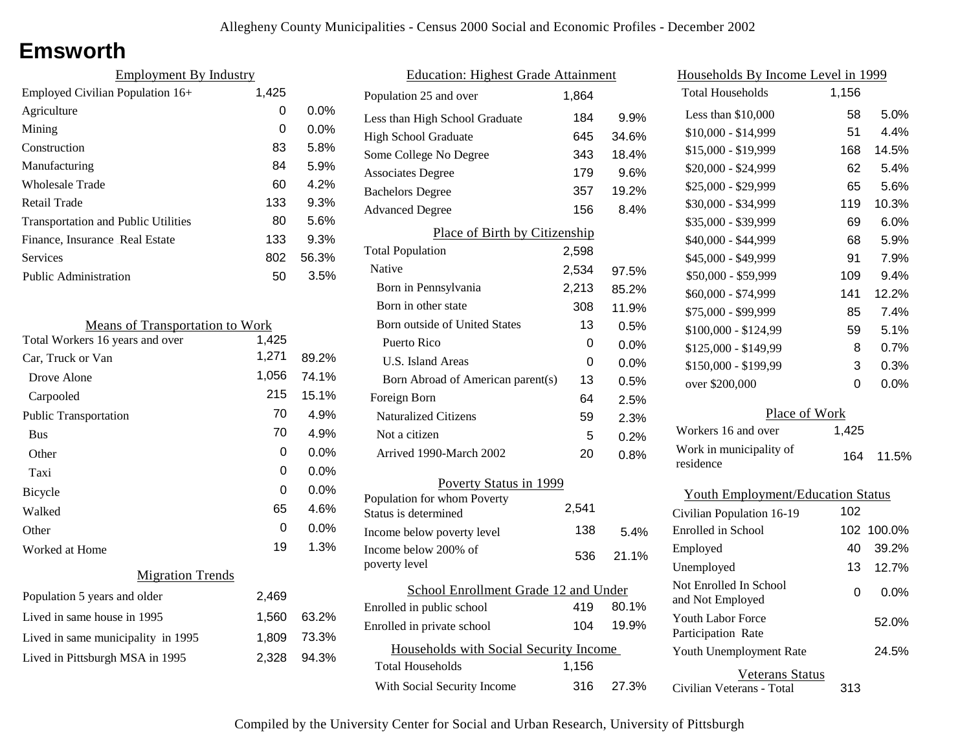# **Emsworth**

| <b>Employment By Industry</b>              |       |         |
|--------------------------------------------|-------|---------|
| Employed Civilian Population 16+           | 1,425 |         |
| Agriculture                                | 0     | $0.0\%$ |
| Mining                                     | 0     | 0.0%    |
| Construction                               | 83    | 5.8%    |
| Manufacturing                              | 84    | 5.9%    |
| Wholesale Trade                            | 60    | 4.2%    |
| <b>Retail Trade</b>                        | 133   | 9.3%    |
| <b>Transportation and Public Utilities</b> | 80    | 5.6%    |
| Finance, Insurance Real Estate             | 133   | 9.3%    |
| Services                                   | 802   | 56.3%   |
| Public Administration                      | 50    | 3.5%    |
|                                            |       |         |

| <b>Means of Transportation to Work</b> |       |         |
|----------------------------------------|-------|---------|
| Total Workers 16 years and over        | 1,425 |         |
| Car, Truck or Van                      | 1,271 | 89.2%   |
| Drove Alone                            | 1,056 | 74.1%   |
| Carpooled                              | 215   | 15.1%   |
| <b>Public Transportation</b>           | 70    | 4.9%    |
| <b>Bus</b>                             | 70    | 4.9%    |
| Other                                  | 0     | $0.0\%$ |
| Taxi                                   | 0     | $0.0\%$ |
| Bicycle                                | 0     | 0.0%    |
| Walked                                 | 65    | 4.6%    |
| Other                                  | 0     | 0.0%    |
| Worked at Home                         | 19    | 1.3%    |
| <b>Migration Trends</b>                |       |         |
| Population 5 years and older           | 2,469 |         |
| Lived in same house in 1995            | 1,560 | 63.2%   |
| Lived in same municipality in 1995     | 1,809 | 73.3%   |
| Lived in Pittsburgh MSA in 1995        | 2,328 | 94.3%   |
|                                        |       |         |

| <b>Education: Highest Grade Attainment</b>          |       |       |
|-----------------------------------------------------|-------|-------|
| Population 25 and over                              | 1,864 |       |
| Less than High School Graduate                      | 184   | 9.9%  |
| <b>High School Graduate</b>                         | 645   | 34.6% |
| Some College No Degree                              | 343   | 18.4% |
| <b>Associates Degree</b>                            | 179   | 9.6%  |
| <b>Bachelors Degree</b>                             | 357   | 19.2% |
| <b>Advanced Degree</b>                              | 156   | 8.4%  |
| Place of Birth by Citizenship                       |       |       |
| <b>Total Population</b>                             | 2,598 |       |
| Native                                              | 2,534 | 97.5% |
| Born in Pennsylvania                                | 2,213 | 85.2% |
| Born in other state                                 | 308   | 11.9% |
| <b>Born outside of United States</b>                | 13    | 0.5%  |
| Puerto Rico                                         | 0     | 0.0%  |
| U.S. Island Areas                                   | 0     | 0.0%  |
| Born Abroad of American parent(s)                   | 13    | 0.5%  |
| Foreign Born                                        | 64    | 2.5%  |
| <b>Naturalized Citizens</b>                         | 59    | 2.3%  |
| Not a citizen                                       | 5     | 0.2%  |
| Arrived 1990-March 2002                             | 20    | 0.8%  |
| Poverty Status in 1999                              |       |       |
| Population for whom Poverty<br>Status is determined | 2,541 |       |
| Income below poverty level                          | 138   | 5.4%  |
| Income below 200% of<br>poverty level               | 536   | 21.1% |
| School Enrollment Grade 12 and Under                |       |       |
| Enrolled in public school                           | 419   | 80.1% |
| Enrolled in private school                          | 104   | 19.9% |
| Households with Social Security Income              |       |       |
| <b>Total Households</b>                             | 1,156 |       |
| With Social Security Income                         | 316   | 27.3% |

| <u>Households By Income Level in 1999</u>  |       |        |
|--------------------------------------------|-------|--------|
| <b>Total Households</b>                    | 1,156 |        |
| Less than \$10,000                         | 58    | 5.0%   |
| $$10,000 - $14,999$                        | 51    | 4.4%   |
| \$15,000 - \$19,999                        | 168   | 14.5%  |
| \$20,000 - \$24,999                        | 62    | 5.4%   |
| \$25,000 - \$29,999                        | 65    | 5.6%   |
| \$30,000 - \$34,999                        | 119   | 10.3%  |
| \$35,000 - \$39,999                        | 69    | 6.0%   |
| \$40,000 - \$44,999                        | 68    | 5.9%   |
| \$45,000 - \$49,999                        | 91    | 7.9%   |
| \$50,000 - \$59,999                        | 109   | 9.4%   |
| \$60,000 - \$74,999                        | 141   | 12.2%  |
| \$75,000 - \$99,999                        | 85    | 7.4%   |
| \$100,000 - \$124,99                       | 59    | 5.1%   |
| $$125,000 - $149,99$                       | 8     | 0.7%   |
| \$150,000 - \$199,99                       | 3     | 0.3%   |
| over \$200,000                             | 0     | 0.0%   |
| Place of Work                              |       |        |
| Workers 16 and over                        | 1,425 |        |
| Work in municipality of<br>residence       | 164   | 11.5%  |
| <b>Youth Employment/Education Status</b>   |       |        |
| Civilian Population 16-19                  | 102   |        |
| <b>Enrolled</b> in School                  | 102   | 100.0% |
| Employed                                   | 40    | 39.2%  |
| Unemployed                                 | 13    | 12.7%  |
| Not Enrolled In School<br>and Not Employed | 0     | 0.0%   |
| Youth Labor Force<br>Participation Rate    |       | 52.0%  |
| Youth Unemployment Rate                    |       | 24.5%  |
| Veterans Status                            |       |        |

Civilian Veterans - Total

313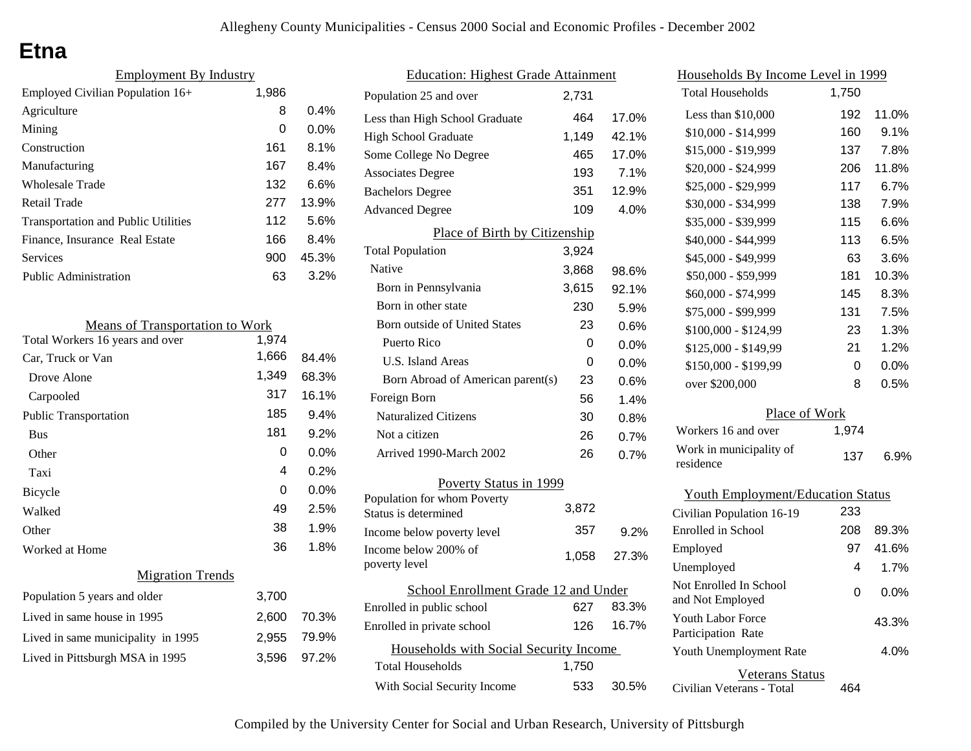# **Etna**

| <b>Employment By Industry</b>              |       |         |
|--------------------------------------------|-------|---------|
| Employed Civilian Population 16+           | 1,986 |         |
| Agriculture                                | 8     | 0.4%    |
| Mining                                     | 0     | $0.0\%$ |
| Construction                               | 161   | 8.1%    |
| Manufacturing                              | 167   | 8.4%    |
| Wholesale Trade                            | 132   | 6.6%    |
| Retail Trade                               | 277   | 13.9%   |
| <b>Transportation and Public Utilities</b> | 112   | 5.6%    |
| Finance, Insurance Real Estate             | 166   | 8.4%    |
| Services                                   | 900   | 45.3%   |
| <b>Public Administration</b>               | 63    | 3.2%    |
|                                            |       |         |

| <b>Means of Transportation to Work</b> |       |         |
|----------------------------------------|-------|---------|
| Total Workers 16 years and over        | 1,974 |         |
| Car, Truck or Van                      | 1,666 | 84.4%   |
| Drove Alone                            | 1,349 | 68.3%   |
| Carpooled                              | 317   | 16.1%   |
| <b>Public Transportation</b>           | 185   | 9.4%    |
| <b>Bus</b>                             | 181   | $9.2\%$ |
| Other                                  | 0     | $0.0\%$ |
| Taxi                                   | 4     | $0.2\%$ |
| <b>Bicycle</b>                         | 0     | $0.0\%$ |
| Walked                                 | 49    | 2.5%    |
| Other                                  | 38    | 1.9%    |
| Worked at Home                         | 36    | 1.8%    |
| <b>Migration Trends</b>                |       |         |
| Population 5 years and older           | 3,700 |         |
| Lived in same house in 1995            | 2,600 | 70.3%   |
| Lived in same municipality in 1995     | 2,955 | 79.9%   |
| Lived in Pittsburgh MSA in 1995        | 3,596 | 97.2%   |

| <b>Education: Highest Grade Attainment</b>          |       |       |
|-----------------------------------------------------|-------|-------|
| Population 25 and over                              | 2,731 |       |
| Less than High School Graduate                      | 464   | 17.0% |
| <b>High School Graduate</b>                         | 1,149 | 42.1% |
| Some College No Degree                              | 465   | 17.0% |
| <b>Associates Degree</b>                            | 193   | 7.1%  |
| <b>Bachelors Degree</b>                             | 351   | 12.9% |
| <b>Advanced Degree</b>                              | 109   | 4.0%  |
| Place of Birth by Citizenship                       |       |       |
| <b>Total Population</b>                             | 3,924 |       |
| Native                                              | 3,868 | 98.6% |
| Born in Pennsylvania                                | 3,615 | 92.1% |
| Born in other state                                 | 230   | 5.9%  |
| <b>Born outside of United States</b>                | 23    | 0.6%  |
| Puerto Rico                                         | 0     | 0.0%  |
| <b>U.S. Island Areas</b>                            | 0     | 0.0%  |
| Born Abroad of American parent(s)                   | 23    | 0.6%  |
| Foreign Born                                        | 56    | 1.4%  |
| <b>Naturalized Citizens</b>                         | 30    | 0.8%  |
| Not a citizen                                       | 26    | 0.7%  |
| Arrived 1990-March 2002                             | 26    | 0.7%  |
| Poverty Status in 1999                              |       |       |
| Population for whom Poverty<br>Status is determined | 3,872 |       |
| Income below poverty level                          | 357   | 9.2%  |
| Income below 200% of<br>poverty level               | 1,058 | 27.3% |
| School Enrollment Grade 12 and Under                |       |       |
| Enrolled in public school                           | 627   | 83.3% |
| Enrolled in private school                          | 126   | 16.7% |
| Households with Social Security Income              |       |       |
| Total Households                                    | 1,750 |       |
| With Social Security Income                         | 533   | 30.5% |

| Households By Income Level in 1999         |       |       |
|--------------------------------------------|-------|-------|
| <b>Total Households</b>                    | 1,750 |       |
| Less than \$10,000                         | 192   | 11.0% |
| \$10,000 - \$14,999                        | 160   | 9.1%  |
| \$15,000 - \$19,999                        | 137   | 7.8%  |
| \$20,000 - \$24,999                        | 206   | 11.8% |
| \$25,000 - \$29,999                        | 117   | 6.7%  |
| \$30,000 - \$34,999                        | 138   | 7.9%  |
| \$35,000 - \$39,999                        | 115   | 6.6%  |
| \$40,000 - \$44,999                        | 113   | 6.5%  |
| \$45,000 - \$49,999                        | 63    | 3.6%  |
| \$50,000 - \$59,999                        | 181   | 10.3% |
| \$60,000 - \$74,999                        | 145   | 8.3%  |
| \$75,000 - \$99,999                        | 131   | 7.5%  |
| \$100,000 - \$124,99                       | 23    | 1.3%  |
| \$125,000 - \$149,99                       | 21    | 1.2%  |
| \$150,000 - \$199,99                       | 0     | 0.0%  |
| over \$200,000                             | 8     | 0.5%  |
| Place of Work                              |       |       |
| Workers 16 and over                        | 1,974 |       |
| Work in municipality of<br>residence       | 137   | 6.9%  |
| <b>Youth Employment/Education Status</b>   |       |       |
| Civilian Population 16-19                  | 233   |       |
| Enrolled in School                         | 208   | 89.3% |
| Employed                                   | 97    | 41.6% |
| Unemployed                                 | 4     | 1.7%  |
| Not Enrolled In School<br>and Not Employed | 0     | 0.0%  |
| Youth Labor Force<br>Participation Rate    |       | 43.3% |
| Youth Unemployment Rate                    |       | 4.0%  |

Civilian Veterans - Total

Veterans Status

464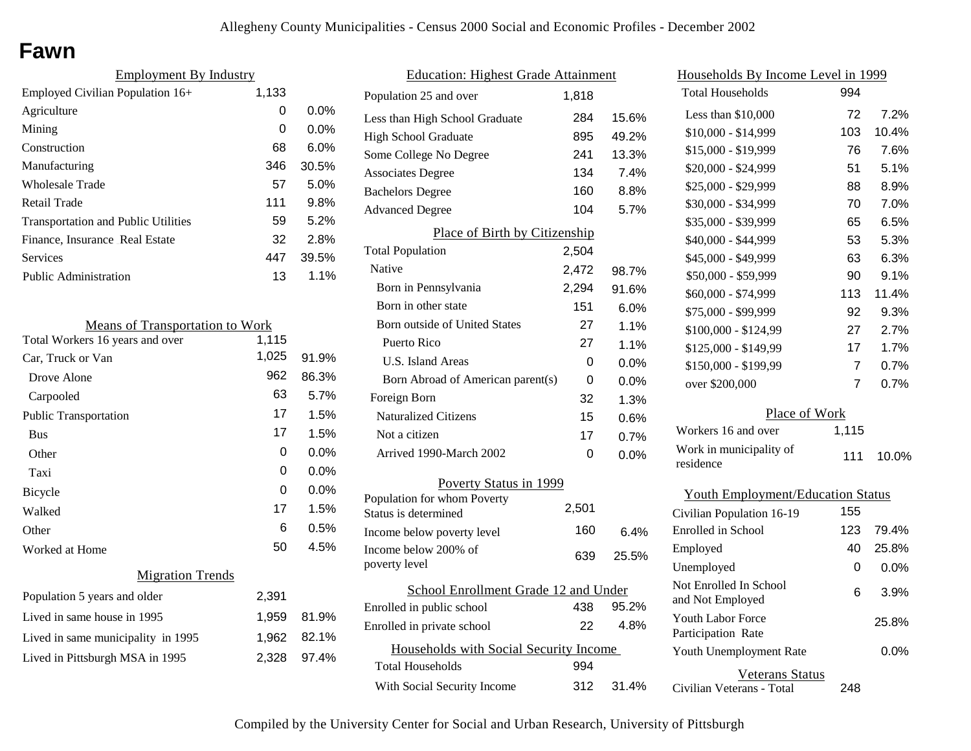## **Fawn**

| <b>Employment By Industry</b>              |       |         |
|--------------------------------------------|-------|---------|
| Employed Civilian Population 16+           | 1,133 |         |
| Agriculture                                | 0     | $0.0\%$ |
| Mining                                     | 0     | $0.0\%$ |
| Construction                               | 68    | 6.0%    |
| Manufacturing                              | 346   | 30.5%   |
| <b>Wholesale Trade</b>                     | 57    | 5.0%    |
| Retail Trade                               | 111   | 9.8%    |
| <b>Transportation and Public Utilities</b> | 59    | 5.2%    |
| Finance, Insurance Real Estate             | 32    | 2.8%    |
| Services                                   | 447   | 39.5%   |
| Public Administration                      | 13    | $1.1\%$ |

| <b>Means of Transportation to Work</b> |       |       |
|----------------------------------------|-------|-------|
| Total Workers 16 years and over        | 1,115 |       |
| Car, Truck or Van                      | 1,025 | 91.9% |
| Drove Alone                            | 962   | 86.3% |
| Carpooled                              | 63    | 5.7%  |
| <b>Public Transportation</b>           | 17    | 1.5%  |
| <b>Bus</b>                             | 17    | 1.5%  |
| Other                                  | 0     | 0.0%  |
| Taxi                                   | 0     | 0.0%  |
| <b>Bicycle</b>                         | 0     | 0.0%  |
| Walked                                 | 17    | 1.5%  |
| Other                                  | 6     | 0.5%  |
| Worked at Home                         | 50    | 4.5%  |
| <b>Migration Trends</b>                |       |       |
| Population 5 years and older           | 2,391 |       |
| Lived in same house in 1995            | 1,959 | 81.9% |
| Lived in same municipality in 1995     | 1,962 | 82.1% |
| Lived in Pittsburgh MSA in 1995        | 2,328 | 97.4% |
|                                        |       |       |

| <b>Education: Highest Grade Attainment</b>          |       |         |
|-----------------------------------------------------|-------|---------|
| Population 25 and over                              | 1,818 |         |
| Less than High School Graduate                      | 284   | 15.6%   |
| <b>High School Graduate</b>                         | 895   | 49.2%   |
| Some College No Degree                              | 241   | 13.3%   |
| <b>Associates Degree</b>                            | 134   | 7.4%    |
| <b>Bachelors Degree</b>                             | 160   | 8.8%    |
| <b>Advanced Degree</b>                              | 104   | 5.7%    |
| Place of Birth by Citizenship                       |       |         |
| <b>Total Population</b>                             | 2,504 |         |
| Native                                              | 2,472 | 98.7%   |
| Born in Pennsylvania                                | 2,294 | 91.6%   |
| Born in other state                                 | 151   | 6.0%    |
| <b>Born outside of United States</b>                | 27    | 1.1%    |
| Puerto Rico                                         | 27    | 1.1%    |
| U.S. Island Areas                                   | 0     | $0.0\%$ |
| Born Abroad of American parent(s)                   | 0     | $0.0\%$ |
| Foreign Born                                        | 32    | 1.3%    |
| <b>Naturalized Citizens</b>                         | 15    | 0.6%    |
| Not a citizen                                       | 17    | 0.7%    |
| Arrived 1990-March 2002                             | 0     | 0.0%    |
| Poverty Status in 1999                              |       |         |
| Population for whom Poverty<br>Status is determined | 2,501 |         |
| Income below poverty level                          | 160   | 6.4%    |
| Income below 200% of<br>poverty level               | 639   | 25.5%   |
| School Enrollment Grade 12 and Under                |       |         |
| Enrolled in public school                           | 438   | 95.2%   |
| Enrolled in private school                          | 22    | 4.8%    |
| Households with Social Security Income              |       |         |
| Total Households                                    | 994   |         |
| With Social Security Income                         | 312   | 31.4%   |

| <u>Households By Income Level in 1999</u>  |                |       |
|--------------------------------------------|----------------|-------|
| <b>Total Households</b>                    | 994            |       |
| Less than \$10,000                         | 72             | 7.2%  |
| $$10,000 - $14,999$                        | 103            | 10.4% |
| \$15,000 - \$19,999                        | 76             | 7.6%  |
| \$20,000 - \$24,999                        | 51             | 5.1%  |
| \$25,000 - \$29,999                        | 88             | 8.9%  |
| \$30,000 - \$34,999                        | 70             | 7.0%  |
| \$35,000 - \$39,999                        | 65             | 6.5%  |
| \$40,000 - \$44,999                        | 53             | 5.3%  |
| \$45,000 - \$49,999                        | 63             | 6.3%  |
| \$50,000 - \$59,999                        | 90             | 9.1%  |
| \$60,000 - \$74,999                        | 113            | 11.4% |
| \$75,000 - \$99,999                        | 92             | 9.3%  |
| \$100,000 - \$124,99                       | 27             | 2.7%  |
| \$125,000 - \$149,99                       | 17             | 1.7%  |
| \$150,000 - \$199,99                       | $\overline{7}$ | 0.7%  |
| over \$200,000                             | $\overline{7}$ | 0.7%  |
| Place of Work                              |                |       |
| Workers 16 and over                        | 1,115          |       |
| Work in municipality of<br>residence       | 111            | 10.0% |
| <b>Youth Employment/Education Status</b>   |                |       |
| Civilian Population 16-19                  | 155            |       |
| <b>Enrolled</b> in School                  | 123            | 79.4% |
| Employed                                   | 40             | 25.8% |
| Unemployed                                 | 0              | 0.0%  |
| Not Enrolled In School<br>and Not Employed | 6              | 3.9%  |

Civilian Veterans - Total

Youth Unemployment Rate

Youth Labor Force Participation Rate

Veterans Status

248

0.0%

25.8%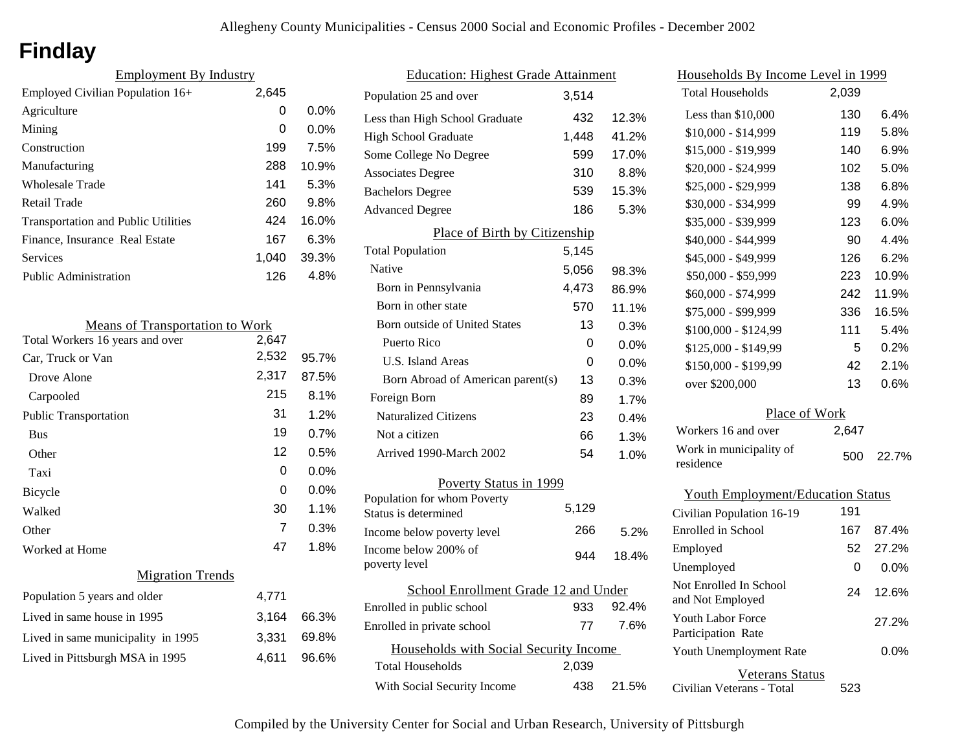# **Findlay**

| <b>Employment By Industry</b>              |       |         |
|--------------------------------------------|-------|---------|
| Employed Civilian Population 16+           | 2,645 |         |
| Agriculture                                | 0     | $0.0\%$ |
| Mining                                     | 0     | $0.0\%$ |
| Construction                               | 199   | 7.5%    |
| Manufacturing                              | 288   | 10.9%   |
| Wholesale Trade                            | 141   | 5.3%    |
| Retail Trade                               | 260   | 9.8%    |
| <b>Transportation and Public Utilities</b> | 424   | 16.0%   |
| Finance, Insurance Real Estate             | 167   | 6.3%    |
| Services                                   | 1.040 | 39.3%   |
| Public Administration                      | 126   | 4.8%    |

| <b>Means of Transportation to Work</b> |       |       |
|----------------------------------------|-------|-------|
| Total Workers 16 years and over        | 2,647 |       |
| Car, Truck or Van                      | 2,532 | 95.7% |
| Drove Alone                            | 2,317 | 87.5% |
| Carpooled                              | 215   | 8.1%  |
| <b>Public Transportation</b>           | 31    | 1.2%  |
| <b>Bus</b>                             | 19    | 0.7%  |
| Other                                  | 12    | 0.5%  |
| Taxi                                   | 0     | 0.0%  |
| <b>Bicycle</b>                         | 0     | 0.0%  |
| Walked                                 | 30    | 1.1%  |
| Other                                  | 7     | 0.3%  |
| Worked at Home                         | 47    | 1.8%  |
| <b>Migration Trends</b>                |       |       |
| Population 5 years and older           | 4,771 |       |
| Lived in same house in 1995            | 3,164 | 66.3% |
| Lived in same municipality in 1995     | 3,331 | 69.8% |
| Lived in Pittsburgh MSA in 1995        | 4,611 | 96.6% |
|                                        |       |       |

| <b>Education: Highest Grade Attainment</b>          |       |       |
|-----------------------------------------------------|-------|-------|
| Population 25 and over                              | 3,514 |       |
| Less than High School Graduate                      | 432   | 12.3% |
| <b>High School Graduate</b>                         | 1,448 | 41.2% |
| Some College No Degree                              | 599   | 17.0% |
| <b>Associates Degree</b>                            | 310   | 8.8%  |
| <b>Bachelors Degree</b>                             | 539   | 15.3% |
| <b>Advanced Degree</b>                              | 186   | 5.3%  |
| Place of Birth by Citizenship                       |       |       |
| <b>Total Population</b>                             | 5,145 |       |
| Native                                              | 5,056 | 98.3% |
| Born in Pennsylvania                                | 4,473 | 86.9% |
| Born in other state                                 | 570   | 11.1% |
| <b>Born outside of United States</b>                | 13    | 0.3%  |
| Puerto Rico                                         | 0     | 0.0%  |
| U.S. Island Areas                                   | 0     | 0.0%  |
| Born Abroad of American parent(s)                   | 13    | 0.3%  |
| Foreign Born                                        | 89    | 1.7%  |
| <b>Naturalized Citizens</b>                         | 23    | 0.4%  |
| Not a citizen                                       | 66    | 1.3%  |
| Arrived 1990-March 2002                             | 54    | 1.0%  |
| Poverty Status in 1999                              |       |       |
| Population for whom Poverty<br>Status is determined | 5,129 |       |
| Income below poverty level                          | 266   | 5.2%  |
| Income below 200% of<br>poverty level               | 944   | 18.4% |
| School Enrollment Grade 12 and Under                |       |       |
| Enrolled in public school                           | 933   | 92.4% |
| Enrolled in private school                          | 77    | 7.6%  |
| Households with Social Security Income              |       |       |
| <b>Total Households</b>                             | 2,039 |       |
| With Social Security Income                         | 438   | 21.5% |

| Households By Income Level in 1999         |       |       |
|--------------------------------------------|-------|-------|
| <b>Total Households</b>                    | 2,039 |       |
| Less than \$10,000                         | 130   | 6.4%  |
| $$10,000 - $14,999$                        | 119   | 5.8%  |
| \$15,000 - \$19,999                        | 140   | 6.9%  |
| \$20,000 - \$24,999                        | 102   | 5.0%  |
| \$25,000 - \$29,999                        | 138   | 6.8%  |
| \$30,000 - \$34,999                        | 99    | 4.9%  |
| \$35,000 - \$39,999                        | 123   | 6.0%  |
| \$40,000 - \$44,999                        | 90    | 4.4%  |
| \$45,000 - \$49,999                        | 126   | 6.2%  |
| \$50,000 - \$59,999                        | 223   | 10.9% |
| \$60,000 - \$74,999                        | 242   | 11.9% |
| \$75,000 - \$99,999                        | 336   | 16.5% |
| \$100,000 - \$124,99                       | 111   | 5.4%  |
| \$125,000 - \$149,99                       | 5     | 0.2%  |
| \$150,000 - \$199,99                       | 42    | 2.1%  |
| over \$200,000                             | 13    | 0.6%  |
| Place of Work                              |       |       |
| Workers 16 and over                        | 2,647 |       |
| Work in municipality of<br>residence       | 500   | 22.7% |
| <b>Youth Employment/Education Status</b>   |       |       |
| Civilian Population 16-19                  | 191   |       |
| Enrolled in School                         | 167   | 87.4% |
| Employed                                   | 52    | 27.2% |
| Unemployed                                 | 0     | 0.0%  |
| Not Enrolled In School<br>and Not Employed | 24    | 12.6% |
| Youth Labor Force<br>Participation Rate    |       | 27.2% |

Civilian Veterans - Total

Youth Unemployment Rate

Veterans Status

523

0.0%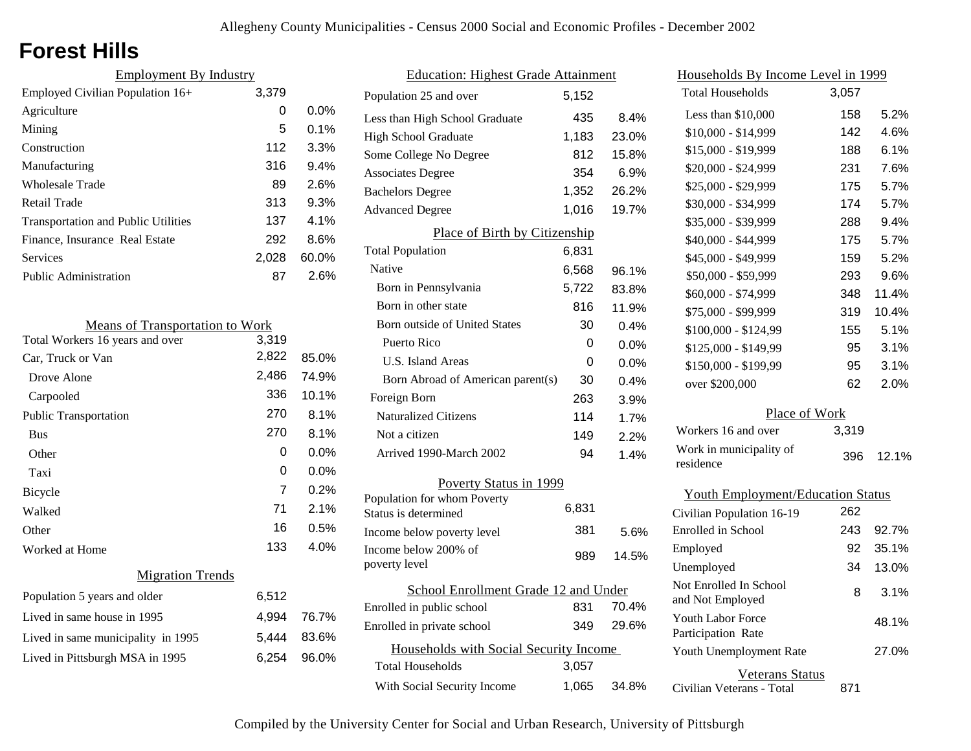# **Forest Hills**

| <b>Employment By Industry</b>              |       |         |
|--------------------------------------------|-------|---------|
| Employed Civilian Population 16+           | 3,379 |         |
| Agriculture                                | 0     | $0.0\%$ |
| Mining                                     | 5     | $0.1\%$ |
| Construction                               | 112   | 3.3%    |
| Manufacturing                              | 316   | 9.4%    |
| Wholesale Trade                            | 89    | 2.6%    |
| Retail Trade                               | 313   | 9.3%    |
| <b>Transportation and Public Utilities</b> | 137   | $4.1\%$ |
| Finance, Insurance Real Estate             | 292   | 8.6%    |
| Services                                   | 2,028 | 60.0%   |
| Public Administration                      | 87    | 2.6%    |

| <b>Means of Transportation to Work</b> |                |         |
|----------------------------------------|----------------|---------|
| Total Workers 16 years and over        | 3,319          |         |
| Car, Truck or Van                      | 2,822          | 85.0%   |
| Drove Alone                            | 2,486          | 74.9%   |
| Carpooled                              | 336            | 10.1%   |
| Public Transportation                  | 270            | 8.1%    |
| <b>Bus</b>                             | 270            | 8.1%    |
| Other                                  | 0              | 0.0%    |
| Taxi                                   | 0              | $0.0\%$ |
| Bicycle                                | $\overline{7}$ | 0.2%    |
| Walked                                 | 71             | 2.1%    |
| Other                                  | 16             | 0.5%    |
| Worked at Home                         | 133            | 4.0%    |
| <b>Migration Trends</b>                |                |         |
| Population 5 years and older           | 6,512          |         |
| Lived in same house in 1995            | 4,994          | 76.7%   |
| Lived in same municipality in 1995     | 5,444          | 83.6%   |
| Lived in Pittsburgh MSA in 1995        | 6,254          | 96.0%   |
|                                        |                |         |

| <b>Education: Highest Grade Attainment</b>          |       |         |
|-----------------------------------------------------|-------|---------|
| Population 25 and over                              | 5,152 |         |
| Less than High School Graduate                      | 435   | 8.4%    |
| <b>High School Graduate</b>                         | 1,183 | 23.0%   |
| Some College No Degree                              | 812   | 15.8%   |
| <b>Associates Degree</b>                            | 354   | 6.9%    |
| <b>Bachelors Degree</b>                             | 1,352 | 26.2%   |
| <b>Advanced Degree</b>                              | 1,016 | 19.7%   |
| Place of Birth by Citizenship                       |       |         |
| <b>Total Population</b>                             | 6,831 |         |
| Native                                              | 6,568 | 96.1%   |
| Born in Pennsylvania                                | 5,722 | 83.8%   |
| Born in other state                                 | 816   | 11.9%   |
| <b>Born outside of United States</b>                | 30    | 0.4%    |
| Puerto Rico                                         | 0     | 0.0%    |
| U.S. Island Areas                                   | 0     | 0.0%    |
| Born Abroad of American parent(s)                   | 30    | $0.4\%$ |
| Foreign Born                                        | 263   | 3.9%    |
| <b>Naturalized Citizens</b>                         | 114   | 1.7%    |
| Not a citizen                                       | 149   | 2.2%    |
| Arrived 1990-March 2002                             | 94    | 1.4%    |
| Poverty Status in 1999                              |       |         |
| Population for whom Poverty<br>Status is determined | 6,831 |         |
| Income below poverty level                          | 381   | 5.6%    |
| Income below 200% of<br>poverty level               | 989   | 14.5%   |
| School Enrollment Grade 12 and Under                |       |         |
| Enrolled in public school                           | 831   | 70.4%   |
| Enrolled in private school                          | 349   | 29.6%   |
| Households with Social Security Income              |       |         |
| <b>Total Households</b>                             | 3,057 |         |
| With Social Security Income                         | 1,065 | 34.8%   |

| <u>Households By Income Level in 1999</u>  |       |       |
|--------------------------------------------|-------|-------|
| <b>Total Households</b>                    | 3,057 |       |
| Less than \$10,000                         | 158   | 5.2%  |
| \$10,000 - \$14,999                        | 142   | 4.6%  |
| \$15,000 - \$19,999                        | 188   | 6.1%  |
| \$20,000 - \$24,999                        | 231   | 7.6%  |
| \$25,000 - \$29,999                        | 175   | 5.7%  |
| \$30,000 - \$34,999                        | 174   | 5.7%  |
| \$35,000 - \$39,999                        | 288   | 9.4%  |
| \$40,000 - \$44,999                        | 175   | 5.7%  |
| \$45,000 - \$49,999                        | 159   | 5.2%  |
| \$50,000 - \$59,999                        | 293   | 9.6%  |
| \$60,000 - \$74,999                        | 348   | 11.4% |
| \$75,000 - \$99,999                        | 319   | 10.4% |
| \$100,000 - \$124,99                       | 155   | 5.1%  |
| \$125,000 - \$149,99                       | 95    | 3.1%  |
| \$150,000 - \$199,99                       | 95    | 3.1%  |
| over \$200,000                             | 62    | 2.0%  |
| Place of Work                              |       |       |
| Workers 16 and over                        | 3,319 |       |
| Work in municipality of<br>residence       | 396   | 12.1% |
| <b>Youth Employment/Education Status</b>   |       |       |
| Civilian Population 16-19                  | 262   |       |
| <b>Enrolled</b> in School                  | 243   | 92.7% |
| Employed                                   | 92    | 35.1% |
| Unemployed                                 | 34    | 13.0% |
| Not Enrolled In School<br>and Not Employed | 8     | 3.1%  |
| <b>Youth Labor Force</b>                   |       | 48.1% |

| TUUTTLAUUTTULU<br>Participation Rate         |     | 48.1% |
|----------------------------------------------|-----|-------|
| Youth Unemployment Rate                      |     | 27.0% |
| Veterans Status<br>Civilian Veterans - Total | 871 |       |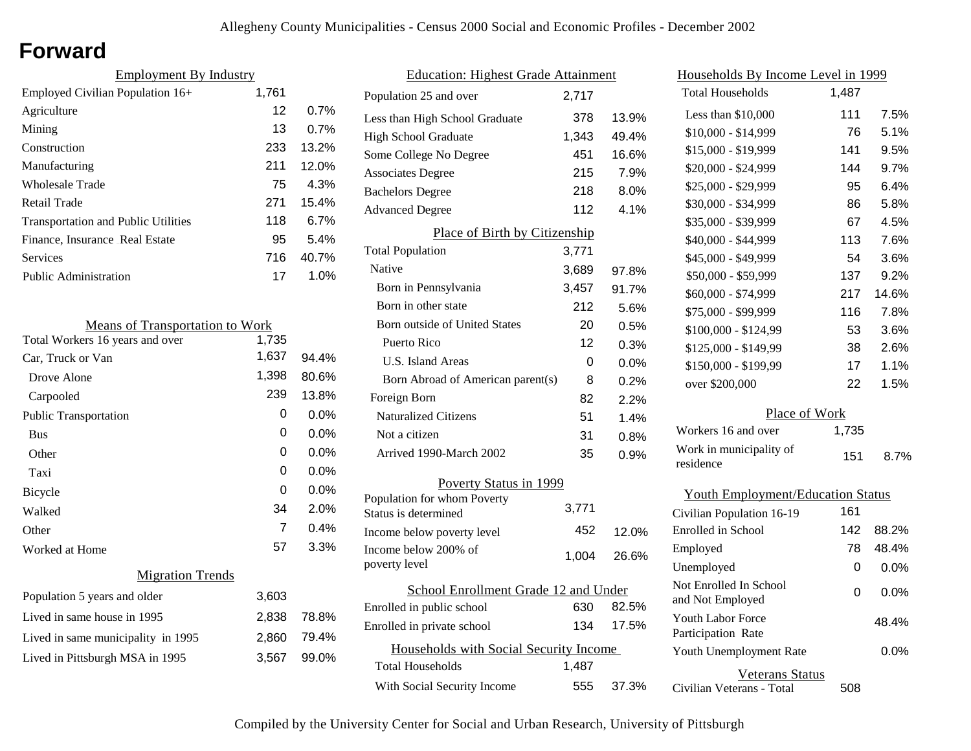# **Forward**

| <b>Employment By Industry</b> |       |  |
|-------------------------------|-------|--|
| 1,761                         |       |  |
| 12                            | 0.7%  |  |
| 13                            | 0.7%  |  |
| 233                           | 13.2% |  |
| 211                           | 12.0% |  |
| 75                            | 4.3%  |  |
| 271                           | 15.4% |  |
| 118                           | 6.7%  |  |
| 95                            | 5.4%  |  |
| 716                           | 40.7% |  |
| 17                            | 1.0%  |  |
|                               |       |  |

| <b>Means of Transportation to Work</b> |       |       |
|----------------------------------------|-------|-------|
| Total Workers 16 years and over        | 1,735 |       |
| Car, Truck or Van                      | 1,637 | 94.4% |
| Drove Alone                            | 1,398 | 80.6% |
| Carpooled                              | 239   | 13.8% |
| <b>Public Transportation</b>           | 0     | 0.0%  |
| <b>Bus</b>                             | 0     | 0.0%  |
| Other                                  | 0     | 0.0%  |
| Taxi                                   | 0     | 0.0%  |
| Bicycle                                | 0     | 0.0%  |
| Walked                                 | 34    | 2.0%  |
| Other                                  | 7     | 0.4%  |
| Worked at Home                         | 57    | 3.3%  |
| <b>Migration Trends</b>                |       |       |
| Population 5 years and older           | 3,603 |       |
| Lived in same house in 1995            | 2,838 | 78.8% |
| Lived in same municipality in 1995     | 2,860 | 79.4% |
| Lived in Pittsburgh MSA in 1995        | 3.567 | 99.0% |
|                                        |       |       |

| <b>Education: Highest Grade Attainment</b>          |       |       |  |
|-----------------------------------------------------|-------|-------|--|
| Population 25 and over                              | 2.717 |       |  |
| Less than High School Graduate                      | 378   | 13.9% |  |
| <b>High School Graduate</b>                         | 1,343 | 49.4% |  |
| Some College No Degree                              | 451   | 16.6% |  |
| <b>Associates Degree</b>                            | 215   | 7.9%  |  |
| <b>Bachelors Degree</b>                             | 218   | 8.0%  |  |
| <b>Advanced Degree</b>                              | 112   | 4.1%  |  |
| Place of Birth by Citizenship                       |       |       |  |
| <b>Total Population</b>                             | 3,771 |       |  |
| Native                                              | 3,689 | 97.8% |  |
| Born in Pennsylvania                                | 3,457 | 91.7% |  |
| Born in other state                                 | 212   | 5.6%  |  |
| Born outside of United States                       | 20    | 0.5%  |  |
| Puerto Rico                                         | 12    | 0.3%  |  |
| U.S. Island Areas                                   | 0     | 0.0%  |  |
| Born Abroad of American parent(s)                   | 8     | 0.2%  |  |
| Foreign Born                                        | 82    | 2.2%  |  |
| Naturalized Citizens                                | 51    | 1.4%  |  |
| Not a citizen                                       | 31    | 0.8%  |  |
| Arrived 1990-March 2002                             | 35    | 0.9%  |  |
| Poverty Status in 1999                              |       |       |  |
| Population for whom Poverty<br>Status is determined | 3,771 |       |  |
| Income below poverty level                          | 452   | 12.0% |  |
| Income below 200% of<br>poverty level               | 1,004 | 26.6% |  |
| School Enrollment Grade 12 and Under                |       |       |  |
| Enrolled in public school                           | 630   | 82.5% |  |
| Enrolled in private school                          | 134   | 17.5% |  |
| Households with Social Security Income              |       |       |  |
| Total Households                                    | 1,487 |       |  |
| With Social Security Income                         | 555   | 37.3% |  |

| <u>Households By Income Level in 1999</u>  |       |         |
|--------------------------------------------|-------|---------|
| <b>Total Households</b>                    | 1,487 |         |
| Less than \$10,000                         | 111   | 7.5%    |
| $$10,000 - $14,999$                        | 76    | 5.1%    |
| \$15,000 - \$19,999                        | 141   | 9.5%    |
| \$20,000 - \$24,999                        | 144   | 9.7%    |
| \$25,000 - \$29,999                        | 95    | $6.4\%$ |
| \$30,000 - \$34,999                        | 86    | 5.8%    |
| \$35,000 - \$39,999                        | 67    | 4.5%    |
| \$40,000 - \$44,999                        | 113   | 7.6%    |
| \$45,000 - \$49,999                        | 54    | 3.6%    |
| \$50,000 - \$59,999                        | 137   | 9.2%    |
| \$60,000 - \$74,999                        | 217   | 14.6%   |
| \$75,000 - \$99,999                        | 116   | 7.8%    |
| \$100,000 - \$124,99                       | 53    | 3.6%    |
| \$125,000 - \$149,99                       | 38    | 2.6%    |
| \$150,000 - \$199,99                       | 17    | 1.1%    |
| over \$200,000                             | 22    | 1.5%    |
| Place of Work                              |       |         |
| Workers 16 and over                        | 1,735 |         |
| Work in municipality of<br>residence       | 151   | 8.7%    |
| <b>Youth Employment/Education Status</b>   |       |         |
| Civilian Population 16-19                  | 161   |         |
| Enrolled in School                         | 142   | 88.2%   |
| Employed                                   | 78    | 48.4%   |
| Unemployed                                 | 0     | $0.0\%$ |
| Not Enrolled In School<br>and Not Employed | 0     | 0.0%    |
| Youth Labor Force<br>Participation Rate    |       | 48.4%   |
| Youth Unemployment Rate                    |       | $0.0\%$ |
| Veterans Status                            |       |         |

Civilian Veterans - Total

508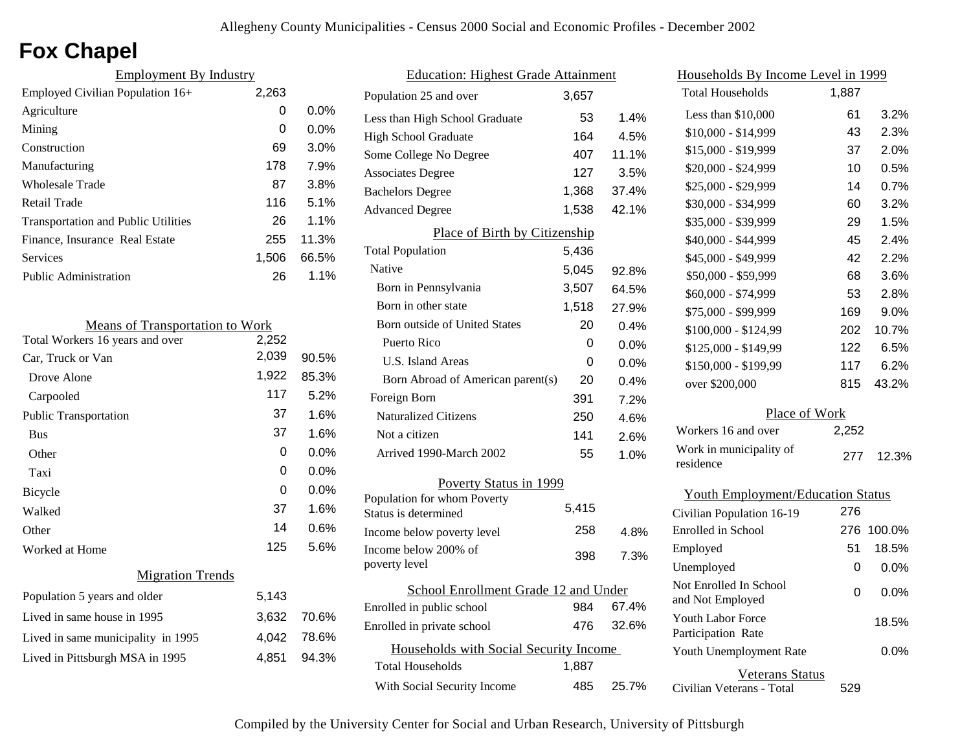# **Fox Chapel**

| <b>Employment By Industry</b>              |       |         |
|--------------------------------------------|-------|---------|
| Employed Civilian Population 16+           | 2,263 |         |
| Agriculture                                | 0     | 0.0%    |
| Mining                                     | 0     | $0.0\%$ |
| Construction                               | 69    | 3.0%    |
| Manufacturing                              | 178   | 7.9%    |
| Wholesale Trade                            | 87    | 3.8%    |
| Retail Trade                               | 116   | 5.1%    |
| <b>Transportation and Public Utilities</b> | 26    | 1.1%    |
| Finance, Insurance Real Estate             | 255   | 11.3%   |
| <b>Services</b>                            | 1,506 | 66.5%   |
| <b>Public Administration</b>               | 26    | 1.1%    |

| <b>Means of Transportation to Work</b> |       |         |
|----------------------------------------|-------|---------|
| Total Workers 16 years and over        | 2,252 |         |
| Car, Truck or Van                      | 2,039 | 90.5%   |
| Drove Alone                            | 1,922 | 85.3%   |
| Carpooled                              | 117   | 5.2%    |
| <b>Public Transportation</b>           | 37    | 1.6%    |
| <b>Bus</b>                             | 37    | 1.6%    |
| Other                                  | 0     | $0.0\%$ |
| Taxi                                   | 0     | $0.0\%$ |
| Bicycle                                | 0     | $0.0\%$ |
| Walked                                 | 37    | 1.6%    |
| Other                                  | 14    | 0.6%    |
| Worked at Home                         | 125   | 5.6%    |
| <b>Migration Trends</b>                |       |         |
| Population 5 years and older           | 5,143 |         |
| Lived in same house in 1995            | 3,632 | 70.6%   |
| Lived in same municipality in 1995     | 4,042 | 78.6%   |
| Lived in Pittsburgh MSA in 1995        | 4,851 | 94.3%   |
|                                        |       |         |

| <b>Education: Highest Grade Attainment</b>          |       |       |  |
|-----------------------------------------------------|-------|-------|--|
| Population 25 and over                              | 3,657 |       |  |
| Less than High School Graduate                      | 53    | 1.4%  |  |
| <b>High School Graduate</b>                         | 164   | 4.5%  |  |
| Some College No Degree                              | 407   | 11.1% |  |
| <b>Associates Degree</b>                            | 127   | 3.5%  |  |
| <b>Bachelors Degree</b>                             | 1,368 | 37.4% |  |
| <b>Advanced Degree</b>                              | 1,538 | 42.1% |  |
| Place of Birth by Citizenship                       |       |       |  |
| <b>Total Population</b>                             | 5,436 |       |  |
| Native                                              | 5,045 | 92.8% |  |
| Born in Pennsylvania                                | 3,507 | 64.5% |  |
| Born in other state                                 | 1,518 | 27.9% |  |
| <b>Born outside of United States</b>                | 20    | 0.4%  |  |
| Puerto Rico                                         | 0     | 0.0%  |  |
| <b>U.S. Island Areas</b>                            | 0     | 0.0%  |  |
| Born Abroad of American parent(s)                   | 20    | 0.4%  |  |
| Foreign Born                                        | 391   | 7.2%  |  |
| <b>Naturalized Citizens</b>                         | 250   | 4.6%  |  |
| Not a citizen                                       | 141   | 2.6%  |  |
| Arrived 1990-March 2002                             | 55    | 1.0%  |  |
| Poverty Status in 1999                              |       |       |  |
| Population for whom Poverty<br>Status is determined | 5,415 |       |  |
| Income below poverty level                          | 258   | 4.8%  |  |
| Income below 200% of<br>poverty level               | 398   | 7.3%  |  |
| School Enrollment Grade 12 and Under                |       |       |  |
| Enrolled in public school                           | 984   | 67.4% |  |
| Enrolled in private school                          | 476   | 32.6% |  |
| Households with Social Security Income              |       |       |  |
| <b>Total Households</b>                             | 1,887 |       |  |
| With Social Security Income                         | 485   | 25.7% |  |

Workers 16 and over 2,252 Work in municipality of residence Place of Work277 12.3%Households By Income Level in 1999 Less than \$10,000 1,887 \$10,000 - \$14,999 \$15,000 - \$19,999 \$20,000 - \$24,999 \$25,000 - \$29,999 \$30,000 - \$34,999 6143371014\$35,000 - \$39,999 60\$40,000 - \$44,999 29\$45,000 - \$49,999 45\$50,000 - \$59,999 4268\$60,000 - \$74,999 53 169\$100,000 - \$124,99 202 \$75,000 - \$99,999 1223.2%Total Households\$125,000 - \$149,99 \$150,000 - \$199,99 117 over \$200,000 2.3%2.0%0.5%0.7%3.2%1.5%2.4%2.2%3.6%2.8%9.0%10.7%6.5%6.2%43.2%Civilian Population 16-19 Unemployed Youth Employment/Education Status Employed 276 276 100.0%51018.5%0.0%Enrolled in School

Civilian Veterans - Total

Youth Unemployment Rate

Youth Labor Force Participation Rate

Not Enrolled In School

Veterans Status

and Not Employed 0 0.0%

529

0.0%

18.5%

| Compiled by the University Center for Social and Urban Research, University of Pittsburgh |  |  |  |
|-------------------------------------------------------------------------------------------|--|--|--|
|                                                                                           |  |  |  |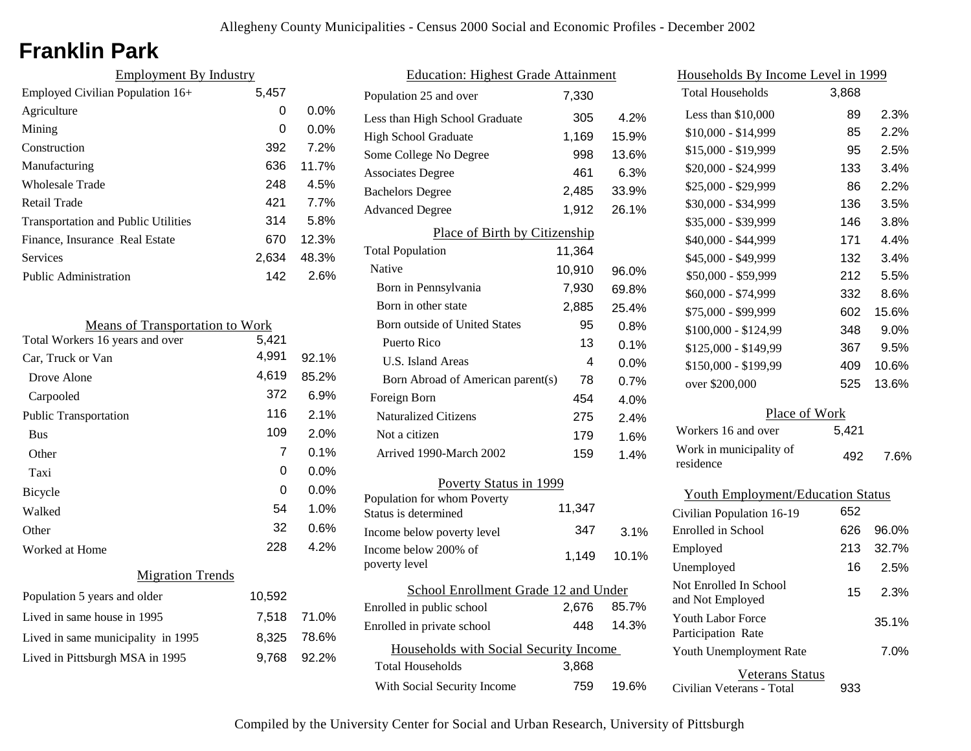# **Franklin Park**

| <b>Employment By Industry</b>              |       |         |
|--------------------------------------------|-------|---------|
| Employed Civilian Population 16+           | 5,457 |         |
| Agriculture                                | 0     | $0.0\%$ |
| Mining                                     | 0     | $0.0\%$ |
| Construction                               | 392   | 7.2%    |
| Manufacturing                              | 636   | 11.7%   |
| <b>Wholesale Trade</b>                     | 248   | 4.5%    |
| Retail Trade                               | 421   | 7.7%    |
| <b>Transportation and Public Utilities</b> | 314   | 5.8%    |
| Finance, Insurance Real Estate             | 670   | 12.3%   |
| Services                                   | 2,634 | 48.3%   |
| Public Administration                      | 142   | 2.6%    |

| <b>Means of Transportation to Work</b> |        |       |
|----------------------------------------|--------|-------|
| Total Workers 16 years and over        | 5,421  |       |
| Car, Truck or Van                      | 4,991  | 92.1% |
| Drove Alone                            | 4,619  | 85.2% |
| Carpooled                              | 372    | 6.9%  |
| Public Transportation                  | 116    | 2.1%  |
| <b>Bus</b>                             | 109    | 2.0%  |
| Other                                  | 7      | 0.1%  |
| Taxi                                   | 0      | 0.0%  |
| Bicycle                                | 0      | 0.0%  |
| Walked                                 | 54     | 1.0%  |
| Other                                  | 32     | 0.6%  |
| Worked at Home                         | 228    | 4.2%  |
| <b>Migration Trends</b>                |        |       |
| Population 5 years and older           | 10,592 |       |
| Lived in same house in 1995            | 7,518  | 71.0% |
| Lived in same municipality in 1995     | 8,325  | 78.6% |
| Lived in Pittsburgh MSA in 1995        | 9,768  | 92.2% |
|                                        |        |       |

| <b>Education: Highest Grade Attainment</b>          |        |       |  |
|-----------------------------------------------------|--------|-------|--|
| Population 25 and over                              | 7,330  |       |  |
| Less than High School Graduate                      | 305    | 4.2%  |  |
| <b>High School Graduate</b>                         | 1,169  | 15.9% |  |
| Some College No Degree                              | 998    | 13.6% |  |
| <b>Associates Degree</b>                            | 461    | 6.3%  |  |
| <b>Bachelors Degree</b>                             | 2,485  | 33.9% |  |
| <b>Advanced Degree</b>                              | 1,912  | 26.1% |  |
| Place of Birth by Citizenship                       |        |       |  |
| <b>Total Population</b>                             | 11,364 |       |  |
| Native                                              | 10,910 | 96.0% |  |
| Born in Pennsylvania                                | 7,930  | 69.8% |  |
| Born in other state                                 | 2,885  | 25.4% |  |
| <b>Born outside of United States</b>                | 95     | 0.8%  |  |
| Puerto Rico                                         | 13     | 0.1%  |  |
| U.S. Island Areas                                   | 4      | 0.0%  |  |
| Born Abroad of American parent(s)                   | 78     | 0.7%  |  |
| Foreign Born                                        | 454    | 4.0%  |  |
| <b>Naturalized Citizens</b>                         | 275    | 2.4%  |  |
| Not a citizen                                       | 179    | 1.6%  |  |
| Arrived 1990-March 2002                             | 159    | 1.4%  |  |
| Poverty Status in 1999                              |        |       |  |
| Population for whom Poverty<br>Status is determined | 11,347 |       |  |
| Income below poverty level                          | 347    | 3.1%  |  |
| Income below 200% of<br>poverty level               | 1,149  | 10.1% |  |
| School Enrollment Grade 12 and Under                |        |       |  |
| Enrolled in public school                           | 2,676  | 85.7% |  |
| Enrolled in private school                          | 448    | 14.3% |  |
| Households with Social Security Income              |        |       |  |
| <b>Total Households</b>                             | 3,868  |       |  |
| With Social Security Income                         | 759    | 19.6% |  |

| Households By Income Level in 1999             |       |       |
|------------------------------------------------|-------|-------|
| <b>Total Households</b>                        | 3,868 |       |
| Less than \$10,000                             | 89    | 2.3%  |
| $$10,000 - $14,999$                            | 85    | 2.2%  |
| \$15,000 - \$19,999                            | 95    | 2.5%  |
| \$20,000 - \$24,999                            | 133   | 3.4%  |
| \$25,000 - \$29,999                            | 86    | 2.2%  |
| \$30,000 - \$34,999                            | 136   | 3.5%  |
| \$35,000 - \$39,999                            | 146   | 3.8%  |
| \$40,000 - \$44,999                            | 171   | 4.4%  |
| \$45,000 - \$49,999                            | 132   | 3.4%  |
| \$50,000 - \$59,999                            | 212   | 5.5%  |
| \$60,000 - \$74,999                            | 332   | 8.6%  |
| \$75,000 - \$99,999                            | 602   | 15.6% |
| \$100,000 - \$124,99                           | 348   | 9.0%  |
| \$125,000 - \$149,99                           | 367   | 9.5%  |
| \$150,000 - \$199,99                           | 409   | 10.6% |
| over \$200,000                                 | 525   | 13.6% |
| Place of Work                                  |       |       |
| Workers 16 and over                            | 5,421 |       |
| Work in municipality of<br>residence           | 492   | 7.6%  |
| <b>Youth Employment/Education Status</b>       |       |       |
| Civilian Population 16-19                      | 652   |       |
| <b>Enrolled</b> in School                      | 626   | 96.0% |
| Employed                                       | 213   | 32.7% |
| Unemployed                                     | 16    | 2.5%  |
| Not Enrolled In School<br>and Not Employed     | 15    | 2.3%  |
| <b>Youth Labor Force</b><br>Participation Rate |       | 35.1% |
| Youth Unemployment Rate                        |       | 7.0%  |

Veterans Status

933

Civilian Veterans - Total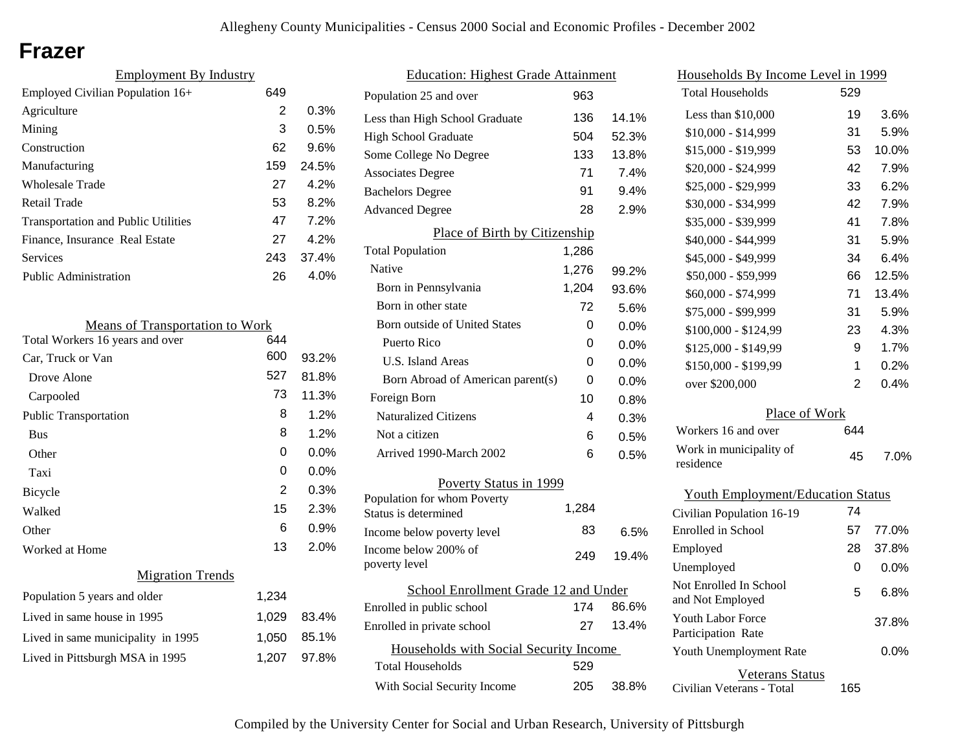## **Frazer**

| <b>Employment By Industry</b>              |     |       |  |
|--------------------------------------------|-----|-------|--|
| Employed Civilian Population 16+           | 649 |       |  |
| Agriculture                                | 2   | 0.3%  |  |
| Mining                                     | 3   | 0.5%  |  |
| Construction                               | 62  | 9.6%  |  |
| Manufacturing                              | 159 | 24.5% |  |
| Wholesale Trade                            | 27  | 4.2%  |  |
| Retail Trade                               | 53  | 8.2%  |  |
| <b>Transportation and Public Utilities</b> | 47  | 7.2%  |  |
| Finance, Insurance Real Estate             | 27  | 4.2%  |  |
| Services                                   | 243 | 37.4% |  |
| <b>Public Administration</b>               | 26  | 4.0%  |  |

| <b>Means of Transportation to Work</b> |       |       |  |
|----------------------------------------|-------|-------|--|
| Total Workers 16 years and over        | 644   |       |  |
| Car, Truck or Van                      | 600   | 93.2% |  |
| Drove Alone                            | 527   | 81.8% |  |
| Carpooled                              | 73    | 11.3% |  |
| <b>Public Transportation</b>           | 8     | 1.2%  |  |
| <b>Bus</b>                             | 8     | 1.2%  |  |
| Other                                  | 0     | 0.0%  |  |
| Taxi                                   | 0     | 0.0%  |  |
| Bicycle                                | 2     | 0.3%  |  |
| Walked                                 | 15    | 2.3%  |  |
| Other                                  | 6     | 0.9%  |  |
| Worked at Home                         | 13    | 2.0%  |  |
| <b>Migration Trends</b>                |       |       |  |
| Population 5 years and older           | 1,234 |       |  |
| Lived in same house in 1995            | 1,029 | 83.4% |  |
| Lived in same municipality in 1995     | 1,050 | 85.1% |  |
| Lived in Pittsburgh MSA in 1995        | 1,207 | 97.8% |  |
|                                        |       |       |  |

| <b>Education: Highest Grade Attainment</b> |       |         |  |
|--------------------------------------------|-------|---------|--|
| Population 25 and over                     | 963   |         |  |
| Less than High School Graduate             | 136   | 14.1%   |  |
| <b>High School Graduate</b>                | 504   | 52.3%   |  |
| Some College No Degree                     | 133   | 13.8%   |  |
| <b>Associates Degree</b>                   | 71    | 7.4%    |  |
| <b>Bachelors Degree</b>                    | 91    | 9.4%    |  |
| <b>Advanced Degree</b>                     | 28    | 2.9%    |  |
| Place of Birth by Citizenship              |       |         |  |
| <b>Total Population</b>                    | 1,286 |         |  |
| Native                                     | 1,276 | 99.2%   |  |
| Born in Pennsylvania                       | 1,204 | 93.6%   |  |
| Born in other state                        | 72    | 5.6%    |  |
| Born outside of United States              | 0     | $0.0\%$ |  |
| Puerto Rico                                | 0     | $0.0\%$ |  |
| U.S. Island Areas                          | 0     | $0.0\%$ |  |
| Born Abroad of American parent(s)          | 0     | 0.0%    |  |
| Foreign Born                               | 10    | 0.8%    |  |
| <b>Naturalized Citizens</b>                | 4     | 0.3%    |  |
| Not a citizen                              | 6     | $0.5\%$ |  |
| Arrived 1990-March 2002                    | 6     | 0.5%    |  |
| Poverty Status in 1999                     |       |         |  |
| Population for whom Poverty                |       |         |  |
| Status is determined                       | 1.284 |         |  |
| Income below poverty level                 | 83    | 6.5%    |  |
| Income below 200% of<br>poverty level      | 249   | 19.4%   |  |
| School Enrollment Grade 12 and Under       |       |         |  |
| Enrolled in public school                  | 174   | 86.6%   |  |
| Enrolled in private school                 | 27    | 13.4%   |  |
| Households with Social Security Income     |       |         |  |
| <b>Total Households</b>                    | 529   |         |  |
| With Social Security Income                | 205   | 38.8%   |  |

| <u>Households By Income Level in 1999</u>  |               |         |  |  |
|--------------------------------------------|---------------|---------|--|--|
| <b>Total Households</b>                    | 529           |         |  |  |
| Less than \$10,000                         | 19            | 3.6%    |  |  |
| $$10,000 - $14,999$                        | 31            | 5.9%    |  |  |
| \$15,000 - \$19,999                        | 53            | 10.0%   |  |  |
| \$20,000 - \$24,999                        | 42            | 7.9%    |  |  |
| \$25,000 - \$29,999                        | 33            | 6.2%    |  |  |
| \$30,000 - \$34,999                        | 42            | 7.9%    |  |  |
| \$35,000 - \$39,999                        | 41            | 7.8%    |  |  |
| \$40,000 - \$44,999                        | 31            | 5.9%    |  |  |
| \$45,000 - \$49,999                        | 34            | 6.4%    |  |  |
| \$50,000 - \$59,999                        | 66            | 12.5%   |  |  |
| \$60,000 - \$74,999                        | 71            | 13.4%   |  |  |
| \$75,000 - \$99,999                        | 31            | 5.9%    |  |  |
| \$100,000 - \$124,99                       | 23            | 4.3%    |  |  |
| \$125,000 - \$149,99                       | 9             | 1.7%    |  |  |
| \$150,000 - \$199,99                       | 1             | 0.2%    |  |  |
| over \$200,000                             | 2             | 0.4%    |  |  |
|                                            | Place of Work |         |  |  |
| Workers 16 and over                        | 644           |         |  |  |
| Work in municipality of<br>residence       | 45            | 7.0%    |  |  |
| <b>Youth Employment/Education Status</b>   |               |         |  |  |
| Civilian Population 16-19                  | 74            |         |  |  |
| Enrolled in School                         | 57            | 77.0%   |  |  |
| Employed                                   | 28            | 37.8%   |  |  |
| Unemployed                                 | 0             | $0.0\%$ |  |  |
| Not Enrolled In School<br>and Not Employed | 5             | 6.8%    |  |  |
| Youth Labor Force<br>Participation Rate    |               | 37.8%   |  |  |

Civilian Veterans - Total

Youth Unemployment Rate

Veterans Status

165

0.0%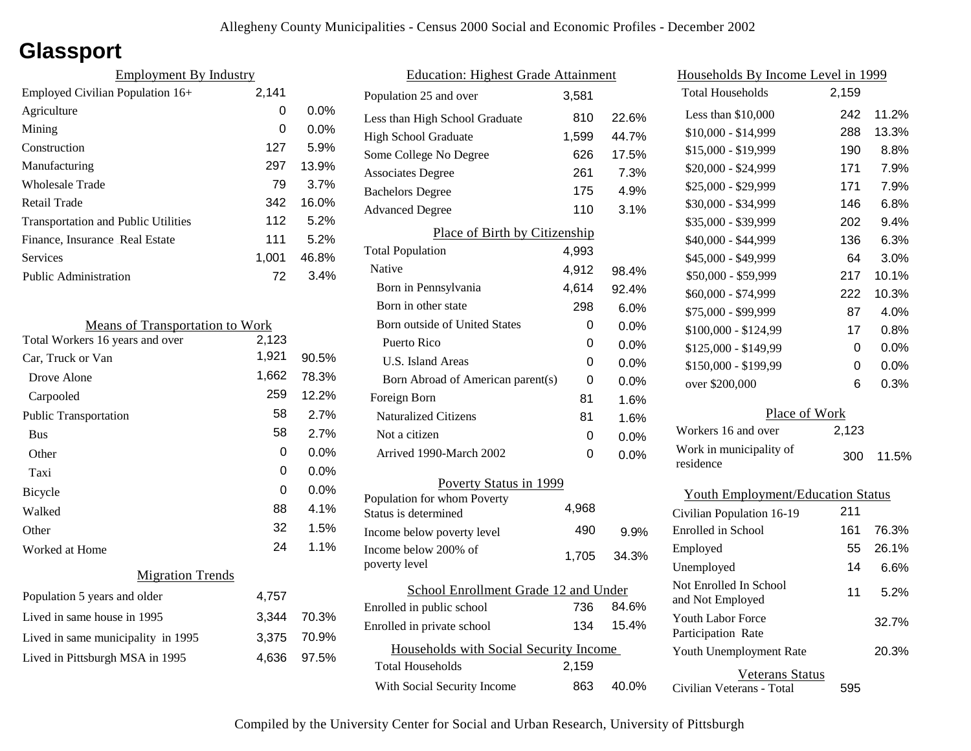# **Glassport**

| <b>Employment By Industry</b>              |       |         |
|--------------------------------------------|-------|---------|
| Employed Civilian Population 16+           | 2,141 |         |
| Agriculture                                | 0     | $0.0\%$ |
| Mining                                     | 0     | $0.0\%$ |
| Construction                               | 127   | 5.9%    |
| Manufacturing                              | 297   | 13.9%   |
| Wholesale Trade                            | 79    | 3.7%    |
| Retail Trade                               | 342   | 16.0%   |
| <b>Transportation and Public Utilities</b> | 112   | 5.2%    |
| Finance, Insurance Real Estate             | 111   | 5.2%    |
| Services                                   | 1.001 | 46.8%   |
| <b>Public Administration</b>               | 72    | 3.4%    |

| <b>Means of Transportation to Work</b> |       |         |
|----------------------------------------|-------|---------|
| Total Workers 16 years and over        | 2,123 |         |
| Car, Truck or Van                      | 1,921 | 90.5%   |
| Drove Alone                            | 1,662 | 78.3%   |
| Carpooled                              | 259   | 12.2%   |
| <b>Public Transportation</b>           | 58    | 2.7%    |
| <b>Bus</b>                             | 58    | 2.7%    |
| Other                                  | 0     | $0.0\%$ |
| Taxi                                   | 0     | $0.0\%$ |
| Bicycle                                | 0     | 0.0%    |
| Walked                                 | 88    | 4.1%    |
| Other                                  | 32    | 1.5%    |
| Worked at Home                         | 24    | 1.1%    |
| <b>Migration Trends</b>                |       |         |
| Population 5 years and older           | 4,757 |         |
| Lived in same house in 1995            | 3,344 | 70.3%   |
| Lived in same municipality in 1995     | 3,375 | 70.9%   |
| Lived in Pittsburgh MSA in 1995        | 4,636 | 97.5%   |

| <b>Education: Highest Grade Attainment</b>          |       |         |  |
|-----------------------------------------------------|-------|---------|--|
| Population 25 and over                              | 3,581 |         |  |
| Less than High School Graduate                      | 810   | 22.6%   |  |
| <b>High School Graduate</b>                         | 1,599 | 44.7%   |  |
| Some College No Degree                              | 626   | 17.5%   |  |
| <b>Associates Degree</b>                            | 261   | 7.3%    |  |
| <b>Bachelors Degree</b>                             | 175   | 4.9%    |  |
| <b>Advanced Degree</b>                              | 110   | 3.1%    |  |
| Place of Birth by Citizenship                       |       |         |  |
| <b>Total Population</b>                             | 4,993 |         |  |
| Native                                              | 4,912 | 98.4%   |  |
| Born in Pennsylvania                                | 4,614 | 92.4%   |  |
| Born in other state                                 | 298   | 6.0%    |  |
| Born outside of United States                       | 0     | 0.0%    |  |
| Puerto Rico                                         | 0     | $0.0\%$ |  |
| <b>U.S. Island Areas</b>                            | 0     | $0.0\%$ |  |
| Born Abroad of American parent(s)                   | 0     | 0.0%    |  |
| Foreign Born                                        | 81    | 1.6%    |  |
| <b>Naturalized Citizens</b>                         | 81    | 1.6%    |  |
| Not a citizen                                       | 0     | $0.0\%$ |  |
| Arrived 1990-March 2002                             | 0     | $0.0\%$ |  |
| Poverty Status in 1999                              |       |         |  |
| Population for whom Poverty<br>Status is determined | 4,968 |         |  |
| Income below poverty level                          | 490   | 9.9%    |  |
| Income below 200% of<br>poverty level               | 1,705 | 34.3%   |  |
| School Enrollment Grade 12 and Under                |       |         |  |
| Enrolled in public school                           | 736   | 84.6%   |  |
| Enrolled in private school                          | 134   | 15.4%   |  |
| Households with Social Security Income              |       |         |  |
| <b>Total Households</b>                             | 2,159 |         |  |
| With Social Security Income                         | 863   | 40.0%   |  |

| <u>Households By Income Level in 1999</u>  |       |         |  |
|--------------------------------------------|-------|---------|--|
| <b>Total Households</b>                    | 2,159 |         |  |
| Less than \$10,000                         | 242   | 11.2%   |  |
| \$10,000 - \$14,999                        | 288   | 13.3%   |  |
| \$15,000 - \$19,999                        | 190   | 8.8%    |  |
| \$20,000 - \$24,999                        | 171   | 7.9%    |  |
| \$25,000 - \$29,999                        | 171   | 7.9%    |  |
| \$30,000 - \$34,999                        | 146   | 6.8%    |  |
| \$35,000 - \$39,999                        | 202   | 9.4%    |  |
| \$40,000 - \$44,999                        | 136   | 6.3%    |  |
| \$45,000 - \$49,999                        | 64    | 3.0%    |  |
| \$50,000 - \$59,999                        | 217   | 10.1%   |  |
| \$60,000 - \$74,999                        | 222   | 10.3%   |  |
| \$75,000 - \$99,999                        | 87    | 4.0%    |  |
| \$100,000 - \$124,99                       | 17    | $0.8\%$ |  |
| \$125,000 - \$149,99                       | 0     | $0.0\%$ |  |
| \$150,000 - \$199,99                       | 0     | $0.0\%$ |  |
| over \$200,000                             | 6     | 0.3%    |  |
| Place of Work                              |       |         |  |
| Workers 16 and over                        | 2,123 |         |  |
| Work in municipality of<br>residence       | 300   | 11.5%   |  |
| <b>Youth Employment/Education Status</b>   |       |         |  |
| Civilian Population 16-19                  | 211   |         |  |
| Enrolled in School                         | 161   | 76.3%   |  |
| Employed                                   | 55    | 26.1%   |  |
| Unemployed                                 | 14    | 6.6%    |  |
| Not Enrolled In School<br>and Not Employed | 11    | 5.2%    |  |
| Youth Labor Force<br>Participation Rate    |       | 32.7%   |  |
| Youth Unemployment Rate                    |       | 20.3%   |  |

Civilian Veterans - Total Veterans Status 595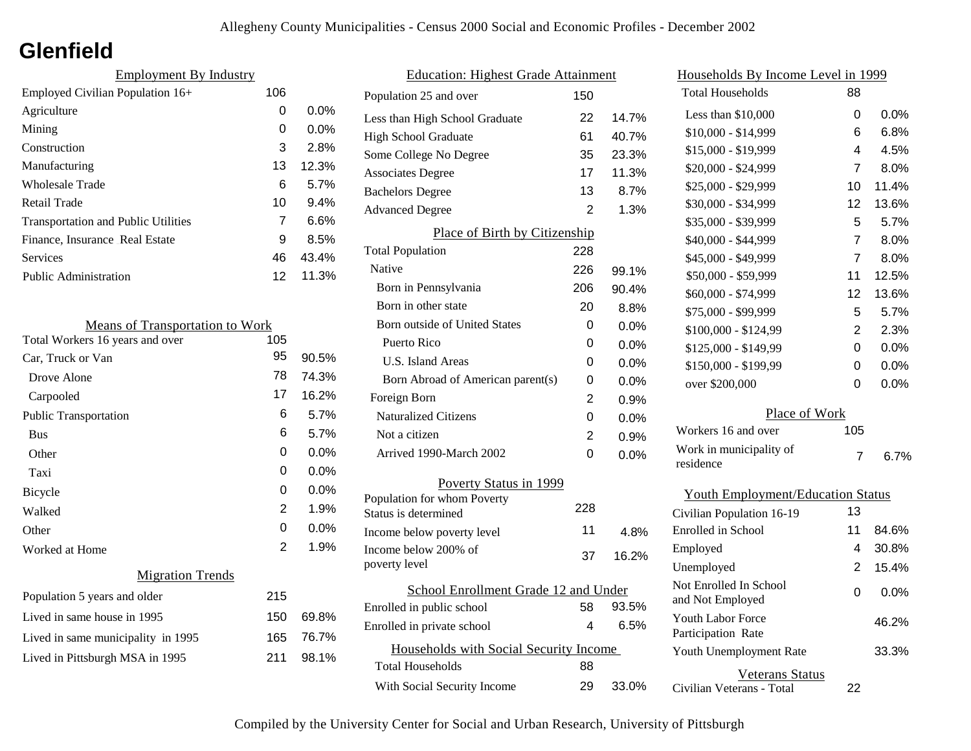## **Glenfield**

| <b>Employment By Industry</b>              |     |         |  |
|--------------------------------------------|-----|---------|--|
| Employed Civilian Population 16+           | 106 |         |  |
| Agriculture                                | 0   | $0.0\%$ |  |
| Mining                                     | 0   | $0.0\%$ |  |
| Construction                               | 3   | 2.8%    |  |
| Manufacturing                              | 13  | 12.3%   |  |
| Wholesale Trade                            | 6   | 5.7%    |  |
| Retail Trade                               | 10  | 9.4%    |  |
| <b>Transportation and Public Utilities</b> | 7   | 6.6%    |  |
| Finance, Insurance Real Estate             | 9   | 8.5%    |  |
| Services                                   | 46  | 43.4%   |  |
| <b>Public Administration</b>               | 12  | 11.3%   |  |

| <b>Means of Transportation to Work</b> |     |       |  |  |
|----------------------------------------|-----|-------|--|--|
| Total Workers 16 years and over        | 105 |       |  |  |
| Car, Truck or Van                      | 95  | 90.5% |  |  |
| Drove Alone                            | 78  | 74.3% |  |  |
| Carpooled                              | 17  | 16.2% |  |  |
| <b>Public Transportation</b>           | 6   | 5.7%  |  |  |
| <b>Bus</b>                             | 6   | 5.7%  |  |  |
| Other                                  | 0   | 0.0%  |  |  |
| Taxi                                   | 0   | 0.0%  |  |  |
| Bicycle                                | 0   | 0.0%  |  |  |
| Walked                                 | 2   | 1.9%  |  |  |
| Other                                  | 0   | 0.0%  |  |  |
| Worked at Home                         | 2   | 1.9%  |  |  |
| <b>Migration Trends</b>                |     |       |  |  |
| Population 5 years and older           | 215 |       |  |  |
| Lived in same house in 1995            | 150 | 69.8% |  |  |
| Lived in same municipality in 1995     | 165 | 76.7% |  |  |
| Lived in Pittsburgh MSA in 1995        | 211 | 98.1% |  |  |

| <b>Education: Highest Grade Attainment</b> |                                        |     |         |
|--------------------------------------------|----------------------------------------|-----|---------|
|                                            | Population 25 and over                 | 150 |         |
|                                            | Less than High School Graduate         | 22  | 14.7%   |
|                                            | High School Graduate                   | 61  | 40.7%   |
|                                            | Some College No Degree                 | 35  | 23.3%   |
|                                            | <b>Associates Degree</b>               | 17  | 11.3%   |
|                                            | <b>Bachelors Degree</b>                | 13  | 8.7%    |
|                                            | <b>Advanced Degree</b>                 | 2   | 1.3%    |
|                                            | Place of Birth by Citizenship          |     |         |
|                                            | <b>Total Population</b>                | 228 |         |
|                                            | Native                                 | 226 | 99.1%   |
|                                            | Born in Pennsylvania                   | 206 | 90.4%   |
|                                            | Born in other state                    | 20  | 8.8%    |
|                                            | Born outside of United States          | 0   | 0.0%    |
|                                            | Puerto Rico                            | 0   | 0.0%    |
|                                            | <b>U.S. Island Areas</b>               | 0   | $0.0\%$ |
|                                            | Born Abroad of American parent(s)      | 0   | 0.0%    |
|                                            | Foreign Born                           | 2   | 0.9%    |
|                                            | <b>Naturalized Citizens</b>            | 0   | 0.0%    |
|                                            | Not a citizen                          | 2   | 0.9%    |
|                                            | Arrived 1990-March 2002                | 0   | 0.0%    |
|                                            | Poverty Status in 1999                 |     |         |
|                                            | Population for whom Poverty            | 228 |         |
|                                            | Status is determined                   |     |         |
|                                            | Income below poverty level             | 11  | 4.8%    |
|                                            | Income below 200% of<br>poverty level  | 37  | 16.2%   |
|                                            |                                        |     |         |
|                                            | School Enrollment Grade 12 and Under   |     |         |
|                                            | Enrolled in public school              | 58  | 93.5%   |
|                                            | Enrolled in private school             | 4   | 6.5%    |
|                                            | Households with Social Security Income |     |         |
|                                            | Total Households                       | 88  |         |
|                                            | With Social Security Income            | 29  | 33.0%   |
|                                            |                                        |     |         |

| Households By Income Level in 1999             |                |       |
|------------------------------------------------|----------------|-------|
| <b>Total Households</b>                        | 88             |       |
| Less than \$10,000                             | 0              | 0.0%  |
| \$10,000 - \$14,999                            | 6              | 6.8%  |
| \$15,000 - \$19,999                            | 4              | 4.5%  |
| \$20,000 - \$24,999                            | 7              | 8.0%  |
| \$25,000 - \$29,999                            | 10             | 11.4% |
| \$30,000 - \$34,999                            | 12             | 13.6% |
| \$35,000 - \$39,999                            | 5              | 5.7%  |
| \$40,000 - \$44,999                            | 7              | 8.0%  |
| \$45,000 - \$49,999                            | 7              | 8.0%  |
| \$50,000 - \$59,999                            | 11             | 12.5% |
| \$60,000 - \$74,999                            | 12             | 13.6% |
| \$75,000 - \$99,999                            | 5              | 5.7%  |
| \$100,000 - \$124,99                           | $\overline{c}$ | 2.3%  |
| \$125,000 - \$149,99                           | 0              | 0.0%  |
| \$150,000 - \$199,99                           | 0              | 0.0%  |
| over \$200,000                                 | 0              | 0.0%  |
| Place of Work                                  |                |       |
| Workers 16 and over                            | 105            |       |
| Work in municipality of                        | 7              | 6.7%  |
| residence                                      |                |       |
| <b>Youth Employment/Education Status</b>       |                |       |
| Civilian Population 16-19                      | 13             |       |
| Enrolled in School                             | 11             | 84.6% |
| Employed                                       | 4              | 30.8% |
| Unemployed                                     | 2              | 15.4% |
| Not Enrolled In School<br>and Not Employed     | 0              | 0.0%  |
| <b>Youth Labor Force</b><br>Participation Rate |                | 46.2% |
| Youth Unemployment Rate                        |                | 33.3% |

Civilian Veterans - Total

Veterans Status

22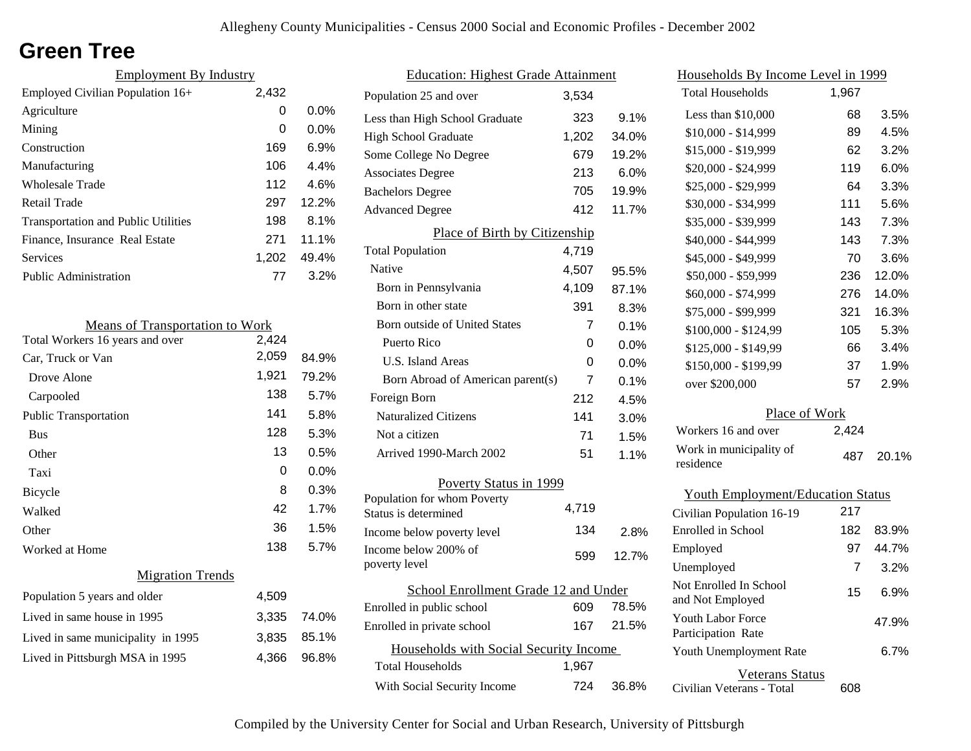## **Green Tree**

| <b>Employment By Industry</b>              |       |          |
|--------------------------------------------|-------|----------|
| Employed Civilian Population 16+           | 2,432 |          |
| Agriculture                                | 0     | $0.0\%$  |
| Mining                                     | 0     | $0.0\%$  |
| Construction                               | 169   | 6.9%     |
| Manufacturing                              | 106   | 4.4%     |
| Wholesale Trade                            | 112   | 4.6%     |
| Retail Trade                               | 297   | 12.2%    |
| <b>Transportation and Public Utilities</b> | 198   | 8.1%     |
| Finance, Insurance Real Estate             | 271   | $11.1\%$ |
| Services                                   | 1,202 | 49.4%    |
| Public Administration                      | 77    | 3.2%     |

| <b>Means of Transportation to Work</b> |       |       |
|----------------------------------------|-------|-------|
| Total Workers 16 years and over        | 2,424 |       |
| Car, Truck or Van                      | 2,059 | 84.9% |
| Drove Alone                            | 1,921 | 79.2% |
| Carpooled                              | 138   | 5.7%  |
| Public Transportation                  | 141   | 5.8%  |
| <b>Bus</b>                             | 128   | 5.3%  |
| Other                                  | 13    | 0.5%  |
| Taxi                                   | 0     | 0.0%  |
| Bicycle                                | 8     | 0.3%  |
| Walked                                 | 42    | 1.7%  |
| Other                                  | 36    | 1.5%  |
| Worked at Home                         | 138   | 5.7%  |
| <b>Migration Trends</b>                |       |       |
| Population 5 years and older           | 4,509 |       |
| Lived in same house in 1995            | 3,335 | 74.0% |
| Lived in same municipality in 1995     | 3,835 | 85.1% |
| Lived in Pittsburgh MSA in 1995        | 4,366 | 96.8% |
|                                        |       |       |

| <b>Education: Highest Grade Attainment</b>          |       |       |  |
|-----------------------------------------------------|-------|-------|--|
| Population 25 and over                              | 3,534 |       |  |
| Less than High School Graduate                      | 323   | 9.1%  |  |
| <b>High School Graduate</b>                         | 1,202 | 34.0% |  |
| Some College No Degree                              | 679   | 19.2% |  |
| <b>Associates Degree</b>                            | 213   | 6.0%  |  |
| <b>Bachelors Degree</b>                             | 705   | 19.9% |  |
| <b>Advanced Degree</b>                              | 412   | 11.7% |  |
| Place of Birth by Citizenship                       |       |       |  |
| <b>Total Population</b>                             | 4,719 |       |  |
| Native                                              | 4,507 | 95.5% |  |
| Born in Pennsylvania                                | 4,109 | 87.1% |  |
| Born in other state                                 | 391   | 8.3%  |  |
| <b>Born outside of United States</b>                | 7     | 0.1%  |  |
| Puerto Rico                                         | 0     | 0.0%  |  |
| U.S. Island Areas                                   | 0     | 0.0%  |  |
| Born Abroad of American parent(s)                   | 7     | 0.1%  |  |
| Foreign Born                                        | 212   | 4.5%  |  |
| Naturalized Citizens                                | 141   | 3.0%  |  |
| Not a citizen                                       | 71    | 1.5%  |  |
| Arrived 1990-March 2002                             | 51    | 1.1%  |  |
| Poverty Status in 1999                              |       |       |  |
| Population for whom Poverty<br>Status is determined | 4,719 |       |  |
| Income below poverty level                          | 134   | 2.8%  |  |
| Income below 200% of<br>poverty level               | 599   | 12.7% |  |
| School Enrollment Grade 12 and Under                |       |       |  |
| Enrolled in public school                           | 609   | 78.5% |  |
| Enrolled in private school                          | 167   | 21.5% |  |
| Households with Social Security Income              |       |       |  |
| <b>Total Households</b>                             | 1,967 |       |  |
| With Social Security Income                         | 724   | 36.8% |  |

| <u>Households By Income Level in 1999</u>  |       |       |
|--------------------------------------------|-------|-------|
| <b>Total Households</b>                    | 1,967 |       |
| Less than \$10,000                         | 68    | 3.5%  |
| \$10,000 - \$14,999                        | 89    | 4.5%  |
| \$15,000 - \$19,999                        | 62    | 3.2%  |
| \$20,000 - \$24,999                        | 119   | 6.0%  |
| \$25,000 - \$29,999                        | 64    | 3.3%  |
| \$30,000 - \$34,999                        | 111   | 5.6%  |
| \$35,000 - \$39,999                        | 143   | 7.3%  |
| \$40,000 - \$44,999                        | 143   | 7.3%  |
| \$45,000 - \$49,999                        | 70    | 3.6%  |
| \$50,000 - \$59,999                        | 236   | 12.0% |
| \$60,000 - \$74,999                        | 276   | 14.0% |
| \$75,000 - \$99,999                        | 321   | 16.3% |
| \$100,000 - \$124,99                       | 105   | 5.3%  |
| \$125,000 - \$149,99                       | 66    | 3.4%  |
| \$150,000 - \$199,99                       | 37    | 1.9%  |
| over \$200,000                             | 57    | 2.9%  |
| Place of Work                              |       |       |
| Workers 16 and over                        | 2,424 |       |
| Work in municipality of<br>residence       | 487   | 20.1% |
| <b>Youth Employment/Education Status</b>   |       |       |
| Civilian Population 16-19                  | 217   |       |
| <b>Enrolled</b> in School                  | 182   | 83.9% |
| Employed                                   | 97    | 44.7% |
| Unemployed                                 | 7     | 3.2%  |
| Not Enrolled In School<br>and Not Employed | 15    | 6.9%  |
| Youth Labor Force<br>Participation Rate    |       | 47.9% |
| Youth Unemployment Rate                    |       | 6.7%  |

Civilian Veterans - Total Veterans Status 608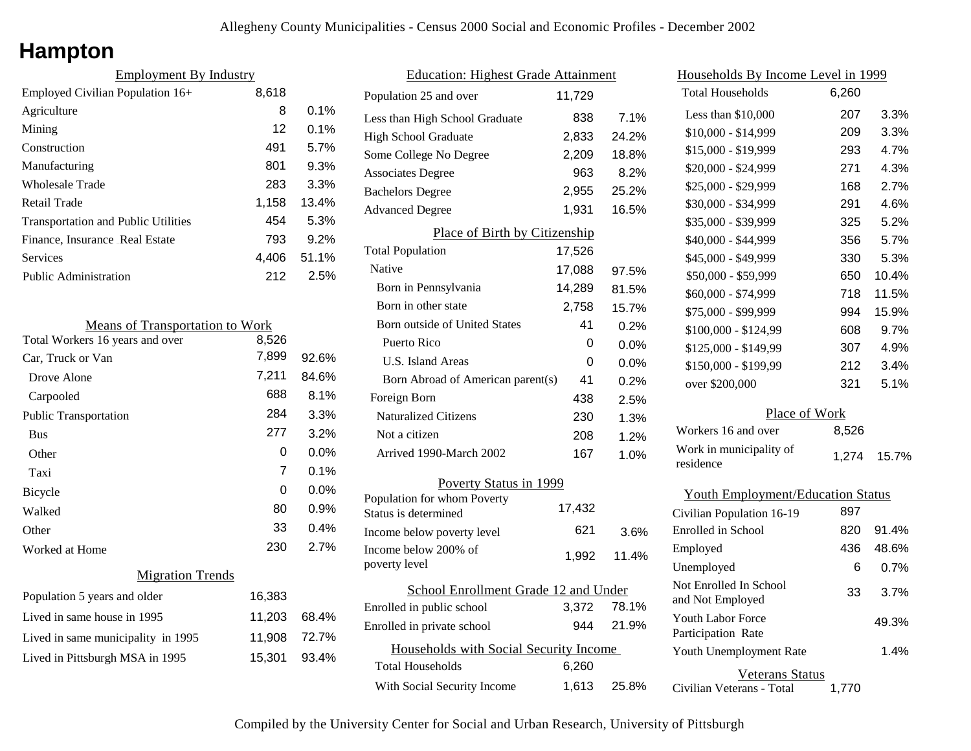# **Hampton**

| <b>Employment By Industry</b>              |       |         |
|--------------------------------------------|-------|---------|
| Employed Civilian Population 16+           | 8,618 |         |
| Agriculture                                | 8     | $0.1\%$ |
| Mining                                     | 12    | $0.1\%$ |
| Construction                               | 491   | 5.7%    |
| Manufacturing                              | 801   | 9.3%    |
| Wholesale Trade                            | 283   | 3.3%    |
| Retail Trade                               | 1,158 | 13.4%   |
| <b>Transportation and Public Utilities</b> | 454   | 5.3%    |
| Finance, Insurance Real Estate             | 793   | 9.2%    |
| Services                                   | 4.406 | 51.1%   |
| <b>Public Administration</b>               | 212   | 2.5%    |

| <b>Means of Transportation to Work</b> |        |       |
|----------------------------------------|--------|-------|
| Total Workers 16 years and over        | 8,526  |       |
| Car, Truck or Van                      | 7,899  | 92.6% |
| Drove Alone                            | 7,211  | 84.6% |
| Carpooled                              | 688    | 8.1%  |
| Public Transportation                  | 284    | 3.3%  |
| <b>Bus</b>                             | 277    | 3.2%  |
| Other                                  | 0      | 0.0%  |
| Taxi                                   | 7      | 0.1%  |
| Bicycle                                | 0      | 0.0%  |
| Walked                                 | 80     | 0.9%  |
| Other                                  | 33     | 0.4%  |
| Worked at Home                         | 230    | 2.7%  |
| <b>Migration Trends</b>                |        |       |
| Population 5 years and older           | 16,383 |       |
| Lived in same house in 1995            | 11,203 | 68.4% |
| Lived in same municipality in 1995     | 11,908 | 72.7% |
| Lived in Pittsburgh MSA in 1995        | 15,301 | 93.4% |
|                                        |        |       |

| <b>Education: Highest Grade Attainment</b>          |        |         |
|-----------------------------------------------------|--------|---------|
| Population 25 and over                              | 11,729 |         |
| Less than High School Graduate                      | 838    | 7.1%    |
| High School Graduate                                | 2,833  | 24.2%   |
| Some College No Degree                              | 2,209  | 18.8%   |
| <b>Associates Degree</b>                            | 963    | 8.2%    |
| <b>Bachelors Degree</b>                             | 2,955  | 25.2%   |
| <b>Advanced Degree</b>                              | 1,931  | 16.5%   |
| Place of Birth by Citizenship                       |        |         |
| <b>Total Population</b>                             | 17,526 |         |
| <b>Native</b>                                       | 17,088 | 97.5%   |
| Born in Pennsylvania                                | 14,289 | 81.5%   |
| Born in other state                                 | 2,758  | 15.7%   |
| Born outside of United States                       | 41     | 0.2%    |
| Puerto Rico                                         | 0      | 0.0%    |
| U.S. Island Areas                                   | 0      | $0.0\%$ |
| Born Abroad of American parent(s)                   | 41     | 0.2%    |
| Foreign Born                                        | 438    | 2.5%    |
| <b>Naturalized Citizens</b>                         | 230    | 1.3%    |
| Not a citizen                                       | 208    | 1.2%    |
| Arrived 1990-March 2002                             | 167    | 1.0%    |
| Poverty Status in 1999                              |        |         |
| Population for whom Poverty<br>Status is determined | 17,432 |         |
| Income below poverty level                          | 621    | 3.6%    |
| Income below 200% of<br>poverty level               | 1,992  | 11.4%   |
| School Enrollment Grade 12 and Under                |        |         |
| Enrolled in public school                           | 3,372  | 78.1%   |
| Enrolled in private school                          | 944    | 21.9%   |
| Households with Social Security Income              |        |         |
| Total Households                                    | 6,260  |         |
| With Social Security Income                         | 1,613  | 25.8%   |

| <u>Households By Income Level in 1999</u>  |       |       |
|--------------------------------------------|-------|-------|
| <b>Total Households</b>                    | 6,260 |       |
| Less than \$10,000                         | 207   | 3.3%  |
| \$10,000 - \$14,999                        | 209   | 3.3%  |
| \$15,000 - \$19,999                        | 293   | 4.7%  |
| \$20,000 - \$24,999                        | 271   | 4.3%  |
| \$25,000 - \$29,999                        | 168   | 2.7%  |
| \$30,000 - \$34,999                        | 291   | 4.6%  |
| \$35,000 - \$39,999                        | 325   | 5.2%  |
| \$40,000 - \$44,999                        | 356   | 5.7%  |
| \$45,000 - \$49,999                        | 330   | 5.3%  |
| \$50,000 - \$59,999                        | 650   | 10.4% |
| \$60,000 - \$74,999                        | 718   | 11.5% |
| \$75,000 - \$99,999                        | 994   | 15.9% |
| \$100,000 - \$124,99                       | 608   | 9.7%  |
| \$125,000 - \$149,99                       | 307   | 4.9%  |
| \$150,000 - \$199,99                       | 212   | 3.4%  |
| over \$200,000                             | 321   | 5.1%  |
| Place of Work                              |       |       |
| Workers 16 and over                        | 8,526 |       |
| Work in municipality of<br>residence       | 1,274 | 15.7% |
| <b>Youth Employment/Education Status</b>   |       |       |
| Civilian Population 16-19                  | 897   |       |
| <b>Enrolled</b> in School                  | 820   | 91.4% |
| Employed                                   | 436   | 48.6% |
| Unemployed                                 | 6     | 0.7%  |
| Not Enrolled In School<br>and Not Employed | 33    | 3.7%  |

| %<br>% | and Not Employed<br><b>Youth Labor Force</b>          | 49.3% |
|--------|-------------------------------------------------------|-------|
|        | Participation Rate<br>Youth Unemployment Rate         | 1.4%  |
| %      | Veterans Status<br>1.770<br>Civilian Veterans - Total |       |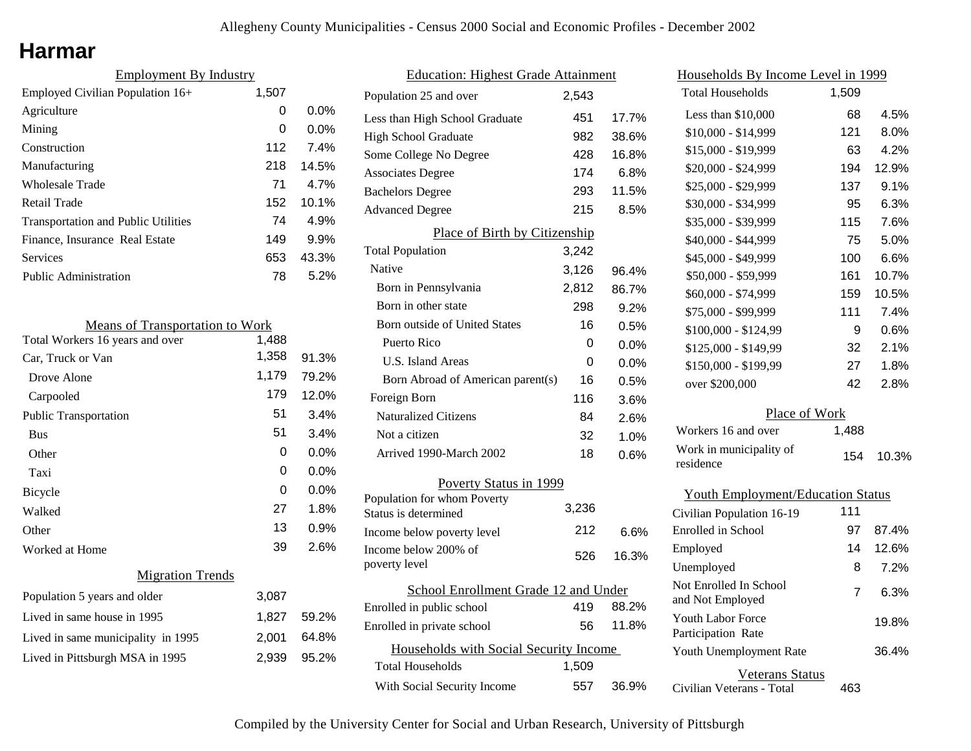## **Harmar**

| <b>Employment By Industry</b>              |       |         |
|--------------------------------------------|-------|---------|
| Employed Civilian Population 16+           | 1,507 |         |
| Agriculture                                | 0     | $0.0\%$ |
| Mining                                     | 0     | $0.0\%$ |
| Construction                               | 112   | 7.4%    |
| Manufacturing                              | 218   | 14.5%   |
| <b>Wholesale Trade</b>                     | 71    | 4.7%    |
| Retail Trade                               | 152   | 10.1%   |
| <b>Transportation and Public Utilities</b> | 74    | 4.9%    |
| Finance, Insurance Real Estate             | 149   | 9.9%    |
| Services                                   | 653   | 43.3%   |
| Public Administration                      | 78    | $5.2\%$ |

| <b>Means of Transportation to Work</b> |       |         |
|----------------------------------------|-------|---------|
| Total Workers 16 years and over        | 1,488 |         |
| Car, Truck or Van                      | 1,358 | 91.3%   |
| Drove Alone                            | 1,179 | 79.2%   |
| Carpooled                              | 179   | 12.0%   |
| <b>Public Transportation</b>           | 51    | 3.4%    |
| <b>Bus</b>                             | 51    | 3.4%    |
| Other                                  | 0     | 0.0%    |
| Taxi                                   | 0     | 0.0%    |
| Bicycle                                | 0     | $0.0\%$ |
| Walked                                 | 27    | 1.8%    |
| Other                                  | 13    | 0.9%    |
| Worked at Home                         | 39    | 2.6%    |
| <b>Migration Trends</b>                |       |         |
| Population 5 years and older           | 3,087 |         |
| Lived in same house in 1995            | 1,827 | 59.2%   |
| Lived in same municipality in 1995     | 2,001 | 64.8%   |
| Lived in Pittsburgh MSA in 1995        | 2,939 | 95.2%   |

| <b>Education: Highest Grade Attainment</b>          |       |         |
|-----------------------------------------------------|-------|---------|
| Population 25 and over                              | 2,543 |         |
| Less than High School Graduate                      | 451   | 17.7%   |
| <b>High School Graduate</b>                         | 982   | 38.6%   |
| Some College No Degree                              | 428   | 16.8%   |
| <b>Associates Degree</b>                            | 174   | 6.8%    |
| <b>Bachelors Degree</b>                             | 293   | 11.5%   |
| <b>Advanced Degree</b>                              | 215   | 8.5%    |
| Place of Birth by Citizenship                       |       |         |
| <b>Total Population</b>                             | 3,242 |         |
| Native                                              | 3,126 | 96.4%   |
| Born in Pennsylvania                                | 2,812 | 86.7%   |
| Born in other state                                 | 298   | 9.2%    |
| <b>Born outside of United States</b>                | 16    | 0.5%    |
| Puerto Rico                                         | 0     | $0.0\%$ |
| <b>U.S. Island Areas</b>                            | 0     | 0.0%    |
| Born Abroad of American parent(s)                   | 16    | 0.5%    |
| Foreign Born                                        | 116   | 3.6%    |
| <b>Naturalized Citizens</b>                         | 84    | 2.6%    |
| Not a citizen                                       | 32    | 1.0%    |
| Arrived 1990-March 2002                             | 18    | 0.6%    |
| Poverty Status in 1999                              |       |         |
| Population for whom Poverty<br>Status is determined | 3.236 |         |
| Income below poverty level                          | 212   | 6.6%    |
| Income below 200% of<br>poverty level               | 526   | 16.3%   |
| School Enrollment Grade 12 and Under                |       |         |
| Enrolled in public school                           | 419   | 88.2%   |
| Enrolled in private school                          | 56    | 11.8%   |
| Households with Social Security Income              |       |         |
| Total Households                                    | 1,509 |         |
| With Social Security Income                         | 557   | 36.9%   |

| <u>Households By Income Level in 1999</u>      |       |       |  |
|------------------------------------------------|-------|-------|--|
| <b>Total Households</b>                        | 1,509 |       |  |
| Less than \$10,000                             | 68    | 4.5%  |  |
| $$10,000 - $14,999$                            | 121   | 8.0%  |  |
| \$15,000 - \$19,999                            | 63    | 4.2%  |  |
| \$20,000 - \$24,999                            | 194   | 12.9% |  |
| \$25,000 - \$29,999                            | 137   | 9.1%  |  |
| \$30,000 - \$34,999                            | 95    | 6.3%  |  |
| \$35,000 - \$39,999                            | 115   | 7.6%  |  |
| \$40,000 - \$44,999                            | 75    | 5.0%  |  |
| \$45,000 - \$49,999                            | 100   | 6.6%  |  |
| \$50,000 - \$59,999                            | 161   | 10.7% |  |
| \$60,000 - \$74,999                            | 159   | 10.5% |  |
| \$75,000 - \$99,999                            | 111   | 7.4%  |  |
| \$100,000 - \$124,99                           | 9     | 0.6%  |  |
| \$125,000 - \$149,99                           | 32    | 2.1%  |  |
| \$150,000 - \$199,99                           | 27    | 1.8%  |  |
| over \$200,000                                 | 42    | 2.8%  |  |
| Place of Work                                  |       |       |  |
| Workers 16 and over                            | 1,488 |       |  |
| Work in municipality of<br>residence           | 154   | 10.3% |  |
| <b>Youth Employment/Education Status</b>       |       |       |  |
| Civilian Population 16-19                      | 111   |       |  |
| Enrolled in School                             | 97    | 87.4% |  |
| Employed                                       | 14    | 12.6% |  |
| Unemployed                                     | 8     | 7.2%  |  |
| Not Enrolled In School<br>and Not Employed     | 7     | 6.3%  |  |
| <b>Youth Labor Force</b><br>Participation Rate |       | 19.8% |  |
| Youth Unemployment Rate                        |       | 36.4% |  |
| Veterans Status                                |       |       |  |

Civilian Veterans - Total

463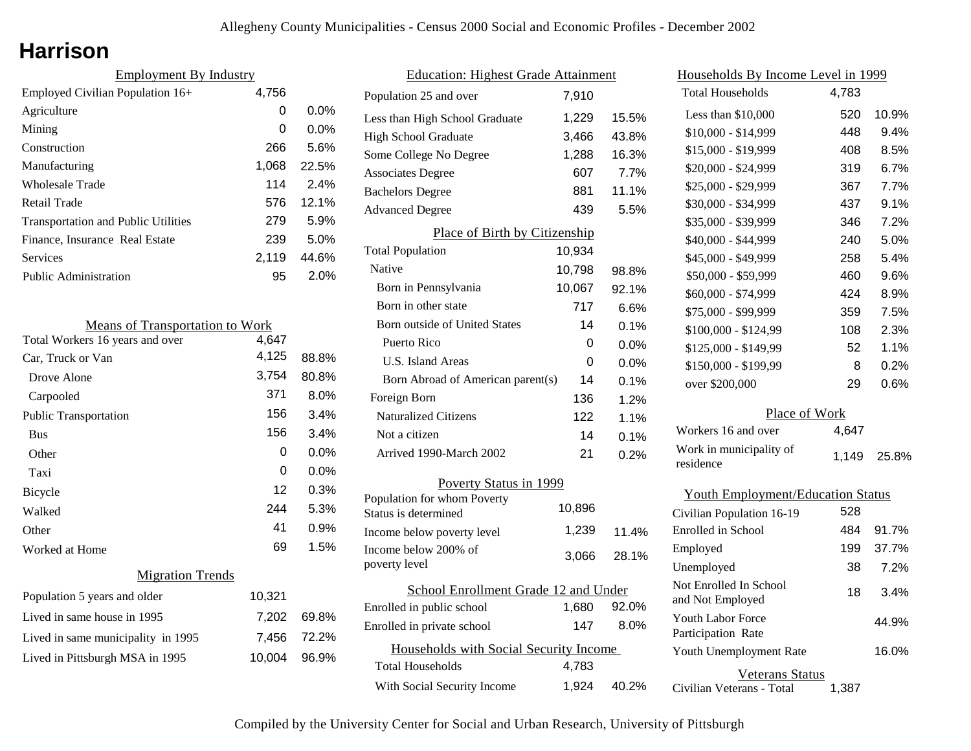## **Harrison**

| <b>Employment By Industry</b> |         |  |
|-------------------------------|---------|--|
| 4,756                         |         |  |
| 0                             | $0.0\%$ |  |
| 0                             | $0.0\%$ |  |
| 266                           | 5.6%    |  |
| 1,068                         | 22.5%   |  |
| 114                           | 2.4%    |  |
| 576                           | 12.1%   |  |
| 279                           | 5.9%    |  |
| 239                           | 5.0%    |  |
| 2,119                         | 44.6%   |  |
| 95                            | 2.0%    |  |
|                               |         |  |

| <b>Means of Transportation to Work</b> |        |         |
|----------------------------------------|--------|---------|
| Total Workers 16 years and over        | 4,647  |         |
| Car, Truck or Van                      | 4,125  | 88.8%   |
| Drove Alone                            | 3,754  | 80.8%   |
| Carpooled                              | 371    | 8.0%    |
| <b>Public Transportation</b>           | 156    | 3.4%    |
| <b>Bus</b>                             | 156    | 3.4%    |
| Other                                  | 0      | $0.0\%$ |
| Taxi                                   | 0      | $0.0\%$ |
| Bicycle                                | 12     | 0.3%    |
| Walked                                 | 244    | 5.3%    |
| Other                                  | 41     | 0.9%    |
| Worked at Home                         | 69     | 1.5%    |
| <b>Migration Trends</b>                |        |         |
| Population 5 years and older           | 10,321 |         |
| Lived in same house in 1995            | 7,202  | 69.8%   |
| Lived in same municipality in 1995     | 7,456  | 72.2%   |
| Lived in Pittsburgh MSA in 1995        | 10,004 | 96.9%   |

| <b>Education: Highest Grade Attainment</b>          |        |       |
|-----------------------------------------------------|--------|-------|
| Population 25 and over                              | 7,910  |       |
| Less than High School Graduate                      | 1,229  | 15.5% |
| <b>High School Graduate</b>                         | 3,466  | 43.8% |
| Some College No Degree                              | 1,288  | 16.3% |
| <b>Associates Degree</b>                            | 607    | 7.7%  |
| <b>Bachelors Degree</b>                             | 881    | 11.1% |
| <b>Advanced Degree</b>                              | 439    | 5.5%  |
| Place of Birth by Citizenship                       |        |       |
| <b>Total Population</b>                             | 10,934 |       |
| <b>Native</b>                                       | 10,798 | 98.8% |
| Born in Pennsylvania                                | 10,067 | 92.1% |
| Born in other state                                 | 717    | 6.6%  |
| <b>Born outside of United States</b>                | 14     | 0.1%  |
| Puerto Rico                                         | 0      | 0.0%  |
| <b>U.S. Island Areas</b>                            | 0      | 0.0%  |
| Born Abroad of American parent(s)                   | 14     | 0.1%  |
| Foreign Born                                        | 136    | 1.2%  |
| <b>Naturalized Citizens</b>                         | 122    | 1.1%  |
| Not a citizen                                       | 14     | 0.1%  |
| Arrived 1990-March 2002                             | 21     | 0.2%  |
| Poverty Status in 1999                              |        |       |
| Population for whom Poverty<br>Status is determined | 10,896 |       |
| Income below poverty level                          | 1,239  | 11.4% |
| Income below 200% of<br>poverty level               | 3,066  | 28.1% |
| School Enrollment Grade 12 and Under                |        |       |
| Enrolled in public school                           | 1,680  | 92.0% |
| Enrolled in private school                          | 147    | 8.0%  |
| Households with Social Security Income              |        |       |
| Total Households                                    | 4,783  |       |
| With Social Security Income                         | 1,924  | 40.2% |

| Households By Income Level in 1999         |       |         |
|--------------------------------------------|-------|---------|
| <b>Total Households</b>                    | 4,783 |         |
| Less than \$10,000                         | 520   | 10.9%   |
| \$10,000 - \$14,999                        | 448   | 9.4%    |
| \$15,000 - \$19,999                        | 408   | 8.5%    |
| \$20,000 - \$24,999                        | 319   | 6.7%    |
| \$25,000 - \$29,999                        | 367   | 7.7%    |
| \$30,000 - \$34,999                        | 437   | 9.1%    |
| \$35,000 - \$39,999                        | 346   | 7.2%    |
| \$40,000 - \$44,999                        | 240   | 5.0%    |
| \$45,000 - \$49,999                        | 258   | $5.4\%$ |
| \$50,000 - \$59,999                        | 460   | 9.6%    |
| \$60,000 - \$74,999                        | 424   | 8.9%    |
| \$75,000 - \$99,999                        | 359   | 7.5%    |
| $$100,000 - $124,99$                       | 108   | 2.3%    |
| \$125,000 - \$149,99                       | 52    | 1.1%    |
| \$150,000 - \$199,99                       | 8     | 0.2%    |
| over \$200,000                             | 29    | 0.6%    |
| <b>Place of Work</b>                       |       |         |
| Workers 16 and over                        | 4,647 |         |
| Work in municipality of<br>residence       | 1,149 | 25.8%   |
| <b>Youth Employment/Education Status</b>   |       |         |
| Civilian Population 16-19                  | 528   |         |
| Enrolled in School                         | 484   | 91.7%   |
| Employed                                   | 199   | 37.7%   |
| Unemployed                                 | 38    | 7.2%    |
| Not Enrolled In School<br>and Not Employed | 18    | 3.4%    |
| Youth Labor Force<br>Participation Rate    |       | 44.9%   |
| Youth Unemployment Rate                    |       | 16.0%   |

Veterans Status

Civilian Veterans - Total 1,387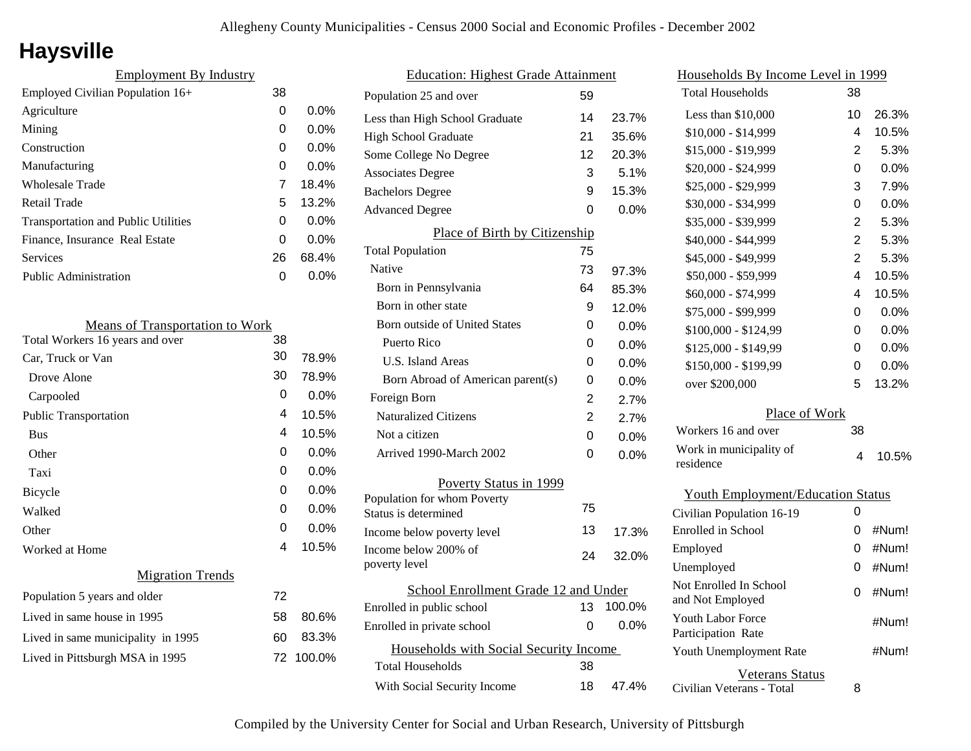# **Haysville**

| <b>Employment By Industry</b>              |    |         |
|--------------------------------------------|----|---------|
| Employed Civilian Population 16+           | 38 |         |
| Agriculture                                | 0  | $0.0\%$ |
| Mining                                     | 0  | $0.0\%$ |
| Construction                               | 0  | $0.0\%$ |
| Manufacturing                              | 0  | 0.0%    |
| Wholesale Trade                            | 7  | 18.4%   |
| Retail Trade                               | 5  | 13.2%   |
| <b>Transportation and Public Utilities</b> | 0  | $0.0\%$ |
| Finance, Insurance Real Estate             | 0  | $0.0\%$ |
| Services                                   | 26 | 68.4%   |
| <b>Public Administration</b>               | O  | $0.0\%$ |

| <b>Means of Transportation to Work</b> |    |           |
|----------------------------------------|----|-----------|
| Total Workers 16 years and over        | 38 |           |
| Car, Truck or Van                      | 30 | 78.9%     |
| Drove Alone                            | 30 | 78.9%     |
| Carpooled                              | 0  | 0.0%      |
| <b>Public Transportation</b>           | 4  | 10.5%     |
| <b>Bus</b>                             | 4  | 10.5%     |
| Other                                  | 0  | $0.0\%$   |
| Taxi                                   | 0  | $0.0\%$   |
| Bicycle                                | 0  | $0.0\%$   |
| Walked                                 | 0  | $0.0\%$   |
| Other                                  | 0  | 0.0%      |
| Worked at Home                         | 4  | 10.5%     |
| <b>Migration Trends</b>                |    |           |
| Population 5 years and older           | 72 |           |
| Lived in same house in 1995            | 58 | 80.6%     |
| Lived in same municipality in 1995     | 60 | 83.3%     |
| Lived in Pittsburgh MSA in 1995        |    | 72 100.0% |
|                                        |    |           |

| <b>Education: Highest Grade Attainment</b> |    |         |
|--------------------------------------------|----|---------|
| Population 25 and over                     | 59 |         |
| Less than High School Graduate             | 14 | 23.7%   |
| <b>High School Graduate</b>                | 21 | 35.6%   |
| Some College No Degree                     | 12 | 20.3%   |
| <b>Associates Degree</b>                   | 3  | 5.1%    |
| <b>Bachelors Degree</b>                    | 9  | 15.3%   |
| <b>Advanced Degree</b>                     | 0  | $0.0\%$ |
| Place of Birth by Citizenship              |    |         |
| <b>Total Population</b>                    | 75 |         |
| Native                                     | 73 | 97.3%   |
| Born in Pennsylvania                       | 64 | 85.3%   |
| Born in other state                        | 9  | 12.0%   |
| <b>Born outside of United States</b>       | 0  | 0.0%    |
| Puerto Rico                                | 0  | 0.0%    |
| U.S. Island Areas                          | 0  | 0.0%    |
| Born Abroad of American parent(s)          | 0  | 0.0%    |
| Foreign Born                               | 2  | 2.7%    |
| <b>Naturalized Citizens</b>                | 2  | 2.7%    |
| Not a citizen                              | 0  | 0.0%    |
| Arrived 1990-March 2002                    | 0  | $0.0\%$ |
| Poverty Status in 1999                     |    |         |
| Population for whom Poverty                | 75 |         |
| Status is determined                       |    |         |
| Income below poverty level                 | 13 | 17.3%   |
| Income below 200% of<br>poverty level      | 24 | 32.0%   |
| School Enrollment Grade 12 and Under       |    |         |
| Enrolled in public school                  | 13 | 100.0%  |
| Enrolled in private school                 | 0  | 0.0%    |
| Households with Social Security Income     |    |         |
| <b>Total Households</b>                    | 38 |         |
| With Social Security Income                | 18 | 47.4%   |
|                                            |    |         |

| Households By Income Level in 1999       |                |       |  |
|------------------------------------------|----------------|-------|--|
| <b>Total Households</b>                  | 38             |       |  |
| Less than \$10,000                       | 10             | 26.3% |  |
| \$10,000 - \$14,999                      | 4              | 10.5% |  |
| \$15,000 - \$19,999                      | $\overline{2}$ | 5.3%  |  |
| \$20,000 - \$24,999                      | 0              | 0.0%  |  |
| \$25,000 - \$29,999                      | 3              | 7.9%  |  |
| \$30,000 - \$34,999                      | 0              | 0.0%  |  |
| \$35,000 - \$39,999                      | $\overline{2}$ | 5.3%  |  |
| \$40,000 - \$44,999                      | $\overline{2}$ | 5.3%  |  |
| \$45,000 - \$49,999                      | $\overline{2}$ | 5.3%  |  |
| \$50,000 - \$59,999                      | 4              | 10.5% |  |
| \$60,000 - \$74,999                      | 4              | 10.5% |  |
| \$75,000 - \$99,999                      | 0              | 0.0%  |  |
| \$100,000 - \$124,99                     | 0              | 0.0%  |  |
| \$125,000 - \$149,99                     | 0              | 0.0%  |  |
| \$150,000 - \$199,99                     | 0              | 0.0%  |  |
| over \$200,000                           | 5              | 13.2% |  |
| Place of Work                            |                |       |  |
| Workers 16 and over                      | 38             |       |  |
| Work in municipality of                  | 4              | 10.5% |  |
| residence                                |                |       |  |
| <b>Youth Employment/Education Status</b> |                |       |  |
| Civilian Population 16-19                | 0              |       |  |
| Enrolled in School                       | 0              | #Num! |  |
| Employed                                 | 0              | #Num! |  |
| Unemployed                               | 0              | #Num! |  |
| Not Enrolled In School                   |                |       |  |
| and Not Employed                         | 0              | #Num! |  |
| Youth Labor Force                        |                | #Num! |  |
| Participation Rate                       |                |       |  |

Civilian Veterans - Total

Youth Unemployment Rate

Veterans Status

8

#Num!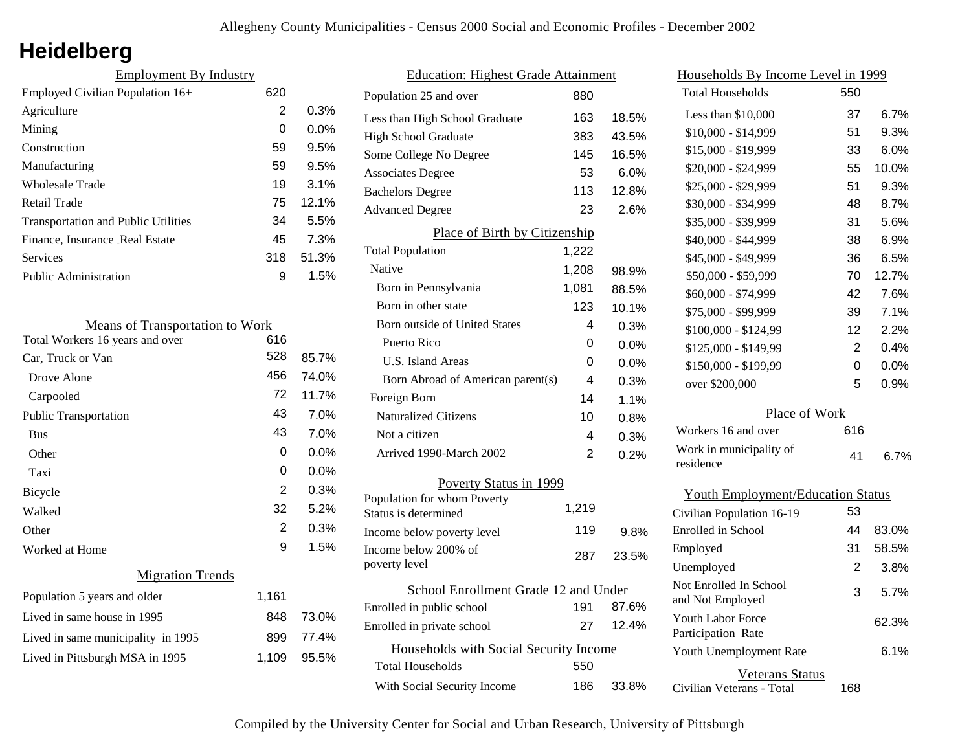# **Heidelberg**

| <b>Employment By Industry</b>              |     |         |
|--------------------------------------------|-----|---------|
| Employed Civilian Population 16+           | 620 |         |
| Agriculture                                | 2   | 0.3%    |
| Mining                                     | 0   | $0.0\%$ |
| Construction                               | 59  | 9.5%    |
| Manufacturing                              | 59  | 9.5%    |
| Wholesale Trade                            | 19  | 3.1%    |
| Retail Trade                               | 75  | 12.1%   |
| <b>Transportation and Public Utilities</b> | 34  | 5.5%    |
| Finance, Insurance Real Estate             | 45  | 7.3%    |
| <b>Services</b>                            | 318 | 51.3%   |
| Public Administration                      | 9   | 1.5%    |
|                                            |     |         |

| <b>Means of Transportation to Work</b> |       |         |
|----------------------------------------|-------|---------|
| Total Workers 16 years and over        | 616   |         |
| Car, Truck or Van                      | 528   | 85.7%   |
| Drove Alone                            | 456   | 74.0%   |
| Carpooled                              | 72    | 11.7%   |
| <b>Public Transportation</b>           | 43    | 7.0%    |
| <b>Bus</b>                             | 43    | 7.0%    |
| Other                                  | 0     | $0.0\%$ |
| Taxi                                   | 0     | $0.0\%$ |
| Bicycle                                | 2     | 0.3%    |
| Walked                                 | 32    | 5.2%    |
| Other                                  | 2     | 0.3%    |
| Worked at Home                         | 9     | 1.5%    |
| <b>Migration Trends</b>                |       |         |
| Population 5 years and older           | 1,161 |         |
| Lived in same house in 1995            | 848   | 73.0%   |
| Lived in same municipality in 1995     | 899   | 77.4%   |
| Lived in Pittsburgh MSA in 1995        | 1,109 | 95.5%   |
|                                        |       |         |

| <b>Education: Highest Grade Attainment</b> |                                       |       |       |
|--------------------------------------------|---------------------------------------|-------|-------|
|                                            | Population 25 and over                | 880   |       |
|                                            | Less than High School Graduate        | 163   | 18.5% |
|                                            | <b>High School Graduate</b>           | 383   | 43.5% |
|                                            | Some College No Degree                | 145   | 16.5% |
|                                            | <b>Associates Degree</b>              | 53    | 6.0%  |
|                                            | <b>Bachelors Degree</b>               | 113   | 12.8% |
|                                            | <b>Advanced Degree</b>                | 23    | 2.6%  |
|                                            | Place of Birth by Citizenship         |       |       |
|                                            | <b>Total Population</b>               | 1,222 |       |
|                                            | Native                                | 1,208 | 98.9% |
|                                            | Born in Pennsylvania                  | 1,081 | 88.5% |
|                                            | Born in other state                   | 123   | 10.1% |
|                                            | Born outside of United States         | 4     | 0.3%  |
|                                            | Puerto Rico                           | 0     | 0.0%  |
|                                            | U.S. Island Areas                     | 0     | 0.0%  |
|                                            | Born Abroad of American parent(s)     | 4     | 0.3%  |
|                                            | Foreign Born                          | 14    | 1.1%  |
|                                            | <b>Naturalized Citizens</b>           | 10    | 0.8%  |
|                                            | Not a citizen                         | 4     | 0.3%  |
|                                            | Arrived 1990-March 2002               | 2     | 0.2%  |
|                                            | Poverty Status in 1999                |       |       |
|                                            | Population for whom Poverty           | 1,219 |       |
|                                            | Status is determined                  |       |       |
|                                            | Income below poverty level            | 119   | 9.8%  |
|                                            | Income below 200% of<br>poverty level | 287   | 23.5% |
| School Enrollment Grade 12 and Under       |                                       |       |       |
|                                            | Enrolled in public school             | 191   | 87.6% |
|                                            | Enrolled in private school            | 27    | 12.4% |
| Households with Social Security Income     |                                       |       |       |
|                                            | <b>Total Households</b>               | 550   |       |
|                                            | With Social Security Income           | 186   | 33.8% |
|                                            |                                       |       |       |

| Households By Income Level in 1999         |                |         |  |  |
|--------------------------------------------|----------------|---------|--|--|
| <b>Total Households</b>                    | 550            |         |  |  |
| Less than $$10,000$                        | 37             | 6.7%    |  |  |
| \$10,000 - \$14,999                        | 51             | 9.3%    |  |  |
| \$15,000 - \$19,999                        | 33             | 6.0%    |  |  |
| \$20,000 - \$24,999                        | 55             | 10.0%   |  |  |
| \$25,000 - \$29,999                        | 51             | 9.3%    |  |  |
| \$30,000 - \$34,999                        | 48             | 8.7%    |  |  |
| \$35,000 - \$39,999                        | 31             | 5.6%    |  |  |
| \$40,000 - \$44,999                        | 38             | 6.9%    |  |  |
| \$45,000 - \$49,999                        | 36             | 6.5%    |  |  |
| \$50,000 - \$59,999                        | 70             | 12.7%   |  |  |
| \$60,000 - \$74,999                        | 42             | 7.6%    |  |  |
| \$75,000 - \$99,999                        | 39             | 7.1%    |  |  |
| \$100,000 - \$124,99                       | 12             | 2.2%    |  |  |
| \$125,000 - \$149,99                       | $\overline{2}$ | 0.4%    |  |  |
| \$150,000 - \$199,99                       | 0              | $0.0\%$ |  |  |
| over \$200,000                             | 5              | 0.9%    |  |  |
| Place of Work                              |                |         |  |  |
| Workers 16 and over                        | 616            |         |  |  |
| Work in municipality of<br>residence       | 41             | 6.7%    |  |  |
| <b>Youth Employment/Education Status</b>   |                |         |  |  |
| Civilian Population 16-19                  | 53             |         |  |  |
| <b>Enrolled</b> in School                  | 44             | 83.0%   |  |  |
| Employed                                   | 31             | 58.5%   |  |  |
| Unemployed                                 | 2              | 3.8%    |  |  |
| Not Enrolled In School<br>and Not Employed | 3              | 5.7%    |  |  |
| Youth Labor Force<br>Participation Rate    |                | 62.3%   |  |  |
| Youth Unemployment Rate                    |                | 6.1%    |  |  |
| Veterans Status                            |                |         |  |  |

Civilian Veterans - Total

168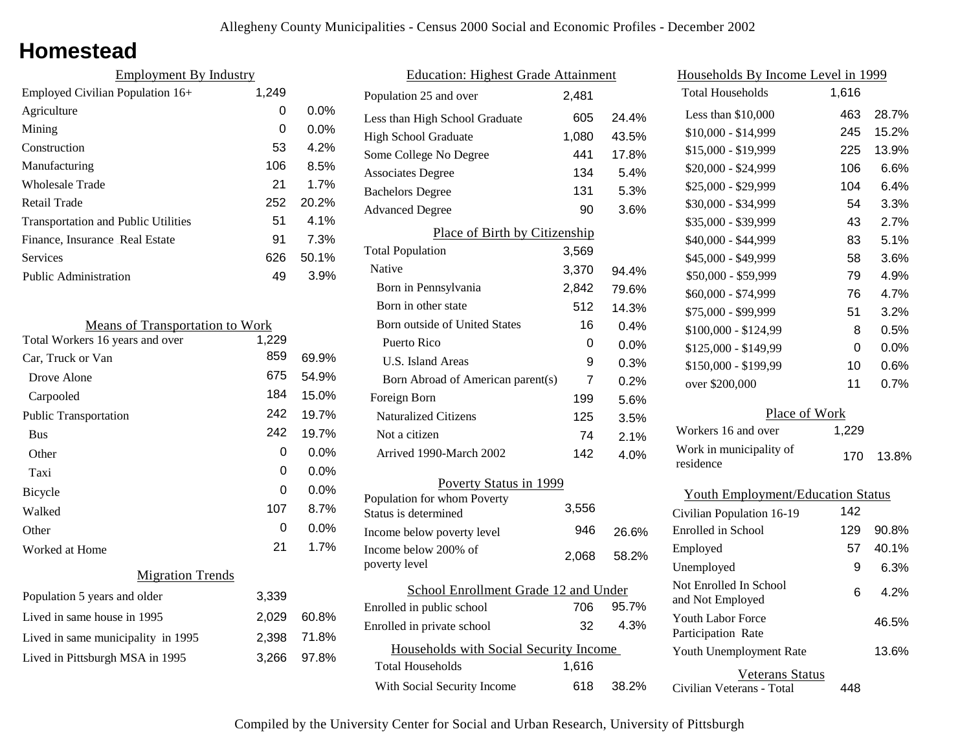## **Homestead**

| <b>Employment By Industry</b>              |       |         |
|--------------------------------------------|-------|---------|
| Employed Civilian Population $16+$         | 1,249 |         |
| Agriculture                                | 0     | $0.0\%$ |
| Mining                                     | 0     | $0.0\%$ |
| Construction                               | 53    | 4.2%    |
| Manufacturing                              | 106   | 8.5%    |
| Wholesale Trade                            | 21    | 1.7%    |
| Retail Trade                               | 252   | 20.2%   |
| <b>Transportation and Public Utilities</b> | 51    | $4.1\%$ |
| Finance, Insurance Real Estate             | 91    | 7.3%    |
| Services                                   | 626   | 50.1%   |
| <b>Public Administration</b>               | 49    | 3.9%    |

| <b>Means of Transportation to Work</b> |       |         |  |
|----------------------------------------|-------|---------|--|
| Total Workers 16 years and over        | 1,229 |         |  |
| Car, Truck or Van                      | 859   | 69.9%   |  |
| Drove Alone                            | 675   | 54.9%   |  |
| Carpooled                              | 184   | 15.0%   |  |
| Public Transportation                  | 242   | 19.7%   |  |
| <b>Bus</b>                             | 242   | 19.7%   |  |
| Other                                  | 0     | 0.0%    |  |
| Taxi                                   | 0     | 0.0%    |  |
| Bicycle                                | 0     | $0.0\%$ |  |
| Walked                                 | 107   | 8.7%    |  |
| Other                                  | 0     | 0.0%    |  |
| Worked at Home                         | 21    | 1.7%    |  |
| <b>Migration Trends</b>                |       |         |  |
| Population 5 years and older           | 3,339 |         |  |
| Lived in same house in 1995            | 2,029 | 60.8%   |  |
| Lived in same municipality in 1995     | 2,398 | 71.8%   |  |
| Lived in Pittsburgh MSA in 1995        | 3,266 | 97.8%   |  |
|                                        |       |         |  |

| <b>Education: Highest Grade Attainment</b>          |       |         |
|-----------------------------------------------------|-------|---------|
| Population 25 and over                              | 2,481 |         |
| Less than High School Graduate                      | 605   | 24.4%   |
| <b>High School Graduate</b>                         | 1,080 | 43.5%   |
| Some College No Degree                              | 441   | 17.8%   |
| <b>Associates Degree</b>                            | 134   | 5.4%    |
| <b>Bachelors Degree</b>                             | 131   | 5.3%    |
| <b>Advanced Degree</b>                              | 90    | 3.6%    |
| Place of Birth by Citizenship                       |       |         |
| <b>Total Population</b>                             | 3,569 |         |
| Native                                              | 3,370 | 94.4%   |
| Born in Pennsylvania                                | 2,842 | 79.6%   |
| Born in other state                                 | 512   | 14.3%   |
| <b>Born outside of United States</b>                | 16    | 0.4%    |
| Puerto Rico                                         | 0     | $0.0\%$ |
| U.S. Island Areas                                   | 9     | 0.3%    |
| Born Abroad of American parent(s)                   | 7     | 0.2%    |
| Foreign Born                                        | 199   | 5.6%    |
| <b>Naturalized Citizens</b>                         | 125   | 3.5%    |
| Not a citizen                                       | 74    | 2.1%    |
| Arrived 1990-March 2002                             | 142   | 4.0%    |
| Poverty Status in 1999                              |       |         |
| Population for whom Poverty<br>Status is determined | 3,556 |         |
| Income below poverty level                          | 946   | 26.6%   |
| Income below 200% of<br>poverty level               | 2,068 | 58.2%   |
| School Enrollment Grade 12 and Under                |       |         |
| Enrolled in public school                           | 706   | 95.7%   |
| Enrolled in private school                          | 32    | 4.3%    |
| Households with Social Security Income              |       |         |
| <b>Total Households</b>                             | 1,616 |         |
| With Social Security Income                         | 618   | 38.2%   |

| <u>Households By Income Level in 1999</u>  |       |       |  |  |
|--------------------------------------------|-------|-------|--|--|
| <b>Total Households</b>                    | 1,616 |       |  |  |
| Less than \$10,000                         | 463   | 28.7% |  |  |
| \$10,000 - \$14,999                        | 245   | 15.2% |  |  |
| \$15,000 - \$19,999                        | 225   | 13.9% |  |  |
| \$20,000 - \$24,999                        | 106   | 6.6%  |  |  |
| \$25,000 - \$29,999                        | 104   | 6.4%  |  |  |
| \$30,000 - \$34,999                        | 54    | 3.3%  |  |  |
| \$35,000 - \$39,999                        | 43    | 2.7%  |  |  |
| \$40,000 - \$44,999                        | 83    | 5.1%  |  |  |
| \$45,000 - \$49,999                        | 58    | 3.6%  |  |  |
| \$50,000 - \$59,999                        | 79    | 4.9%  |  |  |
| \$60,000 - \$74,999                        | 76    | 4.7%  |  |  |
| \$75,000 - \$99,999                        | 51    | 3.2%  |  |  |
| $$100,000 - $124,99$                       | 8     | 0.5%  |  |  |
| \$125,000 - \$149,99                       | 0     | 0.0%  |  |  |
| \$150,000 - \$199,99                       | 10    | 0.6%  |  |  |
| over \$200,000                             | 11    | 0.7%  |  |  |
| Place of Work                              |       |       |  |  |
| Workers 16 and over                        | 1,229 |       |  |  |
| Work in municipality of<br>residence       | 170   | 13.8% |  |  |
| <b>Youth Employment/Education Status</b>   |       |       |  |  |
| Civilian Population 16-19                  | 142   |       |  |  |
| <b>Enrolled</b> in School                  | 129   | 90.8% |  |  |
| Employed                                   | 57    | 40.1% |  |  |
| Unemployed                                 | 9     | 6.3%  |  |  |
| Not Enrolled In School<br>and Not Employed | 6     | 4.2%  |  |  |

Civilian Veterans - Total

Youth Unemployment Rate

Youth Labor Force Participation Rate

Veterans Status

448

13.6%

46.5%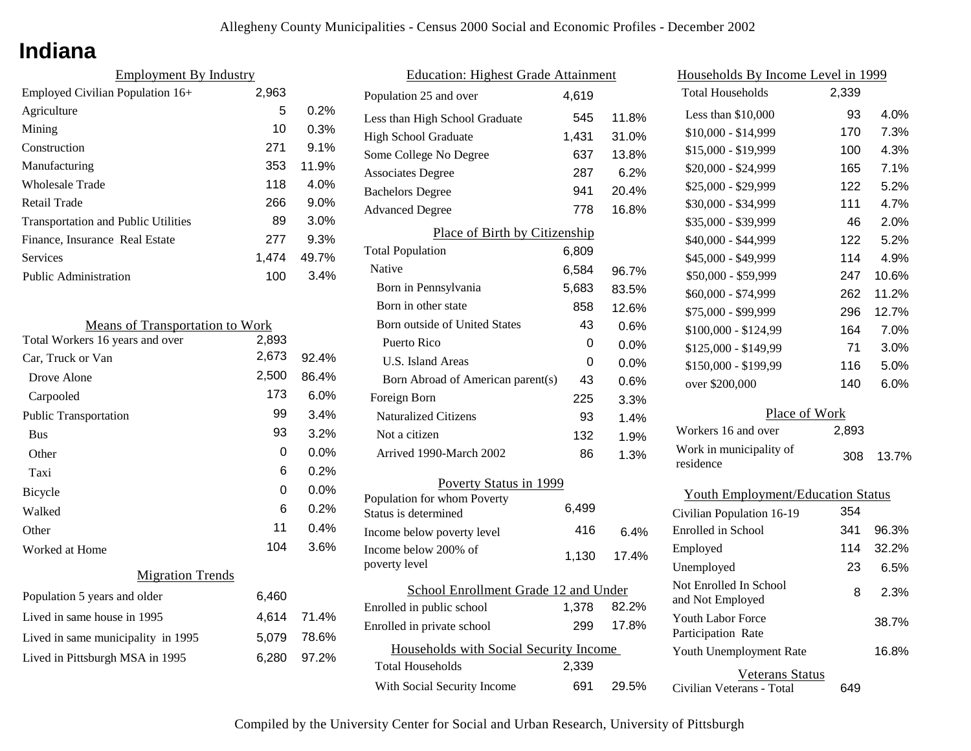## **Indiana**

| <b>Employment By Industry</b>              |       |         |
|--------------------------------------------|-------|---------|
| Employed Civilian Population 16+           | 2,963 |         |
| Agriculture                                | 5     | 0.2%    |
| Mining                                     | 10    | 0.3%    |
| Construction                               | 271   | $9.1\%$ |
| Manufacturing                              | 353   | 11.9%   |
| Wholesale Trade                            | 118   | $4.0\%$ |
| Retail Trade                               | 266   | 9.0%    |
| <b>Transportation and Public Utilities</b> | 89    | $3.0\%$ |
| Finance, Insurance Real Estate             | 277   | 9.3%    |
| Services                                   | 1.474 | 49.7%   |
| <b>Public Administration</b>               | 100   | 3.4%    |

| <b>Means of Transportation to Work</b> |         |  |
|----------------------------------------|---------|--|
| 2,893                                  |         |  |
| 2,673                                  | 92.4%   |  |
| 2,500                                  | 86.4%   |  |
| 173                                    | 6.0%    |  |
| 99                                     | 3.4%    |  |
| 93                                     | 3.2%    |  |
| $\Omega$                               | $0.0\%$ |  |
| 6                                      | 0.2%    |  |
| 0                                      | $0.0\%$ |  |
| 6                                      | 0.2%    |  |
| 11                                     | 0.4%    |  |
| 104                                    | 3.6%    |  |
|                                        |         |  |
| 6,460                                  |         |  |
| 4,614                                  | 71.4%   |  |
| 5,079                                  | 78.6%   |  |
| 6,280                                  | 97.2%   |  |
|                                        |         |  |

| <b>Education: Highest Grade Attainment</b>          |       |         |  |
|-----------------------------------------------------|-------|---------|--|
| Population 25 and over                              | 4,619 |         |  |
| Less than High School Graduate                      | 545   | 11.8%   |  |
| <b>High School Graduate</b>                         | 1,431 | 31.0%   |  |
| Some College No Degree                              | 637   | 13.8%   |  |
| <b>Associates Degree</b>                            | 287   | 6.2%    |  |
| <b>Bachelors Degree</b>                             | 941   | 20.4%   |  |
| <b>Advanced Degree</b>                              | 778   | 16.8%   |  |
| Place of Birth by Citizenship                       |       |         |  |
| <b>Total Population</b>                             | 6,809 |         |  |
| Native                                              | 6,584 | 96.7%   |  |
| Born in Pennsylvania                                | 5,683 | 83.5%   |  |
| Born in other state                                 | 858   | 12.6%   |  |
| Born outside of United States                       | 43    | 0.6%    |  |
| Puerto Rico                                         | 0     | $0.0\%$ |  |
| <b>U.S. Island Areas</b>                            | 0     | $0.0\%$ |  |
| Born Abroad of American parent(s)                   | 43    | 0.6%    |  |
| Foreign Born                                        | 225   | 3.3%    |  |
| <b>Naturalized Citizens</b>                         | 93    | 1.4%    |  |
| Not a citizen                                       | 132   | 1.9%    |  |
| Arrived 1990-March 2002                             | 86    | 1.3%    |  |
| Poverty Status in 1999                              |       |         |  |
| Population for whom Poverty<br>Status is determined | 6,499 |         |  |
| Income below poverty level                          | 416   | 6.4%    |  |
| Income below 200% of<br>poverty level               | 1,130 | 17.4%   |  |
| School Enrollment Grade 12 and Under                |       |         |  |
| Enrolled in public school                           | 1,378 | 82.2%   |  |
| Enrolled in private school                          | 299   | 17.8%   |  |
| Households with Social Security Income              |       |         |  |
| <b>Total Households</b>                             | 2,339 |         |  |
| With Social Security Income                         | 691   | 29.5%   |  |

| Households By Income Level in 1999         |       |       |  |  |
|--------------------------------------------|-------|-------|--|--|
| <b>Total Households</b>                    | 2,339 |       |  |  |
| Less than \$10,000                         | 93    | 4.0%  |  |  |
| $$10,000 - $14,999$                        | 170   | 7.3%  |  |  |
| \$15,000 - \$19,999                        | 100   | 4.3%  |  |  |
| \$20,000 - \$24,999                        | 165   | 7.1%  |  |  |
| \$25,000 - \$29,999                        | 122   | 5.2%  |  |  |
| \$30,000 - \$34,999                        | 111   | 4.7%  |  |  |
| \$35,000 - \$39,999                        | 46    | 2.0%  |  |  |
| \$40,000 - \$44,999                        | 122   | 5.2%  |  |  |
| \$45,000 - \$49,999                        | 114   | 4.9%  |  |  |
| \$50,000 - \$59,999                        | 247   | 10.6% |  |  |
| \$60,000 - \$74,999                        | 262   | 11.2% |  |  |
| \$75,000 - \$99,999                        | 296   | 12.7% |  |  |
| \$100,000 - \$124,99                       | 164   | 7.0%  |  |  |
| \$125,000 - \$149,99                       | 71    | 3.0%  |  |  |
| \$150,000 - \$199,99                       | 116   | 5.0%  |  |  |
| over \$200,000                             | 140   | 6.0%  |  |  |
| Place of Work                              |       |       |  |  |
| Workers 16 and over                        | 2,893 |       |  |  |
| Work in municipality of<br>residence       | 308   | 13.7% |  |  |
| <b>Youth Employment/Education Status</b>   |       |       |  |  |
| Civilian Population 16-19                  | 354   |       |  |  |
| <b>Enrolled</b> in School                  | 341   | 96.3% |  |  |
| Employed                                   | 114   | 32.2% |  |  |
| Unemployed                                 | 23    | 6.5%  |  |  |
| Not Enrolled In School<br>and Not Employed | 8     | 2.3%  |  |  |

Civilian Veterans - Total

Youth Unemployment Rate

Youth Labor Force Participation Rate

Veterans Status

649

16.8%

38.7%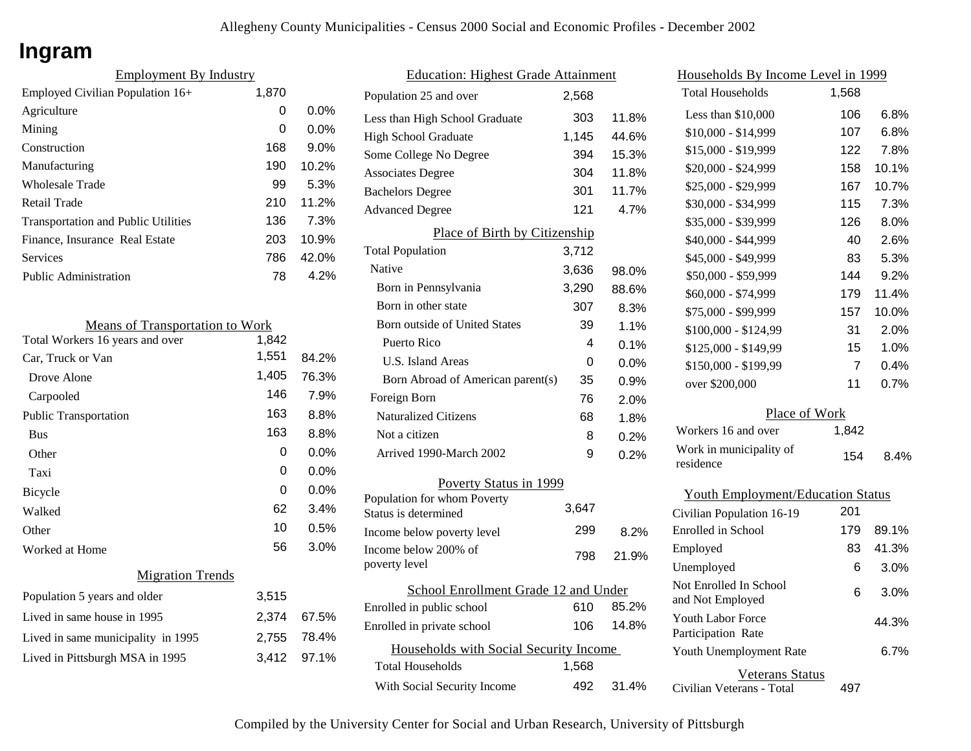## **Ingram**

| <b>Employment By Industry</b>              |       |         |
|--------------------------------------------|-------|---------|
| Employed Civilian Population 16+           | 1,870 |         |
| Agriculture                                | 0     | $0.0\%$ |
| Mining                                     | 0     | $0.0\%$ |
| Construction                               | 168   | 9.0%    |
| Manufacturing                              | 190   | 10.2%   |
| <b>Wholesale Trade</b>                     | 99    | 5.3%    |
| Retail Trade                               | 210   | 11.2%   |
| <b>Transportation and Public Utilities</b> | 136   | 7.3%    |
| Finance, Insurance Real Estate             | 203   | 10.9%   |
| Services                                   | 786   | 42.0%   |
| <b>Public Administration</b>               | 78    | 4.2%    |

| <b>Means of Transportation to Work</b> |       |       |  |
|----------------------------------------|-------|-------|--|
| Total Workers 16 years and over        | 1,842 |       |  |
| Car, Truck or Van                      | 1,551 | 84.2% |  |
| Drove Alone                            | 1,405 | 76.3% |  |
| Carpooled                              | 146   | 7.9%  |  |
| <b>Public Transportation</b>           | 163   | 8.8%  |  |
| <b>Bus</b>                             | 163   | 8.8%  |  |
| Other                                  | 0     | 0.0%  |  |
| Taxi                                   | 0     | 0.0%  |  |
| Bicycle                                | 0     | 0.0%  |  |
| Walked                                 | 62    | 3.4%  |  |
| Other                                  | 10    | 0.5%  |  |
| Worked at Home                         | 56    | 3.0%  |  |
| <b>Migration Trends</b>                |       |       |  |
| Population 5 years and older           | 3,515 |       |  |
| Lived in same house in 1995            | 2,374 | 67.5% |  |
| Lived in same municipality in 1995     | 2,755 | 78.4% |  |
| Lived in Pittsburgh MSA in 1995        | 3,412 | 97.1% |  |
|                                        |       |       |  |

| <b>Education: Highest Grade Attainment</b>         |       |       |  |
|----------------------------------------------------|-------|-------|--|
| Population 25 and over                             | 2,568 |       |  |
| Less than High School Graduate                     | 303   | 11.8% |  |
| <b>High School Graduate</b>                        | 1,145 | 44.6% |  |
| Some College No Degree                             | 394   | 15.3% |  |
| <b>Associates Degree</b>                           | 304   | 11.8% |  |
| <b>Bachelors Degree</b>                            | 301   | 11.7% |  |
| <b>Advanced Degree</b>                             | 121   | 4.7%  |  |
| Place of Birth by Citizenship                      |       |       |  |
| <b>Total Population</b>                            | 3,712 |       |  |
| Native                                             | 3,636 | 98.0% |  |
| Born in Pennsylvania                               | 3,290 | 88.6% |  |
| Born in other state                                | 307   | 8.3%  |  |
| <b>Born outside of United States</b>               | 39    | 1.1%  |  |
| Puerto Rico                                        | 4     | 0.1%  |  |
| U.S. Island Areas                                  | 0     | 0.0%  |  |
| Born Abroad of American parent(s)                  | 35    | 0.9%  |  |
| Foreign Born                                       | 76    | 2.0%  |  |
| <b>Naturalized Citizens</b>                        | 68    | 1.8%  |  |
| Not a citizen                                      | 8     | 0.2%  |  |
| Arrived 1990-March 2002                            | 9     | 0.2%  |  |
| Poverty Status in 1999                             |       |       |  |
| Population for whom Poverty                        | 3,647 |       |  |
| Status is determined                               | 299   |       |  |
| Income below poverty level<br>Income below 200% of |       | 8.2%  |  |
| poverty level                                      | 798   | 21.9% |  |
| School Enrollment Grade 12 and Under               |       |       |  |
| Enrolled in public school                          | 610   | 85.2% |  |
| Enrolled in private school                         | 106   | 14.8% |  |
| Households with Social Security Income             |       |       |  |
| <b>Total Households</b>                            | 1,568 |       |  |
| With Social Security Income                        | 492   | 31.4% |  |

| <u>Households By Income Level in 1999</u>  |                |       |  |
|--------------------------------------------|----------------|-------|--|
| <b>Total Households</b>                    | 1,568          |       |  |
| Less than \$10,000                         | 106            | 6.8%  |  |
| $$10,000 - $14,999$                        | 107            | 6.8%  |  |
| \$15,000 - \$19,999                        | 122            | 7.8%  |  |
| \$20,000 - \$24,999                        | 158            | 10.1% |  |
| \$25,000 - \$29,999                        | 167            | 10.7% |  |
| \$30,000 - \$34,999                        | 115            | 7.3%  |  |
| \$35,000 - \$39,999                        | 126            | 8.0%  |  |
| \$40,000 - \$44,999                        | 40             | 2.6%  |  |
| \$45,000 - \$49,999                        | 83             | 5.3%  |  |
| \$50,000 - \$59,999                        | 144            | 9.2%  |  |
| \$60,000 - \$74,999                        | 179            | 11.4% |  |
| \$75,000 - \$99,999                        | 157            | 10.0% |  |
| \$100,000 - \$124,99                       | 31             | 2.0%  |  |
| \$125,000 - \$149,99                       | 15             | 1.0%  |  |
| \$150,000 - \$199,99                       | $\overline{7}$ | 0.4%  |  |
| over \$200,000                             | 11             | 0.7%  |  |
| Place of Work                              |                |       |  |
| Workers 16 and over                        | 1,842          |       |  |
| Work in municipality of<br>residence       | 154            | 8.4%  |  |
| <b>Youth Employment/Education Status</b>   |                |       |  |
| Civilian Population 16-19                  | 201            |       |  |
| Enrolled in School                         | 179            | 89.1% |  |
| Employed                                   | 83             | 41.3% |  |
| Unemployed                                 | 6              | 3.0%  |  |
| Not Enrolled In School<br>and Not Employed | 6              | 3.0%  |  |
| <b>Youth Labor Force</b>                   |                | 44.3% |  |

Civilian Veterans - Total

Youth Unemployment Rate

Participation Rate

Veterans Status

497

6.7%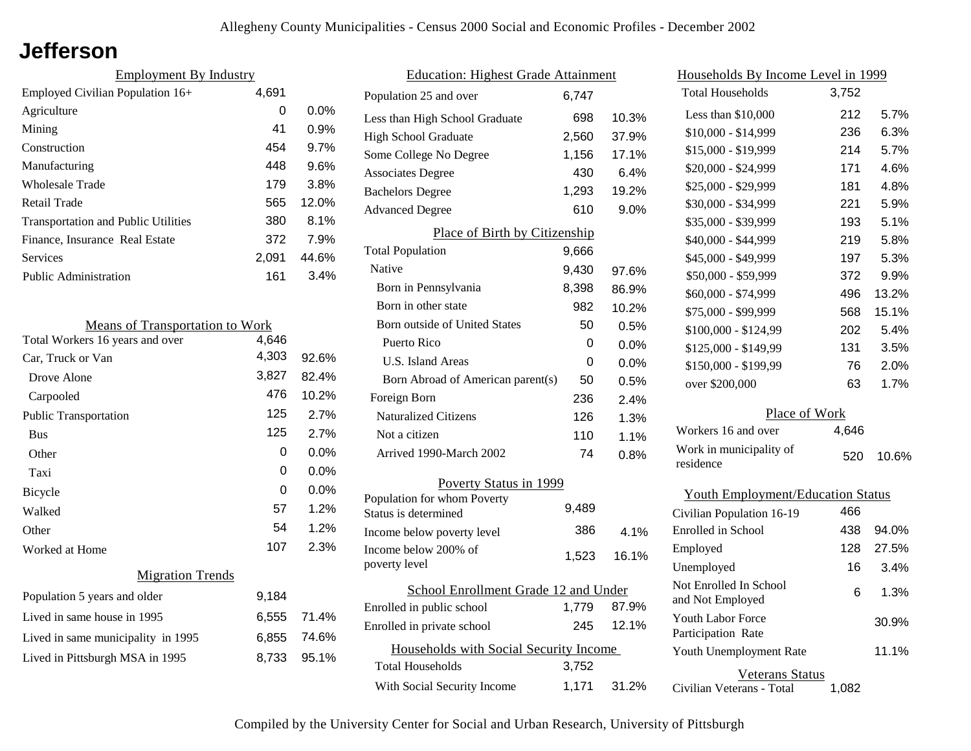## **Jefferson**

| <b>Employment By Industry</b>              |       |         |
|--------------------------------------------|-------|---------|
| Employed Civilian Population 16+           | 4,691 |         |
| Agriculture                                | 0     | $0.0\%$ |
| Mining                                     | 41    | 0.9%    |
| Construction                               | 454   | 9.7%    |
| Manufacturing                              | 448   | 9.6%    |
| <b>Wholesale Trade</b>                     | 179   | 3.8%    |
| Retail Trade                               | 565   | 12.0%   |
| <b>Transportation and Public Utilities</b> | 380   | 8.1%    |
| Finance, Insurance Real Estate             | 372   | 7.9%    |
| Services                                   | 2.091 | 44.6%   |
| Public Administration                      | 161   | 3.4%    |

| <b>Means of Transportation to Work</b> |       |         |
|----------------------------------------|-------|---------|
| Total Workers 16 years and over        | 4,646 |         |
| Car, Truck or Van                      | 4,303 | 92.6%   |
| Drove Alone                            | 3,827 | 82.4%   |
| Carpooled                              | 476   | 10.2%   |
| <b>Public Transportation</b>           | 125   | 2.7%    |
| <b>Bus</b>                             | 125   | 2.7%    |
| Other                                  | 0     | 0.0%    |
| Taxi                                   | 0     | $0.0\%$ |
| Bicycle                                | 0     | 0.0%    |
| Walked                                 | 57    | 1.2%    |
| Other                                  | 54    | 1.2%    |
| Worked at Home                         | 107   | 2.3%    |
| <b>Migration Trends</b>                |       |         |
| Population 5 years and older           | 9,184 |         |
| Lived in same house in 1995            | 6,555 | 71.4%   |
| Lived in same municipality in 1995     | 6,855 | 74.6%   |
| Lived in Pittsburgh MSA in 1995        | 8,733 | 95.1%   |
|                                        |       |         |

| <b>Education: Highest Grade Attainment</b>          |       |         |
|-----------------------------------------------------|-------|---------|
| Population 25 and over                              | 6,747 |         |
| Less than High School Graduate                      | 698   | 10.3%   |
| <b>High School Graduate</b>                         | 2,560 | 37.9%   |
| Some College No Degree                              | 1,156 | 17.1%   |
| <b>Associates Degree</b>                            | 430   | 6.4%    |
| <b>Bachelors Degree</b>                             | 1,293 | 19.2%   |
| <b>Advanced Degree</b>                              | 610   | 9.0%    |
| Place of Birth by Citizenship                       |       |         |
| <b>Total Population</b>                             | 9,666 |         |
| Native                                              | 9,430 | 97.6%   |
| Born in Pennsylvania                                | 8,398 | 86.9%   |
| Born in other state                                 | 982   | 10.2%   |
| <b>Born outside of United States</b>                | 50    | 0.5%    |
| Puerto Rico                                         | 0     | $0.0\%$ |
| <b>U.S. Island Areas</b>                            | 0     | 0.0%    |
| Born Abroad of American parent(s)                   | 50    | 0.5%    |
| Foreign Born                                        | 236   | 2.4%    |
| <b>Naturalized Citizens</b>                         | 126   | 1.3%    |
| Not a citizen                                       | 110   | 1.1%    |
| Arrived 1990-March 2002                             | 74    | 0.8%    |
| Poverty Status in 1999                              |       |         |
| Population for whom Poverty<br>Status is determined | 9,489 |         |
| Income below poverty level                          | 386   | 4.1%    |
| Income below 200% of<br>poverty level               | 1,523 | 16.1%   |
| School Enrollment Grade 12 and Under                |       |         |
| Enrolled in public school                           | 1,779 | 87.9%   |
| Enrolled in private school                          | 245   | 12.1%   |
| Households with Social Security Income              |       |         |
| <b>Total Households</b>                             | 3,752 |         |
| With Social Security Income                         | 1,171 | 31.2%   |

| Households By Income Level in 1999                                                  |       |       |
|-------------------------------------------------------------------------------------|-------|-------|
| <b>Total Households</b>                                                             | 3,752 |       |
| Less than \$10,000                                                                  | 212   | 5.7%  |
| \$10,000 - \$14,999                                                                 | 236   | 6.3%  |
| \$15,000 - \$19,999                                                                 | 214   | 5.7%  |
| \$20,000 - \$24,999                                                                 | 171   | 4.6%  |
| \$25,000 - \$29,999                                                                 | 181   | 4.8%  |
| \$30,000 - \$34,999                                                                 | 221   | 5.9%  |
| \$35,000 - \$39,999                                                                 | 193   | 5.1%  |
| \$40,000 - \$44,999                                                                 | 219   | 5.8%  |
| \$45,000 - \$49,999                                                                 | 197   | 5.3%  |
| \$50,000 - \$59,999                                                                 | 372   | 9.9%  |
| \$60,000 - \$74,999                                                                 | 496   | 13.2% |
| \$75,000 - \$99,999                                                                 | 568   | 15.1% |
| \$100,000 - \$124,99                                                                | 202   | 5.4%  |
| \$125,000 - \$149,99                                                                | 131   | 3.5%  |
| \$150,000 - \$199,99                                                                | 76    | 2.0%  |
| over \$200,000                                                                      | 63    | 1.7%  |
| Place of Work                                                                       |       |       |
| Workers 16 and over                                                                 | 4,646 |       |
| Work in municipality of<br>residence                                                | 520   | 10.6% |
| <b>Youth Employment/Education Status</b>                                            |       |       |
| Civilian Population 16-19                                                           | 466   |       |
| Enrolled in School                                                                  | 438   | 94.0% |
| Employed                                                                            | 128   | 27.5% |
| Unemployed                                                                          | 16    | 3.4%  |
| Not Enrolled In School<br>$1 \, \text{M} \cdot \text{L} \cdot \text{D} \dots 1$ . 1 | 6     | 1.3%  |

| ó | Not Enrolled In School<br>and Not Employed            | 6 | 1.3%  |
|---|-------------------------------------------------------|---|-------|
| ó | Youth Labor Force<br>Participation Rate               |   | 30.9% |
|   | <b>Youth Unemployment Rate</b>                        |   | 11.1% |
| ő | Veterans Status<br>Civilian Veterans - Total<br>1.082 |   |       |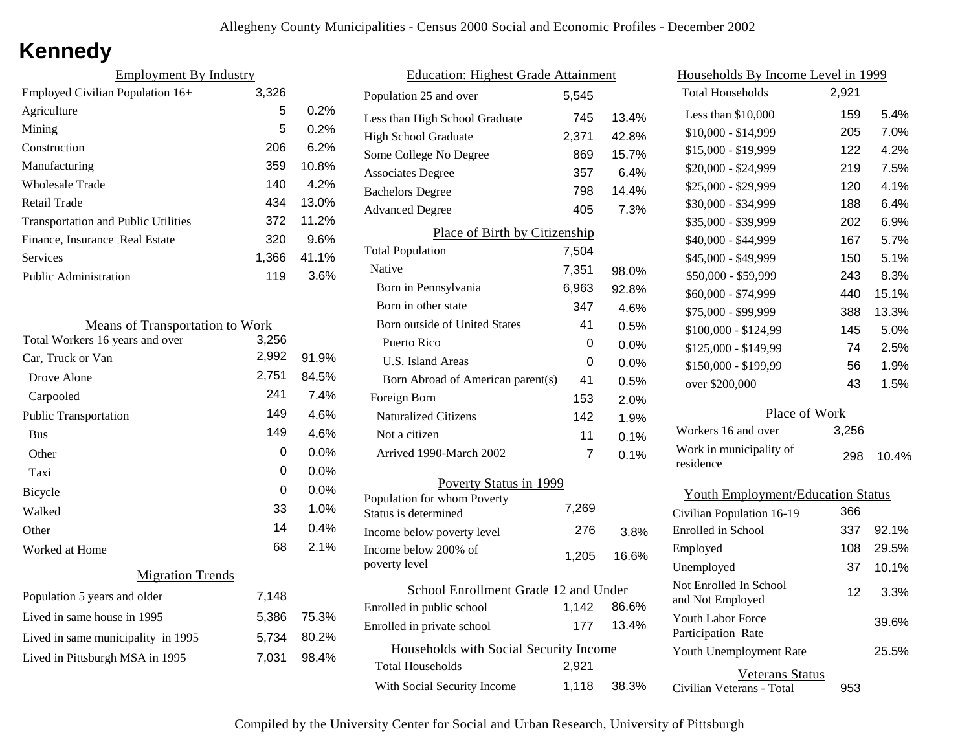# **Kennedy**

| <b>Employment By Industry</b>              |       |       |
|--------------------------------------------|-------|-------|
| Employed Civilian Population 16+           | 3,326 |       |
| Agriculture                                | 5     | 0.2%  |
| Mining                                     | 5     | 0.2%  |
| Construction                               | 206   | 6.2%  |
| Manufacturing                              | 359   | 10.8% |
| Wholesale Trade                            | 140   | 4.2%  |
| Retail Trade                               | 434   | 13.0% |
| <b>Transportation and Public Utilities</b> | 372   | 11.2% |
| Finance, Insurance Real Estate             | 320   | 9.6%  |
| Services                                   | 1.366 | 41.1% |
| <b>Public Administration</b>               | 119   | 3.6%  |

| <b>Means of Transportation to Work</b> |       |       |
|----------------------------------------|-------|-------|
| Total Workers 16 years and over        | 3,256 |       |
| Car, Truck or Van                      | 2,992 | 91.9% |
| Drove Alone                            | 2,751 | 84.5% |
| Carpooled                              | 241   | 7.4%  |
| <b>Public Transportation</b>           | 149   | 4.6%  |
| <b>Bus</b>                             | 149   | 4.6%  |
| Other                                  | 0     | 0.0%  |
| Taxi                                   | 0     | 0.0%  |
| <b>Bicycle</b>                         | 0     | 0.0%  |
| Walked                                 | 33    | 1.0%  |
| Other                                  | 14    | 0.4%  |
| Worked at Home                         | 68    | 2.1%  |
| <b>Migration Trends</b>                |       |       |
| Population 5 years and older           | 7,148 |       |
| Lived in same house in 1995            | 5,386 | 75.3% |
| Lived in same municipality in 1995     | 5,734 | 80.2% |
| Lived in Pittsburgh MSA in 1995        | 7,031 | 98.4% |
|                                        |       |       |

| <b>Education: Highest Grade Attainment</b>          |       |         |
|-----------------------------------------------------|-------|---------|
| Population 25 and over                              | 5,545 |         |
| Less than High School Graduate                      | 745   | 13.4%   |
| <b>High School Graduate</b>                         | 2,371 | 42.8%   |
| Some College No Degree                              | 869   | 15.7%   |
| <b>Associates Degree</b>                            | 357   | 6.4%    |
| <b>Bachelors Degree</b>                             | 798   | 14.4%   |
| <b>Advanced Degree</b>                              | 405   | 7.3%    |
| Place of Birth by Citizenship                       |       |         |
| <b>Total Population</b>                             | 7,504 |         |
| Native                                              | 7,351 | 98.0%   |
| Born in Pennsylvania                                | 6,963 | 92.8%   |
| Born in other state                                 | 347   | 4.6%    |
| <b>Born outside of United States</b>                | 41    | 0.5%    |
| Puerto Rico                                         | 0     | $0.0\%$ |
| <b>U.S. Island Areas</b>                            | 0     | 0.0%    |
| Born Abroad of American parent(s)                   | 41    | 0.5%    |
| Foreign Born                                        | 153   | 2.0%    |
| <b>Naturalized Citizens</b>                         | 142   | 1.9%    |
| Not a citizen                                       | 11    | 0.1%    |
| Arrived 1990-March 2002                             | 7     | 0.1%    |
| Poverty Status in 1999                              |       |         |
| Population for whom Poverty<br>Status is determined | 7,269 |         |
| Income below poverty level                          | 276   | 3.8%    |
| Income below 200% of<br>poverty level               | 1,205 | 16.6%   |
| School Enrollment Grade 12 and Under                |       |         |
| Enrolled in public school                           | 1,142 | 86.6%   |
| Enrolled in private school                          | 177   | 13.4%   |
| Households with Social Security Income              |       |         |
| <b>Total Households</b>                             | 2,921 |         |
| With Social Security Income                         | 1,118 | 38.3%   |

| <u>Households By Income Level in 1999</u>  |       |       |
|--------------------------------------------|-------|-------|
| <b>Total Households</b>                    | 2,921 |       |
| Less than \$10,000                         | 159   | 5.4%  |
| $$10,000 - $14,999$                        | 205   | 7.0%  |
| \$15,000 - \$19,999                        | 122   | 4.2%  |
| \$20,000 - \$24,999                        | 219   | 7.5%  |
| \$25,000 - \$29,999                        | 120   | 4.1%  |
| \$30,000 - \$34,999                        | 188   | 6.4%  |
| \$35,000 - \$39,999                        | 202   | 6.9%  |
| \$40,000 - \$44,999                        | 167   | 5.7%  |
| \$45,000 - \$49,999                        | 150   | 5.1%  |
| \$50,000 - \$59,999                        | 243   | 8.3%  |
| \$60,000 - \$74,999                        | 440   | 15.1% |
| \$75,000 - \$99,999                        | 388   | 13.3% |
| \$100,000 - \$124,99                       | 145   | 5.0%  |
| \$125,000 - \$149,99                       | 74    | 2.5%  |
| \$150,000 - \$199,99                       | 56    | 1.9%  |
| over \$200,000                             | 43    | 1.5%  |
| Place of Work                              |       |       |
| Workers 16 and over                        | 3,256 |       |
| Work in municipality of<br>residence       | 298   | 10.4% |
| <b>Youth Employment/Education Status</b>   |       |       |
| Civilian Population 16-19                  | 366   |       |
| Enrolled in School                         | 337   | 92.1% |
| Employed                                   | 108   | 29.5% |
| Unemployed                                 | 37    | 10.1% |
| Not Enrolled In School<br>and Not Employed | 12    | 3.3%  |

Civilian Veterans - Total

Youth Unemployment Rate

Youth Labor Force Participation Rate

Veterans Status

953

25.5%

39.6%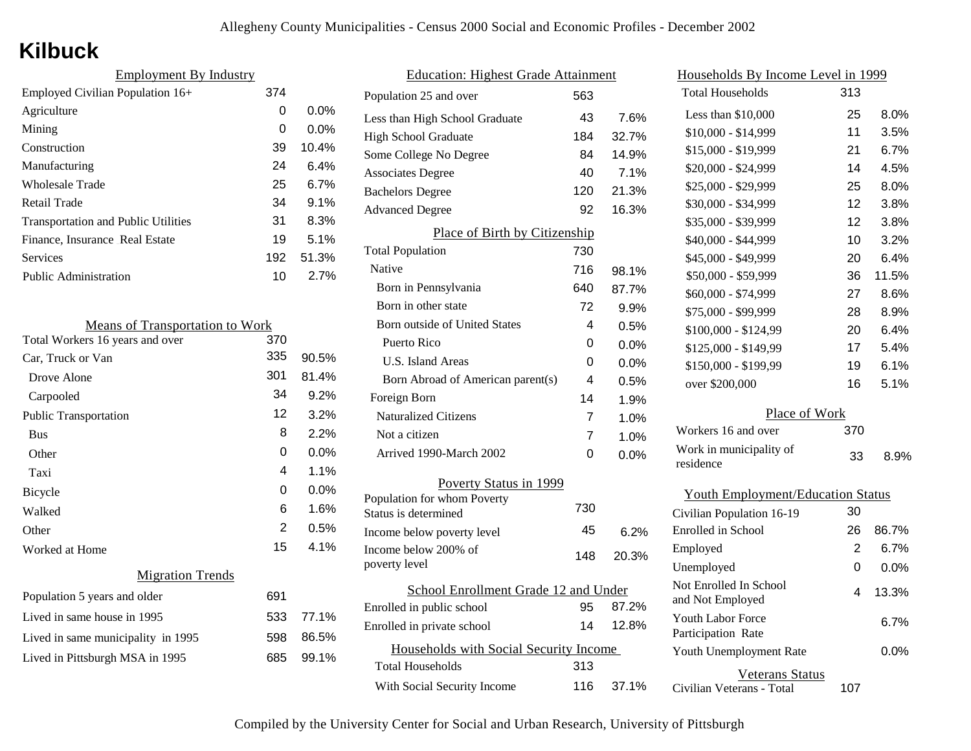# **Kilbuck**

| 374 |         |
|-----|---------|
| 0   | $0.0\%$ |
| 0   | $0.0\%$ |
| 39  | 10.4%   |
| 24  | 6.4%    |
| 25  | 6.7%    |
| 34  | $9.1\%$ |
| 31  | 8.3%    |
| 19  | 5.1%    |
| 192 | 51.3%   |
| 10  | 2.7%    |
|     |         |

| <b>Means of Transportation to Work</b> |     |       |
|----------------------------------------|-----|-------|
| Total Workers 16 years and over        | 370 |       |
| Car, Truck or Van                      | 335 | 90.5% |
| Drove Alone                            | 301 | 81.4% |
| Carpooled                              | 34  | 9.2%  |
| <b>Public Transportation</b>           | 12  | 3.2%  |
| <b>Bus</b>                             | 8   | 2.2%  |
| Other                                  | 0   | 0.0%  |
| Taxi                                   | 4   | 1.1%  |
| <b>Bicycle</b>                         | 0   | 0.0%  |
| Walked                                 | 6   | 1.6%  |
| Other                                  | 2   | 0.5%  |
| Worked at Home                         | 15  | 4.1%  |
| <b>Migration Trends</b>                |     |       |
| Population 5 years and older           | 691 |       |
| Lived in same house in 1995            | 533 | 77.1% |
| Lived in same municipality in 1995     | 598 | 86.5% |
| Lived in Pittsburgh MSA in 1995        | 685 | 99.1% |
|                                        |     |       |

|                                        | <u> Education: Highest Grade Attainment</u> |     |         |
|----------------------------------------|---------------------------------------------|-----|---------|
|                                        | Population 25 and over                      | 563 |         |
|                                        | Less than High School Graduate              | 43  | 7.6%    |
|                                        | <b>High School Graduate</b>                 | 184 | 32.7%   |
|                                        | Some College No Degree                      | 84  | 14.9%   |
|                                        | <b>Associates Degree</b>                    | 40  | 7.1%    |
|                                        | <b>Bachelors Degree</b>                     | 120 | 21.3%   |
|                                        | <b>Advanced Degree</b>                      | 92  | 16.3%   |
|                                        | Place of Birth by Citizenship               |     |         |
|                                        | <b>Total Population</b>                     | 730 |         |
|                                        | Native                                      | 716 | 98.1%   |
|                                        | Born in Pennsylvania                        | 640 | 87.7%   |
|                                        | Born in other state                         | 72  | 9.9%    |
|                                        | <b>Born outside of United States</b>        | 4   | 0.5%    |
|                                        | Puerto Rico                                 | 0   | 0.0%    |
|                                        | U.S. Island Areas                           | 0   | $0.0\%$ |
|                                        | Born Abroad of American parent(s)           | 4   | 0.5%    |
|                                        | Foreign Born                                | 14  | 1.9%    |
|                                        | <b>Naturalized Citizens</b>                 | 7   | 1.0%    |
|                                        | Not a citizen                               | 7   | 1.0%    |
|                                        | Arrived 1990-March 2002                     | 0   | 0.0%    |
|                                        | Poverty Status in 1999                      |     |         |
|                                        | Population for whom Poverty                 |     |         |
|                                        | Status is determined                        | 730 |         |
|                                        | Income below poverty level                  | 45  | 6.2%    |
|                                        | Income below 200% of<br>poverty level       | 148 | 20.3%   |
|                                        | School Enrollment Grade 12 and Under        |     |         |
|                                        | Enrolled in public school                   | 95  | 87.2%   |
|                                        | Enrolled in private school                  | 14  | 12.8%   |
| Households with Social Security Income |                                             |     |         |
|                                        | <b>Total Households</b>                     | 313 |         |
|                                        | With Social Security Income                 | 116 | 37.1%   |
|                                        |                                             |     |         |

| <u>Households By Income Level in 1999</u>  |     |       |  |
|--------------------------------------------|-----|-------|--|
| <b>Total Households</b>                    | 313 |       |  |
| Less than $$10,000$                        | 25  | 8.0%  |  |
| $$10,000 - $14,999$                        | 11  | 3.5%  |  |
| \$15,000 - \$19,999                        | 21  | 6.7%  |  |
| \$20,000 - \$24,999                        | 14  | 4.5%  |  |
| \$25,000 - \$29,999                        | 25  | 8.0%  |  |
| \$30,000 - \$34,999                        | 12  | 3.8%  |  |
| \$35,000 - \$39,999                        | 12  | 3.8%  |  |
| \$40,000 - \$44,999                        | 10  | 3.2%  |  |
| \$45,000 - \$49,999                        | 20  | 6.4%  |  |
| \$50,000 - \$59,999                        | 36  | 11.5% |  |
| \$60,000 - \$74,999                        | 27  | 8.6%  |  |
| \$75,000 - \$99,999                        | 28  | 8.9%  |  |
| $$100,000 - $124,99$                       | 20  | 6.4%  |  |
| \$125,000 - \$149,99                       | 17  | 5.4%  |  |
| \$150,000 - \$199,99                       | 19  | 6.1%  |  |
| over \$200,000                             | 16  | 5.1%  |  |
| Place of Work                              |     |       |  |
| Workers 16 and over                        | 370 |       |  |
| Work in municipality of<br>residence       | 33  | 8.9%  |  |
| <b>Youth Employment/Education Status</b>   |     |       |  |
| Civilian Population 16-19                  | 30  |       |  |
| Enrolled in School                         | 26  | 86.7% |  |
| Employed                                   | 2   | 6.7%  |  |
| Unemployed                                 | 0   | 0.0%  |  |
| Not Enrolled In School<br>and Not Employed | 4   | 13.3% |  |
| Youth Labor Force<br>Participation Rate    |     | 6.7%  |  |
| Youth Unemployment Rate                    |     | 0.0%  |  |

Civilian Veterans - Total Veterans Status 107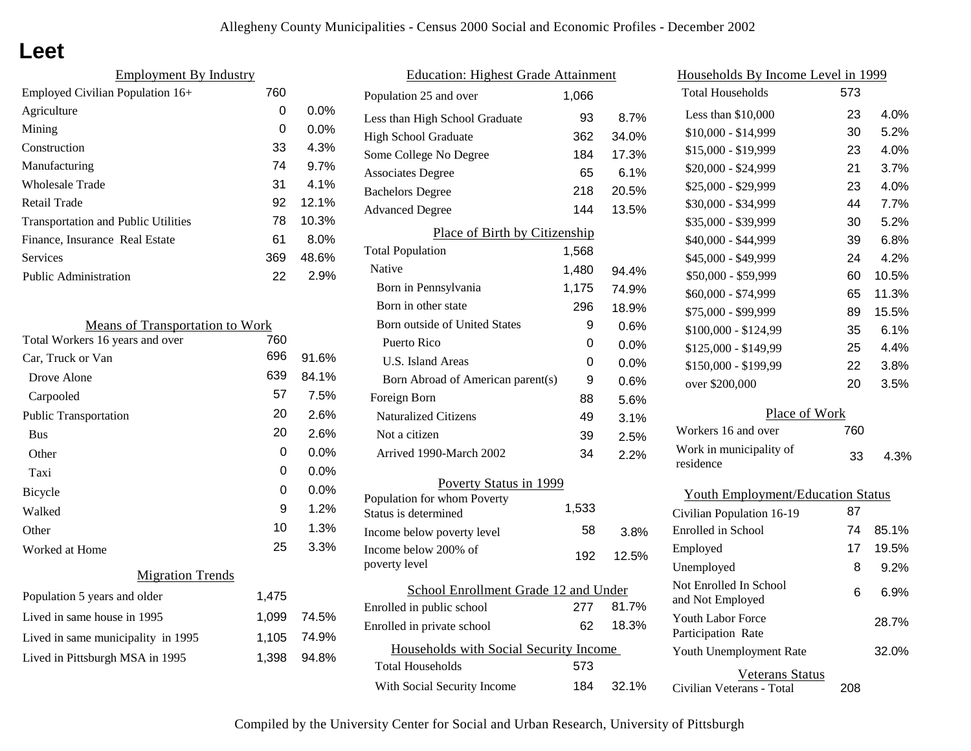## **Leet**

| <b>Employment By Industry</b>              |     |         |
|--------------------------------------------|-----|---------|
| Employed Civilian Population 16+           | 760 |         |
| Agriculture                                | 0   | $0.0\%$ |
| Mining                                     | 0   | $0.0\%$ |
| Construction                               | 33  | 4.3%    |
| Manufacturing                              | 74  | 9.7%    |
| Wholesale Trade                            | 31  | 4.1%    |
| Retail Trade                               | 92  | 12.1%   |
| <b>Transportation and Public Utilities</b> | 78  | 10.3%   |
| Finance, Insurance Real Estate             | 61  | 8.0%    |
| Services                                   | 369 | 48.6%   |
| <b>Public Administration</b>               | 22  | 2.9%    |
|                                            |     |         |

| <b>Means of Transportation to Work</b> |       |       |
|----------------------------------------|-------|-------|
| Total Workers 16 years and over        | 760   |       |
| Car, Truck or Van                      | 696   | 91.6% |
| Drove Alone                            | 639   | 84.1% |
| Carpooled                              | 57    | 7.5%  |
| <b>Public Transportation</b>           | 20    | 2.6%  |
| <b>Bus</b>                             | 20    | 2.6%  |
| Other                                  | 0     | 0.0%  |
| Taxi                                   | 0     | 0.0%  |
| <b>Bicycle</b>                         | 0     | 0.0%  |
| Walked                                 | 9     | 1.2%  |
| Other                                  | 10    | 1.3%  |
| Worked at Home                         | 25    | 3.3%  |
| <b>Migration Trends</b>                |       |       |
| Population 5 years and older           | 1,475 |       |
| Lived in same house in 1995            | 1,099 | 74.5% |
| Lived in same municipality in 1995     | 1,105 | 74.9% |
| Lived in Pittsburgh MSA in 1995        | 1,398 | 94.8% |
|                                        |       |       |

| <b>Education: Highest Grade Attainment</b> |       |         |  |
|--------------------------------------------|-------|---------|--|
| Population 25 and over                     | 1,066 |         |  |
| Less than High School Graduate             | 93    | 8.7%    |  |
| <b>High School Graduate</b>                | 362   | 34.0%   |  |
| Some College No Degree                     | 184   | 17.3%   |  |
| <b>Associates Degree</b>                   | 65    | 6.1%    |  |
| <b>Bachelors Degree</b>                    | 218   | 20.5%   |  |
| <b>Advanced Degree</b>                     | 144   | 13.5%   |  |
| Place of Birth by Citizenship              |       |         |  |
| <b>Total Population</b>                    | 1,568 |         |  |
| Native                                     | 1,480 | 94.4%   |  |
| Born in Pennsylvania                       | 1,175 | 74.9%   |  |
| Born in other state                        | 296   | 18.9%   |  |
| <b>Born outside of United States</b>       | 9     | 0.6%    |  |
| Puerto Rico                                | 0     | 0.0%    |  |
| U.S. Island Areas                          | 0     | $0.0\%$ |  |
| Born Abroad of American parent(s)          | 9     | 0.6%    |  |
| Foreign Born                               | 88    | 5.6%    |  |
| <b>Naturalized Citizens</b>                | 49    | $3.1\%$ |  |
| Not a citizen                              | 39    | 2.5%    |  |
| Arrived 1990-March 2002                    | 34    | 2.2%    |  |
| Poverty Status in 1999                     |       |         |  |
| Population for whom Poverty                | 1,533 |         |  |
| Status is determined                       |       |         |  |
| Income below poverty level                 | 58    | 3.8%    |  |
| Income below 200% of<br>poverty level      | 192   | 12.5%   |  |
| School Enrollment Grade 12 and Under       |       |         |  |
| Enrolled in public school                  | 277   | 81.7%   |  |
| Enrolled in private school                 | 62    | 18.3%   |  |
| Households with Social Security Income     |       |         |  |
| Total Households                           | 573   |         |  |
| With Social Security Income                | 184   | 32.1%   |  |

| Households By Income Level in 1999             |     |       |  |
|------------------------------------------------|-----|-------|--|
| <b>Total Households</b>                        | 573 |       |  |
| Less than \$10,000                             | 23  | 4.0%  |  |
| $$10,000 - $14,999$                            | 30  | 5.2%  |  |
| \$15,000 - \$19,999                            | 23  | 4.0%  |  |
| \$20,000 - \$24,999                            | 21  | 3.7%  |  |
| \$25,000 - \$29,999                            | 23  | 4.0%  |  |
| \$30,000 - \$34,999                            | 44  | 7.7%  |  |
| \$35,000 - \$39,999                            | 30  | 5.2%  |  |
| \$40,000 - \$44,999                            | 39  | 6.8%  |  |
| \$45,000 - \$49,999                            | 24  | 4.2%  |  |
| \$50,000 - \$59,999                            | 60  | 10.5% |  |
| \$60,000 - \$74,999                            | 65  | 11.3% |  |
| \$75,000 - \$99,999                            | 89  | 15.5% |  |
| \$100,000 - \$124,99                           | 35  | 6.1%  |  |
| \$125,000 - \$149,99                           | 25  | 4.4%  |  |
| \$150,000 - \$199,99                           | 22  | 3.8%  |  |
| over \$200,000                                 | 20  | 3.5%  |  |
| Place of Work                                  |     |       |  |
| Workers 16 and over                            | 760 |       |  |
| Work in municipality of<br>residence           | 33  | 4.3%  |  |
| <b>Youth Employment/Education Status</b>       |     |       |  |
| Civilian Population 16-19                      | 87  |       |  |
| Enrolled in School                             | 74  | 85.1% |  |
| Employed                                       | 17  | 19.5% |  |
| Unemployed                                     | 8   | 9.2%  |  |
| Not Enrolled In School<br>and Not Employed     | 6   | 6.9%  |  |
| <b>Youth Labor Force</b><br>Participation Rate |     | 28.7% |  |
| Youth Unemployment Rate                        |     | 32.0% |  |

Civilian Veterans - Total

Veterans Status

208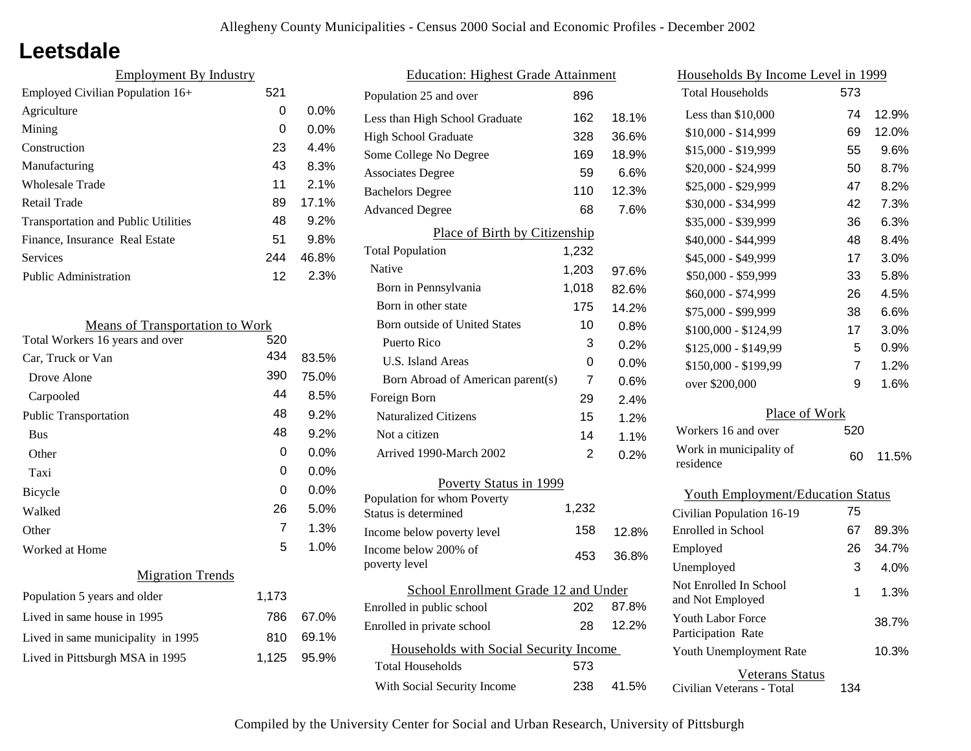## **Leetsdale**

| <b>Employment By Industry</b>              |     |         |  |
|--------------------------------------------|-----|---------|--|
| Employed Civilian Population $16+$         | 521 |         |  |
| Agriculture                                | 0   | $0.0\%$ |  |
| Mining                                     | 0   | $0.0\%$ |  |
| Construction                               | 23  | 4.4%    |  |
| Manufacturing                              | 43  | 8.3%    |  |
| Wholesale Trade                            | 11  | 2.1%    |  |
| Retail Trade                               | 89  | 17.1%   |  |
| <b>Transportation and Public Utilities</b> | 48  | 9.2%    |  |
| Finance, Insurance Real Estate             | 51  | 9.8%    |  |
| Services                                   | 244 | 46.8%   |  |
| <b>Public Administration</b>               | 12  | 2.3%    |  |

| <b>Means of Transportation to Work</b> |                |         |
|----------------------------------------|----------------|---------|
| Total Workers 16 years and over        | 520            |         |
| Car, Truck or Van                      | 434            | 83.5%   |
| Drove Alone                            | 390            | 75.0%   |
| Carpooled                              | 44             | 8.5%    |
| <b>Public Transportation</b>           | 48             | 9.2%    |
| <b>Bus</b>                             | 48             | 9.2%    |
| Other                                  | 0              | $0.0\%$ |
| Taxi                                   | 0              | $0.0\%$ |
| <b>Bicycle</b>                         | 0              | $0.0\%$ |
| Walked                                 | 26             | 5.0%    |
| Other                                  | $\overline{7}$ | 1.3%    |
| Worked at Home                         | 5              | 1.0%    |
| <b>Migration Trends</b>                |                |         |
| Population 5 years and older           | 1,173          |         |
| Lived in same house in 1995            | 786            | 67.0%   |
| Lived in same municipality in 1995     | 810            | 69.1%   |
| Lived in Pittsburgh MSA in 1995        | 1,125          | 95.9%   |
|                                        |                |         |

| <b>Education: Highest Grade Attainment</b>          |                |         |  |
|-----------------------------------------------------|----------------|---------|--|
| Population 25 and over                              | 896            |         |  |
| Less than High School Graduate                      | 162            | 18.1%   |  |
| <b>High School Graduate</b>                         | 328            | 36.6%   |  |
| Some College No Degree                              | 169            | 18.9%   |  |
| <b>Associates Degree</b>                            | 59             | 6.6%    |  |
| <b>Bachelors Degree</b>                             | 110            | 12.3%   |  |
| <b>Advanced Degree</b>                              | 68             | 7.6%    |  |
| Place of Birth by Citizenship                       |                |         |  |
| <b>Total Population</b>                             | 1,232          |         |  |
| Native                                              | 1,203          | 97.6%   |  |
| Born in Pennsylvania                                | 1,018          | 82.6%   |  |
| Born in other state                                 | 175            | 14.2%   |  |
| <b>Born outside of United States</b>                | 10             | 0.8%    |  |
| Puerto Rico                                         | 3              | 0.2%    |  |
| U.S. Island Areas                                   | 0              | $0.0\%$ |  |
| Born Abroad of American parent(s)                   | $\overline{7}$ | 0.6%    |  |
| Foreign Born                                        | 29             | 2.4%    |  |
| <b>Naturalized Citizens</b>                         | 15             | 1.2%    |  |
| Not a citizen                                       | 14             | 1.1%    |  |
| Arrived 1990-March 2002                             | 2              | 0.2%    |  |
| Poverty Status in 1999                              |                |         |  |
| Population for whom Poverty<br>Status is determined | 1,232          |         |  |
| Income below poverty level                          | 158            | 12.8%   |  |
| Income below 200% of<br>poverty level               | 453            | 36.8%   |  |
| School Enrollment Grade 12 and Under                |                |         |  |
| Enrolled in public school                           | 202            | 87.8%   |  |
| Enrolled in private school                          | 28             | 12.2%   |  |
| Households with Social Security Income              |                |         |  |
| Total Households                                    | 573            |         |  |
| With Social Security Income                         | 238            | 41.5%   |  |

| <u>Households By Income Level in 1999</u>  |     |       |  |
|--------------------------------------------|-----|-------|--|
| <b>Total Households</b>                    | 573 |       |  |
| Less than \$10,000                         | 74  | 12.9% |  |
| $$10,000 - $14,999$                        | 69  | 12.0% |  |
| \$15,000 - \$19,999                        | 55  | 9.6%  |  |
| \$20,000 - \$24,999                        | 50  | 8.7%  |  |
| \$25,000 - \$29,999                        | 47  | 8.2%  |  |
| \$30,000 - \$34,999                        | 42  | 7.3%  |  |
| \$35,000 - \$39,999                        | 36  | 6.3%  |  |
| \$40,000 - \$44,999                        | 48  | 8.4%  |  |
| \$45,000 - \$49,999                        | 17  | 3.0%  |  |
| \$50,000 - \$59,999                        | 33  | 5.8%  |  |
| \$60,000 - \$74,999                        | 26  | 4.5%  |  |
| \$75,000 - \$99,999                        | 38  | 6.6%  |  |
| \$100,000 - \$124,99                       | 17  | 3.0%  |  |
| \$125,000 - \$149,99                       | 5   | 0.9%  |  |
| \$150,000 - \$199,99                       | 7   | 1.2%  |  |
| over \$200,000                             | 9   | 1.6%  |  |
| Place of Work                              |     |       |  |
| Workers 16 and over                        | 520 |       |  |
| Work in municipality of<br>residence       | 60  | 11.5% |  |
| <b>Youth Employment/Education Status</b>   |     |       |  |
| Civilian Population 16-19                  | 75  |       |  |
| Enrolled in School                         | 67  | 89.3% |  |
| Employed                                   | 26  | 34.7% |  |
| Unemployed                                 | 3   | 4.0%  |  |
| Not Enrolled In School<br>and Not Employed | 1   | 1.3%  |  |

Civilian Veterans - Total

Youth Unemployment Rate

Youth Labor Force Participation Rate

Veterans Status

134

10.3%

38.7%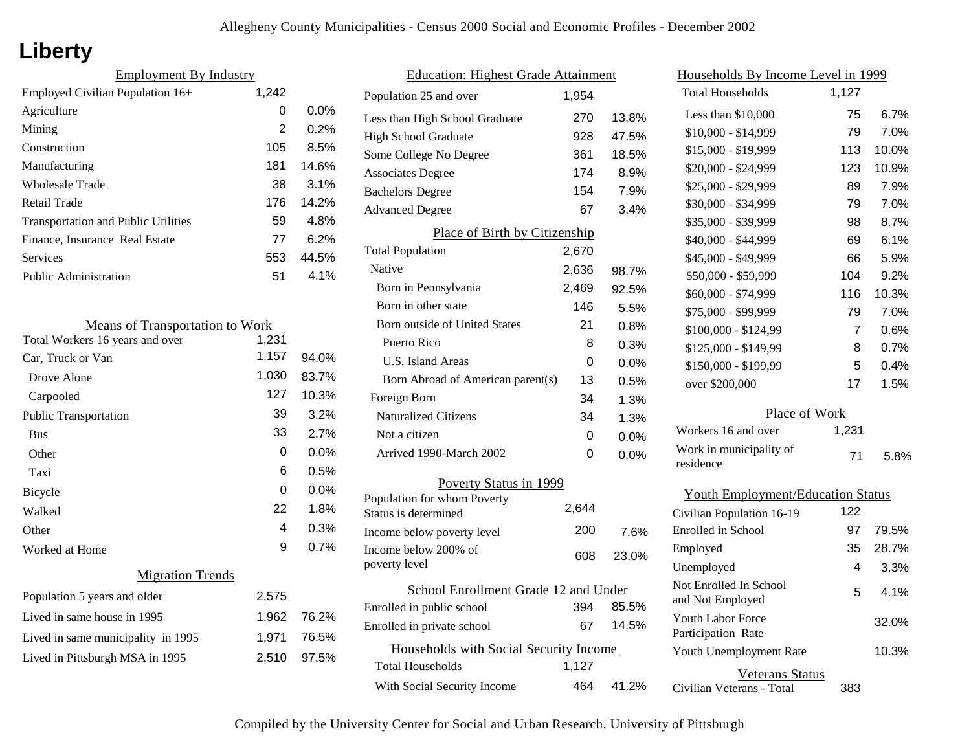# **Liberty**

| <b>Employment By Industry</b>              |       |       |
|--------------------------------------------|-------|-------|
| Employed Civilian Population 16+           | 1,242 |       |
| Agriculture                                | 0     | 0.0%  |
| Mining                                     | 2     | 0.2%  |
| Construction                               | 105   | 8.5%  |
| Manufacturing                              | 181   | 14.6% |
| <b>Wholesale Trade</b>                     | 38    | 3.1%  |
| Retail Trade                               | 176   | 14.2% |
| <b>Transportation and Public Utilities</b> | 59    | 4.8%  |
| Finance, Insurance Real Estate             | 77    | 6.2%  |
| Services                                   | 553   | 44.5% |
| <b>Public Administration</b>               | 51    | 4.1%  |

| <b>Means of Transportation to Work</b> |       |         |
|----------------------------------------|-------|---------|
| Total Workers 16 years and over        | 1,231 |         |
| Car, Truck or Van                      | 1,157 | 94.0%   |
| Drove Alone                            | 1,030 | 83.7%   |
| Carpooled                              | 127   | 10.3%   |
| <b>Public Transportation</b>           | 39    | 3.2%    |
| <b>Bus</b>                             | 33    | 2.7%    |
| Other                                  | 0     | $0.0\%$ |
| Taxi                                   | 6     | 0.5%    |
| <b>Bicycle</b>                         | 0     | $0.0\%$ |
| Walked                                 | 22    | 1.8%    |
| Other                                  | 4     | 0.3%    |
| Worked at Home                         | 9     | 0.7%    |
| <b>Migration Trends</b>                |       |         |
| Population 5 years and older           | 2,575 |         |
| Lived in same house in 1995            | 1,962 | 76.2%   |
| Lived in same municipality in 1995     | 1,971 | 76.5%   |
| Lived in Pittsburgh MSA in 1995        | 2,510 | 97.5%   |

| <b>Education: Highest Grade Attainment</b>          |       |         |
|-----------------------------------------------------|-------|---------|
| Population 25 and over                              | 1,954 |         |
| Less than High School Graduate                      | 270   | 13.8%   |
| <b>High School Graduate</b>                         | 928   | 47.5%   |
| Some College No Degree                              | 361   | 18.5%   |
| <b>Associates Degree</b>                            | 174   | 8.9%    |
| <b>Bachelors Degree</b>                             | 154   | 7.9%    |
| <b>Advanced Degree</b>                              | 67    | 3.4%    |
| Place of Birth by Citizenship                       |       |         |
| <b>Total Population</b>                             | 2,670 |         |
| Native                                              | 2,636 | 98.7%   |
| Born in Pennsylvania                                | 2,469 | 92.5%   |
| Born in other state                                 | 146   | 5.5%    |
| <b>Born outside of United States</b>                | 21    | 0.8%    |
| Puerto Rico                                         | 8     | 0.3%    |
| U.S. Island Areas                                   | 0     | 0.0%    |
| Born Abroad of American parent(s)                   | 13    | 0.5%    |
| Foreign Born                                        | 34    | 1.3%    |
| <b>Naturalized Citizens</b>                         | 34    | 1.3%    |
| Not a citizen                                       | 0     | $0.0\%$ |
| Arrived 1990-March 2002                             | 0     | 0.0%    |
| Poverty Status in 1999                              |       |         |
| Population for whom Poverty<br>Status is determined | 2,644 |         |
| Income below poverty level                          | 200   | 7.6%    |
| Income below 200% of<br>poverty level               | 608   | 23.0%   |
| School Enrollment Grade 12 and Under                |       |         |
| Enrolled in public school                           | 394   | 85.5%   |
| Enrolled in private school                          | 67    | 14.5%   |
| Households with Social Security Income              |       |         |
| Total Households                                    | 1,127 |         |
| With Social Security Income                         | 464   | 41.2%   |

| <u>Households By Income Level in 1999</u>                             |       |         |
|-----------------------------------------------------------------------|-------|---------|
| <b>Total Households</b>                                               | 1,127 |         |
| Less than $$10,000$                                                   | 75    | 6.7%    |
| $$10,000 - $14,999$                                                   | 79    | 7.0%    |
| \$15,000 - \$19,999                                                   | 113   | 10.0%   |
| \$20,000 - \$24,999                                                   | 123   | 10.9%   |
| \$25,000 - \$29,999                                                   | 89    | 7.9%    |
| \$30,000 - \$34,999                                                   | 79    | 7.0%    |
| \$35,000 - \$39,999                                                   | 98    | 8.7%    |
| \$40,000 - \$44,999                                                   | 69    | 6.1%    |
| \$45,000 - \$49,999                                                   | 66    | 5.9%    |
| \$50,000 - \$59,999                                                   | 104   | 9.2%    |
| \$60,000 - \$74,999                                                   | 116   | 10.3%   |
| \$75,000 - \$99,999                                                   | 79    | 7.0%    |
| \$100,000 - \$124,99                                                  | 7     | 0.6%    |
| \$125,000 - \$149,99                                                  | 8     | 0.7%    |
| \$150,000 - \$199,99                                                  | 5     | $0.4\%$ |
| over \$200,000                                                        | 17    | 1.5%    |
| Place of Work                                                         |       |         |
| Workers 16 and over                                                   | 1,231 |         |
| Work in municipality of                                               |       |         |
| residence                                                             | 71    | 5.8%    |
|                                                                       |       |         |
| <b>Youth Employment/Education Status</b><br>Civilian Population 16-19 | 122   |         |
| Enrolled in School                                                    | 97    | 79.5%   |
| Employed                                                              | 35    | 28.7%   |
| Unemployed                                                            | 4     | 3.3%    |
| Not Enrolled In School                                                |       |         |
| and Not Employed                                                      | 5     | 4.1%    |
| <b>Youth Labor Force</b><br>Participation Rate                        |       | 32.0%   |
| Youth Unemployment Rate                                               |       | 10.3%   |
| <b>Veterans Status</b><br>Civilian Veterans - Total                   | 383   |         |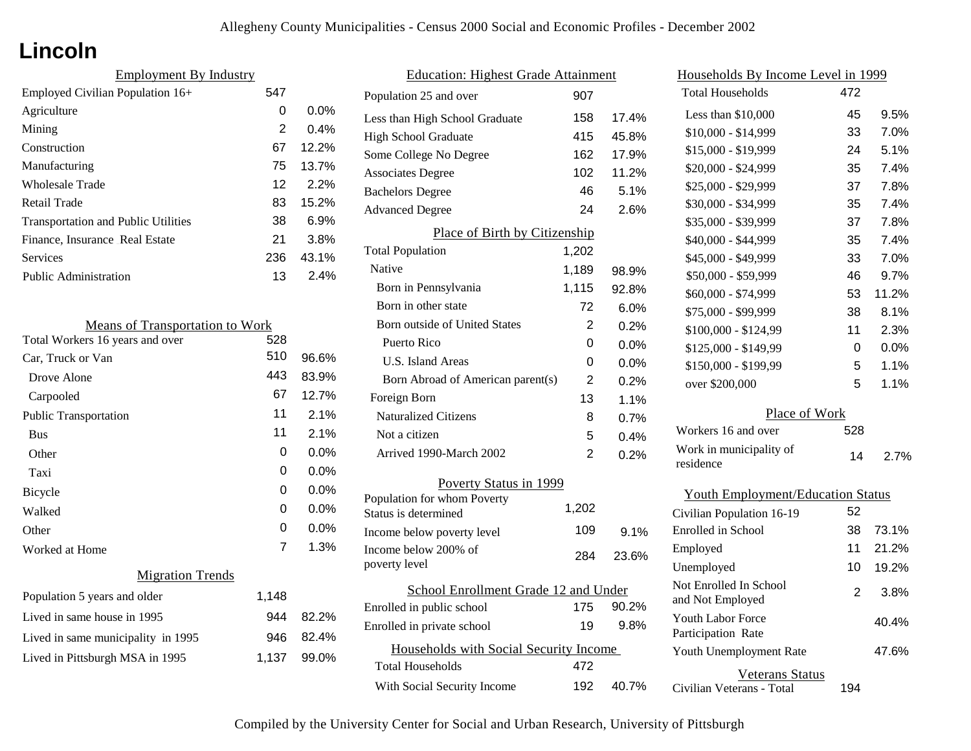# **Lincoln**

| <b>Employment By Industry</b>              |     |         |
|--------------------------------------------|-----|---------|
| Employed Civilian Population 16+           | 547 |         |
| Agriculture                                | 0   | $0.0\%$ |
| Mining                                     | 2   | $0.4\%$ |
| Construction                               | 67  | 12.2%   |
| Manufacturing                              | 75  | 13.7%   |
| <b>Wholesale Trade</b>                     | 12  | 2.2%    |
| Retail Trade                               | 83  | 15.2%   |
| <b>Transportation and Public Utilities</b> | 38  | 6.9%    |
| Finance, Insurance Real Estate             | 21  | 3.8%    |
| Services                                   | 236 | 43.1%   |
| Public Administration                      | 13  | $2.4\%$ |

| <b>Means of Transportation to Work</b> |       |         |
|----------------------------------------|-------|---------|
| Total Workers 16 years and over        | 528   |         |
| Car, Truck or Van                      | 510   | 96.6%   |
| Drove Alone                            | 443   | 83.9%   |
| Carpooled                              | 67    | 12.7%   |
| <b>Public Transportation</b>           | 11    | 2.1%    |
| <b>Bus</b>                             | 11    | 2.1%    |
| Other                                  | 0     | $0.0\%$ |
| Taxi                                   | 0     | $0.0\%$ |
| Bicycle                                | 0     | $0.0\%$ |
| Walked                                 | 0     | 0.0%    |
| Other                                  | 0     | 0.0%    |
| Worked at Home                         | 7     | 1.3%    |
| <b>Migration Trends</b>                |       |         |
| Population 5 years and older           | 1,148 |         |
| Lived in same house in 1995            | 944   | 82.2%   |
| Lived in same municipality in 1995     | 946   | 82.4%   |
| Lived in Pittsburgh MSA in 1995        | 1,137 | 99.0%   |
|                                        |       |         |

| <b>Education: Highest Grade Attainment</b>          |                |       |
|-----------------------------------------------------|----------------|-------|
| Population 25 and over                              | 907            |       |
| Less than High School Graduate                      | 158            | 17.4% |
| <b>High School Graduate</b>                         | 415            | 45.8% |
| Some College No Degree                              | 162            | 17.9% |
| <b>Associates Degree</b>                            | 102            | 11.2% |
| <b>Bachelors Degree</b>                             | 46             | 5.1%  |
| <b>Advanced Degree</b>                              | 24             | 2.6%  |
| Place of Birth by Citizenship                       |                |       |
| <b>Total Population</b>                             | 1,202          |       |
| Native                                              | 1,189          | 98.9% |
| Born in Pennsylvania                                | 1,115          | 92.8% |
| Born in other state                                 | 72             | 6.0%  |
| Born outside of United States                       | $\overline{2}$ | 0.2%  |
| Puerto Rico                                         | 0              | 0.0%  |
| U.S. Island Areas                                   | 0              | 0.0%  |
| Born Abroad of American parent(s)                   | $\overline{2}$ | 0.2%  |
| Foreign Born                                        | 13             | 1.1%  |
| <b>Naturalized Citizens</b>                         | 8              | 0.7%  |
| Not a citizen                                       | 5              | 0.4%  |
| Arrived 1990-March 2002                             | 2              | 0.2%  |
| Poverty Status in 1999                              |                |       |
| Population for whom Poverty<br>Status is determined | 1,202          |       |
| Income below poverty level                          | 109            | 9.1%  |
| Income below 200% of<br>poverty level               | 284            | 23.6% |
| School Enrollment Grade 12 and Under                |                |       |
| Enrolled in public school                           | 175            | 90.2% |
| Enrolled in private school                          | 19             | 9.8%  |
| Households with Social Security Income              |                |       |
| Total Households                                    | 472            |       |
| With Social Security Income                         | 192            | 40.7% |

| <u>Households By Income Level in 1999</u>  |     |       |
|--------------------------------------------|-----|-------|
| <b>Total Households</b>                    | 472 |       |
| Less than $$10,000$                        | 45  | 9.5%  |
| \$10,000 - \$14,999                        | 33  | 7.0%  |
| \$15,000 - \$19,999                        | 24  | 5.1%  |
| \$20,000 - \$24,999                        | 35  | 7.4%  |
| \$25,000 - \$29,999                        | 37  | 7.8%  |
| \$30,000 - \$34,999                        | 35  | 7.4%  |
| \$35,000 - \$39,999                        | 37  | 7.8%  |
| \$40,000 - \$44,999                        | 35  | 7.4%  |
| \$45,000 - \$49,999                        | 33  | 7.0%  |
| \$50,000 - \$59,999                        | 46  | 9.7%  |
| \$60,000 - \$74,999                        | 53  | 11.2% |
| \$75,000 - \$99,999                        | 38  | 8.1%  |
| \$100,000 - \$124,99                       | 11  | 2.3%  |
| \$125,000 - \$149,99                       | 0   | 0.0%  |
| \$150,000 - \$199,99                       | 5   | 1.1%  |
| over \$200,000                             | 5   | 1.1%  |
| Place of Work                              |     |       |
| Workers 16 and over                        | 528 |       |
| Work in municipality of<br>residence       | 14  | 2.7%  |
| <b>Youth Employment/Education Status</b>   |     |       |
| Civilian Population 16-19                  | 52  |       |
| Enrolled in School                         | 38  | 73.1% |
| Employed                                   | 11  | 21.2% |
| Unemployed                                 | 10  | 19.2% |
| Not Enrolled In School<br>and Not Employed | 2   | 3.8%  |
| Youth Labor Force<br>Participation Rate    |     | 40.4% |
| Youth Unemployment Rate                    |     | 47.6% |

Civilian Veterans - Total Veterans Status 194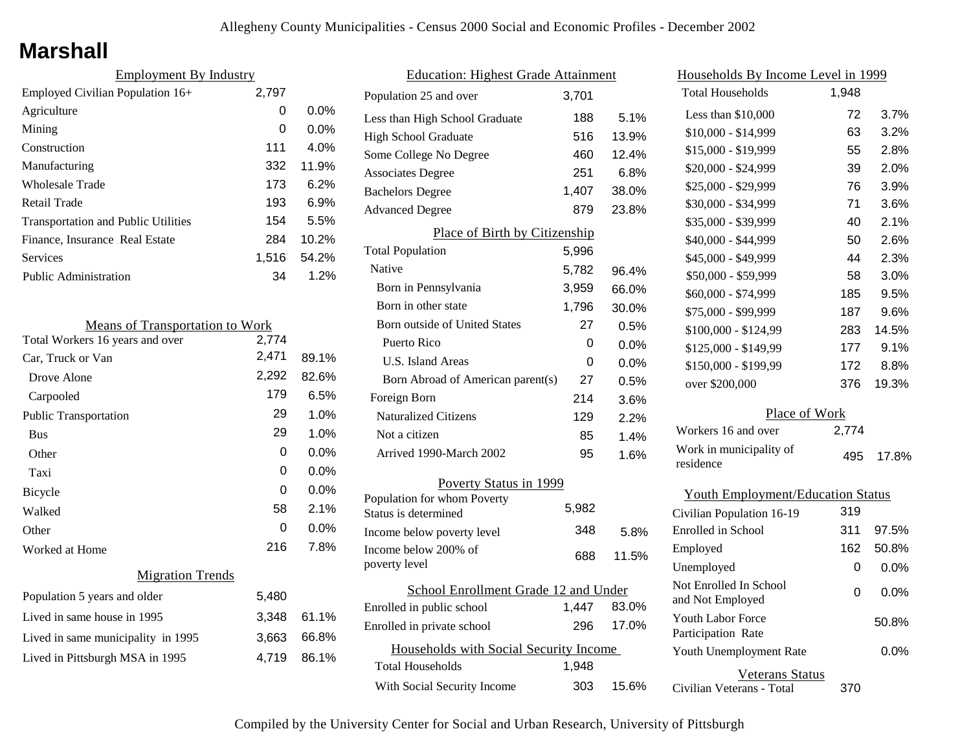## **Marshall**

| <b>Employment By Industry</b>              |       |         |
|--------------------------------------------|-------|---------|
| Employed Civilian Population 16+           | 2,797 |         |
| Agriculture                                | 0     | $0.0\%$ |
| Mining                                     | 0     | $0.0\%$ |
| Construction                               | 111   | $4.0\%$ |
| Manufacturing                              | 332   | 11.9%   |
| Wholesale Trade                            | 173   | 6.2%    |
| Retail Trade                               | 193   | 6.9%    |
| <b>Transportation and Public Utilities</b> | 154   | 5.5%    |
| Finance, Insurance Real Estate             | 284   | 10.2%   |
| Services                                   | 1.516 | 54.2%   |
| <b>Public Administration</b>               | 34    | 1.2%    |

| <b>Means of Transportation to Work</b> |       |       |
|----------------------------------------|-------|-------|
| Total Workers 16 years and over        | 2,774 |       |
| Car, Truck or Van                      | 2,471 | 89.1% |
| Drove Alone                            | 2,292 | 82.6% |
| Carpooled                              | 179   | 6.5%  |
| <b>Public Transportation</b>           | 29    | 1.0%  |
| <b>Bus</b>                             | 29    | 1.0%  |
| Other                                  | 0     | 0.0%  |
| Taxi                                   | 0     | 0.0%  |
| <b>Bicycle</b>                         | 0     | 0.0%  |
| Walked                                 | 58    | 2.1%  |
| Other                                  | 0     | 0.0%  |
| Worked at Home                         | 216   | 7.8%  |
| <b>Migration Trends</b>                |       |       |
| Population 5 years and older           | 5,480 |       |
| Lived in same house in 1995            | 3,348 | 61.1% |
| Lived in same municipality in 1995     | 3,663 | 66.8% |
| Lived in Pittsburgh MSA in 1995        | 4,719 | 86.1% |
|                                        |       |       |

| <b>Education: Highest Grade Attainment</b> |       |         |
|--------------------------------------------|-------|---------|
| Population 25 and over                     | 3,701 |         |
| Less than High School Graduate             | 188   | 5.1%    |
| <b>High School Graduate</b>                | 516   | 13.9%   |
| Some College No Degree                     | 460   | 12.4%   |
| <b>Associates Degree</b>                   | 251   | 6.8%    |
| <b>Bachelors Degree</b>                    | 1,407 | 38.0%   |
| <b>Advanced Degree</b>                     | 879   | 23.8%   |
| Place of Birth by Citizenship              |       |         |
| <b>Total Population</b>                    | 5,996 |         |
| Native                                     | 5,782 | 96.4%   |
| Born in Pennsylvania                       | 3,959 | 66.0%   |
| Born in other state                        | 1,796 | 30.0%   |
| Born outside of United States              | 27    | 0.5%    |
| Puerto Rico                                | 0     | 0.0%    |
| U.S. Island Areas                          | 0     | $0.0\%$ |
| Born Abroad of American parent(s)          | 27    | 0.5%    |
| Foreign Born                               | 214   | 3.6%    |
| <b>Naturalized Citizens</b>                | 129   | 2.2%    |
| Not a citizen                              | 85    | 1.4%    |
| Arrived 1990-March 2002                    | 95    | 1.6%    |
| Poverty Status in 1999                     |       |         |
| Population for whom Poverty                | 5,982 |         |
| Status is determined                       |       |         |
| Income below poverty level                 | 348   | 5.8%    |
| Income below 200% of<br>poverty level      | 688   | 11.5%   |
| School Enrollment Grade 12 and Under       |       |         |
| Enrolled in public school                  | 1,447 | 83.0%   |
| Enrolled in private school                 | 296   | 17.0%   |
| Households with Social Security Income     |       |         |
| Total Households                           | 1,948 |         |
| With Social Security Income                | 303   | 15.6%   |

| <u>Households By Income Level in 1999</u>  |       |       |
|--------------------------------------------|-------|-------|
| <b>Total Households</b>                    | 1,948 |       |
| Less than \$10,000                         | 72    | 3.7%  |
| \$10,000 - \$14,999                        | 63    | 3.2%  |
| \$15,000 - \$19,999                        | 55    | 2.8%  |
| \$20,000 - \$24,999                        | 39    | 2.0%  |
| \$25,000 - \$29,999                        | 76    | 3.9%  |
| \$30,000 - \$34,999                        | 71    | 3.6%  |
| \$35,000 - \$39,999                        | 40    | 2.1%  |
| \$40,000 - \$44,999                        | 50    | 2.6%  |
| \$45,000 - \$49,999                        | 44    | 2.3%  |
| \$50,000 - \$59,999                        | 58    | 3.0%  |
| \$60,000 - \$74,999                        | 185   | 9.5%  |
| \$75,000 - \$99,999                        | 187   | 9.6%  |
| $$100,000 - $124,99$                       | 283   | 14.5% |
| \$125,000 - \$149,99                       | 177   | 9.1%  |
| \$150,000 - \$199,99                       | 172   | 8.8%  |
| over \$200,000                             | 376   | 19.3% |
| Place of Work                              |       |       |
| Workers 16 and over                        | 2,774 |       |
| Work in municipality of<br>residence       | 495   | 17.8% |
| <b>Youth Employment/Education Status</b>   |       |       |
| Civilian Population 16-19                  | 319   |       |
| Enrolled in School                         | 311   | 97.5% |
| Employed                                   | 162   | 50.8% |
| Unemployed                                 | 0     | 0.0%  |
| Not Enrolled In School<br>and Not Employed | 0     | 0.0%  |

| Youth Labor Force         | 50.8%   |
|---------------------------|---------|
| Participation Rate        |         |
| Youth Unemployment Rate   | $0.0\%$ |
|                           |         |
| Veterans Status           |         |
| Civilian Veterans - Total | 370     |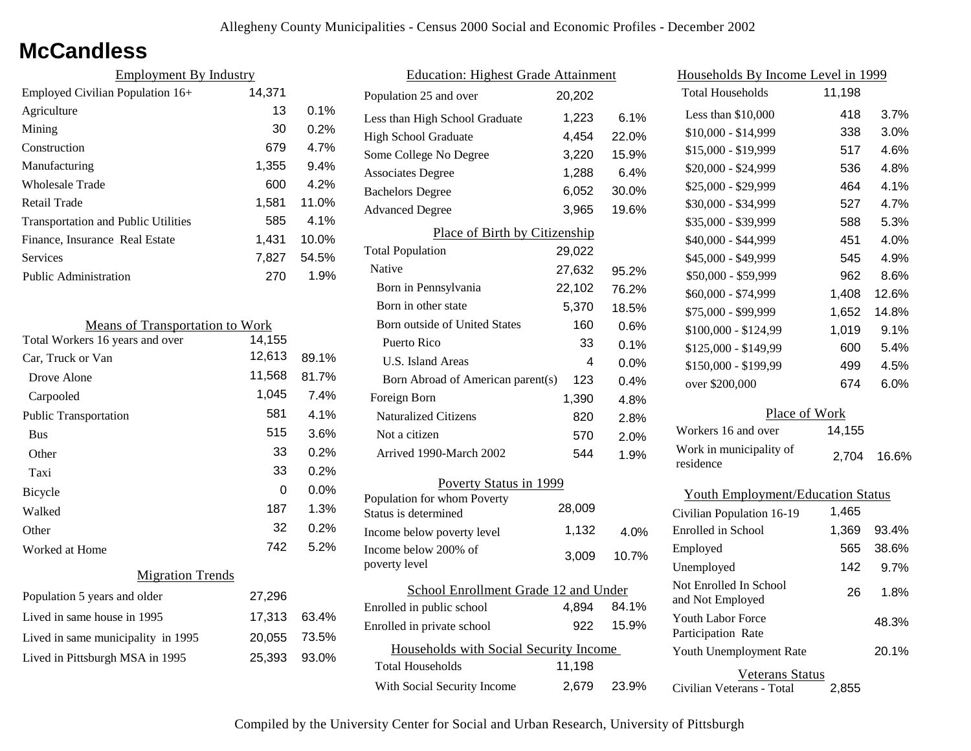## **McCandless**

| <b>Employment By Industry</b>              |        |         |
|--------------------------------------------|--------|---------|
| Employed Civilian Population 16+           | 14,371 |         |
| Agriculture                                | 13     | 0.1%    |
| Mining                                     | 30     | 0.2%    |
| Construction                               | 679    | 4.7%    |
| Manufacturing                              | 1,355  | 9.4%    |
| Wholesale Trade                            | 600    | 4.2%    |
| Retail Trade                               | 1,581  | 11.0%   |
| <b>Transportation and Public Utilities</b> | 585    | $4.1\%$ |
| Finance, Insurance Real Estate             | 1,431  | 10.0%   |
| Services                                   | 7,827  | 54.5%   |
| Public Administration                      | 270    | 1.9%    |

| <b>Means of Transportation to Work</b> |        |         |  |
|----------------------------------------|--------|---------|--|
| Total Workers 16 years and over        | 14,155 |         |  |
| Car, Truck or Van                      | 12,613 | 89.1%   |  |
| Drove Alone                            | 11,568 | 81.7%   |  |
| Carpooled                              | 1,045  | 7.4%    |  |
| <b>Public Transportation</b>           | 581    | 4.1%    |  |
| <b>Bus</b>                             | 515    | 3.6%    |  |
| Other                                  | 33     | 0.2%    |  |
| Taxi                                   | 33     | 0.2%    |  |
| <b>Bicycle</b>                         | 0      | $0.0\%$ |  |
| Walked                                 | 187    | 1.3%    |  |
| Other                                  | 32     | 0.2%    |  |
| Worked at Home                         | 742    | 5.2%    |  |
| <b>Migration Trends</b>                |        |         |  |
| Population 5 years and older           | 27,296 |         |  |
| Lived in same house in 1995            | 17,313 | 63.4%   |  |
| Lived in same municipality in 1995     | 20,055 | 73.5%   |  |
| Lived in Pittsburgh MSA in 1995        | 25,393 | 93.0%   |  |
|                                        |        |         |  |

| <b>Education: Highest Grade Attainment</b>          |        |       |
|-----------------------------------------------------|--------|-------|
| Population 25 and over                              | 20,202 |       |
| Less than High School Graduate                      | 1,223  | 6.1%  |
| <b>High School Graduate</b>                         | 4,454  | 22.0% |
| Some College No Degree                              | 3,220  | 15.9% |
| <b>Associates Degree</b>                            | 1,288  | 6.4%  |
| <b>Bachelors Degree</b>                             | 6,052  | 30.0% |
| <b>Advanced Degree</b>                              | 3,965  | 19.6% |
| Place of Birth by Citizenship                       |        |       |
| <b>Total Population</b>                             | 29,022 |       |
| Native                                              | 27,632 | 95.2% |
| Born in Pennsylvania                                | 22,102 | 76.2% |
| Born in other state                                 | 5,370  | 18.5% |
| <b>Born outside of United States</b>                | 160    | 0.6%  |
| Puerto Rico                                         | 33     | 0.1%  |
| U.S. Island Areas                                   | 4      | 0.0%  |
| Born Abroad of American parent(s)                   | 123    | 0.4%  |
| Foreign Born                                        | 1,390  | 4.8%  |
| <b>Naturalized Citizens</b>                         | 820    | 2.8%  |
| Not a citizen                                       | 570    | 2.0%  |
| Arrived 1990-March 2002                             | 544    | 1.9%  |
| Poverty Status in 1999                              |        |       |
| Population for whom Poverty<br>Status is determined | 28,009 |       |
| Income below poverty level                          | 1,132  | 4.0%  |
| Income below 200% of<br>poverty level               | 3,009  | 10.7% |
| School Enrollment Grade 12 and Under                |        |       |
| Enrolled in public school                           | 4,894  | 84.1% |
| Enrolled in private school                          | 922    | 15.9% |
| Households with Social Security Income              |        |       |
| <b>Total Households</b>                             | 11,198 |       |
| With Social Security Income                         | 2,679  | 23.9% |

| Households By Income Level in 1999                  |        |       |
|-----------------------------------------------------|--------|-------|
| Total Households                                    | 11,198 |       |
| Less than \$10,000                                  | 418    | 3.7%  |
| $$10,000 - $14,999$                                 | 338    | 3.0%  |
| \$15,000 - \$19,999                                 | 517    | 4.6%  |
| \$20,000 - \$24,999                                 | 536    | 4.8%  |
| \$25,000 - \$29,999                                 | 464    | 4.1%  |
| \$30,000 - \$34,999                                 | 527    | 4.7%  |
| \$35,000 - \$39,999                                 | 588    | 5.3%  |
| \$40,000 - \$44,999                                 | 451    | 4.0%  |
| \$45,000 - \$49,999                                 | 545    | 4.9%  |
| \$50,000 - \$59,999                                 | 962    | 8.6%  |
| \$60,000 - \$74,999                                 | 1,408  | 12.6% |
| \$75,000 - \$99,999                                 | 1,652  | 14.8% |
| \$100,000 - \$124,99                                | 1,019  | 9.1%  |
| \$125,000 - \$149,99                                | 600    | 5.4%  |
| \$150,000 - \$199,99                                | 499    | 4.5%  |
| over \$200,000                                      | 674    | 6.0%  |
| Place of Work                                       |        |       |
| Workers 16 and over                                 | 14,155 |       |
| Work in municipality of<br>residence                | 2,704  | 16.6% |
| <b>Youth Employment/Education Status</b>            |        |       |
| Civilian Population 16-19                           | 1,465  |       |
| Enrolled in School                                  | 1,369  | 93.4% |
| Employed                                            | 565    | 38.6% |
| Unemployed                                          | 142    | 9.7%  |
| Not Enrolled In School<br>and Not Employed          | 26     | 1.8%  |
| <b>Youth Labor Force</b><br>Participation Rate      |        | 48.3% |
| Youth Unemployment Rate                             |        | 20.1% |
| <b>Veterans Status</b><br>Civilian Veterans - Total | 2,855  |       |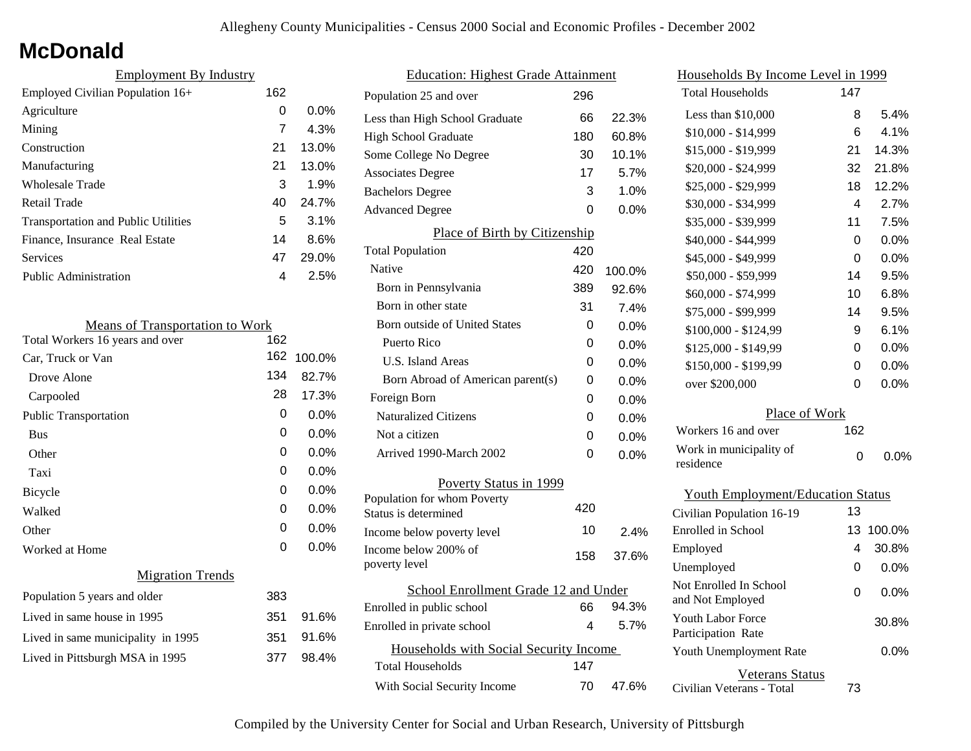# **McDonald**

| <b>Employment By Industry</b>              |     |         |
|--------------------------------------------|-----|---------|
| Employed Civilian Population 16+           | 162 |         |
| Agriculture                                | 0   | $0.0\%$ |
| Mining                                     | 7   | 4.3%    |
| Construction                               | 21  | 13.0%   |
| Manufacturing                              | 21  | 13.0%   |
| Wholesale Trade                            | 3   | 1.9%    |
| Retail Trade                               | 40  | 24.7%   |
| <b>Transportation and Public Utilities</b> | 5   | 3.1%    |
| Finance, Insurance Real Estate             | 14  | 8.6%    |
| Services                                   | 47  | 29.0%   |
| <b>Public Administration</b>               | 4   | 2.5%    |

| <b>Means of Transportation to Work</b> |     |         |  |
|----------------------------------------|-----|---------|--|
| Total Workers 16 years and over        | 162 |         |  |
| Car, Truck or Van                      | 162 | 100.0%  |  |
| Drove Alone                            | 134 | 82.7%   |  |
| Carpooled                              | 28  | 17.3%   |  |
| <b>Public Transportation</b>           | 0   | $0.0\%$ |  |
| <b>Bus</b>                             | 0   | 0.0%    |  |
| Other                                  | 0   | 0.0%    |  |
| Taxi                                   | 0   | 0.0%    |  |
| <b>Bicycle</b>                         | 0   | $0.0\%$ |  |
| Walked                                 | 0   | 0.0%    |  |
| Other                                  | 0   | $0.0\%$ |  |
| Worked at Home                         | 0   | $0.0\%$ |  |
| <b>Migration Trends</b>                |     |         |  |
| Population 5 years and older           | 383 |         |  |
| Lived in same house in 1995            | 351 | 91.6%   |  |
| Lived in same municipality in 1995     | 351 | 91.6%   |  |
| Lived in Pittsburgh MSA in 1995        | 377 | 98.4%   |  |
|                                        |     |         |  |

| <b>Education: Highest Grade Attainment</b> |                                                     |     |         |
|--------------------------------------------|-----------------------------------------------------|-----|---------|
|                                            | Population 25 and over                              | 296 |         |
|                                            | Less than High School Graduate                      | 66  | 22.3%   |
|                                            | <b>High School Graduate</b>                         | 180 | 60.8%   |
|                                            | Some College No Degree                              | 30  | 10.1%   |
|                                            | <b>Associates Degree</b>                            | 17  | 5.7%    |
|                                            | <b>Bachelors Degree</b>                             | 3   | 1.0%    |
|                                            | <b>Advanced Degree</b>                              | 0   | 0.0%    |
|                                            | Place of Birth by Citizenship                       |     |         |
|                                            | <b>Total Population</b>                             | 420 |         |
|                                            | Native                                              | 420 | 100.0%  |
|                                            | Born in Pennsylvania                                | 389 | 92.6%   |
|                                            | Born in other state                                 | 31  | 7.4%    |
|                                            | Born outside of United States                       | 0   | $0.0\%$ |
|                                            | Puerto Rico                                         | 0   | 0.0%    |
|                                            | <b>U.S. Island Areas</b>                            | 0   | 0.0%    |
|                                            | Born Abroad of American parent(s)                   | 0   | 0.0%    |
|                                            | Foreign Born                                        | 0   | 0.0%    |
|                                            | <b>Naturalized Citizens</b>                         | 0   | $0.0\%$ |
|                                            | Not a citizen                                       | 0   | 0.0%    |
|                                            | Arrived 1990-March 2002                             | 0   | 0.0%    |
|                                            | Poverty Status in 1999                              |     |         |
|                                            | Population for whom Poverty<br>Status is determined | 420 |         |
|                                            | Income below poverty level                          | 10  | 2.4%    |
|                                            | Income below 200% of<br>poverty level               | 158 | 37.6%   |
|                                            | School Enrollment Grade 12 and Under                |     |         |
|                                            | Enrolled in public school                           | 66  | 94.3%   |
|                                            | Enrolled in private school                          | 4   | 5.7%    |
|                                            | Households with Social Security Income              |     |         |
|                                            | <b>Total Households</b>                             | 147 |         |
|                                            | With Social Security Income                         | 70  | 47.6%   |
|                                            |                                                     |     |         |

| Households By Income Level in 1999                  |     |         |
|-----------------------------------------------------|-----|---------|
| <b>Total Households</b>                             | 147 |         |
| Less than \$10,000                                  | 8   | 5.4%    |
| \$10,000 - \$14,999                                 | 6   | 4.1%    |
| \$15,000 - \$19,999                                 | 21  | 14.3%   |
| \$20,000 - \$24,999                                 | 32  | 21.8%   |
| \$25,000 - \$29,999                                 | 18  | 12.2%   |
| \$30,000 - \$34,999                                 | 4   | 2.7%    |
| \$35,000 - \$39,999                                 | 11  | 7.5%    |
| \$40,000 - \$44,999                                 | 0   | 0.0%    |
| \$45,000 - \$49,999                                 | 0   | 0.0%    |
| \$50,000 - \$59,999                                 | 14  | 9.5%    |
| \$60,000 - \$74,999                                 | 10  | 6.8%    |
| \$75,000 - \$99,999                                 | 14  | 9.5%    |
| \$100,000 - \$124,99                                | 9   | 6.1%    |
| \$125,000 - \$149,99                                | 0   | $0.0\%$ |
| \$150,000 - \$199,99                                | 0   | $0.0\%$ |
| over \$200,000                                      | 0   | 0.0%    |
| Place of Work                                       |     |         |
| Workers 16 and over                                 | 162 |         |
| Work in municipality of<br>residence                | 0   | $0.0\%$ |
| <b>Youth Employment/Education Status</b>            |     |         |
| Civilian Population 16-19                           | 13  |         |
| <b>Enrolled</b> in School                           | 13  | 100.0%  |
| Employed                                            | 4   | 30.8%   |
| Unemployed                                          | 0   | $0.0\%$ |
| Not Enrolled In School<br>and Not Employed          | 0   | 0.0%    |
| Youth Labor Force<br>Participation Rate             |     | 30.8%   |
| Youth Unemployment Rate                             |     | $0.0\%$ |
| <b>Veterans Status</b><br>Civilian Veterans - Total | 73  |         |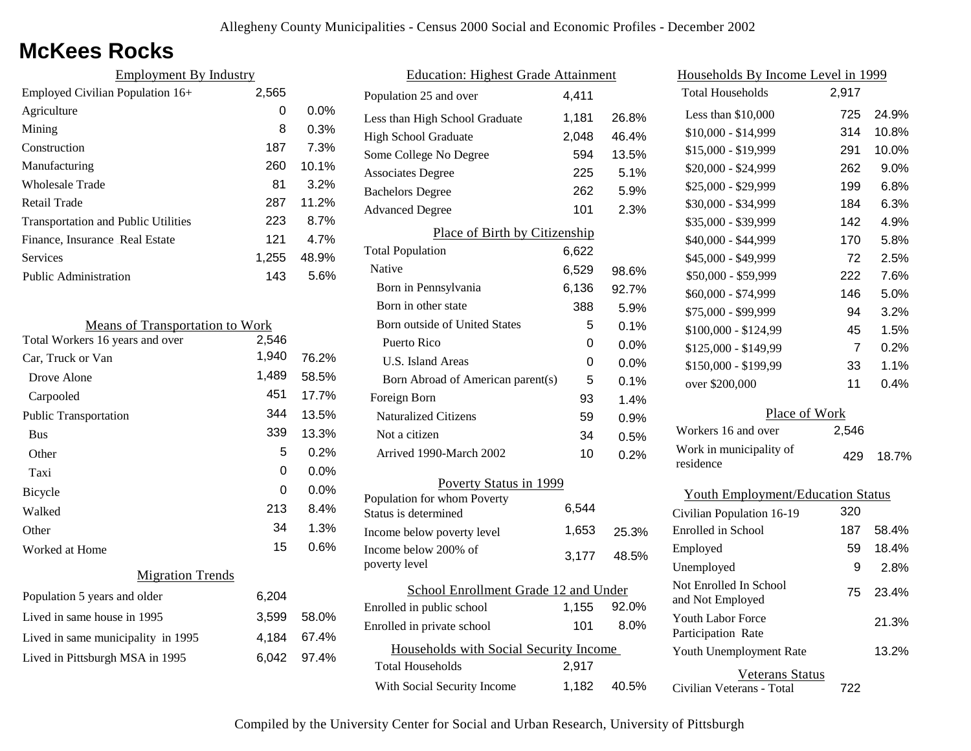# **McKees Rocks**

| <b>Employment By Industry</b>              |       |         |
|--------------------------------------------|-------|---------|
| Employed Civilian Population 16+           | 2,565 |         |
| Agriculture                                | 0     | $0.0\%$ |
| Mining                                     | 8     | 0.3%    |
| Construction                               | 187   | 7.3%    |
| Manufacturing                              | 260   | 10.1%   |
| Wholesale Trade                            | 81    | 3.2%    |
| Retail Trade                               | 287   | 11.2%   |
| <b>Transportation and Public Utilities</b> | 223   | 8.7%    |
| Finance, Insurance Real Estate             | 121   | 4 7%    |
| Services                                   | 1,255 | 48.9%   |
| <b>Public Administration</b>               | 143   | 5.6%    |

| <b>Means of Transportation to Work</b> |       |         |
|----------------------------------------|-------|---------|
| Total Workers 16 years and over        | 2,546 |         |
| Car, Truck or Van                      | 1,940 | 76.2%   |
| Drove Alone                            | 1,489 | 58.5%   |
| Carpooled                              | 451   | 17.7%   |
| Public Transportation                  | 344   | 13.5%   |
| <b>Bus</b>                             | 339   | 13.3%   |
| Other                                  | 5     | 0.2%    |
| Taxi                                   | 0     | 0.0%    |
| Bicycle                                | 0     | $0.0\%$ |
| Walked                                 | 213   | 8.4%    |
| Other                                  | 34    | 1.3%    |
| Worked at Home                         | 15    | $0.6\%$ |
| <b>Migration Trends</b>                |       |         |
| Population 5 years and older           | 6,204 |         |
| Lived in same house in 1995            | 3,599 | 58.0%   |
| Lived in same municipality in 1995     | 4,184 | 67.4%   |
| Lived in Pittsburgh MSA in 1995        | 6,042 | 97.4%   |
|                                        |       |         |

| <b>Education: Highest Grade Attainment</b>          |       |         |  |
|-----------------------------------------------------|-------|---------|--|
| Population 25 and over                              | 4.411 |         |  |
| Less than High School Graduate                      | 1,181 | 26.8%   |  |
| High School Graduate                                | 2,048 | 46.4%   |  |
| Some College No Degree                              | 594   | 13.5%   |  |
| <b>Associates Degree</b>                            | 225   | 5.1%    |  |
| <b>Bachelors Degree</b>                             | 262   | 5.9%    |  |
| <b>Advanced Degree</b>                              | 101   | 2.3%    |  |
| Place of Birth by Citizenship                       |       |         |  |
| <b>Total Population</b>                             | 6,622 |         |  |
| <b>Native</b>                                       | 6,529 | 98.6%   |  |
| Born in Pennsylvania                                | 6,136 | 92.7%   |  |
| Born in other state                                 | 388   | 5.9%    |  |
| Born outside of United States                       | 5     | 0.1%    |  |
| Puerto Rico                                         | 0     | 0.0%    |  |
| U.S. Island Areas                                   | 0     | $0.0\%$ |  |
| Born Abroad of American parent(s)                   | 5     | 0.1%    |  |
| Foreign Born                                        | 93    | 1.4%    |  |
| <b>Naturalized Citizens</b>                         | 59    | 0.9%    |  |
| Not a citizen                                       | 34    | 0.5%    |  |
| Arrived 1990-March 2002                             | 10    | 0.2%    |  |
| Poverty Status in 1999                              |       |         |  |
| Population for whom Poverty<br>Status is determined | 6,544 |         |  |
| Income below poverty level                          | 1,653 | 25.3%   |  |
| Income below 200% of<br>poverty level               | 3,177 | 48.5%   |  |
| School Enrollment Grade 12 and Under                |       |         |  |
| Enrolled in public school                           | 1,155 | 92.0%   |  |
| Enrolled in private school                          | 101   | 8.0%    |  |
| Households with Social Security Income              |       |         |  |
| <b>Total Households</b>                             | 2,917 |         |  |
| With Social Security Income                         | 1,182 | 40.5%   |  |

| Households By Income Level in 1999         |       |       |  |
|--------------------------------------------|-------|-------|--|
| <b>Total Households</b>                    | 2,917 |       |  |
| Less than \$10,000                         | 725   | 24.9% |  |
| $$10,000 - $14,999$                        | 314   | 10.8% |  |
| \$15,000 - \$19,999                        | 291   | 10.0% |  |
| \$20,000 - \$24,999                        | 262   | 9.0%  |  |
| \$25,000 - \$29,999                        | 199   | 6.8%  |  |
| \$30,000 - \$34,999                        | 184   | 6.3%  |  |
| \$35,000 - \$39,999                        | 142   | 4.9%  |  |
| \$40,000 - \$44,999                        | 170   | 5.8%  |  |
| \$45,000 - \$49,999                        | 72    | 2.5%  |  |
| \$50,000 - \$59,999                        | 222   | 7.6%  |  |
| \$60,000 - \$74,999                        | 146   | 5.0%  |  |
| \$75,000 - \$99,999                        | 94    | 3.2%  |  |
| \$100,000 - \$124,99                       | 45    | 1.5%  |  |
| \$125,000 - \$149,99                       | 7     | 0.2%  |  |
| \$150,000 - \$199,99                       | 33    | 1.1%  |  |
| over \$200,000                             | 11    | 0.4%  |  |
| Place of Work                              |       |       |  |
| Workers 16 and over                        | 2,546 |       |  |
| Work in municipality of<br>residence       | 429   | 18.7% |  |
| <b>Youth Employment/Education Status</b>   |       |       |  |
| Civilian Population 16-19                  | 320   |       |  |
| <b>Enrolled</b> in School                  | 187   | 58.4% |  |
| Employed                                   | 59    | 18.4% |  |
| Unemployed                                 | 9     | 2.8%  |  |
| Not Enrolled In School<br>and Not Employed | 75    | 23.4% |  |

Civilian Veterans - Total

Youth Unemployment Rate

Youth Labor Force Participation Rate

Veterans Status

722

13.2%

21.3%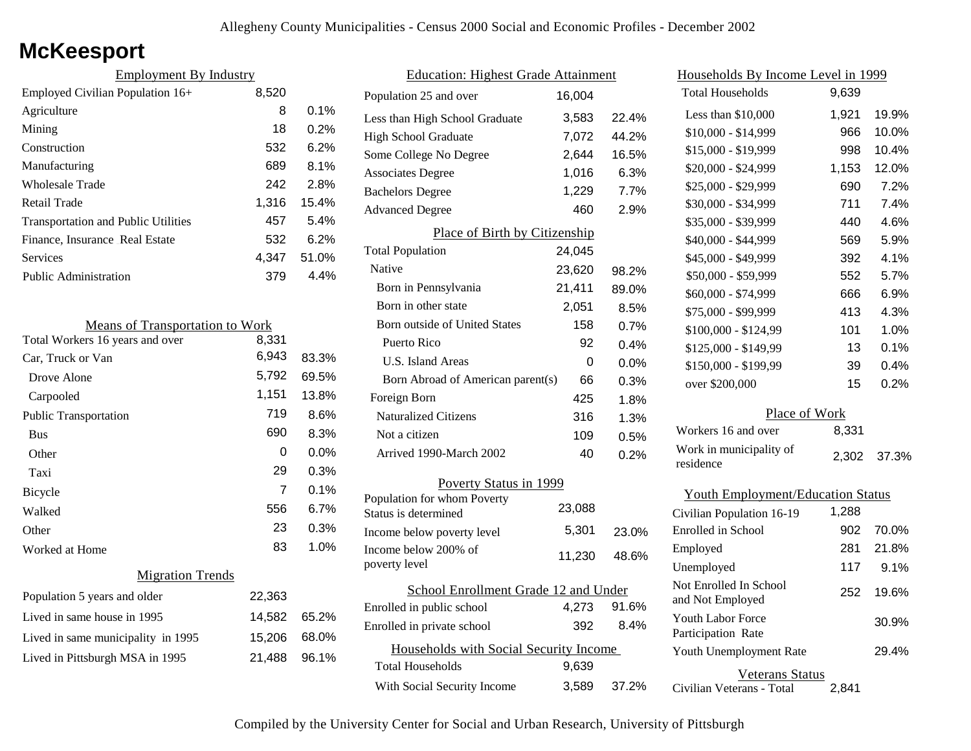# **McKeesport**

| <b>Employment By Industry</b>              |       |         |
|--------------------------------------------|-------|---------|
| Employed Civilian Population 16+           | 8,520 |         |
| Agriculture                                | 8     | $0.1\%$ |
| Mining                                     | 18    | 0.2%    |
| Construction                               | 532   | 6.2%    |
| Manufacturing                              | 689   | 8.1%    |
| Wholesale Trade                            | 242   | 2.8%    |
| Retail Trade                               | 1,316 | 15.4%   |
| <b>Transportation and Public Utilities</b> | 457   | 5.4%    |
| Finance, Insurance Real Estate             | 532   | 6.2%    |
| Services                                   | 4.347 | 51.0%   |
| <b>Public Administration</b>               | 379   | 4.4%    |

| <b>Means of Transportation to Work</b> |        |         |
|----------------------------------------|--------|---------|
| Total Workers 16 years and over        | 8,331  |         |
| Car, Truck or Van                      | 6,943  | 83.3%   |
| Drove Alone                            | 5,792  | 69.5%   |
| Carpooled                              | 1,151  | 13.8%   |
| <b>Public Transportation</b>           | 719    | $8.6\%$ |
| <b>Bus</b>                             | 690    | 8.3%    |
| Other                                  | 0      | $0.0\%$ |
| Taxi                                   | 29     | 0.3%    |
| Bicycle                                | 7      | 0.1%    |
| Walked                                 | 556    | 6.7%    |
| Other                                  | 23     | 0.3%    |
| Worked at Home                         | 83     | 1.0%    |
| <b>Migration Trends</b>                |        |         |
| Population 5 years and older           | 22,363 |         |
| Lived in same house in 1995            | 14,582 | 65.2%   |
| Lived in same municipality in 1995     | 15,206 | 68.0%   |
| Lived in Pittsburgh MSA in 1995        | 21,488 | 96.1%   |

| <b>Education: Highest Grade Attainment</b>          |        |       |
|-----------------------------------------------------|--------|-------|
| Population 25 and over                              | 16,004 |       |
| Less than High School Graduate                      | 3,583  | 22.4% |
| <b>High School Graduate</b>                         | 7,072  | 44.2% |
| Some College No Degree                              | 2,644  | 16.5% |
| <b>Associates Degree</b>                            | 1,016  | 6.3%  |
| <b>Bachelors Degree</b>                             | 1,229  | 7.7%  |
| <b>Advanced Degree</b>                              | 460    | 2.9%  |
| Place of Birth by Citizenship                       |        |       |
| <b>Total Population</b>                             | 24,045 |       |
| Native                                              | 23,620 | 98.2% |
| Born in Pennsylvania                                | 21,411 | 89.0% |
| Born in other state                                 | 2,051  | 8.5%  |
| Born outside of United States                       | 158    | 0.7%  |
| Puerto Rico                                         | 92     | 0.4%  |
| U.S. Island Areas                                   | 0      | 0.0%  |
| Born Abroad of American parent(s)                   | 66     | 0.3%  |
| Foreign Born                                        | 425    | 1.8%  |
| <b>Naturalized Citizens</b>                         | 316    | 1.3%  |
| Not a citizen                                       | 109    | 0.5%  |
| Arrived 1990-March 2002                             | 40     | 0.2%  |
| Poverty Status in 1999                              |        |       |
| Population for whom Poverty<br>Status is determined | 23,088 |       |
| Income below poverty level                          | 5,301  | 23.0% |
| Income below 200% of<br>poverty level               | 11,230 | 48.6% |
| School Enrollment Grade 12 and Under                |        |       |
| Enrolled in public school                           | 4,273  | 91.6% |
| Enrolled in private school                          | 392    | 8.4%  |
| Households with Social Security Income              |        |       |
| Total Households                                    | 9.639  |       |
| With Social Security Income                         | 3,589  | 37.2% |

| Households By Income Level in 1999       |       |               |
|------------------------------------------|-------|---------------|
| <b>Total Households</b>                  | 9,639 |               |
| Less than \$10,000                       | 1,921 | 19.9%         |
| $$10,000 - $14,999$                      | 966   | 10.0%         |
| \$15,000 - \$19,999                      | 998   | 10.4%         |
| \$20,000 - \$24,999                      | 1,153 | 12.0%         |
| \$25,000 - \$29,999                      | 690   | 7.2%          |
| \$30,000 - \$34,999                      | 711   | 7.4%          |
| \$35,000 - \$39,999                      | 440   | 4.6%          |
| \$40,000 - \$44,999                      | 569   | 5.9%          |
| \$45,000 - \$49,999                      | 392   | 4.1%          |
| \$50,000 - \$59,999                      | 552   | 5.7%          |
| \$60,000 - \$74,999                      | 666   | 6.9%          |
| \$75,000 - \$99,999                      | 413   | 4.3%          |
| \$100,000 - \$124,99                     | 101   | 1.0%          |
| \$125,000 - \$149,99                     | 13    | 0.1%          |
| \$150,000 - \$199,99                     | 39    | 0.4%          |
| over \$200,000                           | 15    | 0.2%          |
| Place of Work                            |       |               |
| Workers 16 and over                      | 8,331 |               |
| Work in municipality of<br>residence     |       | 2,302 37.3%   |
| <b>Youth Employment/Education Status</b> |       |               |
| Civilian Population 16-19                | 1,288 |               |
| Enrolled in School                       |       | $902 - 700\%$ |

| Enrolled in School                             | 902   | 70.0% |
|------------------------------------------------|-------|-------|
| Employed                                       | 281   | 21.8% |
| Unemployed                                     | 117   | 9.1%  |
| Not Enrolled In School<br>and Not Employed     | 252   | 19.6% |
| <b>Youth Labor Force</b><br>Participation Rate |       | 30.9% |
| Youth Unemployment Rate                        |       | 29.4% |
| Veterans Status<br>Civilian Veterans - Total   | 2.841 |       |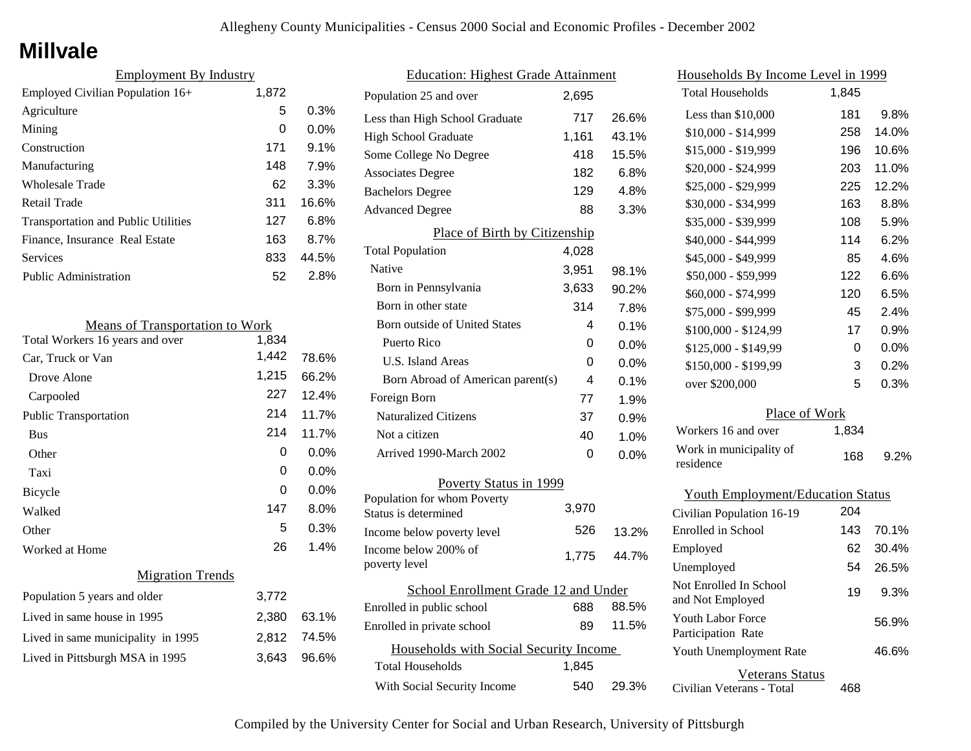## **Millvale**

| <b>Employment By Industry</b>              |       |         |
|--------------------------------------------|-------|---------|
| Employed Civilian Population 16+           | 1,872 |         |
| Agriculture                                | 5     | 0.3%    |
| Mining                                     | 0     | $0.0\%$ |
| Construction                               | 171   | 9.1%    |
| Manufacturing                              | 148   | 7.9%    |
| <b>Wholesale Trade</b>                     | 62    | 3.3%    |
| Retail Trade                               | 311   | 16.6%   |
| <b>Transportation and Public Utilities</b> | 127   | 6.8%    |
| Finance, Insurance Real Estate             | 163   | 8.7%    |
| Services                                   | 833   | 44.5%   |
| <b>Public Administration</b>               | 52    | 2.8%    |

| <b>Means of Transportation to Work</b> |       |             |
|----------------------------------------|-------|-------------|
| Total Workers 16 years and over        | 1,834 |             |
| Car, Truck or Van                      | 1,442 | 78.6%       |
| Drove Alone                            | 1,215 | 66.2%       |
| Carpooled                              | 227   | 12.4%       |
| <b>Public Transportation</b>           | 214   | 11.7%       |
| <b>Bus</b>                             | 214   | 11.7%       |
| Other                                  | 0     | 0.0%        |
| Taxi                                   | 0     | 0.0%        |
| <b>Bicycle</b>                         | 0     | $0.0\%$     |
| Walked                                 | 147   | 8.0%        |
| Other                                  | 5     | 0.3%        |
| Worked at Home                         | 26    | 1.4%        |
| <b>Migration Trends</b>                |       |             |
| Population 5 years and older           | 3,772 |             |
| Lived in same house in 1995            | 2,380 | 63.1%       |
| Lived in same municipality in 1995     |       | 2,812 74.5% |
| Lived in Pittsburgh MSA in 1995        | 3,643 | 96.6%       |
|                                        |       |             |

| <b>Education: Highest Grade Attainment</b>          |       |         |
|-----------------------------------------------------|-------|---------|
| Population 25 and over                              | 2,695 |         |
| Less than High School Graduate                      | 717   | 26.6%   |
| <b>High School Graduate</b>                         | 1,161 | 43.1%   |
| Some College No Degree                              | 418   | 15.5%   |
| <b>Associates Degree</b>                            | 182   | 6.8%    |
| <b>Bachelors Degree</b>                             | 129   | 4.8%    |
| <b>Advanced Degree</b>                              | 88    | 3.3%    |
| Place of Birth by Citizenship                       |       |         |
| <b>Total Population</b>                             | 4,028 |         |
| <b>Native</b>                                       | 3,951 | 98.1%   |
| Born in Pennsylvania                                | 3,633 | 90.2%   |
| Born in other state                                 | 314   | 7.8%    |
| <b>Born outside of United States</b>                | 4     | 0.1%    |
| Puerto Rico                                         | 0     | $0.0\%$ |
| <b>U.S. Island Areas</b>                            | 0     | 0.0%    |
| Born Abroad of American parent(s)                   | 4     | 0.1%    |
| Foreign Born                                        | 77    | 1.9%    |
| <b>Naturalized Citizens</b>                         | 37    | 0.9%    |
| Not a citizen                                       | 40    | 1.0%    |
| Arrived 1990-March 2002                             | 0     | $0.0\%$ |
| Poverty Status in 1999                              |       |         |
| Population for whom Poverty<br>Status is determined | 3,970 |         |
| Income below poverty level                          | 526   | 13.2%   |
| Income below 200% of<br>poverty level               | 1,775 | 44.7%   |
| School Enrollment Grade 12 and Under                |       |         |
| Enrolled in public school                           | 688   | 88.5%   |
| Enrolled in private school                          | 89    | 11.5%   |
| Households with Social Security Income              |       |         |
| Total Households                                    | 1,845 |         |
| With Social Security Income                         | 540   | 29.3%   |

| Households By Income Level in 1999         |       |       |  |
|--------------------------------------------|-------|-------|--|
| <b>Total Households</b>                    | 1,845 |       |  |
| Less than \$10,000                         | 181   | 9.8%  |  |
| \$10,000 - \$14,999                        | 258   | 14.0% |  |
| \$15,000 - \$19,999                        | 196   | 10.6% |  |
| \$20,000 - \$24,999                        | 203   | 11.0% |  |
| \$25,000 - \$29,999                        | 225   | 12.2% |  |
| \$30,000 - \$34,999                        | 163   | 8.8%  |  |
| \$35,000 - \$39,999                        | 108   | 5.9%  |  |
| \$40,000 - \$44,999                        | 114   | 6.2%  |  |
| \$45,000 - \$49,999                        | 85    | 4.6%  |  |
| \$50,000 - \$59,999                        | 122   | 6.6%  |  |
| \$60,000 - \$74,999                        | 120   | 6.5%  |  |
| \$75,000 - \$99,999                        | 45    | 2.4%  |  |
| \$100,000 - \$124,99                       | 17    | 0.9%  |  |
| \$125,000 - \$149,99                       | 0     | 0.0%  |  |
| \$150,000 - \$199,99                       | 3     | 0.2%  |  |
| over \$200,000                             | 5     | 0.3%  |  |
| Place of Work                              |       |       |  |
| Workers 16 and over                        | 1,834 |       |  |
| Work in municipality of<br>residence       | 168   | 9.2%  |  |
| <b>Youth Employment/Education Status</b>   |       |       |  |
| Civilian Population 16-19                  | 204   |       |  |
| Enrolled in School                         | 143   | 70.1% |  |
| Employed                                   | 62    | 30.4% |  |
| Unemployed                                 | 54    | 26.5% |  |
| Not Enrolled In School<br>and Not Employed | 19    | 9.3%  |  |
| Youth Labor Force<br>Participation Rate    |       | 56.9% |  |
| Youth Unemployment Rate                    |       | 46.6% |  |

Veterans Status

468

Civilian Veterans - Total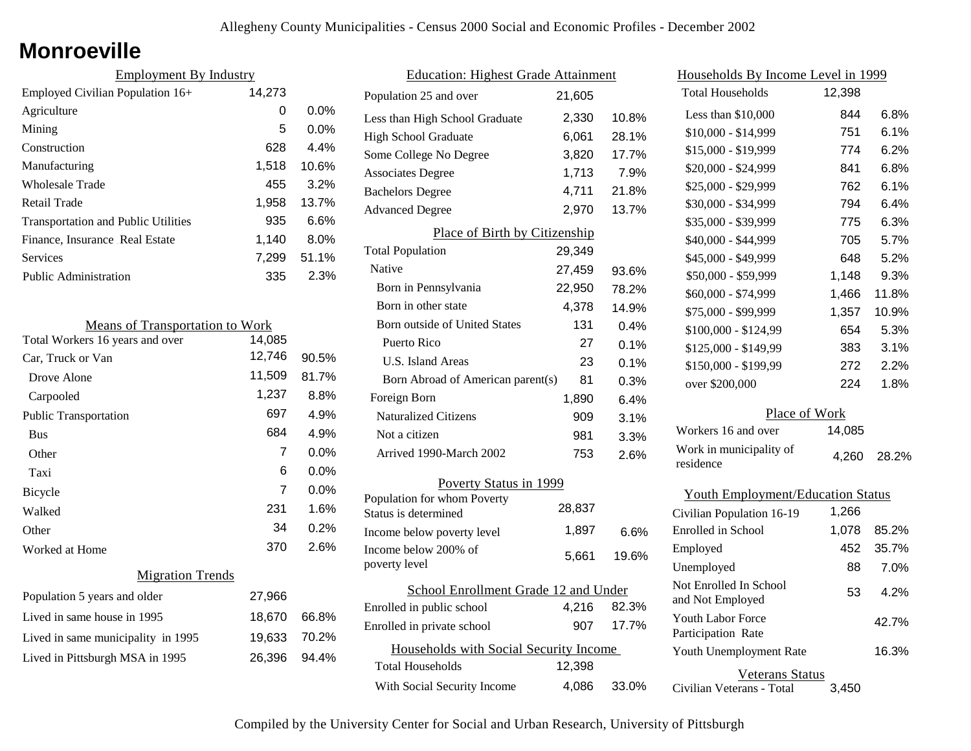## **Monroeville**

| <b>Employment By Industry</b>              |        |         |
|--------------------------------------------|--------|---------|
| Employed Civilian Population 16+           | 14,273 |         |
| Agriculture                                | 0      | $0.0\%$ |
| Mining                                     | 5      | $0.0\%$ |
| Construction                               | 628    | 4.4%    |
| Manufacturing                              | 1,518  | 10.6%   |
| Wholesale Trade                            | 455    | 3.2%    |
| Retail Trade                               | 1,958  | 13.7%   |
| <b>Transportation and Public Utilities</b> | 935    | 6.6%    |
| Finance, Insurance Real Estate             | 1,140  | 8.0%    |
| <b>Services</b>                            | 7,299  | 51.1%   |
| <b>Public Administration</b>               | 335    | 2.3%    |

| <b>Means of Transportation to Work</b> |        |         |
|----------------------------------------|--------|---------|
| Total Workers 16 years and over        | 14,085 |         |
| Car, Truck or Van                      | 12,746 | 90.5%   |
| Drove Alone                            | 11,509 | 81.7%   |
| Carpooled                              | 1,237  | 8.8%    |
| <b>Public Transportation</b>           | 697    | 4.9%    |
| <b>Bus</b>                             | 684    | 4.9%    |
| Other                                  | 7      | $0.0\%$ |
| Taxi                                   | 6      | $0.0\%$ |
| <b>Bicycle</b>                         | 7      | $0.0\%$ |
| Walked                                 | 231    | 1.6%    |
| Other                                  | 34     | 0.2%    |
| Worked at Home                         | 370    | 2.6%    |
| <b>Migration Trends</b>                |        |         |
| Population 5 years and older           | 27,966 |         |
| Lived in same house in 1995            | 18,670 | 66.8%   |
| Lived in same municipality in 1995     | 19,633 | 70.2%   |
| Lived in Pittsburgh MSA in 1995        | 26,396 | 94.4%   |
|                                        |        |         |

| <b>Education: Highest Grade Attainment</b>          |        |       |
|-----------------------------------------------------|--------|-------|
| Population 25 and over                              | 21,605 |       |
| Less than High School Graduate                      | 2,330  | 10.8% |
| <b>High School Graduate</b>                         | 6,061  | 28.1% |
| Some College No Degree                              | 3,820  | 17.7% |
| <b>Associates Degree</b>                            | 1,713  | 7.9%  |
| <b>Bachelors Degree</b>                             | 4,711  | 21.8% |
| <b>Advanced Degree</b>                              | 2,970  | 13.7% |
| Place of Birth by Citizenship                       |        |       |
| <b>Total Population</b>                             | 29,349 |       |
| Native                                              | 27,459 | 93.6% |
| Born in Pennsylvania                                | 22,950 | 78.2% |
| Born in other state                                 | 4,378  | 14.9% |
| Born outside of United States                       | 131    | 0.4%  |
| Puerto Rico                                         | 27     | 0.1%  |
| <b>U.S. Island Areas</b>                            | 23     | 0.1%  |
| Born Abroad of American parent(s)                   | 81     | 0.3%  |
| Foreign Born                                        | 1,890  | 6.4%  |
| <b>Naturalized Citizens</b>                         | 909    | 3.1%  |
| Not a citizen                                       | 981    | 3.3%  |
| Arrived 1990-March 2002                             | 753    | 2.6%  |
| Poverty Status in 1999                              |        |       |
| Population for whom Poverty<br>Status is determined | 28,837 |       |
| Income below poverty level                          | 1,897  | 6.6%  |
| Income below 200% of<br>poverty level               | 5.661  | 19.6% |
|                                                     |        |       |
| School Enrollment Grade 12 and Under                |        |       |
| Enrolled in public school                           | 4,216  | 82.3% |
| Enrolled in private school                          | 907    | 17.7% |
| Households with Social Security Income              |        |       |
| <b>Total Households</b>                             | 12,398 |       |
| With Social Security Income                         | 4,086  | 33.0% |

| Households By Income Level in 1999             |        |         |
|------------------------------------------------|--------|---------|
| <b>Total Households</b>                        | 12,398 |         |
| Less than $$10,000$                            | 844    | 6.8%    |
| $$10,000 - $14,999$                            | 751    | $6.1\%$ |
| \$15,000 - \$19,999                            | 774    | 6.2%    |
| \$20,000 - \$24,999                            | 841    | 6.8%    |
| \$25,000 - \$29,999                            | 762    | 6.1%    |
| \$30,000 - \$34,999                            | 794    | 6.4%    |
| \$35,000 - \$39,999                            | 775    | 6.3%    |
| \$40,000 - \$44,999                            | 705    | 5.7%    |
| \$45,000 - \$49,999                            | 648    | 5.2%    |
| \$50,000 - \$59,999                            | 1,148  | 9.3%    |
| \$60,000 - \$74,999                            | 1,466  | 11.8%   |
| \$75,000 - \$99,999                            | 1,357  | 10.9%   |
| \$100,000 - \$124,99                           | 654    | 5.3%    |
| \$125,000 - \$149,99                           | 383    | 3.1%    |
| \$150,000 - \$199,99                           | 272    | 2.2%    |
| over \$200,000                                 | 224    | 1.8%    |
| Place of Work                                  |        |         |
| Workers 16 and over                            | 14,085 |         |
| Work in municipality of<br>residence           | 4,260  | 28.2%   |
| <b>Youth Employment/Education Status</b>       |        |         |
| Civilian Population 16-19                      | 1,266  |         |
| Enrolled in School                             | 1,078  | 85.2%   |
| Employed                                       | 452    | 35.7%   |
| Unemployed                                     | 88     | 7.0%    |
| Not Enrolled In School<br>and Not Employed     | 53     | 4.2%    |
| <b>Youth Labor Force</b><br>Participation Rate |        | 42.7%   |
| Youth Unemployment Rate                        |        | 16.3%   |

Veterans Status 3,450

Civilian Veterans - Total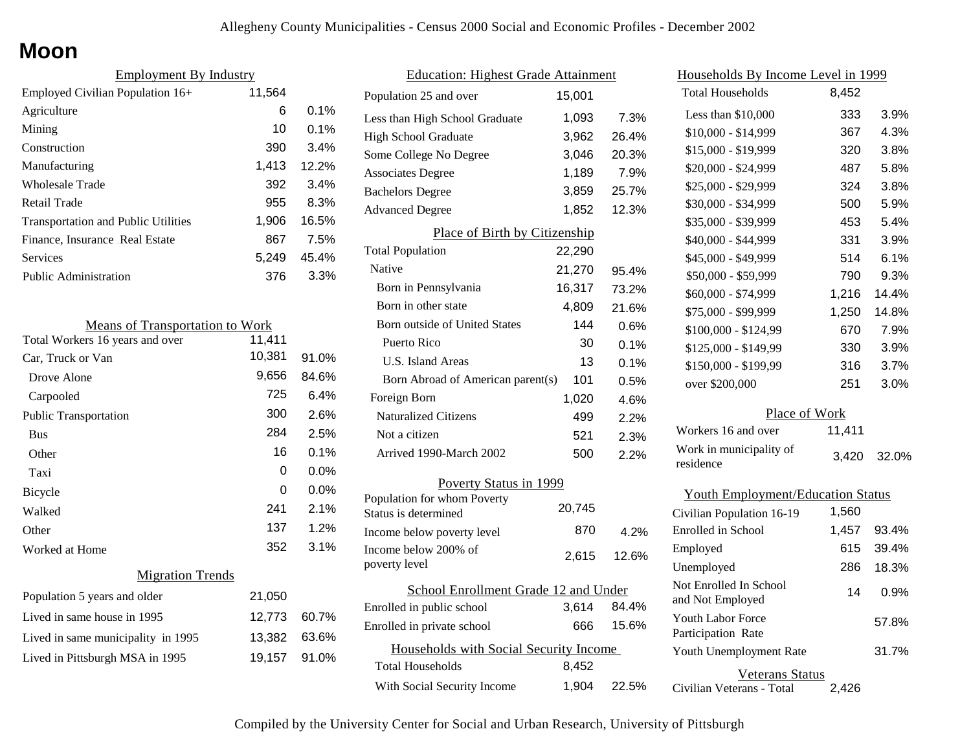## **Moon**

| <b>Employment By Industry</b>              |        |         |  |
|--------------------------------------------|--------|---------|--|
| Employed Civilian Population $16+$         | 11,564 |         |  |
| Agriculture                                | 6      | $0.1\%$ |  |
| Mining                                     | 10     | $0.1\%$ |  |
| Construction                               | 390    | 3.4%    |  |
| Manufacturing                              | 1,413  | 12.2%   |  |
| <b>Wholesale Trade</b>                     | 392    | 3.4%    |  |
| Retail Trade                               | 955    | 8.3%    |  |
| <b>Transportation and Public Utilities</b> | 1,906  | 16.5%   |  |
| Finance, Insurance Real Estate             | 867    | 7.5%    |  |
| Services                                   | 5,249  | 45.4%   |  |
| Public Administration                      | 376    | 3.3%    |  |

| <b>Means of Transportation to Work</b> |        |         |
|----------------------------------------|--------|---------|
| Total Workers 16 years and over        | 11,411 |         |
| Car, Truck or Van                      | 10,381 | 91.0%   |
| Drove Alone                            | 9,656  | 84.6%   |
| Carpooled                              | 725    | 6.4%    |
| <b>Public Transportation</b>           | 300    | 2.6%    |
| <b>Bus</b>                             | 284    | 2.5%    |
| Other                                  | 16     | 0.1%    |
| Taxi                                   | 0      | $0.0\%$ |
| <b>Bicycle</b>                         | 0      | $0.0\%$ |
| Walked                                 | 241    | 2.1%    |
| Other                                  | 137    | 1.2%    |
| Worked at Home                         | 352    | 3.1%    |
| <b>Migration Trends</b>                |        |         |
| Population 5 years and older           | 21,050 |         |
| Lived in same house in 1995            | 12,773 | 60.7%   |
| Lived in same municipality in 1995     | 13.382 | 63.6%   |
| Lived in Pittsburgh MSA in 1995        | 19,157 | 91.0%   |

| <b>Education: Highest Grade Attainment</b>          |        |       |  |
|-----------------------------------------------------|--------|-------|--|
| Population 25 and over                              | 15,001 |       |  |
| Less than High School Graduate                      | 1,093  | 7.3%  |  |
| <b>High School Graduate</b>                         | 3,962  | 26.4% |  |
| Some College No Degree                              | 3,046  | 20.3% |  |
| <b>Associates Degree</b>                            | 1,189  | 7.9%  |  |
| <b>Bachelors Degree</b>                             | 3,859  | 25.7% |  |
| <b>Advanced Degree</b>                              | 1,852  | 12.3% |  |
| Place of Birth by Citizenship                       |        |       |  |
| <b>Total Population</b>                             | 22,290 |       |  |
| Native                                              | 21,270 | 95.4% |  |
| Born in Pennsylvania                                | 16,317 | 73.2% |  |
| Born in other state                                 | 4,809  | 21.6% |  |
| Born outside of United States                       | 144    | 0.6%  |  |
| Puerto Rico                                         | 30     | 0.1%  |  |
| <b>U.S. Island Areas</b>                            | 13     | 0.1%  |  |
| Born Abroad of American parent(s)                   | 101    | 0.5%  |  |
| Foreign Born                                        | 1,020  | 4.6%  |  |
| <b>Naturalized Citizens</b>                         | 499    | 2.2%  |  |
| Not a citizen                                       | 521    | 2.3%  |  |
| Arrived 1990-March 2002                             | 500    | 2.2%  |  |
| Poverty Status in 1999                              |        |       |  |
| Population for whom Poverty<br>Status is determined | 20,745 |       |  |
| Income below poverty level                          | 870    | 4.2%  |  |
| Income below 200% of<br>poverty level               | 2,615  | 12.6% |  |
| School Enrollment Grade 12 and Under                |        |       |  |
| Enrolled in public school                           | 3,614  | 84.4% |  |
| Enrolled in private school                          | 666    | 15.6% |  |
| Households with Social Security Income              |        |       |  |
| <b>Total Households</b>                             | 8,452  |       |  |
| With Social Security Income                         | 1,904  | 22.5% |  |

| <u>Households By Income Level in 1999</u>  |        |       |  |
|--------------------------------------------|--------|-------|--|
| <b>Total Households</b>                    | 8,452  |       |  |
| Less than \$10,000                         | 333    | 3.9%  |  |
| $$10,000 - $14,999$                        | 367    | 4.3%  |  |
| \$15,000 - \$19,999                        | 320    | 3.8%  |  |
| \$20,000 - \$24,999                        | 487    | 5.8%  |  |
| \$25,000 - \$29,999                        | 324    | 3.8%  |  |
| \$30,000 - \$34,999                        | 500    | 5.9%  |  |
| \$35,000 - \$39,999                        | 453    | 5.4%  |  |
| \$40,000 - \$44,999                        | 331    | 3.9%  |  |
| \$45,000 - \$49,999                        | 514    | 6.1%  |  |
| \$50,000 - \$59,999                        | 790    | 9.3%  |  |
| \$60,000 - \$74,999                        | 1,216  | 14.4% |  |
| \$75,000 - \$99,999                        | 1,250  | 14.8% |  |
| $$100,000 - $124,99$                       | 670    | 7.9%  |  |
| \$125,000 - \$149,99                       | 330    | 3.9%  |  |
| \$150,000 - \$199,99                       | 316    | 3.7%  |  |
| over \$200,000                             | 251    | 3.0%  |  |
| Place of Work                              |        |       |  |
| Workers 16 and over                        | 11,411 |       |  |
| Work in municipality of<br>residence       | 3,420  | 32.0% |  |
| <b>Youth Employment/Education Status</b>   |        |       |  |
| Civilian Population 16-19                  | 1,560  |       |  |
| Enrolled in School                         | 1,457  | 93.4% |  |
| Employed                                   | 615    | 39.4% |  |
| Unemployed                                 | 286    | 18.3% |  |
| Not Enrolled In School<br>and Not Employed | 14     | 0.9%  |  |

Civilian Veterans - Total

Youth Unemployment Rate

Youth Labor Force Participation Rate

Veterans Status

2,426

31.7%

57.8%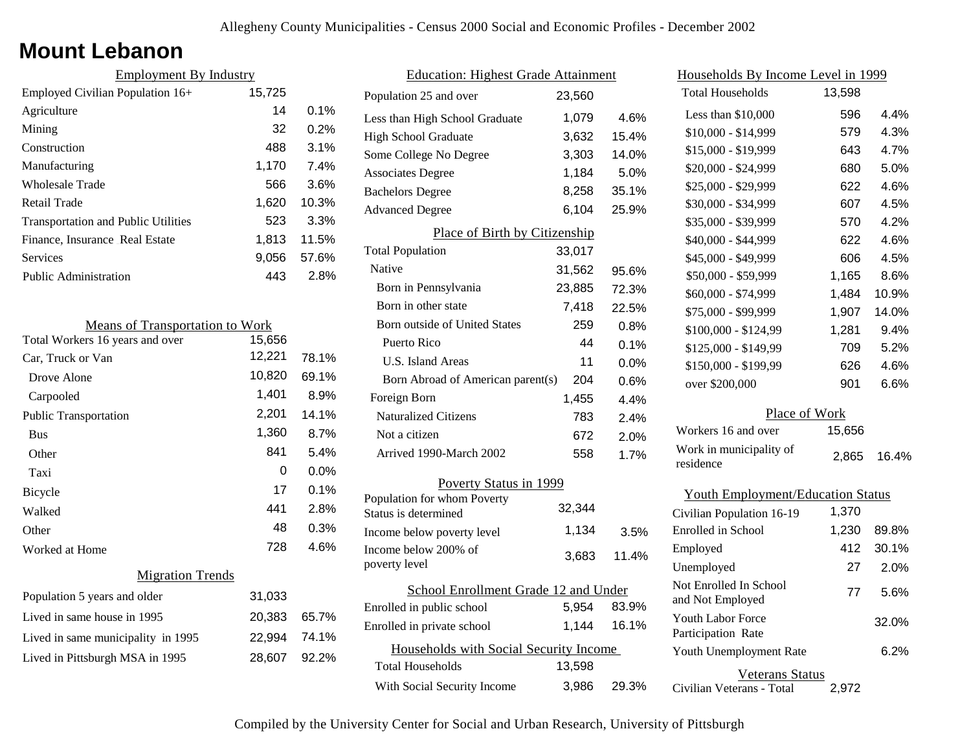### **Mount Lebanon**

| <b>Employment By Industry</b>              |        |         |
|--------------------------------------------|--------|---------|
| Employed Civilian Population 16+           | 15,725 |         |
| Agriculture                                | 14     | $0.1\%$ |
| Mining                                     | 32     | 0.2%    |
| Construction                               | 488    | 3.1%    |
| Manufacturing                              | 1,170  | 7.4%    |
| Wholesale Trade                            | 566    | 3.6%    |
| Retail Trade                               | 1,620  | 10.3%   |
| <b>Transportation and Public Utilities</b> | 523    | 3.3%    |
| Finance, Insurance Real Estate             | 1,813  | 11.5%   |
| Services                                   | 9,056  | 57.6%   |
| <b>Public Administration</b>               | 443    | 2.8%    |

| <b>Means of Transportation to Work</b> |        |       |  |
|----------------------------------------|--------|-------|--|
| Total Workers 16 years and over        | 15,656 |       |  |
| Car, Truck or Van                      | 12,221 | 78.1% |  |
| Drove Alone                            | 10,820 | 69.1% |  |
| Carpooled                              | 1,401  | 8.9%  |  |
| <b>Public Transportation</b>           | 2,201  | 14.1% |  |
| <b>Bus</b>                             | 1,360  | 8.7%  |  |
| Other                                  | 841    | 5.4%  |  |
| Taxi                                   | 0      | 0.0%  |  |
| Bicycle                                | 17     | 0.1%  |  |
| Walked                                 | 441    | 2.8%  |  |
| Other                                  | 48     | 0.3%  |  |
| Worked at Home                         | 728    | 4.6%  |  |
| <b>Migration Trends</b>                |        |       |  |
| Population 5 years and older           | 31,033 |       |  |
| Lived in same house in 1995            | 20,383 | 65.7% |  |
| Lived in same municipality in 1995     | 22,994 | 74.1% |  |
| Lived in Pittsburgh MSA in 1995        | 28,607 | 92.2% |  |
|                                        |        |       |  |

| <b>Education: Highest Grade Attainment</b>          |        |       |
|-----------------------------------------------------|--------|-------|
| Population 25 and over                              | 23,560 |       |
| Less than High School Graduate                      | 1,079  | 4.6%  |
| <b>High School Graduate</b>                         | 3,632  | 15.4% |
| Some College No Degree                              | 3,303  | 14.0% |
| <b>Associates Degree</b>                            | 1,184  | 5.0%  |
| <b>Bachelors Degree</b>                             | 8,258  | 35.1% |
| <b>Advanced Degree</b>                              | 6,104  | 25.9% |
| Place of Birth by Citizenship                       |        |       |
| <b>Total Population</b>                             | 33,017 |       |
| Native                                              | 31,562 | 95.6% |
| Born in Pennsylvania                                | 23,885 | 72.3% |
| Born in other state                                 | 7,418  | 22.5% |
| Born outside of United States                       | 259    | 0.8%  |
| Puerto Rico                                         | 44     | 0.1%  |
| U.S. Island Areas                                   | 11     | 0.0%  |
| Born Abroad of American parent(s)                   | 204    | 0.6%  |
| Foreign Born                                        | 1,455  | 4.4%  |
| <b>Naturalized Citizens</b>                         | 783    | 2.4%  |
| Not a citizen                                       | 672    | 2.0%  |
| Arrived 1990-March 2002                             | 558    | 1.7%  |
| Poverty Status in 1999                              |        |       |
| Population for whom Poverty<br>Status is determined | 32,344 |       |
| Income below poverty level                          | 1,134  | 3.5%  |
| Income below 200% of<br>poverty level               | 3,683  | 11.4% |
| School Enrollment Grade 12 and Under                |        |       |
| Enrolled in public school                           | 5,954  | 83.9% |
| Enrolled in private school                          | 1,144  | 16.1% |
| Households with Social Security Income              |        |       |
| Total Households                                    | 13,598 |       |
| With Social Security Income                         | 3,986  | 29.3% |

| <u>Households By Income Level in 1999</u> |        |       |  |
|-------------------------------------------|--------|-------|--|
| <b>Total Households</b>                   | 13,598 |       |  |
| Less than \$10,000                        | 596    | 4.4%  |  |
| $$10,000 - $14,999$                       | 579    | 4.3%  |  |
| \$15,000 - \$19,999                       | 643    | 4.7%  |  |
| \$20,000 - \$24,999                       | 680    | 5.0%  |  |
| \$25,000 - \$29,999                       | 622    | 4.6%  |  |
| \$30,000 - \$34,999                       | 607    | 4.5%  |  |
| \$35,000 - \$39,999                       | 570    | 4.2%  |  |
| \$40,000 - \$44,999                       | 622    | 4.6%  |  |
| \$45,000 - \$49,999                       | 606    | 4.5%  |  |
| \$50,000 - \$59,999                       | 1,165  | 8.6%  |  |
| \$60,000 - \$74,999                       | 1,484  | 10.9% |  |
| \$75,000 - \$99,999                       | 1,907  | 14.0% |  |
| \$100,000 - \$124,99                      | 1,281  | 9.4%  |  |
| \$125,000 - \$149,99                      | 709    | 5.2%  |  |
| \$150,000 - \$199,99                      | 626    | 4.6%  |  |
| over \$200,000                            | 901    | 6.6%  |  |
| Place of Work                             |        |       |  |
| Workers 16 and over                       | 15,656 |       |  |
| Work in municipality of<br>residence      | 2,865  | 16.4% |  |
| <b>Youth Employment/Education Status</b>  |        |       |  |
| Civilian Population 16-19                 | 1,370  |       |  |
| Enrolled in School                        | 1,230  | 89.8% |  |
| Employed                                  | 412    | 30.1% |  |
| Unemployed                                | 27     | 2.0%  |  |

Civilian Veterans - Total

Youth Unemployment Rate

Youth Labor Force Participation Rate

Not Enrolled In School

Veterans Status

Not Employed 77 5.6%

2,972

6.2%

32.0%

| Compiled by the University Center for Social and Urban Research, University of Pittsburgh |  |
|-------------------------------------------------------------------------------------------|--|
|-------------------------------------------------------------------------------------------|--|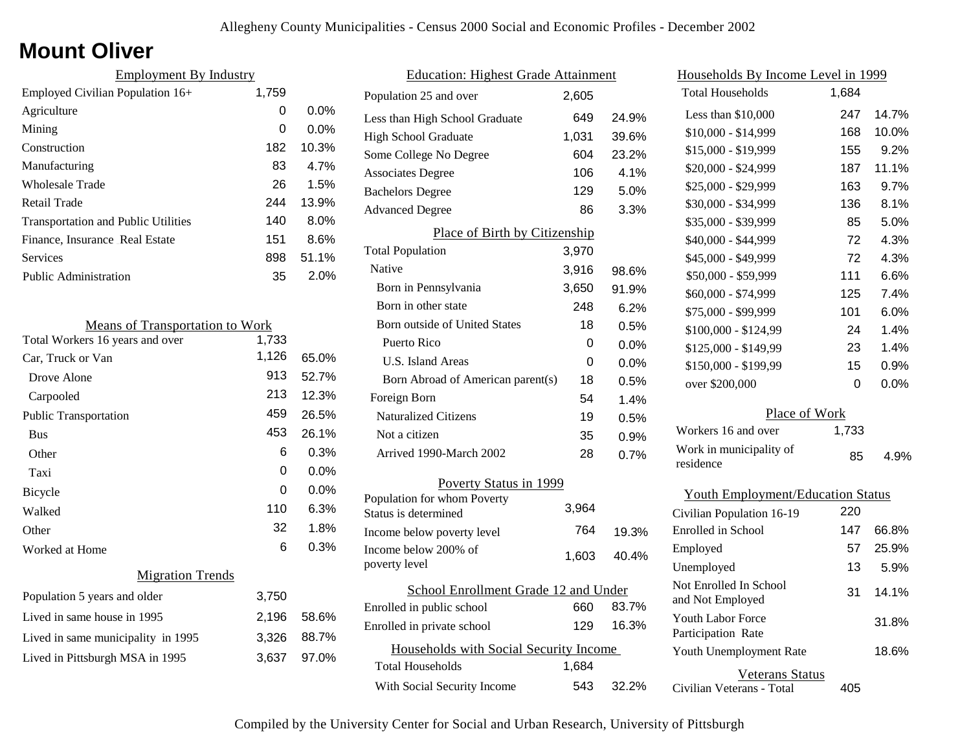## **Mount Oliver**

| <b>Employment By Industry</b>              |       |         |
|--------------------------------------------|-------|---------|
| Employed Civilian Population 16+           | 1,759 |         |
| Agriculture                                | 0     | $0.0\%$ |
| Mining                                     | 0     | $0.0\%$ |
| Construction                               | 182   | 10.3%   |
| Manufacturing                              | 83    | 4.7%    |
| <b>Wholesale Trade</b>                     | 26    | 1.5%    |
| Retail Trade                               | 244   | 13.9%   |
| <b>Transportation and Public Utilities</b> | 140   | $8.0\%$ |
| Finance, Insurance Real Estate             | 151   | 8.6%    |
| Services                                   | 898   | 51.1%   |
| <b>Public Administration</b>               | 35    | 2.0%    |

| <b>Means of Transportation to Work</b> |       |       |
|----------------------------------------|-------|-------|
| Total Workers 16 years and over        | 1,733 |       |
| Car, Truck or Van                      | 1,126 | 65.0% |
| Drove Alone                            | 913   | 52.7% |
| Carpooled                              | 213   | 12.3% |
| <b>Public Transportation</b>           | 459   | 26.5% |
| <b>Bus</b>                             | 453   | 26.1% |
| Other                                  | 6     | 0.3%  |
| Taxi                                   | 0     | 0.0%  |
| <b>Bicycle</b>                         | 0     | 0.0%  |
| Walked                                 | 110   | 6.3%  |
| Other                                  | 32    | 1.8%  |
| Worked at Home                         | 6     | 0.3%  |
| <b>Migration Trends</b>                |       |       |
| Population 5 years and older           | 3,750 |       |
| Lived in same house in 1995            | 2,196 | 58.6% |
| Lived in same municipality in 1995     | 3,326 | 88.7% |
| Lived in Pittsburgh MSA in 1995        | 3,637 | 97.0% |
|                                        |       |       |

| <b>Education: Highest Grade Attainment</b>          |       |       |
|-----------------------------------------------------|-------|-------|
| Population 25 and over                              | 2,605 |       |
| Less than High School Graduate                      | 649   | 24.9% |
| <b>High School Graduate</b>                         | 1,031 | 39.6% |
| Some College No Degree                              | 604   | 23.2% |
| <b>Associates Degree</b>                            | 106   | 4.1%  |
| <b>Bachelors Degree</b>                             | 129   | 5.0%  |
| <b>Advanced Degree</b>                              | 86    | 3.3%  |
| Place of Birth by Citizenship                       |       |       |
| <b>Total Population</b>                             | 3,970 |       |
| Native                                              | 3,916 | 98.6% |
| Born in Pennsylvania                                | 3,650 | 91.9% |
| Born in other state                                 | 248   | 6.2%  |
| <b>Born outside of United States</b>                | 18    | 0.5%  |
| Puerto Rico                                         | 0     | 0.0%  |
| U.S. Island Areas                                   | 0     | 0.0%  |
| Born Abroad of American parent(s)                   | 18    | 0.5%  |
| Foreign Born                                        | 54    | 1.4%  |
| <b>Naturalized Citizens</b>                         | 19    | 0.5%  |
| Not a citizen                                       | 35    | 0.9%  |
| Arrived 1990-March 2002                             | 28    | 0.7%  |
| Poverty Status in 1999                              |       |       |
| Population for whom Poverty<br>Status is determined | 3.964 |       |
| Income below poverty level                          | 764   | 19.3% |
| Income below 200% of<br>poverty level               | 1,603 | 40.4% |
| School Enrollment Grade 12 and Under                |       |       |
| Enrolled in public school                           | 660   | 83.7% |
| Enrolled in private school                          | 129   | 16.3% |
| Households with Social Security Income              |       |       |
| Total Households                                    | 1,684 |       |
| With Social Security Income                         | 543   | 32.2% |

| Households By Income Level in 1999             |       |       |  |
|------------------------------------------------|-------|-------|--|
| <b>Total Households</b>                        | 1,684 |       |  |
| Less than $$10,000$                            | 247   | 14.7% |  |
| \$10,000 - \$14,999                            | 168   | 10.0% |  |
| \$15,000 - \$19,999                            | 155   | 9.2%  |  |
| \$20,000 - \$24,999                            | 187   | 11.1% |  |
| \$25,000 - \$29,999                            | 163   | 9.7%  |  |
| \$30,000 - \$34,999                            | 136   | 8.1%  |  |
| \$35,000 - \$39,999                            | 85    | 5.0%  |  |
| \$40,000 - \$44,999                            | 72    | 4.3%  |  |
| \$45,000 - \$49,999                            | 72    | 4.3%  |  |
| \$50,000 - \$59,999                            | 111   | 6.6%  |  |
| \$60,000 - \$74,999                            | 125   | 7.4%  |  |
| \$75,000 - \$99,999                            | 101   | 6.0%  |  |
| \$100,000 - \$124,99                           | 24    | 1.4%  |  |
| \$125,000 - \$149,99                           | 23    | 1.4%  |  |
| \$150,000 - \$199,99                           | 15    | 0.9%  |  |
| over \$200,000                                 | 0     | 0.0%  |  |
| Place of Work                                  |       |       |  |
| Workers 16 and over                            | 1,733 |       |  |
| Work in municipality of<br>residence           | 85    | 4.9%  |  |
| <b>Youth Employment/Education Status</b>       |       |       |  |
| Civilian Population 16-19                      | 220   |       |  |
| <b>Enrolled</b> in School                      | 147   | 66.8% |  |
| Employed                                       | 57    | 25.9% |  |
| Unemployed                                     | 13    | 5.9%  |  |
| Not Enrolled In School<br>and Not Employed     | 31    | 14.1% |  |
| <b>Youth Labor Force</b><br>Participation Rate |       | 31.8% |  |

Civilian Veterans - Total

Youth Unemployment Rate

Veterans Status

405

18.6%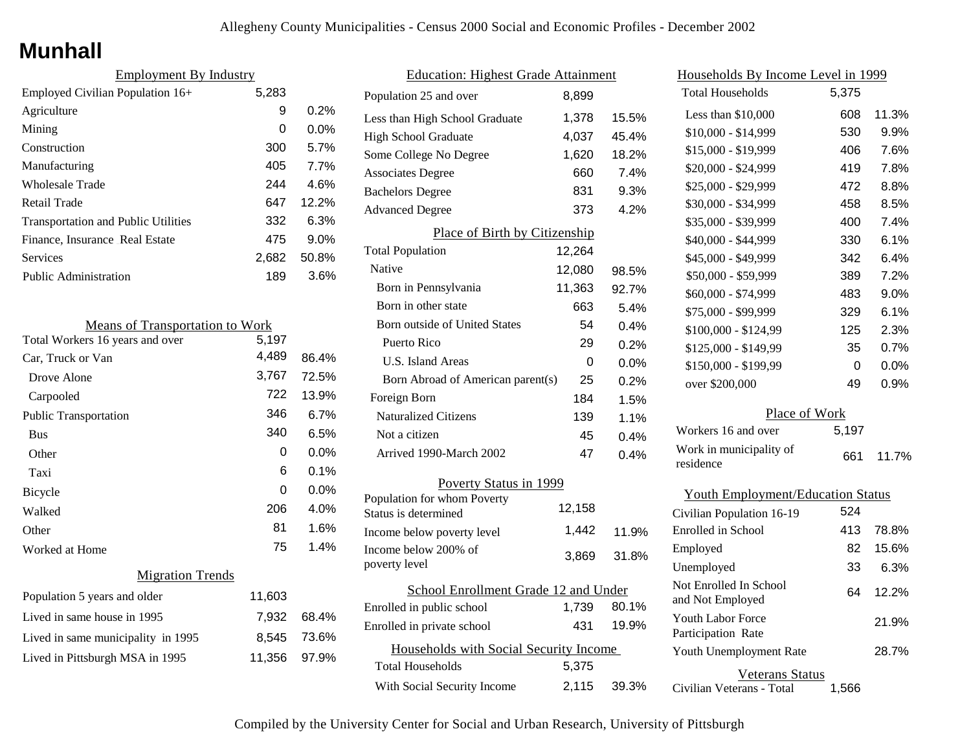## **Munhall**

| <b>Employment By Industry</b>              |       |          |
|--------------------------------------------|-------|----------|
| Employed Civilian Population 16+           | 5,283 |          |
| Agriculture                                | 9     | 0.2%     |
| Mining                                     | 0     | $0.0\%$  |
| Construction                               | 300   | 5.7%     |
| Manufacturing                              | 405   | 7.7%     |
| Wholesale Trade                            | 244   | 4.6%     |
| Retail Trade                               | 647   | $12.2\%$ |
| <b>Transportation and Public Utilities</b> | 332   | 6.3%     |
| Finance, Insurance Real Estate             | 475   | 9.0%     |
| Services                                   | 2,682 | 50.8%    |
| <b>Public Administration</b>               | 189   | 3.6%     |

| <b>Means of Transportation to Work</b> |        |         |
|----------------------------------------|--------|---------|
| Total Workers 16 years and over        | 5,197  |         |
| Car, Truck or Van                      | 4,489  | 86.4%   |
| Drove Alone                            | 3,767  | 72.5%   |
| Carpooled                              | 722    | 13.9%   |
| <b>Public Transportation</b>           | 346    | 6.7%    |
| <b>Bus</b>                             | 340    | 6.5%    |
| Other                                  | 0      | $0.0\%$ |
| Taxi                                   | 6      | 0.1%    |
| <b>Bicycle</b>                         | 0      | $0.0\%$ |
| Walked                                 | 206    | 4.0%    |
| Other                                  | 81     | 1.6%    |
| Worked at Home                         | 75     | 1.4%    |
| <b>Migration Trends</b>                |        |         |
| Population 5 years and older           | 11,603 |         |
| Lived in same house in 1995            | 7,932  | 68.4%   |
| Lived in same municipality in 1995     | 8,545  | 73.6%   |
| Lived in Pittsburgh MSA in 1995        | 11,356 | 97.9%   |

| <b>Education: Highest Grade Attainment</b> |                                                     |        |       |
|--------------------------------------------|-----------------------------------------------------|--------|-------|
|                                            | Population 25 and over                              | 8,899  |       |
|                                            | Less than High School Graduate                      | 1,378  | 15.5% |
|                                            | <b>High School Graduate</b>                         | 4,037  | 45.4% |
|                                            | Some College No Degree                              | 1,620  | 18.2% |
|                                            | <b>Associates Degree</b>                            | 660    | 7.4%  |
|                                            | <b>Bachelors Degree</b>                             | 831    | 9.3%  |
|                                            | <b>Advanced Degree</b>                              | 373    | 4.2%  |
|                                            | Place of Birth by Citizenship                       |        |       |
|                                            | <b>Total Population</b>                             | 12,264 |       |
|                                            | Native                                              | 12,080 | 98.5% |
|                                            | Born in Pennsylvania                                | 11,363 | 92.7% |
|                                            | Born in other state                                 | 663    | 5.4%  |
|                                            | <b>Born outside of United States</b>                | 54     | 0.4%  |
|                                            | Puerto Rico                                         | 29     | 0.2%  |
|                                            | U.S. Island Areas                                   | 0      | 0.0%  |
|                                            | Born Abroad of American parent(s)                   | 25     | 0.2%  |
|                                            | Foreign Born                                        | 184    | 1.5%  |
|                                            | <b>Naturalized Citizens</b>                         | 139    | 1.1%  |
|                                            | Not a citizen                                       | 45     | 0.4%  |
|                                            | Arrived 1990-March 2002                             | 47     | 0.4%  |
| Poverty Status in 1999                     |                                                     |        |       |
|                                            | Population for whom Poverty<br>Status is determined | 12,158 |       |
|                                            | Income below poverty level                          | 1,442  | 11.9% |
|                                            | Income below 200% of<br>poverty level               | 3,869  | 31.8% |
| School Enrollment Grade 12 and Under       |                                                     |        |       |
|                                            | Enrolled in public school                           | 1,739  | 80.1% |
|                                            | Enrolled in private school                          | 431    | 19.9% |
|                                            | Households with Social Security Income              |        |       |
|                                            | <b>Total Households</b>                             | 5,375  |       |
|                                            | With Social Security Income                         | 2,115  | 39.3% |
|                                            |                                                     |        |       |

| <u>Households By Income Level in 1999</u> |       |         |
|-------------------------------------------|-------|---------|
| <b>Total Households</b>                   | 5,375 |         |
| Less than $$10,000$                       | 608   | 11.3%   |
| $$10,000 - $14,999$                       | 530   | 9.9%    |
| \$15,000 - \$19,999                       | 406   | 7.6%    |
| \$20,000 - \$24,999                       | 419   | 7.8%    |
| \$25,000 - \$29,999                       | 472   | 8.8%    |
| \$30,000 - \$34,999                       | 458   | 8.5%    |
| \$35,000 - \$39,999                       | 400   | 7.4%    |
| \$40,000 - \$44,999                       | 330   | 6.1%    |
| \$45,000 - \$49,999                       | 342   | 6.4%    |
| \$50,000 - \$59,999                       | 389   | 7.2%    |
| \$60,000 - \$74,999                       | 483   | $9.0\%$ |
| \$75,000 - \$99,999                       | 329   | 6.1%    |
| \$100,000 - \$124,99                      | 125   | 2.3%    |
| \$125,000 - \$149,99                      | 35    | 0.7%    |
| \$150,000 - \$199,99                      | 0     | $0.0\%$ |
| over \$200,000                            | 49    | 0.9%    |
| Place of Work                             |       |         |
| Workers 16 and over                       | 5,197 |         |
| Work in municipality of<br>residence      | 661   | 11.7%   |
| <b>Youth Employment/Education Status</b>  |       |         |
| Civilian Population 16-19                 | 524   |         |
| <b>Enrolled</b> in School                 | 413   | 78.8%   |
| Employed                                  | 82    | 15.6%   |

33

6.3%

28.7%

21.9%

Civilian Veterans - Total Veterans Status 1,566

and Not Employed 64 12.2%

Youth Unemployment Rate

Youth Labor Force Participation Rate

Not Enrolled In School

Unemployed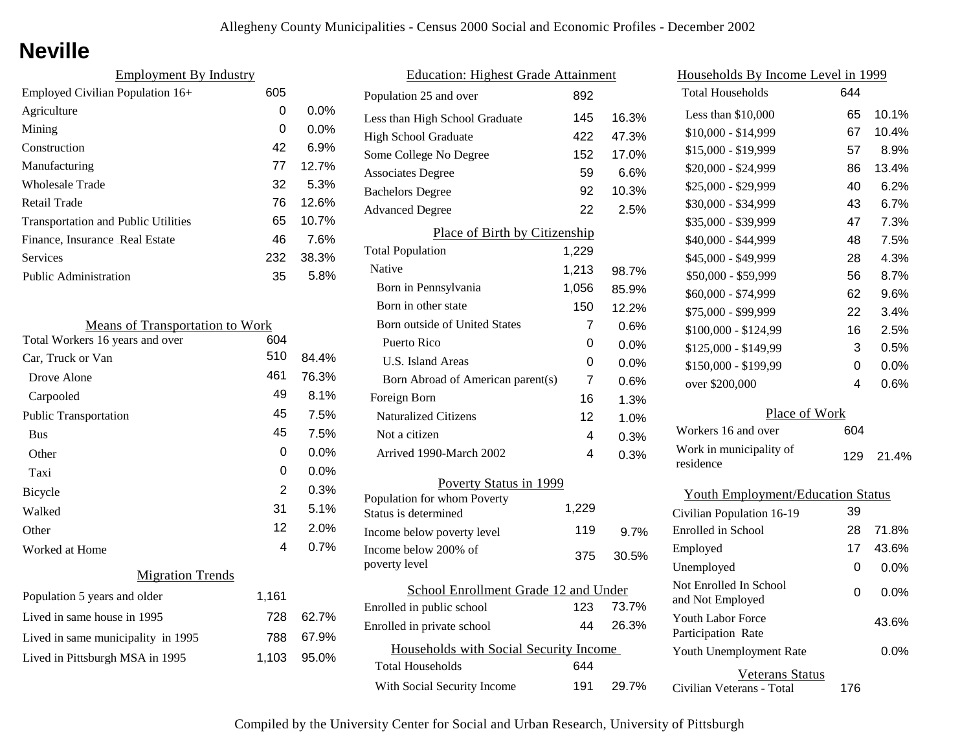# **Neville**

| <b>Employment By Industry</b>              |     |         |
|--------------------------------------------|-----|---------|
| Employed Civilian Population 16+           | 605 |         |
| Agriculture                                | 0   | $0.0\%$ |
| Mining                                     | 0   | $0.0\%$ |
| Construction                               | 42  | 6.9%    |
| Manufacturing                              | 77  | 12.7%   |
| Wholesale Trade                            | 32  | 5.3%    |
| Retail Trade                               | 76  | 12.6%   |
| <b>Transportation and Public Utilities</b> | 65  | 10.7%   |
| Finance, Insurance Real Estate             | 46  | 7.6%    |
| Services                                   | 232 | 38.3%   |
| <b>Public Administration</b>               | 35  | 5.8%    |

| <b>Means of Transportation to Work</b> |       |         |
|----------------------------------------|-------|---------|
| Total Workers 16 years and over        | 604   |         |
| Car, Truck or Van                      | 510   | 84.4%   |
| Drove Alone                            | 461   | 76.3%   |
| Carpooled                              | 49    | 8.1%    |
| <b>Public Transportation</b>           | 45    | 7.5%    |
| <b>Bus</b>                             | 45    | 7.5%    |
| Other                                  | 0     | $0.0\%$ |
| Taxi                                   | 0     | $0.0\%$ |
| Bicycle                                | 2     | 0.3%    |
| Walked                                 | 31    | 5.1%    |
| Other                                  | 12    | 2.0%    |
| Worked at Home                         | 4     | 0.7%    |
| <b>Migration Trends</b>                |       |         |
| Population 5 years and older           | 1,161 |         |
| Lived in same house in 1995            | 728   | 62.7%   |
| Lived in same municipality in 1995     | 788   | 67.9%   |
| Lived in Pittsburgh MSA in 1995        | 1,103 | 95.0%   |
|                                        |       |         |

| <b>Education: Highest Grade Attainment</b>         |       |       |
|----------------------------------------------------|-------|-------|
| Population 25 and over                             | 892   |       |
| Less than High School Graduate                     | 145   | 16.3% |
| <b>High School Graduate</b>                        | 422   | 47.3% |
| Some College No Degree                             | 152   | 17.0% |
| <b>Associates Degree</b>                           | 59    | 6.6%  |
| <b>Bachelors Degree</b>                            | 92    | 10.3% |
| <b>Advanced Degree</b>                             | 22    | 2.5%  |
| Place of Birth by Citizenship                      |       |       |
| <b>Total Population</b>                            | 1,229 |       |
| Native                                             | 1,213 | 98.7% |
| Born in Pennsylvania                               | 1,056 | 85.9% |
| Born in other state                                | 150   | 12.2% |
| Born outside of United States                      | 7     | 0.6%  |
| Puerto Rico                                        | 0     | 0.0%  |
| U.S. Island Areas                                  | 0     | 0.0%  |
| Born Abroad of American parent(s)                  | 7     | 0.6%  |
| Foreign Born                                       | 16    | 1.3%  |
| <b>Naturalized Citizens</b>                        | 12    | 1.0%  |
| Not a citizen                                      | 4     | 0.3%  |
| Arrived 1990-March 2002                            | 4     | 0.3%  |
| Poverty Status in 1999                             |       |       |
| Population for whom Poverty                        | 1,229 |       |
| Status is determined<br>Income below poverty level | 119   | 9.7%  |
| Income below 200% of                               |       |       |
| poverty level                                      | 375   | 30.5% |
| School Enrollment Grade 12 and Under               |       |       |
| Enrolled in public school                          | 123   | 73.7% |
| Enrolled in private school                         | 44    | 26.3% |
| Households with Social Security Income             |       |       |
| <b>Total Households</b>                            | 644   |       |
| With Social Security Income                        | 191   | 29.7% |
|                                                    |       |       |

| <u>Households By Income Level in 1999</u>      |     |       |
|------------------------------------------------|-----|-------|
| <b>Total Households</b>                        | 644 |       |
| Less than \$10,000                             | 65  | 10.1% |
| $$10,000 - $14,999$                            | 67  | 10.4% |
| \$15,000 - \$19,999                            | 57  | 8.9%  |
| \$20,000 - \$24,999                            | 86  | 13.4% |
| \$25,000 - \$29,999                            | 40  | 6.2%  |
| \$30,000 - \$34,999                            | 43  | 6.7%  |
| \$35,000 - \$39,999                            | 47  | 7.3%  |
| \$40,000 - \$44,999                            | 48  | 7.5%  |
| \$45,000 - \$49,999                            | 28  | 4.3%  |
| \$50,000 - \$59,999                            | 56  | 8.7%  |
| \$60,000 - \$74,999                            | 62  | 9.6%  |
| \$75,000 - \$99,999                            | 22  | 3.4%  |
| \$100,000 - \$124,99                           | 16  | 2.5%  |
| \$125,000 - \$149,99                           | 3   | 0.5%  |
| \$150,000 - \$199,99                           | 0   | 0.0%  |
| over \$200,000                                 | 4   | 0.6%  |
| Place of Work                                  |     |       |
| Workers 16 and over                            | 604 |       |
| Work in municipality of<br>residence           | 129 | 21.4% |
| <b>Youth Employment/Education Status</b>       |     |       |
| Civilian Population 16-19                      | 39  |       |
| Enrolled in School                             | 28  | 71.8% |
| Employed                                       | 17  | 43.6% |
| Unemployed                                     | 0   | 0.0%  |
| Not Enrolled In School<br>and Not Employed     | 0   | 0.0%  |
| <b>Youth Labor Force</b><br>Participation Rate |     | 43.6% |

Civilian Veterans - Total

Youth Unemployment Rate

Veterans Status

176

0.0%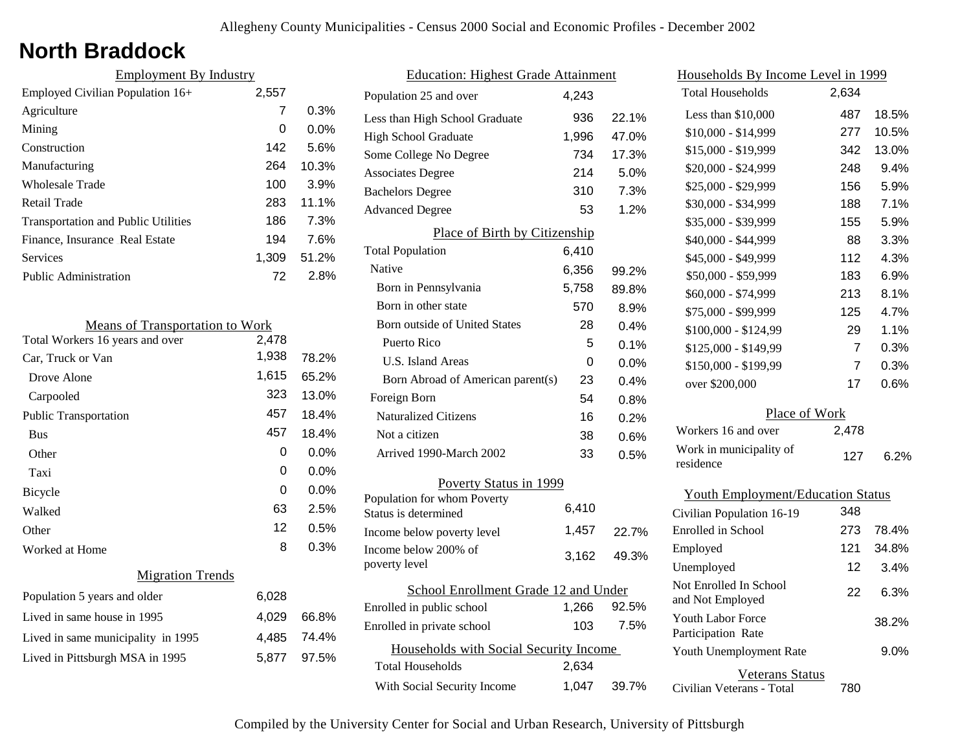# **North Braddock**

| 2,557 |                               |
|-------|-------------------------------|
| 7     | 0.3%                          |
| 0     | $0.0\%$                       |
| 142   | 5.6%                          |
| 264   | 10.3%                         |
| 100   | 3.9%                          |
| 283   | 11.1%                         |
| 186   | 7.3%                          |
| 194   | 7.6%                          |
| 1,309 | 51.2%                         |
| 72    | 2.8%                          |
|       | <b>Employment By Industry</b> |

| <b>Means of Transportation to Work</b> |       |         |
|----------------------------------------|-------|---------|
| Total Workers 16 years and over        | 2,478 |         |
| Car, Truck or Van                      | 1,938 | 78.2%   |
| Drove Alone                            | 1,615 | 65.2%   |
| Carpooled                              | 323   | 13.0%   |
| <b>Public Transportation</b>           | 457   | 18.4%   |
| <b>Bus</b>                             | 457   | 18.4%   |
| Other                                  | 0     | $0.0\%$ |
| Taxi                                   | 0     | $0.0\%$ |
| Bicycle                                | 0     | $0.0\%$ |
| Walked                                 | 63    | 2.5%    |
| Other                                  | 12    | 0.5%    |
| Worked at Home                         | 8     | 0.3%    |
| <b>Migration Trends</b>                |       |         |
| Population 5 years and older           | 6,028 |         |
| Lived in same house in 1995            | 4,029 | 66.8%   |
| Lived in same municipality in 1995     | 4,485 | 74.4%   |
| Lived in Pittsburgh MSA in 1995        | 5,877 | 97.5%   |

| <b>Education: Highest Grade Attainment</b>          |       |       |
|-----------------------------------------------------|-------|-------|
| Population 25 and over                              | 4,243 |       |
| Less than High School Graduate                      | 936   | 22.1% |
| <b>High School Graduate</b>                         | 1,996 | 47.0% |
| Some College No Degree                              | 734   | 17.3% |
| <b>Associates Degree</b>                            | 214   | 5.0%  |
| <b>Bachelors Degree</b>                             | 310   | 7.3%  |
| <b>Advanced Degree</b>                              | 53    | 1.2%  |
| Place of Birth by Citizenship                       |       |       |
| <b>Total Population</b>                             | 6,410 |       |
| Native                                              | 6,356 | 99.2% |
| Born in Pennsylvania                                | 5,758 | 89.8% |
| Born in other state                                 | 570   | 8.9%  |
| Born outside of United States                       | 28    | 0.4%  |
| Puerto Rico                                         | 5     | 0.1%  |
| <b>U.S. Island Areas</b>                            | 0     | 0.0%  |
| Born Abroad of American parent(s)                   | 23    | 0.4%  |
| Foreign Born                                        | 54    | 0.8%  |
| <b>Naturalized Citizens</b>                         | 16    | 0.2%  |
| Not a citizen                                       | 38    | 0.6%  |
| Arrived 1990-March 2002                             | 33    | 0.5%  |
| Poverty Status in 1999                              |       |       |
| Population for whom Poverty<br>Status is determined | 6,410 |       |
| Income below poverty level                          | 1,457 | 22.7% |
| Income below 200% of<br>poverty level               | 3,162 | 49.3% |
| School Enrollment Grade 12 and Under                |       |       |
| Enrolled in public school                           | 1,266 | 92.5% |
| Enrolled in private school                          | 103   | 7.5%  |
| Households with Social Security Income              |       |       |
| <b>Total Households</b>                             | 2,634 |       |
| With Social Security Income                         | 1,047 | 39.7% |

| Households By Income Level in 1999         |                |       |
|--------------------------------------------|----------------|-------|
| <b>Total Households</b>                    | 2,634          |       |
| Less than $$10,000$                        | 487            | 18.5% |
| \$10,000 - \$14,999                        | 277            | 10.5% |
| \$15,000 - \$19,999                        | 342            | 13.0% |
| \$20,000 - \$24,999                        | 248            | 9.4%  |
| \$25,000 - \$29,999                        | 156            | 5.9%  |
| \$30,000 - \$34,999                        | 188            | 7.1%  |
| \$35,000 - \$39,999                        | 155            | 5.9%  |
| \$40,000 - \$44,999                        | 88             | 3.3%  |
| \$45,000 - \$49,999                        | 112            | 4.3%  |
| \$50,000 - \$59,999                        | 183            | 6.9%  |
| \$60,000 - \$74,999                        | 213            | 8.1%  |
| \$75,000 - \$99,999                        | 125            | 4.7%  |
| \$100,000 - \$124,99                       | 29             | 1.1%  |
| \$125,000 - \$149,99                       | $\overline{7}$ | 0.3%  |
| \$150,000 - \$199,99                       | 7              | 0.3%  |
| over \$200,000                             | 17             | 0.6%  |
| Place of Work                              |                |       |
| Workers 16 and over                        | 2,478          |       |
| Work in municipality of<br>residence       | 127            | 6.2%  |
| <b>Youth Employment/Education Status</b>   |                |       |
| Civilian Population 16-19                  | 348            |       |
| Enrolled in School                         | 273            | 78.4% |
| Employed                                   | 121            | 34.8% |
| Unemployed                                 | 12             | 3.4%  |
| Not Enrolled In School<br>and Not Employed | 22             | 6.3%  |
| Youth Labor Force<br>Participation Rate    |                | 38.2% |

Veterans Status

780

9.0%

Civilian Veterans - Total

Youth Unemployment Rate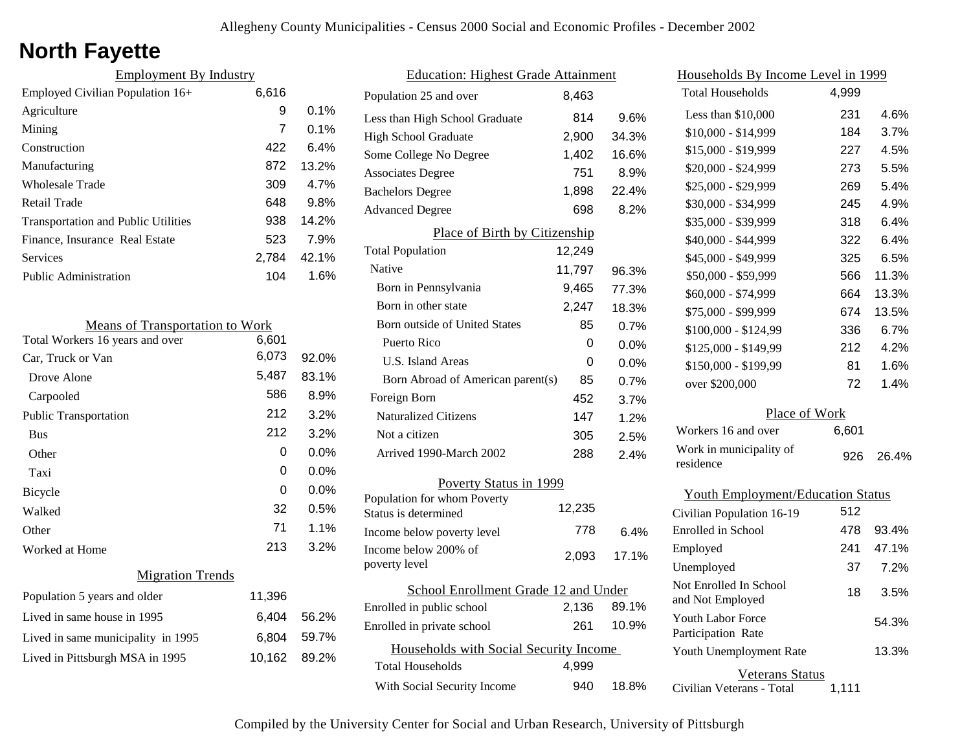# **North Fayette**

| <b>Employment By Industry</b>              |       |         |
|--------------------------------------------|-------|---------|
| Employed Civilian Population 16+           | 6,616 |         |
| Agriculture                                | 9     | $0.1\%$ |
| Mining                                     | 7     | $0.1\%$ |
| Construction                               | 422   | 6.4%    |
| Manufacturing                              | 872   | 13.2%   |
| Wholesale Trade                            | 309   | 4.7%    |
| Retail Trade                               | 648   | 9.8%    |
| <b>Transportation and Public Utilities</b> | 938   | 14.2%   |
| Finance, Insurance Real Estate             | 523   | 7.9%    |
| Services                                   | 2.784 | 42.1%   |
| Public Administration                      | 104   | 1.6%    |

| <b>Means of Transportation to Work</b> |        |         |
|----------------------------------------|--------|---------|
| Total Workers 16 years and over        | 6,601  |         |
| Car, Truck or Van                      | 6,073  | 92.0%   |
| Drove Alone                            | 5,487  | 83.1%   |
| Carpooled                              | 586    | 8.9%    |
| <b>Public Transportation</b>           | 212    | 3.2%    |
| <b>Bus</b>                             | 212    | 3.2%    |
| Other                                  | 0      | $0.0\%$ |
| Taxi                                   | 0      | $0.0\%$ |
| <b>Bicycle</b>                         | 0      | $0.0\%$ |
| Walked                                 | 32     | 0.5%    |
| Other                                  | 71     | 1.1%    |
| Worked at Home                         | 213    | 3.2%    |
| <b>Migration Trends</b>                |        |         |
| Population 5 years and older           | 11,396 |         |
| Lived in same house in 1995            | 6,404  | 56.2%   |
| Lived in same municipality in 1995     | 6,804  | 59.7%   |
| Lived in Pittsburgh MSA in 1995        | 10,162 | 89.2%   |

| <b>Education: Highest Grade Attainment</b>          |        |       |
|-----------------------------------------------------|--------|-------|
| Population 25 and over                              | 8.463  |       |
| Less than High School Graduate                      | 814    | 9.6%  |
| <b>High School Graduate</b>                         | 2,900  | 34.3% |
| Some College No Degree                              | 1,402  | 16.6% |
| <b>Associates Degree</b>                            | 751    | 8.9%  |
| <b>Bachelors Degree</b>                             | 1,898  | 22.4% |
| <b>Advanced Degree</b>                              | 698    | 8.2%  |
| Place of Birth by Citizenship                       |        |       |
| <b>Total Population</b>                             | 12,249 |       |
| Native                                              | 11,797 | 96.3% |
| Born in Pennsylvania                                | 9,465  | 77.3% |
| Born in other state                                 | 2,247  | 18.3% |
| <b>Born outside of United States</b>                | 85     | 0.7%  |
| Puerto Rico                                         | 0      | 0.0%  |
| U.S. Island Areas                                   | 0      | 0.0%  |
| Born Abroad of American parent(s)                   | 85     | 0.7%  |
| Foreign Born                                        | 452    | 3.7%  |
| <b>Naturalized Citizens</b>                         | 147    | 1.2%  |
| Not a citizen                                       | 305    | 2.5%  |
| Arrived 1990-March 2002                             | 288    | 2.4%  |
| Poverty Status in 1999                              |        |       |
| Population for whom Poverty<br>Status is determined | 12,235 |       |
| Income below poverty level                          | 778    | 6.4%  |
| Income below 200% of                                | 2,093  | 17.1% |
| poverty level                                       |        |       |
| School Enrollment Grade 12 and Under                |        |       |
| Enrolled in public school                           | 2,136  | 89.1% |
| Enrolled in private school                          | 261    | 10.9% |
| Households with Social Security Income              |        |       |
| <b>Total Households</b>                             | 4,999  |       |
| With Social Security Income                         | 940    | 18.8% |

| Households By Income Level in 1999         |       |       |  |
|--------------------------------------------|-------|-------|--|
| <b>Total Households</b>                    | 4,999 |       |  |
| Less than $$10,000$                        | 231   | 4.6%  |  |
| \$10,000 - \$14,999                        | 184   | 3.7%  |  |
| \$15,000 - \$19,999                        | 227   | 4.5%  |  |
| \$20,000 - \$24,999                        | 273   | 5.5%  |  |
| \$25,000 - \$29,999                        | 269   | 5.4%  |  |
| \$30,000 - \$34,999                        | 245   | 4.9%  |  |
| \$35,000 - \$39,999                        | 318   | 6.4%  |  |
| \$40,000 - \$44,999                        | 322   | 6.4%  |  |
| \$45,000 - \$49,999                        | 325   | 6.5%  |  |
| \$50,000 - \$59,999                        | 566   | 11.3% |  |
| \$60,000 - \$74,999                        | 664   | 13.3% |  |
| \$75,000 - \$99,999                        | 674   | 13.5% |  |
| \$100,000 - \$124,99                       | 336   | 6.7%  |  |
| $$125,000 - $149,99$                       | 212   | 4.2%  |  |
| \$150,000 - \$199,99                       | 81    | 1.6%  |  |
| over \$200,000                             | 72    | 1.4%  |  |
| Place of Work                              |       |       |  |
| Workers 16 and over                        | 6,601 |       |  |
| Work in municipality of<br>residence       | 926   | 26.4% |  |
| <b>Youth Employment/Education Status</b>   |       |       |  |
| Civilian Population 16-19                  | 512   |       |  |
| Enrolled in School                         | 478   | 93.4% |  |
| Employed                                   | 241   | 47.1% |  |
| Unemployed                                 | 37    | 7.2%  |  |
| Not Enrolled In School<br>and Not Employed | 18    | 3.5%  |  |
| Youth Labor Force<br>Participation Rate    |       | 54.3% |  |
| Youth Unemployment Rate                    |       | 13.3% |  |

Veterans Status

Civilian Veterans - Total 1,111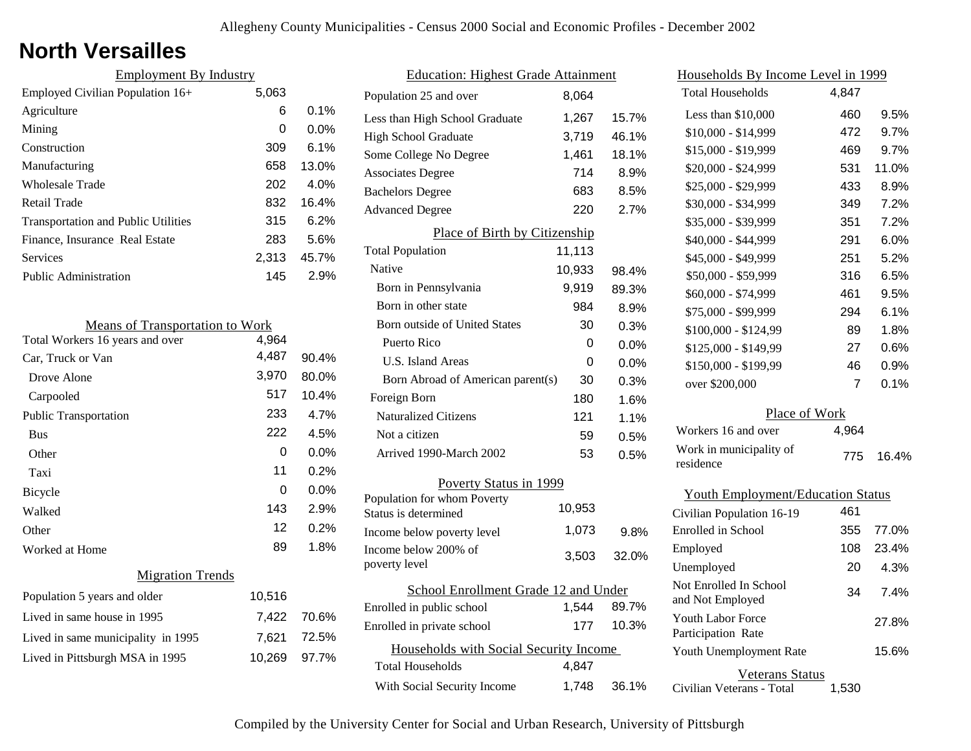### **North Versailles**

| <b>Employment By Industry</b>              |       |         |
|--------------------------------------------|-------|---------|
| Employed Civilian Population 16+           | 5,063 |         |
| Agriculture                                | 6     | $0.1\%$ |
| Mining                                     | 0     | $0.0\%$ |
| Construction                               | 309   | $6.1\%$ |
| Manufacturing                              | 658   | 13.0%   |
| <b>Wholesale Trade</b>                     | 202   | $4.0\%$ |
| Retail Trade                               | 832   | 16.4%   |
| <b>Transportation and Public Utilities</b> | 315   | 6.2%    |
| Finance, Insurance Real Estate             | 283   | 5.6%    |
| <b>Services</b>                            | 2.313 | 45.7%   |
| <b>Public Administration</b>               | 145   | 2.9%    |

| <b>Means of Transportation to Work</b> |        |         |
|----------------------------------------|--------|---------|
| Total Workers 16 years and over        | 4,964  |         |
| Car, Truck or Van                      | 4,487  | 90.4%   |
| Drove Alone                            | 3,970  | 80.0%   |
| Carpooled                              | 517    | 10.4%   |
| <b>Public Transportation</b>           | 233    | 4.7%    |
| <b>Bus</b>                             | 222    | 4.5%    |
| Other                                  | 0      | $0.0\%$ |
| Taxi                                   | 11     | 0.2%    |
| <b>Bicycle</b>                         | 0      | $0.0\%$ |
| Walked                                 | 143    | 2.9%    |
| Other                                  | 12     | 0.2%    |
| Worked at Home                         | 89     | 1.8%    |
| <b>Migration Trends</b>                |        |         |
| Population 5 years and older           | 10,516 |         |
| Lived in same house in 1995            | 7,422  | 70.6%   |
| Lived in same municipality in 1995     | 7,621  | 72.5%   |
| Lived in Pittsburgh MSA in 1995        | 10,269 | 97.7%   |

|                        | <b>Education: Highest Grade Attainment</b>          |        |       |
|------------------------|-----------------------------------------------------|--------|-------|
|                        | Population 25 and over                              | 8,064  |       |
|                        | Less than High School Graduate                      | 1,267  | 15.7% |
|                        | <b>High School Graduate</b>                         | 3,719  | 46.1% |
|                        | Some College No Degree                              | 1,461  | 18.1% |
|                        | <b>Associates Degree</b>                            | 714    | 8.9%  |
|                        | <b>Bachelors Degree</b>                             | 683    | 8.5%  |
|                        | <b>Advanced Degree</b>                              | 220    | 2.7%  |
|                        | Place of Birth by Citizenship                       |        |       |
|                        | <b>Total Population</b>                             | 11,113 |       |
|                        | Native                                              | 10,933 | 98.4% |
|                        | Born in Pennsylvania                                | 9,919  | 89.3% |
|                        | Born in other state                                 | 984    | 8.9%  |
|                        | Born outside of United States                       | 30     | 0.3%  |
|                        | Puerto Rico                                         | 0      | 0.0%  |
|                        | U.S. Island Areas                                   | 0      | 0.0%  |
|                        | Born Abroad of American parent(s)                   | 30     | 0.3%  |
|                        | Foreign Born                                        | 180    | 1.6%  |
|                        | <b>Naturalized Citizens</b>                         | 121    | 1.1%  |
|                        | Not a citizen                                       | 59     | 0.5%  |
|                        | Arrived 1990-March 2002                             | 53     | 0.5%  |
| Poverty Status in 1999 |                                                     |        |       |
|                        | Population for whom Poverty<br>Status is determined | 10,953 |       |
|                        | Income below poverty level                          | 1,073  | 9.8%  |
|                        | Income below 200% of<br>poverty level               | 3,503  | 32.0% |
|                        | School Enrollment Grade 12 and Under                |        |       |
|                        | Enrolled in public school                           | 1,544  | 89.7% |
|                        | Enrolled in private school                          | 177    | 10.3% |
|                        | Households with Social Security Income              |        |       |
|                        | <b>Total Households</b>                             | 4,847  |       |
|                        | With Social Security Income                         | 1,748  | 36.1% |
|                        |                                                     |        |       |

| <u>Households By Income Level in 1999</u> |       |       |  |
|-------------------------------------------|-------|-------|--|
| <b>Total Households</b>                   | 4,847 |       |  |
| Less than $$10,000$                       | 460   | 9.5%  |  |
| $$10,000 - $14,999$                       | 472   | 9.7%  |  |
| \$15,000 - \$19,999                       | 469   | 9.7%  |  |
| \$20,000 - \$24,999                       | 531   | 11.0% |  |
| \$25,000 - \$29,999                       | 433   | 8.9%  |  |
| \$30,000 - \$34,999                       | 349   | 7.2%  |  |
| \$35,000 - \$39,999                       | 351   | 7.2%  |  |
| \$40,000 - \$44,999                       | 291   | 6.0%  |  |
| \$45,000 - \$49,999                       | 251   | 5.2%  |  |
| \$50,000 - \$59,999                       | 316   | 6.5%  |  |
| \$60,000 - \$74,999                       | 461   | 9.5%  |  |
| \$75,000 - \$99,999                       | 294   | 6.1%  |  |
| \$100,000 - \$124,99                      | 89    | 1.8%  |  |
| \$125,000 - \$149,99                      | 27    | 0.6%  |  |
| \$150,000 - \$199,99                      | 46    | 0.9%  |  |
| over \$200,000                            | 7     | 0.1%  |  |
| Place of Work                             |       |       |  |
| Workers 16 and over                       | 4,964 |       |  |
| Work in municipality of<br>residence      | 775   | 16.4% |  |
|                                           |       |       |  |
| <b>Youth Employment/Education Status</b>  |       |       |  |
| Civilian Population 16-19                 | 461   |       |  |
| Enrolled in School                        | 355   | 77.0% |  |

| Enrolled in School                             |     | 355 77.0% |
|------------------------------------------------|-----|-----------|
| Employed                                       | 108 | 23.4%     |
| Unemployed                                     | 20  | 4.3%      |
| Not Enrolled In School<br>and Not Employed     | 34  | 7.4%      |
| <b>Youth Labor Force</b><br>Participation Rate |     | 27.8%     |
| Youth Unemployment Rate                        |     | 15.6%     |
| Veterans Status                                |     |           |

Civilian Veterans - Total 1,530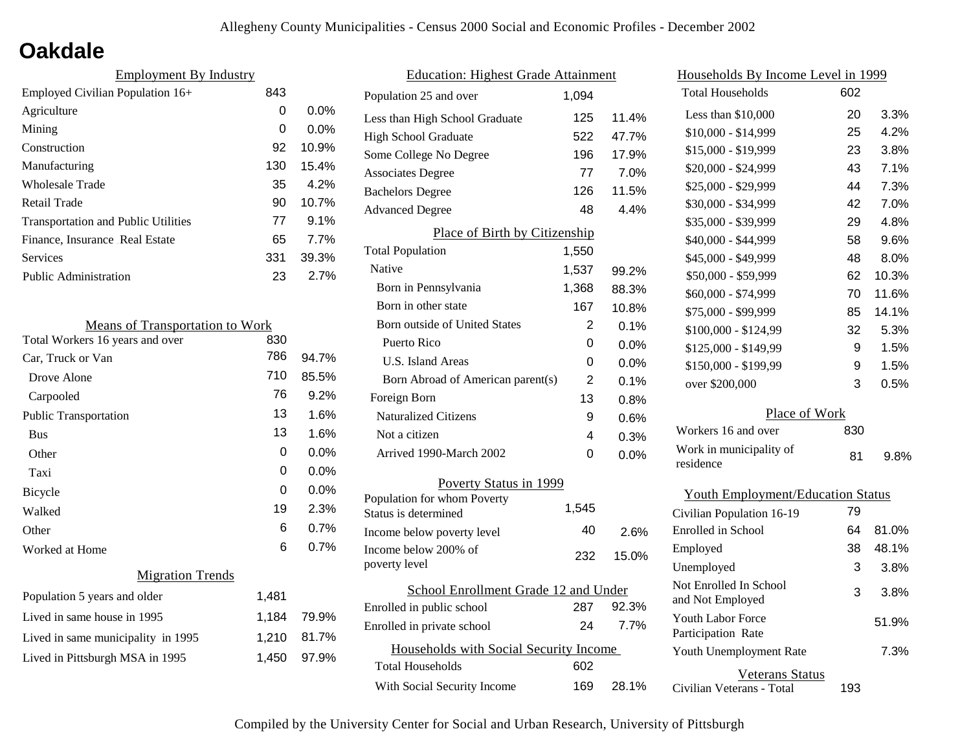### **Oakdale**

| <b>Employment By Industry</b>              |     |         |
|--------------------------------------------|-----|---------|
| Employed Civilian Population 16+           | 843 |         |
| Agriculture                                | 0   | $0.0\%$ |
| Mining                                     | 0   | $0.0\%$ |
| Construction                               | 92  | 10.9%   |
| Manufacturing                              | 130 | 15.4%   |
| <b>Wholesale Trade</b>                     | 35  | 4.2%    |
| Retail Trade                               | 90  | 10.7%   |
| <b>Transportation and Public Utilities</b> | 77  | 9.1%    |
| Finance, Insurance Real Estate             | 65  | 7.7%    |
| Services                                   | 331 | 39.3%   |
| Public Administration                      | 23  | 2.7%    |

| <b>Means of Transportation to Work</b> |       |       |
|----------------------------------------|-------|-------|
| Total Workers 16 years and over        | 830   |       |
| Car, Truck or Van                      | 786   | 94.7% |
| Drove Alone                            | 710   | 85.5% |
| Carpooled                              | 76    | 9.2%  |
| <b>Public Transportation</b>           | 13    | 1.6%  |
| <b>Bus</b>                             | 13    | 1.6%  |
| Other                                  | 0     | 0.0%  |
| Taxi                                   | 0     | 0.0%  |
| <b>Bicycle</b>                         | 0     | 0.0%  |
| Walked                                 | 19    | 2.3%  |
| Other                                  | 6     | 0.7%  |
| Worked at Home                         | 6     | 0.7%  |
| <b>Migration Trends</b>                |       |       |
| Population 5 years and older           | 1,481 |       |
| Lived in same house in 1995            | 1,184 | 79.9% |
| Lived in same municipality in 1995     | 1,210 | 81.7% |
| Lived in Pittsburgh MSA in 1995        | 1,450 | 97.9% |
|                                        |       |       |

| <b>Education: Highest Grade Attainment</b> |       |         |  |
|--------------------------------------------|-------|---------|--|
| Population 25 and over                     | 1.094 |         |  |
| Less than High School Graduate             | 125   | 11.4%   |  |
| <b>High School Graduate</b>                | 522   | 47.7%   |  |
| Some College No Degree                     | 196   | 17.9%   |  |
| <b>Associates Degree</b>                   | 77    | 7.0%    |  |
| <b>Bachelors Degree</b>                    | 126   | 11.5%   |  |
| <b>Advanced Degree</b>                     | 48    | 4.4%    |  |
| Place of Birth by Citizenship              |       |         |  |
| <b>Total Population</b>                    | 1,550 |         |  |
| Native                                     | 1,537 | 99.2%   |  |
| Born in Pennsylvania                       | 1,368 | 88.3%   |  |
| Born in other state                        | 167   | 10.8%   |  |
| <b>Born outside of United States</b>       | 2     | 0.1%    |  |
| Puerto Rico                                | 0     | 0.0%    |  |
| <b>U.S. Island Areas</b>                   | 0     | 0.0%    |  |
| Born Abroad of American parent(s)          | 2     | 0.1%    |  |
| Foreign Born                               | 13    | 0.8%    |  |
| <b>Naturalized Citizens</b>                | 9     | 0.6%    |  |
| Not a citizen                              | 4     | 0.3%    |  |
| Arrived 1990-March 2002                    | 0     | $0.0\%$ |  |
| Poverty Status in 1999                     |       |         |  |
| Population for whom Poverty                | 1,545 |         |  |
| Status is determined                       |       |         |  |
| Income below poverty level                 | 40    | 2.6%    |  |
| Income below 200% of<br>poverty level      | 232   | 15.0%   |  |
| School Enrollment Grade 12 and Under       |       |         |  |
| Enrolled in public school                  | 287   | 92.3%   |  |
| Enrolled in private school                 | 24    | 7.7%    |  |
| Households with Social Security Income     |       |         |  |
| <b>Total Households</b>                    | 602   |         |  |
| With Social Security Income                | 169   | 28.1%   |  |

| <u>Households By Income Level in 1999</u>      |     |         |
|------------------------------------------------|-----|---------|
| <b>Total Households</b>                        | 602 |         |
| Less than \$10,000                             | 20  | 3.3%    |
| $$10,000 - $14,999$                            | 25  | 4.2%    |
| \$15,000 - \$19,999                            | 23  | 3.8%    |
| \$20,000 - \$24,999                            | 43  | 7.1%    |
| \$25,000 - \$29,999                            | 44  | 7.3%    |
| \$30,000 - \$34,999                            | 42  | 7.0%    |
| \$35,000 - \$39,999                            | 29  | 4.8%    |
| \$40,000 - \$44,999                            | 58  | 9.6%    |
| \$45,000 - \$49,999                            | 48  | $8.0\%$ |
| \$50,000 - \$59,999                            | 62  | 10.3%   |
| \$60,000 - \$74,999                            | 70  | 11.6%   |
| \$75,000 - \$99,999                            | 85  | 14.1%   |
| \$100,000 - \$124,99                           | 32  | 5.3%    |
| \$125,000 - \$149,99                           | 9   | 1.5%    |
| \$150,000 - \$199,99                           | 9   | 1.5%    |
| over \$200,000                                 | 3   | 0.5%    |
| Place of Work                                  |     |         |
| Workers 16 and over                            | 830 |         |
| Work in municipality of<br>residence           | 81  | 9.8%    |
| <b>Youth Employment/Education Status</b>       |     |         |
| Civilian Population 16-19                      | 79  |         |
| Enrolled in School                             | 64  | 81.0%   |
| Employed                                       | 38  | 48.1%   |
| Unemployed                                     | 3   | 3.8%    |
| Not Enrolled In School<br>and Not Employed     | 3   | 3.8%    |
| <b>Youth Labor Force</b><br>Participation Rate |     | 51.9%   |
| Youth Unemployment Rate                        |     | 7.3%    |
| Veterans Status                                |     |         |

Civilian Veterans - Total

193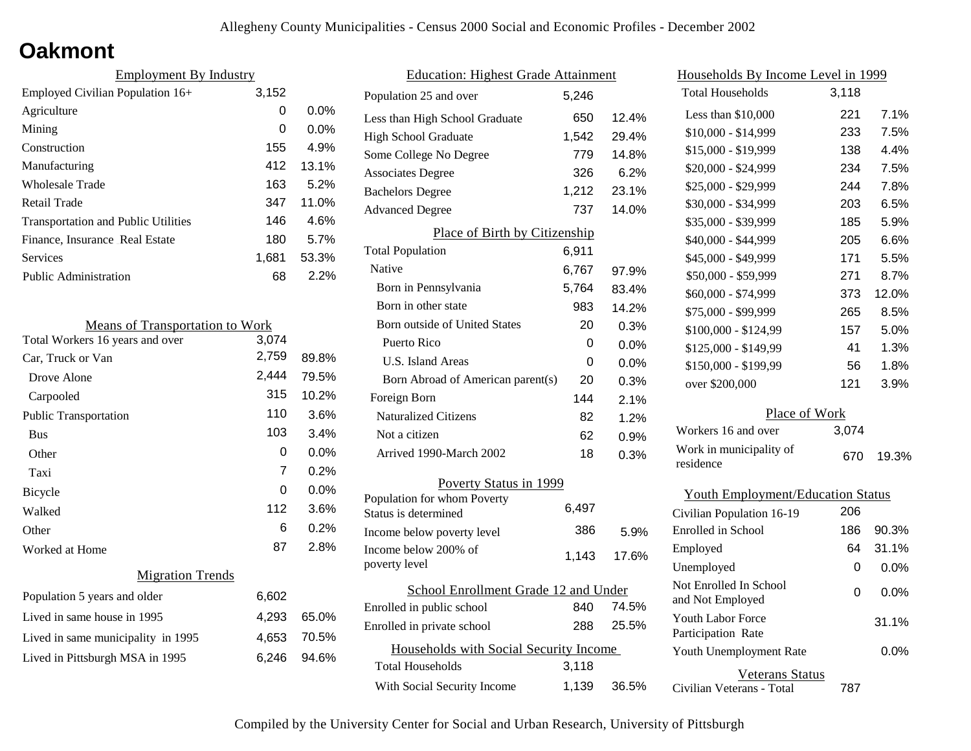### **Oakmont**

| <b>Employment By Industry</b>              |       |         |
|--------------------------------------------|-------|---------|
| Employed Civilian Population 16+           | 3,152 |         |
| Agriculture                                | 0     | $0.0\%$ |
| Mining                                     | 0     | $0.0\%$ |
| Construction                               | 155   | 4.9%    |
| Manufacturing                              | 412   | 13.1%   |
| Wholesale Trade                            | 163   | 5.2%    |
| Retail Trade                               | 347   | 11.0%   |
| <b>Transportation and Public Utilities</b> | 146   | 4.6%    |
| Finance, Insurance Real Estate             | 180   | 5.7%    |
| Services                                   | 1,681 | 53.3%   |
| <b>Public Administration</b>               | 68    | 2.2%    |

| <b>Means of Transportation to Work</b> |       |       |
|----------------------------------------|-------|-------|
| Total Workers 16 years and over        | 3,074 |       |
| Car, Truck or Van                      | 2,759 | 89.8% |
| Drove Alone                            | 2,444 | 79.5% |
| Carpooled                              | 315   | 10.2% |
| <b>Public Transportation</b>           | 110   | 3.6%  |
| <b>Bus</b>                             | 103   | 3.4%  |
| Other                                  | 0     | 0.0%  |
| Taxi                                   | 7     | 0.2%  |
| Bicycle                                | 0     | 0.0%  |
| Walked                                 | 112   | 3.6%  |
| Other                                  | 6     | 0.2%  |
| Worked at Home                         | 87    | 2.8%  |
| <b>Migration Trends</b>                |       |       |
| Population 5 years and older           | 6,602 |       |
| Lived in same house in 1995            | 4,293 | 65.0% |
| Lived in same municipality in 1995     | 4,653 | 70.5% |
| Lived in Pittsburgh MSA in 1995        | 6,246 | 94.6% |
|                                        |       |       |

| <b>Education: Highest Grade Attainment</b>          |       |       |  |
|-----------------------------------------------------|-------|-------|--|
| Population 25 and over                              | 5.246 |       |  |
| Less than High School Graduate                      | 650   | 12.4% |  |
| <b>High School Graduate</b>                         | 1,542 | 29.4% |  |
| Some College No Degree                              | 779   | 14.8% |  |
| <b>Associates Degree</b>                            | 326   | 6.2%  |  |
| <b>Bachelors Degree</b>                             | 1,212 | 23.1% |  |
| <b>Advanced Degree</b>                              | 737   | 14.0% |  |
| Place of Birth by Citizenship                       |       |       |  |
| <b>Total Population</b>                             | 6,911 |       |  |
| Native                                              | 6,767 | 97.9% |  |
| Born in Pennsylvania                                | 5,764 | 83.4% |  |
| Born in other state                                 | 983   | 14.2% |  |
| <b>Born outside of United States</b>                | 20    | 0.3%  |  |
| Puerto Rico                                         | 0     | 0.0%  |  |
| U.S. Island Areas                                   | 0     | 0.0%  |  |
| Born Abroad of American parent(s)                   | 20    | 0.3%  |  |
| Foreign Born                                        | 144   | 2.1%  |  |
| <b>Naturalized Citizens</b>                         | 82    | 1.2%  |  |
| Not a citizen                                       | 62    | 0.9%  |  |
| Arrived 1990-March 2002                             | 18    | 0.3%  |  |
| Poverty Status in 1999                              |       |       |  |
| Population for whom Poverty<br>Status is determined | 6,497 |       |  |
| Income below poverty level                          | 386   | 5.9%  |  |
| Income below 200% of<br>poverty level               | 1,143 | 17.6% |  |
| School Enrollment Grade 12 and Under                |       |       |  |
| Enrolled in public school                           | 840   | 74.5% |  |
| Enrolled in private school                          | 288   | 25.5% |  |
| Households with Social Security Income              |       |       |  |
| <b>Total Households</b>                             | 3,118 |       |  |
| With Social Security Income                         | 1,139 | 36.5% |  |

| Households By Income Level in 1999             |       |       |  |
|------------------------------------------------|-------|-------|--|
| <b>Total Households</b>                        | 3,118 |       |  |
| Less than $$10,000$                            | 221   | 7.1%  |  |
| \$10,000 - \$14,999                            | 233   | 7.5%  |  |
| \$15,000 - \$19,999                            | 138   | 4.4%  |  |
| \$20,000 - \$24,999                            | 234   | 7.5%  |  |
| \$25,000 - \$29,999                            | 244   | 7.8%  |  |
| \$30,000 - \$34,999                            | 203   | 6.5%  |  |
| \$35,000 - \$39,999                            | 185   | 5.9%  |  |
| \$40,000 - \$44,999                            | 205   | 6.6%  |  |
| \$45,000 - \$49,999                            | 171   | 5.5%  |  |
| \$50,000 - \$59,999                            | 271   | 8.7%  |  |
| \$60,000 - \$74,999                            | 373   | 12.0% |  |
| \$75,000 - \$99,999                            | 265   | 8.5%  |  |
| $$100,000 - $124,99$                           | 157   | 5.0%  |  |
| \$125,000 - \$149,99                           | 41    | 1.3%  |  |
| \$150,000 - \$199,99                           | 56    | 1.8%  |  |
| over \$200,000                                 | 121   | 3.9%  |  |
| Place of Work                                  |       |       |  |
| Workers 16 and over                            | 3,074 |       |  |
| Work in municipality of<br>residence           | 670   | 19.3% |  |
| <b>Youth Employment/Education Status</b>       |       |       |  |
| Civilian Population 16-19                      | 206   |       |  |
| <b>Enrolled</b> in School                      | 186   | 90.3% |  |
| Employed                                       | 64    | 31.1% |  |
| Unemployed                                     | 0     | 0.0%  |  |
| Not Enrolled In School<br>and Not Employed     | 0     | 0.0%  |  |
| <b>Youth Labor Force</b><br>Participation Rate |       | 31.1% |  |

Civilian Veterans - Total

Youth Unemployment Rate

Veterans Status

787

0.0%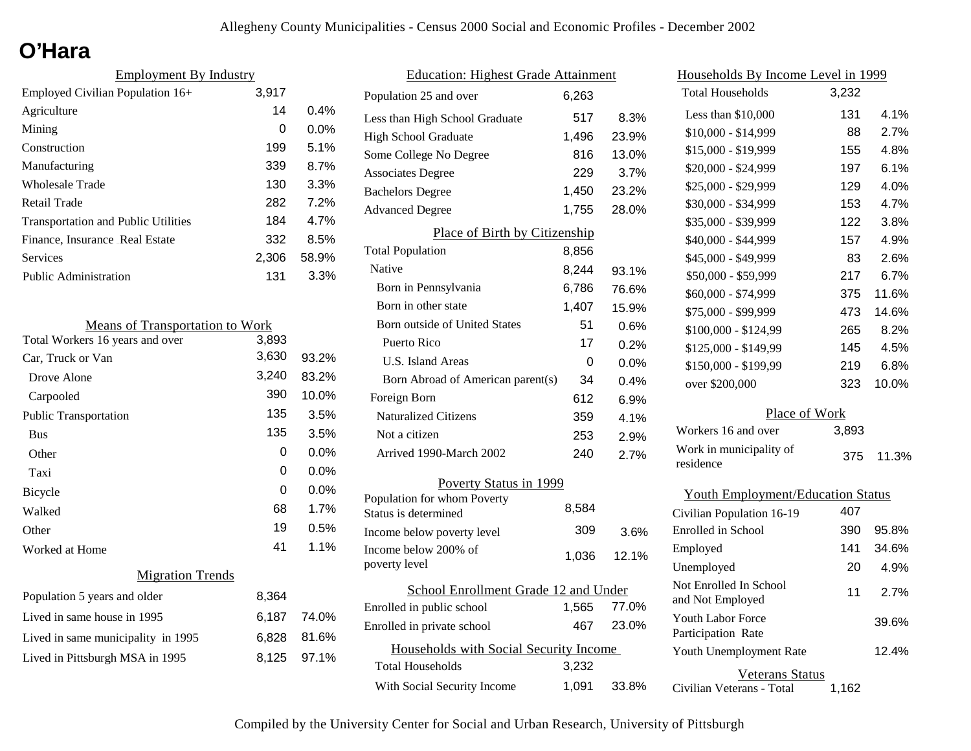# **O'Hara**

| <b>Employment By Industry</b>              |       |         |
|--------------------------------------------|-------|---------|
| Employed Civilian Population 16+           | 3,917 |         |
| Agriculture                                | 14    | $0.4\%$ |
| Mining                                     | 0     | $0.0\%$ |
| Construction                               | 199   | 5.1%    |
| Manufacturing                              | 339   | 8.7%    |
| Wholesale Trade                            | 130   | 3.3%    |
| Retail Trade                               | 282   | 7.2%    |
| <b>Transportation and Public Utilities</b> | 184   | 4.7%    |
| Finance, Insurance Real Estate             | 332   | 8.5%    |
| Services                                   | 2,306 | 58.9%   |
| Public Administration                      | 131   | 3.3%    |

| <b>Means of Transportation to Work</b> |       |             |
|----------------------------------------|-------|-------------|
| Total Workers 16 years and over        | 3,893 |             |
| Car, Truck or Van                      | 3,630 | 93.2%       |
| Drove Alone                            | 3,240 | 83.2%       |
| Carpooled                              | 390   | 10.0%       |
| <b>Public Transportation</b>           | 135   | 3.5%        |
| <b>Bus</b>                             | 135   | 3.5%        |
| Other                                  | 0     | 0.0%        |
| Taxi                                   | 0     | 0.0%        |
| <b>Bicycle</b>                         | 0     | 0.0%        |
| Walked                                 | 68    | 1.7%        |
| Other                                  | 19    | 0.5%        |
| Worked at Home                         | 41    | 1.1%        |
| <b>Migration Trends</b>                |       |             |
| Population 5 years and older           | 8,364 |             |
| Lived in same house in 1995            |       | 6,187 74.0% |
| Lived in same municipality in 1995     | 6,828 | 81.6%       |
| Lived in Pittsburgh MSA in 1995        | 8,125 | 97.1%       |

| <b>Education: Highest Grade Attainment</b>          |       |       |  |
|-----------------------------------------------------|-------|-------|--|
| Population 25 and over                              | 6,263 |       |  |
| Less than High School Graduate                      | 517   | 8.3%  |  |
| <b>High School Graduate</b>                         | 1,496 | 23.9% |  |
| Some College No Degree                              | 816   | 13.0% |  |
| <b>Associates Degree</b>                            | 229   | 3.7%  |  |
| <b>Bachelors Degree</b>                             | 1,450 | 23.2% |  |
| <b>Advanced Degree</b>                              | 1,755 | 28.0% |  |
| Place of Birth by Citizenship                       |       |       |  |
| <b>Total Population</b>                             | 8,856 |       |  |
| Native                                              | 8,244 | 93.1% |  |
| Born in Pennsylvania                                | 6,786 | 76.6% |  |
| Born in other state                                 | 1,407 | 15.9% |  |
| <b>Born outside of United States</b>                | 51    | 0.6%  |  |
| Puerto Rico                                         | 17    | 0.2%  |  |
| U.S. Island Areas                                   | 0     | 0.0%  |  |
| Born Abroad of American parent(s)                   | 34    | 0.4%  |  |
| Foreign Born                                        | 612   | 6.9%  |  |
| <b>Naturalized Citizens</b>                         | 359   | 4.1%  |  |
| Not a citizen                                       | 253   | 2.9%  |  |
| Arrived 1990-March 2002                             | 240   | 2.7%  |  |
| Poverty Status in 1999                              |       |       |  |
| Population for whom Poverty<br>Status is determined | 8,584 |       |  |
| Income below poverty level                          | 309   | 3.6%  |  |
| Income below 200% of<br>poverty level               | 1,036 | 12.1% |  |
| School Enrollment Grade 12 and Under                |       |       |  |
| Enrolled in public school                           | 1,565 | 77.0% |  |
| Enrolled in private school                          | 467   | 23.0% |  |
| Households with Social Security Income              |       |       |  |
| <b>Total Households</b>                             | 3,232 |       |  |
| With Social Security Income                         | 1,091 | 33.8% |  |

| <u>Households By Income Level in 1999</u> |       |       |  |
|-------------------------------------------|-------|-------|--|
| <b>Total Households</b>                   | 3,232 |       |  |
| Less than \$10,000                        | 131   | 4.1%  |  |
| $$10,000 - $14,999$                       | 88    | 2.7%  |  |
| \$15,000 - \$19,999                       | 155   | 4.8%  |  |
| \$20,000 - \$24,999                       | 197   | 6.1%  |  |
| \$25,000 - \$29,999                       | 129   | 4.0%  |  |
| \$30,000 - \$34,999                       | 153   | 4.7%  |  |
| \$35,000 - \$39,999                       | 122   | 3.8%  |  |
| \$40,000 - \$44,999                       | 157   | 4.9%  |  |
| \$45,000 - \$49,999                       | 83    | 2.6%  |  |
| \$50,000 - \$59,999                       | 217   | 6.7%  |  |
| \$60,000 - \$74,999                       | 375   | 11.6% |  |
| \$75,000 - \$99,999                       | 473   | 14.6% |  |
| \$100,000 - \$124,99                      | 265   | 8.2%  |  |
| \$125,000 - \$149,99                      | 145   | 4.5%  |  |
| \$150,000 - \$199,99                      | 219   | 6.8%  |  |
| over \$200,000                            | 323   | 10.0% |  |
| Place of Work                             |       |       |  |
| Workers 16 and over                       | 3,893 |       |  |
| Work in municipality of<br>residence      | 375   | 11.3% |  |
| <b>Youth Employment/Education Status</b>  |       |       |  |
| Civilian Population 16-19                 | 407   |       |  |
| Enrolled in School                        | 390   | 95.8% |  |
| Employed                                  | 141   | 34.6% |  |
| Unemployed                                | 20    | 4.9%  |  |

|                           |       | Unemployed                                     | 20    | 4.9%  |
|---------------------------|-------|------------------------------------------------|-------|-------|
| ade 12 and Under<br>1.565 | 77.0% | Not Enrolled In School<br>and Not Employed     | 11    | 2.7%  |
| 467                       | 23.0% | <b>Youth Labor Force</b><br>Participation Rate |       | 39.6% |
| Security Income           |       | Youth Unemployment Rate                        |       | 12.4% |
| 3.232                     |       | Veterans Status                                |       |       |
| 1.091                     | 33.8% | Civilian Veterans - Total                      | 1.162 |       |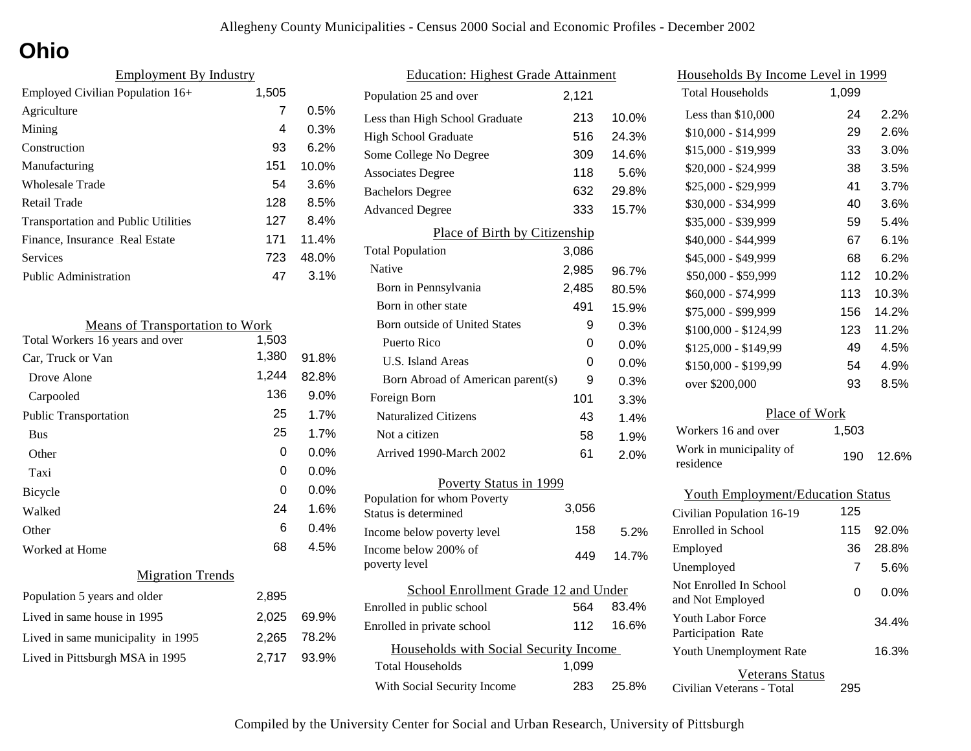# **Ohio**

| <b>Employment By Industry</b>              |       |       |
|--------------------------------------------|-------|-------|
| Employed Civilian Population 16+           | 1,505 |       |
| Agriculture                                | 7     | 0.5%  |
| Mining                                     | 4     | 0.3%  |
| Construction                               | 93    | 6.2%  |
| Manufacturing                              | 151   | 10.0% |
| <b>Wholesale Trade</b>                     | 54    | 3.6%  |
| Retail Trade                               | 128   | 8.5%  |
| <b>Transportation and Public Utilities</b> | 127   | 8.4%  |
| Finance, Insurance Real Estate             | 171   | 11.4% |
| Services                                   | 723   | 48.0% |
| <b>Public Administration</b>               | 47    | 3.1%  |

| <b>Means of Transportation to Work</b> |       |         |
|----------------------------------------|-------|---------|
| Total Workers 16 years and over        | 1,503 |         |
| Car, Truck or Van                      | 1,380 | 91.8%   |
| Drove Alone                            | 1,244 | 82.8%   |
| Carpooled                              | 136   | 9.0%    |
| <b>Public Transportation</b>           | 25    | 1.7%    |
| <b>Bus</b>                             | 25    | 1.7%    |
| Other                                  | 0     | $0.0\%$ |
| Taxi                                   | 0     | $0.0\%$ |
| <b>Bicycle</b>                         | 0     | $0.0\%$ |
| Walked                                 | 24    | 1.6%    |
| Other                                  | 6     | 0.4%    |
| Worked at Home                         | 68    | 4.5%    |
| <b>Migration Trends</b>                |       |         |
| Population 5 years and older           | 2,895 |         |
| Lived in same house in 1995            | 2,025 | 69.9%   |
| Lived in same municipality in 1995     | 2,265 | 78.2%   |
| Lived in Pittsburgh MSA in 1995        | 2,717 | 93.9%   |
|                                        |       |         |

| <b>Education: Highest Grade Attainment</b>          |       |       |  |
|-----------------------------------------------------|-------|-------|--|
| Population 25 and over                              | 2,121 |       |  |
| Less than High School Graduate                      | 213   | 10.0% |  |
| <b>High School Graduate</b>                         | 516   | 24.3% |  |
| Some College No Degree                              | 309   | 14.6% |  |
| <b>Associates Degree</b>                            | 118   | 5.6%  |  |
| <b>Bachelors Degree</b>                             | 632   | 29.8% |  |
| <b>Advanced Degree</b>                              | 333   | 15.7% |  |
| Place of Birth by Citizenship                       |       |       |  |
| <b>Total Population</b>                             | 3,086 |       |  |
| Native                                              | 2,985 | 96.7% |  |
| Born in Pennsylvania                                | 2,485 | 80.5% |  |
| Born in other state                                 | 491   | 15.9% |  |
| <b>Born outside of United States</b>                | 9     | 0.3%  |  |
| <b>Puerto Rico</b>                                  | 0     | 0.0%  |  |
| U.S. Island Areas                                   | 0     | 0.0%  |  |
| Born Abroad of American parent(s)                   | 9     | 0.3%  |  |
| Foreign Born                                        | 101   | 3.3%  |  |
| <b>Naturalized Citizens</b>                         | 43    | 1.4%  |  |
| Not a citizen                                       | 58    | 1.9%  |  |
| Arrived 1990-March 2002                             | 61    | 2.0%  |  |
| Poverty Status in 1999                              |       |       |  |
| Population for whom Poverty<br>Status is determined | 3,056 |       |  |
| Income below poverty level                          | 158   | 5.2%  |  |
| Income below 200% of                                |       |       |  |
| poverty level                                       | 449   | 14.7% |  |
| School Enrollment Grade 12 and Under                |       |       |  |
| Enrolled in public school                           | 564   | 83.4% |  |
| Enrolled in private school                          | 112   | 16.6% |  |
| Households with Social Security Income              |       |       |  |
| <b>Total Households</b>                             | 1,099 |       |  |
| With Social Security Income                         | 283   | 25.8% |  |

| <u>Households By Income Level in 1999</u>  |       |       |
|--------------------------------------------|-------|-------|
| <b>Total Households</b>                    | 1,099 |       |
| Less than $$10,000$                        | 24    | 2.2%  |
| $$10,000 - $14,999$                        | 29    | 2.6%  |
| \$15,000 - \$19,999                        | 33    | 3.0%  |
| \$20,000 - \$24,999                        | 38    | 3.5%  |
| \$25,000 - \$29,999                        | 41    | 3.7%  |
| \$30,000 - \$34,999                        | 40    | 3.6%  |
| \$35,000 - \$39,999                        | 59    | 5.4%  |
| \$40,000 - \$44,999                        | 67    | 6.1%  |
| \$45,000 - \$49,999                        | 68    | 6.2%  |
| \$50,000 - \$59,999                        | 112   | 10.2% |
| \$60,000 - \$74,999                        | 113   | 10.3% |
| \$75,000 - \$99,999                        | 156   | 14.2% |
| \$100,000 - \$124,99                       | 123   | 11.2% |
| \$125,000 - \$149,99                       | 49    | 4.5%  |
| \$150,000 - \$199,99                       | 54    | 4.9%  |
| over \$200,000                             | 93    | 8.5%  |
| Place of Work                              |       |       |
| Workers 16 and over                        | 1,503 |       |
| Work in municipality of<br>residence       | 190   | 12.6% |
| <b>Youth Employment/Education Status</b>   |       |       |
| Civilian Population 16-19                  | 125   |       |
| Enrolled in School                         | 115   | 92.0% |
| Employed                                   | 36    | 28.8% |
| Unemployed                                 | 7     | 5.6%  |
| Not Enrolled In School<br>and Not Employed | 0     | 0.0%  |
| Youth Labor Force<br>Participation Rate    |       | 34.4% |
| Youth Unemployment Rate                    |       | 16.3% |
| <b>Veterans Status</b>                     |       |       |

Civilian Veterans - Total

295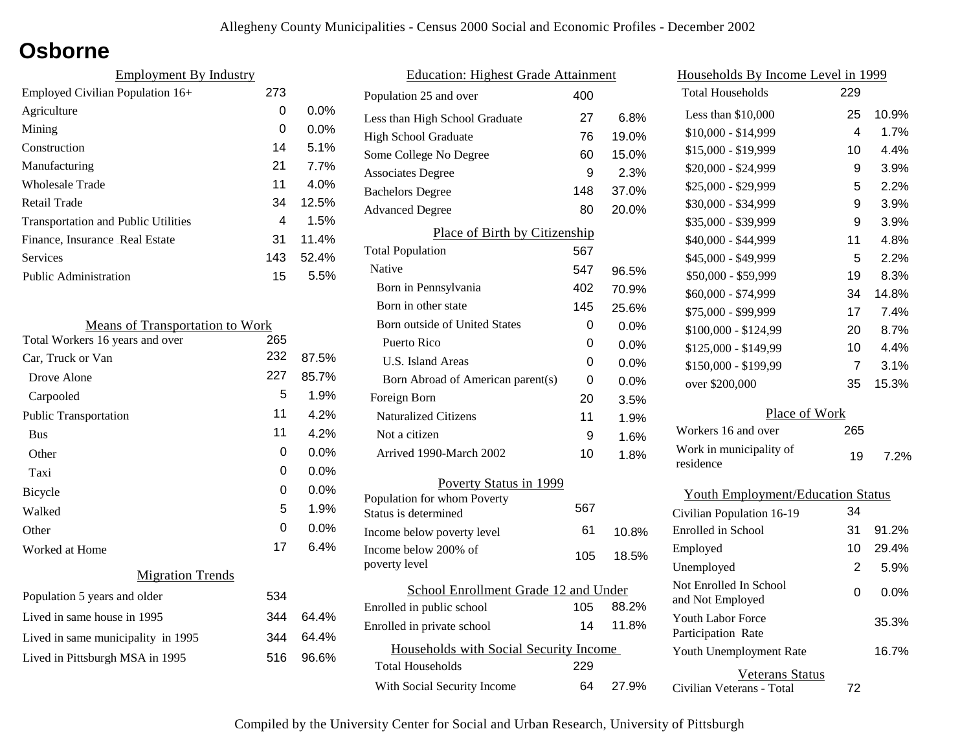### **Osborne**

| <b>Employment By Industry</b>              |     |         |
|--------------------------------------------|-----|---------|
| Employed Civilian Population 16+           | 273 |         |
| Agriculture                                | 0   | $0.0\%$ |
| Mining                                     | 0   | $0.0\%$ |
| Construction                               | 14  | 5.1%    |
| Manufacturing                              | 21  | 7.7%    |
| Wholesale Trade                            | 11  | 4.0%    |
| Retail Trade                               | 34  | 12.5%   |
| <b>Transportation and Public Utilities</b> | 4   | 1.5%    |
| Finance, Insurance Real Estate             | 31  | 11.4%   |
| Services                                   | 143 | 52.4%   |
| <b>Public Administration</b>               | 15  | 5.5%    |

| <b>Means of Transportation to Work</b> |     |         |
|----------------------------------------|-----|---------|
| Total Workers 16 years and over        | 265 |         |
| Car, Truck or Van                      | 232 | 87.5%   |
| Drove Alone                            | 227 | 85.7%   |
| Carpooled                              | 5   | 1.9%    |
| <b>Public Transportation</b>           | 11  | 4.2%    |
| <b>Bus</b>                             | 11  | 4.2%    |
| Other                                  | 0   | $0.0\%$ |
| Taxi                                   | 0   | 0.0%    |
| Bicycle                                | 0   | $0.0\%$ |
| Walked                                 | 5   | 1.9%    |
| Other                                  | 0   | 0.0%    |
| Worked at Home                         | 17  | 6.4%    |
| <b>Migration Trends</b>                |     |         |
| Population 5 years and older           | 534 |         |
| Lived in same house in 1995            | 344 | 64.4%   |
| Lived in same municipality in 1995     | 344 | 64.4%   |
| Lived in Pittsburgh MSA in 1995        | 516 | 96.6%   |
|                                        |     |         |

| <b>Education: Highest Grade Attainment</b>          |     |         |
|-----------------------------------------------------|-----|---------|
| Population 25 and over                              | 400 |         |
| Less than High School Graduate                      | 27  | $6.8\%$ |
| High School Graduate                                | 76  | 19.0%   |
| Some College No Degree                              | 60  | 15.0%   |
| <b>Associates Degree</b>                            | 9   | 2.3%    |
| <b>Bachelors Degree</b>                             | 148 | 37.0%   |
| <b>Advanced Degree</b>                              | 80  | 20.0%   |
| Place of Birth by Citizenship                       |     |         |
| <b>Total Population</b>                             | 567 |         |
| Native                                              | 547 | 96.5%   |
| Born in Pennsylvania                                | 402 | 70.9%   |
| Born in other state                                 | 145 | 25.6%   |
| Born outside of United States                       | 0   | 0.0%    |
| Puerto Rico                                         | 0   | 0.0%    |
| U.S. Island Areas                                   | 0   | $0.0\%$ |
| Born Abroad of American parent(s)                   | 0   | $0.0\%$ |
| Foreign Born                                        | 20  | 3.5%    |
| <b>Naturalized Citizens</b>                         | 11  | 1.9%    |
| Not a citizen                                       | 9   | 1.6%    |
| Arrived 1990-March 2002                             | 10  | 1.8%    |
| Poverty Status in 1999                              |     |         |
| Population for whom Poverty<br>Status is determined | 567 |         |
| Income below poverty level                          | 61  | 10.8%   |
| Income below 200% of<br>poverty level               | 105 | 18.5%   |
| School Enrollment Grade 12 and Under                |     |         |
| Enrolled in public school                           | 105 | 88.2%   |
| Enrolled in private school                          | 14  | 11.8%   |
| Households with Social Security Income              |     |         |
| <b>Total Households</b>                             | 229 |         |
| With Social Security Income                         | 64  | 27.9%   |

| Households By Income Level in 1999             |     |       |
|------------------------------------------------|-----|-------|
| <b>Total Households</b>                        | 229 |       |
| Less than \$10,000                             | 25  | 10.9% |
| \$10,000 - \$14,999                            | 4   | 1.7%  |
| \$15,000 - \$19,999                            | 10  | 4.4%  |
| \$20,000 - \$24,999                            | 9   | 3.9%  |
| \$25,000 - \$29,999                            | 5   | 2.2%  |
| \$30,000 - \$34,999                            | 9   | 3.9%  |
| \$35,000 - \$39,999                            | 9   | 3.9%  |
| \$40,000 - \$44,999                            | 11  | 4.8%  |
| \$45,000 - \$49,999                            | 5   | 2.2%  |
| \$50,000 - \$59,999                            | 19  | 8.3%  |
| \$60,000 - \$74,999                            | 34  | 14.8% |
| \$75,000 - \$99,999                            | 17  | 7.4%  |
| \$100,000 - \$124,99                           | 20  | 8.7%  |
| \$125,000 - \$149,99                           | 10  | 4.4%  |
| \$150,000 - \$199,99                           | 7   | 3.1%  |
| over \$200,000                                 | 35  | 15.3% |
| Place of Work                                  |     |       |
| Workers 16 and over                            | 265 |       |
| Work in municipality of<br>residence           | 19  | 7.2%  |
| <b>Youth Employment/Education Status</b>       |     |       |
| Civilian Population 16-19                      | 34  |       |
| Enrolled in School                             | 31  | 91.2% |
| Employed                                       | 10  | 29.4% |
| Unemployed                                     | 2   | 5.9%  |
| Not Enrolled In School<br>and Not Employed     | 0   | 0.0%  |
| <b>Youth Labor Force</b><br>Participation Rate |     | 35.3% |
| Youth Unemployment Rate                        |     | 16.7% |
| Veterans Status                                |     |       |

Civilian Veterans - Total

72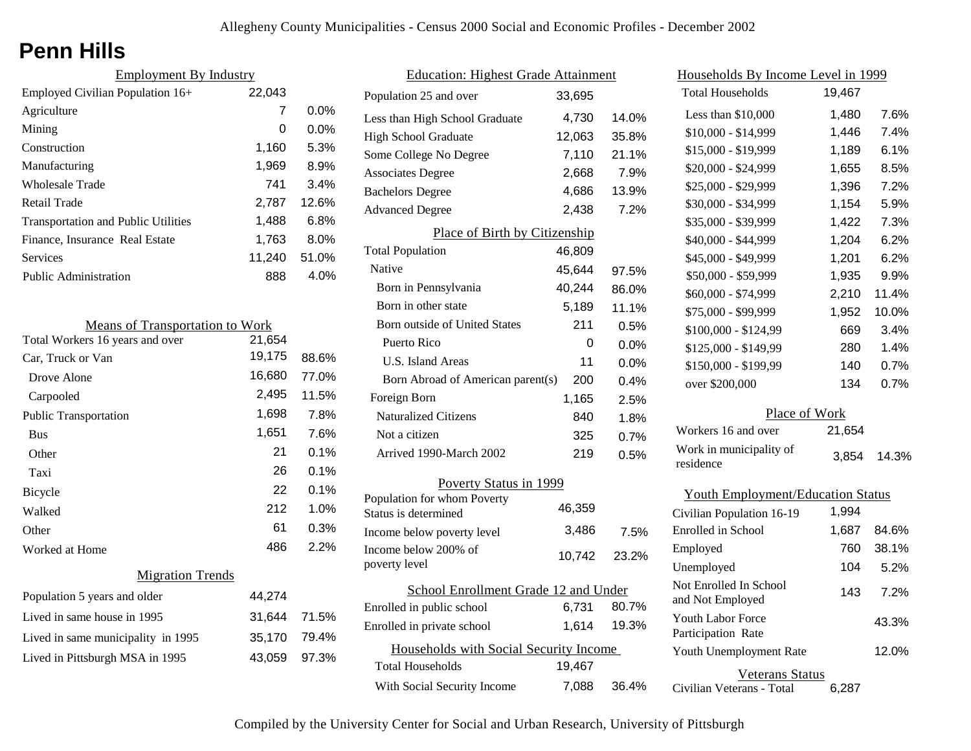# **Penn Hills**

| <b>Employment By Industry</b>              |        |         |
|--------------------------------------------|--------|---------|
| Employed Civilian Population 16+           | 22,043 |         |
| Agriculture                                | 7      | $0.0\%$ |
| Mining                                     | 0      | $0.0\%$ |
| Construction                               | 1,160  | 5.3%    |
| Manufacturing                              | 1,969  | 8.9%    |
| Wholesale Trade                            | 741    | 3.4%    |
| Retail Trade                               | 2,787  | 12.6%   |
| <b>Transportation and Public Utilities</b> | 1,488  | 6.8%    |
| Finance, Insurance Real Estate             | 1,763  | $8.0\%$ |
| Services                                   | 11,240 | 51.0%   |
| Public Administration                      | 888    | 4.0%    |

| <b>Means of Transportation to Work</b> |        |       |
|----------------------------------------|--------|-------|
| Total Workers 16 years and over        | 21,654 |       |
| Car, Truck or Van                      | 19,175 | 88.6% |
| Drove Alone                            | 16,680 | 77.0% |
| Carpooled                              | 2,495  | 11.5% |
| <b>Public Transportation</b>           | 1,698  | 7.8%  |
| <b>Bus</b>                             | 1,651  | 7.6%  |
| Other                                  | 21     | 0.1%  |
| Taxi                                   | 26     | 0.1%  |
| Bicycle                                | 22     | 0.1%  |
| Walked                                 | 212    | 1.0%  |
| Other                                  | 61     | 0.3%  |
| Worked at Home                         | 486    | 2.2%  |
| <b>Migration Trends</b>                |        |       |
| Population 5 years and older           | 44,274 |       |
| Lived in same house in 1995            | 31,644 | 71.5% |
| Lived in same municipality in 1995     | 35,170 | 79.4% |
| Lived in Pittsburgh MSA in 1995        | 43,059 | 97.3% |

| <b>Education: Highest Grade Attainment</b>          |        |         |  |
|-----------------------------------------------------|--------|---------|--|
| Population 25 and over                              | 33,695 |         |  |
| Less than High School Graduate                      | 4,730  | 14.0%   |  |
| <b>High School Graduate</b>                         | 12,063 | 35.8%   |  |
| Some College No Degree                              | 7,110  | 21.1%   |  |
| <b>Associates Degree</b>                            | 2,668  | 7.9%    |  |
| <b>Bachelors Degree</b>                             | 4,686  | 13.9%   |  |
| <b>Advanced Degree</b>                              | 2,438  | 7.2%    |  |
| Place of Birth by Citizenship                       |        |         |  |
| <b>Total Population</b>                             | 46,809 |         |  |
| Native                                              | 45,644 | 97.5%   |  |
| Born in Pennsylvania                                | 40,244 | 86.0%   |  |
| Born in other state                                 | 5,189  | 11.1%   |  |
| Born outside of United States                       | 211    | 0.5%    |  |
| Puerto Rico                                         | 0      | 0.0%    |  |
| U.S. Island Areas                                   | 11     | $0.0\%$ |  |
| Born Abroad of American parent(s)                   | 200    | 0.4%    |  |
| Foreign Born                                        | 1,165  | 2.5%    |  |
| <b>Naturalized Citizens</b>                         | 840    | 1.8%    |  |
| Not a citizen                                       | 325    | 0.7%    |  |
| Arrived 1990-March 2002                             | 219    | 0.5%    |  |
| Poverty Status in 1999                              |        |         |  |
| Population for whom Poverty<br>Status is determined | 46,359 |         |  |
| Income below poverty level                          | 3.486  | 7.5%    |  |
| Income below 200% of<br>poverty level               | 10,742 | 23.2%   |  |
| School Enrollment Grade 12 and Under                |        |         |  |
| Enrolled in public school                           | 6,731  | 80.7%   |  |
| Enrolled in private school                          | 1,614  | 19.3%   |  |
| Households with Social Security Income              |        |         |  |
| Total Households                                    | 19,467 |         |  |
| With Social Security Income                         | 7,088  | 36.4%   |  |

| Households By Income Level in 1999         |        |       |
|--------------------------------------------|--------|-------|
| <b>Total Households</b>                    | 19,467 |       |
| Less than $$10,000$                        | 1,480  | 7.6%  |
| $$10,000 - $14,999$                        | 1,446  | 7.4%  |
| \$15,000 - \$19,999                        | 1,189  | 6.1%  |
| \$20,000 - \$24,999                        | 1,655  | 8.5%  |
| \$25,000 - \$29,999                        | 1,396  | 7.2%  |
| \$30,000 - \$34,999                        | 1,154  | 5.9%  |
| \$35,000 - \$39,999                        | 1,422  | 7.3%  |
| \$40,000 - \$44,999                        | 1,204  | 6.2%  |
| \$45,000 - \$49,999                        | 1,201  | 6.2%  |
| \$50,000 - \$59,999                        | 1,935  | 9.9%  |
| \$60,000 - \$74,999                        | 2,210  | 11.4% |
| \$75,000 - \$99,999                        | 1,952  | 10.0% |
| \$100,000 - \$124,99                       | 669    | 3.4%  |
| \$125,000 - \$149,99                       | 280    | 1.4%  |
| \$150,000 - \$199,99                       | 140    | 0.7%  |
| over \$200,000                             | 134    | 0.7%  |
| Place of Work                              |        |       |
| Workers 16 and over                        | 21,654 |       |
| Work in municipality of<br>residence       | 3,854  | 14.3% |
| <b>Youth Employment/Education Status</b>   |        |       |
| Civilian Population 16-19                  | 1,994  |       |
| <b>Enrolled</b> in School                  | 1,687  | 84.6% |
| Employed                                   | 760    | 38.1% |
| Unemployed                                 | 104    | 5.2%  |
| Not Enrolled In School<br>and Not Employed | 143    | 7.2%  |

| TUUTTLAUUTTULU<br>Participation Rate | 43.3% |
|--------------------------------------|-------|
| Youth Unemployment Rate              | 12.0% |
|                                      |       |

43.3%

#### Veterans Status

Civilian Veterans - Total 6,287

Youth Labor Force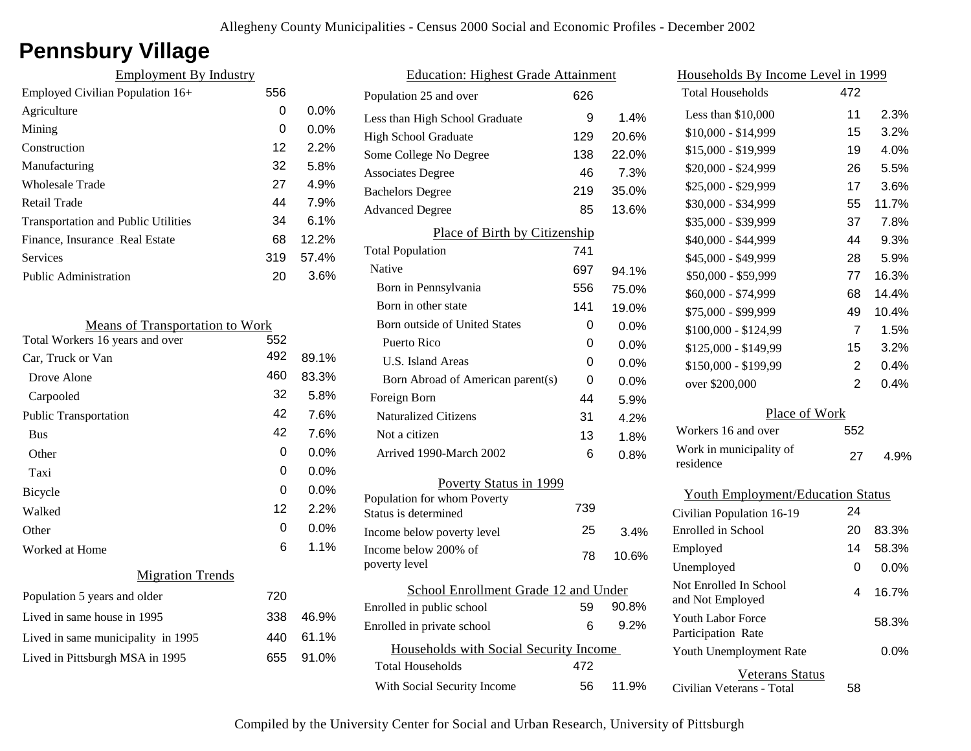# **Pennsbury Village**

| <b>Employment By Industry</b>              |     |         |                    |
|--------------------------------------------|-----|---------|--------------------|
| Employed Civilian Population 16+           | 556 |         | Populatio          |
| Agriculture                                | 0   | $0.0\%$ | Less than          |
| Mining                                     | 0   | 0.0%    | High Sch           |
| Construction                               | 12  | 2.2%    | Some Co            |
| Manufacturing                              | 32  | 5.8%    | Associate          |
| <b>Wholesale Trade</b>                     | 27  | 4.9%    | Bachelor           |
| <b>Retail Trade</b>                        | 44  | 7.9%    | Advance            |
| <b>Transportation and Public Utilities</b> | 34  | 6.1%    |                    |
| Finance, Insurance Real Estate             | 68  | 12.2%   |                    |
| <b>Services</b>                            | 319 | 57.4%   | Total Po<br>Native |
| Public Administration                      | 20  | 3.6%    | Born i             |
|                                            |     |         | Born i             |
| <b>Means of Transportation to Work</b>     |     |         | Born o             |
| Total Workers 16 years and over            | 552 |         | Puert              |
| Car, Truck or Van                          | 492 | 89.1%   | U.S.               |
| Drove Alone                                | 460 | 83.3%   | Born               |
| Carpooled                                  | 32  | 5.8%    | Foreign            |
| <b>Public Transportation</b>               | 42  | 7.6%    | Natura             |
| <b>Bus</b>                                 | 42  | 7.6%    | Not a              |
| Other                                      | 0   | $0.0\%$ | Arrive             |
| Taxi                                       | 0   | 0.0%    |                    |
| Bicycle                                    | 0   | 0.0%    | Populatio          |
| Walked                                     | 12  | $2.2\%$ | Status is          |
| Other                                      | 0   | 0.0%    | Income b           |
| Worked at Home                             | 6   | 1.1%    | Income b           |
| <b>Migration Trends</b>                    |     |         | poverty 1          |
| Population 5 years and older               | 720 |         |                    |
| Lived in same house in 1995                | 338 | 46.9%   | Enrolled           |
| Lived in same municipality in 1995         | 440 | 61.1%   | Enrolled           |
| Lived in Pittsburgh MSA in 1995            | 655 | 91.0%   | $H_0$<br>m         |

| <b>Education: Highest Grade Attainment</b> |     |         |
|--------------------------------------------|-----|---------|
| Population 25 and over                     | 626 |         |
| Less than High School Graduate             | 9   | 1.4%    |
| High School Graduate                       | 129 | 20.6%   |
| Some College No Degree                     | 138 | 22.0%   |
| <b>Associates Degree</b>                   | 46  | 7.3%    |
| <b>Bachelors Degree</b>                    | 219 | 35.0%   |
| <b>Advanced Degree</b>                     | 85  | 13.6%   |
| Place of Birth by Citizenship              |     |         |
| <b>Total Population</b>                    | 741 |         |
| Native                                     | 697 | 94.1%   |
| Born in Pennsylvania                       | 556 | 75.0%   |
| Born in other state                        | 141 | 19.0%   |
| <b>Born outside of United States</b>       | 0   | $0.0\%$ |
| Puerto Rico                                | 0   | $0.0\%$ |
| <b>U.S. Island Areas</b>                   | 0   | 0.0%    |
| Born Abroad of American parent(s)          | 0   | 0.0%    |
| Foreign Born                               | 44  | 5.9%    |
| <b>Naturalized Citizens</b>                | 31  | 4.2%    |
| Not a citizen                              | 13  | 1.8%    |
| Arrived 1990-March 2002                    | 6   | 0.8%    |
| Poverty Status in 1999                     |     |         |
| Population for whom Poverty                |     |         |
| Status is determined                       | 739 |         |
| Income below poverty level                 | 25  | 3.4%    |
| Income below 200% of<br>poverty level      | 78  | 10.6%   |
| School Enrollment Grade 12 and Under       |     |         |
| Enrolled in public school                  | 59  | 90.8%   |
| Enrolled in private school                 | 6   | 9.2%    |
| Households with Social Security Income     |     |         |
| <b>Total Households</b>                    | 472 |         |
| With Social Security Income                | 56  | 11.9%   |
|                                            |     |         |

| Households By Income Level in 1999                  |                |         |
|-----------------------------------------------------|----------------|---------|
| <b>Total Households</b>                             | 472            |         |
| Less than \$10,000                                  | 11             | 2.3%    |
| \$10,000 - \$14,999                                 | 15             | 3.2%    |
| \$15,000 - \$19,999                                 | 19             | 4.0%    |
| \$20,000 - \$24,999                                 | 26             | 5.5%    |
| \$25,000 - \$29,999                                 | 17             | 3.6%    |
| \$30,000 - \$34,999                                 | 55             | 11.7%   |
| \$35,000 - \$39,999                                 | 37             | 7.8%    |
| \$40,000 - \$44,999                                 | 44             | 9.3%    |
| \$45,000 - \$49,999                                 | 28             | 5.9%    |
| \$50,000 - \$59,999                                 | 77             | 16.3%   |
| \$60,000 - \$74,999                                 | 68             | 14.4%   |
| \$75,000 - \$99,999                                 | 49             | 10.4%   |
| \$100,000 - \$124,99                                | 7              | 1.5%    |
| \$125,000 - \$149,99                                | 15             | 3.2%    |
| \$150,000 - \$199,99                                | $\overline{2}$ | 0.4%    |
| over \$200,000                                      | $\overline{2}$ | 0.4%    |
| Place of Work                                       |                |         |
| Workers 16 and over                                 | 552            |         |
| Work in municipality of<br>residence                | 27             | 4.9%    |
| <b>Youth Employment/Education Status</b>            |                |         |
| Civilian Population 16-19                           | 24             |         |
| Enrolled in School                                  | 20             | 83.3%   |
| Employed                                            | 14             | 58.3%   |
| Unemployed                                          | 0              | 0.0%    |
| Not Enrolled In School<br>and Not Employed          | 4              | 16.7%   |
| <b>Youth Labor Force</b><br>Participation Rate      |                | 58.3%   |
| Youth Unemployment Rate                             |                | $0.0\%$ |
| <b>Veterans Status</b><br>Civilian Veterans - Total | 58             |         |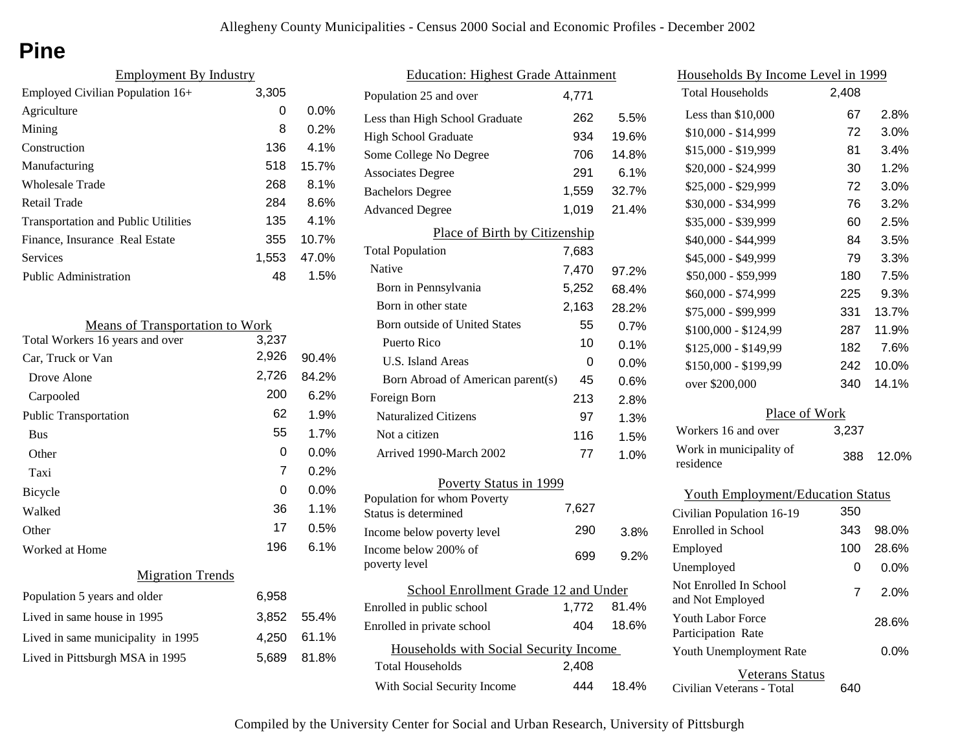# **Pine**

| <b>Employment By Industry</b>              |       |         |
|--------------------------------------------|-------|---------|
| Employed Civilian Population 16+           | 3,305 |         |
| Agriculture                                | 0     | $0.0\%$ |
| Mining                                     | 8     | 0.2%    |
| Construction                               | 136   | 4.1%    |
| Manufacturing                              | 518   | 15.7%   |
| Wholesale Trade                            | 268   | 8.1%    |
| Retail Trade                               | 284   | 8.6%    |
| <b>Transportation and Public Utilities</b> | 135   | $4.1\%$ |
| Finance, Insurance Real Estate             | 355   | 10.7%   |
| Services                                   | 1.553 | 47.0%   |
| Public Administration                      | 48    | 1.5%    |
|                                            |       |         |

| <b>Means of Transportation to Work</b> |       |       |
|----------------------------------------|-------|-------|
| Total Workers 16 years and over        | 3,237 |       |
| Car, Truck or Van                      | 2,926 | 90.4% |
| Drove Alone                            | 2,726 | 84.2% |
| Carpooled                              | 200   | 6.2%  |
| <b>Public Transportation</b>           | 62    | 1.9%  |
| <b>Bus</b>                             | 55    | 1.7%  |
| Other                                  | 0     | 0.0%  |
| Taxi                                   | 7     | 0.2%  |
| <b>Bicycle</b>                         | 0     | 0.0%  |
| Walked                                 | 36    | 1.1%  |
| Other                                  | 17    | 0.5%  |
| Worked at Home                         | 196   | 6.1%  |
| <b>Migration Trends</b>                |       |       |
| Population 5 years and older           | 6,958 |       |
| Lived in same house in 1995            | 3,852 | 55.4% |
| Lived in same municipality in 1995     | 4,250 | 61.1% |
| Lived in Pittsburgh MSA in 1995        | 5,689 | 81.8% |
|                                        |       |       |

| <b>Education: Highest Grade Attainment</b>          |       |         |
|-----------------------------------------------------|-------|---------|
| Population 25 and over                              | 4,771 |         |
| Less than High School Graduate                      | 262   | 5.5%    |
| <b>High School Graduate</b>                         | 934   | 19.6%   |
| Some College No Degree                              | 706   | 14.8%   |
| <b>Associates Degree</b>                            | 291   | 6.1%    |
| <b>Bachelors Degree</b>                             | 1,559 | 32.7%   |
| <b>Advanced Degree</b>                              | 1,019 | 21.4%   |
| Place of Birth by Citizenship                       |       |         |
| <b>Total Population</b>                             | 7,683 |         |
| Native                                              | 7,470 | 97.2%   |
| Born in Pennsylvania                                | 5,252 | 68.4%   |
| Born in other state                                 | 2,163 | 28.2%   |
| Born outside of United States                       | 55    | 0.7%    |
| Puerto Rico                                         | 10    | 0.1%    |
| U.S. Island Areas                                   | 0     | $0.0\%$ |
| Born Abroad of American parent(s)                   | 45    | 0.6%    |
| Foreign Born                                        | 213   | 2.8%    |
| <b>Naturalized Citizens</b>                         | 97    | 1.3%    |
| Not a citizen                                       | 116   | 1.5%    |
| Arrived 1990-March 2002                             | 77    | 1.0%    |
| <b>Poverty Status in 1999</b>                       |       |         |
| Population for whom Poverty<br>Status is determined | 7,627 |         |
| Income below poverty level                          | 290   | 3.8%    |
| Income below 200% of                                |       |         |
| poverty level                                       | 699   | 9.2%    |
| School Enrollment Grade 12 and Under                |       |         |
| Enrolled in public school                           | 1,772 | 81.4%   |
| Enrolled in private school                          | 404   | 18.6%   |
| Households with Social Security Income              |       |         |
| Total Households                                    | 2,408 |         |
| With Social Security Income                         | 444   | 18.4%   |

| <u>Households By Income Level in 1999</u>  |       |         |  |
|--------------------------------------------|-------|---------|--|
| <b>Total Households</b>                    | 2,408 |         |  |
| Less than $$10,000$                        | 67    | 2.8%    |  |
| \$10,000 - \$14,999                        | 72    | 3.0%    |  |
| \$15,000 - \$19,999                        | 81    | 3.4%    |  |
| \$20,000 - \$24,999                        | 30    | 1.2%    |  |
| \$25,000 - \$29,999                        | 72    | 3.0%    |  |
| \$30,000 - \$34,999                        | 76    | 3.2%    |  |
| \$35,000 - \$39,999                        | 60    | 2.5%    |  |
| \$40,000 - \$44,999                        | 84    | 3.5%    |  |
| \$45,000 - \$49,999                        | 79    | 3.3%    |  |
| \$50,000 - \$59,999                        | 180   | 7.5%    |  |
| \$60,000 - \$74,999                        | 225   | 9.3%    |  |
| \$75,000 - \$99,999                        | 331   | 13.7%   |  |
| \$100,000 - \$124,99                       | 287   | 11.9%   |  |
| \$125,000 - \$149,99                       | 182   | 7.6%    |  |
| \$150,000 - \$199,99                       | 242   | 10.0%   |  |
| over \$200,000                             | 340   | 14.1%   |  |
| Place of Work                              |       |         |  |
| Workers 16 and over                        | 3,237 |         |  |
| Work in municipality of<br>residence       | 388   | 12.0%   |  |
| <b>Youth Employment/Education Status</b>   |       |         |  |
| Civilian Population 16-19                  | 350   |         |  |
| Enrolled in School                         | 343   | 98.0%   |  |
| Employed                                   | 100   | 28.6%   |  |
| Unemployed                                 | 0     | 0.0%    |  |
| Not Enrolled In School<br>and Not Employed | 7     | 2.0%    |  |
| Youth Labor Force<br>Participation Rate    |       | 28.6%   |  |
| Youth Unemployment Rate                    |       | $0.0\%$ |  |
| <b>Veterans Status</b>                     |       |         |  |

Civilian Veterans - Total

640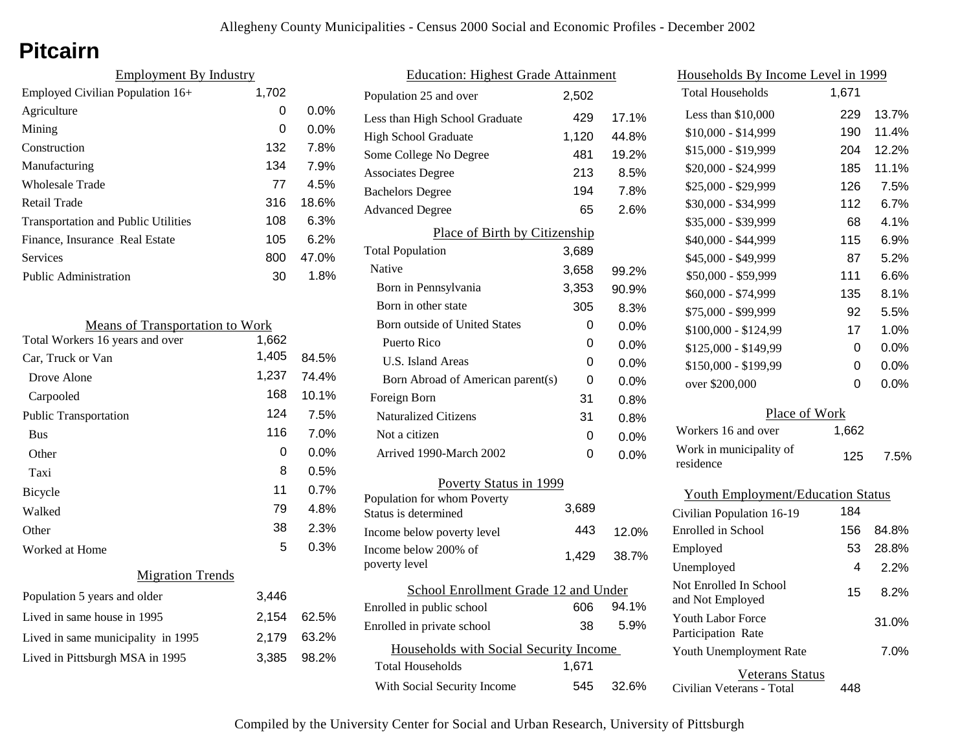## **Pitcairn**

| <b>Employment By Industry</b> |         |  |
|-------------------------------|---------|--|
| 1,702                         |         |  |
| 0                             | $0.0\%$ |  |
| 0                             | $0.0\%$ |  |
| 132                           | 7.8%    |  |
| 134                           | 7.9%    |  |
| 77                            | 4.5%    |  |
| 316                           | 18.6%   |  |
| 108                           | 6.3%    |  |
| 105                           | 6.2%    |  |
| 800                           | 47.0%   |  |
| 30                            | 1.8%    |  |
|                               |         |  |

| <b>Means of Transportation to Work</b> |       |         |
|----------------------------------------|-------|---------|
| Total Workers 16 years and over        | 1,662 |         |
| Car, Truck or Van                      | 1,405 | 84.5%   |
| Drove Alone                            | 1,237 | 74.4%   |
| Carpooled                              | 168   | 10.1%   |
| <b>Public Transportation</b>           | 124   | 7.5%    |
| <b>Bus</b>                             | 116   | 7.0%    |
| Other                                  | 0     | $0.0\%$ |
| Taxi                                   | 8     | 0.5%    |
| Bicycle                                | 11    | 0.7%    |
| Walked                                 | 79    | 4.8%    |
| Other                                  | 38    | 2.3%    |
| Worked at Home                         | 5     | 0.3%    |
| <b>Migration Trends</b>                |       |         |
| Population 5 years and older           | 3,446 |         |
| Lived in same house in 1995            | 2,154 | 62.5%   |
| Lived in same municipality in 1995     | 2,179 | 63.2%   |
| Lived in Pittsburgh MSA in 1995        | 3,385 | 98.2%   |

| <b>Education: Highest Grade Attainment</b>          |       |         |
|-----------------------------------------------------|-------|---------|
| Population 25 and over                              | 2,502 |         |
| Less than High School Graduate                      | 429   | 17.1%   |
| <b>High School Graduate</b>                         | 1,120 | 44.8%   |
| Some College No Degree                              | 481   | 19.2%   |
| <b>Associates Degree</b>                            | 213   | 8.5%    |
| <b>Bachelors Degree</b>                             | 194   | 7.8%    |
| <b>Advanced Degree</b>                              | 65    | 2.6%    |
| Place of Birth by Citizenship                       |       |         |
| <b>Total Population</b>                             | 3,689 |         |
| <b>Native</b>                                       | 3,658 | 99.2%   |
| Born in Pennsylvania                                | 3,353 | 90.9%   |
| Born in other state                                 | 305   | 8.3%    |
| <b>Born outside of United States</b>                | 0     | $0.0\%$ |
| Puerto Rico                                         | 0     | $0.0\%$ |
| <b>U.S. Island Areas</b>                            | 0     | $0.0\%$ |
| Born Abroad of American parent(s)                   | 0     | $0.0\%$ |
| Foreign Born                                        | 31    | 0.8%    |
| <b>Naturalized Citizens</b>                         | 31    | 0.8%    |
| Not a citizen                                       | 0     | $0.0\%$ |
| Arrived 1990-March 2002                             | 0     | $0.0\%$ |
| Poverty Status in 1999                              |       |         |
| Population for whom Poverty<br>Status is determined | 3,689 |         |
| Income below poverty level                          | 443   | 12.0%   |
| Income below 200% of<br>poverty level               | 1,429 | 38.7%   |
| School Enrollment Grade 12 and Under                |       |         |
| Enrolled in public school                           | 606   | 94.1%   |
| Enrolled in private school                          | 38    | 5.9%    |
| Households with Social Security Income              |       |         |
| Total Households                                    | 1,671 |         |
| With Social Security Income                         | 545   | 32.6%   |

| Households By Income Level in 1999             |       |         |  |
|------------------------------------------------|-------|---------|--|
| <b>Total Households</b>                        | 1,671 |         |  |
| Less than $$10,000$                            | 229   | 13.7%   |  |
| \$10,000 - \$14,999                            | 190   | 11.4%   |  |
| \$15,000 - \$19,999                            | 204   | 12.2%   |  |
| \$20,000 - \$24,999                            | 185   | 11.1%   |  |
| \$25,000 - \$29,999                            | 126   | 7.5%    |  |
| \$30,000 - \$34,999                            | 112   | 6.7%    |  |
| \$35,000 - \$39,999                            | 68    | 4.1%    |  |
| \$40,000 - \$44,999                            | 115   | 6.9%    |  |
| \$45,000 - \$49,999                            | 87    | 5.2%    |  |
| \$50,000 - \$59,999                            | 111   | 6.6%    |  |
| \$60,000 - \$74,999                            | 135   | 8.1%    |  |
| \$75,000 - \$99,999                            | 92    | 5.5%    |  |
| \$100,000 - \$124,99                           | 17    | 1.0%    |  |
| \$125,000 - \$149,99                           | 0     | 0.0%    |  |
| \$150,000 - \$199,99                           | 0     | 0.0%    |  |
| over \$200,000                                 | 0     | $0.0\%$ |  |
| Place of Work                                  |       |         |  |
| Workers 16 and over                            | 1,662 |         |  |
| Work in municipality of<br>residence           | 125   | 7.5%    |  |
| <b>Youth Employment/Education Status</b>       |       |         |  |
| Civilian Population 16-19                      | 184   |         |  |
| <b>Enrolled</b> in School                      | 156   | 84.8%   |  |
| Employed                                       | 53    | 28.8%   |  |
| Unemployed                                     | 4     | 2.2%    |  |
| Not Enrolled In School<br>and Not Employed     | 15    | 8.2%    |  |
| <b>Youth Labor Force</b><br>Participation Rate |       | 31.0%   |  |

| Veterans Status |  |
|-----------------|--|

7.0%

Civilian Veterans - Total 448

Youth Unemployment Rate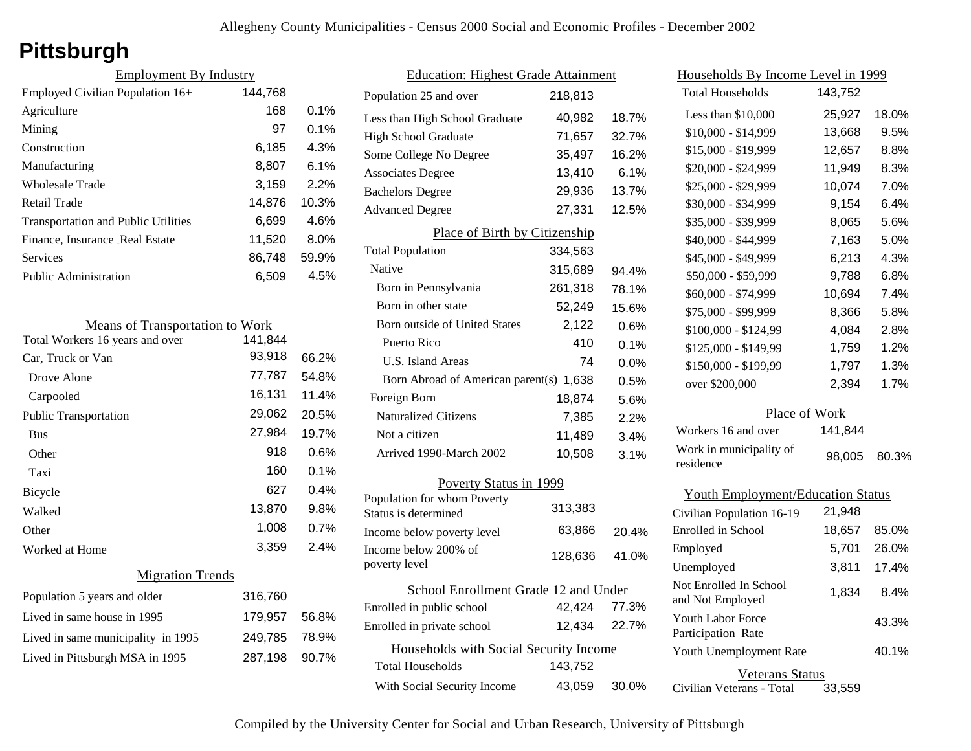# **Pittsburgh**

| <b>Employment By Industry</b>              |         |         |
|--------------------------------------------|---------|---------|
| Employed Civilian Population 16+           | 144,768 |         |
| Agriculture                                | 168     | $0.1\%$ |
| Mining                                     | 97      | $0.1\%$ |
| Construction                               | 6,185   | 4.3%    |
| Manufacturing                              | 8,807   | $6.1\%$ |
| Wholesale Trade                            | 3,159   | 2.2%    |
| Retail Trade                               | 14,876  | 10.3%   |
| <b>Transportation and Public Utilities</b> | 6,699   | 4.6%    |
| Finance, Insurance Real Estate             | 11,520  | $8.0\%$ |
| Services                                   | 86,748  | 59.9%   |
| <b>Public Administration</b>               | 6,509   | 4.5%    |

| <b>Means of Transportation to Work</b> |         |         |
|----------------------------------------|---------|---------|
| Total Workers 16 years and over        | 141.844 |         |
| Car, Truck or Van                      | 93,918  | 66.2%   |
| Drove Alone                            | 77,787  | 54.8%   |
| Carpooled                              | 16,131  | 11.4%   |
| <b>Public Transportation</b>           | 29,062  | 20.5%   |
| <b>Bus</b>                             | 27,984  | 19.7%   |
| Other                                  | 918     | $0.6\%$ |
| Taxi                                   | 160     | $0.1\%$ |
| Bicycle                                | 627     | 0.4%    |
| Walked                                 | 13,870  | 9.8%    |
| Other                                  | 1,008   | 0.7%    |
| Worked at Home                         | 3,359   | 2.4%    |
| <b>Migration Trends</b>                |         |         |

| Population 5 years and older       | 316,760       |  |
|------------------------------------|---------------|--|
| Lived in same house in 1995        | 179,957 56.8% |  |
| Lived in same municipality in 1995 | 249,785 78.9% |  |
| Lived in Pittsburgh MSA in 1995    | 287,198 90.7% |  |

| <b>Education: Highest Grade Attainment</b>          |              |       |
|-----------------------------------------------------|--------------|-------|
| Population 25 and over                              | 218,813      |       |
| Less than High School Graduate                      | 40,982       | 18.7% |
| <b>High School Graduate</b>                         | 71,657       | 32.7% |
| Some College No Degree                              | 35,497       | 16.2% |
| <b>Associates Degree</b>                            | 13,410       | 6.1%  |
| <b>Bachelors Degree</b>                             | 29,936       | 13.7% |
| <b>Advanced Degree</b>                              | 27,331       | 12.5% |
| Place of Birth by Citizenship                       |              |       |
| <b>Total Population</b>                             | 334,563      |       |
| Native                                              | 315,689      | 94.4% |
| Born in Pennsylvania                                | 261,318      | 78.1% |
| Born in other state                                 | 52,249       | 15.6% |
| Born outside of United States                       | 2,122        | 0.6%  |
| Puerto Rico                                         | 410          | 0.1%  |
| U.S. Island Areas                                   | 74           | 0.0%  |
| Born Abroad of American parent(s) 1,638             |              | 0.5%  |
| Foreign Born                                        | 18,874       | 5.6%  |
| <b>Naturalized Citizens</b>                         | 7,385        | 2.2%  |
| Not a citizen                                       | 11,489       | 3.4%  |
| Arrived 1990-March 2002                             | 10,508       | 3.1%  |
| Poverty Status in 1999                              |              |       |
| Population for whom Poverty<br>Status is determined | 313,383      |       |
| Income below poverty level                          | 63,866       | 20.4% |
| Income below 200% of<br>poverty level               | 128,636      | 41.0% |
| School Enrollment Grade 12 and Under                |              |       |
| Enrolled in public school                           | 42,424       | 77.3% |
| Enrolled in private school                          | 12,434 22.7% |       |
| Households with Social Security Income              |              |       |
| <b>Total Households</b>                             | 143,752      |       |
| With Social Security Income                         | 43,059       | 30.0% |

| Households By Income Level in 1999                  |         |       |
|-----------------------------------------------------|---------|-------|
| <b>Total Households</b>                             | 143,752 |       |
| Less than \$10,000                                  | 25,927  | 18.0% |
| \$10,000 - \$14,999                                 | 13,668  | 9.5%  |
| \$15,000 - \$19,999                                 | 12,657  | 8.8%  |
| \$20,000 - \$24,999                                 | 11,949  | 8.3%  |
| \$25,000 - \$29,999                                 | 10,074  | 7.0%  |
| \$30,000 - \$34,999                                 | 9,154   | 6.4%  |
| \$35,000 - \$39,999                                 | 8,065   | 5.6%  |
| \$40,000 - \$44,999                                 | 7,163   | 5.0%  |
| \$45,000 - \$49,999                                 | 6,213   | 4.3%  |
| \$50,000 - \$59,999                                 | 9,788   | 6.8%  |
| \$60,000 - \$74,999                                 | 10,694  | 7.4%  |
| \$75,000 - \$99,999                                 | 8,366   | 5.8%  |
| \$100,000 - \$124,99                                | 4,084   | 2.8%  |
| \$125,000 - \$149,99                                | 1,759   | 1.2%  |
| \$150,000 - \$199,99                                | 1,797   | 1.3%  |
| over \$200,000                                      | 2,394   | 1.7%  |
| Place of Work                                       |         |       |
| Workers 16 and over                                 | 141,844 |       |
| Work in municipality of<br>residence                | 98,005  | 80.3% |
| <b>Youth Employment/Education Status</b>            |         |       |
| Civilian Population 16-19                           | 21,948  |       |
| Enrolled in School                                  | 18,657  | 85.0% |
| Employed                                            | 5,701   | 26.0% |
| Unemployed                                          | 3,811   | 17.4% |
| Not Enrolled In School<br>and Not Employed          | 1,834   | 8.4%  |
| Youth Labor Force<br>Participation Rate             |         | 43.3% |
| Youth Unemployment Rate                             |         | 40.1% |
| <b>Veterans Status</b><br>Civilian Veterans - Total | 33,559  |       |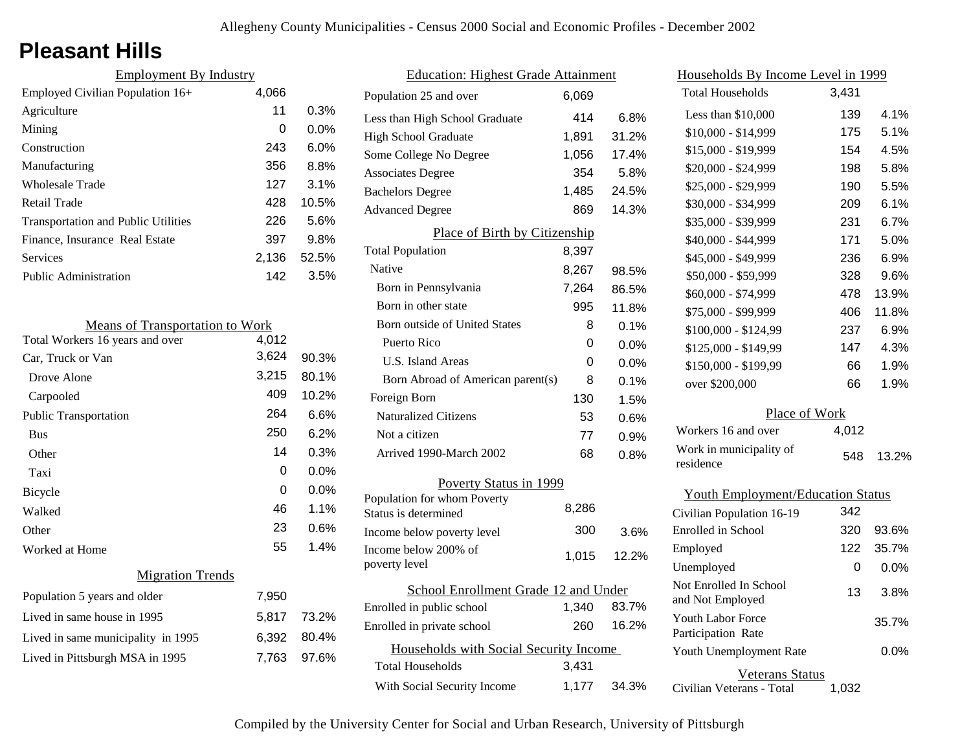# **Pleasant Hills**

| <b>Employment By Industry</b>              |       |         |
|--------------------------------------------|-------|---------|
| Employed Civilian Population 16+           | 4,066 |         |
| Agriculture                                | 11    | 0.3%    |
| Mining                                     | 0     | $0.0\%$ |
| Construction                               | 243   | $6.0\%$ |
| Manufacturing                              | 356   | 8.8%    |
| <b>Wholesale Trade</b>                     | 127   | 3.1%    |
| Retail Trade                               | 428   | 10.5%   |
| <b>Transportation and Public Utilities</b> | 226   | 5.6%    |
| Finance, Insurance Real Estate             | 397   | 9.8%    |
| Services                                   | 2.136 | 52.5%   |
| <b>Public Administration</b>               | 142   | 3.5%    |

| <b>Means of Transportation to Work</b> |       |         |
|----------------------------------------|-------|---------|
| Total Workers 16 years and over        | 4,012 |         |
| Car, Truck or Van                      | 3,624 | 90.3%   |
| Drove Alone                            | 3,215 | 80.1%   |
| Carpooled                              | 409   | 10.2%   |
| <b>Public Transportation</b>           | 264   | 6.6%    |
| <b>Bus</b>                             | 250   | 6.2%    |
| Other                                  | 14    | 0.3%    |
| Taxi                                   | 0     | $0.0\%$ |
| Bicycle                                | 0     | $0.0\%$ |
| Walked                                 | 46    | 1.1%    |
| Other                                  | 23    | 0.6%    |
| Worked at Home                         | 55    | 1.4%    |
| <b>Migration Trends</b>                |       |         |
| Population 5 years and older           | 7,950 |         |
| Lived in same house in 1995            | 5,817 | 73.2%   |
| Lived in same municipality in 1995     | 6,392 | 80.4%   |
| Lived in Pittsburgh MSA in 1995        | 7,763 | 97.6%   |

| <b>Education: Highest Grade Attainment</b>         |       |       |
|----------------------------------------------------|-------|-------|
| Population 25 and over                             | 6.069 |       |
| Less than High School Graduate                     | 414   | 6.8%  |
| <b>High School Graduate</b>                        | 1,891 | 31.2% |
| Some College No Degree                             | 1,056 | 17.4% |
| <b>Associates Degree</b>                           | 354   | 5.8%  |
| <b>Bachelors Degree</b>                            | 1,485 | 24.5% |
| <b>Advanced Degree</b>                             | 869   | 14.3% |
| Place of Birth by Citizenship                      |       |       |
| <b>Total Population</b>                            | 8,397 |       |
| Native                                             | 8,267 | 98.5% |
| Born in Pennsylvania                               | 7,264 | 86.5% |
| Born in other state                                | 995   | 11.8% |
| <b>Born outside of United States</b>               | 8     | 0.1%  |
| Puerto Rico                                        | 0     | 0.0%  |
| U.S. Island Areas                                  | 0     | 0.0%  |
| Born Abroad of American parent(s)                  | 8     | 0.1%  |
| Foreign Born                                       | 130   | 1.5%  |
| <b>Naturalized Citizens</b>                        | 53    | 0.6%  |
| Not a citizen                                      | 77    | 0.9%  |
| Arrived 1990-March 2002                            | 68    | 0.8%  |
| Poverty Status in 1999                             |       |       |
| Population for whom Poverty                        | 8.286 |       |
| Status is determined                               | 300   |       |
| Income below poverty level<br>Income below 200% of |       | 3.6%  |
| poverty level                                      | 1,015 | 12.2% |
| School Enrollment Grade 12 and Under               |       |       |
| Enrolled in public school                          | 1,340 | 83.7% |
| Enrolled in private school                         | 260   | 16.2% |
| Households with Social Security Income             |       |       |
| <b>Total Households</b>                            | 3,431 |       |
| With Social Security Income                        | 1,177 | 34.3% |

| Households By Income Level in 1999             |       |       |
|------------------------------------------------|-------|-------|
| <b>Total Households</b>                        | 3,431 |       |
| Less than \$10,000                             | 139   | 4.1%  |
| $$10,000 - $14,999$                            | 175   | 5.1%  |
| \$15,000 - \$19,999                            | 154   | 4.5%  |
| \$20,000 - \$24,999                            | 198   | 5.8%  |
| \$25,000 - \$29,999                            | 190   | 5.5%  |
| \$30,000 - \$34,999                            | 209   | 6.1%  |
| \$35,000 - \$39,999                            | 231   | 6.7%  |
| \$40,000 - \$44,999                            | 171   | 5.0%  |
| \$45,000 - \$49,999                            | 236   | 6.9%  |
| \$50,000 - \$59,999                            | 328   | 9.6%  |
| \$60,000 - \$74,999                            | 478   | 13.9% |
| \$75,000 - \$99,999                            | 406   | 11.8% |
| \$100,000 - \$124,99                           | 237   | 6.9%  |
| \$125,000 - \$149,99                           | 147   | 4.3%  |
| \$150,000 - \$199,99                           | 66    | 1.9%  |
| over \$200,000                                 | 66    | 1.9%  |
| Place of Work                                  |       |       |
| Workers 16 and over                            | 4,012 |       |
| Work in municipality of<br>residence           | 548   | 13.2% |
| <b>Youth Employment/Education Status</b>       |       |       |
| Civilian Population 16-19                      | 342   |       |
| <b>Enrolled</b> in School                      | 320   | 93.6% |
| Employed                                       | 122   | 35.7% |
| Unemployed                                     | 0     | 0.0%  |
| Not Enrolled In School<br>and Not Employed     | 13    | 3.8%  |
| <b>Youth Labor Force</b><br>Participation Rate |       | 35.7% |
| Youth Unemployment Rate                        |       | 0.0%  |

Veterans Status

Civilian Veterans - Total 1,032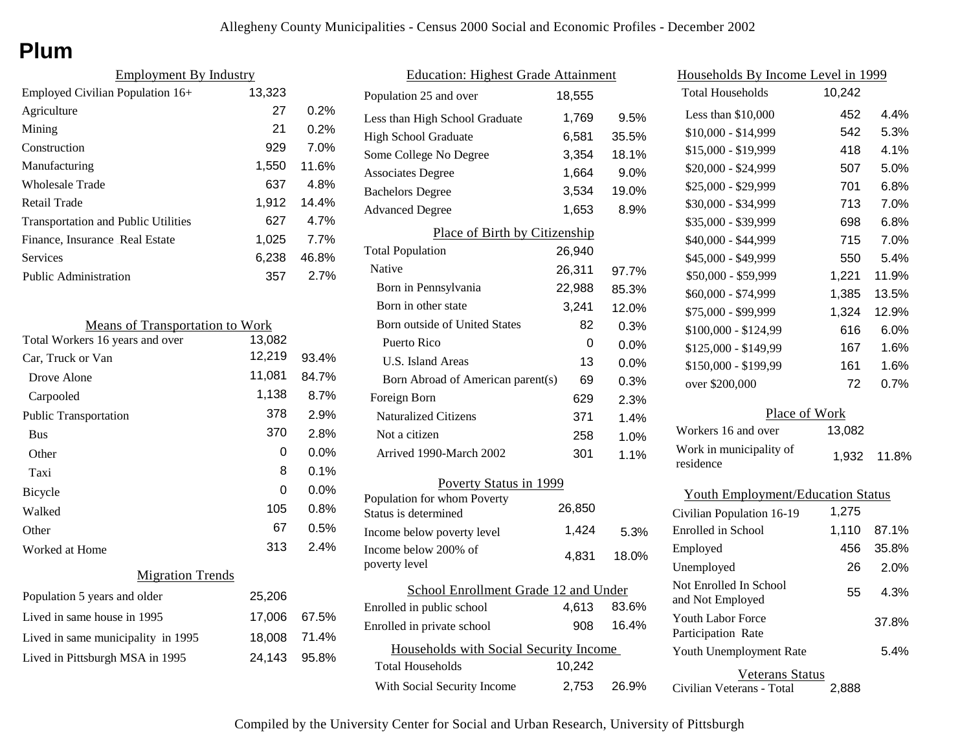# **Plum**

| <b>Employment By Industry</b>              |        |         |
|--------------------------------------------|--------|---------|
| Employed Civilian Population 16+           | 13,323 |         |
| Agriculture                                | 27     | 0.2%    |
| Mining                                     | 21     | 0.2%    |
| Construction                               | 929    | $7.0\%$ |
| Manufacturing                              | 1,550  | 11.6%   |
| Wholesale Trade                            | 637    | 4.8%    |
| Retail Trade                               | 1.912  | 14.4%   |
| <b>Transportation and Public Utilities</b> | 627    | 4.7%    |
| Finance, Insurance Real Estate             | 1.025  | 7.7%    |
| Services                                   | 6,238  | 46.8%   |
| Public Administration                      | 357    | 2.7%    |

| <b>Means of Transportation to Work</b> |        |         |
|----------------------------------------|--------|---------|
| Total Workers 16 years and over        | 13,082 |         |
| Car, Truck or Van                      | 12,219 | 93.4%   |
| Drove Alone                            | 11,081 | 84.7%   |
| Carpooled                              | 1,138  | 8.7%    |
| <b>Public Transportation</b>           | 378    | 2.9%    |
| <b>Bus</b>                             | 370    | 2.8%    |
| Other                                  | 0      | $0.0\%$ |
| Taxi                                   | 8      | 0.1%    |
| Bicycle                                | 0      | $0.0\%$ |
| Walked                                 | 105    | 0.8%    |
| Other                                  | 67     | 0.5%    |
| Worked at Home                         | 313    | 2.4%    |
| <b>Migration Trends</b>                |        |         |
| Population 5 years and older           | 25,206 |         |
| Lived in same house in 1995            | 17,006 | 67.5%   |
| Lived in same municipality in 1995     | 18,008 | 71.4%   |
| Lived in Pittsburgh MSA in 1995        | 24,143 | 95.8%   |
|                                        |        |         |

| <b>Education: Highest Grade Attainment</b>          |        |         |
|-----------------------------------------------------|--------|---------|
| Population 25 and over                              | 18,555 |         |
| Less than High School Graduate                      | 1,769  | 9.5%    |
| <b>High School Graduate</b>                         | 6,581  | 35.5%   |
| Some College No Degree                              | 3,354  | 18.1%   |
| <b>Associates Degree</b>                            | 1,664  | 9.0%    |
| <b>Bachelors Degree</b>                             | 3,534  | 19.0%   |
| <b>Advanced Degree</b>                              | 1,653  | 8.9%    |
| Place of Birth by Citizenship                       |        |         |
| <b>Total Population</b>                             | 26,940 |         |
| <b>Native</b>                                       | 26,311 | 97.7%   |
| Born in Pennsylvania                                | 22,988 | 85.3%   |
| Born in other state                                 | 3,241  | 12.0%   |
| Born outside of United States                       | 82     | 0.3%    |
| Puerto Rico                                         | 0      | 0.0%    |
| U.S. Island Areas                                   | 13     | $0.0\%$ |
| Born Abroad of American parent(s)                   | 69     | 0.3%    |
| Foreign Born                                        | 629    | 2.3%    |
| <b>Naturalized Citizens</b>                         | 371    | 1.4%    |
| Not a citizen                                       | 258    | 1.0%    |
| Arrived 1990-March 2002                             | 301    | 1.1%    |
| Poverty Status in 1999                              |        |         |
| Population for whom Poverty<br>Status is determined | 26,850 |         |
| Income below poverty level                          | 1,424  | 5.3%    |
| Income below 200% of<br>poverty level               | 4,831  | 18.0%   |
| School Enrollment Grade 12 and Under                |        |         |
| Enrolled in public school                           | 4,613  | 83.6%   |
| Enrolled in private school                          | 908    | 16.4%   |
| Households with Social Security Income              |        |         |
| <b>Total Households</b>                             | 10,242 |         |
| With Social Security Income                         | 2,753  | 26.9%   |

| Households By Income Level in 1999         |        |         |
|--------------------------------------------|--------|---------|
| <b>Total Households</b>                    | 10,242 |         |
| Less than $$10,000$                        | 452    | 4.4%    |
| \$10,000 - \$14,999                        | 542    | 5.3%    |
| \$15,000 - \$19,999                        | 418    | 4.1%    |
| \$20,000 - \$24,999                        | 507    | 5.0%    |
| \$25,000 - \$29,999                        | 701    | $6.8\%$ |
| \$30,000 - \$34,999                        | 713    | 7.0%    |
| \$35,000 - \$39,999                        | 698    | 6.8%    |
| \$40,000 - \$44,999                        | 715    | 7.0%    |
| \$45,000 - \$49,999                        | 550    | 5.4%    |
| \$50,000 - \$59,999                        | 1,221  | 11.9%   |
| \$60,000 - \$74,999                        | 1,385  | 13.5%   |
| \$75,000 - \$99,999                        | 1,324  | 12.9%   |
| \$100,000 - \$124,99                       | 616    | 6.0%    |
| \$125,000 - \$149,99                       | 167    | 1.6%    |
| \$150,000 - \$199,99                       | 161    | 1.6%    |
| over \$200,000                             | 72     | 0.7%    |
| Place of Work                              |        |         |
| Workers 16 and over                        | 13,082 |         |
| Work in municipality of<br>residence       | 1,932  | 11.8%   |
| <b>Youth Employment/Education Status</b>   |        |         |
| Civilian Population 16-19                  | 1,275  |         |
| Enrolled in School                         | 1,110  | 87.1%   |
| Employed                                   | 456    | 35.8%   |
| Unemployed                                 | 26     | 2.0%    |
| Not Enrolled In School<br>and Not Employed | 55     | 4.3%    |
| Youth Labor Force<br>Participation Rate    |        | 37.8%   |
| Youth Unemployment Rate                    |        | 5.4%    |
| Veterans Status                            |        |         |

Civilian Veterans - Total

2,888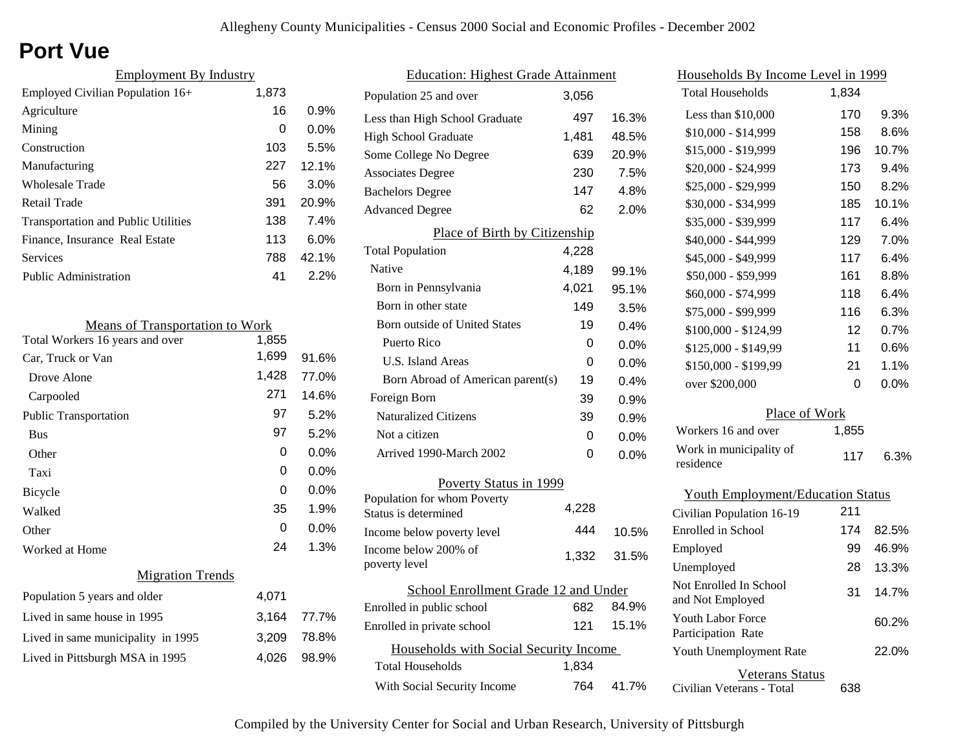# **Port Vue**

| <b>Employment By Industry</b>              |       |         |
|--------------------------------------------|-------|---------|
| Employed Civilian Population 16+           | 1,873 |         |
| Agriculture                                | 16    | 0.9%    |
| Mining                                     | 0     | $0.0\%$ |
| Construction                               | 103   | 5.5%    |
| Manufacturing                              | 227   | 12.1%   |
| Wholesale Trade                            | 56    | 3.0%    |
| Retail Trade                               | 391   | 20.9%   |
| <b>Transportation and Public Utilities</b> | 138   | 7.4%    |
| Finance, Insurance Real Estate             | 113   | $6.0\%$ |
| Services                                   | 788   | 42.1%   |
| Public Administration                      | 41    | 2.2%    |

| <b>Means of Transportation to Work</b> |       |         |
|----------------------------------------|-------|---------|
| Total Workers 16 years and over        | 1,855 |         |
| Car, Truck or Van                      | 1,699 | 91.6%   |
| Drove Alone                            | 1,428 | 77.0%   |
| Carpooled                              | 271   | 14.6%   |
| <b>Public Transportation</b>           | 97    | 5.2%    |
| <b>Bus</b>                             | 97    | 5.2%    |
| Other                                  | 0     | $0.0\%$ |
| Taxi                                   | 0     | 0.0%    |
| <b>Bicycle</b>                         | 0     | 0.0%    |
| Walked                                 | 35    | 1.9%    |
| Other                                  | 0     | $0.0\%$ |
| Worked at Home                         | 24    | 1.3%    |
| <b>Migration Trends</b>                |       |         |
| Population 5 years and older           | 4,071 |         |
| Lived in same house in 1995            | 3,164 | 77.7%   |
| Lived in same municipality in 1995     | 3,209 | 78.8%   |
| Lived in Pittsburgh MSA in 1995        | 4,026 | 98.9%   |
|                                        |       |         |

| <b>Education: Highest Grade Attainment</b>          |       |         |
|-----------------------------------------------------|-------|---------|
| Population 25 and over                              | 3,056 |         |
| Less than High School Graduate                      | 497   | 16.3%   |
| High School Graduate                                | 1,481 | 48.5%   |
| Some College No Degree                              | 639   | 20.9%   |
| <b>Associates Degree</b>                            | 230   | 7.5%    |
| <b>Bachelors Degree</b>                             | 147   | 4.8%    |
| <b>Advanced Degree</b>                              | 62    | 2.0%    |
| Place of Birth by Citizenship                       |       |         |
| <b>Total Population</b>                             | 4,228 |         |
| Native                                              | 4,189 | 99.1%   |
| Born in Pennsylvania                                | 4,021 | 95.1%   |
| Born in other state                                 | 149   | 3.5%    |
| Born outside of United States                       | 19    | 0.4%    |
| Puerto Rico                                         | 0     | 0.0%    |
| U.S. Island Areas                                   | 0     | 0.0%    |
| Born Abroad of American parent(s)                   | 19    | $0.4\%$ |
| Foreign Born                                        | 39    | $0.9\%$ |
| <b>Naturalized Citizens</b>                         | 39    | 0.9%    |
| Not a citizen                                       | 0     | $0.0\%$ |
| Arrived 1990-March 2002                             | 0     | 0.0%    |
| Poverty Status in 1999                              |       |         |
| Population for whom Poverty<br>Status is determined | 4,228 |         |
| Income below poverty level                          | 444   | 10.5%   |
| Income below 200% of<br>poverty level               | 1,332 | 31.5%   |
| School Enrollment Grade 12 and Under                |       |         |
| Enrolled in public school                           | 682   | 84.9%   |
| Enrolled in private school                          | 121   | 15.1%   |
| Households with Social Security Income              |       |         |
| Total Households                                    | 1,834 |         |
| With Social Security Income                         | 764   | 41.7%   |

| <u>Households By Income Level in 1999</u>  |       |         |
|--------------------------------------------|-------|---------|
| <b>Total Households</b>                    | 1,834 |         |
| Less than \$10,000                         | 170   | 9.3%    |
| \$10,000 - \$14,999                        | 158   | 8.6%    |
| \$15,000 - \$19,999                        | 196   | 10.7%   |
| \$20,000 - \$24,999                        | 173   | 9.4%    |
| \$25,000 - \$29,999                        | 150   | 8.2%    |
| \$30,000 - \$34,999                        | 185   | 10.1%   |
| \$35,000 - \$39,999                        | 117   | 6.4%    |
| \$40,000 - \$44,999                        | 129   | 7.0%    |
| \$45,000 - \$49,999                        | 117   | 6.4%    |
| \$50,000 - \$59,999                        | 161   | 8.8%    |
| \$60,000 - \$74,999                        | 118   | 6.4%    |
| \$75,000 - \$99,999                        | 116   | 6.3%    |
| \$100,000 - \$124,99                       | 12    | 0.7%    |
| \$125,000 - \$149,99                       | 11    | $0.6\%$ |
| \$150,000 - \$199,99                       | 21    | 1.1%    |
| over \$200,000                             | 0     | 0.0%    |
| Place of Work                              |       |         |
| Workers 16 and over                        | 1,855 |         |
| Work in municipality of<br>residence       | 117   | 6.3%    |
| <b>Youth Employment/Education Status</b>   |       |         |
| Civilian Population 16-19                  | 211   |         |
| Enrolled in School                         | 174   | 82.5%   |
| Employed                                   | 99    | 46.9%   |
| Unemployed                                 | 28    | 13.3%   |
| Not Enrolled In School<br>and Not Employed | 31    | 14.7%   |
| Youth Labor Force<br>Participation Rate    |       | 60.2%   |
| Youth Unemployment Rate                    |       | 22.0%   |

Veterans Status

638

Civilian Veterans - Total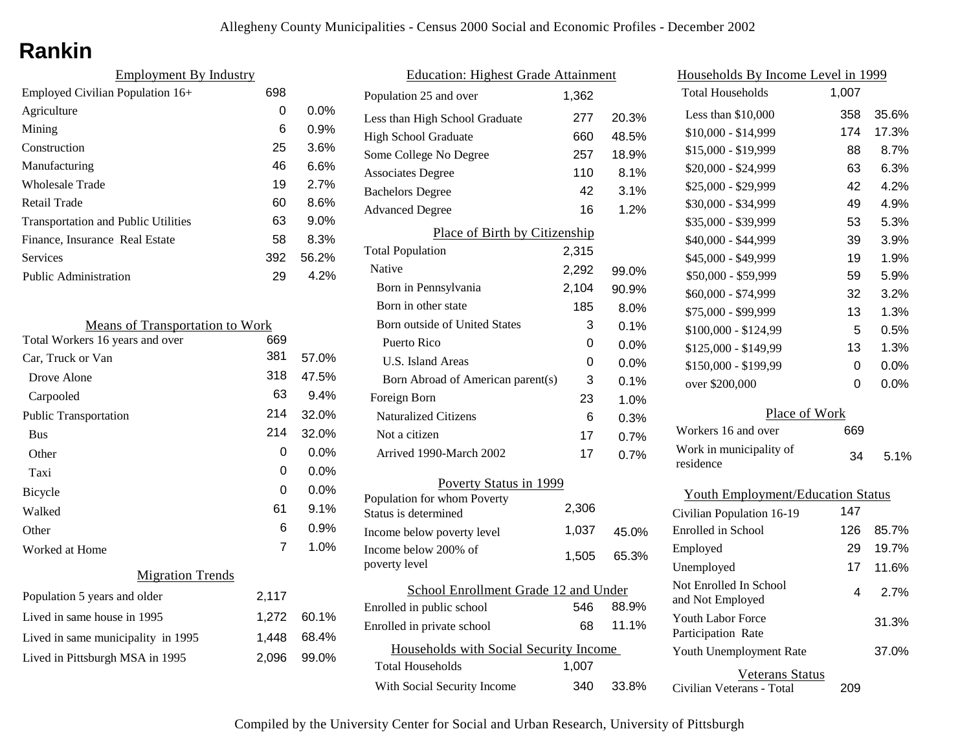# **Rankin**

| <b>Employment By Industry</b>              |     |         |
|--------------------------------------------|-----|---------|
| Employed Civilian Population 16+           | 698 |         |
| Agriculture                                | 0   | $0.0\%$ |
| Mining                                     | 6   | 0.9%    |
| Construction                               | 25  | 3.6%    |
| Manufacturing                              | 46  | 6.6%    |
| <b>Wholesale Trade</b>                     | 19  | 2.7%    |
| Retail Trade                               | 60  | 8.6%    |
| <b>Transportation and Public Utilities</b> | 63  | 9.0%    |
| Finance, Insurance Real Estate             | 58  | 8.3%    |
| Services                                   | 392 | 56.2%   |
| <b>Public Administration</b>               | 29  | 4.2%    |

| <b>Means of Transportation to Work</b> |       |         |
|----------------------------------------|-------|---------|
| Total Workers 16 years and over        | 669   |         |
| Car, Truck or Van                      | 381   | 57.0%   |
| Drove Alone                            | 318   | 47.5%   |
| Carpooled                              | 63    | 9.4%    |
| <b>Public Transportation</b>           | 214   | 32.0%   |
| <b>Bus</b>                             | 214   | 32.0%   |
| Other                                  | 0     | $0.0\%$ |
| Taxi                                   | 0     | $0.0\%$ |
| Bicycle                                | 0     | 0.0%    |
| Walked                                 | 61    | 9.1%    |
| Other                                  | 6     | 0.9%    |
| Worked at Home                         | 7     | 1.0%    |
| <b>Migration Trends</b>                |       |         |
| Population 5 years and older           | 2,117 |         |
| Lived in same house in 1995            | 1,272 | 60.1%   |
| Lived in same municipality in 1995     | 1,448 | 68.4%   |
| Lived in Pittsburgh MSA in 1995        | 2,096 | 99.0%   |
|                                        |       |         |

| <b>Education: Highest Grade Attainment</b> |       |         |
|--------------------------------------------|-------|---------|
| Population 25 and over                     | 1.362 |         |
| Less than High School Graduate             | 277   | 20.3%   |
| High School Graduate                       | 660   | 48.5%   |
| Some College No Degree                     | 257   | 18.9%   |
| <b>Associates Degree</b>                   | 110   | 8.1%    |
| <b>Bachelors Degree</b>                    | 42    | 3.1%    |
| <b>Advanced Degree</b>                     | 16    | 1.2%    |
| Place of Birth by Citizenship              |       |         |
| <b>Total Population</b>                    | 2,315 |         |
| Native                                     | 2,292 | 99.0%   |
| Born in Pennsylvania                       | 2,104 | 90.9%   |
| Born in other state                        | 185   | 8.0%    |
| Born outside of United States              | 3     | 0.1%    |
| Puerto Rico                                | 0     | 0.0%    |
| U.S. Island Areas                          | 0     | $0.0\%$ |
| Born Abroad of American parent(s)          | 3     | 0.1%    |
| Foreign Born                               | 23    | 1.0%    |
| <b>Naturalized Citizens</b>                | 6     | 0.3%    |
| Not a citizen                              | 17    | 0.7%    |
| Arrived 1990-March 2002                    | 17    | 0.7%    |
| Poverty Status in 1999                     |       |         |
| Population for whom Poverty                | 2,306 |         |
| Status is determined                       |       |         |
| Income below poverty level                 | 1,037 | 45.0%   |
| Income below 200% of<br>poverty level      | 1,505 | 65.3%   |
| School Enrollment Grade 12 and Under       |       |         |
| Enrolled in public school                  | 546   | 88.9%   |
| Enrolled in private school                 | 68    | 11.1%   |
| Households with Social Security Income     |       |         |
| <b>Total Households</b>                    | 1,007 |         |
| With Social Security Income                | 340   | 33.8%   |
|                                            |       |         |

| Households By Income Level in 1999         |       |       |
|--------------------------------------------|-------|-------|
| <b>Total Households</b>                    | 1,007 |       |
| Less than \$10,000                         | 358   | 35.6% |
| \$10,000 - \$14,999                        | 174   | 17.3% |
| \$15,000 - \$19,999                        | 88    | 8.7%  |
| \$20,000 - \$24,999                        | 63    | 6.3%  |
| \$25,000 - \$29,999                        | 42    | 4.2%  |
| \$30,000 - \$34,999                        | 49    | 4.9%  |
| \$35,000 - \$39,999                        | 53    | 5.3%  |
| \$40,000 - \$44,999                        | 39    | 3.9%  |
| \$45,000 - \$49,999                        | 19    | 1.9%  |
| \$50,000 - \$59,999                        | 59    | 5.9%  |
| \$60,000 - \$74,999                        | 32    | 3.2%  |
| \$75,000 - \$99,999                        | 13    | 1.3%  |
| \$100,000 - \$124,99                       | 5     | 0.5%  |
| \$125,000 - \$149,99                       | 13    | 1.3%  |
| \$150,000 - \$199,99                       | 0     | 0.0%  |
| over \$200,000                             | 0     | 0.0%  |
| Place of Work                              |       |       |
| Workers 16 and over                        | 669   |       |
| Work in municipality of<br>residence       | 34    | 5.1%  |
|                                            |       |       |
| <b>Youth Employment/Education Status</b>   |       |       |
| Civilian Population 16-19                  | 147   |       |
| <b>Enrolled</b> in School                  | 126   | 85.7% |
| Employed                                   | 29    | 19.7% |
| Unemployed                                 | 17    | 11.6% |
| Not Enrolled In School<br>and Not Employed | 4     | 2.7%  |
| <b>Youth Labor Force</b>                   |       | 31.3% |

Civilian Veterans - Total

Youth Unemployment Rate

Participation Rate

Veterans Status

209

37.0%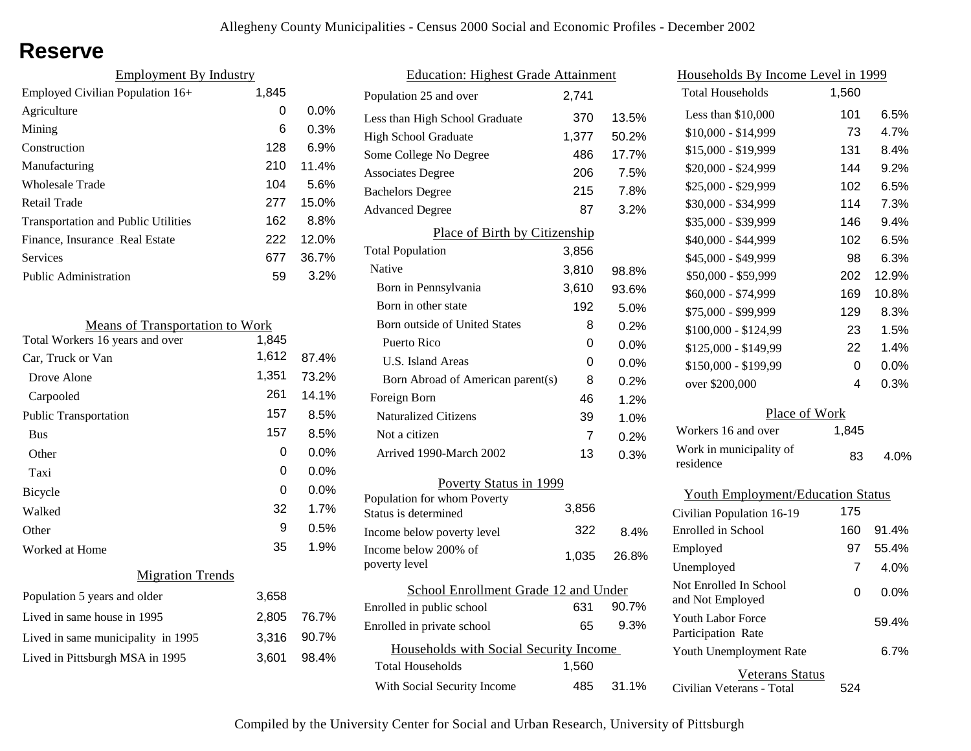### **Reserve**

| <b>Employment By Industry</b>              |       |         |
|--------------------------------------------|-------|---------|
| Employed Civilian Population 16+           | 1,845 |         |
| Agriculture                                | 0     | $0.0\%$ |
| Mining                                     | 6     | 0.3%    |
| Construction                               | 128   | 6.9%    |
| Manufacturing                              | 210   | 11.4%   |
| Wholesale Trade                            | 104   | 5.6%    |
| Retail Trade                               | 277   | 15.0%   |
| <b>Transportation and Public Utilities</b> | 162   | 8.8%    |
| Finance, Insurance Real Estate             | 222   | 12.0%   |
| Services                                   | 677   | 36.7%   |
| <b>Public Administration</b>               | 59    | 3.2%    |

| <b>Means of Transportation to Work</b> |       |       |
|----------------------------------------|-------|-------|
| Total Workers 16 years and over        | 1,845 |       |
| Car, Truck or Van                      | 1,612 | 87.4% |
| Drove Alone                            | 1,351 | 73.2% |
| Carpooled                              | 261   | 14.1% |
| <b>Public Transportation</b>           | 157   | 8.5%  |
| <b>Bus</b>                             | 157   | 8.5%  |
| Other                                  | 0     | 0.0%  |
| Taxi                                   | 0     | 0.0%  |
| Bicycle                                | 0     | 0.0%  |
| Walked                                 | 32    | 1.7%  |
| Other                                  | 9     | 0.5%  |
| Worked at Home                         | 35    | 1.9%  |
| <b>Migration Trends</b>                |       |       |
| Population 5 years and older           | 3,658 |       |
| Lived in same house in 1995            | 2,805 | 76.7% |
| Lived in same municipality in 1995     | 3,316 | 90.7% |
| Lived in Pittsburgh MSA in 1995        | 3,601 | 98.4% |
|                                        |       |       |

| <b>Education: Highest Grade Attainment</b>          |                |       |
|-----------------------------------------------------|----------------|-------|
| Population 25 and over                              | 2,741          |       |
| Less than High School Graduate                      | 370            | 13.5% |
| <b>High School Graduate</b>                         | 1,377          | 50.2% |
| Some College No Degree                              | 486            | 17.7% |
| <b>Associates Degree</b>                            | 206            | 7.5%  |
| <b>Bachelors Degree</b>                             | 215            | 7.8%  |
| <b>Advanced Degree</b>                              | 87             | 3.2%  |
| Place of Birth by Citizenship                       |                |       |
| <b>Total Population</b>                             | 3,856          |       |
| Native                                              | 3.810          | 98.8% |
| Born in Pennsylvania                                | 3,610          | 93.6% |
| Born in other state                                 | 192            | 5.0%  |
| <b>Born outside of United States</b>                | 8              | 0.2%  |
| Puerto Rico                                         | 0              | 0.0%  |
| U.S. Island Areas                                   | 0              | 0.0%  |
| Born Abroad of American parent(s)                   | 8              | 0.2%  |
| Foreign Born                                        | 46             | 1.2%  |
| <b>Naturalized Citizens</b>                         | 39             | 1.0%  |
| Not a citizen                                       | $\overline{7}$ | 0.2%  |
| Arrived 1990-March 2002                             | 13             | 0.3%  |
| Poverty Status in 1999                              |                |       |
| Population for whom Poverty<br>Status is determined | 3,856          |       |
| Income below poverty level                          | 322            | 8.4%  |
| Income below 200% of<br>poverty level               | 1,035          | 26.8% |
| School Enrollment Grade 12 and Under                |                |       |
| Enrolled in public school                           | 631            | 90.7% |
| Enrolled in private school                          | 65             | 9.3%  |
| Households with Social Security Income              |                |       |
| <b>Total Households</b>                             | 1,560          |       |
| With Social Security Income                         | 485            | 31.1% |

| <u>Households By Income Level in 1999</u>  |       |         |
|--------------------------------------------|-------|---------|
| <b>Total Households</b>                    | 1,560 |         |
| Less than \$10,000                         | 101   | 6.5%    |
| $$10,000 - $14,999$                        | 73    | 4.7%    |
| \$15,000 - \$19,999                        | 131   | 8.4%    |
| \$20,000 - \$24,999                        | 144   | 9.2%    |
| \$25,000 - \$29,999                        | 102   | 6.5%    |
| \$30,000 - \$34,999                        | 114   | 7.3%    |
| \$35,000 - \$39,999                        | 146   | 9.4%    |
| \$40,000 - \$44,999                        | 102   | 6.5%    |
| \$45,000 - \$49,999                        | 98    | 6.3%    |
| \$50,000 - \$59,999                        | 202   | 12.9%   |
| \$60,000 - \$74,999                        | 169   | 10.8%   |
| \$75,000 - \$99,999                        | 129   | 8.3%    |
| \$100,000 - \$124,99                       | 23    | 1.5%    |
| \$125,000 - \$149,99                       | 22    | 1.4%    |
| \$150,000 - \$199,99                       | 0     | $0.0\%$ |
| over \$200,000                             | 4     | 0.3%    |
| Place of Work                              |       |         |
| Workers 16 and over                        | 1,845 |         |
| Work in municipality of<br>residence       | 83    | 4.0%    |
| <b>Youth Employment/Education Status</b>   |       |         |
| Civilian Population 16-19                  | 175   |         |
| <b>Enrolled</b> in School                  | 160   | 91.4%   |
| Employed                                   | 97    | 55.4%   |
| Unemployed                                 | 7     | 4.0%    |
| Not Enrolled In School<br>and Not Employed | 0     | $0.0\%$ |
| <b>Youth Labor Force</b>                   |       | 59.4%   |

Civilian Veterans - Total

Youth Unemployment Rate

Participation Rate

Veterans Status

524

6.7%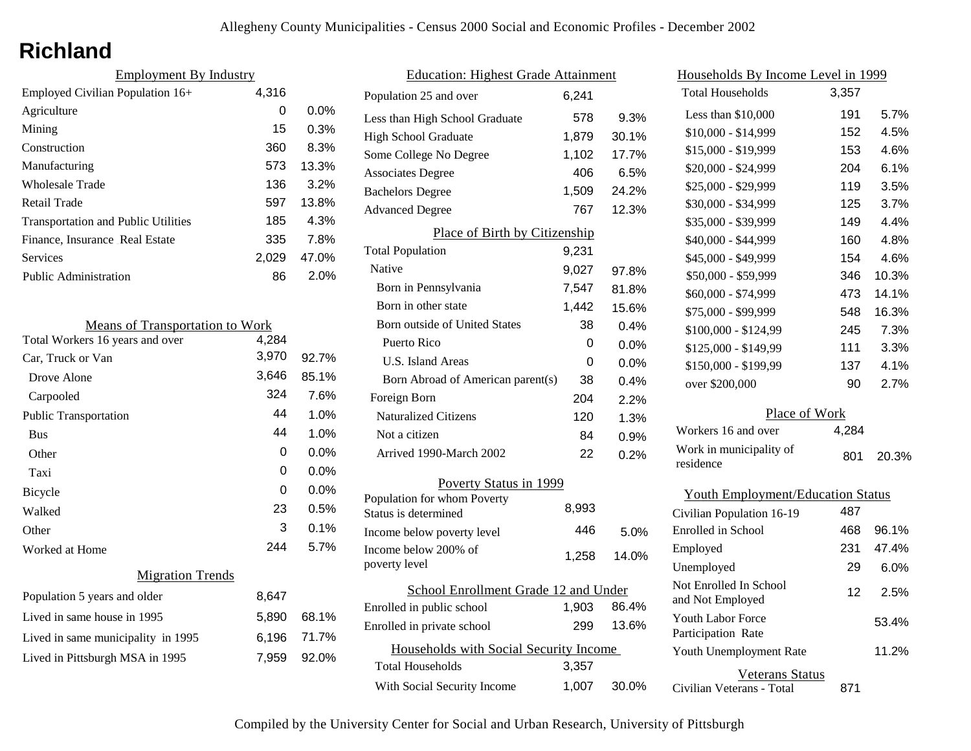## **Richland**

| <b>Employment By Industry</b> |         |
|-------------------------------|---------|
| 4,316                         |         |
| 0                             | $0.0\%$ |
| 15                            | 0.3%    |
| 360                           | 8.3%    |
| 573                           | 13.3%   |
| 136                           | 3.2%    |
| 597                           | 13.8%   |
| 185                           | 4.3%    |
| 335                           | 7.8%    |
| 2.029                         | 47.0%   |
| 86                            | 2.0%    |
|                               |         |

| <b>Means of Transportation to Work</b> |       |       |
|----------------------------------------|-------|-------|
| Total Workers 16 years and over        | 4,284 |       |
| Car, Truck or Van                      | 3,970 | 92.7% |
| Drove Alone                            | 3,646 | 85.1% |
| Carpooled                              | 324   | 7.6%  |
| <b>Public Transportation</b>           | 44    | 1.0%  |
| <b>Bus</b>                             | 44    | 1.0%  |
| Other                                  | 0     | 0.0%  |
| Taxi                                   | 0     | 0.0%  |
| Bicycle                                | 0     | 0.0%  |
| Walked                                 | 23    | 0.5%  |
| Other                                  | 3     | 0.1%  |
| Worked at Home                         | 244   | 5.7%  |
| <b>Migration Trends</b>                |       |       |
| Population 5 years and older           | 8,647 |       |
| Lived in same house in 1995            | 5,890 | 68.1% |
| Lived in same municipality in 1995     | 6,196 | 71.7% |
| Lived in Pittsburgh MSA in 1995        | 7,959 | 92.0% |
|                                        |       |       |

| <b>Education: Highest Grade Attainment</b> |       |         |
|--------------------------------------------|-------|---------|
| Population 25 and over                     | 6,241 |         |
| Less than High School Graduate             | 578   | 9.3%    |
| <b>High School Graduate</b>                | 1,879 | 30.1%   |
| Some College No Degree                     | 1,102 | 17.7%   |
| <b>Associates Degree</b>                   | 406   | 6.5%    |
| <b>Bachelors Degree</b>                    | 1,509 | 24.2%   |
| <b>Advanced Degree</b>                     | 767   | 12.3%   |
| Place of Birth by Citizenship              |       |         |
| <b>Total Population</b>                    | 9,231 |         |
| <b>Native</b>                              | 9,027 | 97.8%   |
| Born in Pennsylvania                       | 7,547 | 81.8%   |
| Born in other state                        | 1,442 | 15.6%   |
| Born outside of United States              | 38    | 0.4%    |
| Puerto Rico                                | 0     | $0.0\%$ |
| U.S. Island Areas                          | 0     | $0.0\%$ |
| Born Abroad of American parent(s)          | 38    | 0.4%    |
| Foreign Born                               | 204   | 2.2%    |
| <b>Naturalized Citizens</b>                | 120   | 1.3%    |
| Not a citizen                              | 84    | 0.9%    |
| Arrived 1990-March 2002                    | 22    | 0.2%    |
| Poverty Status in 1999                     |       |         |
| Population for whom Poverty                | 8,993 |         |
| Status is determined                       |       |         |
| Income below poverty level                 | 446   | 5.0%    |
| Income below 200% of<br>poverty level      | 1,258 | 14.0%   |
|                                            |       |         |
| School Enrollment Grade 12 and Under       |       |         |
| Enrolled in public school                  | 1,903 | 86.4%   |
| Enrolled in private school                 | 299   | 13.6%   |
| Households with Social Security Income     |       |         |
| Total Households                           | 3.357 |         |
| With Social Security Income                | 1,007 | 30.0%   |

| Households By Income Level in 1999             |       |       |
|------------------------------------------------|-------|-------|
| <b>Total Households</b>                        | 3,357 |       |
| Less than \$10,000                             | 191   | 5.7%  |
| $$10,000 - $14,999$                            | 152   | 4.5%  |
| \$15,000 - \$19,999                            | 153   | 4.6%  |
| \$20,000 - \$24,999                            | 204   | 6.1%  |
| \$25,000 - \$29,999                            | 119   | 3.5%  |
| \$30,000 - \$34,999                            | 125   | 3.7%  |
| \$35,000 - \$39,999                            | 149   | 4.4%  |
| \$40,000 - \$44,999                            | 160   | 4.8%  |
| \$45,000 - \$49,999                            | 154   | 4.6%  |
| \$50,000 - \$59,999                            | 346   | 10.3% |
| \$60,000 - \$74,999                            | 473   | 14.1% |
| \$75,000 - \$99,999                            | 548   | 16.3% |
| \$100,000 - \$124,99                           | 245   | 7.3%  |
| \$125,000 - \$149,99                           | 111   | 3.3%  |
| \$150,000 - \$199,99                           | 137   | 4.1%  |
| over \$200,000                                 | 90    | 2.7%  |
| Place of Work                                  |       |       |
| Workers 16 and over                            | 4,284 |       |
| Work in municipality of<br>residence           | 801   | 20.3% |
| <b>Youth Employment/Education Status</b>       |       |       |
| Civilian Population 16-19                      | 487   |       |
| Enrolled in School                             | 468   | 96.1% |
| Employed                                       | 231   | 47.4% |
| Unemployed                                     | 29    | 6.0%  |
| Not Enrolled In School<br>and Not Employed     | 12    | 2.5%  |
| <b>Youth Labor Force</b><br>Participation Rate |       | 53.4% |
| Youth Unemployment Rate                        |       | 11.2% |

Veterans Status

Civilian Veterans - Total 871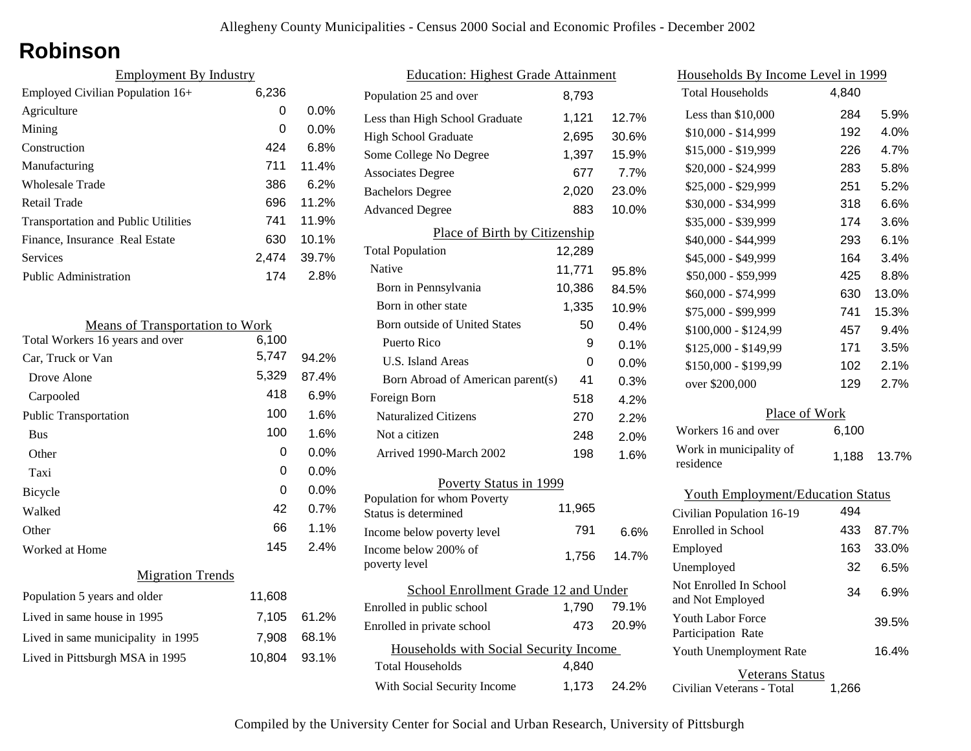### **Robinson**

| <b>Employment By Industry</b>              |       |         |
|--------------------------------------------|-------|---------|
| Employed Civilian Population 16+           | 6,236 |         |
| Agriculture                                | 0     | $0.0\%$ |
| Mining                                     | 0     | $0.0\%$ |
| Construction                               | 424   | 6.8%    |
| Manufacturing                              | 711   | 11.4%   |
| Wholesale Trade                            | 386   | 6.2%    |
| Retail Trade                               | 696   | 11.2%   |
| <b>Transportation and Public Utilities</b> | 741   | 11.9%   |
| Finance, Insurance Real Estate             | 630   | 10.1%   |
| Services                                   | 2.474 | 39.7%   |
| <b>Public Administration</b>               | 174   | 2.8%    |

| <b>Means of Transportation to Work</b> |        |          |
|----------------------------------------|--------|----------|
| Total Workers 16 years and over        | 6,100  |          |
| Car, Truck or Van                      | 5,747  | $94.2\%$ |
| Drove Alone                            | 5,329  | 87.4%    |
| Carpooled                              | 418    | 6.9%     |
| <b>Public Transportation</b>           | 100    | 1.6%     |
| <b>Bus</b>                             | 100    | 1.6%     |
| Other                                  | 0      | $0.0\%$  |
| Taxi                                   | 0      | $0.0\%$  |
| <b>Bicycle</b>                         | 0      | $0.0\%$  |
| Walked                                 | 42     | 0.7%     |
| Other                                  | 66     | 1.1%     |
| Worked at Home                         | 145    | 2.4%     |
| <b>Migration Trends</b>                |        |          |
| Population 5 years and older           | 11,608 |          |
| Lived in same house in 1995            | 7,105  | 61.2%    |
| Lived in same municipality in 1995     | 7,908  | 68.1%    |
| Lived in Pittsburgh MSA in 1995        | 10,804 | 93.1%    |
|                                        |        |          |

| <b>Education: Highest Grade Attainment</b>          |        |         |
|-----------------------------------------------------|--------|---------|
| Population 25 and over                              | 8,793  |         |
| Less than High School Graduate                      | 1,121  | 12.7%   |
| <b>High School Graduate</b>                         | 2,695  | 30.6%   |
| Some College No Degree                              | 1,397  | 15.9%   |
| <b>Associates Degree</b>                            | 677    | 7.7%    |
| <b>Bachelors Degree</b>                             | 2,020  | 23.0%   |
| <b>Advanced Degree</b>                              | 883    | 10.0%   |
| Place of Birth by Citizenship                       |        |         |
| <b>Total Population</b>                             | 12,289 |         |
| Native                                              | 11,771 | 95.8%   |
| Born in Pennsylvania                                | 10,386 | 84.5%   |
| Born in other state                                 | 1,335  | 10.9%   |
| Born outside of United States                       | 50     | 0.4%    |
| Puerto Rico                                         | 9      | 0.1%    |
| U.S. Island Areas                                   | 0      | $0.0\%$ |
| Born Abroad of American parent(s)                   | 41     | 0.3%    |
| Foreign Born                                        | 518    | 4.2%    |
| Naturalized Citizens                                | 270    | 2.2%    |
| Not a citizen                                       | 248    | 2.0%    |
| Arrived 1990-March 2002                             | 198    | 1.6%    |
| <b>Poverty Status in 1999</b>                       |        |         |
| Population for whom Poverty<br>Status is determined | 11,965 |         |
| Income below poverty level                          | 791    | 6.6%    |
| Income below 200% of<br>poverty level               | 1,756  | 14.7%   |
| School Enrollment Grade 12 and Under                |        |         |
| Enrolled in public school                           | 1,790  | 79.1%   |
| Enrolled in private school                          | 473    | 20.9%   |
| Households with Social Security Income              |        |         |
| <b>Total Households</b>                             | 4,840  |         |
| With Social Security Income                         | 1,173  | 24.2%   |

| Households By Income Level in 1999       |       |       |  |
|------------------------------------------|-------|-------|--|
| <b>Total Households</b>                  | 4,840 |       |  |
| Less than \$10,000                       | 284   | 5.9%  |  |
| \$10,000 - \$14,999                      | 192   | 4.0%  |  |
| \$15,000 - \$19,999                      | 226   | 4.7%  |  |
| \$20,000 - \$24,999                      | 283   | 5.8%  |  |
| \$25,000 - \$29,999                      | 251   | 5.2%  |  |
| \$30,000 - \$34,999                      | 318   | 6.6%  |  |
| \$35,000 - \$39,999                      | 174   | 3.6%  |  |
| \$40,000 - \$44,999                      | 293   | 6.1%  |  |
| \$45,000 - \$49,999                      | 164   | 3.4%  |  |
| \$50,000 - \$59,999                      | 425   | 8.8%  |  |
| \$60,000 - \$74,999                      | 630   | 13.0% |  |
| \$75,000 - \$99,999                      | 741   | 15.3% |  |
| \$100,000 - \$124,99                     | 457   | 9.4%  |  |
| \$125,000 - \$149,99                     | 171   | 3.5%  |  |
| \$150,000 - \$199,99                     | 102   | 2.1%  |  |
| over \$200,000                           | 129   | 2.7%  |  |
| Place of Work                            |       |       |  |
| Workers 16 and over                      | 6,100 |       |  |
| Work in municipality of                  | 1,188 | 13.7% |  |
| residence                                |       |       |  |
| <b>Youth Employment/Education Status</b> |       |       |  |
| Civilian Population 16-19                | 494   |       |  |
| <b>Enrolled</b> in School                | 433   | 87.7% |  |
| Employed                                 | 163   | 33.0% |  |
| Unemployed                               | 32    | 6.5%  |  |

| Employed                                     | 163 | 33.0% |
|----------------------------------------------|-----|-------|
| Unemployed                                   | 32  | 6.5%  |
| Not Enrolled In School<br>and Not Employed   | 34  | 6.9%  |
| Youth Labor Force<br>Participation Rate      |     | 39.5% |
| Youth Unemployment Rate                      |     | 16.4% |
| Veterans Status<br>Civilian Veterans - Total |     |       |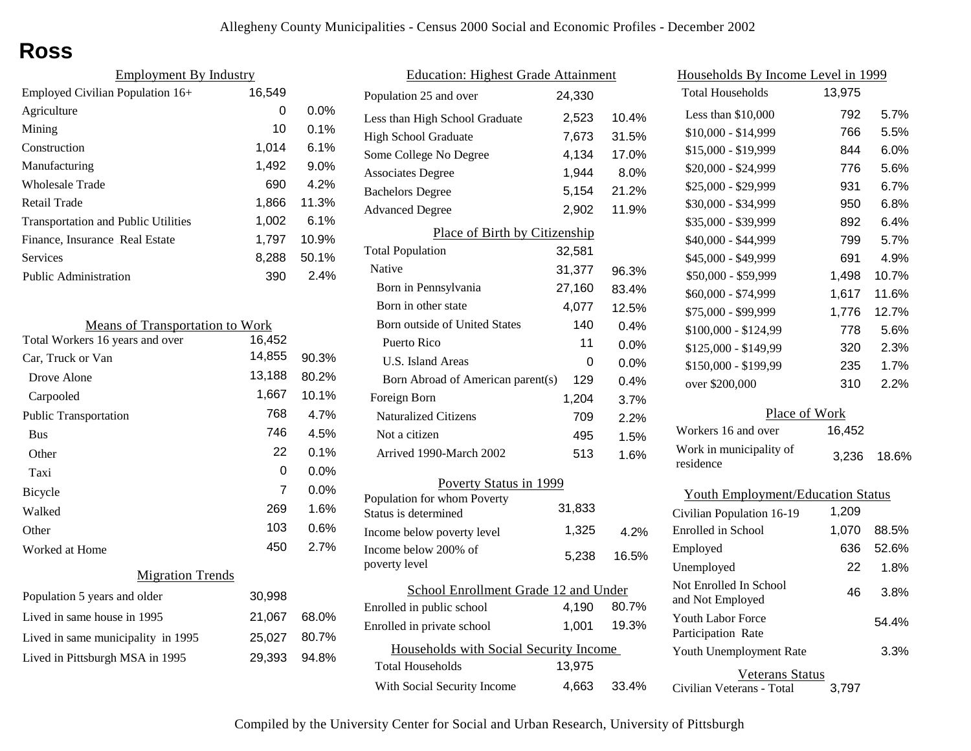# **Ross**

| <b>Employment By Industry</b>              |        |         |
|--------------------------------------------|--------|---------|
| Employed Civilian Population 16+           | 16,549 |         |
| Agriculture                                | 0      | $0.0\%$ |
| Mining                                     | 10     | $0.1\%$ |
| Construction                               | 1,014  | $6.1\%$ |
| Manufacturing                              | 1,492  | 9.0%    |
| Wholesale Trade                            | 690    | 4.2%    |
| Retail Trade                               | 1,866  | 11.3%   |
| <b>Transportation and Public Utilities</b> | 1,002  | 6.1%    |
| Finance, Insurance Real Estate             | 1,797  | 10.9%   |
| Services                                   | 8,288  | 50.1%   |
| Public Administration                      | 390    | 2.4%    |

| <b>Means of Transportation to Work</b> |        |         |
|----------------------------------------|--------|---------|
| Total Workers 16 years and over        | 16,452 |         |
| Car, Truck or Van                      | 14,855 | 90.3%   |
| Drove Alone                            | 13,188 | 80.2%   |
| Carpooled                              | 1,667  | 10.1%   |
| <b>Public Transportation</b>           | 768    | 4.7%    |
| <b>Bus</b>                             | 746    | 4.5%    |
| Other                                  | 22     | 0.1%    |
| Taxi                                   | 0      | $0.0\%$ |
| <b>Bicycle</b>                         | 7      | $0.0\%$ |
| Walked                                 | 269    | 1.6%    |
| Other                                  | 103    | 0.6%    |
| Worked at Home                         | 450    | 2.7%    |
| <b>Migration Trends</b>                |        |         |
| Population 5 years and older           | 30,998 |         |
| Lived in same house in 1995            | 21,067 | 68.0%   |
| Lived in same municipality in 1995     | 25,027 | 80.7%   |
|                                        |        |         |

Lived in Pittsburgh MSA in 1995 29,393 94.8%

| <b>Education: Highest Grade Attainment</b>          |        |       |
|-----------------------------------------------------|--------|-------|
| Population 25 and over                              | 24,330 |       |
| Less than High School Graduate                      | 2,523  | 10.4% |
| <b>High School Graduate</b>                         | 7,673  | 31.5% |
| Some College No Degree                              | 4,134  | 17.0% |
| <b>Associates Degree</b>                            | 1,944  | 8.0%  |
| <b>Bachelors Degree</b>                             | 5,154  | 21.2% |
| <b>Advanced Degree</b>                              | 2,902  | 11.9% |
| Place of Birth by Citizenship                       |        |       |
| <b>Total Population</b>                             | 32,581 |       |
| Native                                              | 31,377 | 96.3% |
| Born in Pennsylvania                                | 27,160 | 83.4% |
| Born in other state                                 | 4,077  | 12.5% |
| <b>Born outside of United States</b>                | 140    | 0.4%  |
| Puerto Rico                                         | 11     | 0.0%  |
| <b>U.S. Island Areas</b>                            | 0      | 0.0%  |
| Born Abroad of American parent(s)                   | 129    | 0.4%  |
| Foreign Born                                        | 1,204  | 3.7%  |
| <b>Naturalized Citizens</b>                         | 709    | 2.2%  |
| Not a citizen                                       | 495    | 1.5%  |
| Arrived 1990-March 2002                             | 513    | 1.6%  |
| Poverty Status in 1999                              |        |       |
| Population for whom Poverty<br>Status is determined | 31,833 |       |
| Income below poverty level                          | 1,325  | 4.2%  |
| Income below 200% of<br>poverty level               | 5,238  | 16.5% |
| School Enrollment Grade 12 and Under                |        |       |
| Enrolled in public school                           | 4,190  | 80.7% |
| Enrolled in private school                          | 1,001  | 19.3% |
| Households with Social Security Income              |        |       |
| <b>Total Households</b>                             | 13,975 |       |
| With Social Security Income                         | 4,663  | 33.4% |

| Households By Income Level in 1999         |        |         |
|--------------------------------------------|--------|---------|
| <b>Total Households</b>                    | 13,975 |         |
| Less than $$10,000$                        | 792    | 5.7%    |
| \$10,000 - \$14,999                        | 766    | 5.5%    |
| \$15,000 - \$19,999                        | 844    | 6.0%    |
| \$20,000 - \$24,999                        | 776    | 5.6%    |
| \$25,000 - \$29,999                        | 931    | 6.7%    |
| \$30,000 - \$34,999                        | 950    | $6.8\%$ |
| \$35,000 - \$39,999                        | 892    | 6.4%    |
| \$40,000 - \$44,999                        | 799    | 5.7%    |
| \$45,000 - \$49,999                        | 691    | 4.9%    |
| \$50,000 - \$59,999                        | 1,498  | 10.7%   |
| \$60,000 - \$74,999                        | 1,617  | 11.6%   |
| \$75,000 - \$99,999                        | 1,776  | 12.7%   |
| \$100,000 - \$124,99                       | 778    | 5.6%    |
| \$125,000 - \$149,99                       | 320    | 2.3%    |
| \$150,000 - \$199,99                       | 235    | 1.7%    |
| over \$200,000                             | 310    | 2.2%    |
| Place of Work                              |        |         |
| Workers 16 and over                        | 16,452 |         |
| Work in municipality of<br>residence       | 3,236  | 18.6%   |
| <b>Youth Employment/Education Status</b>   |        |         |
| Civilian Population 16-19                  | 1,209  |         |
| Enrolled in School                         | 1,070  | 88.5%   |
| Employed                                   | 636    | 52.6%   |
| Unemployed                                 | 22     | 1.8%    |
| Not Enrolled In School<br>and Not Employed | 46     | 3.8%    |
| Youth Labor Force<br>Participation Rate    |        | 54.4%   |
| Youth Unemployment Rate                    |        | 3.3%    |

#### Veterans Status

Civilian Veterans - Total 3,797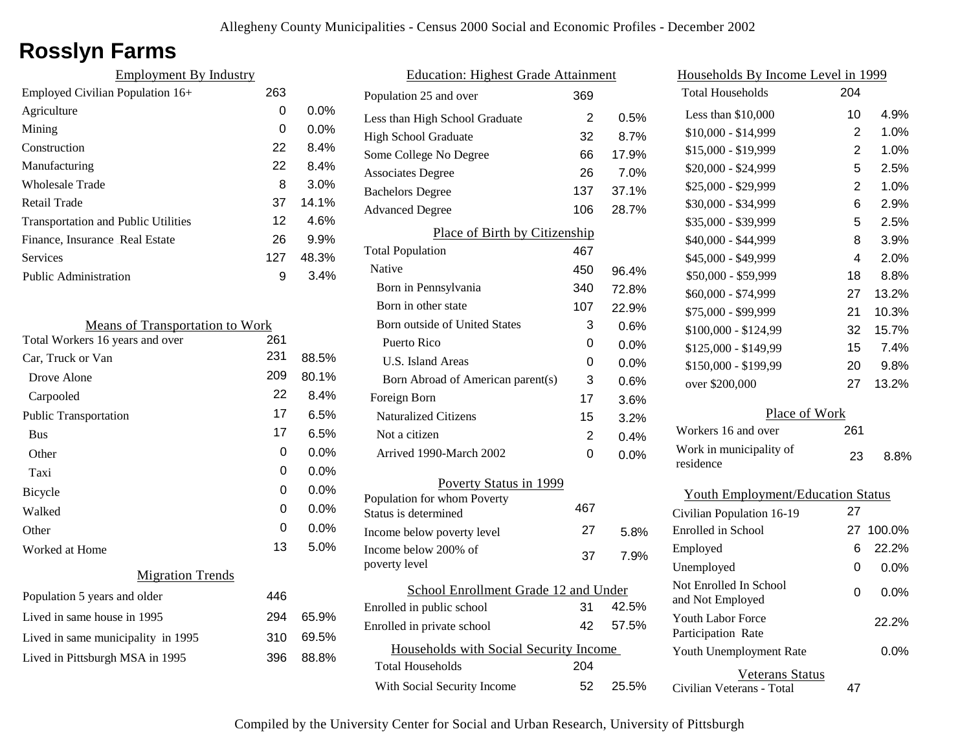# **Rosslyn Farms**

| <b>Employment By Industry</b>              |     |         |
|--------------------------------------------|-----|---------|
| Employed Civilian Population 16+           | 263 |         |
| Agriculture                                | 0   | $0.0\%$ |
| Mining                                     | 0   | $0.0\%$ |
| Construction                               | 22  | 8.4%    |
| Manufacturing                              | 22  | 8.4%    |
| Wholesale Trade                            | 8   | 3.0%    |
| Retail Trade                               | 37  | 14.1%   |
| <b>Transportation and Public Utilities</b> | 12  | 4.6%    |
| Finance, Insurance Real Estate             | 26  | 9.9%    |
| Services                                   | 127 | 48.3%   |
| <b>Public Administration</b>               | 9   | 3.4%    |
|                                            |     |         |

| <b>Means of Transportation to Work</b> |     |         |
|----------------------------------------|-----|---------|
| Total Workers 16 years and over        | 261 |         |
| Car, Truck or Van                      | 231 | 88.5%   |
| Drove Alone                            | 209 | 80.1%   |
| Carpooled                              | 22  | 8.4%    |
| <b>Public Transportation</b>           | 17  | 6.5%    |
| <b>Bus</b>                             | 17  | 6.5%    |
| Other                                  | 0   | 0.0%    |
| Taxi                                   | 0   | 0.0%    |
| <b>Bicycle</b>                         | 0   | $0.0\%$ |
| Walked                                 | 0   | $0.0\%$ |
| Other                                  | 0   | 0.0%    |
| Worked at Home                         | 13  | 5.0%    |
| <b>Migration Trends</b>                |     |         |
| Population 5 years and older           | 446 |         |
| Lived in same house in 1995            | 294 | 65.9%   |
| Lived in same municipality in 1995     | 310 | 69.5%   |
| Lived in Pittsburgh MSA in 1995        | 396 | 88.8%   |
|                                        |     |         |

| <b>Education: Highest Grade Attainment</b> |                |         |
|--------------------------------------------|----------------|---------|
| Population 25 and over                     | 369            |         |
| Less than High School Graduate             | 2              | 0.5%    |
| <b>High School Graduate</b>                | 32             | 8.7%    |
| Some College No Degree                     | 66             | 17.9%   |
| <b>Associates Degree</b>                   | 26             | 7.0%    |
| <b>Bachelors Degree</b>                    | 137            | 37.1%   |
| <b>Advanced Degree</b>                     | 106            | 28.7%   |
| Place of Birth by Citizenship              |                |         |
| <b>Total Population</b>                    | 467            |         |
| Native                                     | 450            | 96.4%   |
| Born in Pennsylvania                       | 340            | 72.8%   |
| Born in other state                        | 107            | 22.9%   |
| <b>Born outside of United States</b>       | 3              | 0.6%    |
| Puerto Rico                                | 0              | $0.0\%$ |
| U.S. Island Areas                          | 0              | 0.0%    |
| Born Abroad of American parent(s)          | 3              | 0.6%    |
| Foreign Born                               | 17             | 3.6%    |
| <b>Naturalized Citizens</b>                | 15             | 3.2%    |
| Not a citizen                              | $\overline{2}$ | 0.4%    |
| Arrived 1990-March 2002                    | 0              | 0.0%    |
| Poverty Status in 1999                     |                |         |
| Population for whom Poverty                | 467            |         |
| Status is determined                       | 27             |         |
| Income below poverty level                 |                | 5.8%    |
| Income below 200% of<br>poverty level      | 37             | 7.9%    |
| School Enrollment Grade 12 and Under       |                |         |
| Enrolled in public school                  | 31             | 42.5%   |
| Enrolled in private school                 | 42             | 57.5%   |
| Households with Social Security Income     |                |         |
| <b>Total Households</b>                    | 204            |         |
| With Social Security Income                | 52             | 25.5%   |

| Households By Income Level in 1999                  |                |         |
|-----------------------------------------------------|----------------|---------|
| <b>Total Households</b>                             | 204            |         |
| Less than \$10,000                                  | 10             | 4.9%    |
| $$10,000 - $14,999$                                 | 2              | 1.0%    |
| \$15,000 - \$19,999                                 | $\overline{2}$ | 1.0%    |
| \$20,000 - \$24,999                                 | 5              | 2.5%    |
| \$25,000 - \$29,999                                 | $\overline{2}$ | 1.0%    |
| \$30,000 - \$34,999                                 | 6              | 2.9%    |
| \$35,000 - \$39,999                                 | 5              | 2.5%    |
| \$40,000 - \$44,999                                 | 8              | 3.9%    |
| \$45,000 - \$49,999                                 | 4              | 2.0%    |
| \$50,000 - \$59,999                                 | 18             | 8.8%    |
| \$60,000 - \$74,999                                 | 27             | 13.2%   |
| \$75,000 - \$99,999                                 | 21             | 10.3%   |
| \$100,000 - \$124,99                                | 32             | 15.7%   |
| \$125,000 - \$149,99                                | 15             | 7.4%    |
| \$150,000 - \$199,99                                | 20             | 9.8%    |
| over \$200,000                                      | 27             | 13.2%   |
| Place of Work                                       |                |         |
| Workers 16 and over                                 | 261            |         |
| Work in municipality of<br>residence                | 23             | 8.8%    |
| <b>Youth Employment/Education Status</b>            |                |         |
| Civilian Population 16-19                           | 27             |         |
| Enrolled in School                                  | 27             | 100.0%  |
| Employed                                            | 6              | 22.2%   |
| Unemployed                                          | 0              | $0.0\%$ |
| Not Enrolled In School<br>and Not Employed          | 0              | $0.0\%$ |
| Youth Labor Force<br>Participation Rate             |                | 22.2%   |
| Youth Unemployment Rate                             |                | $0.0\%$ |
| <b>Veterans Status</b><br>Civilian Veterans - Total | 47             |         |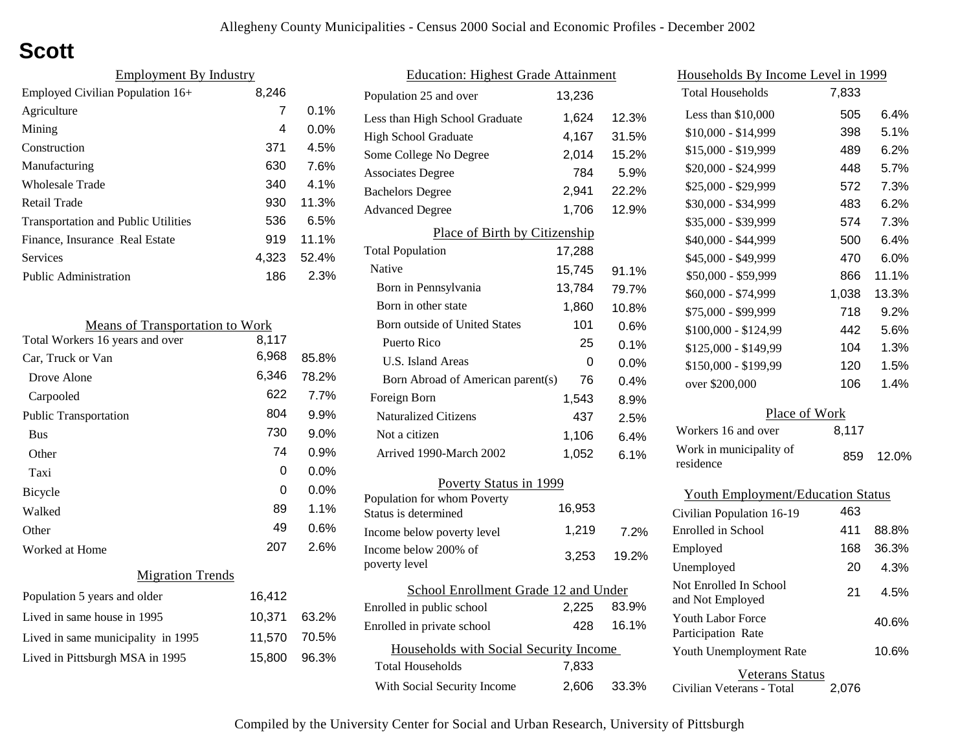# **Scott**

| <b>Employment By Industry</b>              |       |          |
|--------------------------------------------|-------|----------|
| Employed Civilian Population 16+           | 8,246 |          |
| Agriculture                                | 7     | $0.1\%$  |
| Mining                                     | 4     | $0.0\%$  |
| Construction                               | 371   | 4.5%     |
| Manufacturing                              | 630   | 7.6%     |
| Wholesale Trade                            | 340   | $4.1\%$  |
| Retail Trade                               | 930   | 11.3%    |
| <b>Transportation and Public Utilities</b> | 536   | 6.5%     |
| Finance, Insurance Real Estate             | 919   | $11.1\%$ |
| Services                                   | 4,323 | 52.4%    |
| <b>Public Administration</b>               | 186   | 2.3%     |

| <b>Means of Transportation to Work</b> |        |       |
|----------------------------------------|--------|-------|
| Total Workers 16 years and over        | 8,117  |       |
| Car, Truck or Van                      | 6,968  | 85.8% |
| Drove Alone                            | 6,346  | 78.2% |
| Carpooled                              | 622    | 7.7%  |
| <b>Public Transportation</b>           | 804    | 9.9%  |
| <b>Bus</b>                             | 730    | 9.0%  |
| Other                                  | 74     | 0.9%  |
| Taxi                                   | 0      | 0.0%  |
| <b>Bicycle</b>                         | 0      | 0.0%  |
| Walked                                 | 89     | 1.1%  |
| Other                                  | 49     | 0.6%  |
| Worked at Home                         | 207    | 2.6%  |
| <b>Migration Trends</b>                |        |       |
| Population 5 years and older           | 16,412 |       |
| Lived in same house in 1995            | 10,371 | 63.2% |
| Lived in same municipality in 1995     | 11,570 | 70.5% |
| Lived in Pittsburgh MSA in 1995        | 15,800 | 96.3% |
|                                        |        |       |

| <b>Education: Highest Grade Attainment</b>          |        |       |
|-----------------------------------------------------|--------|-------|
| Population 25 and over                              | 13,236 |       |
| Less than High School Graduate                      | 1,624  | 12.3% |
| <b>High School Graduate</b>                         | 4,167  | 31.5% |
| Some College No Degree                              | 2,014  | 15.2% |
| <b>Associates Degree</b>                            | 784    | 5.9%  |
| <b>Bachelors Degree</b>                             | 2,941  | 22.2% |
| <b>Advanced Degree</b>                              | 1,706  | 12.9% |
| Place of Birth by Citizenship                       |        |       |
| <b>Total Population</b>                             | 17,288 |       |
| <b>Native</b>                                       | 15,745 | 91.1% |
| Born in Pennsylvania                                | 13,784 | 79.7% |
| Born in other state                                 | 1,860  | 10.8% |
| <b>Born outside of United States</b>                | 101    | 0.6%  |
| Puerto Rico                                         | 25     | 0.1%  |
| <b>U.S. Island Areas</b>                            | 0      | 0.0%  |
| Born Abroad of American parent(s)                   | 76     | 0.4%  |
| Foreign Born                                        | 1,543  | 8.9%  |
| <b>Naturalized Citizens</b>                         | 437    | 2.5%  |
| Not a citizen                                       | 1,106  | 6.4%  |
| Arrived 1990-March 2002                             | 1,052  | 6.1%  |
| Poverty Status in 1999                              |        |       |
| Population for whom Poverty<br>Status is determined | 16,953 |       |
| Income below poverty level                          | 1,219  | 7.2%  |
| Income below 200% of<br>poverty level               | 3,253  | 19.2% |
| School Enrollment Grade 12 and Under                |        |       |
| Enrolled in public school                           | 2,225  | 83.9% |
| Enrolled in private school                          | 428    | 16.1% |
| Households with Social Security Income              |        |       |
| <b>Total Households</b>                             | 7,833  |       |
| With Social Security Income                         | 2,606  | 33.3% |

| Households By Income Level in 1999         |       |       |
|--------------------------------------------|-------|-------|
| <b>Total Households</b>                    | 7,833 |       |
| Less than \$10,000                         | 505   | 6.4%  |
| $$10,000 - $14,999$                        | 398   | 5.1%  |
| \$15,000 - \$19,999                        | 489   | 6.2%  |
| \$20,000 - \$24,999                        | 448   | 5.7%  |
| \$25,000 - \$29,999                        | 572   | 7.3%  |
| \$30,000 - \$34,999                        | 483   | 6.2%  |
| \$35,000 - \$39,999                        | 574   | 7.3%  |
| \$40,000 - \$44,999                        | 500   | 6.4%  |
| \$45,000 - \$49,999                        | 470   | 6.0%  |
| \$50,000 - \$59,999                        | 866   | 11.1% |
| \$60,000 - \$74,999                        | 1,038 | 13.3% |
| \$75,000 - \$99,999                        | 718   | 9.2%  |
| \$100,000 - \$124,99                       | 442   | 5.6%  |
| \$125,000 - \$149,99                       | 104   | 1.3%  |
| \$150,000 - \$199,99                       | 120   | 1.5%  |
| over \$200,000                             | 106   | 1.4%  |
| Place of Work                              |       |       |
| Workers 16 and over                        | 8,117 |       |
| Work in municipality of<br>residence       | 859   | 12.0% |
| <b>Youth Employment/Education Status</b>   |       |       |
| Civilian Population 16-19                  | 463   |       |
| Enrolled in School                         | 411   | 88.8% |
| Employed                                   | 168   | 36.3% |
| Unemployed                                 | 20    | 4.3%  |
| Not Enrolled In School<br>and Not Employed | 21    | 4.5%  |

Civilian Veterans - Total

Youth Unemployment Rate

Youth Labor Force Participation Rate

Veterans Status

2,076

10.6%

40.6%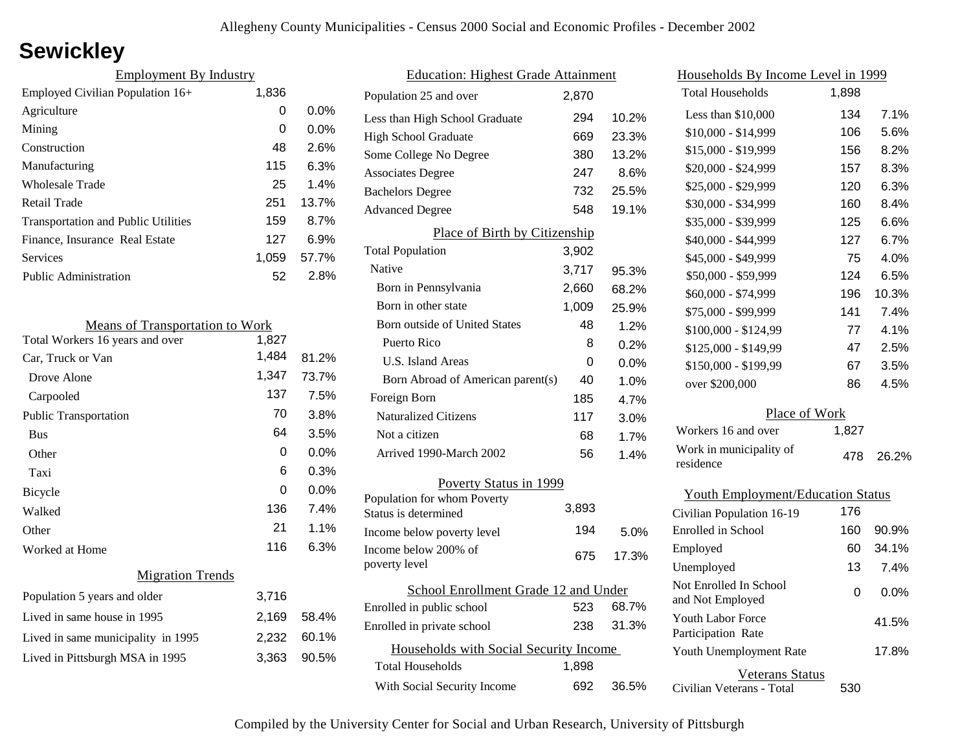### **Sewickley**

| <b>Employment By Industry</b>              |       |         |
|--------------------------------------------|-------|---------|
| Employed Civilian Population 16+           | 1,836 |         |
| Agriculture                                | 0     | $0.0\%$ |
| Mining                                     | 0     | $0.0\%$ |
| Construction                               | 48    | 2.6%    |
| Manufacturing                              | 115   | 6.3%    |
| Wholesale Trade                            | 25    | 1.4%    |
| Retail Trade                               | 251   | 13.7%   |
| <b>Transportation and Public Utilities</b> | 159   | 8.7%    |
| Finance, Insurance Real Estate             | 127   | 6.9%    |
| Services                                   | 1,059 | 57.7%   |
| Public Administration                      | 52    | 2.8%    |

| <b>Means of Transportation to Work</b> |       |       |
|----------------------------------------|-------|-------|
| Total Workers 16 years and over        | 1,827 |       |
| Car, Truck or Van                      | 1,484 | 81.2% |
| Drove Alone                            | 1,347 | 73.7% |
| Carpooled                              | 137   | 7.5%  |
| <b>Public Transportation</b>           | 70    | 3.8%  |
| <b>Bus</b>                             | 64    | 3.5%  |
| Other                                  | 0     | 0.0%  |
| Taxi                                   | 6     | 0.3%  |
| <b>Bicycle</b>                         | 0     | 0.0%  |
| Walked                                 | 136   | 7.4%  |
| Other                                  | 21    | 1.1%  |
| Worked at Home                         | 116   | 6.3%  |
| <b>Migration Trends</b>                |       |       |
| Population 5 years and older           | 3,716 |       |
| Lived in same house in 1995            | 2,169 | 58.4% |
| Lived in same municipality in 1995     | 2,232 | 60.1% |
| Lived in Pittsburgh MSA in 1995        | 3,363 | 90.5% |
|                                        |       |       |

| <b>Education: Highest Grade Attainment</b>          |       |         |
|-----------------------------------------------------|-------|---------|
| Population 25 and over                              | 2,870 |         |
| Less than High School Graduate                      | 294   | 10.2%   |
| <b>High School Graduate</b>                         | 669   | 23.3%   |
| Some College No Degree                              | 380   | 13.2%   |
| <b>Associates Degree</b>                            | 247   | 8.6%    |
| <b>Bachelors Degree</b>                             | 732   | 25.5%   |
| <b>Advanced Degree</b>                              | 548   | 19.1%   |
| Place of Birth by Citizenship                       |       |         |
| <b>Total Population</b>                             | 3,902 |         |
| Native                                              | 3,717 | 95.3%   |
| Born in Pennsylvania                                | 2,660 | 68.2%   |
| Born in other state                                 | 1,009 | 25.9%   |
| Born outside of United States                       | 48    | 1.2%    |
| Puerto Rico                                         | 8     | 0.2%    |
| U.S. Island Areas                                   | 0     | $0.0\%$ |
| Born Abroad of American parent(s)                   | 40    | 1.0%    |
| Foreign Born                                        | 185   | 4.7%    |
| <b>Naturalized Citizens</b>                         | 117   | $3.0\%$ |
| Not a citizen                                       | 68    | 1.7%    |
| Arrived 1990-March 2002                             | 56    | 1.4%    |
| Poverty Status in 1999                              |       |         |
| Population for whom Poverty<br>Status is determined | 3,893 |         |
| Income below poverty level                          | 194   | 5.0%    |
| Income below 200% of                                |       |         |
| poverty level                                       | 675   | 17.3%   |
| School Enrollment Grade 12 and Under                |       |         |
| Enrolled in public school                           | 523   | 68.7%   |
| Enrolled in private school                          | 238   | 31.3%   |
| Households with Social Security Income              |       |         |
| <b>Total Households</b>                             | 1,898 |         |
| With Social Security Income                         | 692   | 36.5%   |

| <u>Households By Income Level in 1999</u>  |       |         |
|--------------------------------------------|-------|---------|
| <b>Total Households</b>                    | 1,898 |         |
| Less than \$10,000                         | 134   | 7.1%    |
| $$10,000 - $14,999$                        | 106   | 5.6%    |
| \$15,000 - \$19,999                        | 156   | 8.2%    |
| \$20,000 - \$24,999                        | 157   | 8.3%    |
| \$25,000 - \$29,999                        | 120   | 6.3%    |
| \$30,000 - \$34,999                        | 160   | 8.4%    |
| \$35,000 - \$39,999                        | 125   | 6.6%    |
| \$40,000 - \$44,999                        | 127   | 6.7%    |
| \$45,000 - \$49,999                        | 75    | 4.0%    |
| \$50,000 - \$59,999                        | 124   | 6.5%    |
| \$60,000 - \$74,999                        | 196   | 10.3%   |
| \$75,000 - \$99,999                        | 141   | 7.4%    |
| \$100,000 - \$124,99                       | 77    | 4.1%    |
| \$125,000 - \$149,99                       | 47    | 2.5%    |
| \$150,000 - \$199,99                       | 67    | 3.5%    |
| over \$200,000                             | 86    | 4.5%    |
| Place of Work                              |       |         |
| Workers 16 and over                        | 1,827 |         |
| Work in municipality of<br>residence       | 478   | 26.2%   |
| <b>Youth Employment/Education Status</b>   |       |         |
| Civilian Population 16-19                  | 176   |         |
| Enrolled in School                         | 160   | 90.9%   |
| Employed                                   | 60    | 34.1%   |
| Unemployed                                 | 13    | 7.4%    |
| Not Enrolled In School<br>and Not Employed | 0     | $0.0\%$ |

Civilian Veterans - Total

Youth Unemployment Rate

Youth Labor Force Participation Rate

Veterans Status

530

17.8%

41.5%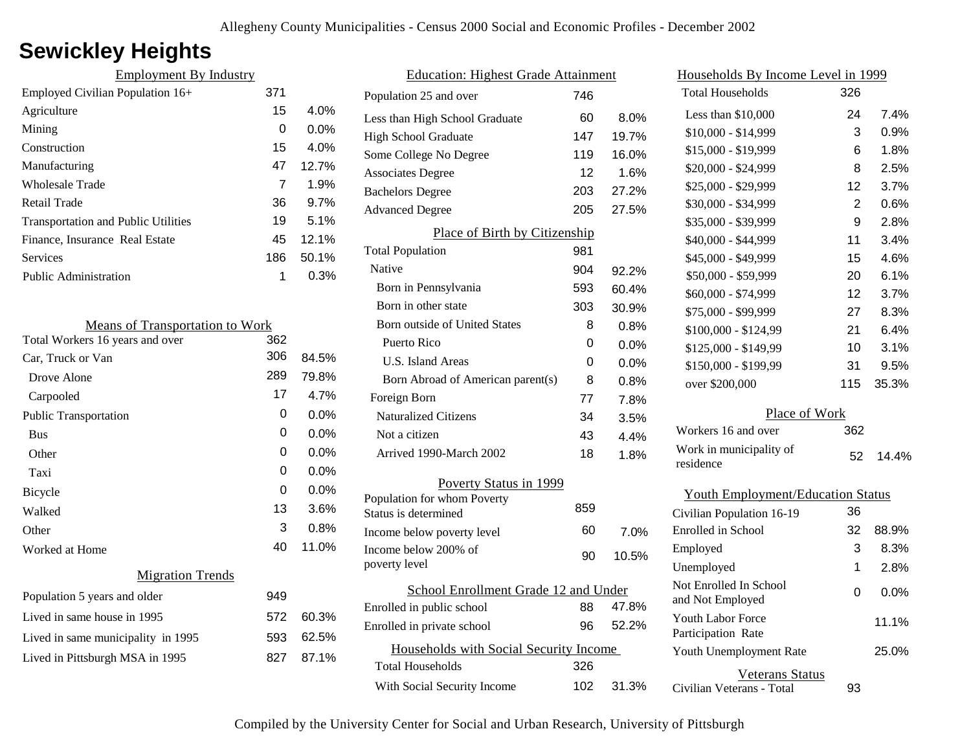# **Sewickley Heights**

| <b>Employment By Industry</b>              |     |         |
|--------------------------------------------|-----|---------|
| Employed Civilian Population 16+           | 371 |         |
| Agriculture                                | 15  | $4.0\%$ |
| Mining                                     | 0   | $0.0\%$ |
| Construction                               | 15  | 4.0%    |
| Manufacturing                              | 47  | 12.7%   |
| Wholesale Trade                            | 7   | 1.9%    |
| Retail Trade                               | 36  | 9.7%    |
| <b>Transportation and Public Utilities</b> | 19  | 5.1%    |
| Finance, Insurance Real Estate             | 45  | 12.1%   |
| Services                                   | 186 | 50.1%   |
| <b>Public Administration</b>               | 1   | 0.3%    |
|                                            |     |         |

| <b>Means of Transportation to Work</b> |     |         |
|----------------------------------------|-----|---------|
| Total Workers 16 years and over        | 362 |         |
| Car, Truck or Van                      | 306 | 84.5%   |
| Drove Alone                            | 289 | 79.8%   |
| Carpooled                              | 17  | 4.7%    |
| <b>Public Transportation</b>           | 0   | 0.0%    |
| <b>Bus</b>                             | 0   | 0.0%    |
| Other                                  | 0   | $0.0\%$ |
| Taxi                                   | 0   | $0.0\%$ |
| Bicycle                                | 0   | $0.0\%$ |
| Walked                                 | 13  | $3.6\%$ |
| Other                                  | 3   | 0.8%    |
| Worked at Home                         | 40  | 11.0%   |
| <b>Migration Trends</b>                |     |         |
| Population 5 years and older           | 949 |         |
| Lived in same house in 1995            | 572 | 60.3%   |
| Lived in same municipality in 1995     | 593 | 62.5%   |
| Lived in Pittsburgh MSA in 1995        | 827 | 87.1%   |
|                                        |     |         |

| <b>Education: Highest Grade Attainment</b>          |     |         |
|-----------------------------------------------------|-----|---------|
| Population 25 and over                              | 746 |         |
| Less than High School Graduate                      | 60  | 8.0%    |
| <b>High School Graduate</b>                         | 147 | 19.7%   |
| Some College No Degree                              | 119 | 16.0%   |
| <b>Associates Degree</b>                            | 12  | 1.6%    |
| <b>Bachelors Degree</b>                             | 203 | 27.2%   |
| <b>Advanced Degree</b>                              | 205 | 27.5%   |
| Place of Birth by Citizenship                       |     |         |
| <b>Total Population</b>                             | 981 |         |
| Native                                              | 904 | 92.2%   |
| Born in Pennsylvania                                | 593 | 60.4%   |
| Born in other state                                 | 303 | 30.9%   |
| <b>Born outside of United States</b>                | 8   | 0.8%    |
| Puerto Rico                                         | 0   | 0.0%    |
| U.S. Island Areas                                   | 0   | 0.0%    |
| Born Abroad of American parent(s)                   | 8   | 0.8%    |
| Foreign Born                                        | 77  | 7.8%    |
| <b>Naturalized Citizens</b>                         | 34  | 3.5%    |
| Not a citizen                                       | 43  | 4.4%    |
| Arrived 1990-March 2002                             | 18  | 1.8%    |
| Poverty Status in 1999                              |     |         |
| Population for whom Poverty<br>Status is determined | 859 |         |
| Income below poverty level                          | 60  | $7.0\%$ |
| Income below 200% of<br>poverty level               | 90  | 10.5%   |
| School Enrollment Grade 12 and Under                |     |         |
| Enrolled in public school                           | 88  | 47.8%   |
| Enrolled in private school                          | 96  | 52.2%   |
| Households with Social Security Income              |     |         |
| <b>Total Households</b>                             | 326 |         |
| With Social Security Income                         | 102 | 31.3%   |

| Households By Income Level in 1999             |     |         |  |
|------------------------------------------------|-----|---------|--|
| <b>Total Households</b>                        | 326 |         |  |
| Less than $$10,000$                            | 24  | 7.4%    |  |
| \$10,000 - \$14,999                            | 3   | 0.9%    |  |
| \$15,000 - \$19,999                            | 6   | 1.8%    |  |
| \$20,000 - \$24,999                            | 8   | 2.5%    |  |
| \$25,000 - \$29,999                            | 12  | 3.7%    |  |
| \$30,000 - \$34,999                            | 2   | 0.6%    |  |
| \$35,000 - \$39,999                            | 9   | 2.8%    |  |
| \$40,000 - \$44,999                            | 11  | 3.4%    |  |
| \$45,000 - \$49,999                            | 15  | 4.6%    |  |
| \$50,000 - \$59,999                            | 20  | 6.1%    |  |
| \$60,000 - \$74,999                            | 12  | 3.7%    |  |
| \$75,000 - \$99,999                            | 27  | 8.3%    |  |
| \$100,000 - \$124,99                           | 21  | 6.4%    |  |
| \$125,000 - \$149,99                           | 10  | 3.1%    |  |
| \$150,000 - \$199,99                           | 31  | 9.5%    |  |
| over \$200,000                                 | 115 | 35.3%   |  |
| Place of Work                                  |     |         |  |
| Workers 16 and over                            | 362 |         |  |
| Work in municipality of<br>residence           | 52  | 14.4%   |  |
| <b>Youth Employment/Education Status</b>       |     |         |  |
| Civilian Population 16-19                      | 36  |         |  |
| Enrolled in School                             | 32  | 88.9%   |  |
| Employed                                       | 3   | 8.3%    |  |
| Unemployed                                     | 1   | 2.8%    |  |
| Not Enrolled In School<br>and Not Employed     | 0   | $0.0\%$ |  |
| <b>Youth Labor Force</b><br>Participation Rate |     | 11.1%   |  |
| Youth Unemployment Rate                        |     | 25.0%   |  |

Civilian Veterans - Total

Veterans Status

93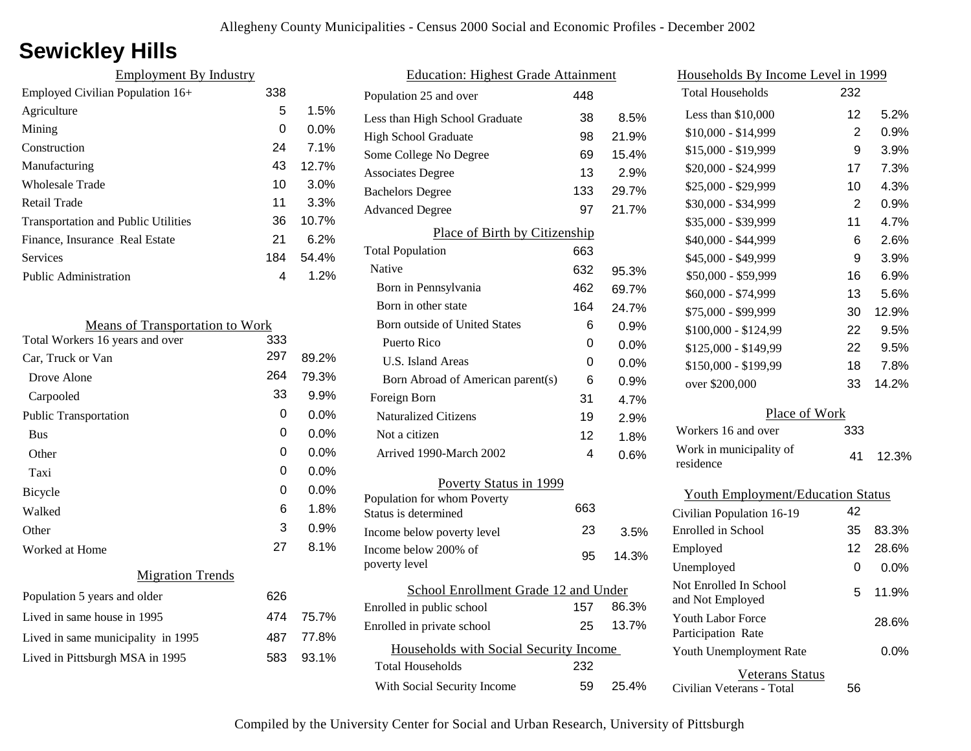# **Sewickley Hills**

| <b>Employment By Industry</b>              |     |         |
|--------------------------------------------|-----|---------|
| Employed Civilian Population $16+$         | 338 |         |
| Agriculture                                | 5   | 1.5%    |
| Mining                                     | 0   | $0.0\%$ |
| Construction                               | 24  | 7.1%    |
| Manufacturing                              | 43  | 12.7%   |
| Wholesale Trade                            | 10  | 3.0%    |
| Retail Trade                               | 11  | 3.3%    |
| <b>Transportation and Public Utilities</b> | 36  | 10.7%   |
| Finance, Insurance Real Estate             | 21  | 6.2%    |
| <b>Services</b>                            | 184 | 54.4%   |
| <b>Public Administration</b>               | 4   | $1.2\%$ |

| <b>Means of Transportation to Work</b> |     |         |
|----------------------------------------|-----|---------|
| Total Workers 16 years and over        | 333 |         |
| Car, Truck or Van                      | 297 | 89.2%   |
| Drove Alone                            | 264 | 79.3%   |
| Carpooled                              | 33  | 9.9%    |
| <b>Public Transportation</b>           | 0   | $0.0\%$ |
| <b>Bus</b>                             | 0   | $0.0\%$ |
| Other                                  | 0   | 0.0%    |
| Taxi                                   | 0   | 0.0%    |
| <b>Bicycle</b>                         | 0   | $0.0\%$ |
| Walked                                 | 6   | 1.8%    |
| Other                                  | 3   | 0.9%    |
| Worked at Home                         | 27  | 8.1%    |
| <b>Migration Trends</b>                |     |         |
| Population 5 years and older           | 626 |         |
| Lived in same house in 1995            | 474 | 75.7%   |
| Lived in same municipality in 1995     | 487 | 77.8%   |
| Lived in Pittsburgh MSA in 1995        | 583 | 93.1%   |
|                                        |     |         |

|                                                     | <b>Education: Highest Grade Attainment</b> |     |       |
|-----------------------------------------------------|--------------------------------------------|-----|-------|
| Population 25 and over                              |                                            | 448 |       |
| Less than High School Graduate                      |                                            | 38  | 8.5%  |
| <b>High School Graduate</b>                         |                                            | 98  | 21.9% |
| Some College No Degree                              |                                            | 69  | 15.4% |
| <b>Associates Degree</b>                            |                                            | 13  | 2.9%  |
| <b>Bachelors Degree</b>                             |                                            | 133 | 29.7% |
| <b>Advanced Degree</b>                              |                                            | 97  | 21.7% |
|                                                     | Place of Birth by Citizenship              |     |       |
| <b>Total Population</b>                             |                                            | 663 |       |
| Native                                              |                                            | 632 | 95.3% |
| Born in Pennsylvania                                |                                            | 462 | 69.7% |
| Born in other state                                 |                                            | 164 | 24.7% |
| Born outside of United States                       |                                            | 6   | 0.9%  |
| Puerto Rico                                         |                                            | 0   | 0.0%  |
| <b>U.S. Island Areas</b>                            |                                            | 0   | 0.0%  |
| Born Abroad of American parent(s)                   |                                            | 6   | 0.9%  |
| Foreign Born                                        |                                            | 31  | 4.7%  |
| <b>Naturalized Citizens</b>                         |                                            | 19  | 2.9%  |
| Not a citizen                                       |                                            | 12  | 1.8%  |
| Arrived 1990-March 2002                             |                                            | 4   | 0.6%  |
|                                                     | Poverty Status in 1999                     |     |       |
| Population for whom Poverty<br>Status is determined |                                            | 663 |       |
| Income below poverty level                          |                                            | 23  | 3.5%  |
| Income below 200% of<br>poverty level               |                                            | 95  | 14.3% |
|                                                     | School Enrollment Grade 12 and Under       |     |       |
| Enrolled in public school                           |                                            | 157 | 86.3% |
| Enrolled in private school                          |                                            | 25  | 13.7% |
|                                                     | Households with Social Security Income     |     |       |
| <b>Total Households</b>                             |                                            | 232 |       |
| With Social Security Income                         |                                            | 59  | 25.4% |
|                                                     |                                            |     |       |

| Households By Income Level in 1999         |     |         |
|--------------------------------------------|-----|---------|
| <b>Total Households</b>                    | 232 |         |
| Less than $$10,000$                        | 12  | 5.2%    |
| \$10,000 - \$14,999                        | 2   | 0.9%    |
| \$15,000 - \$19,999                        | 9   | 3.9%    |
| \$20,000 - \$24,999                        | 17  | 7.3%    |
| \$25,000 - \$29,999                        | 10  | 4.3%    |
| \$30,000 - \$34,999                        | 2   | 0.9%    |
| \$35,000 - \$39,999                        | 11  | 4.7%    |
| \$40,000 - \$44,999                        | 6   | 2.6%    |
| \$45,000 - \$49,999                        | 9   | 3.9%    |
| \$50,000 - \$59,999                        | 16  | 6.9%    |
| \$60,000 - \$74,999                        | 13  | 5.6%    |
| \$75,000 - \$99,999                        | 30  | 12.9%   |
| \$100,000 - \$124,99                       | 22  | 9.5%    |
| \$125,000 - \$149,99                       | 22  | 9.5%    |
| \$150,000 - \$199,99                       | 18  | 7.8%    |
| over \$200,000                             | 33  | 14.2%   |
| Place of Work                              |     |         |
| Workers 16 and over                        | 333 |         |
| Work in municipality of<br>residence       | 41  | 12.3%   |
| <b>Youth Employment/Education Status</b>   |     |         |
| Civilian Population 16-19                  | 42  |         |
| <b>Enrolled</b> in School                  | 35  | 83.3%   |
| Employed                                   | 12  | 28.6%   |
| Unemployed                                 | 0   | 0.0%    |
| Not Enrolled In School<br>and Not Employed | 5   | 11.9%   |
| Youth Labor Force<br>Participation Rate    |     | 28.6%   |
| Youth Unemployment Rate                    |     | $0.0\%$ |
| <b>Veterans Status</b>                     |     |         |

Civilian Veterans - Total

56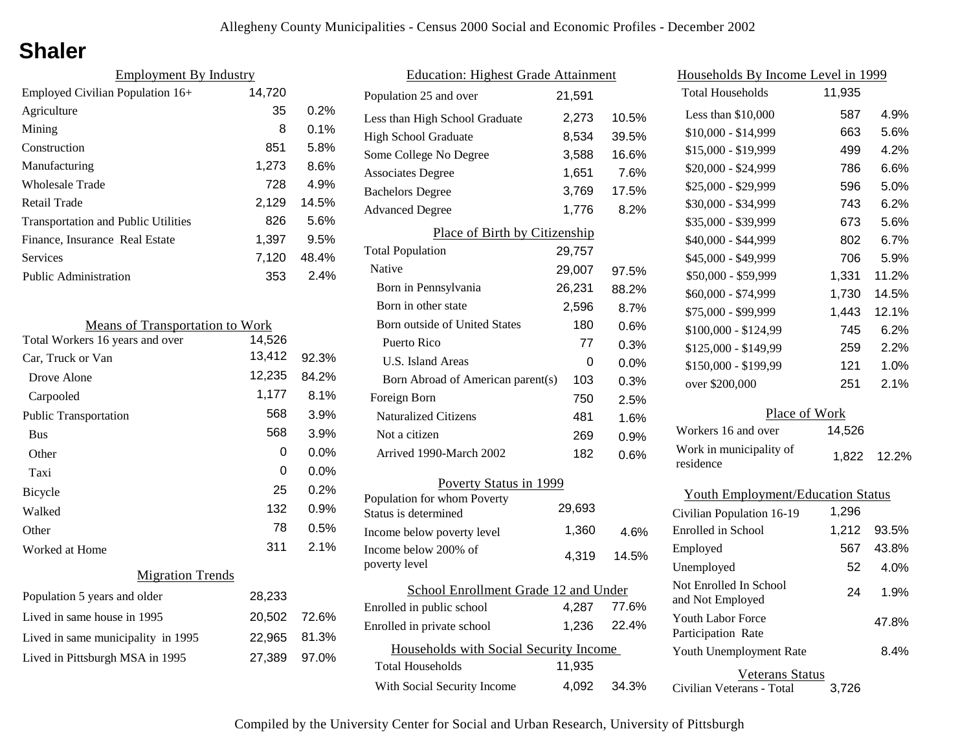# **Shaler**

| <b>Employment By Industry</b>              |        |         |
|--------------------------------------------|--------|---------|
| Employed Civilian Population 16+           | 14,720 |         |
| Agriculture                                | 35     | 0.2%    |
| Mining                                     | 8      | $0.1\%$ |
| Construction                               | 851    | 5.8%    |
| Manufacturing                              | 1,273  | 8.6%    |
| Wholesale Trade                            | 728    | 4.9%    |
| Retail Trade                               | 2,129  | 14.5%   |
| <b>Transportation and Public Utilities</b> | 826    | 5.6%    |
| Finance, Insurance Real Estate             | 1,397  | 9.5%    |
| Services                                   | 7,120  | 48.4%   |
| Public Administration                      | 353    | 2.4%    |

| <b>Means of Transportation to Work</b> |              |         |
|----------------------------------------|--------------|---------|
| Total Workers 16 years and over        | 14,526       |         |
| Car, Truck or Van                      | 13,412       | 92.3%   |
| Drove Alone                            | 12,235       | 84.2%   |
| Carpooled                              | 1,177        | 8.1%    |
| <b>Public Transportation</b>           | 568          | 3.9%    |
| <b>Bus</b>                             | 568          | 3.9%    |
| Other                                  | 0            | $0.0\%$ |
| Taxi                                   | 0            | $0.0\%$ |
| <b>Bicycle</b>                         | 25           | $0.2\%$ |
| Walked                                 | 132          | 0.9%    |
| Other                                  | 78           | 0.5%    |
| Worked at Home                         | 311          | 2.1%    |
| <b>Migration Trends</b>                |              |         |
| Population 5 years and older           | 28,233       |         |
| Lived in same house in 1995            | 20,502 72.6% |         |
| Lived in same municipality in 1995     | 22,965       | 81.3%   |
| Lived in Pittsburgh MSA in 1995        | 27,389       | 97.0%   |

| <b>Education: Highest Grade Attainment</b>          |        |       |
|-----------------------------------------------------|--------|-------|
| Population 25 and over                              | 21,591 |       |
| Less than High School Graduate                      | 2,273  | 10.5% |
| <b>High School Graduate</b>                         | 8,534  | 39.5% |
| Some College No Degree                              | 3,588  | 16.6% |
| <b>Associates Degree</b>                            | 1,651  | 7.6%  |
| <b>Bachelors Degree</b>                             | 3,769  | 17.5% |
| <b>Advanced Degree</b>                              | 1,776  | 8.2%  |
| Place of Birth by Citizenship                       |        |       |
| <b>Total Population</b>                             | 29,757 |       |
| Native                                              | 29,007 | 97.5% |
| Born in Pennsylvania                                | 26,231 | 88.2% |
| Born in other state                                 | 2,596  | 8.7%  |
| <b>Born outside of United States</b>                | 180    | 0.6%  |
| Puerto Rico                                         | 77     | 0.3%  |
| U.S. Island Areas                                   | 0      | 0.0%  |
| Born Abroad of American parent(s)                   | 103    | 0.3%  |
| Foreign Born                                        | 750    | 2.5%  |
| <b>Naturalized Citizens</b>                         | 481    | 1.6%  |
| Not a citizen                                       | 269    | 0.9%  |
| Arrived 1990-March 2002                             | 182    | 0.6%  |
| Poverty Status in 1999                              |        |       |
| Population for whom Poverty<br>Status is determined | 29,693 |       |
| Income below poverty level                          | 1,360  | 4.6%  |
| Income below 200% of<br>poverty level               | 4,319  | 14.5% |
| School Enrollment Grade 12 and Under                |        |       |
| Enrolled in public school                           | 4,287  | 77.6% |
| Enrolled in private school                          | 1,236  | 22.4% |
| Households with Social Security Income              |        |       |
| Total Households                                    | 11,935 |       |
| With Social Security Income                         | 4,092  | 34.3% |

| <u>Households By Income Level in 1999</u>  |        |       |  |
|--------------------------------------------|--------|-------|--|
| <b>Total Households</b>                    | 11,935 |       |  |
| Less than \$10,000                         | 587    | 4.9%  |  |
| $$10,000 - $14,999$                        | 663    | 5.6%  |  |
| \$15,000 - \$19,999                        | 499    | 4.2%  |  |
| \$20,000 - \$24,999                        | 786    | 6.6%  |  |
| \$25,000 - \$29,999                        | 596    | 5.0%  |  |
| \$30,000 - \$34,999                        | 743    | 6.2%  |  |
| \$35,000 - \$39,999                        | 673    | 5.6%  |  |
| \$40,000 - \$44,999                        | 802    | 6.7%  |  |
| \$45,000 - \$49,999                        | 706    | 5.9%  |  |
| \$50,000 - \$59,999                        | 1,331  | 11.2% |  |
| \$60,000 - \$74,999                        | 1,730  | 14.5% |  |
| \$75,000 - \$99,999                        | 1,443  | 12.1% |  |
| \$100,000 - \$124,99                       | 745    | 6.2%  |  |
| \$125,000 - \$149,99                       | 259    | 2.2%  |  |
| \$150,000 - \$199,99                       | 121    | 1.0%  |  |
| over \$200,000                             | 251    | 2.1%  |  |
| Place of Work                              |        |       |  |
| Workers 16 and over                        | 14,526 |       |  |
| Work in municipality of<br>residence       | 1,822  | 12.2% |  |
| <b>Youth Employment/Education Status</b>   |        |       |  |
| Civilian Population 16-19                  | 1,296  |       |  |
| Enrolled in School                         | 1,212  | 93.5% |  |
| Employed                                   | 567    | 43.8% |  |
| Unemployed                                 | 52     | 4.0%  |  |
| Not Enrolled In School<br>and Not Employed | 24     | 1.9%  |  |
| Youth Labor Force                          |        | 47 8% |  |

| Youth Labor Force<br>Participation Rate | 47.8% |
|-----------------------------------------|-------|
| Youth Unemployment Rate                 | 8.4%  |
| Veterans Status                         |       |

Civilian Veterans - Total 3,726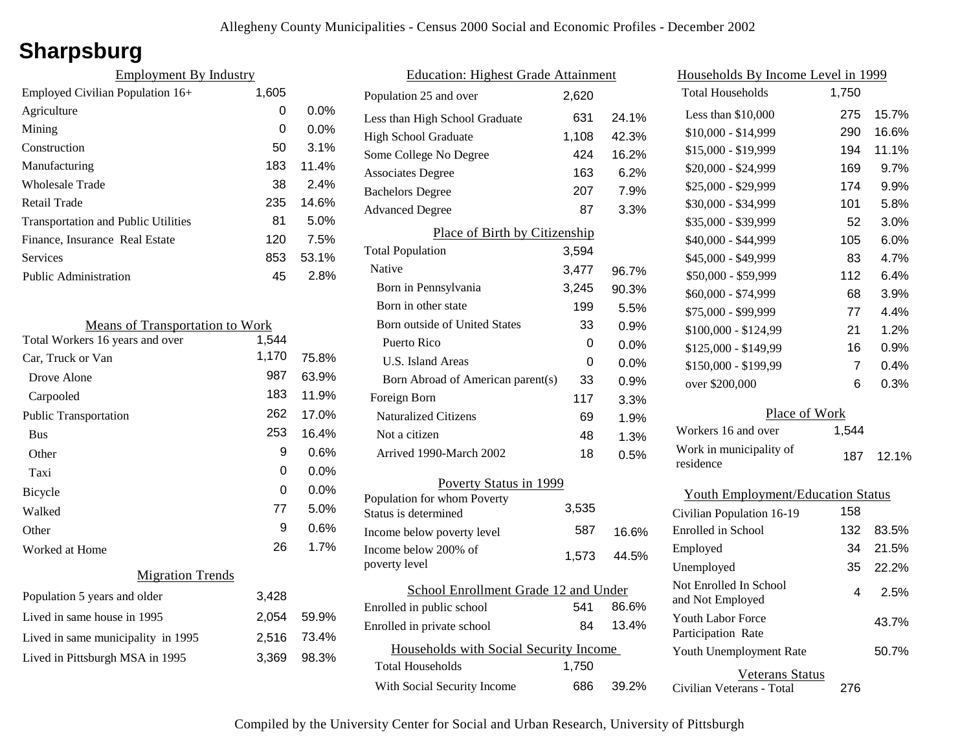## **Sharpsburg**

| <b>Employment By Industry</b>              |       |         |
|--------------------------------------------|-------|---------|
| Employed Civilian Population 16+           | 1,605 |         |
| Agriculture                                | 0     | $0.0\%$ |
| Mining                                     | 0     | $0.0\%$ |
| Construction                               | 50    | 3.1%    |
| Manufacturing                              | 183   | 11.4%   |
| Wholesale Trade                            | 38    | 2.4%    |
| Retail Trade                               | 235   | 14.6%   |
| <b>Transportation and Public Utilities</b> | 81    | 5.0%    |
| Finance, Insurance Real Estate             | 120   | 7.5%    |
| <b>Services</b>                            | 853   | 53.1%   |
| <b>Public Administration</b>               | 45    | 2.8%    |

| <b>Means of Transportation to Work</b> |       |         |
|----------------------------------------|-------|---------|
| Total Workers 16 years and over        | 1,544 |         |
| Car, Truck or Van                      | 1,170 | 75.8%   |
| Drove Alone                            | 987   | 63.9%   |
| Carpooled                              | 183   | 11.9%   |
| Public Transportation                  | 262   | 17.0%   |
| <b>Bus</b>                             | 253   | 16.4%   |
| Other                                  | 9     | 0.6%    |
| Taxi                                   | 0     | 0.0%    |
| Bicycle                                | 0     | $0.0\%$ |
| Walked                                 | 77    | 5.0%    |
| Other                                  | 9     | 0.6%    |
| Worked at Home                         | 26    | 1.7%    |
| <b>Migration Trends</b>                |       |         |
| Population 5 years and older           | 3,428 |         |
| Lived in same house in 1995            | 2,054 | 59.9%   |
| Lived in same municipality in 1995     | 2,516 | 73.4%   |
| Lived in Pittsburgh MSA in 1995        | 3,369 | 98.3%   |
|                                        |       |         |

| <b>Education: Highest Grade Attainment</b>          |       |       |
|-----------------------------------------------------|-------|-------|
| Population 25 and over                              | 2,620 |       |
| Less than High School Graduate                      | 631   | 24.1% |
| <b>High School Graduate</b>                         | 1,108 | 42.3% |
| Some College No Degree                              | 424   | 16.2% |
| <b>Associates Degree</b>                            | 163   | 6.2%  |
| <b>Bachelors Degree</b>                             | 207   | 7.9%  |
| <b>Advanced Degree</b>                              | 87    | 3.3%  |
| Place of Birth by Citizenship                       |       |       |
| <b>Total Population</b>                             | 3,594 |       |
| <b>Native</b>                                       | 3,477 | 96.7% |
| Born in Pennsylvania                                | 3,245 | 90.3% |
| Born in other state                                 | 199   | 5.5%  |
| <b>Born outside of United States</b>                | 33    | 0.9%  |
| Puerto Rico                                         | 0     | 0.0%  |
| U.S. Island Areas                                   | 0     | 0.0%  |
| Born Abroad of American parent(s)                   | 33    | 0.9%  |
| Foreign Born                                        | 117   | 3.3%  |
| <b>Naturalized Citizens</b>                         | 69    | 1.9%  |
| Not a citizen                                       | 48    | 1.3%  |
| Arrived 1990-March 2002                             | 18    | 0.5%  |
| Poverty Status in 1999                              |       |       |
| Population for whom Poverty<br>Status is determined | 3,535 |       |
| Income below poverty level                          | 587   | 16.6% |
| Income below 200% of<br>poverty level               | 1,573 | 44.5% |
| School Enrollment Grade 12 and Under                |       |       |
| Enrolled in public school                           | 541   | 86.6% |
| Enrolled in private school                          | 84    | 13.4% |
| Households with Social Security Income              |       |       |
| <b>Total Households</b>                             | 1,750 |       |
| With Social Security Income                         | 686   | 39.2% |

| Households By Income Level in 1999         |       |         |  |
|--------------------------------------------|-------|---------|--|
| <b>Total Households</b>                    | 1,750 |         |  |
| Less than \$10,000                         | 275   | 15.7%   |  |
| \$10,000 - \$14,999                        | 290   | 16.6%   |  |
| \$15,000 - \$19,999                        | 194   | 11.1%   |  |
| \$20,000 - \$24,999                        | 169   | 9.7%    |  |
| \$25,000 - \$29,999                        | 174   | 9.9%    |  |
| \$30,000 - \$34,999                        | 101   | 5.8%    |  |
| \$35,000 - \$39,999                        | 52    | 3.0%    |  |
| \$40,000 - \$44,999                        | 105   | $6.0\%$ |  |
| \$45,000 - \$49,999                        | 83    | 4.7%    |  |
| \$50,000 - \$59,999                        | 112   | 6.4%    |  |
| \$60,000 - \$74,999                        | 68    | 3.9%    |  |
| \$75,000 - \$99,999                        | 77    | 4.4%    |  |
| \$100,000 - \$124,99                       | 21    | 1.2%    |  |
| \$125,000 - \$149,99                       | 16    | 0.9%    |  |
| \$150,000 - \$199,99                       | 7     | 0.4%    |  |
| over \$200,000                             | 6     | 0.3%    |  |
| Place of Work                              |       |         |  |
| Workers 16 and over                        | 1,544 |         |  |
| Work in municipality of<br>residence       | 187   | 12.1%   |  |
| <b>Youth Employment/Education Status</b>   |       |         |  |
| Civilian Population 16-19                  | 158   |         |  |
| Enrolled in School                         | 132   | 83.5%   |  |
| Employed                                   | 34    | 21.5%   |  |
| Unemployed                                 | 35    | 22.2%   |  |
| Not Enrolled In School<br>and Not Employed | 4     | 2.5%    |  |
| Youth Labor Force<br>Participation Rate    |       | 43.7%   |  |
| Youth Unemployment Rate                    |       | 50.7%   |  |

Civilian Veterans - Total

Veterans Status

276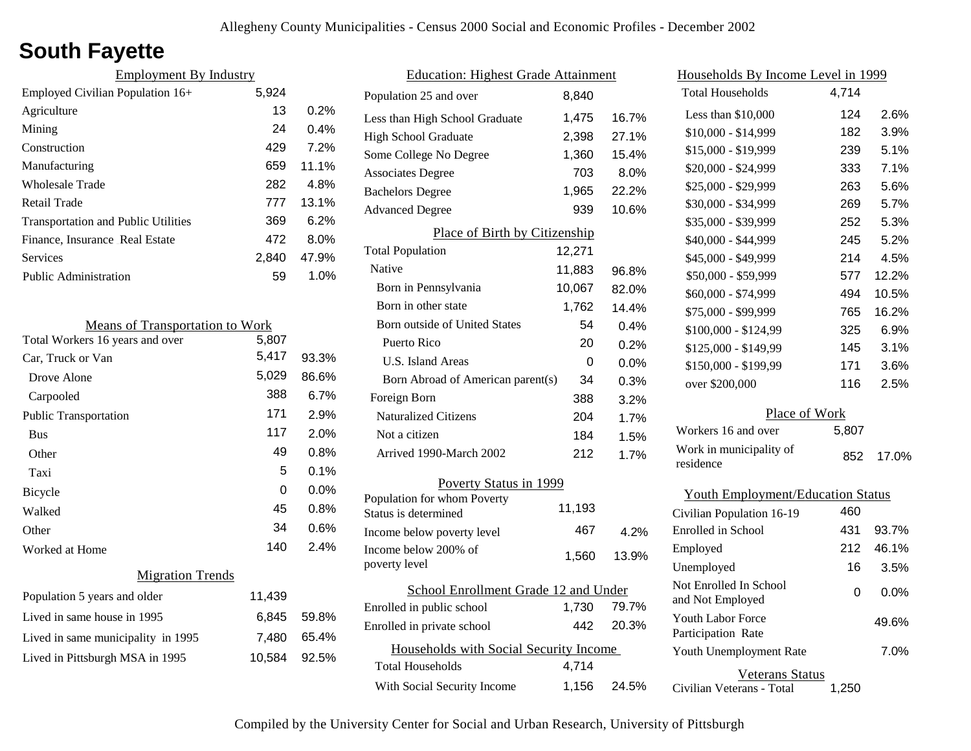# **South Fayette**

| <b>Employment By Industry</b>              |       |         |
|--------------------------------------------|-------|---------|
| Employed Civilian Population 16+           | 5,924 |         |
| Agriculture                                | 13    | 0.2%    |
| Mining                                     | 24    | $0.4\%$ |
| Construction                               | 429   | 7.2%    |
| Manufacturing                              | 659   | 11.1%   |
| Wholesale Trade                            | 282   | 4.8%    |
| Retail Trade                               | 777   | 13.1%   |
| <b>Transportation and Public Utilities</b> | 369   | 6.2%    |
| Finance, Insurance Real Estate             | 472   | $8.0\%$ |
| <b>Services</b>                            | 2.840 | 47.9%   |
| <b>Public Administration</b>               | 59    | 1.0%    |

| <b>Means of Transportation to Work</b> |        |       |
|----------------------------------------|--------|-------|
| Total Workers 16 years and over        | 5,807  |       |
| Car, Truck or Van                      | 5,417  | 93.3% |
| Drove Alone                            | 5,029  | 86.6% |
| Carpooled                              | 388    | 6.7%  |
| <b>Public Transportation</b>           | 171    | 2.9%  |
| <b>Bus</b>                             | 117    | 2.0%  |
| Other                                  | 49     | 0.8%  |
| Taxi                                   | 5      | 0.1%  |
| <b>Bicycle</b>                         | 0      | 0.0%  |
| Walked                                 | 45     | 0.8%  |
| Other                                  | 34     | 0.6%  |
| Worked at Home                         | 140    | 2.4%  |
| <b>Migration Trends</b>                |        |       |
| Population 5 years and older           | 11,439 |       |
| Lived in same house in 1995            | 6,845  | 59.8% |
| Lived in same municipality in 1995     | 7,480  | 65.4% |
| Lived in Pittsburgh MSA in 1995        | 10,584 | 92.5% |

| <b>Education: Highest Grade Attainment</b>          |        |       |
|-----------------------------------------------------|--------|-------|
| Population 25 and over                              | 8,840  |       |
| Less than High School Graduate                      | 1,475  | 16.7% |
| <b>High School Graduate</b>                         | 2,398  | 27.1% |
| Some College No Degree                              | 1,360  | 15.4% |
| <b>Associates Degree</b>                            | 703    | 8.0%  |
| <b>Bachelors Degree</b>                             | 1,965  | 22.2% |
| <b>Advanced Degree</b>                              | 939    | 10.6% |
| Place of Birth by Citizenship                       |        |       |
| <b>Total Population</b>                             | 12,271 |       |
| Native                                              | 11,883 | 96.8% |
| Born in Pennsylvania                                | 10,067 | 82.0% |
| Born in other state                                 | 1,762  | 14.4% |
| Born outside of United States                       | 54     | 0.4%  |
| Puerto Rico                                         | 20     | 0.2%  |
| <b>U.S. Island Areas</b>                            | 0      | 0.0%  |
| Born Abroad of American parent(s)                   | 34     | 0.3%  |
| Foreign Born                                        | 388    | 3.2%  |
| <b>Naturalized Citizens</b>                         | 204    | 1.7%  |
| Not a citizen                                       | 184    | 1.5%  |
| Arrived 1990-March 2002                             | 212    | 1.7%  |
| Poverty Status in 1999                              |        |       |
| Population for whom Poverty<br>Status is determined | 11,193 |       |
| Income below poverty level                          | 467    | 4.2%  |
| Income below 200% of<br>poverty level               | 1,560  | 13.9% |
| School Enrollment Grade 12 and Under                |        |       |
| Enrolled in public school                           | 1,730  | 79.7% |
| Enrolled in private school                          | 442    | 20.3% |
| Households with Social Security Income              |        |       |
| <b>Total Households</b>                             | 4,714  |       |
| With Social Security Income                         | 1,156  | 24.5% |

| Households By Income Level in 1999         |       |       |
|--------------------------------------------|-------|-------|
| <b>Total Households</b>                    | 4,714 |       |
| Less than \$10,000                         | 124   | 2.6%  |
| $$10,000 - $14,999$                        | 182   | 3.9%  |
| \$15,000 - \$19,999                        | 239   | 5.1%  |
| \$20,000 - \$24,999                        | 333   | 7.1%  |
| \$25,000 - \$29,999                        | 263   | 5.6%  |
| \$30,000 - \$34,999                        | 269   | 5.7%  |
| \$35,000 - \$39,999                        | 252   | 5.3%  |
| \$40,000 - \$44,999                        | 245   | 5.2%  |
| \$45,000 - \$49,999                        | 214   | 4.5%  |
| \$50,000 - \$59,999                        | 577   | 12.2% |
| \$60,000 - \$74,999                        | 494   | 10.5% |
| \$75,000 - \$99,999                        | 765   | 16.2% |
| \$100,000 - \$124,99                       | 325   | 6.9%  |
| \$125,000 - \$149,99                       | 145   | 3.1%  |
| \$150,000 - \$199,99                       | 171   | 3.6%  |
| over \$200,000                             | 116   | 2.5%  |
| Place of Work                              |       |       |
| Workers 16 and over                        | 5,807 |       |
| Work in municipality of<br>residence       | 852   | 17.0% |
| <b>Youth Employment/Education Status</b>   |       |       |
| Civilian Population 16-19                  | 460   |       |
| Enrolled in School                         | 431   | 93.7% |
| Employed                                   | 212   | 46.1% |
| Unemployed                                 | 16    | 3.5%  |
| Not Enrolled In School<br>and Not Employed | 0     | 0.0%  |
| Youth Labor Force<br>Participation Rate    |       | 49.6% |

Veterans Status

7.0%

Civilian Veterans - Total 1,250

Youth Unemployment Rate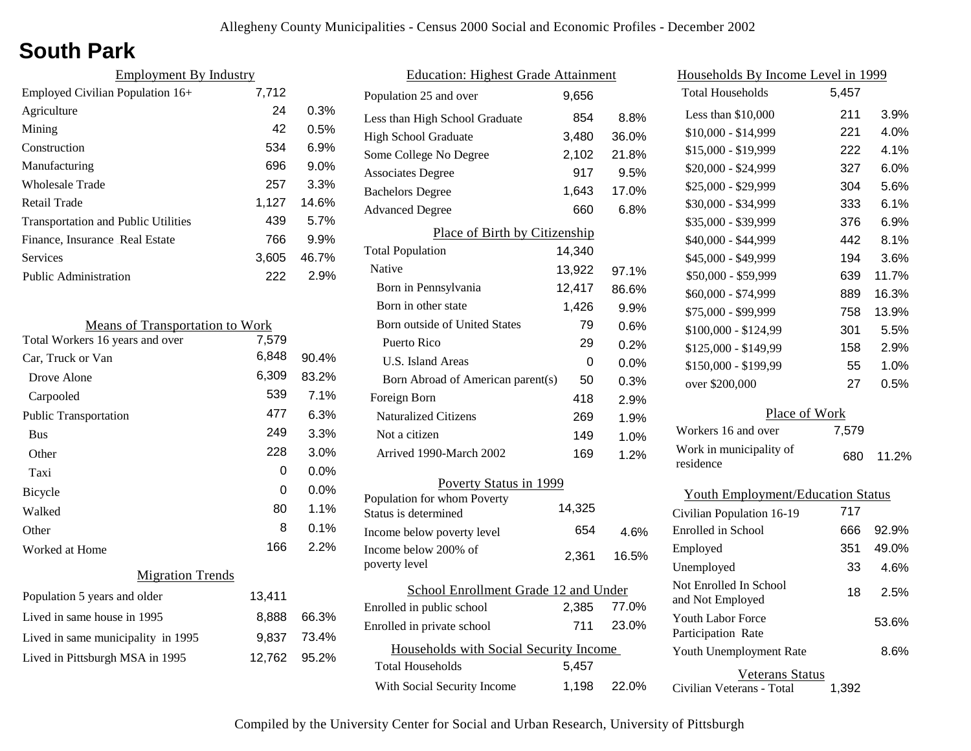# **South Park**

| <b>Employment By Industry</b>              |       |         |
|--------------------------------------------|-------|---------|
| Employed Civilian Population 16+           | 7,712 |         |
| Agriculture                                | 24    | 0.3%    |
| Mining                                     | 42    | 0.5%    |
| Construction                               | 534   | 6.9%    |
| Manufacturing                              | 696   | $9.0\%$ |
| Wholesale Trade                            | 257   | 3.3%    |
| Retail Trade                               | 1,127 | 14.6%   |
| <b>Transportation and Public Utilities</b> | 439   | 5.7%    |
| Finance, Insurance Real Estate             | 766   | 9.9%    |
| Services                                   | 3,605 | 46.7%   |
| <b>Public Administration</b>               | 222   | 2.9%    |

| <b>Means of Transportation to Work</b> |        |         |
|----------------------------------------|--------|---------|
| Total Workers 16 years and over        | 7,579  |         |
| Car, Truck or Van                      | 6,848  | 90.4%   |
| Drove Alone                            | 6,309  | 83.2%   |
| Carpooled                              | 539    | 7.1%    |
| <b>Public Transportation</b>           | 477    | 6.3%    |
| <b>Bus</b>                             | 249    | 3.3%    |
| Other                                  | 228    | 3.0%    |
| Taxi                                   | 0      | $0.0\%$ |
| Bicycle                                | 0      | $0.0\%$ |
| Walked                                 | 80     | 1.1%    |
| Other                                  | 8      | 0.1%    |
| Worked at Home                         | 166    | 2.2%    |
| <b>Migration Trends</b>                |        |         |
| Population 5 years and older           | 13,411 |         |
| Lived in same house in 1995            | 8,888  | 66.3%   |
| Lived in same municipality in 1995     | 9.837  | 73.4%   |
| Lived in Pittsburgh MSA in 1995        | 12,762 | 95.2%   |
|                                        |        |         |

| <b>Education: Highest Grade Attainment</b>          |        |         |
|-----------------------------------------------------|--------|---------|
| Population 25 and over                              | 9,656  |         |
| Less than High School Graduate                      | 854    | 8.8%    |
| <b>High School Graduate</b>                         | 3,480  | 36.0%   |
| Some College No Degree                              | 2,102  | 21.8%   |
| <b>Associates Degree</b>                            | 917    | 9.5%    |
| <b>Bachelors Degree</b>                             | 1,643  | 17.0%   |
| <b>Advanced Degree</b>                              | 660    | 6.8%    |
| Place of Birth by Citizenship                       |        |         |
| <b>Total Population</b>                             | 14,340 |         |
| Native                                              | 13,922 | 97.1%   |
| Born in Pennsylvania                                | 12,417 | 86.6%   |
| Born in other state                                 | 1,426  | 9.9%    |
| Born outside of United States                       | 79     | 0.6%    |
| Puerto Rico                                         | 29     | 0.2%    |
| U.S. Island Areas                                   | 0      | $0.0\%$ |
| Born Abroad of American parent(s)                   | 50     | 0.3%    |
| Foreign Born                                        | 418    | 2.9%    |
| <b>Naturalized Citizens</b>                         | 269    | 1.9%    |
| Not a citizen                                       | 149    | 1.0%    |
| Arrived 1990-March 2002                             | 169    | 1.2%    |
| Poverty Status in 1999                              |        |         |
| Population for whom Poverty<br>Status is determined | 14,325 |         |
| Income below poverty level                          | 654    | 4.6%    |
| Income below 200% of<br>poverty level               | 2,361  | 16.5%   |
| School Enrollment Grade 12 and Under                |        |         |
| Enrolled in public school                           | 2,385  | 77.0%   |
| Enrolled in private school                          | 711    | 23.0%   |
| Households with Social Security Income              |        |         |
| <b>Total Households</b>                             | 5,457  |         |
| With Social Security Income                         | 1,198  | 22.0%   |

| <u>Households By Income Level in 1999</u>      |       |       |  |
|------------------------------------------------|-------|-------|--|
| <b>Total Households</b>                        | 5,457 |       |  |
| Less than \$10,000                             | 211   | 3.9%  |  |
| \$10,000 - \$14,999                            | 221   | 4.0%  |  |
| \$15,000 - \$19,999                            | 222   | 4.1%  |  |
| \$20,000 - \$24,999                            | 327   | 6.0%  |  |
| \$25,000 - \$29,999                            | 304   | 5.6%  |  |
| \$30,000 - \$34,999                            | 333   | 6.1%  |  |
| \$35,000 - \$39,999                            | 376   | 6.9%  |  |
| \$40,000 - \$44,999                            | 442   | 8.1%  |  |
| \$45,000 - \$49,999                            | 194   | 3.6%  |  |
| \$50,000 - \$59,999                            | 639   | 11.7% |  |
| \$60,000 - \$74,999                            | 889   | 16.3% |  |
| \$75,000 - \$99,999                            | 758   | 13.9% |  |
| \$100,000 - \$124,99                           | 301   | 5.5%  |  |
| \$125,000 - \$149,99                           | 158   | 2.9%  |  |
| \$150,000 - \$199,99                           | 55    | 1.0%  |  |
| over \$200,000                                 | 27    | 0.5%  |  |
| Place of Work                                  |       |       |  |
| Workers 16 and over                            | 7,579 |       |  |
| Work in municipality of<br>residence           | 680   | 11.2% |  |
| <b>Youth Employment/Education Status</b>       |       |       |  |
| Civilian Population 16-19                      | 717   |       |  |
| <b>Enrolled</b> in School                      | 666   | 92.9% |  |
| Employed                                       | 351   | 49.0% |  |
| Unemployed                                     | 33    | 4.6%  |  |
| Not Enrolled In School<br>and Not Employed     | 18    | 2.5%  |  |
| <b>Youth Labor Force</b><br>Participation Rate |       | 53.6% |  |

### Veterans Status

8.6%

Civilian Veterans - Total 1,392

Youth Unemployment Rate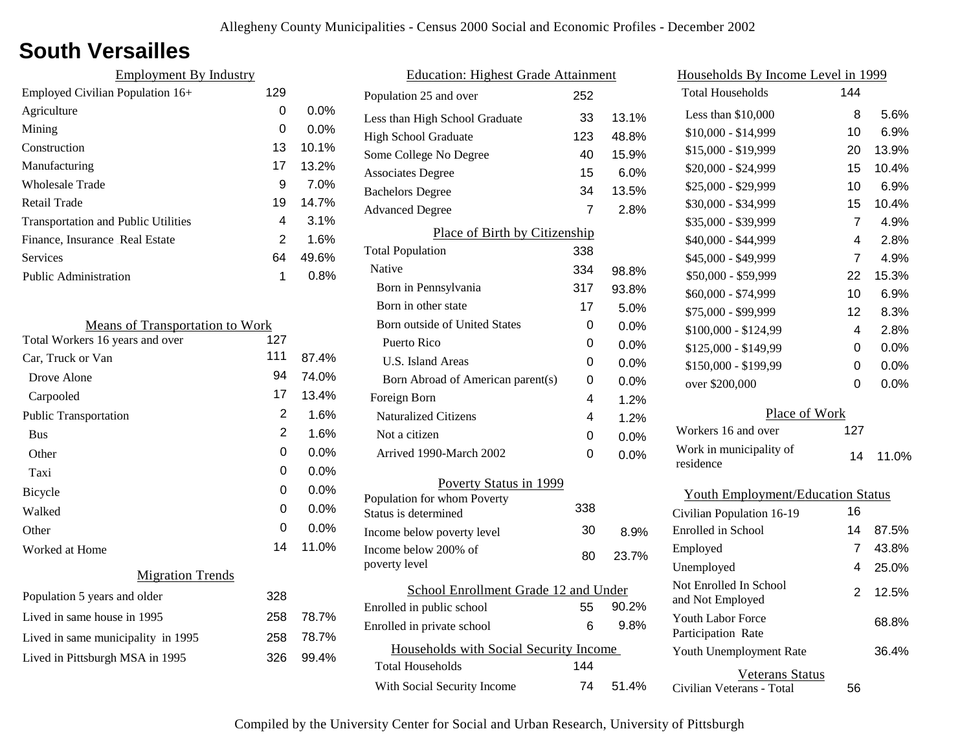### **South Versailles**

| 129 |         |
|-----|---------|
| 0   | $0.0\%$ |
| 0   | $0.0\%$ |
| 13  | 10.1%   |
| 17  | 13.2%   |
| 9   | 7.0%    |
| 19  | 14.7%   |
| 4   | $3.1\%$ |
| 2   | 1.6%    |
| 64  | 49.6%   |
| 1   | $0.8\%$ |
|     |         |

| <b>Means of Transportation to Work</b> |     |         |
|----------------------------------------|-----|---------|
| Total Workers 16 years and over        | 127 |         |
| Car, Truck or Van                      | 111 | 87.4%   |
| Drove Alone                            | 94  | 74.0%   |
| Carpooled                              | 17  | 13.4%   |
| <b>Public Transportation</b>           | 2   | 1.6%    |
| <b>Bus</b>                             | 2   | 1.6%    |
| Other                                  | 0   | $0.0\%$ |
| Taxi                                   | 0   | 0.0%    |
| <b>Bicycle</b>                         | 0   | 0.0%    |
| Walked                                 | 0   | $0.0\%$ |
| Other                                  | 0   | $0.0\%$ |
| Worked at Home                         | 14  | 11.0%   |
| <b>Migration Trends</b>                |     |         |
| Population 5 years and older           | 328 |         |
| Lived in same house in 1995            | 258 | 78.7%   |
| Lived in same municipality in 1995     | 258 | 78.7%   |
| Lived in Pittsburgh MSA in 1995        | 326 | 99.4%   |
|                                        |     |         |

| <b>Education: Highest Grade Attainment</b>         |     |         |
|----------------------------------------------------|-----|---------|
| Population 25 and over                             | 252 |         |
| Less than High School Graduate                     | 33  | 13.1%   |
| <b>High School Graduate</b>                        | 123 | 48.8%   |
| Some College No Degree                             | 40  | 15.9%   |
| <b>Associates Degree</b>                           | 15  | 6.0%    |
| <b>Bachelors Degree</b>                            | 34  | 13.5%   |
| <b>Advanced Degree</b>                             | 7   | 2.8%    |
| Place of Birth by Citizenship                      |     |         |
| <b>Total Population</b>                            | 338 |         |
| Native                                             | 334 | 98.8%   |
| Born in Pennsylvania                               | 317 | 93.8%   |
| Born in other state                                | 17  | 5.0%    |
| <b>Born outside of United States</b>               | 0   | $0.0\%$ |
| Puerto Rico                                        | 0   | 0.0%    |
| U.S. Island Areas                                  | 0   | 0.0%    |
| Born Abroad of American parent(s)                  | 0   | $0.0\%$ |
| Foreign Born                                       | 4   | 1.2%    |
| <b>Naturalized Citizens</b>                        | 4   | 1.2%    |
| Not a citizen                                      | 0   | 0.0%    |
| Arrived 1990-March 2002                            | 0   | $0.0\%$ |
| Poverty Status in 1999                             |     |         |
| Population for whom Poverty                        | 338 |         |
| Status is determined                               | 30  | 8.9%    |
| Income below poverty level<br>Income below 200% of |     |         |
| poverty level                                      | 80  | 23.7%   |
| School Enrollment Grade 12 and Under               |     |         |
| Enrolled in public school                          | 55  | 90.2%   |
| Enrolled in private school                         | 6   | 9.8%    |
| Households with Social Security Income             |     |         |
| <b>Total Households</b>                            | 144 |         |
| With Social Security Income                        | 74  | 51.4%   |
|                                                    |     |         |

| Households By Income Level in 1999                  |     |         |
|-----------------------------------------------------|-----|---------|
| <b>Total Households</b>                             | 144 |         |
| Less than \$10,000                                  | 8   | 5.6%    |
| \$10,000 - \$14,999                                 | 10  | 6.9%    |
| \$15,000 - \$19,999                                 | 20  | 13.9%   |
| \$20,000 - \$24,999                                 | 15  | 10.4%   |
| \$25,000 - \$29,999                                 | 10  | 6.9%    |
| \$30,000 - \$34,999                                 | 15  | 10.4%   |
| \$35,000 - \$39,999                                 | 7   | 4.9%    |
| \$40,000 - \$44,999                                 | 4   | 2.8%    |
| \$45,000 - \$49,999                                 | 7   | 4.9%    |
| \$50,000 - \$59,999                                 | 22  | 15.3%   |
| \$60,000 - \$74,999                                 | 10  | 6.9%    |
| \$75,000 - \$99,999                                 | 12  | 8.3%    |
| \$100,000 - \$124,99                                | 4   | 2.8%    |
| \$125,000 - \$149,99                                | 0   | $0.0\%$ |
| \$150,000 - \$199,99                                | 0   | $0.0\%$ |
| over \$200,000                                      | 0   | $0.0\%$ |
| Place of Work                                       |     |         |
| Workers 16 and over                                 | 127 |         |
| Work in municipality of<br>residence                | 14  | 11.0%   |
| <b>Youth Employment/Education Status</b>            |     |         |
| Civilian Population 16-19                           | 16  |         |
| Enrolled in School                                  | 14  | 87.5%   |
| Employed                                            | 7   | 43.8%   |
| Unemployed                                          | 4   | 25.0%   |
| Not Enrolled In School<br>and Not Employed          | 2   | 12.5%   |
| <b>Youth Labor Force</b><br>Participation Rate      |     | 68.8%   |
| Youth Unemployment Rate                             |     | 36.4%   |
| <b>Veterans Status</b><br>Civilian Veterans - Total | 56  |         |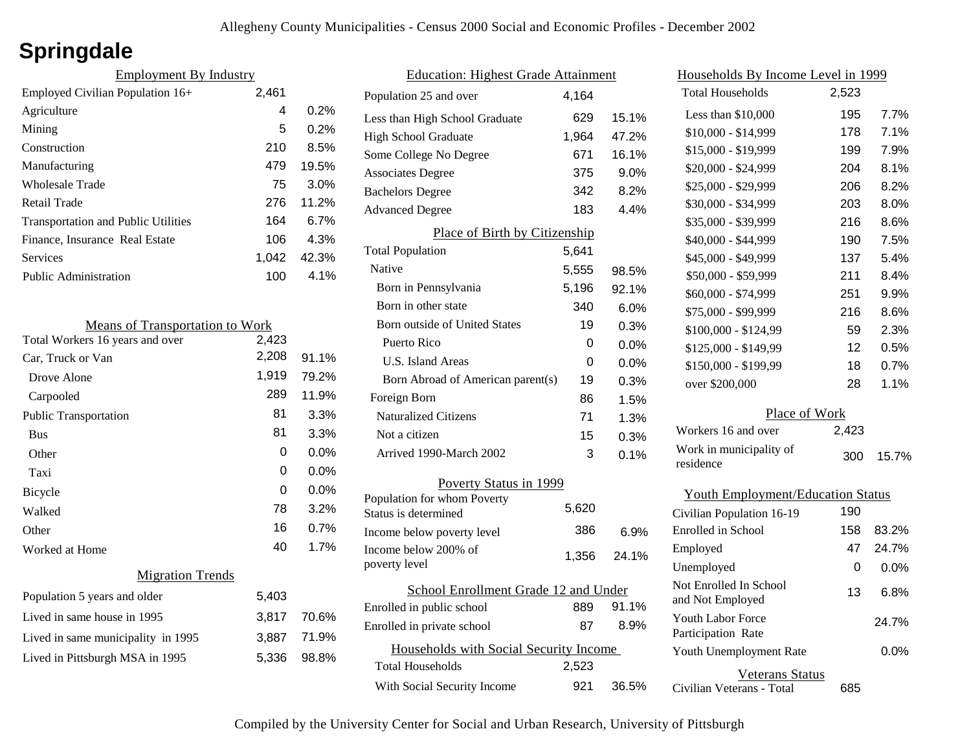# **Springdale**

| <b>Employment By Industry</b>              |       |       |
|--------------------------------------------|-------|-------|
| Employed Civilian Population 16+           | 2,461 |       |
| Agriculture                                | 4     | 0.2%  |
| Mining                                     | 5     | 0.2%  |
| Construction                               | 210   | 8.5%  |
| Manufacturing                              | 479   | 19.5% |
| Wholesale Trade                            | 75    | 3.0%  |
| Retail Trade                               | 276   | 11.2% |
| <b>Transportation and Public Utilities</b> | 164   | 6.7%  |
| Finance, Insurance Real Estate             | 106   | 4.3%  |
| Services                                   | 1.042 | 42.3% |
| <b>Public Administration</b>               | 100   | 4.1%  |

| <b>Means of Transportation to Work</b> |       |         |
|----------------------------------------|-------|---------|
| Total Workers 16 years and over        | 2,423 |         |
| Car, Truck or Van                      | 2,208 | 91.1%   |
| Drove Alone                            | 1,919 | 79.2%   |
| Carpooled                              | 289   | 11.9%   |
| <b>Public Transportation</b>           | 81    | 3.3%    |
| <b>Bus</b>                             | 81    | 3.3%    |
| Other                                  | 0     | $0.0\%$ |
| Taxi                                   | 0     | $0.0\%$ |
| <b>Bicycle</b>                         | 0     | $0.0\%$ |
| Walked                                 | 78    | 3.2%    |
| Other                                  | 16    | 0.7%    |
| Worked at Home                         | 40    | 1.7%    |
| <b>Migration Trends</b>                |       |         |
| Population 5 years and older           | 5,403 |         |
| Lived in same house in 1995            | 3,817 | 70.6%   |
| Lived in same municipality in 1995     | 3,887 | 71.9%   |
| Lived in Pittsburgh MSA in 1995        | 5,336 | 98.8%   |
|                                        |       |         |

| <b>Education: Highest Grade Attainment</b> |       |         |
|--------------------------------------------|-------|---------|
| Population 25 and over                     | 4,164 |         |
| Less than High School Graduate             | 629   | 15.1%   |
| <b>High School Graduate</b>                | 1,964 | 47.2%   |
| Some College No Degree                     | 671   | 16.1%   |
| <b>Associates Degree</b>                   | 375   | 9.0%    |
| <b>Bachelors Degree</b>                    | 342   | 8.2%    |
| <b>Advanced Degree</b>                     | 183   | 4.4%    |
| Place of Birth by Citizenship              |       |         |
| <b>Total Population</b>                    | 5,641 |         |
| Native                                     | 5,555 | 98.5%   |
| Born in Pennsylvania                       | 5,196 | 92.1%   |
| Born in other state                        | 340   | 6.0%    |
| <b>Born outside of United States</b>       | 19    | 0.3%    |
| Puerto Rico                                | 0     | 0.0%    |
| <b>U.S. Island Areas</b>                   | 0     | 0.0%    |
| Born Abroad of American parent(s)          | 19    | 0.3%    |
| Foreign Born                               | 86    | 1.5%    |
| <b>Naturalized Citizens</b>                | 71    | 1.3%    |
| Not a citizen                              | 15    | 0.3%    |
| Arrived 1990-March 2002                    | 3     | 0.1%    |
| Poverty Status in 1999                     |       |         |
| Population for whom Poverty                | 5,620 |         |
| Status is determined                       |       |         |
| Income below poverty level                 | 386   | $6.9\%$ |
| Income below 200% of<br>poverty level      | 1,356 | 24.1%   |
| School Enrollment Grade 12 and Under       |       |         |
| Enrolled in public school                  | 889   | 91.1%   |
| Enrolled in private school                 | 87    | 8.9%    |
| Households with Social Security Income     |       |         |
| <b>Total Households</b>                    | 2,523 |         |
| With Social Security Income                | 921   | 36.5%   |

| <u>Households By Income Level in 1999</u>  |       |         |
|--------------------------------------------|-------|---------|
| <b>Total Households</b>                    | 2,523 |         |
| Less than \$10,000                         | 195   | 7.7%    |
| \$10,000 - \$14,999                        | 178   | 7.1%    |
| \$15,000 - \$19,999                        | 199   | 7.9%    |
| \$20,000 - \$24,999                        | 204   | 8.1%    |
| \$25,000 - \$29,999                        | 206   | 8.2%    |
| \$30,000 - \$34,999                        | 203   | 8.0%    |
| \$35,000 - \$39,999                        | 216   | 8.6%    |
| \$40,000 - \$44,999                        | 190   | 7.5%    |
| \$45,000 - \$49,999                        | 137   | 5.4%    |
| \$50,000 - \$59,999                        | 211   | 8.4%    |
| \$60,000 - \$74,999                        | 251   | 9.9%    |
| \$75,000 - \$99,999                        | 216   | 8.6%    |
| \$100,000 - \$124,99                       | 59    | 2.3%    |
| \$125,000 - \$149,99                       | 12    | 0.5%    |
| \$150,000 - \$199,99                       | 18    | 0.7%    |
| over \$200,000                             | 28    | 1.1%    |
| Place of Work                              |       |         |
| Workers 16 and over                        | 2,423 |         |
| Work in municipality of<br>residence       | 300   | 15.7%   |
| <b>Youth Employment/Education Status</b>   |       |         |
| Civilian Population 16-19                  | 190   |         |
| Enrolled in School                         | 158   | 83.2%   |
| Employed                                   | 47    | 24.7%   |
| Unemployed                                 | 0     | $0.0\%$ |
| Not Enrolled In School<br>and Not Employed | 13    | 6.8%    |

Civilian Veterans - Total

Youth Unemployment Rate

Youth Labor Force Participation Rate

Veterans Status

685

0.0%

24.7%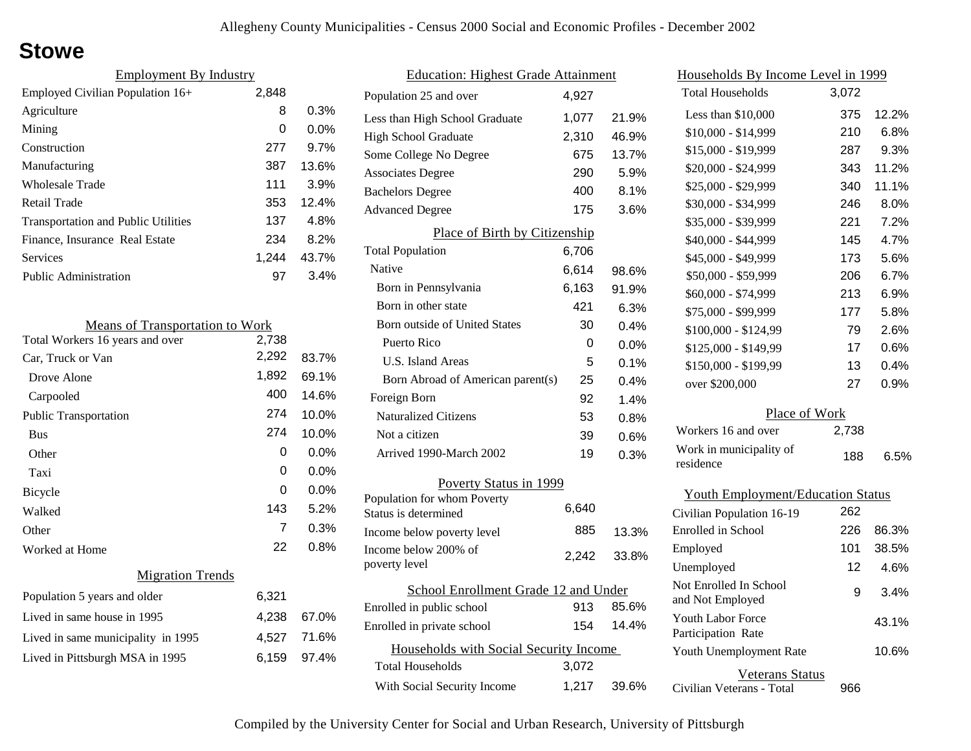### **Stowe**

| <b>Employment By Industry</b>              |       |         |
|--------------------------------------------|-------|---------|
| Employed Civilian Population 16+           | 2,848 |         |
| Agriculture                                | 8     | 0.3%    |
| Mining                                     | 0     | $0.0\%$ |
| Construction                               | 277   | 9.7%    |
| Manufacturing                              | 387   | 13.6%   |
| Wholesale Trade                            | 111   | 3.9%    |
| Retail Trade                               | 353   | 12.4%   |
| <b>Transportation and Public Utilities</b> | 137   | 4.8%    |
| Finance, Insurance Real Estate             | 234   | 8.2%    |
| Services                                   | 1.244 | 43.7%   |
| <b>Public Administration</b>               | 97    | 3.4%    |

| <b>Means of Transportation to Work</b> |       |             |
|----------------------------------------|-------|-------------|
| Total Workers 16 years and over        | 2,738 |             |
| Car, Truck or Van                      | 2,292 | 83.7%       |
| Drove Alone                            | 1,892 | 69.1%       |
| Carpooled                              | 400   | 14.6%       |
| <b>Public Transportation</b>           | 274   | 10.0%       |
| <b>Bus</b>                             | 274   | 10.0%       |
| Other                                  | 0     | 0.0%        |
| Taxi                                   | 0     | 0.0%        |
| <b>Bicycle</b>                         | 0     | $0.0\%$     |
| Walked                                 | 143   | 5.2%        |
| Other                                  | 7     | 0.3%        |
| Worked at Home                         | 22    | 0.8%        |
| <b>Migration Trends</b>                |       |             |
| Population 5 years and older           | 6,321 |             |
| Lived in same house in 1995            | 4,238 | 67.0%       |
| Lived in same municipality in 1995     |       | 4,527 71.6% |
| Lived in Pittsburgh MSA in 1995        | 6,159 | 97.4%       |
|                                        |       |             |

| <b>Education: Highest Grade Attainment</b>          |       |       |
|-----------------------------------------------------|-------|-------|
| Population 25 and over                              | 4,927 |       |
| Less than High School Graduate                      | 1,077 | 21.9% |
| <b>High School Graduate</b>                         | 2,310 | 46.9% |
| Some College No Degree                              | 675   | 13.7% |
| <b>Associates Degree</b>                            | 290   | 5.9%  |
| <b>Bachelors Degree</b>                             | 400   | 8.1%  |
| <b>Advanced Degree</b>                              | 175   | 3.6%  |
| Place of Birth by Citizenship                       |       |       |
| <b>Total Population</b>                             | 6,706 |       |
| <b>Native</b>                                       | 6,614 | 98.6% |
| Born in Pennsylvania                                | 6,163 | 91.9% |
| Born in other state                                 | 421   | 6.3%  |
| <b>Born outside of United States</b>                | 30    | 0.4%  |
| Puerto Rico                                         | 0     | 0.0%  |
| U.S. Island Areas                                   | 5     | 0.1%  |
| Born Abroad of American parent(s)                   | 25    | 0.4%  |
| Foreign Born                                        | 92    | 1.4%  |
| <b>Naturalized Citizens</b>                         | 53    | 0.8%  |
| Not a citizen                                       | 39    | 0.6%  |
| Arrived 1990-March 2002                             | 19    | 0.3%  |
| Poverty Status in 1999                              |       |       |
| Population for whom Poverty<br>Status is determined | 6,640 |       |
| Income below poverty level                          | 885   | 13.3% |
| Income below 200% of<br>poverty level               | 2,242 | 33.8% |
| School Enrollment Grade 12 and Under                |       |       |
| Enrolled in public school                           | 913   | 85.6% |
| Enrolled in private school                          | 154   | 14.4% |
| Households with Social Security Income              |       |       |
| Total Households                                    | 3,072 |       |
| With Social Security Income                         | 1,217 | 39.6% |

| <u>Households By Income Level in 1999</u>  |       |       |
|--------------------------------------------|-------|-------|
| <b>Total Households</b>                    | 3,072 |       |
| Less than $$10,000$                        | 375   | 12.2% |
| \$10,000 - \$14,999                        | 210   | 6.8%  |
| \$15,000 - \$19,999                        | 287   | 9.3%  |
| \$20,000 - \$24,999                        | 343   | 11.2% |
| \$25,000 - \$29,999                        | 340   | 11.1% |
| \$30,000 - \$34,999                        | 246   | 8.0%  |
| \$35,000 - \$39,999                        | 221   | 7.2%  |
| \$40,000 - \$44,999                        | 145   | 4.7%  |
| \$45,000 - \$49,999                        | 173   | 5.6%  |
| \$50,000 - \$59,999                        | 206   | 6.7%  |
| \$60,000 - \$74,999                        | 213   | 6.9%  |
| \$75,000 - \$99,999                        | 177   | 5.8%  |
| \$100,000 - \$124,99                       | 79    | 2.6%  |
| \$125,000 - \$149,99                       | 17    | 0.6%  |
| \$150,000 - \$199,99                       | 13    | 0.4%  |
| over \$200,000                             | 27    | 0.9%  |
| Place of Work                              |       |       |
| Workers 16 and over                        | 2,738 |       |
| Work in municipality of<br>residence       | 188   | 6.5%  |
| <b>Youth Employment/Education Status</b>   |       |       |
| Civilian Population 16-19                  | 262   |       |
| Enrolled in School                         | 226   | 86.3% |
| Employed                                   | 101   | 38.5% |
| Unemployed                                 | 12    | 4.6%  |
| Not Enrolled In School<br>and Not Employed | 9     | 3.4%  |
| Youth Labor Force<br>Participation Rate    |       | 43.1% |
| Youth Unemployment Rate                    |       | 10.6% |

Civilian Veterans - Total

Veterans Status

966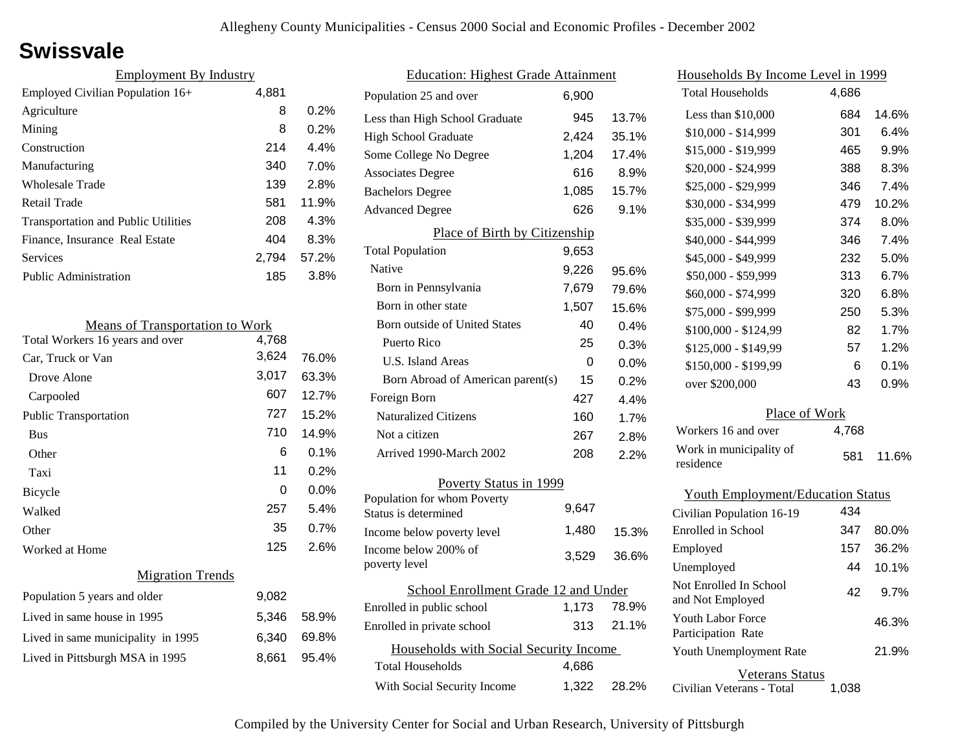### **Swissvale**

| <b>Employment By Industry</b>              |       |       |
|--------------------------------------------|-------|-------|
| Employed Civilian Population 16+           | 4,881 |       |
| Agriculture                                | 8     | 0.2%  |
| Mining                                     | 8     | 0.2%  |
| Construction                               | 214   | 4.4%  |
| Manufacturing                              | 340   | 7.0%  |
| Wholesale Trade                            | 139   | 2.8%  |
| Retail Trade                               | 581   | 11.9% |
| <b>Transportation and Public Utilities</b> | 208   | 4.3%  |
| Finance, Insurance Real Estate             | 404   | 8.3%  |
| Services                                   | 2.794 | 57.2% |
| <b>Public Administration</b>               | 185   | 3.8%  |

| <b>Means of Transportation to Work</b> |       |       |
|----------------------------------------|-------|-------|
| Total Workers 16 years and over        | 4,768 |       |
| Car, Truck or Van                      | 3,624 | 76.0% |
| Drove Alone                            | 3,017 | 63.3% |
| Carpooled                              | 607   | 12.7% |
| <b>Public Transportation</b>           | 727   | 15.2% |
| <b>Bus</b>                             | 710   | 14.9% |
| Other                                  | 6     | 0.1%  |
| Taxi                                   | 11    | 0.2%  |
| Bicycle                                | 0     | 0.0%  |
| Walked                                 | 257   | 5.4%  |
| Other                                  | 35    | 0.7%  |
| Worked at Home                         | 125   | 2.6%  |
| <b>Migration Trends</b>                |       |       |
| Population 5 years and older           | 9,082 |       |
| Lived in same house in 1995            | 5,346 | 58.9% |
| Lived in same municipality in 1995     | 6,340 | 69.8% |
| Lived in Pittsburgh MSA in 1995        | 8,661 | 95.4% |
|                                        |       |       |

| <b>Education: Highest Grade Attainment</b>          |       |       |
|-----------------------------------------------------|-------|-------|
| Population 25 and over                              | 6,900 |       |
| Less than High School Graduate                      | 945   | 13.7% |
| <b>High School Graduate</b>                         | 2,424 | 35.1% |
| Some College No Degree                              | 1,204 | 17.4% |
| <b>Associates Degree</b>                            | 616   | 8.9%  |
| <b>Bachelors Degree</b>                             | 1,085 | 15.7% |
| <b>Advanced Degree</b>                              | 626   | 9.1%  |
| Place of Birth by Citizenship                       |       |       |
| <b>Total Population</b>                             | 9,653 |       |
| Native                                              | 9,226 | 95.6% |
| Born in Pennsylvania                                | 7,679 | 79.6% |
| Born in other state                                 | 1,507 | 15.6% |
| Born outside of United States                       | 40    | 0.4%  |
| Puerto Rico                                         | 25    | 0.3%  |
| U.S. Island Areas                                   | 0     | 0.0%  |
| Born Abroad of American parent(s)                   | 15    | 0.2%  |
| Foreign Born                                        | 427   | 4.4%  |
| <b>Naturalized Citizens</b>                         | 160   | 1.7%  |
| Not a citizen                                       | 267   | 2.8%  |
| Arrived 1990-March 2002                             | 208   | 2.2%  |
| Poverty Status in 1999                              |       |       |
| Population for whom Poverty<br>Status is determined | 9,647 |       |
| Income below poverty level                          | 1,480 | 15.3% |
| Income below 200% of<br>poverty level               | 3,529 | 36.6% |
| School Enrollment Grade 12 and Under                |       |       |
| Enrolled in public school                           | 1,173 | 78.9% |
| Enrolled in private school                          | 313   | 21.1% |
| Households with Social Security Income              |       |       |
| <b>Total Households</b>                             | 4,686 |       |
| With Social Security Income                         | 1,322 | 28.2% |

| Households By Income Level in 1999         |       |       |  |
|--------------------------------------------|-------|-------|--|
| <b>Total Households</b>                    | 4,686 |       |  |
| Less than \$10,000                         | 684   | 14.6% |  |
| $$10,000 - $14,999$                        | 301   | 6.4%  |  |
| \$15,000 - \$19,999                        | 465   | 9.9%  |  |
| \$20,000 - \$24,999                        | 388   | 8.3%  |  |
| \$25,000 - \$29,999                        | 346   | 7.4%  |  |
| \$30,000 - \$34,999                        | 479   | 10.2% |  |
| \$35,000 - \$39,999                        | 374   | 8.0%  |  |
| \$40,000 - \$44,999                        | 346   | 7.4%  |  |
| \$45,000 - \$49,999                        | 232   | 5.0%  |  |
| \$50,000 - \$59,999                        | 313   | 6.7%  |  |
| \$60,000 - \$74,999                        | 320   | 6.8%  |  |
| \$75,000 - \$99,999                        | 250   | 5.3%  |  |
| \$100,000 - \$124,99                       | 82    | 1.7%  |  |
| \$125,000 - \$149,99                       | 57    | 1.2%  |  |
| \$150,000 - \$199,99                       | 6     | 0.1%  |  |
| over \$200,000                             | 43    | 0.9%  |  |
| Place of Work                              |       |       |  |
| Workers 16 and over                        | 4,768 |       |  |
| Work in municipality of<br>residence       | 581   | 11.6% |  |
| <b>Youth Employment/Education Status</b>   |       |       |  |
| Civilian Population 16-19                  | 434   |       |  |
| <b>Enrolled</b> in School                  | 347   | 80.0% |  |
| Employed                                   | 157   | 36.2% |  |
| Unemployed                                 | 44    | 10.1% |  |
| Not Enrolled In School<br>and Not Employed | 42    | 9.7%  |  |
| Youth Labor Force<br>Participation Rate    |       | 46.3% |  |

Veterans Status

21.9%

Civilian Veterans - Total 1,038

Youth Unemployment Rate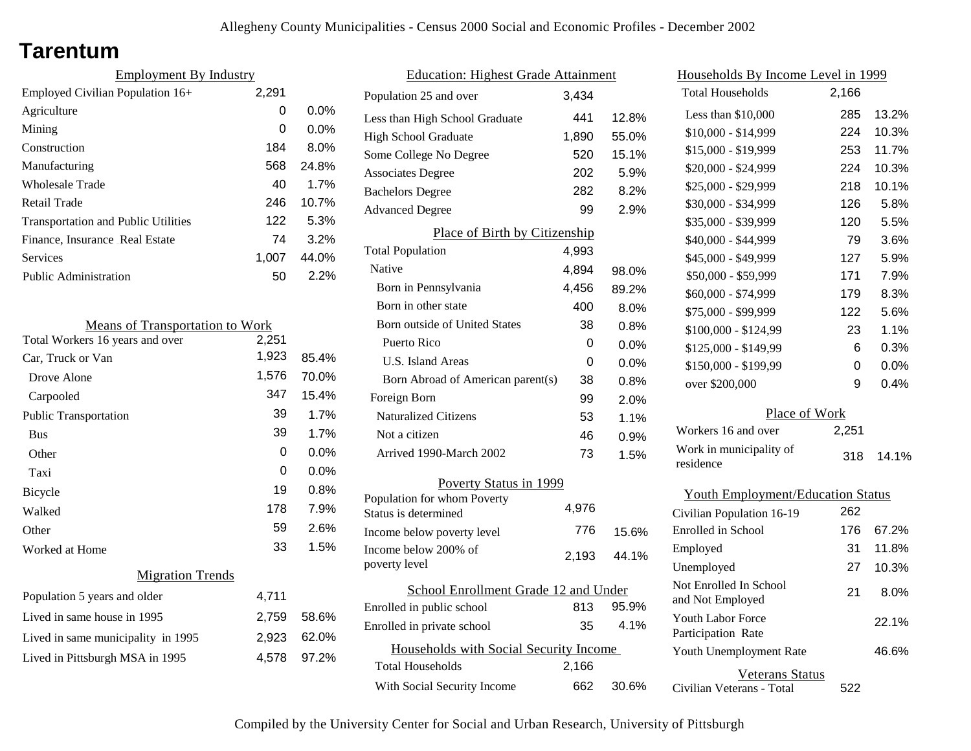### **Tarentum**

| <b>Employment By Industry</b>              |       |         |
|--------------------------------------------|-------|---------|
| Employed Civilian Population 16+           | 2,291 |         |
| Agriculture                                | 0     | $0.0\%$ |
| Mining                                     | 0     | $0.0\%$ |
| Construction                               | 184   | 8.0%    |
| Manufacturing                              | 568   | 24.8%   |
| Wholesale Trade                            | 40    | 1.7%    |
| Retail Trade                               | 246   | 10.7%   |
| <b>Transportation and Public Utilities</b> | 122   | 5.3%    |
| Finance, Insurance Real Estate             | 74    | 3.2%    |
| Services                                   | 1.007 | 44.0%   |
| Public Administration                      | 50    | 2.2%    |

| <b>Means of Transportation to Work</b> |       |         |
|----------------------------------------|-------|---------|
| Total Workers 16 years and over        | 2,251 |         |
| Car, Truck or Van                      | 1,923 | 85.4%   |
| Drove Alone                            | 1,576 | 70.0%   |
| Carpooled                              | 347   | 15.4%   |
| <b>Public Transportation</b>           | 39    | 1.7%    |
| <b>Bus</b>                             | 39    | 1.7%    |
| Other                                  | 0     | $0.0\%$ |
| Taxi                                   | 0     | $0.0\%$ |
| Bicycle                                | 19    | 0.8%    |
| Walked                                 | 178   | 7.9%    |
| Other                                  | 59    | 2.6%    |
| Worked at Home                         | 33    | 1.5%    |
| <b>Migration Trends</b>                |       |         |
| Population 5 years and older           | 4,711 |         |
| Lived in same house in 1995            | 2,759 | 58.6%   |
| Lived in same municipality in 1995     | 2,923 | 62.0%   |
| Lived in Pittsburgh MSA in 1995        | 4,578 | 97.2%   |

| <b>Education: Highest Grade Attainment</b>          |       |         |
|-----------------------------------------------------|-------|---------|
| Population 25 and over                              | 3,434 |         |
| Less than High School Graduate                      | 441   | 12.8%   |
| <b>High School Graduate</b>                         | 1,890 | 55.0%   |
| Some College No Degree                              | 520   | 15.1%   |
| <b>Associates Degree</b>                            | 202   | 5.9%    |
| <b>Bachelors Degree</b>                             | 282   | 8.2%    |
| <b>Advanced Degree</b>                              | 99    | 2.9%    |
| Place of Birth by Citizenship                       |       |         |
| <b>Total Population</b>                             | 4,993 |         |
| Native                                              | 4,894 | 98.0%   |
| Born in Pennsylvania                                | 4,456 | 89.2%   |
| Born in other state                                 | 400   | 8.0%    |
| <b>Born outside of United States</b>                | 38    | 0.8%    |
| Puerto Rico                                         | 0     | $0.0\%$ |
| <b>U.S. Island Areas</b>                            | 0     | $0.0\%$ |
| Born Abroad of American parent(s)                   | 38    | 0.8%    |
| Foreign Born                                        | 99    | 2.0%    |
| <b>Naturalized Citizens</b>                         | 53    | 1.1%    |
| Not a citizen                                       | 46    | 0.9%    |
| Arrived 1990-March 2002                             | 73    | 1.5%    |
| Poverty Status in 1999                              |       |         |
| Population for whom Poverty<br>Status is determined | 4,976 |         |
| Income below poverty level                          | 776   | 15.6%   |
| Income below 200% of<br>poverty level               | 2,193 | 44.1%   |
| School Enrollment Grade 12 and Under                |       |         |
| Enrolled in public school                           | 813   | 95.9%   |
| Enrolled in private school                          | 35    | 4.1%    |
| Households with Social Security Income              |       |         |
| <b>Total Households</b>                             | 2,166 |         |
| With Social Security Income                         | 662   | 30.6%   |

| <u>Households By Income Level in 1999</u> |       |       |
|-------------------------------------------|-------|-------|
| <b>Total Households</b>                   | 2,166 |       |
| Less than $$10,000$                       | 285   | 13.2% |
| \$10,000 - \$14,999                       | 224   | 10.3% |
| \$15,000 - \$19,999                       | 253   | 11.7% |
| \$20,000 - \$24,999                       | 224   | 10.3% |
| \$25,000 - \$29,999                       | 218   | 10.1% |
| \$30,000 - \$34,999                       | 126   | 5.8%  |
| \$35,000 - \$39,999                       | 120   | 5.5%  |
| \$40,000 - \$44,999                       | 79    | 3.6%  |
| \$45,000 - \$49,999                       | 127   | 5.9%  |
| \$50,000 - \$59,999                       | 171   | 7.9%  |
| \$60,000 - \$74,999                       | 179   | 8.3%  |
| \$75,000 - \$99,999                       | 122   | 5.6%  |
| $$100,000 - $124,99$                      | 23    | 1.1%  |
| \$125,000 - \$149,99                      | 6     | 0.3%  |
| \$150,000 - \$199,99                      | 0     | 0.0%  |
| over \$200,000                            | 9     | 0.4%  |
| Place of Work                             |       |       |
| Workers 16 and over                       | 2,251 |       |
| Work in municipality of<br>residence      | 318   | 14.1% |
| <b>Youth Employment/Education Status</b>  |       |       |
| Civilian Population 16-19                 | 262   |       |
| Enrolled in School                        | 176   | 67.2% |

| Enrolled in School                                  | 176 | 67.2% |
|-----------------------------------------------------|-----|-------|
| Employed                                            | 31  | 11.8% |
| Unemployed                                          | 27  | 10.3% |
| Not Enrolled In School<br>and Not Employed          | 21  | 8.0%  |
| Youth Labor Force<br>Participation Rate             |     | 22.1% |
| Youth Unemployment Rate                             |     | 46.6% |
| <b>Veterans Status</b><br>Civilian Veterans - Total | 522 |       |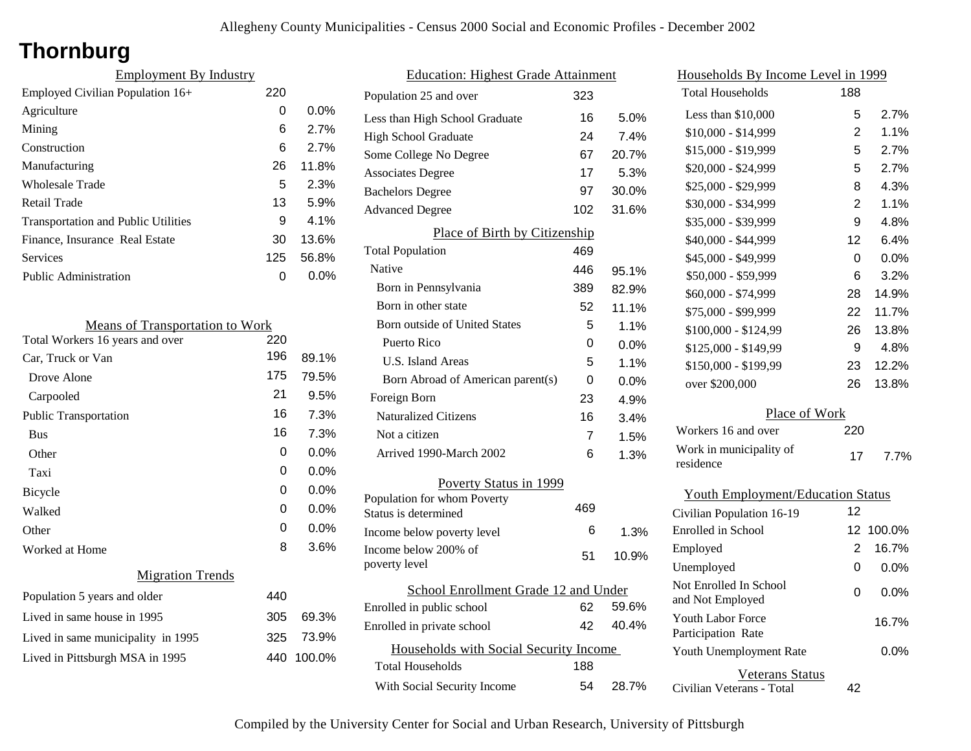# **Thornburg**

| <b>Employment By Industry</b>              |     |         |
|--------------------------------------------|-----|---------|
| Employed Civilian Population 16+           | 220 |         |
| Agriculture                                | 0   | $0.0\%$ |
| Mining                                     | 6   | 2.7%    |
| Construction                               | 6   | 2.7%    |
| Manufacturing                              | 26  | 11.8%   |
| <b>Wholesale Trade</b>                     | 5   | 2.3%    |
| Retail Trade                               | 13  | 5.9%    |
| <b>Transportation and Public Utilities</b> | 9   | 4.1%    |
| Finance, Insurance Real Estate             | 30  | 13.6%   |
| <b>Services</b>                            | 125 | 56.8%   |
| <b>Public Administration</b>               | ი   | $0.0\%$ |

| <b>Means of Transportation to Work</b> |     |         |
|----------------------------------------|-----|---------|
| Total Workers 16 years and over        | 220 |         |
| Car, Truck or Van                      | 196 | 89.1%   |
| Drove Alone                            | 175 | 79.5%   |
| Carpooled                              | 21  | 9.5%    |
| <b>Public Transportation</b>           | 16  | 7.3%    |
| <b>Bus</b>                             | 16  | 7.3%    |
| Other                                  | 0   | $0.0\%$ |
| Taxi                                   | 0   | $0.0\%$ |
| Bicycle                                | 0   | $0.0\%$ |
| Walked                                 | 0   | $0.0\%$ |
| Other                                  | 0   | $0.0\%$ |
| Worked at Home                         | 8   | 3.6%    |
| <b>Migration Trends</b>                |     |         |
| Population 5 years and older           | 440 |         |
| Lived in same house in 1995            | 305 | 69.3%   |
| Lived in same municipality in 1995     | 325 | 73.9%   |
| Lived in Pittsburgh MSA in 1995        | 440 | 100.0%  |
|                                        |     |         |

| <b>Education: Highest Grade Attainment</b>          |     |       |
|-----------------------------------------------------|-----|-------|
| Population 25 and over                              | 323 |       |
| Less than High School Graduate                      | 16  | 5.0%  |
| <b>High School Graduate</b>                         | 24  | 7.4%  |
| Some College No Degree                              | 67  | 20.7% |
| <b>Associates Degree</b>                            | 17  | 5.3%  |
| <b>Bachelors Degree</b>                             | 97  | 30.0% |
| <b>Advanced Degree</b>                              | 102 | 31.6% |
| Place of Birth by Citizenship                       |     |       |
| <b>Total Population</b>                             | 469 |       |
| Native                                              | 446 | 95.1% |
| Born in Pennsylvania                                | 389 | 82.9% |
| Born in other state                                 | 52  | 11.1% |
| Born outside of United States                       | 5   | 1.1%  |
| Puerto Rico                                         | 0   | 0.0%  |
| U.S. Island Areas                                   | 5   | 1.1%  |
| Born Abroad of American parent(s)                   | 0   | 0.0%  |
| Foreign Born                                        | 23  | 4.9%  |
| <b>Naturalized Citizens</b>                         | 16  | 3.4%  |
| Not a citizen                                       | 7   | 1.5%  |
| Arrived 1990-March 2002                             | 6   | 1.3%  |
| Poverty Status in 1999                              |     |       |
| Population for whom Poverty<br>Status is determined | 469 |       |
| Income below poverty level                          | 6   | 1.3%  |
| Income below 200% of<br>poverty level               | 51  | 10.9% |
| School Enrollment Grade 12 and Under                |     |       |
| Enrolled in public school                           | 62  | 59.6% |
| Enrolled in private school                          | 42  | 40.4% |
| Households with Social Security Income              |     |       |
| Total Households                                    | 188 |       |
| With Social Security Income                         | 54  | 28.7% |

| <u>Households By Income Level in 1999</u>  |                |         |
|--------------------------------------------|----------------|---------|
| <b>Total Households</b>                    | 188            |         |
| Less than $$10,000$                        | 5              | 2.7%    |
| \$10,000 - \$14,999                        | $\overline{2}$ | 1.1%    |
| \$15,000 - \$19,999                        | 5              | 2.7%    |
| \$20,000 - \$24,999                        | 5              | 2.7%    |
| \$25,000 - \$29,999                        | 8              | 4.3%    |
| \$30,000 - \$34,999                        | $\overline{2}$ | 1.1%    |
| \$35,000 - \$39,999                        | 9              | 4.8%    |
| \$40,000 - \$44,999                        | 12             | 6.4%    |
| \$45,000 - \$49,999                        | 0              | 0.0%    |
| \$50,000 - \$59,999                        | 6              | 3.2%    |
| \$60,000 - \$74,999                        | 28             | 14.9%   |
| \$75,000 - \$99,999                        | 22             | 11.7%   |
| \$100,000 - \$124,99                       | 26             | 13.8%   |
| \$125,000 - \$149,99                       | 9              | 4.8%    |
| \$150,000 - \$199,99                       | 23             | 12.2%   |
| over \$200,000                             | 26             | 13.8%   |
| Place of Work                              |                |         |
| Workers 16 and over                        | 220            |         |
| Work in municipality of<br>residence       | 17             | 7.7%    |
| <b>Youth Employment/Education Status</b>   |                |         |
| Civilian Population 16-19                  | 12             |         |
| Enrolled in School                         | 12             | 100.0%  |
| Employed                                   | $\overline{2}$ | 16.7%   |
| Unemployed                                 | 0              | $0.0\%$ |
| Not Enrolled In School<br>and Not Employed | 0              | 0.0%    |
| Youth Labor Force<br>Participation Rate    |                | 16.7%   |
| Youth Unemployment Rate                    |                | 0.0%    |

Civilian Veterans - Total

Veterans Status

42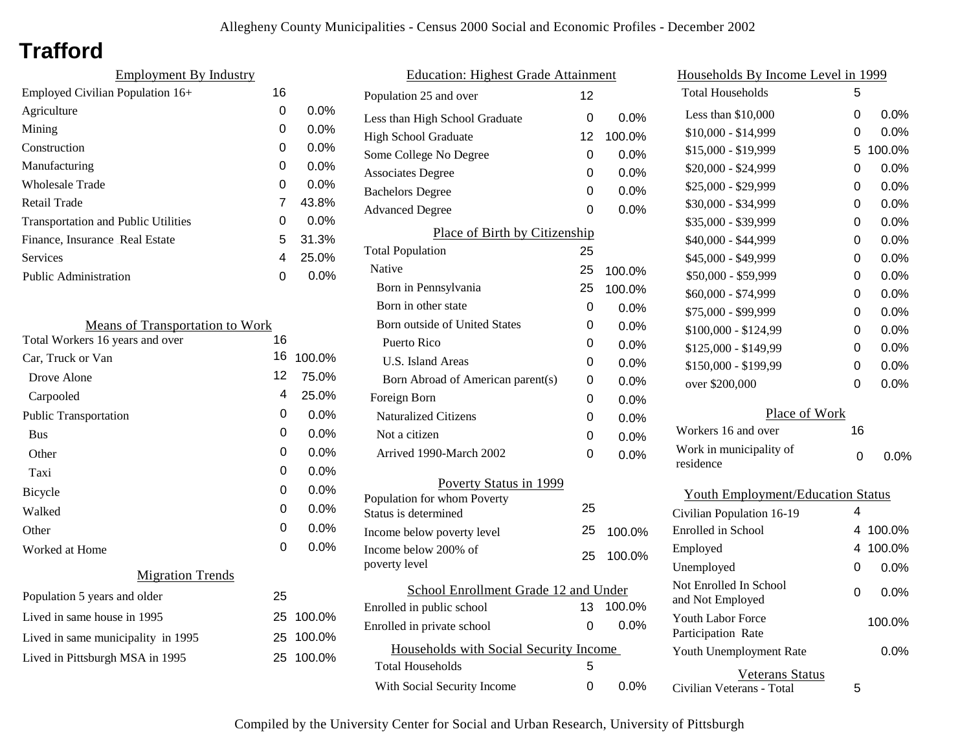# **Trafford**

| <b>Employment By Industry</b>              |    |         |
|--------------------------------------------|----|---------|
| Employed Civilian Population 16+           | 16 |         |
| Agriculture                                | 0  | $0.0\%$ |
| Mining                                     | 0  | $0.0\%$ |
| Construction                               | 0  | $0.0\%$ |
| Manufacturing                              | 0  | $0.0\%$ |
| Wholesale Trade                            | 0  | 0.0%    |
| Retail Trade                               | 7  | 43.8%   |
| <b>Transportation and Public Utilities</b> | 0  | $0.0\%$ |
| Finance, Insurance Real Estate             | 5  | 31.3%   |
| Services                                   | 4  | 25.0%   |
| <b>Public Administration</b>               | ი  | $0.0\%$ |
|                                            |    |         |

| <b>Means of Transportation to Work</b> |    |           |
|----------------------------------------|----|-----------|
| Total Workers 16 years and over        | 16 |           |
| Car, Truck or Van                      | 16 | 100.0%    |
| Drove Alone                            | 12 | 75.0%     |
| Carpooled                              | 4  | 25.0%     |
| <b>Public Transportation</b>           | 0  | 0.0%      |
| <b>Bus</b>                             | 0  | $0.0\%$   |
| Other                                  | 0  | $0.0\%$   |
| Taxi                                   | 0  | 0.0%      |
| Bicycle                                | 0  | 0.0%      |
| Walked                                 | 0  | 0.0%      |
| Other                                  | 0  | 0.0%      |
| Worked at Home                         | 0  | 0.0%      |
| <b>Migration Trends</b>                |    |           |
| Population 5 years and older           | 25 |           |
| Lived in same house in 1995            | 25 | 100.0%    |
| Lived in same municipality in 1995     |    | 25 100.0% |
| Lived in Pittsburgh MSA in 1995        | 25 | 100.0%    |
|                                        |    |           |

| <b>Education: Highest Grade Attainment</b>          |    |         |
|-----------------------------------------------------|----|---------|
| Population 25 and over                              | 12 |         |
| Less than High School Graduate                      | 0  | $0.0\%$ |
| <b>High School Graduate</b>                         | 12 | 100.0%  |
| Some College No Degree                              | 0  | 0.0%    |
| <b>Associates Degree</b>                            | 0  | 0.0%    |
| <b>Bachelors Degree</b>                             | 0  | 0.0%    |
| <b>Advanced Degree</b>                              | 0  | $0.0\%$ |
| Place of Birth by Citizenship                       |    |         |
| <b>Total Population</b>                             | 25 |         |
| Native                                              | 25 | 100.0%  |
| Born in Pennsylvania                                | 25 | 100.0%  |
| Born in other state                                 | 0  | 0.0%    |
| <b>Born outside of United States</b>                | 0  | $0.0\%$ |
| Puerto Rico                                         | 0  | 0.0%    |
| <b>U.S. Island Areas</b>                            | 0  | $0.0\%$ |
| Born Abroad of American parent(s)                   | 0  | 0.0%    |
| Foreign Born                                        | 0  | $0.0\%$ |
| <b>Naturalized Citizens</b>                         | 0  | 0.0%    |
| Not a citizen                                       | 0  | $0.0\%$ |
| Arrived 1990-March 2002                             | 0  | 0.0%    |
| Poverty Status in 1999                              |    |         |
| Population for whom Poverty<br>Status is determined | 25 |         |
| Income below poverty level                          | 25 | 100.0%  |
| Income below 200% of<br>poverty level               | 25 | 100.0%  |
| School Enrollment Grade 12 and Under                |    |         |
| Enrolled in public school                           | 13 | 100.0%  |
| Enrolled in private school                          | 0  | $0.0\%$ |
| Households with Social Security Income              |    |         |
| <b>Total Households</b>                             | 5  |         |
| With Social Security Income                         | 0  | $0.0\%$ |

| Households By Income Level in 1999             |    |         |
|------------------------------------------------|----|---------|
| Total Households                               | 5  |         |
| Less than $$10,000$                            | 0  | $0.0\%$ |
| $$10,000 - $14,999$                            | 0  | $0.0\%$ |
| \$15,000 - \$19,999                            | 5  | 100.0%  |
| \$20,000 - \$24,999                            | 0  | 0.0%    |
| \$25,000 - \$29,999                            | 0  | 0.0%    |
| \$30,000 - \$34,999                            | 0  | 0.0%    |
| \$35,000 - \$39,999                            | 0  | 0.0%    |
| \$40,000 - \$44,999                            | 0  | $0.0\%$ |
| \$45,000 - \$49,999                            | 0  | $0.0\%$ |
| \$50,000 - \$59,999                            | 0  | $0.0\%$ |
| \$60,000 - \$74,999                            | 0  | $0.0\%$ |
| \$75,000 - \$99,999                            | 0  | $0.0\%$ |
| \$100,000 - \$124,99                           | 0  | 0.0%    |
| \$125,000 - \$149,99                           | 0  | 0.0%    |
| \$150,000 - \$199,99                           | 0  | 0.0%    |
| over \$200,000                                 | 0  | 0.0%    |
| Place of Work                                  |    |         |
| Workers 16 and over                            | 16 |         |
| Work in municipality of<br>residence           | 0  | $0.0\%$ |
| <b>Youth Employment/Education Status</b>       |    |         |
| Civilian Population 16-19                      | 4  |         |
| <b>Enrolled</b> in School                      | 4  | 100.0%  |
| Employed                                       | 4  | 100.0%  |
| Unemployed                                     | 0  | $0.0\%$ |
| Not Enrolled In School<br>and Not Employed     | 0  | $0.0\%$ |
| <b>Youth Labor Force</b><br>Participation Rate |    | 100.0%  |
| Youth Unemployment Rate                        |    | $0.0\%$ |
| Veterans Status                                |    |         |

Civilian Veterans - Total

5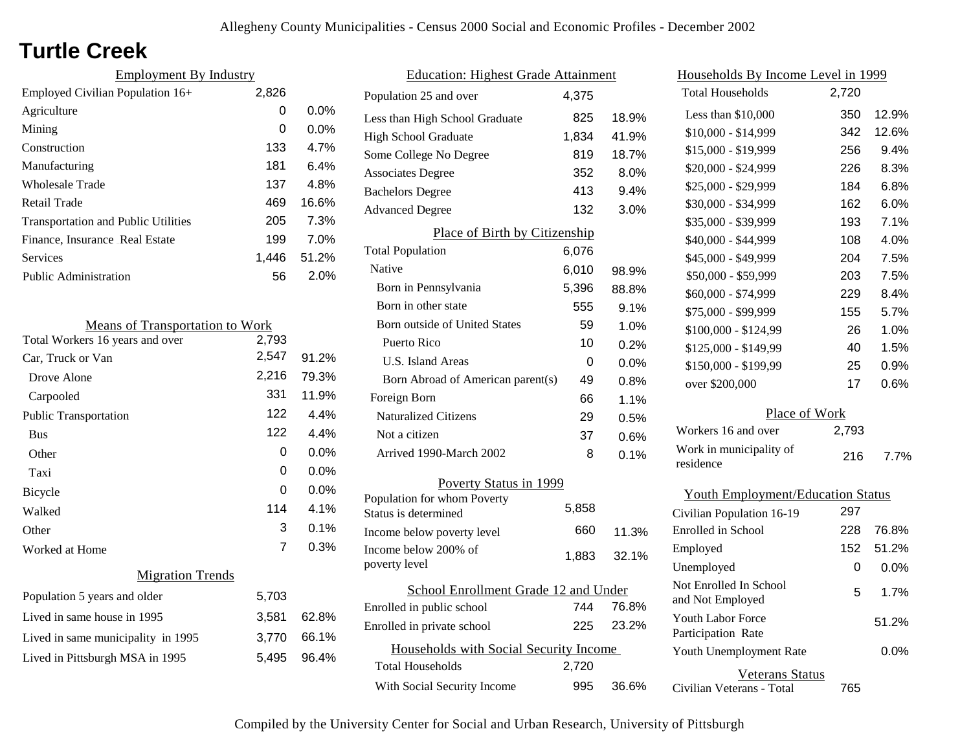# **Turtle Creek**

| <b>Employment By Industry</b>              |       |         |
|--------------------------------------------|-------|---------|
| Employed Civilian Population $16+$         | 2,826 |         |
| Agriculture                                | 0     | $0.0\%$ |
| Mining                                     | 0     | $0.0\%$ |
| Construction                               | 133   | 4.7%    |
| Manufacturing                              | 181   | 6.4%    |
| Wholesale Trade                            | 137   | 4.8%    |
| Retail Trade                               | 469   | 16.6%   |
| <b>Transportation and Public Utilities</b> | 205   | 7.3%    |
| Finance, Insurance Real Estate             | 199   | 7.0%    |
| Services                                   | 1.446 | 51.2%   |
| <b>Public Administration</b>               | 56    | 2.0%    |

| <b>Means of Transportation to Work</b> |       |         |
|----------------------------------------|-------|---------|
| Total Workers 16 years and over        | 2,793 |         |
| Car, Truck or Van                      | 2,547 | 91.2%   |
| Drove Alone                            | 2,216 | 79.3%   |
| Carpooled                              | 331   | 11.9%   |
| <b>Public Transportation</b>           | 122   | $4.4\%$ |
| <b>Bus</b>                             | 122   | 4.4%    |
| Other                                  | 0     | 0.0%    |
| Taxi                                   | 0     | 0.0%    |
| Bicycle                                | O     | $0.0\%$ |
| Walked                                 | 114   | 4.1%    |
| Other                                  | 3     | 0.1%    |
| Worked at Home                         | 7     | 0.3%    |
| <b>Migration Trends</b>                |       |         |
| Population 5 years and older           | 5,703 |         |
| Lived in same house in 1995            | 3,581 | 62.8%   |
| Lived in same municipality in 1995     | 3,770 | 66.1%   |
| Lived in Pittsburgh MSA in 1995        | 5,495 | 96.4%   |

| <b>Education: Highest Grade Attainment</b>         |       |       |
|----------------------------------------------------|-------|-------|
| Population 25 and over                             | 4,375 |       |
| Less than High School Graduate                     | 825   | 18.9% |
| <b>High School Graduate</b>                        | 1,834 | 41.9% |
| Some College No Degree                             | 819   | 18.7% |
| <b>Associates Degree</b>                           | 352   | 8.0%  |
| <b>Bachelors Degree</b>                            | 413   | 9.4%  |
| <b>Advanced Degree</b>                             | 132   | 3.0%  |
| Place of Birth by Citizenship                      |       |       |
| <b>Total Population</b>                            | 6,076 |       |
| Native                                             | 6,010 | 98.9% |
| Born in Pennsylvania                               | 5,396 | 88.8% |
| Born in other state                                | 555   | 9.1%  |
| <b>Born outside of United States</b>               | 59    | 1.0%  |
| Puerto Rico                                        | 10    | 0.2%  |
| U.S. Island Areas                                  | 0     | 0.0%  |
| Born Abroad of American parent(s)                  | 49    | 0.8%  |
| Foreign Born                                       | 66    | 1.1%  |
| <b>Naturalized Citizens</b>                        | 29    | 0.5%  |
| Not a citizen                                      | 37    | 0.6%  |
| Arrived 1990-March 2002                            | 8     | 0.1%  |
| Poverty Status in 1999                             |       |       |
| Population for whom Poverty                        | 5,858 |       |
| Status is determined                               | 660   |       |
| Income below poverty level<br>Income below 200% of |       | 11.3% |
| poverty level                                      | 1,883 | 32.1% |
| School Enrollment Grade 12 and Under               |       |       |
| Enrolled in public school                          | 744   | 76.8% |
| Enrolled in private school                         | 225   | 23.2% |
| Households with Social Security Income             |       |       |
| <b>Total Households</b>                            | 2,720 |       |
| With Social Security Income                        | 995   | 36.6% |

| Households By Income Level in 1999         |       |         |
|--------------------------------------------|-------|---------|
| <b>Total Households</b>                    | 2,720 |         |
| Less than $$10,000$                        | 350   | 12.9%   |
| \$10,000 - \$14,999                        | 342   | 12.6%   |
| \$15,000 - \$19,999                        | 256   | 9.4%    |
| \$20,000 - \$24,999                        | 226   | 8.3%    |
| \$25,000 - \$29,999                        | 184   | 6.8%    |
| \$30,000 - \$34,999                        | 162   | 6.0%    |
| \$35,000 - \$39,999                        | 193   | 7.1%    |
| \$40,000 - \$44,999                        | 108   | 4.0%    |
| \$45,000 - \$49,999                        | 204   | 7.5%    |
| \$50,000 - \$59,999                        | 203   | 7.5%    |
| \$60,000 - \$74,999                        | 229   | 8.4%    |
| \$75,000 - \$99,999                        | 155   | 5.7%    |
| \$100,000 - \$124,99                       | 26    | 1.0%    |
| \$125,000 - \$149,99                       | 40    | 1.5%    |
| \$150,000 - \$199,99                       | 25    | 0.9%    |
| over \$200,000                             | 17    | 0.6%    |
| Place of Work                              |       |         |
| Workers 16 and over                        | 2,793 |         |
| Work in municipality of<br>residence       | 216   | 7.7%    |
| <b>Youth Employment/Education Status</b>   |       |         |
| Civilian Population 16-19                  | 297   |         |
| Enrolled in School                         | 228   | 76.8%   |
| Employed                                   | 152   | 51.2%   |
| Unemployed                                 | 0     | 0.0%    |
| Not Enrolled In School<br>and Not Employed | 5     | 1.7%    |
| Youth Labor Force<br>Participation Rate    |       | 51.2%   |
| Youth Unemployment Rate                    |       | $0.0\%$ |
| Veterans Status                            |       |         |

Civilian Veterans - Total

765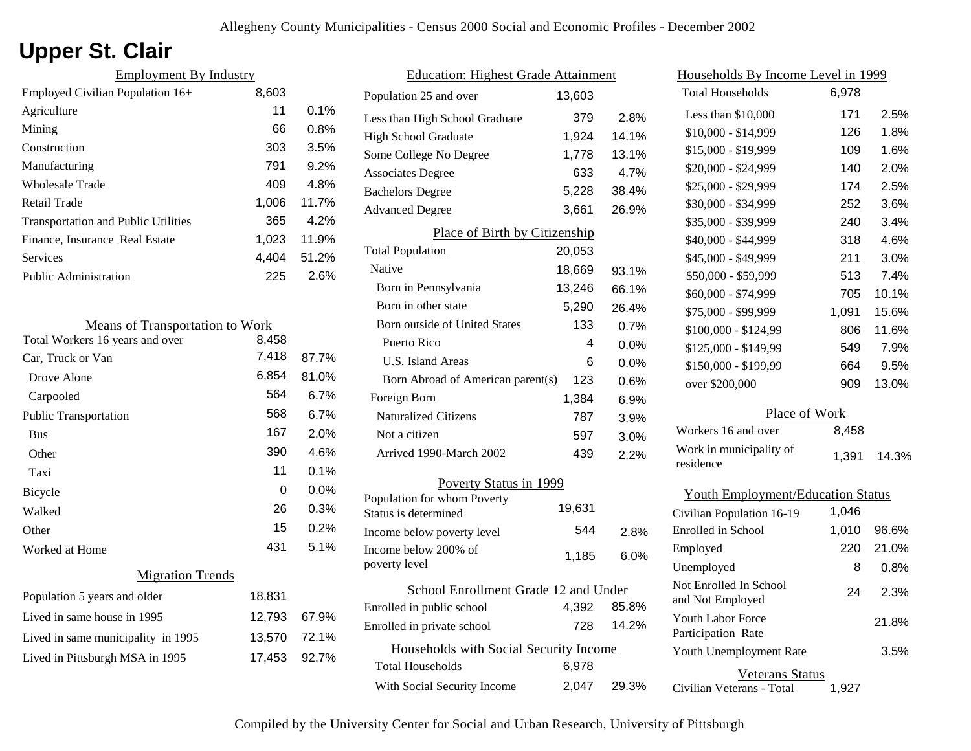# **Upper St. Clair**

| <b>Employment By Industry</b>              |       |         |
|--------------------------------------------|-------|---------|
| Employed Civilian Population 16+           | 8,603 |         |
| Agriculture                                | 11    | $0.1\%$ |
| Mining                                     | 66    | 0.8%    |
| Construction                               | 303   | 3.5%    |
| Manufacturing                              | 791   | 9.2%    |
| Wholesale Trade                            | 409   | 4.8%    |
| Retail Trade                               | 1,006 | 11.7%   |
| <b>Transportation and Public Utilities</b> | 365   | 4.2%    |
| Finance, Insurance Real Estate             | 1.023 | 11.9%   |
| Services                                   | 4.404 | 51.2%   |
| <b>Public Administration</b>               | 225   | 2.6%    |

| <b>Means of Transportation to Work</b> |        |       |
|----------------------------------------|--------|-------|
| Total Workers 16 years and over        | 8,458  |       |
| Car, Truck or Van                      | 7,418  | 87.7% |
| Drove Alone                            | 6,854  | 81.0% |
| Carpooled                              | 564    | 6.7%  |
| <b>Public Transportation</b>           | 568    | 6.7%  |
| <b>Bus</b>                             | 167    | 2.0%  |
| Other                                  | 390    | 4.6%  |
| Taxi                                   | 11     | 0.1%  |
| Bicycle                                | 0      | 0.0%  |
| Walked                                 | 26     | 0.3%  |
| Other                                  | 15     | 0.2%  |
| Worked at Home                         | 431    | 5.1%  |
| <b>Migration Trends</b>                |        |       |
| Population 5 years and older           | 18,831 |       |
| Lived in same house in 1995            | 12,793 | 67.9% |
| Lived in same municipality in 1995     | 13,570 | 72.1% |
| Lived in Pittsburgh MSA in 1995        | 17,453 | 92.7% |
|                                        |        |       |

| <b>Education: Highest Grade Attainment</b>          |        |         |
|-----------------------------------------------------|--------|---------|
| Population 25 and over                              | 13,603 |         |
| Less than High School Graduate                      | 379    | 2.8%    |
| <b>High School Graduate</b>                         | 1,924  | 14.1%   |
| Some College No Degree                              | 1,778  | 13.1%   |
| <b>Associates Degree</b>                            | 633    | 4.7%    |
| <b>Bachelors Degree</b>                             | 5,228  | 38.4%   |
| <b>Advanced Degree</b>                              | 3,661  | 26.9%   |
| Place of Birth by Citizenship                       |        |         |
| <b>Total Population</b>                             | 20,053 |         |
| <b>Native</b>                                       | 18,669 | 93.1%   |
| Born in Pennsylvania                                | 13,246 | 66.1%   |
| Born in other state                                 | 5,290  | 26.4%   |
| Born outside of United States                       | 133    | 0.7%    |
| Puerto Rico                                         | 4      | 0.0%    |
| U.S. Island Areas                                   | 6      | $0.0\%$ |
| Born Abroad of American parent(s)                   | 123    | 0.6%    |
| Foreign Born                                        | 1,384  | 6.9%    |
| <b>Naturalized Citizens</b>                         | 787    | 3.9%    |
| Not a citizen                                       | 597    | 3.0%    |
| Arrived 1990-March 2002                             | 439    | 2.2%    |
| Poverty Status in 1999                              |        |         |
| Population for whom Poverty<br>Status is determined | 19,631 |         |
| Income below poverty level                          | 544    | 2.8%    |
| Income below 200% of<br>poverty level               | 1,185  | 6.0%    |
| School Enrollment Grade 12 and Under                |        |         |
| Enrolled in public school                           | 4,392  | 85.8%   |
| Enrolled in private school                          | 728    | 14.2%   |
| Households with Social Security Income              |        |         |
| <b>Total Households</b>                             | 6,978  |         |
| With Social Security Income                         | 2,047  | 29.3%   |

| Households By Income Level in 1999         |       |       |  |
|--------------------------------------------|-------|-------|--|
| <b>Total Households</b>                    | 6,978 |       |  |
| Less than \$10,000                         | 171   | 2.5%  |  |
| \$10,000 - \$14,999                        | 126   | 1.8%  |  |
| \$15,000 - \$19,999                        | 109   | 1.6%  |  |
| \$20,000 - \$24,999                        | 140   | 2.0%  |  |
| \$25,000 - \$29,999                        | 174   | 2.5%  |  |
| \$30,000 - \$34,999                        | 252   | 3.6%  |  |
| \$35,000 - \$39,999                        | 240   | 3.4%  |  |
| \$40,000 - \$44,999                        | 318   | 4.6%  |  |
| \$45,000 - \$49,999                        | 211   | 3.0%  |  |
| \$50,000 - \$59,999                        | 513   | 7.4%  |  |
| \$60,000 - \$74,999                        | 705   | 10.1% |  |
| \$75,000 - \$99,999                        | 1,091 | 15.6% |  |
| \$100,000 - \$124,99                       | 806   | 11.6% |  |
| \$125,000 - \$149,99                       | 549   | 7.9%  |  |
| \$150,000 - \$199,99                       | 664   | 9.5%  |  |
| over \$200,000                             | 909   | 13.0% |  |
| Place of Work                              |       |       |  |
| Workers 16 and over                        | 8,458 |       |  |
| Work in municipality of<br>residence       | 1,391 | 14.3% |  |
| <b>Youth Employment/Education Status</b>   |       |       |  |
| Civilian Population 16-19                  | 1,046 |       |  |
| Enrolled in School                         | 1,010 | 96.6% |  |
| Employed                                   | 220   | 21.0% |  |
| Unemployed                                 | 8     | 0.8%  |  |
| Not Enrolled In School<br>and Not Employed | 24    | 2.3%  |  |

| Youth Labor Force<br>Participation Rate | 21.8% |
|-----------------------------------------|-------|
| Youth Unemployment Rate                 | 3.5%  |
| Veterans Status                         |       |

Civilian Veterans - Total 1,927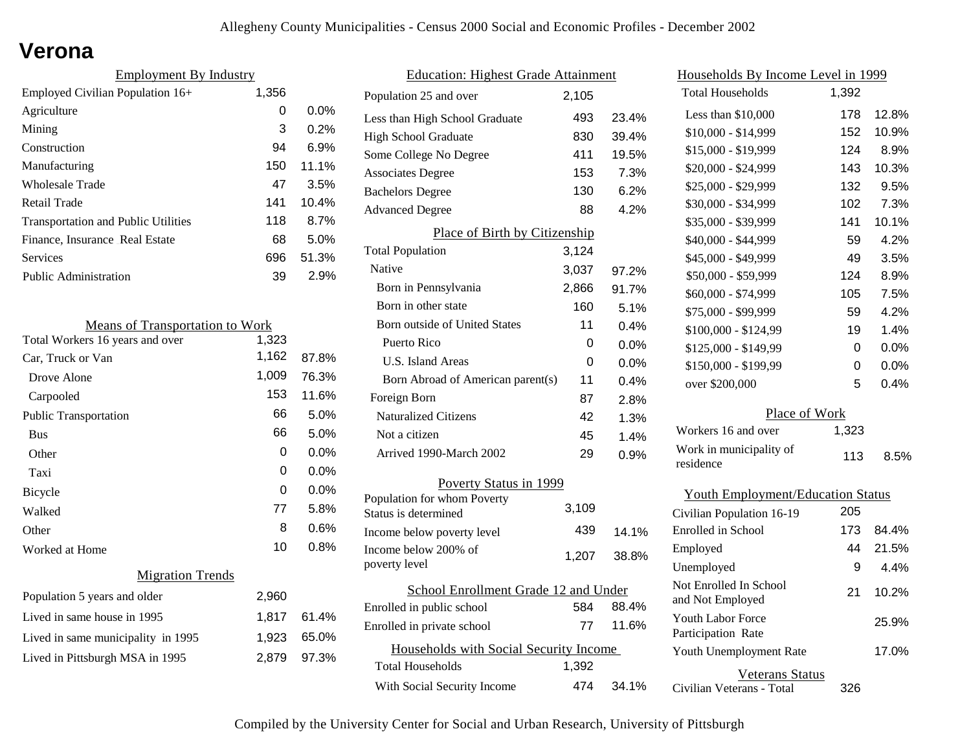### **Verona**

| <b>Employment By Industry</b>              |       |       |
|--------------------------------------------|-------|-------|
| Employed Civilian Population 16+           | 1,356 |       |
| Agriculture                                | 0     | 0.0%  |
| Mining                                     | 3     | 0.2%  |
| Construction                               | 94    | 6.9%  |
| Manufacturing                              | 150   | 11.1% |
| <b>Wholesale Trade</b>                     | 47    | 3.5%  |
| Retail Trade                               | 141   | 10.4% |
| <b>Transportation and Public Utilities</b> | 118   | 8.7%  |
| Finance, Insurance Real Estate             | 68    | 5.0%  |
| Services                                   | 696   | 51.3% |
| <b>Public Administration</b>               | 39    | 2.9%  |

| <b>Means of Transportation to Work</b> |       |         |
|----------------------------------------|-------|---------|
| Total Workers 16 years and over        | 1,323 |         |
| Car, Truck or Van                      | 1,162 | 87.8%   |
| Drove Alone                            | 1,009 | 76.3%   |
| Carpooled                              | 153   | 11.6%   |
| <b>Public Transportation</b>           | 66    | 5.0%    |
| <b>Bus</b>                             | 66    | 5.0%    |
| Other                                  | 0     | $0.0\%$ |
| Taxi                                   | 0     | $0.0\%$ |
| Bicycle                                | 0     | $0.0\%$ |
| Walked                                 | 77    | 5.8%    |
| Other                                  | 8     | $0.6\%$ |
| Worked at Home                         | 10    | $0.8\%$ |
| <b>Migration Trends</b>                |       |         |
| Population 5 years and older           | 2,960 |         |
| Lived in same house in 1995            | 1,817 | 61.4%   |
| Lived in same municipality in 1995     | 1,923 | 65.0%   |
| Lived in Pittsburgh MSA in 1995        | 2.879 | 97.3%   |
|                                        |       |         |

| <b>Education: Highest Grade Attainment</b> |       |       |
|--------------------------------------------|-------|-------|
| Population 25 and over                     | 2,105 |       |
| Less than High School Graduate             | 493   | 23.4% |
| <b>High School Graduate</b>                | 830   | 39.4% |
| Some College No Degree                     | 411   | 19.5% |
| <b>Associates Degree</b>                   | 153   | 7.3%  |
| <b>Bachelors Degree</b>                    | 130   | 6.2%  |
| <b>Advanced Degree</b>                     | 88    | 4.2%  |
| Place of Birth by Citizenship              |       |       |
| <b>Total Population</b>                    | 3,124 |       |
| Native                                     | 3,037 | 97.2% |
| Born in Pennsylvania                       | 2,866 | 91.7% |
| Born in other state                        | 160   | 5.1%  |
| Born outside of United States              | 11    | 0.4%  |
| Puerto Rico                                | 0     | 0.0%  |
| U.S. Island Areas                          | 0     | 0.0%  |
| Born Abroad of American parent(s)          | 11    | 0.4%  |
| Foreign Born                               | 87    | 2.8%  |
| Naturalized Citizens                       | 42    | 1.3%  |
| Not a citizen                              | 45    | 1.4%  |
| Arrived 1990-March 2002                    | 29    | 0.9%  |
| Poverty Status in 1999                     |       |       |
| Population for whom Poverty                | 3,109 |       |
| Status is determined                       |       |       |
| Income below poverty level                 | 439   | 14.1% |
| Income below 200% of<br>poverty level      | 1,207 | 38.8% |
|                                            |       |       |
| School Enrollment Grade 12 and Under       | 584   | 88.4% |
| Enrolled in public school                  | 77    | 11.6% |
| Enrolled in private school                 |       |       |
| Households with Social Security Income     |       |       |
| <b>Total Households</b>                    | 1,392 |       |
| With Social Security Income                | 474   | 34.1% |

| Households By Income Level in 1999             |       |       |
|------------------------------------------------|-------|-------|
| <b>Total Households</b>                        | 1,392 |       |
| Less than \$10,000                             | 178   | 12.8% |
| \$10,000 - \$14,999                            | 152   | 10.9% |
| \$15,000 - \$19,999                            | 124   | 8.9%  |
| \$20,000 - \$24,999                            | 143   | 10.3% |
| \$25,000 - \$29,999                            | 132   | 9.5%  |
| \$30,000 - \$34,999                            | 102   | 7.3%  |
| \$35,000 - \$39,999                            | 141   | 10.1% |
| \$40,000 - \$44,999                            | 59    | 4.2%  |
| \$45,000 - \$49,999                            | 49    | 3.5%  |
| \$50,000 - \$59,999                            | 124   | 8.9%  |
| \$60,000 - \$74,999                            | 105   | 7.5%  |
| \$75,000 - \$99,999                            | 59    | 4.2%  |
| \$100,000 - \$124,99                           | 19    | 1.4%  |
| \$125,000 - \$149,99                           | 0     | 0.0%  |
| \$150,000 - \$199,99                           | 0     | 0.0%  |
| over \$200,000                                 | 5     | 0.4%  |
| Place of Work                                  |       |       |
| Workers 16 and over                            | 1,323 |       |
| Work in municipality of<br>residence           | 113   | 8.5%  |
| <b>Youth Employment/Education Status</b>       |       |       |
| Civilian Population 16-19                      | 205   |       |
| Enrolled in School                             | 173   | 84.4% |
| Employed                                       | 44    | 21.5% |
| Unemployed                                     | 9     | 4.4%  |
| Not Enrolled In School<br>and Not Employed     | 21    | 10.2% |
| <b>Youth Labor Force</b><br>Participation Rate |       | 25.9% |

Civilian Veterans - Total

Youth Unemployment Rate

Veterans Status

326

17.0%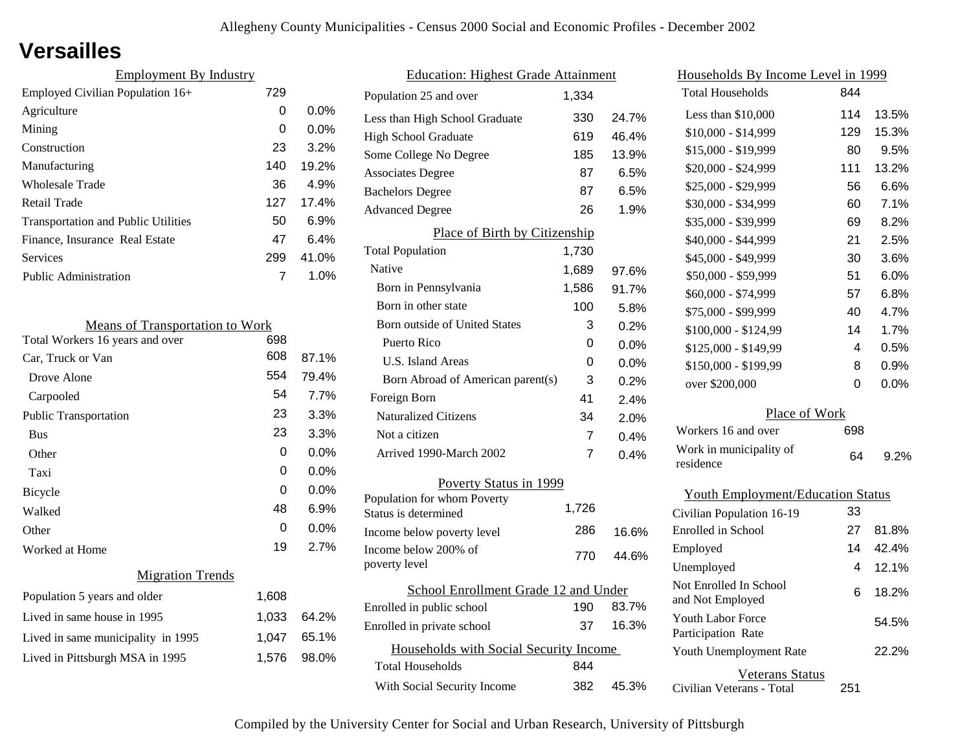### **Versailles**

| <b>Employment By Industry</b>              |     |         |
|--------------------------------------------|-----|---------|
| Employed Civilian Population 16+           | 729 |         |
| Agriculture                                | 0   | $0.0\%$ |
| Mining                                     | 0   | $0.0\%$ |
| Construction                               | 23  | 3.2%    |
| Manufacturing                              | 140 | 19.2%   |
| Wholesale Trade                            | 36  | 4.9%    |
| Retail Trade                               | 127 | 17.4%   |
| <b>Transportation and Public Utilities</b> | 50  | 6.9%    |
| Finance, Insurance Real Estate             | 47  | 6.4%    |
| Services                                   | 299 | 41.0%   |
| <b>Public Administration</b>               |     | 1.0%    |

| <b>Means of Transportation to Work</b> |       |       |
|----------------------------------------|-------|-------|
| Total Workers 16 years and over        | 698   |       |
| Car, Truck or Van                      | 608   | 87.1% |
| Drove Alone                            | 554   | 79.4% |
| Carpooled                              | 54    | 7.7%  |
| <b>Public Transportation</b>           | 23    | 3.3%  |
| <b>Bus</b>                             | 23    | 3.3%  |
| Other                                  | 0     | 0.0%  |
| Taxi                                   | 0     | 0.0%  |
| Bicycle                                | 0     | 0.0%  |
| Walked                                 | 48    | 6.9%  |
| Other                                  | 0     | 0.0%  |
| Worked at Home                         | 19    | 2.7%  |
| <b>Migration Trends</b>                |       |       |
| Population 5 years and older           | 1,608 |       |
| Lived in same house in 1995            | 1,033 | 64.2% |
| Lived in same municipality in 1995     | 1,047 | 65.1% |
| Lived in Pittsburgh MSA in 1995        | 1,576 | 98.0% |
|                                        |       |       |

| <b>Education: Highest Grade Attainment</b> |       |         |
|--------------------------------------------|-------|---------|
| Population 25 and over                     | 1,334 |         |
| Less than High School Graduate             | 330   | 24.7%   |
| High School Graduate                       | 619   | 46.4%   |
| Some College No Degree                     | 185   | 13.9%   |
| <b>Associates Degree</b>                   | 87    | 6.5%    |
| <b>Bachelors Degree</b>                    | 87    | 6.5%    |
| <b>Advanced Degree</b>                     | 26    | 1.9%    |
| Place of Birth by Citizenship              |       |         |
| <b>Total Population</b>                    | 1,730 |         |
| Native                                     | 1,689 | 97.6%   |
| Born in Pennsylvania                       | 1,586 | 91.7%   |
| Born in other state                        | 100   | 5.8%    |
| <b>Born outside of United States</b>       | 3     | 0.2%    |
| Puerto Rico                                | 0     | 0.0%    |
| <b>U.S. Island Areas</b>                   | 0     | $0.0\%$ |
| Born Abroad of American parent(s)          | 3     | 0.2%    |
| Foreign Born                               | 41    | 2.4%    |
| <b>Naturalized Citizens</b>                | 34    | 2.0%    |
| Not a citizen                              | 7     | 0.4%    |
| Arrived 1990-March 2002                    | 7     | 0.4%    |
| Poverty Status in 1999                     |       |         |
| Population for whom Poverty                | 1,726 |         |
| Status is determined                       | 286   |         |
| Income below poverty level                 |       | 16.6%   |
| Income below 200% of<br>poverty level      | 770   | 44.6%   |
| School Enrollment Grade 12 and Under       |       |         |
| Enrolled in public school                  | 190   | 83.7%   |
| Enrolled in private school                 | 37    | 16.3%   |
| Households with Social Security Income     |       |         |
| <b>Total Households</b>                    | 844   |         |
| With Social Security Income                | 382   | 45.3%   |
|                                            |       |         |

| Households By Income Level in 1999             |     |         |
|------------------------------------------------|-----|---------|
| <b>Total Households</b>                        | 844 |         |
| Less than \$10,000                             | 114 | 13.5%   |
| $$10,000 - $14,999$                            | 129 | 15.3%   |
| \$15,000 - \$19,999                            | 80  | 9.5%    |
| \$20,000 - \$24,999                            | 111 | 13.2%   |
| \$25,000 - \$29,999                            | 56  | 6.6%    |
| \$30,000 - \$34,999                            | 60  | 7.1%    |
| \$35,000 - \$39,999                            | 69  | 8.2%    |
| \$40,000 - \$44,999                            | 21  | 2.5%    |
| \$45,000 - \$49,999                            | 30  | 3.6%    |
| \$50,000 - \$59,999                            | 51  | 6.0%    |
| \$60,000 - \$74,999                            | 57  | 6.8%    |
| \$75,000 - \$99,999                            | 40  | 4.7%    |
| \$100,000 - \$124,99                           | 14  | 1.7%    |
| \$125,000 - \$149,99                           | 4   | 0.5%    |
| \$150,000 - \$199,99                           | 8   | 0.9%    |
| over \$200,000                                 | 0   | 0.0%    |
| Place of Work                                  |     |         |
| Workers 16 and over                            | 698 |         |
| Work in municipality of<br>residence           | 64  | $9.2\%$ |
| <b>Youth Employment/Education Status</b>       |     |         |
| Civilian Population 16-19                      | 33  |         |
| Enrolled in School                             | 27  | 81.8%   |
| Employed                                       | 14  | 42.4%   |
| Unemployed                                     | 4   | 12.1%   |
| Not Enrolled In School<br>and Not Employed     | 6   | 18.2%   |
| <b>Youth Labor Force</b><br>Participation Rate |     | 54.5%   |
| Youth Unemployment Rate                        |     | 22.2%   |

Civilian Veterans - Total

Veterans Status

251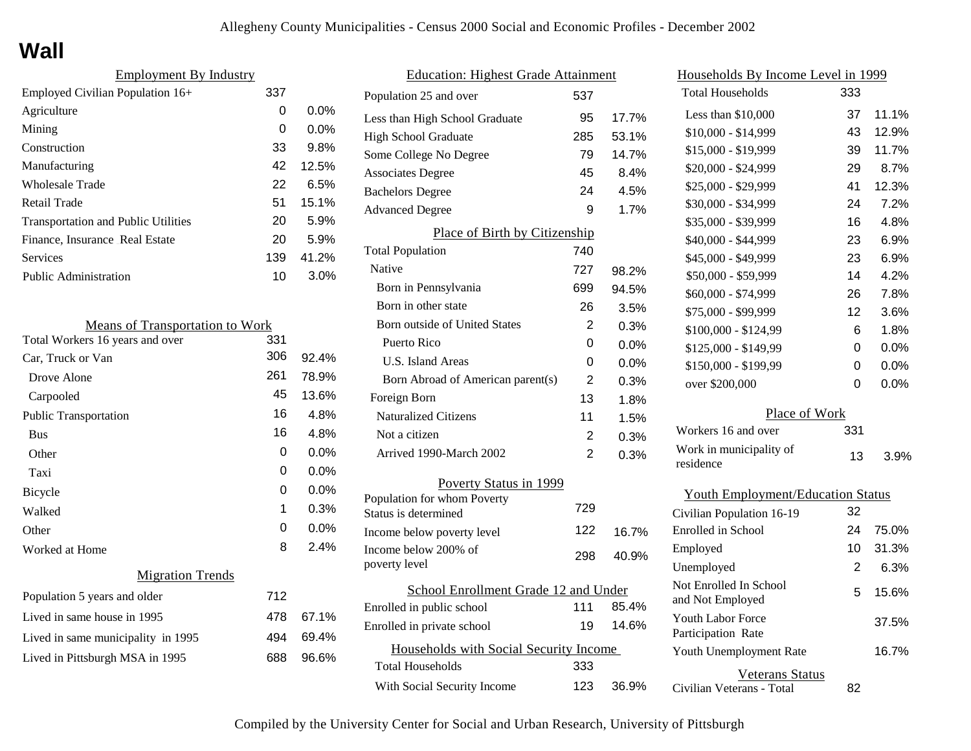# **Wall**

| <b>Employment By Industry</b>              |     |         |
|--------------------------------------------|-----|---------|
| Employed Civilian Population 16+           | 337 |         |
| Agriculture                                | 0   | $0.0\%$ |
| Mining                                     | 0   | $0.0\%$ |
| Construction                               | 33  | 9.8%    |
| Manufacturing                              | 42  | 12.5%   |
| <b>Wholesale Trade</b>                     | 22  | 6.5%    |
| Retail Trade                               | 51  | 15.1%   |
| <b>Transportation and Public Utilities</b> | 20  | 5.9%    |
| Finance, Insurance Real Estate             | 20  | 5.9%    |
| Services                                   | 139 | 41.2%   |
| <b>Public Administration</b>               | 10  | 3.0%    |
|                                            |     |         |

| <b>Means of Transportation to Work</b> |     |         |
|----------------------------------------|-----|---------|
| Total Workers 16 years and over        | 331 |         |
| Car, Truck or Van                      | 306 | 92.4%   |
| Drove Alone                            | 261 | 78.9%   |
| Carpooled                              | 45  | 13.6%   |
| <b>Public Transportation</b>           | 16  | 4.8%    |
| <b>Bus</b>                             | 16  | 4.8%    |
| Other                                  | 0   | 0.0%    |
| Taxi                                   | 0   | $0.0\%$ |
| Bicycle                                | 0   | $0.0\%$ |
| Walked                                 | 1   | 0.3%    |
| Other                                  | 0   | 0.0%    |
| Worked at Home                         | 8   | 2.4%    |
| <b>Migration Trends</b>                |     |         |
| Population 5 years and older           | 712 |         |
| Lived in same house in 1995            | 478 | 67.1%   |
| Lived in same municipality in 1995     | 494 | 69.4%   |
| Lived in Pittsburgh MSA in 1995        | 688 | 96.6%   |
|                                        |     |         |

| <b>Education: Highest Grade Attainment</b>          |     |       |
|-----------------------------------------------------|-----|-------|
| Population 25 and over                              | 537 |       |
| Less than High School Graduate                      | 95  | 17.7% |
| <b>High School Graduate</b>                         | 285 | 53.1% |
| Some College No Degree                              | 79  | 14.7% |
| <b>Associates Degree</b>                            | 45  | 8.4%  |
| <b>Bachelors Degree</b>                             | 24  | 4.5%  |
| <b>Advanced Degree</b>                              | 9   | 1.7%  |
| Place of Birth by Citizenship                       |     |       |
| <b>Total Population</b>                             | 740 |       |
| Native                                              | 727 | 98.2% |
| Born in Pennsylvania                                | 699 | 94.5% |
| Born in other state                                 | 26  | 3.5%  |
| <b>Born outside of United States</b>                | 2   | 0.3%  |
| Puerto Rico                                         | 0   | 0.0%  |
| U.S. Island Areas                                   | 0   | 0.0%  |
| Born Abroad of American parent(s)                   | 2   | 0.3%  |
| Foreign Born                                        | 13  | 1.8%  |
| <b>Naturalized Citizens</b>                         | 11  | 1.5%  |
| Not a citizen                                       | 2   | 0.3%  |
| Arrived 1990-March 2002                             | 2   | 0.3%  |
| Poverty Status in 1999                              |     |       |
| Population for whom Poverty<br>Status is determined | 729 |       |
| Income below poverty level                          | 122 | 16.7% |
| Income below 200% of                                | 298 | 40.9% |
| poverty level                                       |     |       |
| School Enrollment Grade 12 and Under                |     |       |
| Enrolled in public school                           | 111 | 85.4% |
| Enrolled in private school                          | 19  | 14.6% |
| Households with Social Security Income              |     |       |
| Total Households                                    | 333 |       |
| With Social Security Income                         | 123 | 36.9% |

| Households By Income Level in 1999             |     |         |
|------------------------------------------------|-----|---------|
| <b>Total Households</b>                        | 333 |         |
| Less than \$10,000                             | 37  | 11.1%   |
| \$10,000 - \$14,999                            | 43  | 12.9%   |
| \$15,000 - \$19,999                            | 39  | 11.7%   |
| \$20,000 - \$24,999                            | 29  | $8.7\%$ |
| \$25,000 - \$29,999                            | 41  | 12.3%   |
| \$30,000 - \$34,999                            | 24  | 7.2%    |
| \$35,000 - \$39,999                            | 16  | 4.8%    |
| \$40,000 - \$44,999                            | 23  | 6.9%    |
| \$45,000 - \$49,999                            | 23  | 6.9%    |
| \$50,000 - \$59,999                            | 14  | 4.2%    |
| \$60,000 - \$74,999                            | 26  | 7.8%    |
| \$75,000 - \$99,999                            | 12  | 3.6%    |
| \$100,000 - \$124,99                           | 6   | 1.8%    |
| \$125,000 - \$149,99                           | 0   | 0.0%    |
| \$150,000 - \$199,99                           | 0   | 0.0%    |
| over \$200,000                                 | 0   | 0.0%    |
| Place of Work                                  |     |         |
| Workers 16 and over                            | 331 |         |
| Work in municipality of<br>residence           | 13  | 3.9%    |
| <b>Youth Employment/Education Status</b>       |     |         |
| Civilian Population 16-19                      | 32  |         |
| <b>Enrolled</b> in School                      | 24  | 75.0%   |
| Employed                                       | 10  | 31.3%   |
| Unemployed                                     | 2   | 6.3%    |
| Not Enrolled In School<br>and Not Employed     | 5   | 15.6%   |
| <b>Youth Labor Force</b><br>Participation Rate |     | 37.5%   |
| Youth Unemployment Rate                        |     | 16.7%   |

Civilian Veterans - Total

Veterans Status

82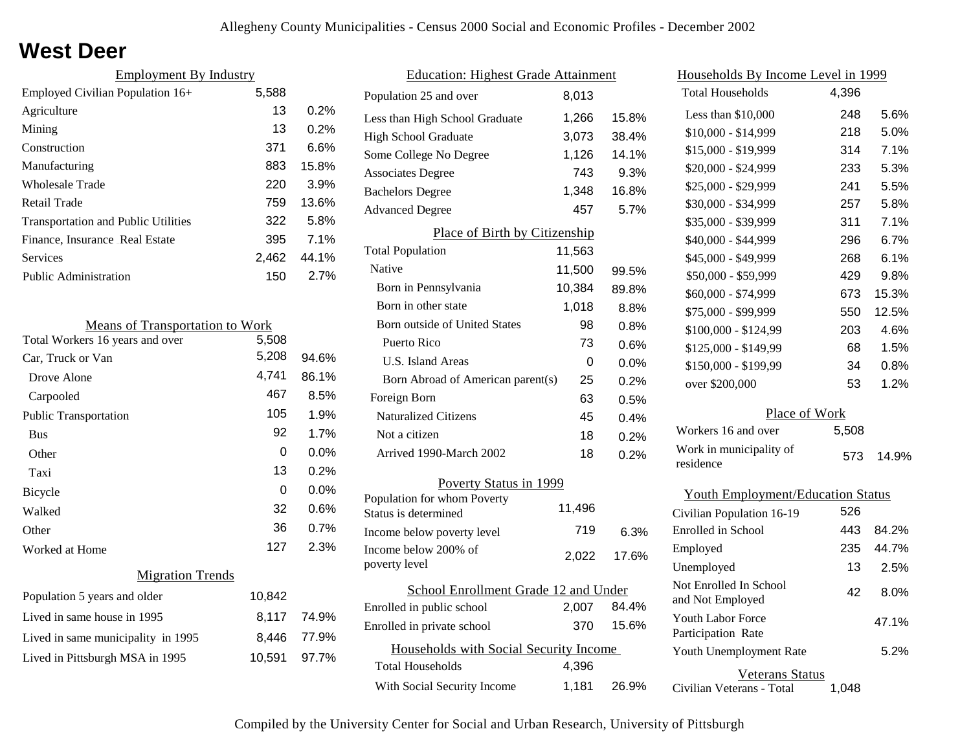### **West Deer**

| <b>Employment By Industry</b> |       |
|-------------------------------|-------|
| 5,588                         |       |
| 13                            | 0.2%  |
| 13                            | 0.2%  |
| 371                           | 6.6%  |
| 883                           | 15.8% |
| 220                           | 3.9%  |
| 759                           | 13.6% |
| 322                           | 5.8%  |
| 395                           | 7.1%  |
| 2.462                         | 44.1% |
| 150                           | 2.7%  |
|                               |       |

| <b>Means of Transportation to Work</b> |        |         |
|----------------------------------------|--------|---------|
| Total Workers 16 years and over        | 5,508  |         |
| Car, Truck or Van                      | 5,208  | 94.6%   |
| Drove Alone                            | 4,741  | 86.1%   |
| Carpooled                              | 467    | 8.5%    |
| <b>Public Transportation</b>           | 105    | 1.9%    |
| <b>Bus</b>                             | 92     | 1.7%    |
| Other                                  | 0      | $0.0\%$ |
| Taxi                                   | 13     | 0.2%    |
| Bicycle                                | 0      | 0.0%    |
| Walked                                 | 32     | 0.6%    |
| Other                                  | 36     | 0.7%    |
| Worked at Home                         | 127    | 2.3%    |
| <b>Migration Trends</b>                |        |         |
| Population 5 years and older           | 10,842 |         |
| Lived in same house in 1995            | 8,117  | 74.9%   |
| Lived in same municipality in 1995     | 8.446  | 77.9%   |
| Lived in Pittsburgh MSA in 1995        | 10,591 | 97.7%   |
|                                        |        |         |

| <b>Education: Highest Grade Attainment</b>          |        |         |
|-----------------------------------------------------|--------|---------|
| Population 25 and over                              | 8,013  |         |
| Less than High School Graduate                      | 1,266  | 15.8%   |
| <b>High School Graduate</b>                         | 3,073  | 38.4%   |
| Some College No Degree                              | 1,126  | 14.1%   |
| <b>Associates Degree</b>                            | 743    | 9.3%    |
| <b>Bachelors Degree</b>                             | 1,348  | 16.8%   |
| <b>Advanced Degree</b>                              | 457    | 5.7%    |
| Place of Birth by Citizenship                       |        |         |
| <b>Total Population</b>                             | 11,563 |         |
| Native                                              | 11,500 | 99.5%   |
| Born in Pennsylvania                                | 10,384 | 89.8%   |
| Born in other state                                 | 1,018  | $8.8\%$ |
| <b>Born outside of United States</b>                | 98     | 0.8%    |
| Puerto Rico                                         | 73     | 0.6%    |
| <b>U.S. Island Areas</b>                            | 0      | 0.0%    |
| Born Abroad of American parent(s)                   | 25     | 0.2%    |
| Foreign Born                                        | 63     | 0.5%    |
| <b>Naturalized Citizens</b>                         | 45     | $0.4\%$ |
| Not a citizen                                       | 18     | 0.2%    |
| Arrived 1990-March 2002                             | 18     | 0.2%    |
| Poverty Status in 1999                              |        |         |
| Population for whom Poverty<br>Status is determined | 11,496 |         |
| Income below poverty level                          | 719    | 6.3%    |
| Income below 200% of<br>poverty level               | 2,022  | 17.6%   |
| School Enrollment Grade 12 and Under                |        |         |
| Enrolled in public school                           | 2,007  | 84.4%   |
| Enrolled in private school                          | 370    | 15.6%   |
| Households with Social Security Income              |        |         |
| <b>Total Households</b>                             | 4,396  |         |
| With Social Security Income                         | 1,181  | 26.9%   |

| Households By Income Level in 1999         |       |       |  |
|--------------------------------------------|-------|-------|--|
| <b>Total Households</b>                    | 4,396 |       |  |
| Less than \$10,000                         | 248   | 5.6%  |  |
| $$10,000 - $14,999$                        | 218   | 5.0%  |  |
| \$15,000 - \$19,999                        | 314   | 7.1%  |  |
| \$20,000 - \$24,999                        | 233   | 5.3%  |  |
| \$25,000 - \$29,999                        | 241   | 5.5%  |  |
| \$30,000 - \$34,999                        | 257   | 5.8%  |  |
| \$35,000 - \$39,999                        | 311   | 7.1%  |  |
| \$40,000 - \$44,999                        | 296   | 6.7%  |  |
| \$45,000 - \$49,999                        | 268   | 6.1%  |  |
| \$50,000 - \$59,999                        | 429   | 9.8%  |  |
| \$60,000 - \$74,999                        | 673   | 15.3% |  |
| \$75,000 - \$99,999                        | 550   | 12.5% |  |
| \$100,000 - \$124,99                       | 203   | 4.6%  |  |
| \$125,000 - \$149,99                       | 68    | 1.5%  |  |
| \$150,000 - \$199,99                       | 34    | 0.8%  |  |
| over \$200,000                             | 53    | 1.2%  |  |
| Place of Work                              |       |       |  |
| Workers 16 and over                        | 5,508 |       |  |
| Work in municipality of<br>residence       | 573   | 14.9% |  |
| <b>Youth Employment/Education Status</b>   |       |       |  |
| Civilian Population 16-19                  | 526   |       |  |
| Enrolled in School                         | 443   | 84.2% |  |
| Employed                                   | 235   | 44.7% |  |
| Unemployed                                 | 13    | 2.5%  |  |
| Not Enrolled In School<br>and Not Employed | 42    | 8.0%  |  |

Civilian Veterans - Total

Youth Unemployment Rate

Youth Labor Force Participation Rate

Veterans Status

1,048

5.2%

47.1%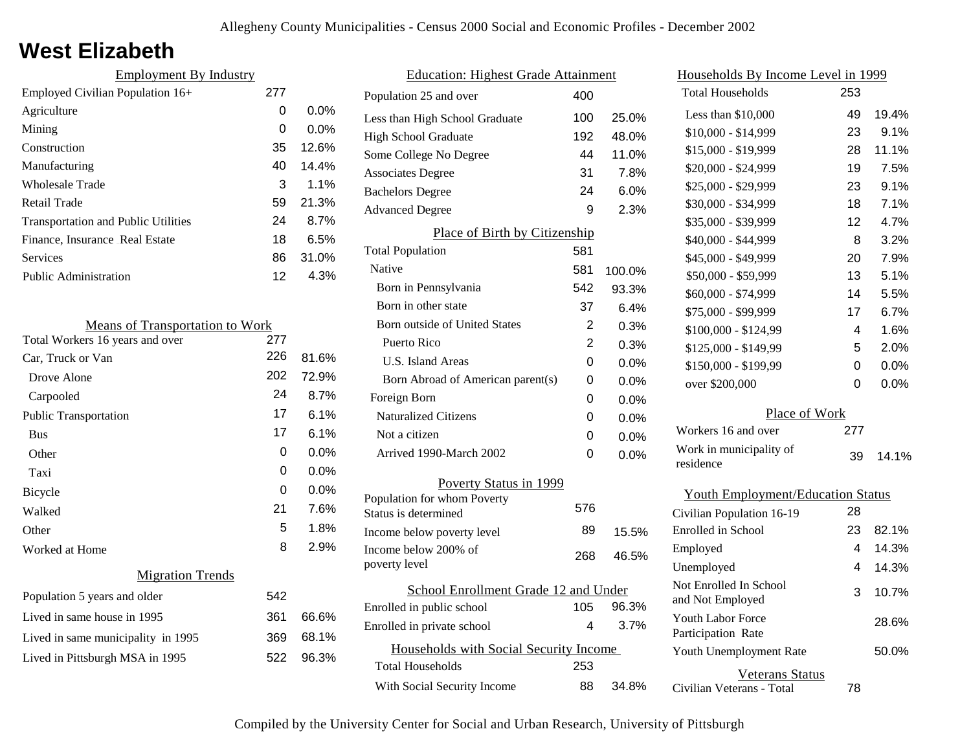### **West Elizabeth**

| <b>Employment By Industry</b>              |     |         |
|--------------------------------------------|-----|---------|
| Employed Civilian Population 16+           | 277 |         |
| Agriculture                                | 0   | $0.0\%$ |
| Mining                                     | 0   | $0.0\%$ |
| Construction                               | 35  | 12.6%   |
| Manufacturing                              | 40  | 14.4%   |
| Wholesale Trade                            | 3   | $1.1\%$ |
| Retail Trade                               | 59  | 21.3%   |
| <b>Transportation and Public Utilities</b> | 24  | 8.7%    |
| Finance, Insurance Real Estate             | 18  | 6.5%    |
| <b>Services</b>                            | 86  | 31.0%   |
| <b>Public Administration</b>               | 12  | 4.3%    |

| <b>Means of Transportation to Work</b> |     |         |
|----------------------------------------|-----|---------|
| Total Workers 16 years and over        | 277 |         |
| Car, Truck or Van                      | 226 | 81.6%   |
| Drove Alone                            | 202 | 72.9%   |
| Carpooled                              | 24  | 8.7%    |
| <b>Public Transportation</b>           | 17  | 6.1%    |
| <b>Bus</b>                             | 17  | 6.1%    |
| Other                                  | 0   | 0.0%    |
| Taxi                                   | 0   | $0.0\%$ |
| <b>Bicycle</b>                         | 0   | $0.0\%$ |
| Walked                                 | 21  | 7.6%    |
| Other                                  | 5   | 1.8%    |
| Worked at Home                         | 8   | 2.9%    |
| <b>Migration Trends</b>                |     |         |
| Population 5 years and older           | 542 |         |
| Lived in same house in 1995            | 361 | 66.6%   |
| Lived in same municipality in 1995     | 369 | 68.1%   |
| Lived in Pittsburgh MSA in 1995        | 522 | 96.3%   |
|                                        |     |         |

| <u> Education: Highest Grade Attainment</u> |                                        |     |         |  |
|---------------------------------------------|----------------------------------------|-----|---------|--|
|                                             | Population 25 and over                 | 400 |         |  |
|                                             | Less than High School Graduate         | 100 | 25.0%   |  |
|                                             | <b>High School Graduate</b>            | 192 | 48.0%   |  |
|                                             | Some College No Degree                 | 44  | 11.0%   |  |
|                                             | <b>Associates Degree</b>               | 31  | 7.8%    |  |
|                                             | <b>Bachelors Degree</b>                | 24  | 6.0%    |  |
|                                             | <b>Advanced Degree</b>                 | 9   | 2.3%    |  |
|                                             | Place of Birth by Citizenship          |     |         |  |
|                                             | <b>Total Population</b>                | 581 |         |  |
|                                             | Native                                 | 581 | 100.0%  |  |
|                                             | Born in Pennsylvania                   | 542 | 93.3%   |  |
|                                             | Born in other state                    | 37  | 6.4%    |  |
|                                             | <b>Born outside of United States</b>   | 2   | 0.3%    |  |
|                                             | Puerto Rico                            | 2   | 0.3%    |  |
|                                             | U.S. Island Areas                      | 0   | 0.0%    |  |
|                                             | Born Abroad of American parent(s)      | 0   | 0.0%    |  |
|                                             | Foreign Born                           | 0   | $0.0\%$ |  |
|                                             | <b>Naturalized Citizens</b>            | 0   | 0.0%    |  |
|                                             | Not a citizen                          | 0   | 0.0%    |  |
|                                             | Arrived 1990-March 2002                | 0   | 0.0%    |  |
|                                             | Poverty Status in 1999                 |     |         |  |
|                                             | Population for whom Poverty            | 576 |         |  |
|                                             | Status is determined                   |     |         |  |
|                                             | Income below poverty level             | 89  | 15.5%   |  |
|                                             | Income below 200% of<br>poverty level  | 268 | 46.5%   |  |
|                                             |                                        |     |         |  |
|                                             | School Enrollment Grade 12 and Under   |     |         |  |
|                                             | Enrolled in public school              | 105 | 96.3%   |  |
|                                             | Enrolled in private school             | 4   | 3.7%    |  |
|                                             | Households with Social Security Income |     |         |  |
|                                             | <b>Total Households</b>                | 253 |         |  |
|                                             | With Social Security Income            | 88  | 34.8%   |  |
|                                             |                                        |     |         |  |

| Households By Income Level in 1999         |     |         |
|--------------------------------------------|-----|---------|
| <b>Total Households</b>                    | 253 |         |
| Less than \$10,000                         | 49  | 19.4%   |
| \$10,000 - \$14,999                        | 23  | 9.1%    |
| \$15,000 - \$19,999                        | 28  | 11.1%   |
| \$20,000 - \$24,999                        | 19  | 7.5%    |
| \$25,000 - \$29,999                        | 23  | 9.1%    |
| \$30,000 - \$34,999                        | 18  | 7.1%    |
| \$35,000 - \$39,999                        | 12  | 4.7%    |
| \$40,000 - \$44,999                        | 8   | 3.2%    |
| \$45,000 - \$49,999                        | 20  | 7.9%    |
| \$50,000 - \$59,999                        | 13  | 5.1%    |
| \$60,000 - \$74,999                        | 14  | 5.5%    |
| \$75,000 - \$99,999                        | 17  | 6.7%    |
| \$100,000 - \$124,99                       | 4   | 1.6%    |
| \$125,000 - \$149,99                       | 5   | 2.0%    |
| \$150,000 - \$199,99                       | 0   | $0.0\%$ |
| over \$200,000                             | 0   | 0.0%    |
| Place of Work                              |     |         |
| Workers 16 and over                        | 277 |         |
| Work in municipality of<br>residence       | 39  | 14.1%   |
| <b>Youth Employment/Education Status</b>   |     |         |
| Civilian Population 16-19                  | 28  |         |
| Enrolled in School                         | 23  | 82.1%   |
| Employed                                   | 4   | 14.3%   |
| Unemployed                                 | 4   | 14.3%   |
| Not Enrolled In School<br>and Not Employed | 3   | 10.7%   |
| Youth Labor Force<br>Participation Rate    |     | 28.6%   |
| Youth Unemployment Rate                    |     | 50.0%   |
| <b>Veterans Status</b>                     |     |         |

Civilian Veterans - Total

78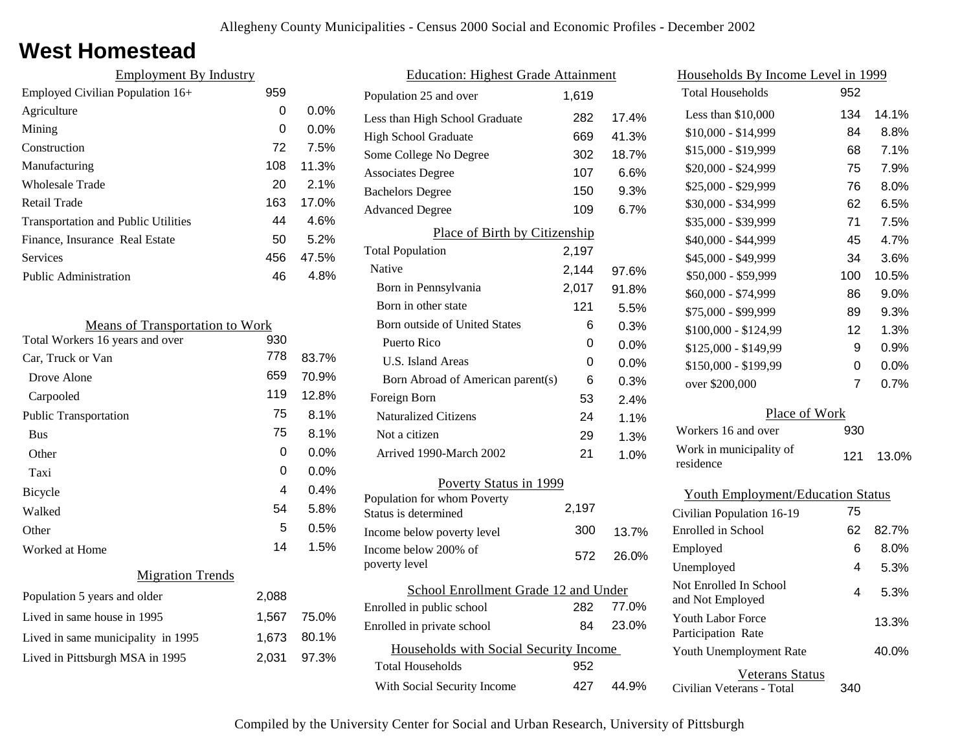### **West Homestead**

| <b>Employment By Industry</b>              |     |         |
|--------------------------------------------|-----|---------|
| Employed Civilian Population 16+           | 959 |         |
| Agriculture                                | 0   | $0.0\%$ |
| Mining                                     | 0   | $0.0\%$ |
| Construction                               | 72  | 7.5%    |
| Manufacturing                              | 108 | 11.3%   |
| Wholesale Trade                            | 20  | 2.1%    |
| Retail Trade                               | 163 | 17.0%   |
| <b>Transportation and Public Utilities</b> | 44  | 4.6%    |
| Finance, Insurance Real Estate             | 50  | 5.2%    |
| <b>Services</b>                            | 456 | 47.5%   |
| <b>Public Administration</b>               | 46  | 4.8%    |

| <b>Means of Transportation to Work</b> |       |         |  |  |
|----------------------------------------|-------|---------|--|--|
| Total Workers 16 years and over<br>930 |       |         |  |  |
| Car, Truck or Van                      | 778   | 83.7%   |  |  |
| Drove Alone                            | 659   | 70.9%   |  |  |
| Carpooled                              | 119   | 12.8%   |  |  |
| <b>Public Transportation</b>           | 75    | 8.1%    |  |  |
| <b>Bus</b>                             | 75    | 8.1%    |  |  |
| Other                                  | 0     | 0.0%    |  |  |
| Taxi                                   | 0     | $0.0\%$ |  |  |
| Bicycle                                | 4     | 0.4%    |  |  |
| Walked                                 | 54    | 5.8%    |  |  |
| Other                                  | 5     | 0.5%    |  |  |
| Worked at Home                         | 14    | 1.5%    |  |  |
| <b>Migration Trends</b>                |       |         |  |  |
| Population 5 years and older           | 2,088 |         |  |  |
| Lived in same house in 1995            | 1,567 | 75.0%   |  |  |
| Lived in same municipality in 1995     | 1,673 | 80.1%   |  |  |
| Lived in Pittsburgh MSA in 1995        | 2,031 | 97.3%   |  |  |
|                                        |       |         |  |  |

| <b>Education: Highest Grade Attainment</b>          |       |         |  |
|-----------------------------------------------------|-------|---------|--|
| Population 25 and over                              | 1,619 |         |  |
| Less than High School Graduate                      | 282   | 17.4%   |  |
| High School Graduate                                | 669   | 41.3%   |  |
| Some College No Degree                              | 302   | 18.7%   |  |
| <b>Associates Degree</b>                            | 107   | 6.6%    |  |
| <b>Bachelors Degree</b>                             | 150   | 9.3%    |  |
| <b>Advanced Degree</b>                              | 109   | 6.7%    |  |
| <b>Place of Birth by Citizenship</b>                |       |         |  |
| <b>Total Population</b>                             | 2,197 |         |  |
| Native                                              | 2,144 | 97.6%   |  |
| Born in Pennsylvania                                | 2,017 | 91.8%   |  |
| Born in other state                                 | 121   | 5.5%    |  |
| Born outside of United States                       | 6     | 0.3%    |  |
| Puerto Rico                                         | 0     | $0.0\%$ |  |
| U.S. Island Areas                                   | 0     | $0.0\%$ |  |
| Born Abroad of American parent(s)                   | 6     | 0.3%    |  |
| Foreign Born                                        | 53    | 2.4%    |  |
| <b>Naturalized Citizens</b>                         | 24    | 1.1%    |  |
| Not a citizen                                       | 29    | 1.3%    |  |
| Arrived 1990-March 2002                             | 21    | 1.0%    |  |
| Poverty Status in 1999                              |       |         |  |
| Population for whom Poverty<br>Status is determined | 2,197 |         |  |
| Income below poverty level                          | 300   | 13.7%   |  |
| Income below 200% of<br>poverty level               | 572   | 26.0%   |  |
| School Enrollment Grade 12 and Under                |       |         |  |
| Enrolled in public school                           | 282   | 77.0%   |  |
| Enrolled in private school                          | 84    | 23.0%   |  |
| Households with Social Security Income              |       |         |  |
| <b>Total Households</b>                             | 952   |         |  |
| With Social Security Income                         | 427   | 44.9%   |  |

| Households By Income Level in 1999             |     |       |  |
|------------------------------------------------|-----|-------|--|
| <b>Total Households</b>                        | 952 |       |  |
| Less than \$10,000                             | 134 | 14.1% |  |
| $$10,000 - $14,999$                            | 84  | 8.8%  |  |
| \$15,000 - \$19,999                            | 68  | 7.1%  |  |
| \$20,000 - \$24,999                            | 75  | 7.9%  |  |
| \$25,000 - \$29,999                            | 76  | 8.0%  |  |
| \$30,000 - \$34,999                            | 62  | 6.5%  |  |
| \$35,000 - \$39,999                            | 71  | 7.5%  |  |
| \$40,000 - \$44,999                            | 45  | 4.7%  |  |
| \$45,000 - \$49,999                            | 34  | 3.6%  |  |
| \$50,000 - \$59,999                            | 100 | 10.5% |  |
| \$60,000 - \$74,999                            | 86  | 9.0%  |  |
| \$75,000 - \$99,999                            | 89  | 9.3%  |  |
| \$100,000 - \$124,99                           | 12  | 1.3%  |  |
| \$125,000 - \$149,99                           | 9   | 0.9%  |  |
| \$150,000 - \$199,99                           | 0   | 0.0%  |  |
| over \$200,000                                 | 7   | 0.7%  |  |
| Place of Work                                  |     |       |  |
| Workers 16 and over                            | 930 |       |  |
| Work in municipality of<br>residence           | 121 | 13.0% |  |
| <b>Youth Employment/Education Status</b>       |     |       |  |
| Civilian Population 16-19                      | 75  |       |  |
| Enrolled in School                             | 62  | 82.7% |  |
| Employed                                       | 6   | 8.0%  |  |
| Unemployed                                     | 4   | 5.3%  |  |
| Not Enrolled In School<br>and Not Employed     | 4   | 5.3%  |  |
| <b>Youth Labor Force</b><br>Participation Rate |     | 13.3% |  |
| Youth Unemployment Rate                        |     | 40.0% |  |

Veterans Status

340

Civilian Veterans - Total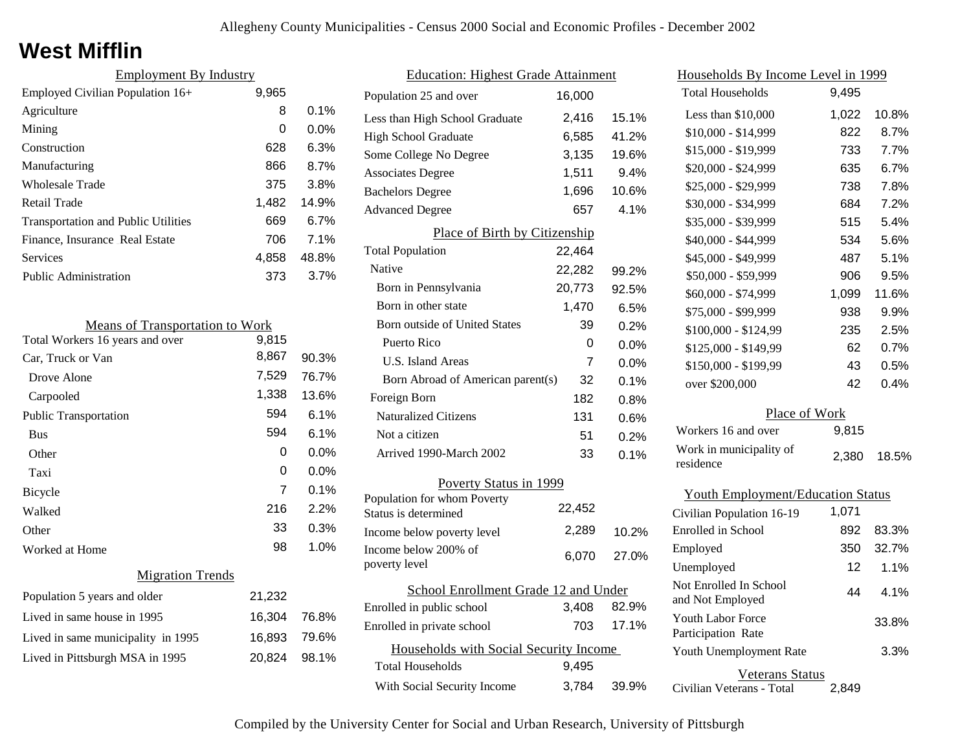### **West Mifflin**

| <b>Employment By Industry</b>              |       |         |
|--------------------------------------------|-------|---------|
| Employed Civilian Population 16+           | 9,965 |         |
| Agriculture                                | 8     | $0.1\%$ |
| Mining                                     | 0     | $0.0\%$ |
| Construction                               | 628   | 6.3%    |
| Manufacturing                              | 866   | 8.7%    |
| Wholesale Trade                            | 375   | 3.8%    |
| Retail Trade                               | 1,482 | 14.9%   |
| <b>Transportation and Public Utilities</b> | 669   | 6.7%    |
| Finance, Insurance Real Estate             | 706   | 7.1%    |
| Services                                   | 4,858 | 48.8%   |
| Public Administration                      | 373   | 3.7%    |

| <b>Means of Transportation to Work</b> |        |       |  |
|----------------------------------------|--------|-------|--|
| Total Workers 16 years and over        | 9,815  |       |  |
| Car, Truck or Van                      | 8,867  | 90.3% |  |
| Drove Alone                            | 7,529  | 76.7% |  |
| Carpooled                              | 1,338  | 13.6% |  |
| <b>Public Transportation</b>           | 594    | 6.1%  |  |
| <b>Bus</b>                             | 594    | 6.1%  |  |
| Other                                  | 0      | 0.0%  |  |
| Taxi                                   | 0      | 0.0%  |  |
| Bicycle                                | 7      | 0.1%  |  |
| Walked                                 | 216    | 2.2%  |  |
| Other                                  | 33     | 0.3%  |  |
| Worked at Home                         | 98     | 1.0%  |  |
| <b>Migration Trends</b>                |        |       |  |
| Population 5 years and older           | 21,232 |       |  |
| Lived in same house in 1995            | 16,304 | 76.8% |  |
| Lived in same municipality in 1995     | 16,893 | 79.6% |  |
| Lived in Pittsburgh MSA in 1995        | 20,824 | 98.1% |  |
|                                        |        |       |  |

| <b>Education: Highest Grade Attainment</b>          |        |         |
|-----------------------------------------------------|--------|---------|
| Population 25 and over                              | 16,000 |         |
| Less than High School Graduate                      | 2,416  | 15.1%   |
| <b>High School Graduate</b>                         | 6,585  | 41.2%   |
| Some College No Degree                              | 3,135  | 19.6%   |
| <b>Associates Degree</b>                            | 1,511  | 9.4%    |
| <b>Bachelors Degree</b>                             | 1,696  | 10.6%   |
| <b>Advanced Degree</b>                              | 657    | 4.1%    |
| Place of Birth by Citizenship                       |        |         |
| <b>Total Population</b>                             | 22,464 |         |
| Native                                              | 22,282 | 99.2%   |
| Born in Pennsylvania                                | 20,773 | 92.5%   |
| Born in other state                                 | 1,470  | 6.5%    |
| Born outside of United States                       | 39     | 0.2%    |
| Puerto Rico                                         | 0      | $0.0\%$ |
| <b>U.S. Island Areas</b>                            | 7      | 0.0%    |
| Born Abroad of American parent(s)                   | 32     | 0.1%    |
| Foreign Born                                        | 182    | 0.8%    |
| <b>Naturalized Citizens</b>                         | 131    | 0.6%    |
| Not a citizen                                       | 51     | 0.2%    |
| Arrived 1990-March 2002                             | 33     | 0.1%    |
| Poverty Status in 1999                              |        |         |
| Population for whom Poverty<br>Status is determined | 22,452 |         |
| Income below poverty level                          | 2,289  | 10.2%   |
| Income below 200% of<br>poverty level               | 6,070  | 27.0%   |
| School Enrollment Grade 12 and Under                |        |         |
| Enrolled in public school                           | 3,408  | 82.9%   |
| Enrolled in private school                          | 703    | 17.1%   |
| Households with Social Security Income              |        |         |
| <b>Total Households</b>                             | 9,495  |         |
| With Social Security Income                         | 3,784  | 39.9%   |

| Households By Income Level in 1999             |       |       |  |
|------------------------------------------------|-------|-------|--|
| <b>Total Households</b>                        | 9,495 |       |  |
| Less than \$10,000                             | 1,022 | 10.8% |  |
| $$10,000 - $14,999$                            | 822   | 8.7%  |  |
| \$15,000 - \$19,999                            | 733   | 7.7%  |  |
| \$20,000 - \$24,999                            | 635   | 6.7%  |  |
| \$25,000 - \$29,999                            | 738   | 7.8%  |  |
| \$30,000 - \$34,999                            | 684   | 7.2%  |  |
| \$35,000 - \$39,999                            | 515   | 5.4%  |  |
| \$40,000 - \$44,999                            | 534   | 5.6%  |  |
| \$45,000 - \$49,999                            | 487   | 5.1%  |  |
| \$50,000 - \$59,999                            | 906   | 9.5%  |  |
| \$60,000 - \$74,999                            | 1,099 | 11.6% |  |
| \$75,000 - \$99,999                            | 938   | 9.9%  |  |
| \$100,000 - \$124,99                           | 235   | 2.5%  |  |
| \$125,000 - \$149,99                           | 62    | 0.7%  |  |
| \$150,000 - \$199,99                           | 43    | 0.5%  |  |
| over \$200,000                                 | 42    | 0.4%  |  |
| Place of Work                                  |       |       |  |
| Workers 16 and over                            | 9,815 |       |  |
| Work in municipality of<br>residence           | 2,380 | 18.5% |  |
| <b>Youth Employment/Education Status</b>       |       |       |  |
| Civilian Population 16-19                      | 1,071 |       |  |
| Enrolled in School                             | 892   | 83.3% |  |
| Employed                                       | 350   | 32.7% |  |
| Unemployed                                     | 12    | 1.1%  |  |
| Not Enrolled In School<br>and Not Employed     | 44    | 4.1%  |  |
| <b>Youth Labor Force</b><br>Participation Rate |       | 33.8% |  |
| Youth Unemployment Rate                        |       | 3.3%  |  |
| Veterans Status                                |       |       |  |

Civilian Veterans - Total

2,849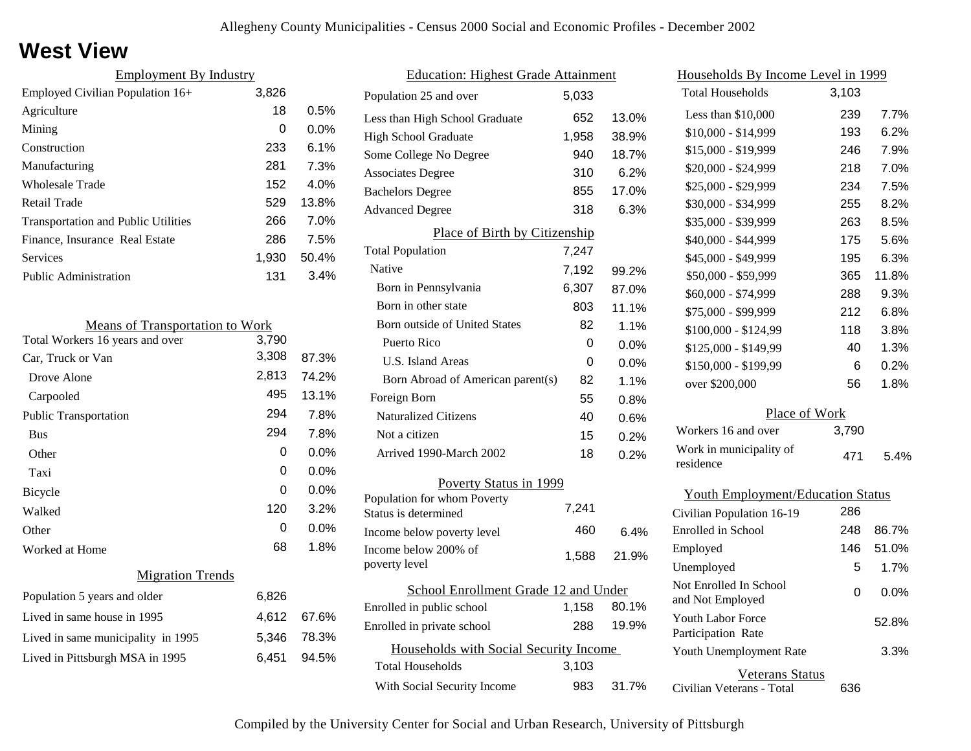### **West View**

| <b>Employment By Industry</b>              |       |         |
|--------------------------------------------|-------|---------|
| Employed Civilian Population 16+           | 3,826 |         |
| Agriculture                                | 18    | 0.5%    |
| Mining                                     | 0     | $0.0\%$ |
| Construction                               | 233   | $6.1\%$ |
| Manufacturing                              | 281   | 7.3%    |
| Wholesale Trade                            | 152   | 4.0%    |
| Retail Trade                               | 529   | 13.8%   |
| <b>Transportation and Public Utilities</b> | 266   | 7.0%    |
| Finance, Insurance Real Estate             | 286   | 7.5%    |
| Services                                   | 1,930 | 50.4%   |
| <b>Public Administration</b>               | 131   | 3.4%    |

| <b>Means of Transportation to Work</b> |       |         |  |
|----------------------------------------|-------|---------|--|
| Total Workers 16 years and over        | 3,790 |         |  |
| Car, Truck or Van                      | 3,308 | 87.3%   |  |
| Drove Alone                            | 2,813 | 74.2%   |  |
| Carpooled                              | 495   | 13.1%   |  |
| <b>Public Transportation</b>           | 294   | 7.8%    |  |
| <b>Bus</b>                             | 294   | 7.8%    |  |
| Other                                  | 0     | 0.0%    |  |
| Taxi                                   | 0     | 0.0%    |  |
| Bicycle                                | 0     | 0.0%    |  |
| Walked                                 | 120   | 3.2%    |  |
| Other                                  | 0     | $0.0\%$ |  |
| Worked at Home                         | 68    | 1.8%    |  |
| <b>Migration Trends</b>                |       |         |  |
| Population 5 years and older           | 6,826 |         |  |
| Lived in same house in 1995            | 4,612 | 67.6%   |  |
| Lived in same municipality in 1995     | 5,346 | 78.3%   |  |
| Lived in Pittsburgh MSA in 1995        | 6,451 | 94.5%   |  |
|                                        |       |         |  |

| <b>Education: Highest Grade Attainment</b>          |       |         |
|-----------------------------------------------------|-------|---------|
| Population 25 and over                              | 5,033 |         |
| Less than High School Graduate                      | 652   | 13.0%   |
| <b>High School Graduate</b>                         | 1,958 | 38.9%   |
| Some College No Degree                              | 940   | 18.7%   |
| <b>Associates Degree</b>                            | 310   | 6.2%    |
| <b>Bachelors Degree</b>                             | 855   | 17.0%   |
| <b>Advanced Degree</b>                              | 318   | 6.3%    |
| Place of Birth by Citizenship                       |       |         |
| <b>Total Population</b>                             | 7,247 |         |
| Native                                              | 7,192 | 99.2%   |
| Born in Pennsylvania                                | 6,307 | 87.0%   |
| Born in other state                                 | 803   | 11.1%   |
| <b>Born outside of United States</b>                | 82    | 1.1%    |
| Puerto Rico                                         | 0     | 0.0%    |
| U.S. Island Areas                                   | 0     | 0.0%    |
| Born Abroad of American parent(s)                   | 82    | 1.1%    |
| Foreign Born                                        | 55    | $0.8\%$ |
| <b>Naturalized Citizens</b>                         | 40    | $0.6\%$ |
| Not a citizen                                       | 15    | 0.2%    |
| Arrived 1990-March 2002                             | 18    | 0.2%    |
| Poverty Status in 1999                              |       |         |
| Population for whom Poverty<br>Status is determined | 7,241 |         |
| Income below poverty level                          | 460   | 6.4%    |
| Income below 200% of<br>poverty level               | 1,588 | 21.9%   |
| School Enrollment Grade 12 and Under                |       |         |
| Enrolled in public school                           | 1,158 | 80.1%   |
| Enrolled in private school                          | 288   | 19.9%   |
| Households with Social Security Income              |       |         |
| <b>Total Households</b>                             | 3,103 |         |
| With Social Security Income                         | 983   | 31.7%   |

| <u>Households By Income Level in 1999</u>  |       |         |
|--------------------------------------------|-------|---------|
| <b>Total Households</b>                    | 3,103 |         |
| Less than \$10,000                         | 239   | 7.7%    |
| $$10,000 - $14,999$                        | 193   | 6.2%    |
| \$15,000 - \$19,999                        | 246   | 7.9%    |
| \$20,000 - \$24,999                        | 218   | 7.0%    |
| \$25,000 - \$29,999                        | 234   | 7.5%    |
| \$30,000 - \$34,999                        | 255   | 8.2%    |
| \$35,000 - \$39,999                        | 263   | 8.5%    |
| \$40,000 - \$44,999                        | 175   | 5.6%    |
| \$45,000 - \$49,999                        | 195   | 6.3%    |
| \$50,000 - \$59,999                        | 365   | 11.8%   |
| \$60,000 - \$74,999                        | 288   | 9.3%    |
| \$75,000 - \$99,999                        | 212   | 6.8%    |
| \$100,000 - \$124,99                       | 118   | 3.8%    |
| \$125,000 - \$149,99                       | 40    | 1.3%    |
| \$150,000 - \$199,99                       | 6     | 0.2%    |
| over \$200,000                             | 56    | 1.8%    |
| Place of Work                              |       |         |
| Workers 16 and over                        | 3,790 |         |
| Work in municipality of<br>residence       | 471   | 5.4%    |
| <b>Youth Employment/Education Status</b>   |       |         |
| Civilian Population 16-19                  | 286   |         |
| Enrolled in School                         | 248   | 86.7%   |
| Employed                                   | 146   | 51.0%   |
| Unemployed                                 | 5     | 1.7%    |
| Not Enrolled In School<br>and Not Employed | 0     | $0.0\%$ |

Civilian Veterans - Total

Youth Unemployment Rate

Youth Labor Force Participation Rate

Veterans Status

636

3.3%

52.8%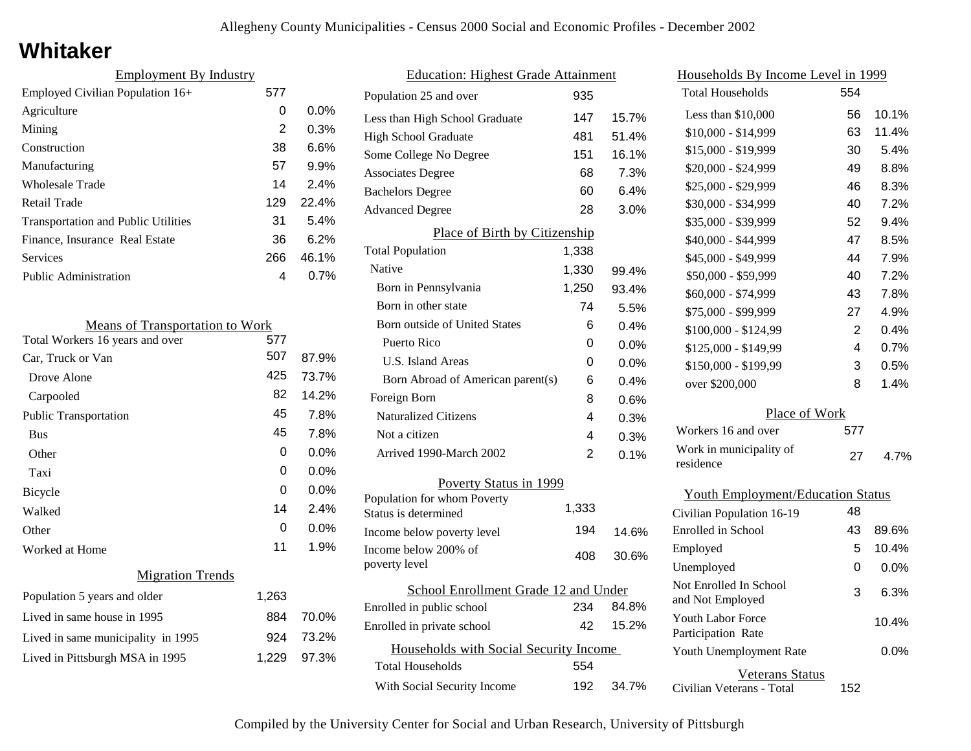### **Whitaker**

| <b>Employment By Industry</b>              |     |         |
|--------------------------------------------|-----|---------|
| Employed Civilian Population 16+           | 577 |         |
| Agriculture                                | 0   | $0.0\%$ |
| Mining                                     | 2   | 0.3%    |
| Construction                               | 38  | 6.6%    |
| Manufacturing                              | 57  | 9.9%    |
| Wholesale Trade                            | 14  | 2.4%    |
| Retail Trade                               | 129 | 22.4%   |
| <b>Transportation and Public Utilities</b> | 31  | 5.4%    |
| Finance, Insurance Real Estate             | 36  | 6.2%    |
| Services                                   | 266 | 46.1%   |
| <b>Public Administration</b>               | 4   | 0.7%    |

| <b>Means of Transportation to Work</b> |       |         |
|----------------------------------------|-------|---------|
| Total Workers 16 years and over        | 577   |         |
| Car, Truck or Van                      | 507   | 87.9%   |
| Drove Alone                            | 425   | 73.7%   |
| Carpooled                              | 82    | 14.2%   |
| <b>Public Transportation</b>           | 45    | 7.8%    |
| <b>Bus</b>                             | 45    | 7.8%    |
| Other                                  | 0     | $0.0\%$ |
| Taxi                                   | 0     | $0.0\%$ |
| Bicycle                                | 0     | $0.0\%$ |
| Walked                                 | 14    | 2.4%    |
| Other                                  | 0     | 0.0%    |
| Worked at Home                         | 11    | 1.9%    |
| <b>Migration Trends</b>                |       |         |
| Population 5 years and older           | 1,263 |         |
| Lived in same house in 1995            | 884   | 70.0%   |
| Lived in same municipality in 1995     | 924   | 73.2%   |
| Lived in Pittsburgh MSA in 1995        | 1,229 | 97.3%   |
|                                        |       |         |

|                                        | <b>Education: Highest Grade Attainment</b> |       |         |
|----------------------------------------|--------------------------------------------|-------|---------|
|                                        | Population 25 and over                     | 935   |         |
|                                        | Less than High School Graduate             | 147   | 15.7%   |
|                                        | <b>High School Graduate</b>                | 481   | 51.4%   |
|                                        | Some College No Degree                     | 151   | 16.1%   |
|                                        | <b>Associates Degree</b>                   | 68    | 7.3%    |
|                                        | <b>Bachelors Degree</b>                    | 60    | 6.4%    |
|                                        | <b>Advanced Degree</b>                     | 28    | 3.0%    |
|                                        | Place of Birth by Citizenship              |       |         |
|                                        | <b>Total Population</b>                    | 1,338 |         |
| Native                                 |                                            | 1,330 | 99.4%   |
|                                        | Born in Pennsylvania                       | 1,250 | 93.4%   |
|                                        | Born in other state                        | 74    | 5.5%    |
|                                        | <b>Born outside of United States</b>       | 6     | 0.4%    |
|                                        | Puerto Rico                                | 0     | $0.0\%$ |
|                                        | U.S. Island Areas                          | 0     | $0.0\%$ |
|                                        | Born Abroad of American parent(s)          | 6     | 0.4%    |
| Foreign Born                           |                                            | 8     | 0.6%    |
|                                        | <b>Naturalized Citizens</b>                | 4     | 0.3%    |
|                                        | Not a citizen                              | 4     | 0.3%    |
|                                        | Arrived 1990-March 2002                    | 2     | 0.1%    |
|                                        | Poverty Status in 1999                     |       |         |
|                                        | Population for whom Poverty                |       |         |
|                                        | Status is determined                       | 1,333 |         |
|                                        | Income below poverty level                 | 194   | 14.6%   |
| poverty level                          | Income below 200% of                       | 408   | 30.6%   |
|                                        |                                            |       |         |
|                                        | School Enrollment Grade 12 and Under       |       |         |
|                                        | Enrolled in public school                  | 234   | 84.8%   |
|                                        | Enrolled in private school                 | 42    | 15.2%   |
| Households with Social Security Income |                                            |       |         |
|                                        | <b>Total Households</b>                    | 554   |         |
|                                        | With Social Security Income                | 192   | 34.7%   |
|                                        |                                            |       |         |

| <u>Households By Income Level in 1999</u>      |     |       |  |
|------------------------------------------------|-----|-------|--|
| <b>Total Households</b>                        | 554 |       |  |
| Less than \$10,000                             | 56  | 10.1% |  |
| \$10,000 - \$14,999                            | 63  | 11.4% |  |
| \$15,000 - \$19,999                            | 30  | 5.4%  |  |
| \$20,000 - \$24,999                            | 49  | 8.8%  |  |
| \$25,000 - \$29,999                            | 46  | 8.3%  |  |
| \$30,000 - \$34,999                            | 40  | 7.2%  |  |
| \$35,000 - \$39,999                            | 52  | 9.4%  |  |
| \$40,000 - \$44,999                            | 47  | 8.5%  |  |
| \$45,000 - \$49,999                            | 44  | 7.9%  |  |
| \$50,000 - \$59,999                            | 40  | 7.2%  |  |
| \$60,000 - \$74,999                            | 43  | 7.8%  |  |
| \$75,000 - \$99,999                            | 27  | 4.9%  |  |
| \$100,000 - \$124,99                           | 2   | 0.4%  |  |
| \$125,000 - \$149,99                           | 4   | 0.7%  |  |
| \$150,000 - \$199,99                           | 3   | 0.5%  |  |
| over \$200,000                                 | 8   | 1.4%  |  |
| Place of Work                                  |     |       |  |
| Workers 16 and over                            | 577 |       |  |
| Work in municipality of<br>residence           | 27  | 4.7%  |  |
| <b>Youth Employment/Education Status</b>       |     |       |  |
| Civilian Population 16-19                      | 48  |       |  |
| Enrolled in School                             | 43  | 89.6% |  |
| Employed                                       | 5   | 10.4% |  |
| Unemployed                                     | 0   | 0.0%  |  |
| Not Enrolled In School<br>and Not Employed     | 3   | 6.3%  |  |
| <b>Youth Labor Force</b><br>Participation Rate |     | 10.4% |  |
| Youth Unemployment Rate                        |     | 0.0%  |  |

Veterans Status

152

Civilian Veterans - Total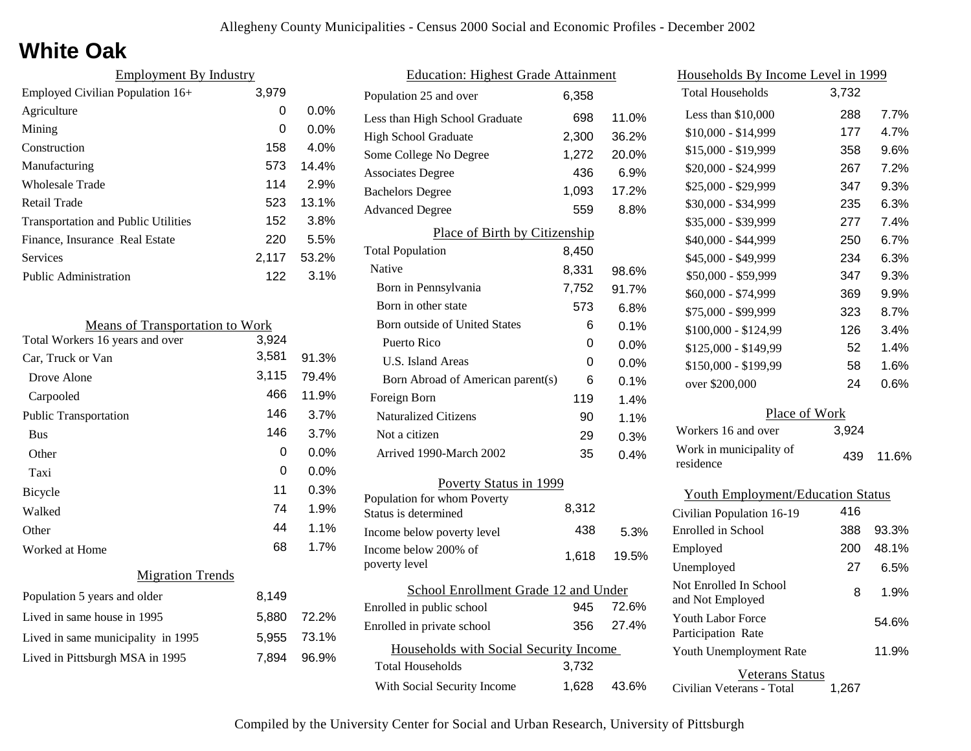# **White Oak**

| <b>Employment By Industry</b>              |       |         |
|--------------------------------------------|-------|---------|
| Employed Civilian Population 16+           | 3,979 |         |
| Agriculture                                | 0     | $0.0\%$ |
| Mining                                     | 0     | $0.0\%$ |
| Construction                               | 158   | $4.0\%$ |
| Manufacturing                              | 573   | 14.4%   |
| Wholesale Trade                            | 114   | 2.9%    |
| Retail Trade                               | 523   | 13.1%   |
| <b>Transportation and Public Utilities</b> | 152   | 3.8%    |
| Finance, Insurance Real Estate             | 220   | 5.5%    |
| Services                                   | 2,117 | 53.2%   |
| <b>Public Administration</b>               | 122   | 3.1%    |

| <b>Means of Transportation to Work</b> |       |       |
|----------------------------------------|-------|-------|
| Total Workers 16 years and over        | 3,924 |       |
| Car, Truck or Van                      | 3,581 | 91.3% |
| Drove Alone                            | 3,115 | 79.4% |
| Carpooled                              | 466   | 11.9% |
| <b>Public Transportation</b>           | 146   | 3.7%  |
| <b>Bus</b>                             | 146   | 3.7%  |
| Other                                  | 0     | 0.0%  |
| Taxi                                   | 0     | 0.0%  |
| <b>Bicycle</b>                         | 11    | 0.3%  |
| Walked                                 | 74    | 1.9%  |
| Other                                  | 44    | 1.1%  |
| Worked at Home                         | 68    | 1.7%  |
| <b>Migration Trends</b>                |       |       |
| Population 5 years and older           | 8,149 |       |
| Lived in same house in 1995            | 5,880 | 72.2% |
| Lived in same municipality in 1995     | 5,955 | 73.1% |
| Lived in Pittsburgh MSA in 1995        | 7,894 | 96.9% |
|                                        |       |       |

| <b>Education: Highest Grade Attainment</b>          |       |         |
|-----------------------------------------------------|-------|---------|
| Population 25 and over                              | 6,358 |         |
| Less than High School Graduate                      | 698   | 11.0%   |
| <b>High School Graduate</b>                         | 2,300 | 36.2%   |
| Some College No Degree                              | 1,272 | 20.0%   |
| <b>Associates Degree</b>                            | 436   | 6.9%    |
| <b>Bachelors Degree</b>                             | 1,093 | 17.2%   |
| <b>Advanced Degree</b>                              | 559   | 8.8%    |
| Place of Birth by Citizenship                       |       |         |
| <b>Total Population</b>                             | 8,450 |         |
| <b>Native</b>                                       | 8,331 | 98.6%   |
| Born in Pennsylvania                                | 7,752 | 91.7%   |
| Born in other state                                 | 573   | 6.8%    |
| <b>Born outside of United States</b>                | 6     | 0.1%    |
| Puerto Rico                                         | 0     | $0.0\%$ |
| <b>U.S. Island Areas</b>                            | 0     | 0.0%    |
| Born Abroad of American parent(s)                   | 6     | 0.1%    |
| Foreign Born                                        | 119   | 1.4%    |
| <b>Naturalized Citizens</b>                         | 90    | 1.1%    |
| Not a citizen                                       | 29    | 0.3%    |
| Arrived 1990-March 2002                             | 35    | 0.4%    |
| Poverty Status in 1999                              |       |         |
| Population for whom Poverty<br>Status is determined | 8,312 |         |
| Income below poverty level                          | 438   | 5.3%    |
| Income below 200% of<br>poverty level               | 1,618 | 19.5%   |
| School Enrollment Grade 12 and Under                |       |         |
| Enrolled in public school                           | 945   | 72.6%   |
| Enrolled in private school                          | 356   | 27.4%   |
| Households with Social Security Income              |       |         |
| <b>Total Households</b>                             | 3,732 |         |
| With Social Security Income                         | 1,628 | 43.6%   |

| Households By Income Level in 1999         |       |       |
|--------------------------------------------|-------|-------|
| <b>Total Households</b>                    | 3,732 |       |
| Less than $$10,000$                        | 288   | 7.7%  |
| $$10,000 - $14,999$                        | 177   | 4.7%  |
| \$15,000 - \$19,999                        | 358   | 9.6%  |
| \$20,000 - \$24,999                        | 267   | 7.2%  |
| \$25,000 - \$29,999                        | 347   | 9.3%  |
| \$30,000 - \$34,999                        | 235   | 6.3%  |
| \$35,000 - \$39,999                        | 277   | 7.4%  |
| \$40,000 - \$44,999                        | 250   | 6.7%  |
| \$45,000 - \$49,999                        | 234   | 6.3%  |
| \$50,000 - \$59,999                        | 347   | 9.3%  |
| \$60,000 - \$74,999                        | 369   | 9.9%  |
| \$75,000 - \$99,999                        | 323   | 8.7%  |
| \$100,000 - \$124,99                       | 126   | 3.4%  |
| \$125,000 - \$149,99                       | 52    | 1.4%  |
| \$150,000 - \$199,99                       | 58    | 1.6%  |
| over \$200,000                             | 24    | 0.6%  |
| Place of Work                              |       |       |
| Workers 16 and over                        | 3,924 |       |
| Work in municipality of<br>residence       | 439   | 11.6% |
| <b>Youth Employment/Education Status</b>   |       |       |
| Civilian Population 16-19                  | 416   |       |
| Enrolled in School                         | 388   | 93.3% |
| Employed                                   | 200   | 48.1% |
| Unemployed                                 | 27    | 6.5%  |
| Not Enrolled In School<br>and Not Employed | 8     | 1.9%  |
| <b>Youth Labor Force</b>                   |       | 54.6% |

Civilian Veterans - Total

Youth Unemployment Rate

Participation Rate

Veterans Status

1,267

11.9%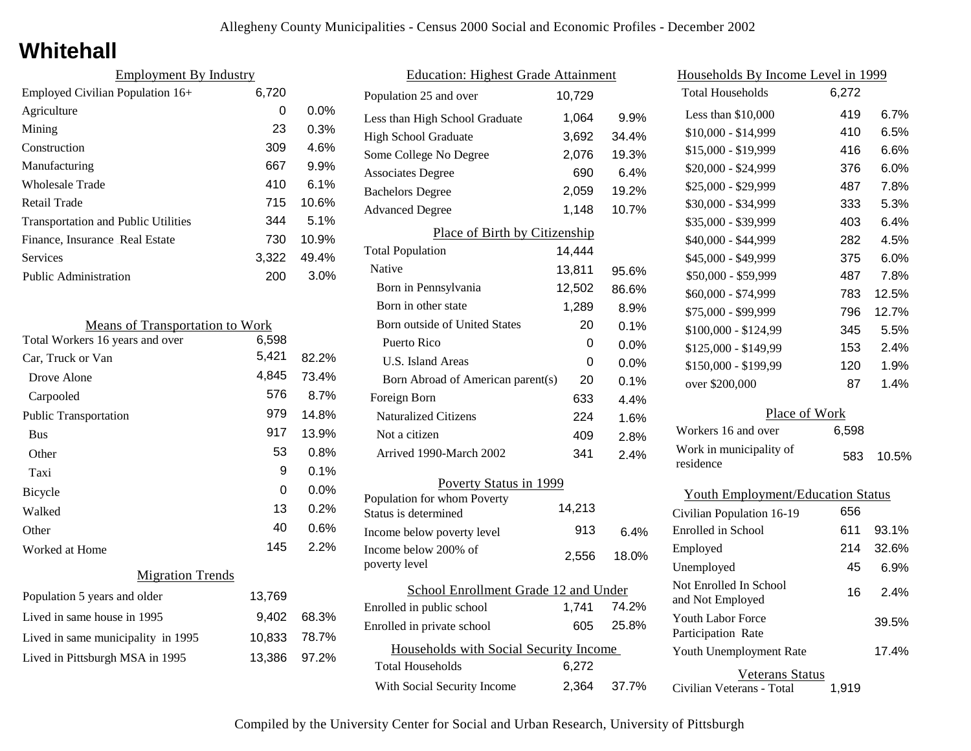# **Whitehall**

| <b>Employment By Industry</b>              |       |         |
|--------------------------------------------|-------|---------|
| Employed Civilian Population 16+           | 6,720 |         |
| Agriculture                                | 0     | $0.0\%$ |
| Mining                                     | 23    | 0.3%    |
| Construction                               | 309   | 4.6%    |
| Manufacturing                              | 667   | 9.9%    |
| Wholesale Trade                            | 410   | 6.1%    |
| Retail Trade                               | 715   | 10.6%   |
| <b>Transportation and Public Utilities</b> | 344   | 5.1%    |
| Finance, Insurance Real Estate             | 730   | 10.9%   |
| Services                                   | 3.322 | 49.4%   |
| <b>Public Administration</b>               | 200   | 3.0%    |

| <b>Means of Transportation to Work</b> |        |       |
|----------------------------------------|--------|-------|
| Total Workers 16 years and over        | 6,598  |       |
| Car, Truck or Van                      | 5,421  | 82.2% |
| Drove Alone                            | 4,845  | 73.4% |
| Carpooled                              | 576    | 8.7%  |
| <b>Public Transportation</b>           | 979    | 14.8% |
| <b>Bus</b>                             | 917    | 13.9% |
| Other                                  | 53     | 0.8%  |
| Taxi                                   | 9      | 0.1%  |
| Bicycle                                | 0      | 0.0%  |
| Walked                                 | 13     | 0.2%  |
| Other                                  | 40     | 0.6%  |
| Worked at Home                         | 145    | 2.2%  |
| <b>Migration Trends</b>                |        |       |
| Population 5 years and older           | 13,769 |       |
| Lived in same house in 1995            | 9,402  | 68.3% |
| Lived in same municipality in 1995     | 10,833 | 78.7% |
| Lived in Pittsburgh MSA in 1995        | 13,386 | 97.2% |
|                                        |        |       |

| <b>Education: Highest Grade Attainment</b>          |        |       |  |
|-----------------------------------------------------|--------|-------|--|
| Population 25 and over                              | 10,729 |       |  |
| Less than High School Graduate                      | 1,064  | 9.9%  |  |
| <b>High School Graduate</b>                         | 3,692  | 34.4% |  |
| Some College No Degree                              | 2,076  | 19.3% |  |
| <b>Associates Degree</b>                            | 690    | 6.4%  |  |
| <b>Bachelors Degree</b>                             | 2,059  | 19.2% |  |
| <b>Advanced Degree</b>                              | 1,148  | 10.7% |  |
| Place of Birth by Citizenship                       |        |       |  |
| <b>Total Population</b>                             | 14,444 |       |  |
| Native                                              | 13,811 | 95.6% |  |
| Born in Pennsylvania                                | 12,502 | 86.6% |  |
| Born in other state                                 | 1,289  | 8.9%  |  |
| <b>Born outside of United States</b>                | 20     | 0.1%  |  |
| Puerto Rico                                         | 0      | 0.0%  |  |
| U.S. Island Areas                                   | 0      | 0.0%  |  |
| Born Abroad of American parent(s)                   | 20     | 0.1%  |  |
| Foreign Born                                        | 633    | 4.4%  |  |
| <b>Naturalized Citizens</b>                         | 224    | 1.6%  |  |
| Not a citizen                                       | 409    | 2.8%  |  |
| Arrived 1990-March 2002                             | 341    | 2.4%  |  |
| Poverty Status in 1999                              |        |       |  |
| Population for whom Poverty<br>Status is determined | 14,213 |       |  |
| Income below poverty level                          | 913    | 6.4%  |  |
| Income below 200% of<br>poverty level               | 2,556  | 18.0% |  |
| School Enrollment Grade 12 and Under                |        |       |  |
| Enrolled in public school                           | 1,741  | 74.2% |  |
| Enrolled in private school                          | 605    | 25.8% |  |
| Households with Social Security Income              |        |       |  |
| <b>Total Households</b>                             | 6,272  |       |  |
| With Social Security Income                         | 2,364  | 37.7% |  |

| <u>Households By Income Level in 1999</u>  |       |       |
|--------------------------------------------|-------|-------|
| <b>Total Households</b>                    | 6,272 |       |
| Less than \$10,000                         | 419   | 6.7%  |
| \$10,000 - \$14,999                        | 410   | 6.5%  |
| \$15,000 - \$19,999                        | 416   | 6.6%  |
| \$20,000 - \$24,999                        | 376   | 6.0%  |
| \$25,000 - \$29,999                        | 487   | 7.8%  |
| \$30,000 - \$34,999                        | 333   | 5.3%  |
| \$35,000 - \$39,999                        | 403   | 6.4%  |
| \$40,000 - \$44,999                        | 282   | 4.5%  |
| \$45,000 - \$49,999                        | 375   | 6.0%  |
| \$50,000 - \$59,999                        | 487   | 7.8%  |
| \$60,000 - \$74,999                        | 783   | 12.5% |
| \$75,000 - \$99,999                        | 796   | 12.7% |
| \$100,000 - \$124,99                       | 345   | 5.5%  |
| \$125,000 - \$149,99                       | 153   | 2.4%  |
| \$150,000 - \$199,99                       | 120   | 1.9%  |
| over \$200,000                             | 87    | 1.4%  |
| Place of Work                              |       |       |
| Workers 16 and over                        | 6,598 |       |
| Work in municipality of<br>residence       | 583   | 10.5% |
| <b>Youth Employment/Education Status</b>   |       |       |
| Civilian Population 16-19                  | 656   |       |
| Enrolled in School                         | 611   | 93.1% |
| Employed                                   | 214   | 32.6% |
| Unemployed                                 | 45    | 6.9%  |
| Not Enrolled In School<br>and Not Employed | 16    | 2.4%  |

Civilian Veterans - Total

Youth Unemployment Rate

Youth Labor Force Participation Rate

Veterans Status

1,919

17.4%

39.5%

|  |  |  |  | Compiled by the University Center for Social and Urban Research, University of Pittsburgh |
|--|--|--|--|-------------------------------------------------------------------------------------------|
|  |  |  |  |                                                                                           |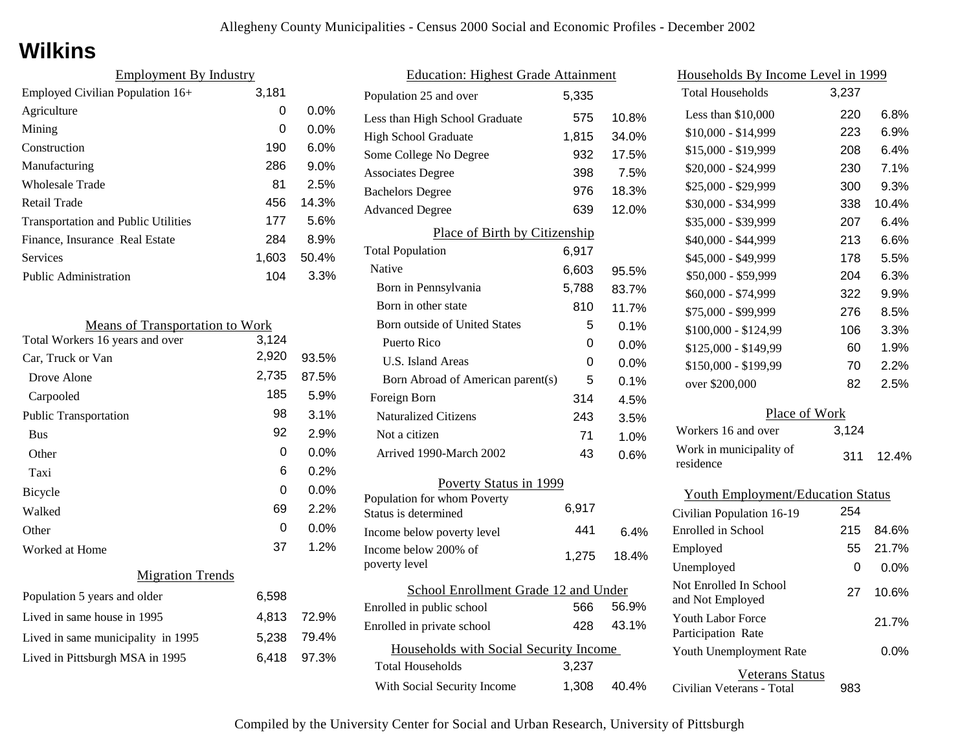# **Wilkins**

| <b>Employment By Industry</b>              |       |         |
|--------------------------------------------|-------|---------|
| Employed Civilian Population 16+           | 3,181 |         |
| Agriculture                                | 0     | $0.0\%$ |
| Mining                                     | 0     | $0.0\%$ |
| Construction                               | 190   | $6.0\%$ |
| Manufacturing                              | 286   | 9.0%    |
| Wholesale Trade                            | 81    | 2.5%    |
| Retail Trade                               | 456   | 14.3%   |
| <b>Transportation and Public Utilities</b> | 177   | 5.6%    |
| Finance, Insurance Real Estate             | 284   | 8.9%    |
| Services                                   | 1,603 | 50.4%   |
| <b>Public Administration</b>               | 104   | 3.3%    |

| <b>Means of Transportation to Work</b> |       |       |
|----------------------------------------|-------|-------|
| Total Workers 16 years and over        | 3,124 |       |
| Car, Truck or Van                      | 2,920 | 93.5% |
| Drove Alone                            | 2,735 | 87.5% |
| Carpooled                              | 185   | 5.9%  |
| <b>Public Transportation</b>           | 98    | 3.1%  |
| <b>Bus</b>                             | 92    | 2.9%  |
| Other                                  | 0     | 0.0%  |
| Taxi                                   | 6     | 0.2%  |
| Bicycle                                | 0     | 0.0%  |
| Walked                                 | 69    | 2.2%  |
| Other                                  | 0     | 0.0%  |
| Worked at Home                         | 37    | 1.2%  |
| <b>Migration Trends</b>                |       |       |
| Population 5 years and older           | 6,598 |       |
| Lived in same house in 1995            | 4,813 | 72.9% |
| Lived in same municipality in 1995     | 5,238 | 79.4% |
| Lived in Pittsburgh MSA in 1995        | 6,418 | 97.3% |
|                                        |       |       |

| <b>Education: Highest Grade Attainment</b>          |       |       |  |
|-----------------------------------------------------|-------|-------|--|
| Population 25 and over                              | 5,335 |       |  |
| Less than High School Graduate                      | 575   | 10.8% |  |
| <b>High School Graduate</b>                         | 1,815 | 34.0% |  |
| Some College No Degree                              | 932   | 17.5% |  |
| <b>Associates Degree</b>                            | 398   | 7.5%  |  |
| <b>Bachelors Degree</b>                             | 976   | 18.3% |  |
| <b>Advanced Degree</b>                              | 639   | 12.0% |  |
| Place of Birth by Citizenship                       |       |       |  |
| <b>Total Population</b>                             | 6,917 |       |  |
| Native                                              | 6,603 | 95.5% |  |
| Born in Pennsylvania                                | 5,788 | 83.7% |  |
| Born in other state                                 | 810   | 11.7% |  |
| <b>Born outside of United States</b>                | 5     | 0.1%  |  |
| Puerto Rico                                         | 0     | 0.0%  |  |
| U.S. Island Areas                                   | 0     | 0.0%  |  |
| Born Abroad of American parent(s)                   | 5     | 0.1%  |  |
| Foreign Born                                        | 314   | 4.5%  |  |
| <b>Naturalized Citizens</b>                         | 243   | 3.5%  |  |
| Not a citizen                                       | 71    | 1.0%  |  |
| Arrived 1990-March 2002                             | 43    | 0.6%  |  |
| Poverty Status in 1999                              |       |       |  |
| Population for whom Poverty<br>Status is determined | 6,917 |       |  |
| Income below poverty level                          | 441   | 6.4%  |  |
| Income below 200% of<br>poverty level               | 1,275 | 18.4% |  |
| School Enrollment Grade 12 and Under                |       |       |  |
| Enrolled in public school                           | 566   | 56.9% |  |
| Enrolled in private school                          | 428   | 43.1% |  |
| Households with Social Security Income              |       |       |  |
| <b>Total Households</b>                             | 3,237 |       |  |
| With Social Security Income                         | 1,308 | 40.4% |  |

| Households By Income Level in 1999             |       |         |  |  |
|------------------------------------------------|-------|---------|--|--|
| Total Households                               | 3,237 |         |  |  |
| Less than $$10,000$                            | 220   | $6.8\%$ |  |  |
| $$10,000 - $14,999$                            | 223   | 6.9%    |  |  |
| \$15,000 - \$19,999                            | 208   | 6.4%    |  |  |
| \$20,000 - \$24,999                            | 230   | 7.1%    |  |  |
| \$25,000 - \$29,999                            | 300   | 9.3%    |  |  |
| \$30,000 - \$34,999                            | 338   | 10.4%   |  |  |
| \$35,000 - \$39,999                            | 207   | 6.4%    |  |  |
| \$40,000 - \$44,999                            | 213   | 6.6%    |  |  |
| \$45,000 - \$49,999                            | 178   | 5.5%    |  |  |
| \$50,000 - \$59,999                            | 204   | 6.3%    |  |  |
| \$60,000 - \$74,999                            | 322   | 9.9%    |  |  |
| \$75,000 - \$99,999                            | 276   | 8.5%    |  |  |
| \$100,000 - \$124,99                           | 106   | 3.3%    |  |  |
| \$125,000 - \$149,99                           | 60    | 1.9%    |  |  |
| \$150,000 - \$199,99                           | 70    | 2.2%    |  |  |
| over \$200,000                                 | 82    | 2.5%    |  |  |
| Place of Work                                  |       |         |  |  |
| Workers 16 and over                            | 3,124 |         |  |  |
| Work in municipality of<br>residence           | 311   | 12.4%   |  |  |
| <b>Youth Employment/Education Status</b>       |       |         |  |  |
| Civilian Population 16-19                      | 254   |         |  |  |
| <b>Enrolled</b> in School                      | 215   | 84.6%   |  |  |
| Employed                                       | 55    | 21.7%   |  |  |
| Unemployed                                     | 0     | 0.0%    |  |  |
| Not Enrolled In School<br>and Not Employed     | 27    | 10.6%   |  |  |
| <b>Youth Labor Force</b><br>Participation Rate |       | 21.7%   |  |  |
| Youth Unemployment Rate                        |       | 0.0%    |  |  |

Veterans Status

Civilian Veterans - Total 983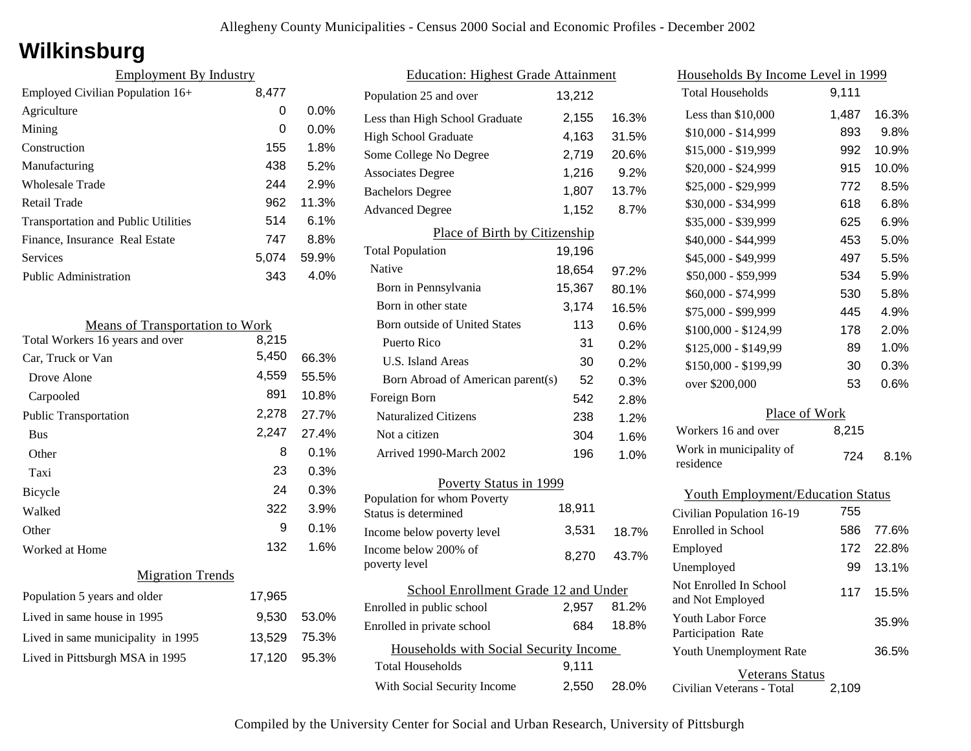# **Wilkinsburg**

| <b>Employment By Industry</b>              |       |         |
|--------------------------------------------|-------|---------|
| Employed Civilian Population 16+           | 8,477 |         |
| Agriculture                                | 0     | $0.0\%$ |
| Mining                                     | 0     | $0.0\%$ |
| Construction                               | 155   | 1.8%    |
| Manufacturing                              | 438   | 5.2%    |
| Wholesale Trade                            | 244   | 2.9%    |
| Retail Trade                               | 962   | 11.3%   |
| <b>Transportation and Public Utilities</b> | 514   | 6.1%    |
| Finance, Insurance Real Estate             | 747   | 8.8%    |
| Services                                   | 5.074 | 59.9%   |
| <b>Public Administration</b>               | 343   | 4.0%    |

| <b>Means of Transportation to Work</b> |        |       |
|----------------------------------------|--------|-------|
| Total Workers 16 years and over        | 8,215  |       |
| Car, Truck or Van                      | 5,450  | 66.3% |
| Drove Alone                            | 4,559  | 55.5% |
| Carpooled                              | 891    | 10.8% |
| <b>Public Transportation</b>           | 2,278  | 27.7% |
| <b>Bus</b>                             | 2,247  | 27.4% |
| Other                                  | 8      | 0.1%  |
| Taxi                                   | 23     | 0.3%  |
| <b>Bicycle</b>                         | 24     | 0.3%  |
| Walked                                 | 322    | 3.9%  |
| Other                                  | 9      | 0.1%  |
| Worked at Home                         | 132    | 1.6%  |
| <b>Migration Trends</b>                |        |       |
| Population 5 years and older           | 17,965 |       |
| Lived in same house in 1995            | 9,530  | 53.0% |
| Lived in same municipality in 1995     | 13,529 | 75.3% |
| Lived in Pittsburgh MSA in 1995        | 17,120 | 95.3% |
|                                        |        |       |

| <b>Education: Highest Grade Attainment</b>          |        |       |  |
|-----------------------------------------------------|--------|-------|--|
| Population 25 and over                              | 13,212 |       |  |
| Less than High School Graduate                      | 2,155  | 16.3% |  |
| <b>High School Graduate</b>                         | 4,163  | 31.5% |  |
| Some College No Degree                              | 2,719  | 20.6% |  |
| <b>Associates Degree</b>                            | 1,216  | 9.2%  |  |
| <b>Bachelors Degree</b>                             | 1,807  | 13.7% |  |
| <b>Advanced Degree</b>                              | 1,152  | 8.7%  |  |
| Place of Birth by Citizenship                       |        |       |  |
| <b>Total Population</b>                             | 19,196 |       |  |
| Native                                              | 18,654 | 97.2% |  |
| Born in Pennsylvania                                | 15,367 | 80.1% |  |
| Born in other state                                 | 3,174  | 16.5% |  |
| <b>Born outside of United States</b>                | 113    | 0.6%  |  |
| Puerto Rico                                         | 31     | 0.2%  |  |
| <b>U.S. Island Areas</b>                            | 30     | 0.2%  |  |
| Born Abroad of American parent(s)                   | 52     | 0.3%  |  |
| Foreign Born                                        | 542    | 2.8%  |  |
| <b>Naturalized Citizens</b>                         | 238    | 1.2%  |  |
| Not a citizen                                       | 304    | 1.6%  |  |
| Arrived 1990-March 2002                             | 196    | 1.0%  |  |
| Poverty Status in 1999                              |        |       |  |
| Population for whom Poverty<br>Status is determined | 18,911 |       |  |
| Income below poverty level                          | 3.531  | 18.7% |  |
| Income below 200% of<br>poverty level               | 8,270  | 43.7% |  |
| School Enrollment Grade 12 and Under                |        |       |  |
| Enrolled in public school                           | 2,957  | 81.2% |  |
| Enrolled in private school                          | 684    | 18.8% |  |
| Households with Social Security Income              |        |       |  |
| Total Households                                    | 9,111  |       |  |
| With Social Security Income                         | 2,550  | 28.0% |  |

| <u>Households By Income Level in 1999</u>  |       |         |
|--------------------------------------------|-------|---------|
| <b>Total Households</b>                    | 9,111 |         |
| Less than $$10,000$                        | 1,487 | 16.3%   |
| \$10,000 - \$14,999                        | 893   | 9.8%    |
| \$15,000 - \$19,999                        | 992   | 10.9%   |
| \$20,000 - \$24,999                        | 915   | 10.0%   |
| \$25,000 - \$29,999                        | 772   | 8.5%    |
| \$30,000 - \$34,999                        | 618   | 6.8%    |
| \$35,000 - \$39,999                        | 625   | 6.9%    |
| \$40,000 - \$44,999                        | 453   | 5.0%    |
| \$45,000 - \$49,999                        | 497   | 5.5%    |
| \$50,000 - \$59,999                        | 534   | 5.9%    |
| \$60,000 - \$74,999                        | 530   | 5.8%    |
| \$75,000 - \$99,999                        | 445   | 4.9%    |
| \$100,000 - \$124,99                       | 178   | 2.0%    |
| \$125,000 - \$149,99                       | 89    | 1.0%    |
| \$150,000 - \$199,99                       | 30    | 0.3%    |
| over \$200,000                             | 53    | $0.6\%$ |
| Place of Work                              |       |         |
| Workers 16 and over                        | 8,215 |         |
| Work in municipality of<br>residence       | 724   | 8.1%    |
| <b>Youth Employment/Education Status</b>   |       |         |
| Civilian Population 16-19                  | 755   |         |
| Enrolled in School                         | 586   | 77.6%   |
| Employed                                   | 172   | 22.8%   |
| Unemployed                                 | 99    | 13.1%   |
| Not Enrolled In School<br>and Not Employed | 117   | 15.5%   |
| Youth Labor Force<br>Participation Rate    |       | 35.9%   |
| Youth Unemployment Rate                    |       | 36.5%   |

Veterans Status 2,109

Civilian Veterans - Total